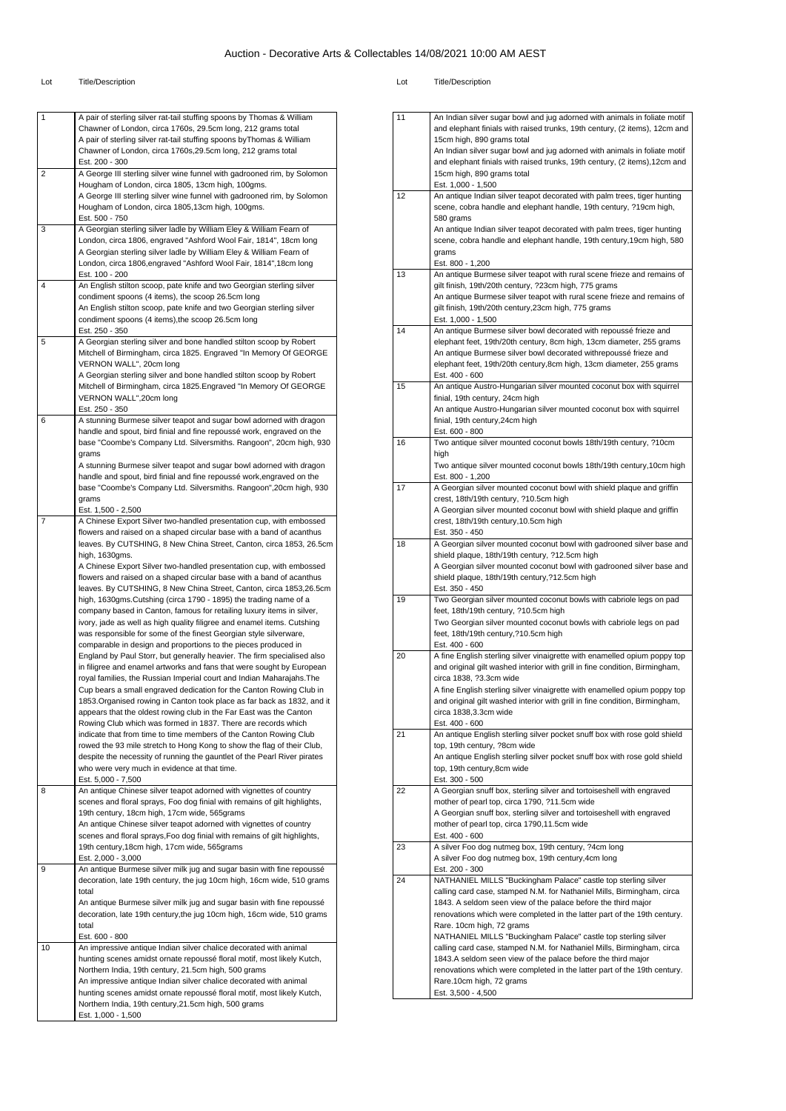| 1  | A pair of sterling silver rat-tail stuffing spoons by Thomas & William                                                                             |
|----|----------------------------------------------------------------------------------------------------------------------------------------------------|
|    | Chawner of London, circa 1760s, 29.5cm long, 212 grams total                                                                                       |
|    | A pair of sterling silver rat-tail stuffing spoons by Thomas & William                                                                             |
|    | Chawner of London, circa 1760s, 29.5cm long, 212 grams total                                                                                       |
|    | Est. 200 - 300                                                                                                                                     |
| 2  | A George III sterling silver wine funnel with gadrooned rim, by Solomon                                                                            |
|    | Hougham of London, circa 1805, 13cm high, 100gms.                                                                                                  |
|    | A George III sterling silver wine funnel with gadrooned rim, by Solomon                                                                            |
|    | Hougham of London, circa 1805,13cm high, 100gms.                                                                                                   |
|    | Est. 500 - 750                                                                                                                                     |
| 3  | A Georgian sterling silver ladle by William Eley & William Fearn of<br>London, circa 1806, engraved "Ashford Wool Fair, 1814", 18cm long           |
|    | A Georgian sterling silver ladle by William Eley & William Fearn of                                                                                |
|    | London, circa 1806, engraved "Ashford Wool Fair, 1814", 18cm long                                                                                  |
|    | Est. 100 - 200                                                                                                                                     |
| 4  | An English stilton scoop, pate knife and two Georgian sterling silver                                                                              |
|    | condiment spoons (4 items), the scoop 26.5cm long                                                                                                  |
|    | An English stilton scoop, pate knife and two Georgian sterling silver                                                                              |
|    | condiment spoons (4 items), the scoop 26.5cm long                                                                                                  |
|    | Est. 250 - 350                                                                                                                                     |
| 5  | A Georgian sterling silver and bone handled stilton scoop by Robert                                                                                |
|    | Mitchell of Birmingham, circa 1825. Engraved "In Memory Of GEORGE                                                                                  |
|    | VERNON WALL", 20cm long                                                                                                                            |
|    | A Georgian sterling silver and bone handled stilton scoop by Robert                                                                                |
|    | Mitchell of Birmingham, circa 1825. Engraved "In Memory Of GEORGE                                                                                  |
|    | VERNON WALL",20cm long                                                                                                                             |
|    | Est. 250 - 350                                                                                                                                     |
| 6  | A stunning Burmese silver teapot and sugar bowl adorned with dragon<br>handle and spout, bird finial and fine repoussé work, engraved on the       |
|    | base "Coombe's Company Ltd. Silversmiths. Rangoon", 20cm high, 930                                                                                 |
|    |                                                                                                                                                    |
|    | grams<br>A stunning Burmese silver teapot and sugar bowl adorned with dragon                                                                       |
|    | handle and spout, bird finial and fine repoussé work, engraved on the                                                                              |
|    | base "Coombe's Company Ltd. Silversmiths. Rangoon", 20cm high, 930                                                                                 |
|    | grams                                                                                                                                              |
|    | Est. 1,500 - 2,500                                                                                                                                 |
| 7  | A Chinese Export Silver two-handled presentation cup, with embossed                                                                                |
|    | flowers and raised on a shaped circular base with a band of acanthus                                                                               |
|    | leaves. By CUTSHING, 8 New China Street, Canton, circa 1853, 26.5cm                                                                                |
|    | high, 1630gms.                                                                                                                                     |
|    | A Chinese Export Silver two-handled presentation cup, with embossed                                                                                |
|    | flowers and raised on a shaped circular base with a band of acanthus                                                                               |
|    | leaves. By CUTSHING, 8 New China Street, Canton, circa 1853,26.5cm                                                                                 |
|    | high, 1630gms. Cutshing (circa 1790 - 1895) the trading name of a                                                                                  |
|    | company based in Canton, famous for retailing luxury items in silver,                                                                              |
|    | ivory, jade as well as high quality filigree and enamel items. Cutshing                                                                            |
|    | was responsible for some of the finest Georgian style silverware,                                                                                  |
|    | comparable in design and proportions to the pieces produced in                                                                                     |
|    | England by Paul Storr, but generally heavier. The firm specialised also                                                                            |
|    | in filigree and enamel artworks and fans that were sought by European                                                                              |
|    |                                                                                                                                                    |
|    | royal families, the Russian Imperial court and Indian Maharajahs. The                                                                              |
|    | Cup bears a small engraved dedication for the Canton Rowing Club in                                                                                |
|    | 1853.Organised rowing in Canton took place as far back as 1832, and it                                                                             |
|    | appears that the oldest rowing club in the Far East was the Canton                                                                                 |
|    | Rowing Club which was formed in 1837. There are records which                                                                                      |
|    | indicate that from time to time members of the Canton Rowing Club                                                                                  |
|    | rowed the 93 mile stretch to Hong Kong to show the flag of their Club,<br>despite the necessity of running the gauntlet of the Pearl River pirates |
|    | who were very much in evidence at that time.                                                                                                       |
|    | Est. 5,000 - 7,500                                                                                                                                 |
| 8  | An antique Chinese silver teapot adorned with vignettes of country                                                                                 |
|    | scenes and floral sprays, Foo dog finial with remains of gilt highlights,                                                                          |
|    | 19th century, 18cm high, 17cm wide, 565grams                                                                                                       |
|    | An antique Chinese silver teapot adorned with vignettes of country                                                                                 |
|    | scenes and floral sprays, Foo dog finial with remains of gilt highlights,                                                                          |
|    | 19th century, 18cm high, 17cm wide, 565grams                                                                                                       |
|    | Est. 2,000 - 3,000                                                                                                                                 |
| 9  | An antique Burmese silver milk jug and sugar basin with fine repoussé                                                                              |
|    | decoration, late 19th century, the jug 10cm high, 16cm wide, 510 grams                                                                             |
|    | total                                                                                                                                              |
|    | An antique Burmese silver milk jug and sugar basin with fine repoussé                                                                              |
|    | decoration, late 19th century, the jug 10cm high, 16cm wide, 510 grams                                                                             |
|    | total                                                                                                                                              |
|    | Est. 600 - 800                                                                                                                                     |
| 10 | An impressive antique Indian silver chalice decorated with animal                                                                                  |
|    | hunting scenes amidst ornate repoussé floral motif, most likely Kutch,                                                                             |
|    | Northern India, 19th century, 21.5cm high, 500 grams                                                                                               |
|    | An impressive antique Indian silver chalice decorated with animal                                                                                  |
|    | hunting scenes amidst ornate repoussé floral motif, most likely Kutch,                                                                             |
|    | Northern India, 19th century, 21.5cm high, 500 grams<br>Est. 1,000 - 1,500                                                                         |

| 11 | An Indian silver sugar bowl and jug adorned with animals in foliate motif                                                                 |
|----|-------------------------------------------------------------------------------------------------------------------------------------------|
|    | and elephant finials with raised trunks, 19th century, (2 items), 12cm and                                                                |
|    | 15cm high, 890 grams total                                                                                                                |
|    | An Indian silver sugar bowl and jug adorned with animals in foliate motif                                                                 |
|    | and elephant finials with raised trunks, 19th century, (2 items), 12cm and<br>15cm high, 890 grams total                                  |
|    | Est. 1,000 - 1,500                                                                                                                        |
| 12 | An antique Indian silver teapot decorated with palm trees, tiger hunting                                                                  |
|    | scene, cobra handle and elephant handle, 19th century, ?19cm high,                                                                        |
|    | 580 grams                                                                                                                                 |
|    | An antique Indian silver teapot decorated with palm trees, tiger hunting                                                                  |
|    | scene, cobra handle and elephant handle, 19th century, 19cm high, 580<br>grams                                                            |
|    | Est. 800 - 1,200                                                                                                                          |
| 13 | An antique Burmese silver teapot with rural scene frieze and remains of                                                                   |
|    | gilt finish, 19th/20th century, ?23cm high, 775 grams                                                                                     |
|    | An antique Burmese silver teapot with rural scene frieze and remains of                                                                   |
|    | gilt finish, 19th/20th century, 23cm high, 775 grams                                                                                      |
| 14 | Est. 1,000 - 1,500<br>An antique Burmese silver bowl decorated with repoussé frieze and                                                   |
|    | elephant feet, 19th/20th century, 8cm high, 13cm diameter, 255 grams                                                                      |
|    | An antique Burmese silver bowl decorated withrepoussé frieze and                                                                          |
|    | elephant feet, 19th/20th century, 8cm high, 13cm diameter, 255 grams                                                                      |
|    | Est. 400 - 600                                                                                                                            |
| 15 | An antique Austro-Hungarian silver mounted coconut box with squirrel                                                                      |
|    | finial, 19th century, 24cm high<br>An antique Austro-Hungarian silver mounted coconut box with squirrel                                   |
|    | finial, 19th century, 24cm high                                                                                                           |
|    | Est. 600 - 800                                                                                                                            |
| 16 | Two antique silver mounted coconut bowls 18th/19th century, ?10cm                                                                         |
|    | high                                                                                                                                      |
|    | Two antique silver mounted coconut bowls 18th/19th century, 10cm high<br>Est. 800 - 1,200                                                 |
| 17 | A Georgian silver mounted coconut bowl with shield plaque and griffin                                                                     |
|    | crest, 18th/19th century, ?10.5cm high                                                                                                    |
|    | A Georgian silver mounted coconut bowl with shield plaque and griffin                                                                     |
|    | crest, 18th/19th century, 10.5cm high                                                                                                     |
|    | Est. 350 - 450                                                                                                                            |
| 18 | A Georgian silver mounted coconut bowl with gadrooned silver base and<br>shield plaque, 18th/19th century, ?12.5cm high                   |
|    | A Georgian silver mounted coconut bowl with gadrooned silver base and                                                                     |
|    | shield plaque, 18th/19th century, ?12.5cm high                                                                                            |
|    | Est. 350 - 450                                                                                                                            |
| 19 | Two Georgian silver mounted coconut bowls with cabriole legs on pad<br>feet, 18th/19th century, ?10.5cm high                              |
|    | Two Georgian silver mounted coconut bowls with cabriole legs on pad                                                                       |
|    | feet, 18th/19th century, ?10.5cm high                                                                                                     |
|    | Est. 400 - 600                                                                                                                            |
| 20 | A fine English sterling silver vinaigrette with enamelled opium poppy top                                                                 |
|    | and original gilt washed interior with grill in fine condition, Birmingham,                                                               |
|    | circa 1838, ?3.3cm wide<br>A fine English sterling silver vinaigrette with enamelled opium poppy top                                      |
|    | and original gilt washed interior with grill in fine condition, Birmingham,                                                               |
|    | circa 1838,3.3cm wide                                                                                                                     |
|    | Est. 400 - 600                                                                                                                            |
| 21 | An antique English sterling silver pocket snuff box with rose gold shield                                                                 |
|    | top, 19th century, ?8cm wide<br>An antique English sterling silver pocket snuff box with rose gold shield                                 |
|    | top, 19th century, 8cm wide                                                                                                               |
|    | Est. 300 - 500                                                                                                                            |
| 22 | A Georgian snuff box, sterling silver and tortoiseshell with engraved                                                                     |
|    | mother of pearl top, circa 1790, ?11.5cm wide                                                                                             |
|    | A Georgian snuff box, sterling silver and tortoiseshell with engraved                                                                     |
|    | mother of pearl top, circa 1790,11.5cm wide<br>Est. 400 - 600                                                                             |
| 23 | A silver Foo dog nutmeg box, 19th century, ?4cm long                                                                                      |
|    | A silver Foo dog nutmeg box, 19th century, 4cm long                                                                                       |
|    | Est. 200 - 300                                                                                                                            |
| 24 | NATHANIEL MILLS "Buckingham Palace" castle top sterling silver                                                                            |
|    | calling card case, stamped N.M. for Nathaniel Mills, Birmingham, circa                                                                    |
|    | 1843. A seldom seen view of the palace before the third major<br>renovations which were completed in the latter part of the 19th century. |
|    | Rare. 10cm high, 72 grams                                                                                                                 |
|    | NATHANIEL MILLS "Buckingham Palace" castle top sterling silver                                                                            |
|    | calling card case, stamped N.M. for Nathaniel Mills, Birmingham, circa                                                                    |
|    | 1843.A seldom seen view of the palace before the third major                                                                              |
|    | renovations which were completed in the latter part of the 19th century.                                                                  |
|    | Rare.10cm high, 72 grams<br>Est. 3,500 - 4,500                                                                                            |
|    |                                                                                                                                           |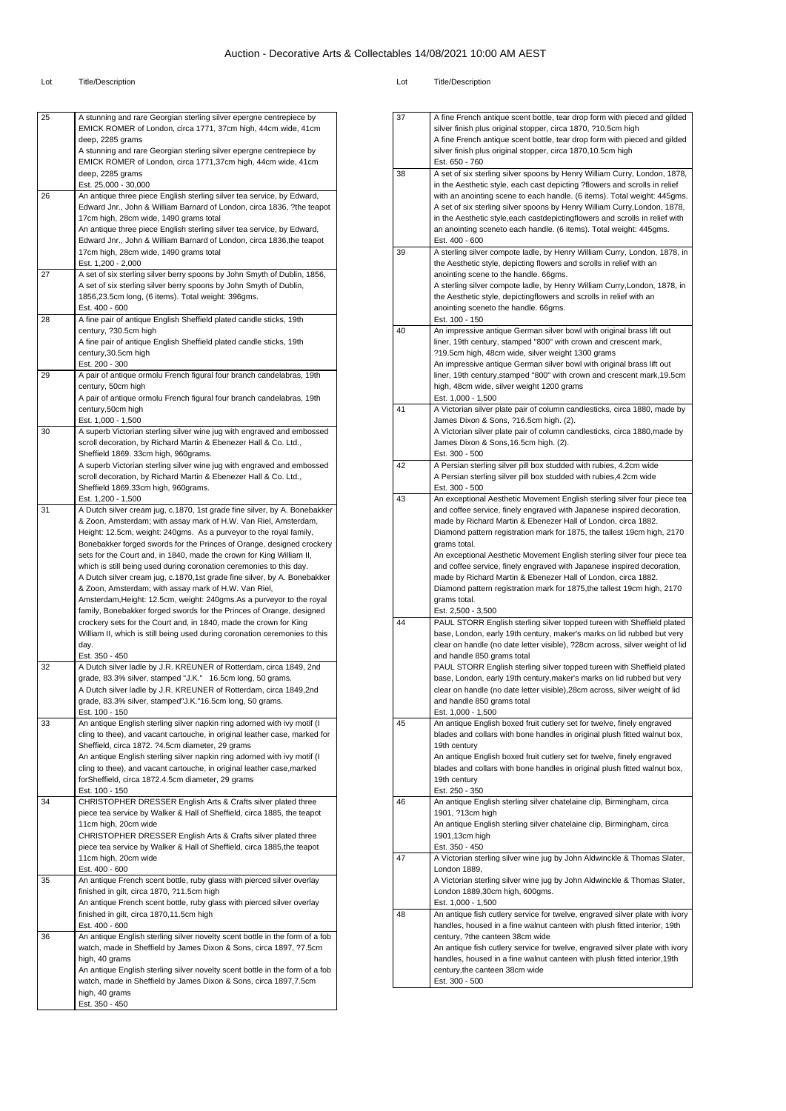| 25 | A stunning and rare Georgian sterling silver epergne centrepiece by<br>EMICK ROMER of London, circa 1771, 37cm high, 44cm wide, 41cm<br>deep, 2285 grams                                             |
|----|------------------------------------------------------------------------------------------------------------------------------------------------------------------------------------------------------|
|    | A stunning and rare Georgian sterling silver epergne centrepiece by<br>EMICK ROMER of London, circa 1771,37cm high, 44cm wide, 41cm                                                                  |
|    | deep, 2285 grams<br>Est. 25,000 - 30,000                                                                                                                                                             |
| 26 | An antique three piece English sterling silver tea service, by Edward,<br>Edward Jnr., John & William Barnard of London, circa 1836, ?the teapot<br>17cm high, 28cm wide, 1490 grams total           |
|    | An antique three piece English sterling silver tea service, by Edward,<br>Edward Jnr., John & William Barnard of London, circa 1836, the teapot<br>17cm high, 28cm wide, 1490 grams total            |
|    | Est. 1,200 - 2,000                                                                                                                                                                                   |
| 27 | A set of six sterling silver berry spoons by John Smyth of Dublin, 1856,<br>A set of six sterling silver berry spoons by John Smyth of Dublin,<br>1856,23.5cm long, (6 items). Total weight: 396gms. |
| 28 | Est. 400 - 600<br>A fine pair of antique English Sheffield plated candle sticks, 19th                                                                                                                |
|    | century, ?30.5cm high<br>A fine pair of antique English Sheffield plated candle sticks, 19th                                                                                                         |
|    | century, 30.5cm high<br>Est. 200 - 300                                                                                                                                                               |
| 29 | A pair of antique ormolu French figural four branch candelabras, 19th<br>century, 50cm high                                                                                                          |
|    | A pair of antique ormolu French figural four branch candelabras, 19th                                                                                                                                |
|    | century,50cm high<br>Est. 1,000 - 1,500                                                                                                                                                              |
| 30 | A superb Victorian sterling silver wine jug with engraved and embossed<br>scroll decoration, by Richard Martin & Ebenezer Hall & Co. Ltd.,                                                           |
|    | Sheffield 1869. 33cm high, 960grams.<br>A superb Victorian sterling silver wine jug with engraved and embossed                                                                                       |
|    | scroll decoration, by Richard Martin & Ebenezer Hall & Co. Ltd.,<br>Sheffield 1869.33cm high, 960grams.                                                                                              |
|    | Est. 1,200 - 1,500                                                                                                                                                                                   |
| 31 | A Dutch silver cream jug, c.1870, 1st grade fine silver, by A. Bonebakker<br>& Zoon, Amsterdam; with assay mark of H.W. Van Riel, Amsterdam,                                                         |
|    | Height: 12.5cm, weight: 240gms. As a purveyor to the royal family,<br>Bonebakker forged swords for the Princes of Orange, designed crockery                                                          |
|    | sets for the Court and, in 1840, made the crown for King William II,<br>which is still being used during coronation ceremonies to this day.                                                          |
|    | A Dutch silver cream jug, c.1870,1st grade fine silver, by A. Bonebakker                                                                                                                             |
|    | & Zoon, Amsterdam; with assay mark of H.W. Van Riel,<br>Amsterdam, Height: 12.5cm, weight: 240gms. As a purveyor to the royal                                                                        |
|    | family, Bonebakker forged swords for the Princes of Orange, designed<br>crockery sets for the Court and, in 1840, made the crown for King                                                            |
|    | William II, which is still being used during coronation ceremonies to this<br>day.                                                                                                                   |
| 32 | Est. 350 - 450<br>A Dutch silver ladle by J.R. KREUNER of Rotterdam, circa 1849, 2nd                                                                                                                 |
|    | grade, 83.3% silver, stamped "J.K." 16.5cm long, 50 grams.                                                                                                                                           |
|    | A Dutch silver ladle by J.R. KREUNER of Rotterdam, circa 1849,2nd<br>grade, 83.3% silver, stamped"J.K."16.5cm long, 50 grams.                                                                        |
| 33 | Est. 100 - 150<br>An antique English sterling silver napkin ring adorned with ivy motif (I                                                                                                           |
|    | cling to thee), and vacant cartouche, in original leather case, marked for<br>Sheffield, circa 1872. ?4.5cm diameter, 29 grams                                                                       |
|    | An antique English sterling silver napkin ring adorned with ivy motif (I                                                                                                                             |
|    | cling to thee), and vacant cartouche, in original leather case, marked<br>forSheffield, circa 1872.4.5cm diameter, 29 grams                                                                          |
| 34 | Est. 100 - 150<br>CHRISTOPHER DRESSER English Arts & Crafts silver plated three                                                                                                                      |
|    | piece tea service by Walker & Hall of Sheffield, circa 1885, the teapot<br>11cm high, 20cm wide                                                                                                      |
|    | CHRISTOPHER DRESSER English Arts & Crafts silver plated three<br>piece tea service by Walker & Hall of Sheffield, circa 1885, the teapot                                                             |
|    | 11cm high, 20cm wide                                                                                                                                                                                 |
| 35 | Est. 400 - 600<br>An antique French scent bottle, ruby glass with pierced silver overlay                                                                                                             |
|    | finished in gilt, circa 1870, ?11.5cm high<br>An antique French scent bottle, ruby glass with pierced silver overlay                                                                                 |
|    | finished in gilt, circa 1870,11.5cm high<br>Est. 400 - 600                                                                                                                                           |
| 36 | An antique English sterling silver novelty scent bottle in the form of a fob<br>watch, made in Sheffield by James Dixon & Sons, circa 1897, ?7.5cm                                                   |
|    | high, 40 grams                                                                                                                                                                                       |
|    | An antique English sterling silver novelty scent bottle in the form of a fob<br>watch, made in Sheffield by James Dixon & Sons, circa 1897,7.5cm                                                     |
|    | high, 40 grams<br>Est. 350 - 450                                                                                                                                                                     |
|    |                                                                                                                                                                                                      |

| 37 | A fine French antique scent bottle, tear drop form with pieced and gilded    |
|----|------------------------------------------------------------------------------|
|    | silver finish plus original stopper, circa 1870, ?10.5cm high                |
|    | A fine French antique scent bottle, tear drop form with pieced and gilded    |
|    | silver finish plus original stopper, circa 1870,10.5cm high                  |
|    | Est. 650 - 760                                                               |
| 38 | A set of six sterling silver spoons by Henry William Curry, London, 1878,    |
|    | in the Aesthetic style, each cast depicting ?flowers and scrolls in relief   |
|    | with an anointing scene to each handle. (6 items). Total weight: 445gms.     |
|    | A set of six sterling silver spoons by Henry William Curry, London, 1878,    |
|    | in the Aesthetic style, each castdepictingflowers and scrolls in relief with |
|    | an anointing sceneto each handle. (6 items). Total weight: 445gms.           |
|    | Est. 400 - 600                                                               |
| 39 | A sterling silver compote ladle, by Henry William Curry, London, 1878, in    |
|    | the Aesthetic style, depicting flowers and scrolls in relief with an         |
|    | anointing scene to the handle. 66gms.                                        |
|    | A sterling silver compote ladle, by Henry William Curry, London, 1878, in    |
|    | the Aesthetic style, depictingflowers and scrolls in relief with an          |
|    |                                                                              |
|    | anointing sceneto the handle. 66gms.                                         |
| 40 | Est. 100 - 150                                                               |
|    | An impressive antique German silver bowl with original brass lift out        |
|    | liner, 19th century, stamped "800" with crown and crescent mark,             |
|    | ?19.5cm high, 48cm wide, silver weight 1300 grams                            |
|    | An impressive antique German silver bowl with original brass lift out        |
|    | liner, 19th century, stamped "800" with crown and crescent mark, 19.5cm      |
|    | high, 48cm wide, silver weight 1200 grams                                    |
|    | Est. 1,000 - 1,500                                                           |
| 41 | A Victorian silver plate pair of column candlesticks, circa 1880, made by    |
|    | James Dixon & Sons, ?16.5cm high. (2).                                       |
|    | A Victorian silver plate pair of column candlesticks, circa 1880, made by    |
|    | James Dixon & Sons, 16.5cm high. (2).                                        |
|    | Est. 300 - 500                                                               |
| 42 | A Persian sterling silver pill box studded with rubies, 4.2cm wide           |
|    | A Persian sterling silver pill box studded with rubies, 4.2cm wide           |
|    | Est. 300 - 500                                                               |
| 43 | An exceptional Aesthetic Movement English sterling silver four piece tea     |
|    | and coffee service, finely engraved with Japanese inspired decoration,       |
|    | made by Richard Martin & Ebenezer Hall of London, circa 1882.                |
|    | Diamond pattern registration mark for 1875, the tallest 19cm high, 2170      |
|    | grams total.                                                                 |
|    | An exceptional Aesthetic Movement English sterling silver four piece tea     |
|    | and coffee service, finely engraved with Japanese inspired decoration,       |
|    | made by Richard Martin & Ebenezer Hall of London, circa 1882.                |
|    | Diamond pattern registration mark for 1875, the tallest 19cm high, 2170      |
|    | grams total.                                                                 |
|    | Est. 2,500 - 3,500                                                           |
| 44 | PAUL STORR English sterling silver topped tureen with Sheffield plated       |
|    | base, London, early 19th century, maker's marks on lid rubbed but very       |
|    | clear on handle (no date letter visible), ?28cm across, silver weight of lid |
|    | and handle 850 grams total                                                   |
|    | PAUL STORR English sterling silver topped tureen with Sheffield plated       |
|    | base, London, early 19th century, maker's marks on lid rubbed but very       |
|    |                                                                              |
|    | clear on handle (no date letter visible), 28cm across, silver weight of lid  |
|    | and handle 850 grams total                                                   |
|    | Est. 1,000 - 1,500                                                           |
| 45 | An antique English boxed fruit cutlery set for twelve, finely engraved       |
|    | blades and collars with bone handles in original plush fitted walnut box,    |
|    | 19th century                                                                 |
|    | An antique English boxed fruit cutlery set for twelve, finely engraved       |
|    | blades and collars with bone handles in original plush fitted walnut box,    |
|    | 19th century                                                                 |
|    | Est. 250 - 350                                                               |
| 46 | An antique English sterling silver chatelaine clip, Birmingham, circa        |
|    | 1901, ?13cm high                                                             |
|    | An antique English sterling silver chatelaine clip, Birmingham, circa        |
|    | 1901,13cm high                                                               |
|    | Est. 350 - 450                                                               |
| 47 | A Victorian sterling silver wine jug by John Aldwinckle & Thomas Slater,     |
|    | London 1889,                                                                 |
|    | A Victorian sterling silver wine jug by John Aldwinckle & Thomas Slater,     |
|    | London 1889,30cm high, 600gms.                                               |
|    | Est. 1,000 - 1,500                                                           |
| 48 | An antique fish cutlery service for twelve, engraved silver plate with ivory |
|    | handles, housed in a fine walnut canteen with plush fitted interior, 19th    |
|    | century, ?the canteen 38cm wide                                              |
|    |                                                                              |
|    | An antique fish cutlery service for twelve, engraved silver plate with ivory |
|    | handles, housed in a fine walnut canteen with plush fitted interior, 19th    |
|    |                                                                              |
|    | century, the canteen 38cm wide<br>Est. 300 - 500                             |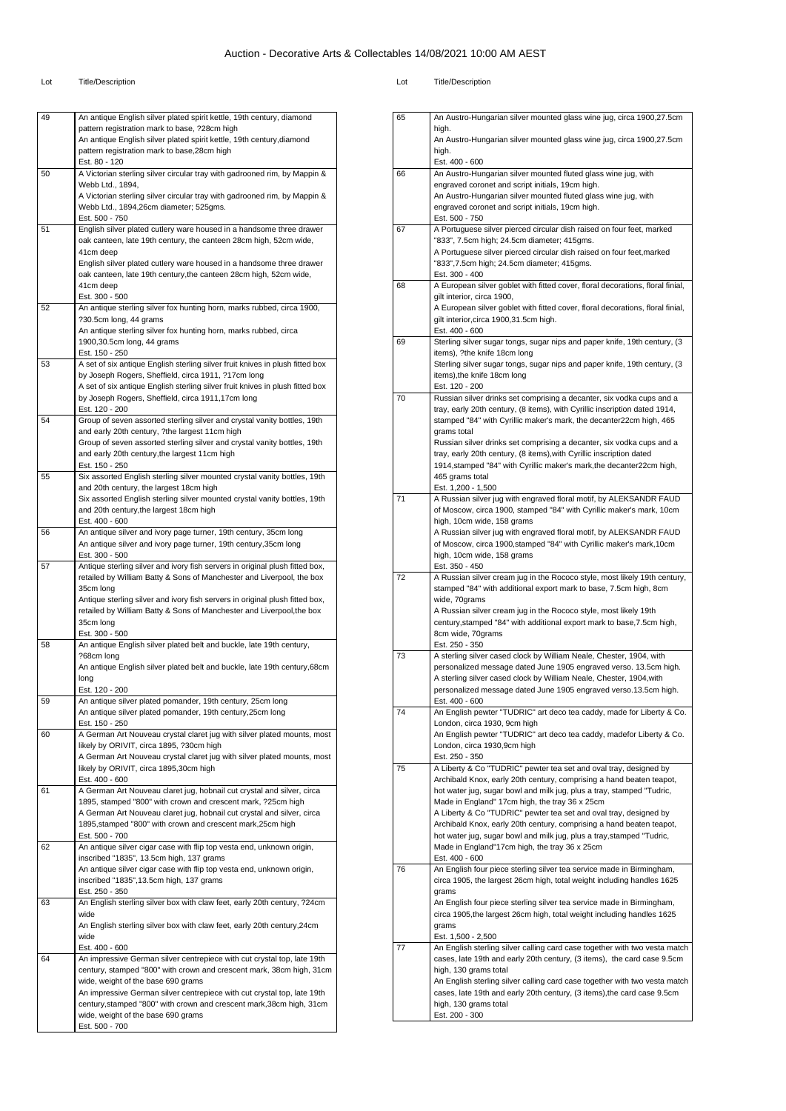#### Lot Title/Description Lot Title/Description

| 49 | An antique English silver plated spirit kettle, 19th century, diamond                                                                     |
|----|-------------------------------------------------------------------------------------------------------------------------------------------|
|    | pattern registration mark to base, ?28cm high                                                                                             |
|    | An antique English silver plated spirit kettle, 19th century, diamond                                                                     |
|    | pattern registration mark to base, 28cm high<br>Est. 80 - 120                                                                             |
| 50 | A Victorian sterling silver circular tray with gadrooned rim, by Mappin &                                                                 |
|    | Webb Ltd., 1894,                                                                                                                          |
|    | A Victorian sterling silver circular tray with gadrooned rim, by Mappin &                                                                 |
|    | Webb Ltd., 1894,26cm diameter; 525gms.                                                                                                    |
|    | Est. 500 - 750                                                                                                                            |
| 51 | English silver plated cutlery ware housed in a handsome three drawer<br>oak canteen, late 19th century, the canteen 28cm high, 52cm wide, |
|    | 41cm deep                                                                                                                                 |
|    | English silver plated cutlery ware housed in a handsome three drawer                                                                      |
|    | oak canteen, late 19th century, the canteen 28cm high, 52cm wide,                                                                         |
|    | 41cm deep                                                                                                                                 |
| 52 | Est. 300 - 500<br>An antique sterling silver fox hunting horn, marks rubbed, circa 1900,                                                  |
|    | ?30.5cm long, 44 grams                                                                                                                    |
|    | An antique sterling silver fox hunting horn, marks rubbed, circa                                                                          |
|    | 1900,30.5cm long, 44 grams                                                                                                                |
|    | Est. 150 - 250                                                                                                                            |
| 53 | A set of six antique English sterling silver fruit knives in plush fitted box                                                             |
|    | by Joseph Rogers, Sheffield, circa 1911, ?17cm long<br>A set of six antique English sterling silver fruit knives in plush fitted box      |
|    | by Joseph Rogers, Sheffield, circa 1911,17cm long                                                                                         |
|    | Est. 120 - 200                                                                                                                            |
| 54 | Group of seven assorted sterling silver and crystal vanity bottles, 19th                                                                  |
|    | and early 20th century, ?the largest 11cm high                                                                                            |
|    | Group of seven assorted sterling silver and crystal vanity bottles, 19th                                                                  |
|    | and early 20th century, the largest 11cm high<br>Est. 150 - 250                                                                           |
| 55 | Six assorted English sterling silver mounted crystal vanity bottles, 19th                                                                 |
|    | and 20th century, the largest 18cm high                                                                                                   |
|    | Six assorted English sterling silver mounted crystal vanity bottles, 19th                                                                 |
|    | and 20th century, the largest 18cm high                                                                                                   |
| 56 | Est. 400 - 600<br>An antique silver and ivory page turner, 19th century, 35cm long                                                        |
|    | An antique silver and ivory page turner, 19th century, 35cm long                                                                          |
|    | Est. 300 - 500                                                                                                                            |
| 57 | Antique sterling silver and ivory fish servers in original plush fitted box,                                                              |
|    | retailed by William Batty & Sons of Manchester and Liverpool, the box                                                                     |
|    | 35cm long<br>Antique sterling silver and ivory fish servers in original plush fitted box,                                                 |
|    | retailed by William Batty & Sons of Manchester and Liverpool, the box                                                                     |
|    | 35cm long                                                                                                                                 |
|    | Est. 300 - 500                                                                                                                            |
| 58 | An antique English silver plated belt and buckle, late 19th century,                                                                      |
|    | ?68cm long<br>An antique English silver plated belt and buckle, late 19th century,68cm                                                    |
|    | long                                                                                                                                      |
|    | Est. 120 - 200                                                                                                                            |
| 59 | An antique silver plated pomander, 19th century, 25cm long                                                                                |
|    | An antique silver plated pomander, 19th century, 25cm long                                                                                |
| 60 | Est. 150 - 250                                                                                                                            |
|    | A German Art Nouveau crystal claret jug with silver plated mounts, most<br>likely by ORIVIT, circa 1895, ?30cm high                       |
|    | A German Art Nouveau crystal claret jug with silver plated mounts, most                                                                   |
|    | likely by ORIVIT, circa 1895,30cm high                                                                                                    |
|    | Est. 400 - 600                                                                                                                            |
| 61 | A German Art Nouveau claret jug, hobnail cut crystal and silver, circa                                                                    |
|    | 1895, stamped "800" with crown and crescent mark, ?25cm high<br>A German Art Nouveau claret jug, hobnail cut crystal and silver, circa    |
|    | 1895, stamped "800" with crown and crescent mark, 25cm high                                                                               |
|    | Est. 500 - 700                                                                                                                            |
| 62 | An antique silver cigar case with flip top vesta end, unknown origin,                                                                     |
|    | inscribed "1835", 13.5cm high, 137 grams                                                                                                  |
|    | An antique silver cigar case with flip top vesta end, unknown origin,                                                                     |
|    | inscribed "1835", 13.5cm high, 137 grams<br>Est. 250 - 350                                                                                |
| 63 | An English sterling silver box with claw feet, early 20th century, ?24cm                                                                  |
|    | wide                                                                                                                                      |
|    | An English sterling silver box with claw feet, early 20th century, 24cm                                                                   |
|    | wide                                                                                                                                      |
|    | Est. 400 - 600                                                                                                                            |
| 64 |                                                                                                                                           |
|    | An impressive German silver centrepiece with cut crystal top, late 19th                                                                   |
|    | century, stamped "800" with crown and crescent mark, 38cm high, 31cm                                                                      |
|    | wide, weight of the base 690 grams<br>An impressive German silver centrepiece with cut crystal top, late 19th                             |
|    | century, stamped "800" with crown and crescent mark, 38cm high, 31cm                                                                      |
|    | wide, weight of the base 690 grams<br>Est. 500 - 700                                                                                      |

|    | high.<br>An Austro-Hungarian silver mounted glass wine jug, circa 1900,27.5cm<br>high.<br>Est. 400 - 600                                      |
|----|-----------------------------------------------------------------------------------------------------------------------------------------------|
| 66 | An Austro-Hungarian silver mounted fluted glass wine jug, with                                                                                |
|    | engraved coronet and script initials, 19cm high.                                                                                              |
|    | An Austro-Hungarian silver mounted fluted glass wine jug, with<br>engraved coronet and script initials, 19cm high.                            |
|    | Est. 500 - 750                                                                                                                                |
| 67 | A Portuguese silver pierced circular dish raised on four feet, marked                                                                         |
|    | "833", 7.5cm high; 24.5cm diameter; 415gms.<br>A Portuguese silver pierced circular dish raised on four feet, marked                          |
|    | "833", 7.5cm high; 24.5cm diameter; 415gms.                                                                                                   |
|    | Est. 300 - 400                                                                                                                                |
| 68 | A European silver goblet with fitted cover, floral decorations, floral finial,                                                                |
|    | gilt interior, circa 1900,<br>A European silver goblet with fitted cover, floral decorations, floral finial,                                  |
|    | gilt interior, circa 1900, 31.5cm high.                                                                                                       |
|    | Est. 400 - 600                                                                                                                                |
| 69 | Sterling silver sugar tongs, sugar nips and paper knife, 19th century, (3<br>items), ?the knife 18cm long                                     |
|    | Sterling silver sugar tongs, sugar nips and paper knife, 19th century, (3                                                                     |
|    | items), the knife 18cm long                                                                                                                   |
| 70 | Est. 120 - 200<br>Russian silver drinks set comprising a decanter, six vodka cups and a                                                       |
|    | tray, early 20th century, (8 items), with Cyrillic inscription dated 1914,                                                                    |
|    | stamped "84" with Cyrillic maker's mark, the decanter22cm high, 465                                                                           |
|    | grams total                                                                                                                                   |
|    | Russian silver drinks set comprising a decanter, six vodka cups and a<br>tray, early 20th century, (8 items), with Cyrillic inscription dated |
|    | 1914, stamped "84" with Cyrillic maker's mark, the decanter 22cm high,                                                                        |
|    | 465 grams total                                                                                                                               |
| 71 | Est. 1,200 - 1,500<br>A Russian silver jug with engraved floral motif, by ALEKSANDR FAUD                                                      |
|    | of Moscow, circa 1900, stamped "84" with Cyrillic maker's mark, 10cm                                                                          |
|    | high, 10cm wide, 158 grams<br>A Russian silver jug with engraved floral motif, by ALEKSANDR FAUD                                              |
|    | of Moscow, circa 1900, stamped "84" with Cyrillic maker's mark, 10cm                                                                          |
|    | high, 10cm wide, 158 grams                                                                                                                    |
| 72 | Est. 350 - 450<br>A Russian silver cream jug in the Rococo style, most likely 19th century,                                                   |
|    |                                                                                                                                               |
|    | stamped "84" with additional export mark to base, 7.5cm high, 8cm                                                                             |
|    | wide, 70grams                                                                                                                                 |
|    | A Russian silver cream jug in the Rococo style, most likely 19th                                                                              |
|    | century, stamped "84" with additional export mark to base, 7.5cm high,<br>8cm wide, 70grams                                                   |
|    | Est. 250 - 350                                                                                                                                |
| 73 | A sterling silver cased clock by William Neale, Chester, 1904, with                                                                           |
|    | personalized message dated June 1905 engraved verso. 13.5cm high.<br>A sterling silver cased clock by William Neale, Chester, 1904, with      |
|    | personalized message dated June 1905 engraved verso.13.5cm high.                                                                              |
|    | Est. 400 - 600                                                                                                                                |
| 74 | An English pewter "TUDRIC" art deco tea caddy, made for Liberty & Co.<br>London, circa 1930, 9cm high                                         |
|    | An English pewter "TUDRIC" art deco tea caddy, madefor Liberty & Co.                                                                          |
|    | London, circa 1930,9cm high                                                                                                                   |
| 75 | Est. 250 - 350<br>A Liberty & Co "TUDRIC" pewter tea set and oval tray, designed by                                                           |
|    | Archibald Knox, early 20th century, comprising a hand beaten teapot,                                                                          |
|    | hot water jug, sugar bowl and milk jug, plus a tray, stamped "Tudric,                                                                         |
|    | Made in England" 17cm high, the tray 36 x 25cm<br>A Liberty & Co "TUDRIC" pewter tea set and oval tray, designed by                           |
|    | Archibald Knox, early 20th century, comprising a hand beaten teapot,                                                                          |
|    | hot water jug, sugar bowl and milk jug, plus a tray, stamped "Tudric,                                                                         |
|    | Made in England"17cm high, the tray 36 x 25cm<br>Est. 400 - 600                                                                               |
| 76 | An English four piece sterling silver tea service made in Birmingham,                                                                         |
|    | circa 1905, the largest 26cm high, total weight including handles 1625<br>grams                                                               |
|    | An English four piece sterling silver tea service made in Birmingham,                                                                         |
|    | circa 1905, the largest 26cm high, total weight including handles 1625                                                                        |
|    | grams<br>Est. 1,500 - 2,500                                                                                                                   |
| 77 | An English sterling silver calling card case together with two vesta match                                                                    |
|    | cases, late 19th and early 20th century, (3 items), the card case 9.5cm                                                                       |
|    | high, 130 grams total<br>An English sterling silver calling card case together with two vesta match                                           |
|    | cases, late 19th and early 20th century, (3 items), the card case 9.5cm                                                                       |
|    | high, 130 grams total<br>Est. 200 - 300                                                                                                       |

65 An Austro-Hungarian silver mounted glass wine jug, circa 1900,27.5cm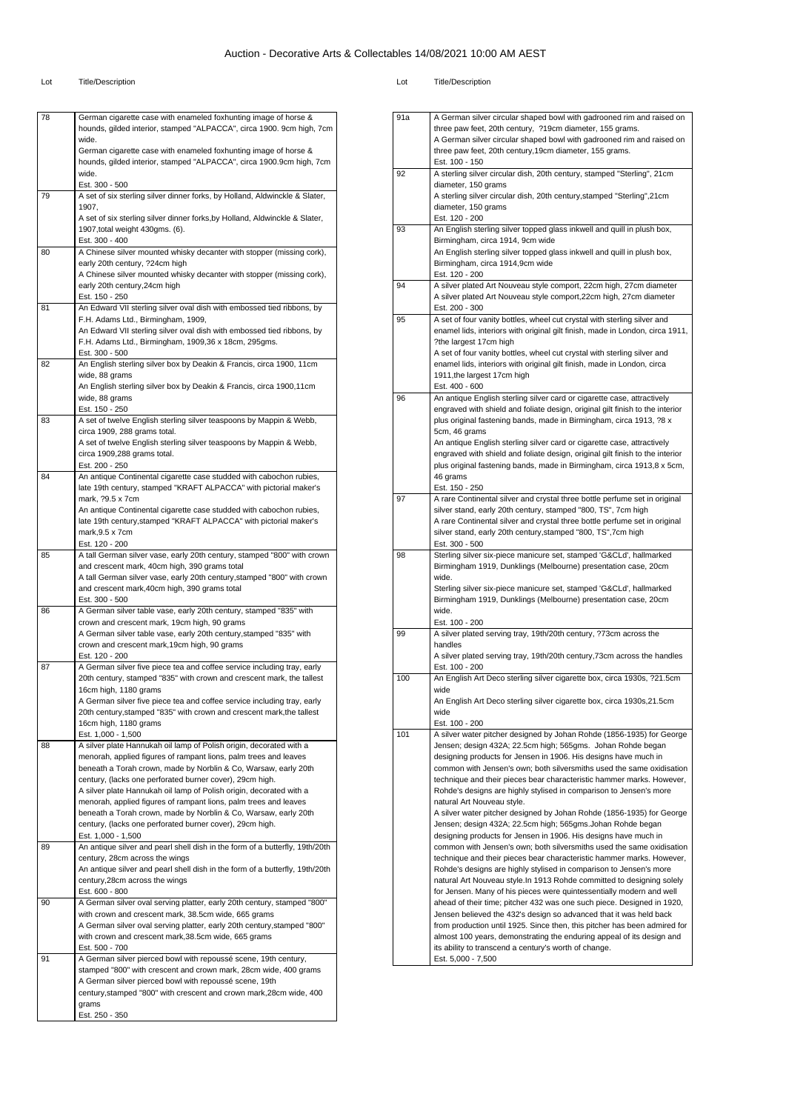Lot Title/Description Lot Title/Description

| 78 | German cigarette case with enameled foxhunting image of horse &              |
|----|------------------------------------------------------------------------------|
|    | hounds, gilded interior, stamped "ALPACCA", circa 1900. 9cm high, 7cm        |
|    | wide.                                                                        |
|    | German cigarette case with enameled foxhunting image of horse &              |
|    | hounds, gilded interior, stamped "ALPACCA", circa 1900.9cm high, 7cm         |
|    | wide.                                                                        |
|    | Est. 300 - 500                                                               |
| 79 | A set of six sterling silver dinner forks, by Holland, Aldwinckle & Slater,  |
|    | 1907,                                                                        |
|    | A set of six sterling silver dinner forks, by Holland, Aldwinckle & Slater,  |
|    | 1907, total weight 430gms. (6).<br>Est. 300 - 400                            |
| 80 | A Chinese silver mounted whisky decanter with stopper (missing cork),        |
|    | early 20th century, ?24cm high                                               |
|    | A Chinese silver mounted whisky decanter with stopper (missing cork),        |
|    | early 20th century, 24cm high                                                |
|    | Est. 150 - 250                                                               |
| 81 | An Edward VII sterling silver oval dish with embossed tied ribbons, by       |
|    | F.H. Adams Ltd., Birmingham, 1909,                                           |
|    | An Edward VII sterling silver oval dish with embossed tied ribbons, by       |
|    | F.H. Adams Ltd., Birmingham, 1909,36 x 18cm, 295gms.                         |
|    | Est. 300 - 500                                                               |
| 82 | An English sterling silver box by Deakin & Francis, circa 1900, 11cm         |
|    | wide, 88 grams                                                               |
|    | An English sterling silver box by Deakin & Francis, circa 1900,11cm          |
|    | wide, 88 grams                                                               |
|    | Est. 150 - 250                                                               |
| 83 | A set of twelve English sterling silver teaspoons by Mappin & Webb,          |
|    | circa 1909, 288 grams total.                                                 |
|    | A set of twelve English sterling silver teaspoons by Mappin & Webb,          |
|    | circa 1909,288 grams total.                                                  |
|    | Est. 200 - 250                                                               |
| 84 | An antique Continental cigarette case studded with cabochon rubies,          |
|    | late 19th century, stamped "KRAFT ALPACCA" with pictorial maker's            |
|    | mark, ?9.5 x 7cm                                                             |
|    | An antique Continental cigarette case studded with cabochon rubies,          |
|    | late 19th century, stamped "KRAFT ALPACCA" with pictorial maker's            |
|    | mark, $9.5 \times 7$ cm                                                      |
|    | Est. 120 - 200                                                               |
| 85 | A tall German silver vase, early 20th century, stamped "800" with crown      |
|    | and crescent mark, 40cm high, 390 grams total                                |
|    | A tall German silver vase, early 20th century, stamped "800" with crown      |
|    | and crescent mark, 40cm high, 390 grams total                                |
|    | Est. 300 - 500                                                               |
| 86 | A German silver table vase, early 20th century, stamped "835" with           |
|    | crown and crescent mark, 19cm high, 90 grams                                 |
|    | A German silver table vase, early 20th century, stamped "835" with           |
|    | crown and crescent mark, 19cm high, 90 grams                                 |
|    | Est. 120 - 200                                                               |
| 87 | A German silver five piece tea and coffee service including tray, early      |
|    | 20th century, stamped "835" with crown and crescent mark, the tallest        |
|    | 16cm high, 1180 grams                                                        |
|    | A German silver five piece tea and coffee service including tray, early      |
|    | 20th century, stamped "835" with crown and crescent mark, the tallest        |
|    | 16cm high, 1180 grams                                                        |
|    | Est. 1,000 - 1,500                                                           |
| 88 | A silver plate Hannukah oil lamp of Polish origin, decorated with a          |
|    | menorah, applied figures of rampant lions, palm trees and leaves             |
|    | beneath a Torah crown, made by Norblin & Co, Warsaw, early 20th              |
|    | century, (lacks one perforated burner cover), 29cm high.                     |
|    | A silver plate Hannukah oil lamp of Polish origin, decorated with a          |
|    | menorah, applied figures of rampant lions, palm trees and leaves             |
|    | beneath a Torah crown, made by Norblin & Co, Warsaw, early 20th              |
|    | century, (lacks one perforated burner cover), 29cm high.                     |
|    | Est. 1,000 - 1,500                                                           |
| 89 | An antique silver and pearl shell dish in the form of a butterfly, 19th/20th |
|    | century, 28cm across the wings                                               |
|    | An antique silver and pearl shell dish in the form of a butterfly, 19th/20th |
|    | century, 28cm across the wings                                               |
|    | Est. 600 - 800                                                               |
| 90 | A German silver oval serving platter, early 20th century, stamped "800"      |
|    | with crown and crescent mark, 38.5cm wide, 665 grams                         |
|    | A German silver oval serving platter, early 20th century, stamped "800"      |
|    | with crown and crescent mark, 38.5cm wide, 665 grams                         |
|    | Est. 500 - 700                                                               |
| 91 | A German silver pierced bowl with repoussé scene, 19th century,              |
|    | stamped "800" with crescent and crown mark, 28cm wide, 400 grams             |
|    | A German silver pierced bowl with repoussé scene, 19th                       |
|    |                                                                              |
|    | century, stamped "800" with crescent and crown mark, 28cm wide, 400          |
|    | grams                                                                        |
|    | Est. 250 - 350                                                               |

|     | three paw feet, 20th century, ?19cm diameter, 155 grams.                                                                            |
|-----|-------------------------------------------------------------------------------------------------------------------------------------|
|     | A German silver circular shaped bowl with gadrooned rim and raised on                                                               |
|     | three paw feet, 20th century, 19cm diameter, 155 grams.<br>Est. 100 - 150                                                           |
| 92  | A sterling silver circular dish, 20th century, stamped "Sterling", 21cm                                                             |
|     | diameter, 150 grams                                                                                                                 |
|     | A sterling silver circular dish, 20th century, stamped "Sterling", 21cm                                                             |
|     | diameter, 150 grams                                                                                                                 |
|     | Est. 120 - 200                                                                                                                      |
| 93  | An English sterling silver topped glass inkwell and quill in plush box,                                                             |
|     | Birmingham, circa 1914, 9cm wide                                                                                                    |
|     | An English sterling silver topped glass inkwell and quill in plush box,                                                             |
|     | Birmingham, circa 1914,9cm wide                                                                                                     |
|     | Est. 120 - 200                                                                                                                      |
| 94  | A silver plated Art Nouveau style comport, 22cm high, 27cm diameter                                                                 |
|     | A silver plated Art Nouveau style comport, 22cm high, 27cm diameter<br>Est. 200 - 300                                               |
| 95  | A set of four vanity bottles, wheel cut crystal with sterling silver and                                                            |
|     | enamel lids, interiors with original gilt finish, made in London, circa 1911,                                                       |
|     | ?the largest 17cm high                                                                                                              |
|     | A set of four vanity bottles, wheel cut crystal with sterling silver and                                                            |
|     | enamel lids, interiors with original gilt finish, made in London, circa                                                             |
|     | 1911, the largest 17cm high                                                                                                         |
|     | Est. 400 - 600                                                                                                                      |
| 96  | An antique English sterling silver card or cigarette case, attractively                                                             |
|     | engraved with shield and foliate design, original gilt finish to the interior                                                       |
|     | plus original fastening bands, made in Birmingham, circa 1913, ?8 x<br>5cm, 46 grams                                                |
|     | An antique English sterling silver card or cigarette case, attractively                                                             |
|     | engraved with shield and foliate design, original gilt finish to the interior                                                       |
|     | plus original fastening bands, made in Birmingham, circa 1913,8 x 5cm,                                                              |
|     | 46 grams                                                                                                                            |
|     | Est. 150 - 250                                                                                                                      |
| 97  | A rare Continental silver and crystal three bottle perfume set in original                                                          |
|     | silver stand, early 20th century, stamped "800, TS", 7cm high                                                                       |
|     | A rare Continental silver and crystal three bottle perfume set in original                                                          |
|     | silver stand, early 20th century, stamped "800, TS", 7cm high                                                                       |
|     |                                                                                                                                     |
|     | Est. 300 - 500                                                                                                                      |
| 98  | Sterling silver six-piece manicure set, stamped 'G&CLd', hallmarked                                                                 |
|     | Birmingham 1919, Dunklings (Melbourne) presentation case, 20cm<br>wide.                                                             |
|     | Sterling silver six-piece manicure set, stamped 'G&CLd', hallmarked                                                                 |
|     | Birmingham 1919, Dunklings (Melbourne) presentation case, 20cm                                                                      |
|     | wide.                                                                                                                               |
|     | Est. 100 - 200                                                                                                                      |
| 99  | A silver plated serving tray, 19th/20th century, ?73cm across the                                                                   |
|     | handles                                                                                                                             |
|     | A silver plated serving tray, 19th/20th century, 73cm across the handles                                                            |
|     | Est. 100 - 200                                                                                                                      |
|     | An English Art Deco sterling silver cigarette box, circa 1930s, ?21.5cm                                                             |
| 100 | wide                                                                                                                                |
|     | An English Art Deco sterling silver cigarette box, circa 1930s,21.5cm<br>wide                                                       |
|     | Est. 100 - 200                                                                                                                      |
| 101 | A silver water pitcher designed by Johan Rohde (1856-1935) for George                                                               |
|     | Jensen; design 432A; 22.5cm high; 565gms. Johan Rohde began                                                                         |
|     | designing products for Jensen in 1906. His designs have much in                                                                     |
|     | common with Jensen's own; both silversmiths used the same oxidisation                                                               |
|     | technique and their pieces bear characteristic hammer marks. However,                                                               |
|     | Rohde's designs are highly stylised in comparison to Jensen's more                                                                  |
|     | natural Art Nouveau style.                                                                                                          |
|     | A silver water pitcher designed by Johan Rohde (1856-1935) for George<br>Jensen; design 432A; 22.5cm high; 565gms.Johan Rohde began |
|     | designing products for Jensen in 1906. His designs have much in                                                                     |
|     | common with Jensen's own: both silversmiths used the same oxidisation                                                               |
|     | technique and their pieces bear characteristic hammer marks. However,                                                               |
|     | Rohde's designs are highly stylised in comparison to Jensen's more                                                                  |
|     | natural Art Nouveau style. In 1913 Rohde committed to designing solely                                                              |
|     | for Jensen. Many of his pieces were quintessentially modern and well                                                                |
|     | ahead of their time; pitcher 432 was one such piece. Designed in 1920,                                                              |
|     | Jensen believed the 432's design so advanced that it was held back                                                                  |
|     | from production until 1925. Since then, this pitcher has been admired for                                                           |
|     | almost 100 years, demonstrating the enduring appeal of its design and                                                               |
|     | its ability to transcend a century's worth of change.<br>Est. 5,000 - 7,500                                                         |

91a A German silver circular shaped bowl with gadrooned rim and raised on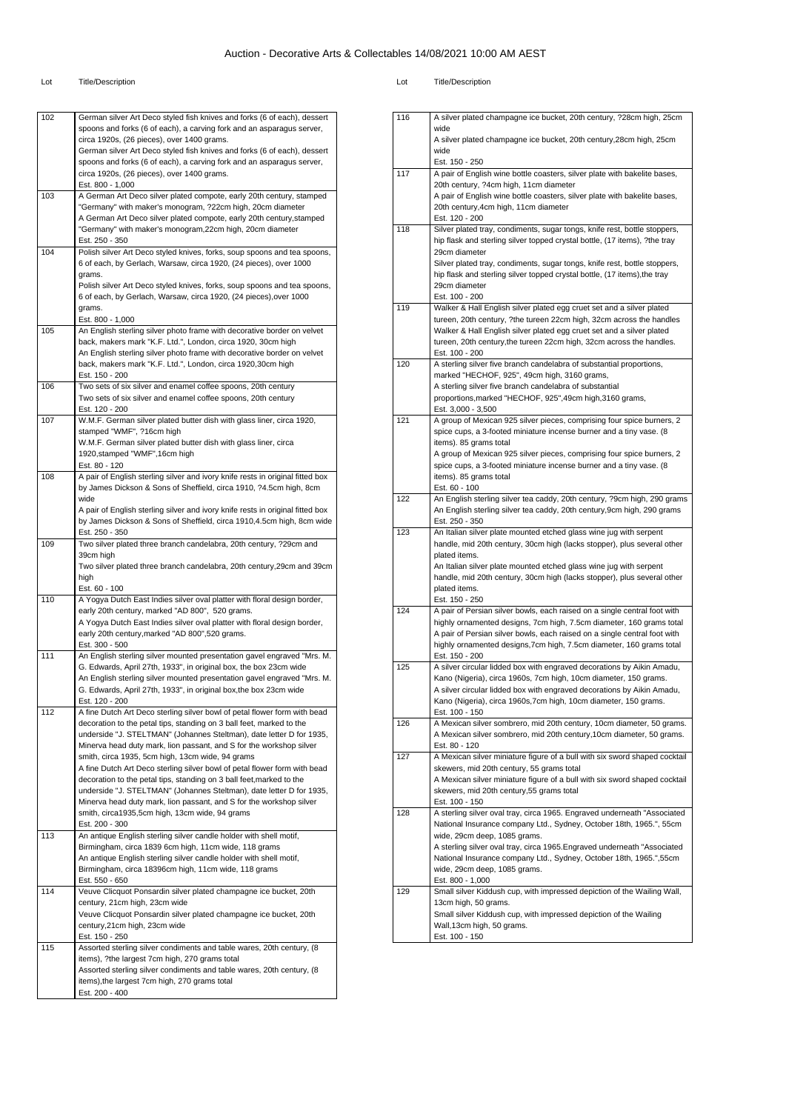#### Lot Title/Description Lot Title/Description

|     | Assorted sterling silver condiments and table wares, 20th century, (8<br>items), the largest 7cm high, 270 grams total                                   |
|-----|----------------------------------------------------------------------------------------------------------------------------------------------------------|
|     |                                                                                                                                                          |
|     | items), ?the largest 7cm high, 270 grams total                                                                                                           |
| 115 | Est. 150 - 250<br>Assorted sterling silver condiments and table wares, 20th century, (8                                                                  |
|     | century, 21cm high, 23cm wide                                                                                                                            |
|     | century, 21cm high, 23cm wide<br>Veuve Clicquot Ponsardin silver plated champagne ice bucket, 20th                                                       |
| 114 | Veuve Clicquot Ponsardin silver plated champagne ice bucket, 20th                                                                                        |
|     | Est. 550 - 650                                                                                                                                           |
|     | An antique English sterling silver candle holder with shell motif,<br>Birmingham, circa 18396cm high, 11cm wide, 118 grams                               |
|     | Birmingham, circa 1839 6cm high, 11cm wide, 118 grams                                                                                                    |
| 113 | Est. 200 - 300<br>An antique English sterling silver candle holder with shell motif,                                                                     |
|     | smith, circa1935,5cm high, 13cm wide, 94 grams                                                                                                           |
|     | Minerva head duty mark, lion passant, and S for the workshop silver                                                                                      |
|     | decoration to the petal tips, standing on 3 ball feet, marked to the<br>underside "J. STELTMAN" (Johannes Steltman), date letter D for 1935,             |
|     | A fine Dutch Art Deco sterling silver bowl of petal flower form with bead                                                                                |
|     | smith, circa 1935, 5cm high, 13cm wide, 94 grams                                                                                                         |
|     | underside "J. STELTMAN" (Johannes Steltman), date letter D for 1935,<br>Minerva head duty mark, lion passant, and S for the workshop silver              |
|     | decoration to the petal tips, standing on 3 ball feet, marked to the                                                                                     |
| 112 | A fine Dutch Art Deco sterling silver bowl of petal flower form with bead                                                                                |
|     | G. Edwards, April 27th, 1933", in original box, the box 23cm wide<br>Est. 120 - 200                                                                      |
|     | An English sterling silver mounted presentation gavel engraved "Mrs. M.                                                                                  |
|     | G. Edwards, April 27th, 1933", in original box, the box 23cm wide                                                                                        |
| 111 | Est. 300 - 500<br>An English sterling silver mounted presentation gavel engraved "Mrs. M.                                                                |
|     | early 20th century, marked "AD 800", 520 grams.                                                                                                          |
|     | A Yogya Dutch East Indies silver oval platter with floral design border,                                                                                 |
| 110 | A Yogya Dutch East Indies silver oval platter with floral design border,<br>early 20th century, marked "AD 800", 520 grams.                              |
|     | Est. 60 - 100                                                                                                                                            |
|     | high                                                                                                                                                     |
|     | 39cm high<br>Two silver plated three branch candelabra, 20th century, 29cm and 39cm                                                                      |
| 109 | Two silver plated three branch candelabra, 20th century, ?29cm and                                                                                       |
|     | Est. 250 - 350                                                                                                                                           |
|     | A pair of English sterling silver and ivory knife rests in original fitted box<br>by James Dickson & Sons of Sheffield, circa 1910, 4.5cm high, 8cm wide |
|     | wide                                                                                                                                                     |
|     | by James Dickson & Sons of Sheffield, circa 1910, ?4.5cm high, 8cm                                                                                       |
| 108 | A pair of English sterling silver and ivory knife rests in original fitted box                                                                           |
|     | 1920, stamped "WMF", 16cm high<br>Est. 80 - 120                                                                                                          |
|     | W.M.F. German silver plated butter dish with glass liner, circa                                                                                          |
|     | stamped "WMF", ?16cm high                                                                                                                                |
| 107 | W.M.F. German silver plated butter dish with glass liner, circa 1920,                                                                                    |
|     | Two sets of six silver and enamel coffee spoons, 20th century<br>Est. 120 - 200                                                                          |
| 106 | Two sets of six silver and enamel coffee spoons, 20th century                                                                                            |
|     | Est. 150 - 200                                                                                                                                           |
|     | back, makers mark "K.F. Ltd.", London, circa 1920,30cm high                                                                                              |
|     | back, makers mark "K.F. Ltd.", London, circa 1920, 30cm high<br>An English sterling silver photo frame with decorative border on velvet                  |
| 105 | An English sterling silver photo frame with decorative border on velvet                                                                                  |
|     | Est. 800 - 1,000                                                                                                                                         |
|     | 6 of each, by Gerlach, Warsaw, circa 1920, (24 pieces), over 1000<br>grams.                                                                              |
|     | Polish silver Art Deco styled knives, forks, soup spoons and tea spoons,                                                                                 |
|     | grams.                                                                                                                                                   |
| 104 | Polish silver Art Deco styled knives, forks, soup spoons and tea spoons,<br>6 of each, by Gerlach, Warsaw, circa 1920, (24 pieces), over 1000            |
|     | Est. 250 - 350                                                                                                                                           |
|     | "Germany" with maker's monogram, 22cm high, 20cm diameter                                                                                                |
|     | "Germany" with maker's monogram, ?22cm high, 20cm diameter<br>A German Art Deco silver plated compote, early 20th century, stamped                       |
| 103 | A German Art Deco silver plated compote, early 20th century, stamped                                                                                     |
|     | Est. 800 - 1,000                                                                                                                                         |
|     | spoons and forks (6 of each), a carving fork and an asparagus server,<br>circa 1920s, (26 pieces), over 1400 grams.                                      |
|     | German silver Art Deco styled fish knives and forks (6 of each), dessert                                                                                 |
|     | circa 1920s, (26 pieces), over 1400 grams.                                                                                                               |
|     | spoons and forks (6 of each), a carving fork and an asparagus server,                                                                                    |

|     | wide<br>A silver plated champagne ice bucket, 20th century, 28cm high, 25cm                                                                            |
|-----|--------------------------------------------------------------------------------------------------------------------------------------------------------|
|     | wide                                                                                                                                                   |
|     | Est. 150 - 250                                                                                                                                         |
| 117 | A pair of English wine bottle coasters, silver plate with bakelite bases,<br>20th century, ?4cm high, 11cm diameter                                    |
|     | A pair of English wine bottle coasters, silver plate with bakelite bases,                                                                              |
|     | 20th century, 4cm high, 11cm diameter                                                                                                                  |
| 118 | Est. 120 - 200<br>Silver plated tray, condiments, sugar tongs, knife rest, bottle stoppers,                                                            |
|     | hip flask and sterling silver topped crystal bottle, (17 items), ?the tray                                                                             |
|     | 29cm diameter                                                                                                                                          |
|     | Silver plated tray, condiments, sugar tongs, knife rest, bottle stoppers,<br>hip flask and sterling silver topped crystal bottle, (17 items), the tray |
|     | 29cm diameter                                                                                                                                          |
|     | Est. 100 - 200                                                                                                                                         |
| 119 | Walker & Hall English silver plated egg cruet set and a silver plated<br>tureen, 20th century, ?the tureen 22cm high, 32cm across the handles          |
|     | Walker & Hall English silver plated egg cruet set and a silver plated                                                                                  |
|     | tureen, 20th century, the tureen 22cm high, 32cm across the handles.                                                                                   |
| 120 | Est. 100 - 200<br>A sterling silver five branch candelabra of substantial proportions,                                                                 |
|     | marked "HECHOF, 925", 49cm high, 3160 grams,                                                                                                           |
|     | A sterling silver five branch candelabra of substantial                                                                                                |
|     | proportions, marked "HECHOF, 925", 49cm high, 3160 grams,                                                                                              |
| 121 | Est. 3,000 - 3,500<br>A group of Mexican 925 silver pieces, comprising four spice burners, 2                                                           |
|     | spice cups, a 3-footed miniature incense burner and a tiny vase. (8)                                                                                   |
|     | items). 85 grams total                                                                                                                                 |
|     | A group of Mexican 925 silver pieces, comprising four spice burners, 2<br>spice cups, a 3-footed miniature incense burner and a tiny vase. (8          |
|     | items). 85 grams total                                                                                                                                 |
|     | Est. 60 - 100                                                                                                                                          |
| 122 | An English sterling silver tea caddy, 20th century, ?9cm high, 290 grams<br>An English sterling silver tea caddy, 20th century, 9cm high, 290 grams    |
|     | Est. 250 - 350                                                                                                                                         |
| 123 | An Italian silver plate mounted etched glass wine jug with serpent                                                                                     |
|     | handle, mid 20th century, 30cm high (lacks stopper), plus several other<br>plated items.                                                               |
|     | An Italian silver plate mounted etched glass wine jug with serpent                                                                                     |
|     | handle, mid 20th century, 30cm high (lacks stopper), plus several other                                                                                |
|     | plated items.<br>Est. 150 - 250                                                                                                                        |
| 124 | A pair of Persian silver bowls, each raised on a single central foot with                                                                              |
|     | highly ornamented designs, 7cm high, 7.5cm diameter, 160 grams total                                                                                   |
|     | A pair of Persian silver bowls, each raised on a single central foot with<br>highly ornamented designs, 7cm high, 7.5cm diameter, 160 grams total      |
|     | Est. 150 - 200                                                                                                                                         |
| 125 | A silver circular lidded box with engraved decorations by Aikin Amadu,<br>Kano (Nigeria), circa 1960s, 7cm high, 10cm diameter, 150 grams.             |
|     | A silver circular lidded box with engraved decorations by Aikin Amadu,                                                                                 |
|     | Kano (Nigeria), circa 1960s, 7cm high, 10cm diameter, 150 grams.                                                                                       |
|     | Est. 100 - 150                                                                                                                                         |
| 126 | A Mexican silver sombrero, mid 20th century, 10cm diameter, 50 grams.<br>A Mexican silver sombrero, mid 20th century, 10cm diameter, 50 grams.         |
|     | Est. 80 - 120                                                                                                                                          |
| 127 | A Mexican silver miniature figure of a bull with six sword shaped cocktail                                                                             |
|     | skewers, mid 20th century, 55 grams total<br>A Mexican silver miniature figure of a bull with six sword shaped cocktail                                |
|     | skewers, mid 20th century, 55 grams total                                                                                                              |
|     | Est. 100 - 150                                                                                                                                         |
| 128 | A sterling silver oval tray, circa 1965. Engraved underneath "Associated<br>National Insurance company Ltd., Sydney, October 18th, 1965.", 55cm        |
|     | wide, 29cm deep, 1085 grams.                                                                                                                           |
|     | A sterling silver oval tray, circa 1965. Engraved underneath "Associated                                                                               |
|     | National Insurance company Ltd., Sydney, October 18th, 1965.", 55cm<br>wide, 29cm deep, 1085 grams.                                                    |
|     | Est. 800 - 1,000                                                                                                                                       |
| 129 | Small silver Kiddush cup, with impressed depiction of the Wailing Wall,                                                                                |
|     | 13cm high, 50 grams.<br>Small silver Kiddush cup, with impressed depiction of the Wailing                                                              |
|     | Wall, 13cm high, 50 grams.                                                                                                                             |
|     | Est. 100 - 150                                                                                                                                         |
|     |                                                                                                                                                        |

116 A silver plated champagne ice bucket, 20th century, ?28cm high, 25cm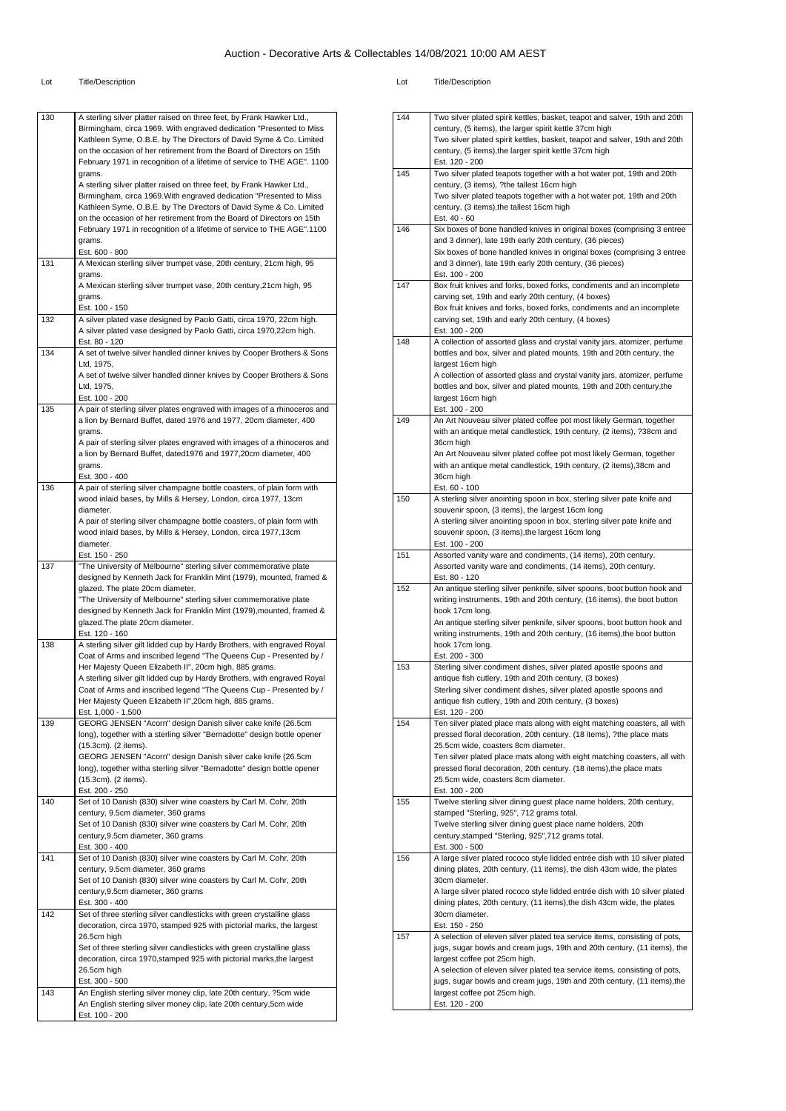| 130 | A sterling silver platter raised on three feet, by Frank Hawker Ltd.,<br>Birmingham, circa 1969. With engraved dedication "Presented to Miss<br>Kathleen Syme, O.B.E. by The Directors of David Syme & Co. Limited<br>on the occasion of her retirement from the Board of Directors on 15th<br>February 1971 in recognition of a lifetime of service to THE AGE". 1100<br>grams.<br>A sterling silver platter raised on three feet, by Frank Hawker Ltd.,<br>Birmingham, circa 1969. With engraved dedication "Presented to Miss<br>Kathleen Syme, O.B.E. by The Directors of David Syme & Co. Limited |
|-----|--------------------------------------------------------------------------------------------------------------------------------------------------------------------------------------------------------------------------------------------------------------------------------------------------------------------------------------------------------------------------------------------------------------------------------------------------------------------------------------------------------------------------------------------------------------------------------------------------------|
|     | on the occasion of her retirement from the Board of Directors on 15th<br>February 1971 in recognition of a lifetime of service to THE AGE".1100<br>grams.<br>Est. 600 - 800                                                                                                                                                                                                                                                                                                                                                                                                                            |
| 131 | A Mexican sterling silver trumpet vase, 20th century, 21cm high, 95                                                                                                                                                                                                                                                                                                                                                                                                                                                                                                                                    |
|     | grams.<br>A Mexican sterling silver trumpet vase, 20th century,21cm high, 95<br>grams.                                                                                                                                                                                                                                                                                                                                                                                                                                                                                                                 |
| 132 | Est. 100 - 150<br>A silver plated vase designed by Paolo Gatti, circa 1970, 22cm high.                                                                                                                                                                                                                                                                                                                                                                                                                                                                                                                 |
|     | A silver plated vase designed by Paolo Gatti, circa 1970,22cm high.<br>Est. 80 - 120                                                                                                                                                                                                                                                                                                                                                                                                                                                                                                                   |
| 134 | A set of twelve silver handled dinner knives by Cooper Brothers & Sons<br>Ltd, 1975,                                                                                                                                                                                                                                                                                                                                                                                                                                                                                                                   |
|     | A set of twelve silver handled dinner knives by Cooper Brothers & Sons<br>Ltd, 1975,                                                                                                                                                                                                                                                                                                                                                                                                                                                                                                                   |
|     | Est. 100 - 200                                                                                                                                                                                                                                                                                                                                                                                                                                                                                                                                                                                         |
| 135 | A pair of sterling silver plates engraved with images of a rhinoceros and<br>a lion by Bernard Buffet, dated 1976 and 1977, 20cm diameter, 400                                                                                                                                                                                                                                                                                                                                                                                                                                                         |
|     | grams.<br>A pair of sterling silver plates engraved with images of a rhinoceros and                                                                                                                                                                                                                                                                                                                                                                                                                                                                                                                    |
|     | a lion by Bernard Buffet, dated1976 and 1977,20cm diameter, 400<br>grams.                                                                                                                                                                                                                                                                                                                                                                                                                                                                                                                              |
|     | Est. 300 - 400                                                                                                                                                                                                                                                                                                                                                                                                                                                                                                                                                                                         |
| 136 | A pair of sterling silver champagne bottle coasters, of plain form with<br>wood inlaid bases, by Mills & Hersey, London, circa 1977, 13cm                                                                                                                                                                                                                                                                                                                                                                                                                                                              |
|     | diameter.                                                                                                                                                                                                                                                                                                                                                                                                                                                                                                                                                                                              |
|     | A pair of sterling silver champagne bottle coasters, of plain form with<br>wood inlaid bases, by Mills & Hersey, London, circa 1977,13cm                                                                                                                                                                                                                                                                                                                                                                                                                                                               |
|     | diameter.<br>Est. 150 - 250                                                                                                                                                                                                                                                                                                                                                                                                                                                                                                                                                                            |
| 137 | "The University of Melbourne" sterling silver commemorative plate                                                                                                                                                                                                                                                                                                                                                                                                                                                                                                                                      |
|     | designed by Kenneth Jack for Franklin Mint (1979), mounted, framed &<br>glazed. The plate 20cm diameter.                                                                                                                                                                                                                                                                                                                                                                                                                                                                                               |
|     | "The University of Melbourne" sterling silver commemorative plate                                                                                                                                                                                                                                                                                                                                                                                                                                                                                                                                      |
|     | designed by Kenneth Jack for Franklin Mint (1979), mounted, framed &<br>glazed. The plate 20cm diameter.                                                                                                                                                                                                                                                                                                                                                                                                                                                                                               |
| 138 | Est. 120 - 160<br>A sterling silver gilt lidded cup by Hardy Brothers, with engraved Royal                                                                                                                                                                                                                                                                                                                                                                                                                                                                                                             |
|     | Coat of Arms and inscribed legend "The Queens Cup - Presented by /                                                                                                                                                                                                                                                                                                                                                                                                                                                                                                                                     |
|     | Her Majesty Queen Elizabeth II", 20cm high, 885 grams.<br>A sterling silver gilt lidded cup by Hardy Brothers, with engraved Royal                                                                                                                                                                                                                                                                                                                                                                                                                                                                     |
|     | Coat of Arms and inscribed legend "The Queens Cup - Presented by /                                                                                                                                                                                                                                                                                                                                                                                                                                                                                                                                     |
|     | Her Majesty Queen Elizabeth II", 20cm high, 885 grams.<br>Est. 1,000 - 1,500                                                                                                                                                                                                                                                                                                                                                                                                                                                                                                                           |
| 139 | GEORG JENSEN "Acorn" design Danish silver cake knife (26.5cm<br>long), together with a sterling silver "Bernadotte" design bottle opener                                                                                                                                                                                                                                                                                                                                                                                                                                                               |
|     | (15.3cm). (2 items).                                                                                                                                                                                                                                                                                                                                                                                                                                                                                                                                                                                   |
|     | GEORG JENSEN "Acorn" design Danish silver cake knife (26.5cm<br>long), together witha sterling silver "Bernadotte" design bottle opener                                                                                                                                                                                                                                                                                                                                                                                                                                                                |
|     | (15.3cm). (2 items).                                                                                                                                                                                                                                                                                                                                                                                                                                                                                                                                                                                   |
| 140 | Est. 200 - 250<br>Set of 10 Danish (830) silver wine coasters by Carl M. Cohr, 20th                                                                                                                                                                                                                                                                                                                                                                                                                                                                                                                    |
|     | century, 9.5cm diameter, 360 grams<br>Set of 10 Danish (830) silver wine coasters by Carl M. Cohr, 20th                                                                                                                                                                                                                                                                                                                                                                                                                                                                                                |
|     | century, 9.5cm diameter, 360 grams                                                                                                                                                                                                                                                                                                                                                                                                                                                                                                                                                                     |
| 141 | Est. 300 - 400<br>Set of 10 Danish (830) silver wine coasters by Carl M. Cohr, 20th                                                                                                                                                                                                                                                                                                                                                                                                                                                                                                                    |
|     | century, 9.5cm diameter, 360 grams                                                                                                                                                                                                                                                                                                                                                                                                                                                                                                                                                                     |
|     | Set of 10 Danish (830) silver wine coasters by Carl M. Cohr, 20th<br>century, 9.5cm diameter, 360 grams                                                                                                                                                                                                                                                                                                                                                                                                                                                                                                |
|     | Est. 300 - 400                                                                                                                                                                                                                                                                                                                                                                                                                                                                                                                                                                                         |
| 142 | Set of three sterling silver candlesticks with green crystalline glass<br>decoration, circa 1970, stamped 925 with pictorial marks, the largest                                                                                                                                                                                                                                                                                                                                                                                                                                                        |
|     | 26.5cm high<br>Set of three sterling silver candlesticks with green crystalline glass                                                                                                                                                                                                                                                                                                                                                                                                                                                                                                                  |
|     | decoration, circa 1970, stamped 925 with pictorial marks, the largest                                                                                                                                                                                                                                                                                                                                                                                                                                                                                                                                  |
|     | 26.5cm high<br>Est. 300 - 500                                                                                                                                                                                                                                                                                                                                                                                                                                                                                                                                                                          |
|     |                                                                                                                                                                                                                                                                                                                                                                                                                                                                                                                                                                                                        |
| 143 | An English sterling silver money clip, late 20th century, ?5cm wide<br>An English sterling silver money clip, late 20th century,5cm wide                                                                                                                                                                                                                                                                                                                                                                                                                                                               |

| 144 | Two silver plated spirit kettles, basket, teapot and salver, 19th and 20th                                                                             |
|-----|--------------------------------------------------------------------------------------------------------------------------------------------------------|
|     | century, (5 items), the larger spirit kettle 37cm high                                                                                                 |
|     | Two silver plated spirit kettles, basket, teapot and salver, 19th and 20th                                                                             |
|     | century, (5 items), the larger spirit kettle 37cm high                                                                                                 |
|     | Est. 120 - 200                                                                                                                                         |
| 145 | Two silver plated teapots together with a hot water pot, 19th and 20th                                                                                 |
|     | century, (3 items), ?the tallest 16cm high                                                                                                             |
|     | Two silver plated teapots together with a hot water pot, 19th and 20th                                                                                 |
|     | century, (3 items), the tallest 16cm high                                                                                                              |
|     | Est. 40 - 60                                                                                                                                           |
| 146 | Six boxes of bone handled knives in original boxes (comprising 3 entree                                                                                |
|     | and 3 dinner), late 19th early 20th century, (36 pieces)                                                                                               |
|     | Six boxes of bone handled knives in original boxes (comprising 3 entree                                                                                |
|     | and 3 dinner), late 19th early 20th century, (36 pieces)                                                                                               |
|     | Est. 100 - 200                                                                                                                                         |
| 147 | Box fruit knives and forks, boxed forks, condiments and an incomplete                                                                                  |
|     | carving set, 19th and early 20th century, (4 boxes)                                                                                                    |
|     | Box fruit knives and forks, boxed forks, condiments and an incomplete                                                                                  |
|     | carving set, 19th and early 20th century, (4 boxes)                                                                                                    |
|     | Est. 100 - 200                                                                                                                                         |
| 148 | A collection of assorted glass and crystal vanity jars, atomizer, perfume                                                                              |
|     | bottles and box, silver and plated mounts, 19th and 20th century, the                                                                                  |
|     | largest 16cm high                                                                                                                                      |
|     | A collection of assorted glass and crystal vanity jars, atomizer, perfume                                                                              |
|     | bottles and box, silver and plated mounts, 19th and 20th century, the                                                                                  |
|     | largest 16cm high                                                                                                                                      |
|     | Est. 100 - 200                                                                                                                                         |
| 149 | An Art Nouveau silver plated coffee pot most likely German, together                                                                                   |
|     | with an antique metal candlestick, 19th century, (2 items), ?38cm and                                                                                  |
|     | 36cm high                                                                                                                                              |
|     | An Art Nouveau silver plated coffee pot most likely German, together                                                                                   |
|     | with an antique metal candlestick, 19th century, (2 items), 38cm and                                                                                   |
|     | 36cm high                                                                                                                                              |
|     | Est. 60 - 100                                                                                                                                          |
| 150 | A sterling silver anointing spoon in box, sterling silver pate knife and                                                                               |
|     | souvenir spoon, (3 items), the largest 16cm long                                                                                                       |
|     | A sterling silver anointing spoon in box, sterling silver pate knife and                                                                               |
|     | souvenir spoon, (3 items), the largest 16cm long                                                                                                       |
| 151 | Est. 100 - 200<br>Assorted vanity ware and condiments, (14 items), 20th century.                                                                       |
|     | Assorted vanity ware and condiments, (14 items), 20th century.                                                                                         |
|     | Est. 80 - 120                                                                                                                                          |
| 152 | An antique sterling silver penknife, silver spoons, boot button hook and                                                                               |
|     | writing instruments, 19th and 20th century, (16 items), the boot button                                                                                |
|     | hook 17cm long.                                                                                                                                        |
|     | An antique sterling silver penknife, silver spoons, boot button hook and                                                                               |
|     | writing instruments, 19th and 20th century, (16 items), the boot button                                                                                |
|     | hook 17cm long.                                                                                                                                        |
|     | Est. 200 - 300                                                                                                                                         |
| 153 | Sterling silver condiment dishes, silver plated apostle spoons and                                                                                     |
|     | antique fish cutlery, 19th and 20th century, (3 boxes)                                                                                                 |
|     | Sterling silver condiment dishes, silver plated apostle spoons and                                                                                     |
|     | antique fish cutlery, 19th and 20th century, (3 boxes)                                                                                                 |
|     | Est. 120 - 200                                                                                                                                         |
| 154 | Ten silver plated place mats along with eight matching coasters, all with<br>pressed floral decoration, 20th century. (18 items), ?the place mats      |
|     | 25.5cm wide, coasters 8cm diameter.                                                                                                                    |
|     | Ten silver plated place mats along with eight matching coasters, all with                                                                              |
|     | pressed floral decoration, 20th century. (18 items), the place mats                                                                                    |
|     | 25.5cm wide, coasters 8cm diameter.                                                                                                                    |
|     | Est. 100 - 200                                                                                                                                         |
| 155 | Twelve sterling silver dining guest place name holders, 20th century,                                                                                  |
|     | stamped "Sterling, 925", 712 grams total.                                                                                                              |
|     | Twelve sterling silver dining guest place name holders, 20th                                                                                           |
|     | century, stamped "Sterling, 925", 712 grams total.                                                                                                     |
|     | Est. 300 - 500                                                                                                                                         |
| 156 | A large silver plated rococo style lidded entrée dish with 10 silver plated                                                                            |
|     | dining plates, 20th century, (11 items), the dish 43cm wide, the plates                                                                                |
|     | 30cm diameter.                                                                                                                                         |
|     | A large silver plated rococo style lidded entrée dish with 10 silver plated                                                                            |
|     | dining plates, 20th century, (11 items), the dish 43cm wide, the plates                                                                                |
|     | 30cm diameter.                                                                                                                                         |
| 157 | Est. 150 - 250                                                                                                                                         |
|     | A selection of eleven silver plated tea service items, consisting of pots,<br>jugs, sugar bowls and cream jugs, 19th and 20th century, (11 items), the |
|     | largest coffee pot 25cm high.                                                                                                                          |
|     | A selection of eleven silver plated tea service items, consisting of pots,                                                                             |
|     | jugs, sugar bowls and cream jugs, 19th and 20th century, (11 items), the                                                                               |
|     | largest coffee pot 25cm high.                                                                                                                          |
|     | Est. 120 - 200                                                                                                                                         |
|     |                                                                                                                                                        |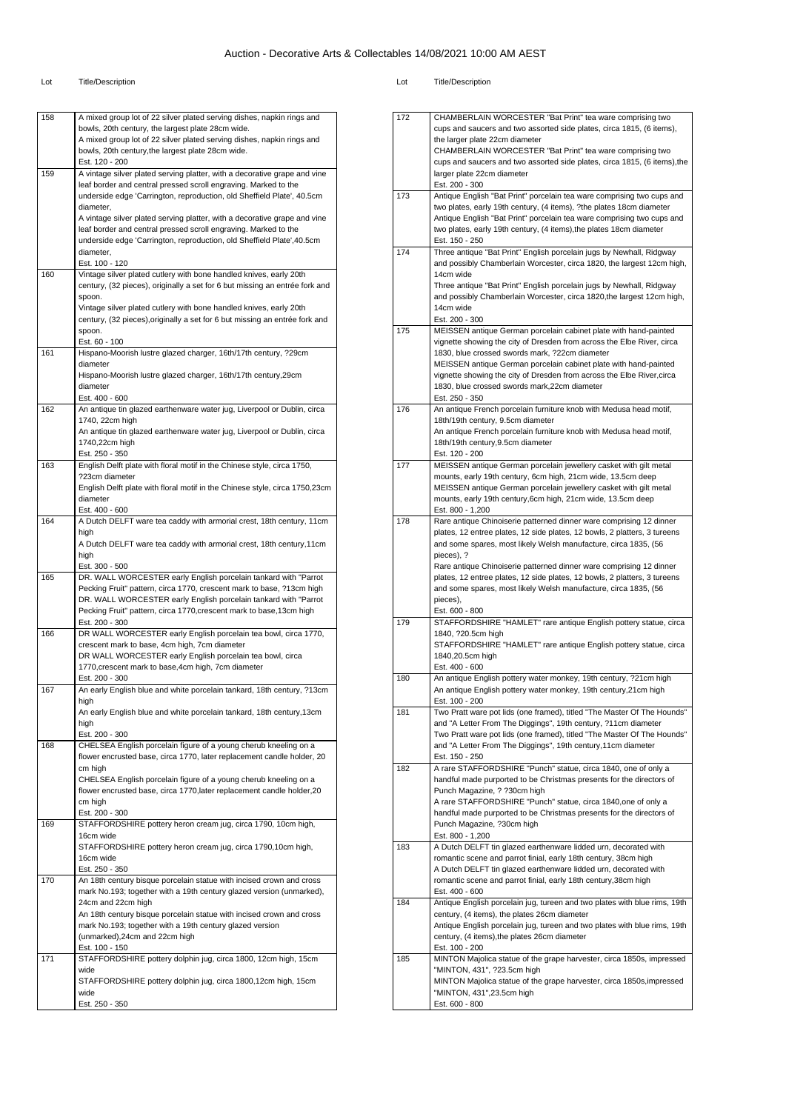| 158 | A mixed group lot of 22 silver plated serving dishes, napkin rings and                                                                       |
|-----|----------------------------------------------------------------------------------------------------------------------------------------------|
|     | bowls, 20th century, the largest plate 28cm wide.                                                                                            |
|     | A mixed group lot of 22 silver plated serving dishes, napkin rings and                                                                       |
|     | bowls, 20th century, the largest plate 28cm wide.<br>Est. 120 - 200                                                                          |
| 159 | A vintage silver plated serving platter, with a decorative grape and vine                                                                    |
|     | leaf border and central pressed scroll engraving. Marked to the                                                                              |
|     | underside edge 'Carrington, reproduction, old Sheffield Plate', 40.5cm                                                                       |
|     | diameter,                                                                                                                                    |
|     | A vintage silver plated serving platter, with a decorative grape and vine<br>leaf border and central pressed scroll engraving. Marked to the |
|     | underside edge 'Carrington, reproduction, old Sheffield Plate', 40.5cm                                                                       |
|     | diameter,                                                                                                                                    |
|     | Est. 100 - 120                                                                                                                               |
| 160 | Vintage silver plated cutlery with bone handled knives, early 20th                                                                           |
|     | century, (32 pieces), originally a set for 6 but missing an entrée fork and<br>spoon.                                                        |
|     | Vintage silver plated cutlery with bone handled knives, early 20th                                                                           |
|     | century, (32 pieces), originally a set for 6 but missing an entrée fork and                                                                  |
|     | spoon.                                                                                                                                       |
|     | Est. 60 - 100                                                                                                                                |
| 161 | Hispano-Moorish lustre glazed charger, 16th/17th century, ?29cm<br>diameter                                                                  |
|     | Hispano-Moorish lustre glazed charger, 16th/17th century,29cm                                                                                |
|     | diameter                                                                                                                                     |
|     | Est. 400 - 600                                                                                                                               |
| 162 | An antique tin glazed earthenware water jug, Liverpool or Dublin, circa                                                                      |
|     | 1740, 22cm high<br>An antique tin glazed earthenware water jug, Liverpool or Dublin, circa                                                   |
|     | 1740,22cm high                                                                                                                               |
|     | Est. 250 - 350                                                                                                                               |
| 163 | English Delft plate with floral motif in the Chinese style, circa 1750,                                                                      |
|     | ?23cm diameter                                                                                                                               |
|     | English Delft plate with floral motif in the Chinese style, circa 1750,23cm                                                                  |
|     | diameter<br>Est. 400 - 600                                                                                                                   |
| 164 | A Dutch DELFT ware tea caddy with armorial crest, 18th century, 11cm                                                                         |
|     | high                                                                                                                                         |
|     | A Dutch DELFT ware tea caddy with armorial crest, 18th century, 11cm                                                                         |
|     | high                                                                                                                                         |
| 165 | Est. 300 - 500<br>DR. WALL WORCESTER early English porcelain tankard with "Parrot                                                            |
|     | Pecking Fruit" pattern, circa 1770, crescent mark to base, ?13cm high                                                                        |
|     | DR. WALL WORCESTER early English porcelain tankard with "Parrot                                                                              |
|     | Pecking Fruit" pattern, circa 1770, crescent mark to base, 13cm high                                                                         |
|     | Est. 200 - 300                                                                                                                               |
| 166 | DR WALL WORCESTER early English porcelain tea bowl, circa 1770,<br>crescent mark to base, 4cm high, 7cm diameter                             |
|     | DR WALL WORCESTER early English porcelain tea bowl, circa                                                                                    |
|     | 1770, crescent mark to base, 4cm high, 7cm diameter                                                                                          |
|     | Est. 200 - 300                                                                                                                               |
| 167 | An early English blue and white porcelain tankard, 18th century, ?13cm                                                                       |
|     | high<br>An early English blue and white porcelain tankard, 18th century, 13cm                                                                |
|     | high                                                                                                                                         |
|     | Est. 200 - 300                                                                                                                               |
| 168 | CHELSEA English porcelain figure of a young cherub kneeling on a                                                                             |
|     | flower encrusted base, circa 1770, later replacement candle holder, 20                                                                       |
|     | cm high                                                                                                                                      |
|     | CHELSEA English porcelain figure of a young cherub kneeling on a<br>flower encrusted base, circa 1770, later replacement candle holder, 20   |
|     | cm high                                                                                                                                      |
|     | Est. 200 - 300                                                                                                                               |
| 169 | STAFFORDSHIRE pottery heron cream jug, circa 1790, 10cm high,                                                                                |
|     | 16cm wide                                                                                                                                    |
|     | STAFFORDSHIRE pottery heron cream jug, circa 1790,10cm high,<br>16cm wide                                                                    |
|     | Est. 250 - 350                                                                                                                               |
| 170 | An 18th century bisque porcelain statue with incised crown and cross                                                                         |
|     | mark No.193; together with a 19th century glazed version (unmarked),                                                                         |
|     | 24cm and 22cm high                                                                                                                           |
|     | An 18th century bisque porcelain statue with incised crown and cross                                                                         |
|     |                                                                                                                                              |
|     | mark No.193; together with a 19th century glazed version                                                                                     |
|     | (unmarked), 24cm and 22cm high                                                                                                               |
| 171 | Est. 100 - 150                                                                                                                               |
|     | STAFFORDSHIRE pottery dolphin jug, circa 1800, 12cm high, 15cm<br>wide                                                                       |
|     | STAFFORDSHIRE pottery dolphin jug, circa 1800,12cm high, 15cm                                                                                |
|     | wide<br>Est. 250 - 350                                                                                                                       |

| 172 | CHAMBERLAIN WORCESTER "Bat Print" tea ware comprising two                                                                                    |
|-----|----------------------------------------------------------------------------------------------------------------------------------------------|
|     | cups and saucers and two assorted side plates, circa 1815, (6 items),                                                                        |
|     | the larger plate 22cm diameter                                                                                                               |
|     | CHAMBERLAIN WORCESTER "Bat Print" tea ware comprising two                                                                                    |
|     | cups and saucers and two assorted side plates, circa 1815, (6 items), the                                                                    |
|     | larger plate 22cm diameter<br>Est. 200 - 300                                                                                                 |
| 173 | Antique English "Bat Print" porcelain tea ware comprising two cups and                                                                       |
|     | two plates, early 19th century, (4 items), ?the plates 18cm diameter                                                                         |
|     | Antique English "Bat Print" porcelain tea ware comprising two cups and                                                                       |
|     | two plates, early 19th century, (4 items), the plates 18cm diameter                                                                          |
|     | Est. 150 - 250                                                                                                                               |
| 174 | Three antique "Bat Print" English porcelain jugs by Newhall, Ridgway                                                                         |
|     | and possibly Chamberlain Worcester, circa 1820, the largest 12cm high,                                                                       |
|     | 14cm wide                                                                                                                                    |
|     | Three antique "Bat Print" English porcelain jugs by Newhall, Ridgway                                                                         |
|     | and possibly Chamberlain Worcester, circa 1820, the largest 12cm high,<br>14cm wide                                                          |
|     | Est. 200 - 300                                                                                                                               |
| 175 | MEISSEN antique German porcelain cabinet plate with hand-painted                                                                             |
|     | vignette showing the city of Dresden from across the Elbe River, circa                                                                       |
|     | 1830, blue crossed swords mark, ?22cm diameter                                                                                               |
|     | MEISSEN antique German porcelain cabinet plate with hand-painted                                                                             |
|     | vignette showing the city of Dresden from across the Elbe River, circa                                                                       |
|     | 1830, blue crossed swords mark, 22cm diameter                                                                                                |
|     | Est. 250 - 350                                                                                                                               |
| 176 | An antique French porcelain furniture knob with Medusa head motif,<br>18th/19th century, 9.5cm diameter                                      |
|     | An antique French porcelain furniture knob with Medusa head motif,                                                                           |
|     | 18th/19th century, 9.5cm diameter                                                                                                            |
|     | Est. 120 - 200                                                                                                                               |
| 177 | MEISSEN antique German porcelain jewellery casket with gilt metal                                                                            |
|     | mounts, early 19th century, 6cm high, 21cm wide, 13.5cm deep                                                                                 |
|     | MEISSEN antique German porcelain jewellery casket with gilt metal                                                                            |
|     | mounts, early 19th century, 6cm high, 21cm wide, 13.5cm deep                                                                                 |
|     | Est. 800 - 1,200                                                                                                                             |
| 178 | Rare antique Chinoiserie patterned dinner ware comprising 12 dinner                                                                          |
|     | plates, 12 entree plates, 12 side plates, 12 bowls, 2 platters, 3 tureens<br>and some spares, most likely Welsh manufacture, circa 1835, (56 |
|     | pieces), ?                                                                                                                                   |
|     | Rare antique Chinoiserie patterned dinner ware comprising 12 dinner                                                                          |
|     | plates, 12 entree plates, 12 side plates, 12 bowls, 2 platters, 3 tureens                                                                    |
|     | and some spares, most likely Welsh manufacture, circa 1835, (56                                                                              |
|     | pieces),                                                                                                                                     |
|     | Est. 600 - 800                                                                                                                               |
| 179 | STAFFORDSHIRE "HAMLET" rare antique English pottery statue, circa                                                                            |
|     | 1840, ?20.5cm high                                                                                                                           |
|     | STAFFORDSHIRE "HAMLET" rare antique English pottery statue, circa<br>1840,20.5cm high                                                        |
|     | Est. 400 - 600                                                                                                                               |
| 180 | An antique English pottery water monkey, 19th century, ?21cm high                                                                            |
|     | An antique English pottery water monkey, 19th century, 21cm high                                                                             |
|     | Est. 100 - 200                                                                                                                               |
| 181 | Two Pratt ware pot lids (one framed), titled "The Master Of The Hounds"                                                                      |
|     | and "A Letter From The Diggings", 19th century, ?11cm diameter                                                                               |
|     | Two Pratt ware pot lids (one framed), titled "The Master Of The Hounds"                                                                      |
|     | and "A Letter From The Diggings", 19th century, 11cm diameter                                                                                |
|     | Est. 150 - 250                                                                                                                               |
| 182 | A rare STAFFORDSHIRE "Punch" statue, circa 1840, one of only a<br>handful made purported to be Christmas presents for the directors of       |
|     | Punch Magazine, ? ?30cm high                                                                                                                 |
|     | A rare STAFFORDSHIRE "Punch" statue, circa 1840, one of only a                                                                               |
|     | handful made purported to be Christmas presents for the directors of                                                                         |
|     | Punch Magazine, ?30cm high                                                                                                                   |
|     | Est. 800 - 1,200                                                                                                                             |
| 183 | A Dutch DELFT tin glazed earthenware lidded urn, decorated with                                                                              |
|     | romantic scene and parrot finial, early 18th century, 38cm high                                                                              |
|     | A Dutch DELFT tin glazed earthenware lidded urn, decorated with                                                                              |
|     | romantic scene and parrot finial, early 18th century, 38cm high<br>Est. 400 - 600                                                            |
| 184 | Antique English porcelain jug, tureen and two plates with blue rims, 19th                                                                    |
|     | century, (4 items), the plates 26cm diameter                                                                                                 |
|     | Antique English porcelain jug, tureen and two plates with blue rims, 19th                                                                    |
|     | century, (4 items), the plates 26cm diameter                                                                                                 |
|     | Est. 100 - 200                                                                                                                               |
| 185 | MINTON Majolica statue of the grape harvester, circa 1850s, impressed                                                                        |
|     | "MINTON, 431", ?23.5cm high                                                                                                                  |
|     | MINTON Majolica statue of the grape harvester, circa 1850s, impressed                                                                        |
|     | "MINTON, 431", 23.5cm high<br>Est. 600 - 800                                                                                                 |
|     |                                                                                                                                              |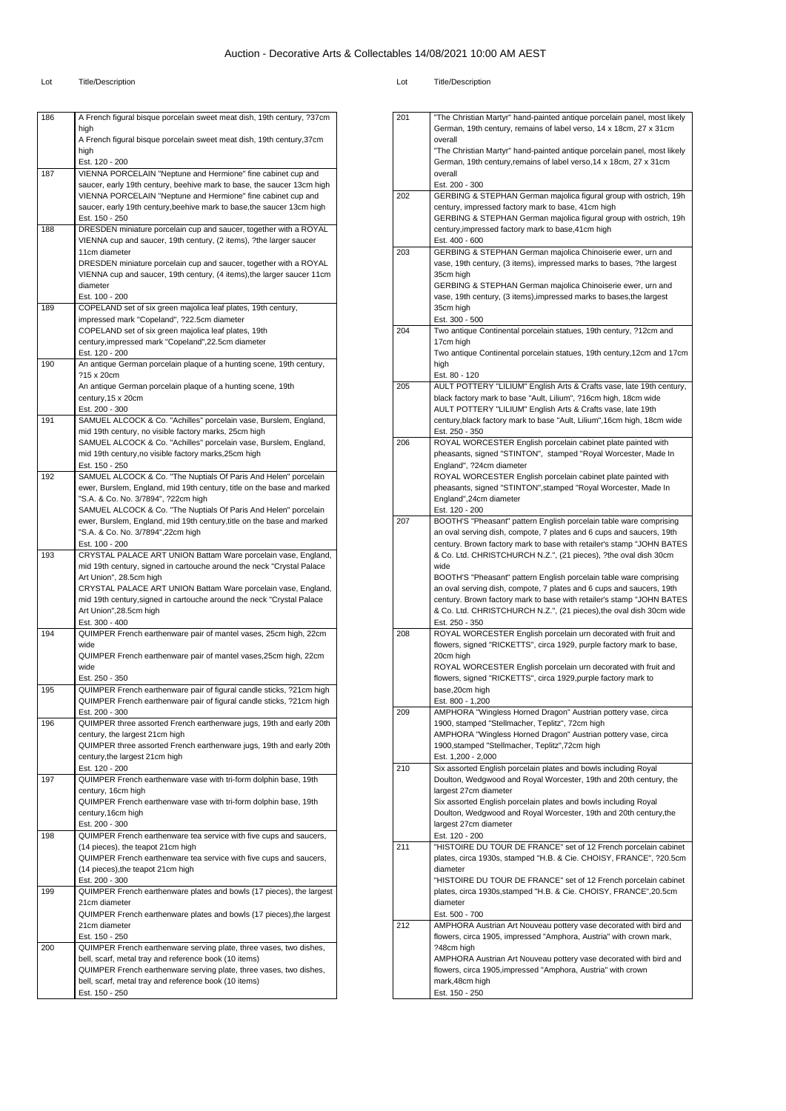| 186 | A French figural bisque porcelain sweet meat dish, 19th century, ?37cm                                                                       |
|-----|----------------------------------------------------------------------------------------------------------------------------------------------|
|     | high                                                                                                                                         |
|     | A French figural bisque porcelain sweet meat dish, 19th century,37cm<br>high                                                                 |
|     | Est. 120 - 200                                                                                                                               |
| 187 | VIENNA PORCELAIN "Neptune and Hermione" fine cabinet cup and                                                                                 |
|     | saucer, early 19th century, beehive mark to base, the saucer 13cm high                                                                       |
|     | VIENNA PORCELAIN "Neptune and Hermione" fine cabinet cup and                                                                                 |
|     | saucer, early 19th century, beehive mark to base, the saucer 13cm high<br>Est. 150 - 250                                                     |
| 188 | DRESDEN miniature porcelain cup and saucer, together with a ROYAL                                                                            |
|     | VIENNA cup and saucer, 19th century, (2 items), ?the larger saucer                                                                           |
|     | 11cm diameter                                                                                                                                |
|     | DRESDEN miniature porcelain cup and saucer, together with a ROYAL                                                                            |
|     | VIENNA cup and saucer, 19th century, (4 items), the larger saucer 11cm<br>diameter                                                           |
|     | Est. 100 - 200                                                                                                                               |
| 189 | COPELAND set of six green majolica leaf plates, 19th century,                                                                                |
|     | impressed mark "Copeland", ?22.5cm diameter                                                                                                  |
|     | COPELAND set of six green majolica leaf plates, 19th                                                                                         |
|     | century, impressed mark "Copeland", 22.5cm diameter<br>Est. 120 - 200                                                                        |
| 190 | An antique German porcelain plaque of a hunting scene, 19th century,                                                                         |
|     | ?15 x 20cm                                                                                                                                   |
|     | An antique German porcelain plaque of a hunting scene, 19th                                                                                  |
|     | century, 15 x 20cm                                                                                                                           |
| 191 | Est. 200 - 300<br>SAMUEL ALCOCK & Co. "Achilles" porcelain vase, Burslem, England,                                                           |
|     | mid 19th century, no visible factory marks, 25cm high                                                                                        |
|     | SAMUEL ALCOCK & Co. "Achilles" porcelain vase, Burslem, England,                                                                             |
|     | mid 19th century, no visible factory marks, 25cm high                                                                                        |
|     | Est. 150 - 250                                                                                                                               |
| 192 | SAMUEL ALCOCK & Co. "The Nuptials Of Paris And Helen" porcelain                                                                              |
|     | ewer, Burslem, England, mid 19th century, title on the base and marked<br>"S.A. & Co. No. 3/7894", ?22cm high                                |
|     | SAMUEL ALCOCK & Co. "The Nuptials Of Paris And Helen" porcelain                                                                              |
|     | ewer, Burslem, England, mid 19th century, title on the base and marked                                                                       |
|     | "S.A. & Co. No. 3/7894",22cm high                                                                                                            |
|     | Est. 100 - 200                                                                                                                               |
| 193 | CRYSTAL PALACE ART UNION Battam Ware porcelain vase, England,<br>mid 19th century, signed in cartouche around the neck "Crystal Palace       |
|     | Art Union", 28.5cm high                                                                                                                      |
|     | CRYSTAL PALACE ART UNION Battam Ware porcelain vase, England,                                                                                |
|     | mid 19th century, signed in cartouche around the neck "Crystal Palace"                                                                       |
|     | Art Union",28.5cm high                                                                                                                       |
| 194 | Est. 300 - 400<br>QUIMPER French earthenware pair of mantel vases, 25cm high, 22cm                                                           |
|     | wide                                                                                                                                         |
|     | QUIMPER French earthenware pair of mantel vases, 25cm high, 22cm                                                                             |
|     | wide                                                                                                                                         |
|     | Est. 250 - 350                                                                                                                               |
| 195 | QUIMPER French earthenware pair of figural candle sticks, ?21cm high<br>QUIMPER French earthenware pair of figural candle sticks, ?21cm high |
|     | Est. 200 - 300                                                                                                                               |
| 196 | QUIMPER three assorted French earthenware jugs, 19th and early 20th                                                                          |
|     | century, the largest 21cm high                                                                                                               |
|     | QUIMPER three assorted French earthenware jugs, 19th and early 20th                                                                          |
|     | century, the largest 21cm high<br>Est. 120 - 200                                                                                             |
| 197 | QUIMPER French earthenware vase with tri-form dolphin base, 19th                                                                             |
|     | century, 16cm high                                                                                                                           |
|     | QUIMPER French earthenware vase with tri-form dolphin base, 19th                                                                             |
|     | century, 16cm high                                                                                                                           |
| 198 | Est. 200 - 300<br>QUIMPER French earthenware tea service with five cups and saucers,                                                         |
|     | (14 pieces), the teapot 21cm high                                                                                                            |
|     | QUIMPER French earthenware tea service with five cups and saucers,                                                                           |
|     | (14 pieces), the teapot 21cm high                                                                                                            |
|     | Est. 200 - 300                                                                                                                               |
| 199 | QUIMPER French earthenware plates and bowls (17 pieces), the largest<br>21cm diameter                                                        |
|     | QUIMPER French earthenware plates and bowls (17 pieces), the largest                                                                         |
|     | 21cm diameter                                                                                                                                |
|     | Est. 150 - 250                                                                                                                               |
| 200 | QUIMPER French earthenware serving plate, three vases, two dishes,                                                                           |
|     | bell, scarf, metal tray and reference book (10 items)<br>QUIMPER French earthenware serving plate, three vases, two dishes,                  |
|     | bell, scarf, metal tray and reference book (10 items)                                                                                        |
|     | Est. 150 - 250                                                                                                                               |
|     |                                                                                                                                              |

| 201 | "The Christian Martyr" hand-painted antique porcelain panel, most likely                   |
|-----|--------------------------------------------------------------------------------------------|
|     | German, 19th century, remains of label verso, 14 x 18cm, 27 x 31cm                         |
|     | overall                                                                                    |
|     | "The Christian Martyr" hand-painted antique porcelain panel, most likely                   |
|     | German, 19th century, remains of label verso, 14 x 18cm, 27 x 31cm                         |
|     | overall                                                                                    |
|     | Est. 200 - 300                                                                             |
| 202 | GERBING & STEPHAN German majolica figural group with ostrich, 19h                          |
|     | century, impressed factory mark to base, 41cm high                                         |
|     | GERBING & STEPHAN German majolica figural group with ostrich, 19h                          |
|     |                                                                                            |
|     | century, impressed factory mark to base, 41cm high<br>Est. 400 - 600                       |
| 203 | GERBING & STEPHAN German majolica Chinoiserie ewer, urn and                                |
|     |                                                                                            |
|     | vase, 19th century, (3 items), impressed marks to bases, ?the largest                      |
|     | 35cm high<br>GERBING & STEPHAN German majolica Chinoiserie ewer, urn and                   |
|     |                                                                                            |
|     | vase, 19th century, (3 items), impressed marks to bases, the largest                       |
|     | 35cm high                                                                                  |
| 204 | Est. 300 - 500                                                                             |
|     | Two antique Continental porcelain statues, 19th century, ?12cm and                         |
|     | 17cm high                                                                                  |
|     | Two antique Continental porcelain statues, 19th century, 12cm and 17cm                     |
|     | high                                                                                       |
|     | Est. 80 - 120                                                                              |
| 205 | AULT POTTERY "LILIUM" English Arts & Crafts vase, late 19th century,                       |
|     | black factory mark to base "Ault, Lilium", ?16cm high, 18cm wide                           |
|     | AULT POTTERY "LILIUM" English Arts & Crafts vase, late 19th                                |
|     | century, black factory mark to base "Ault, Lilium", 16cm high, 18cm wide                   |
|     | Est. 250 - 350                                                                             |
| 206 | ROYAL WORCESTER English porcelain cabinet plate painted with                               |
|     | pheasants, signed "STINTON", stamped "Royal Worcester, Made In<br>England", ?24cm diameter |
|     |                                                                                            |
|     | ROYAL WORCESTER English porcelain cabinet plate painted with                               |
|     | pheasants, signed "STINTON", stamped "Royal Worcester, Made In<br>England", 24cm diameter  |
|     | Est. 120 - 200                                                                             |
| 207 | BOOTH'S "Pheasant" pattern English porcelain table ware comprising                         |
|     | an oval serving dish, compote, 7 plates and 6 cups and saucers, 19th                       |
|     | century. Brown factory mark to base with retailer's stamp "JOHN BATES                      |
|     | & Co. Ltd. CHRISTCHURCH N.Z.", (21 pieces), ?the oval dish 30cm                            |
|     | wide                                                                                       |
|     | BOOTH'S "Pheasant" pattern English porcelain table ware comprising                         |
|     | an oval serving dish, compote, 7 plates and 6 cups and saucers, 19th                       |
|     | century. Brown factory mark to base with retailer's stamp "JOHN BATES                      |
|     | & Co. Ltd. CHRISTCHURCH N.Z.", (21 pieces), the oval dish 30cm wide                        |
|     | Est. 250 - 350                                                                             |
| 208 | ROYAL WORCESTER English porcelain urn decorated with fruit and                             |
|     | flowers, signed "RICKETTS", circa 1929, purple factory mark to base,                       |
|     | 20cm high                                                                                  |
|     | ROYAL WORCESTER English porcelain urn decorated with fruit and                             |
|     | flowers, signed "RICKETTS", circa 1929, purple factory mark to                             |
|     | base, 20cm high                                                                            |
|     | Est. 800 - 1.200                                                                           |
| 209 | AMPHORA "Wingless Horned Dragon" Austrian pottery vase, circa                              |
|     | 1900, stamped "Stellmacher, Teplitz", 72cm high                                            |
|     | AMPHORA "Wingless Horned Dragon" Austrian pottery vase, circa                              |
|     | 1900, stamped "Stellmacher, Teplitz", 72cm high                                            |
|     | Est. 1,200 - 2,000                                                                         |
| 210 | Six assorted English porcelain plates and bowls including Royal                            |
|     | Doulton, Wedgwood and Royal Worcester, 19th and 20th century, the                          |
|     | largest 27cm diameter                                                                      |
|     | Six assorted English porcelain plates and bowls including Royal                            |
|     | Doulton, Wedgwood and Royal Worcester, 19th and 20th century, the                          |
|     | largest 27cm diameter                                                                      |
|     | Est. 120 - 200                                                                             |
| 211 | "HISTOIRE DU TOUR DE FRANCE" set of 12 French porcelain cabinet                            |
|     | plates, circa 1930s, stamped "H.B. & Cie. CHOISY, FRANCE", ?20.5cm                         |
|     | diameter                                                                                   |
|     | "HISTOIRE DU TOUR DE FRANCE" set of 12 French porcelain cabinet                            |
|     | plates, circa 1930s, stamped "H.B. & Cie. CHOISY, FRANCE", 20.5cm                          |
|     | diameter                                                                                   |
|     | Est. 500 - 700                                                                             |
| 212 | AMPHORA Austrian Art Nouveau pottery vase decorated with bird and                          |
|     | flowers, circa 1905, impressed "Amphora, Austria" with crown mark,                         |
|     | ?48cm high                                                                                 |
|     | AMPHORA Austrian Art Nouveau pottery vase decorated with bird and                          |
|     | flowers, circa 1905, impressed "Amphora, Austria" with crown                               |
|     | mark, 48cm high                                                                            |
|     | Est. 150 - 250                                                                             |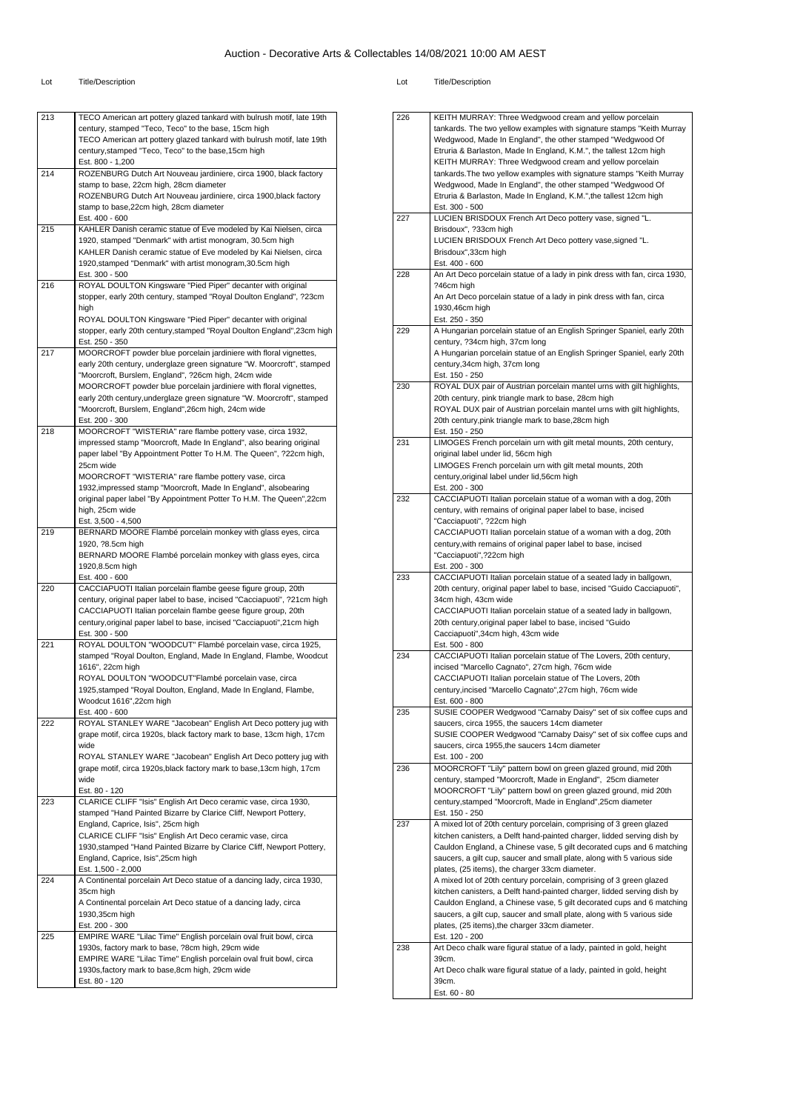| 213 | TECO American art pottery glazed tankard with bulrush motif, late 19th                                                         |
|-----|--------------------------------------------------------------------------------------------------------------------------------|
|     | century, stamped "Teco, Teco" to the base, 15cm high                                                                           |
|     | TECO American art pottery glazed tankard with bulrush motif, late 19th                                                         |
|     | century, stamped "Teco, Teco" to the base, 15cm high<br>Est. 800 - 1,200                                                       |
| 214 | ROZENBURG Dutch Art Nouveau jardiniere, circa 1900, black factory                                                              |
|     | stamp to base, 22cm high, 28cm diameter                                                                                        |
|     | ROZENBURG Dutch Art Nouveau jardiniere, circa 1900, black factory                                                              |
|     | stamp to base, 22cm high, 28cm diameter                                                                                        |
| 215 | Est. 400 - 600                                                                                                                 |
|     | KAHLER Danish ceramic statue of Eve modeled by Kai Nielsen, circa<br>1920, stamped "Denmark" with artist monogram, 30.5cm high |
|     | KAHLER Danish ceramic statue of Eve modeled by Kai Nielsen, circa                                                              |
|     | 1920, stamped "Denmark" with artist monogram, 30.5cm high                                                                      |
|     | Est. 300 - 500                                                                                                                 |
| 216 | ROYAL DOULTON Kingsware "Pied Piper" decanter with original                                                                    |
|     | stopper, early 20th century, stamped "Royal Doulton England", ?23cm<br>high                                                    |
|     | ROYAL DOULTON Kingsware "Pied Piper" decanter with original                                                                    |
|     | stopper, early 20th century, stamped "Royal Doulton England", 23cm high                                                        |
|     | Est. 250 - 350                                                                                                                 |
| 217 | MOORCROFT powder blue porcelain jardiniere with floral vignettes,                                                              |
|     | early 20th century, underglaze green signature "W. Moorcroft", stamped                                                         |
|     | "Moorcroft, Burslem, England", ?26cm high, 24cm wide                                                                           |
|     | MOORCROFT powder blue porcelain jardiniere with floral vignettes,                                                              |
|     | early 20th century, underglaze green signature "W. Moorcroft", stamped<br>"Moorcroft, Burslem, England", 26cm high, 24cm wide  |
|     | Est. 200 - 300                                                                                                                 |
| 218 | MOORCROFT "WISTERIA" rare flambe pottery vase, circa 1932,                                                                     |
|     | impressed stamp "Moorcroft, Made In England", also bearing original                                                            |
|     | paper label "By Appointment Potter To H.M. The Queen", ?22cm high,                                                             |
|     | 25cm wide                                                                                                                      |
|     | MOORCROFT "WISTERIA" rare flambe pottery vase, circa<br>1932, impressed stamp "Moorcroft, Made In England", alsobearing        |
|     | original paper label "By Appointment Potter To H.M. The Queen", 22cm                                                           |
|     | high, 25cm wide                                                                                                                |
|     | Est. 3,500 - 4,500                                                                                                             |
| 219 | BERNARD MOORE Flambé porcelain monkey with glass eyes, circa                                                                   |
|     | 1920, ?8.5cm high                                                                                                              |
|     | BERNARD MOORE Flambé porcelain monkey with glass eyes, circa                                                                   |
|     | 1920,8.5cm high<br>Est. 400 - 600                                                                                              |
| 220 | CACCIAPUOTI Italian porcelain flambe geese figure group, 20th                                                                  |
|     | century, original paper label to base, incised "Cacciapuoti", ?21cm high                                                       |
|     | CACCIAPUOTI Italian porcelain flambe geese figure group, 20th                                                                  |
|     | century, original paper label to base, incised "Cacciapuoti", 21cm high                                                        |
|     | Est. 300 - 500                                                                                                                 |
| 221 | ROYAL DOULTON "WOODCUT" Flambé porcelain vase, circa 1925,                                                                     |
|     | stamped "Royal Doulton, England, Made In England, Flambe, Woodcut<br>1616", 22cm high                                          |
|     | ROYAL DOULTON "WOODCUT"Flambé porcelain vase, circa                                                                            |
|     | 1925, stamped "Royal Doulton, England, Made In England, Flambe,                                                                |
|     | woodcut 1616",22cm high                                                                                                        |
|     | Est. 400 - 600                                                                                                                 |
| 222 | ROYAL STANLEY WARE "Jacobean" English Art Deco pottery jug with                                                                |
|     | grape motif, circa 1920s, black factory mark to base, 13cm high, 17cm                                                          |
|     | wide<br>ROYAL STANLEY WARE "Jacobean" English Art Deco pottery jug with                                                        |
|     | grape motif, circa 1920s, black factory mark to base, 13cm high, 17cm                                                          |
|     | wide                                                                                                                           |
|     | Est. 80 - 120                                                                                                                  |
| 223 | CLARICE CLIFF "Isis" English Art Deco ceramic vase, circa 1930,                                                                |
|     | stamped "Hand Painted Bizarre by Clarice Cliff, Newport Pottery,                                                               |
|     | England, Caprice, Isis", 25cm high                                                                                             |
|     | CLARICE CLIFF "Isis" English Art Deco ceramic vase, circa                                                                      |
|     |                                                                                                                                |
|     | 1930, stamped "Hand Painted Bizarre by Clarice Cliff, Newport Pottery,                                                         |
|     | England, Caprice, Isis",25cm high                                                                                              |
| 224 | Est. 1,500 - 2,000<br>A Continental porcelain Art Deco statue of a dancing lady, circa 1930,                                   |
|     | 35cm high                                                                                                                      |
|     | A Continental porcelain Art Deco statue of a dancing lady, circa                                                               |
|     | 1930,35cm high                                                                                                                 |
|     | Est. 200 - 300                                                                                                                 |
| 225 | EMPIRE WARE "Lilac Time" English porcelain oval fruit bowl, circa                                                              |
|     | 1930s, factory mark to base, ?8cm high, 29cm wide                                                                              |
|     | EMPIRE WARE "Lilac Time" English porcelain oval fruit bowl, circa                                                              |
|     | 1930s, factory mark to base, 8cm high, 29cm wide<br>Est. 80 - 120                                                              |

|     | KEITH MURRAY: Three Wedgwood cream and yellow porcelain                    |
|-----|----------------------------------------------------------------------------|
| 226 |                                                                            |
|     | tankards. The two yellow examples with signature stamps "Keith Murray      |
|     | Wedgwood, Made In England", the other stamped "Wedgwood Of                 |
|     | Etruria & Barlaston, Made In England, K.M.", the tallest 12cm high         |
|     | KEITH MURRAY: Three Wedgwood cream and yellow porcelain                    |
|     | tankards. The two yellow examples with signature stamps "Keith Murray      |
|     | Wedgwood, Made In England", the other stamped "Wedgwood Of                 |
|     | Etruria & Barlaston, Made In England, K.M.", the tallest 12cm high         |
|     |                                                                            |
|     | Est. 300 - 500                                                             |
| 227 | LUCIEN BRISDOUX French Art Deco pottery vase, signed "L.                   |
|     | Brisdoux", ?33cm high                                                      |
|     | LUCIEN BRISDOUX French Art Deco pottery vase, signed "L.                   |
|     | Brisdoux",33cm high                                                        |
|     | Est. 400 - 600                                                             |
| 228 | An Art Deco porcelain statue of a lady in pink dress with fan, circa 1930, |
|     |                                                                            |
|     | ?46cm high                                                                 |
|     | An Art Deco porcelain statue of a lady in pink dress with fan, circa       |
|     | 1930,46cm high                                                             |
|     | Est. 250 - 350                                                             |
| 229 | A Hungarian porcelain statue of an English Springer Spaniel, early 20th    |
|     | century, ?34cm high, 37cm long                                             |
|     | A Hungarian porcelain statue of an English Springer Spaniel, early 20th    |
|     |                                                                            |
|     | century, 34cm high, 37cm long                                              |
|     | Est. 150 - 250                                                             |
| 230 | ROYAL DUX pair of Austrian porcelain mantel urns with gilt highlights,     |
|     | 20th century, pink triangle mark to base, 28cm high                        |
|     | ROYAL DUX pair of Austrian porcelain mantel urns with gilt highlights,     |
|     | 20th century, pink triangle mark to base, 28cm high                        |
|     | Est. 150 - 250                                                             |
| 231 | LIMOGES French porcelain urn with gilt metal mounts, 20th century,         |
|     |                                                                            |
|     | original label under lid, 56cm high                                        |
|     | LIMOGES French porcelain urn with gilt metal mounts, 20th                  |
|     | century, original label under lid, 56cm high                               |
|     | Est. 200 - 300                                                             |
| 232 | CACCIAPUOTI Italian porcelain statue of a woman with a dog, 20th           |
|     | century, with remains of original paper label to base, incised             |
|     | "Cacciapuoti", ?22cm high                                                  |
|     |                                                                            |
|     | CACCIAPUOTI Italian porcelain statue of a woman with a dog, 20th           |
|     | century, with remains of original paper label to base, incised             |
|     | "Cacciapuoti",?22cm high                                                   |
|     |                                                                            |
|     | Est. 200 - 300                                                             |
| 233 |                                                                            |
|     | CACCIAPUOTI Italian porcelain statue of a seated lady in ballgown,         |
|     | 20th century, original paper label to base, incised "Guido Cacciapuoti",   |
|     | 34cm high, 43cm wide                                                       |
|     | CACCIAPUOTI Italian porcelain statue of a seated lady in ballgown,         |
|     | 20th century, original paper label to base, incised "Guido                 |
|     | Cacciapuoti",34cm high, 43cm wide                                          |
|     | Est. 500 - 800                                                             |
| 234 | CACCIAPUOTI Italian porcelain statue of The Lovers, 20th century,          |
|     | incised "Marcello Cagnato", 27cm high, 76cm wide                           |
|     |                                                                            |
|     | CACCIAPUOTI Italian porcelain statue of The Lovers, 20th                   |
|     | century, incised "Marcello Cagnato", 27cm high, 76cm wide                  |
|     | Est. 600 - 800                                                             |
| 235 | SUSIE COOPER Wedgwood "Carnaby Daisy" set of six coffee cups and           |
|     | saucers, circa 1955, the saucers 14cm diameter                             |
|     | SUSIE COOPER Wedgwood "Carnaby Daisy" set of six coffee cups and           |
|     | saucers, circa 1955, the saucers 14cm diameter                             |
|     | Est. 100 - 200                                                             |
| 236 | MOORCROFT "Lily" pattern bowl on green glazed ground, mid 20th             |
|     |                                                                            |
|     | century, stamped "Moorcroft, Made in England", 25cm diameter               |
|     | MOORCROFT "Lily" pattern bowl on green glazed ground, mid 20th             |
|     | century, stamped "Moorcroft, Made in England", 25cm diameter               |
|     | Est. 150 - 250                                                             |
| 237 | A mixed lot of 20th century porcelain, comprising of 3 green glazed        |
|     | kitchen canisters, a Delft hand-painted charger, lidded serving dish by    |
|     | Cauldon England, a Chinese vase, 5 gilt decorated cups and 6 matching      |
|     |                                                                            |
|     | saucers, a gilt cup, saucer and small plate, along with 5 various side     |
|     | plates, (25 items), the charger 33cm diameter.                             |
|     | A mixed lot of 20th century porcelain, comprising of 3 green glazed        |
|     | kitchen canisters, a Delft hand-painted charger, lidded serving dish by    |
|     | Cauldon England, a Chinese vase, 5 gilt decorated cups and 6 matching      |
|     | saucers, a gilt cup, saucer and small plate, along with 5 various side     |
|     | plates, (25 items), the charger 33cm diameter.                             |
|     |                                                                            |
|     | Est. 120 - 200                                                             |
| 238 | Art Deco chalk ware figural statue of a lady, painted in gold, height      |
|     | 39cm.                                                                      |
|     | Art Deco chalk ware figural statue of a lady, painted in gold, height      |
|     | 39cm.<br>Est. 60 - 80                                                      |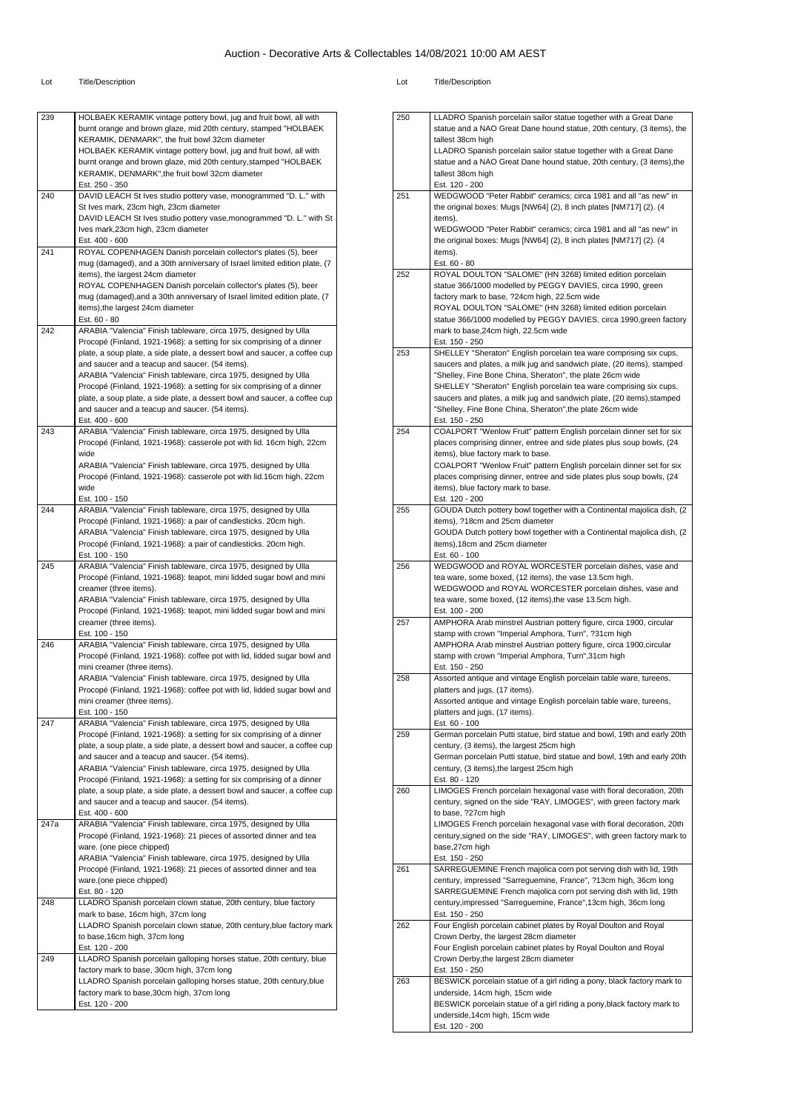| 239         | HOLBAEK KERAMIK vintage pottery bowl, jug and fruit bowl, all with                                                                                                                           |
|-------------|----------------------------------------------------------------------------------------------------------------------------------------------------------------------------------------------|
|             | burnt orange and brown glaze, mid 20th century, stamped "HOLBAEK                                                                                                                             |
|             | KERAMIK, DENMARK", the fruit bowl 32cm diameter                                                                                                                                              |
|             | HOLBAEK KERAMIK vintage pottery bowl, jug and fruit bowl, all with                                                                                                                           |
|             | burnt orange and brown glaze, mid 20th century, stamped "HOLBAEK                                                                                                                             |
|             | KERAMIK, DENMARK", the fruit bowl 32cm diameter                                                                                                                                              |
|             | Est. 250 - 350                                                                                                                                                                               |
| 240         | DAVID LEACH St Ives studio pottery vase, monogrammed "D. L." with                                                                                                                            |
|             | St Ives mark, 23cm high, 23cm diameter<br>DAVID LEACH St Ives studio pottery vase, monogrammed "D. L." with St                                                                               |
|             | Ives mark, 23cm high, 23cm diameter                                                                                                                                                          |
|             | Est. 400 - 600                                                                                                                                                                               |
| 241         | ROYAL COPENHAGEN Danish porcelain collector's plates (5), beer                                                                                                                               |
|             | mug (damaged), and a 30th anniversary of Israel limited edition plate, (7                                                                                                                    |
|             | items), the largest 24cm diameter                                                                                                                                                            |
|             | ROYAL COPENHAGEN Danish porcelain collector's plates (5), beer                                                                                                                               |
|             | mug (damaged), and a 30th anniversary of Israel limited edition plate, (7                                                                                                                    |
|             | items), the largest 24cm diameter                                                                                                                                                            |
|             | Est. 60 - 80                                                                                                                                                                                 |
| 242         | ARABIA "Valencia" Finish tableware, circa 1975, designed by Ulla                                                                                                                             |
|             | Procopé (Finland, 1921-1968): a setting for six comprising of a dinner                                                                                                                       |
|             | plate, a soup plate, a side plate, a dessert bowl and saucer, a coffee cup                                                                                                                   |
|             | and saucer and a teacup and saucer. (54 items).                                                                                                                                              |
|             | ARABIA "Valencia" Finish tableware, circa 1975, designed by Ulla                                                                                                                             |
|             | Procopé (Finland, 1921-1968): a setting for six comprising of a dinner                                                                                                                       |
|             | plate, a soup plate, a side plate, a dessert bowl and saucer, a coffee cup                                                                                                                   |
|             | and saucer and a teacup and saucer. (54 items).                                                                                                                                              |
|             | Est. 400 - 600                                                                                                                                                                               |
| 243         | ARABIA "Valencia" Finish tableware, circa 1975, designed by Ulla                                                                                                                             |
|             | Procopé (Finland, 1921-1968): casserole pot with lid. 16cm high, 22cm                                                                                                                        |
|             | wide<br>ARABIA "Valencia" Finish tableware, circa 1975, designed by Ulla                                                                                                                     |
|             | Procopé (Finland, 1921-1968): casserole pot with lid.16cm high, 22cm                                                                                                                         |
|             | wide                                                                                                                                                                                         |
|             | Est. 100 - 150                                                                                                                                                                               |
| 244         | ARABIA "Valencia" Finish tableware, circa 1975, designed by Ulla                                                                                                                             |
|             | Procopé (Finland, 1921-1968): a pair of candlesticks. 20cm high.                                                                                                                             |
|             | ARABIA "Valencia" Finish tableware, circa 1975, designed by Ulla                                                                                                                             |
|             | Procopé (Finland, 1921-1968): a pair of candlesticks. 20cm high.                                                                                                                             |
|             | Est. 100 - 150                                                                                                                                                                               |
| 245         | ARABIA "Valencia" Finish tableware, circa 1975, designed by Ulla                                                                                                                             |
|             | Procopé (Finland, 1921-1968): teapot, mini lidded sugar bowl and mini                                                                                                                        |
|             | creamer (three items).                                                                                                                                                                       |
|             | ARABIA "Valencia" Finish tableware, circa 1975, designed by Ulla                                                                                                                             |
|             | Procopé (Finland, 1921-1968): teapot, mini lidded sugar bowl and mini                                                                                                                        |
|             | creamer (three items).                                                                                                                                                                       |
|             | Est. 100 - 150                                                                                                                                                                               |
| 246         | ARABIA "Valencia" Finish tableware, circa 1975, designed by Ulla                                                                                                                             |
|             | Procopé (Finland, 1921-1968): coffee pot with lid, lidded sugar bowl and                                                                                                                     |
|             | mini creamer (three items).                                                                                                                                                                  |
|             | ARABIA "Valencia" Finish tableware, circa 1975, designed by Ulla<br>Procopé (Finland, 1921-1968): coffee pot with lid, lidded sugar bowl and                                                 |
|             | mini creamer (three items).                                                                                                                                                                  |
|             | Est. 100 - 150                                                                                                                                                                               |
| 247         | ARABIA "Valencia" Finish tableware, circa 1975, designed by Ulla                                                                                                                             |
|             | Procopé (Finland, 1921-1968): a setting for six comprising of a dinner                                                                                                                       |
|             | plate, a soup plate, a side plate, a dessert bowl and saucer, a coffee cup                                                                                                                   |
|             | and saucer and a teacup and saucer. (54 items).                                                                                                                                              |
|             | ARABIA "Valencia" Finish tableware, circa 1975, designed by Ulla                                                                                                                             |
|             | Procopé (Finland, 1921-1968): a setting for six comprising of a dinner                                                                                                                       |
|             | plate, a soup plate, a side plate, a dessert bowl and saucer, a coffee cup                                                                                                                   |
|             | and saucer and a teacup and saucer. (54 items).                                                                                                                                              |
|             | Est. 400 - 600                                                                                                                                                                               |
|             | ARABIA "Valencia" Finish tableware, circa 1975, designed by Ulla                                                                                                                             |
|             |                                                                                                                                                                                              |
|             | Procopé (Finland, 1921-1968): 21 pieces of assorted dinner and tea                                                                                                                           |
|             | ware. (one piece chipped)                                                                                                                                                                    |
|             | ARABIA "Valencia" Finish tableware, circa 1975, designed by Ulla                                                                                                                             |
|             | Procopé (Finland, 1921-1968): 21 pieces of assorted dinner and tea                                                                                                                           |
|             | ware.(one piece chipped)                                                                                                                                                                     |
|             | Est. 80 - 120                                                                                                                                                                                |
| 247a<br>248 | LLADRO Spanish porcelain clown statue, 20th century, blue factory                                                                                                                            |
|             | mark to base, 16cm high, 37cm long                                                                                                                                                           |
|             |                                                                                                                                                                                              |
|             | to base, 16cm high, 37cm long                                                                                                                                                                |
|             | Est. 120 - 200                                                                                                                                                                               |
| 249         | LLADRO Spanish porcelain galloping horses statue, 20th century, blue                                                                                                                         |
|             | factory mark to base, 30cm high, 37cm long                                                                                                                                                   |
|             | LLADRO Spanish porcelain clown statue, 20th century, blue factory mark<br>LLADRO Spanish porcelain galloping horses statue, 20th century, blue<br>factory mark to base, 30cm high, 37cm long |

| 250 | LLADRO Spanish porcelain sailor statue together with a Great Dane                                                                           |
|-----|---------------------------------------------------------------------------------------------------------------------------------------------|
|     | statue and a NAO Great Dane hound statue, 20th century, (3 items), the                                                                      |
|     | tallest 38cm high                                                                                                                           |
|     | LLADRO Spanish porcelain sailor statue together with a Great Dane                                                                           |
|     | statue and a NAO Great Dane hound statue, 20th century, (3 items), the<br>tallest 38cm high                                                 |
|     | Est. 120 - 200                                                                                                                              |
| 251 | WEDGWOOD "Peter Rabbit" ceramics; circa 1981 and all "as new" in                                                                            |
|     | the original boxes: Mugs [NW64] (2), 8 inch plates [NM717] (2). (4                                                                          |
|     | items).                                                                                                                                     |
|     | WEDGWOOD "Peter Rabbit" ceramics; circa 1981 and all "as new" in                                                                            |
|     | the original boxes: Mugs [NW64] (2), 8 inch plates [NM717] (2). (4                                                                          |
|     | items).<br>Est. 60 - 80                                                                                                                     |
| 252 | ROYAL DOULTON "SALOME" (HN 3268) limited edition porcelain                                                                                  |
|     | statue 366/1000 modelled by PEGGY DAVIES, circa 1990, green                                                                                 |
|     | factory mark to base, ?24cm high, 22.5cm wide                                                                                               |
|     | ROYAL DOULTON "SALOME" (HN 3268) limited edition porcelain                                                                                  |
|     | statue 366/1000 modelled by PEGGY DAVIES, circa 1990, green factory                                                                         |
|     | mark to base, 24cm high, 22.5cm wide<br>Est. 150 - 250                                                                                      |
| 253 | SHELLEY "Sheraton" English porcelain tea ware comprising six cups,                                                                          |
|     | saucers and plates, a milk jug and sandwich plate, (20 items), stamped                                                                      |
|     | "Shelley, Fine Bone China, Sheraton", the plate 26cm wide                                                                                   |
|     | SHELLEY "Sheraton" English porcelain tea ware comprising six cups,                                                                          |
|     | saucers and plates, a milk jug and sandwich plate, (20 items), stamped                                                                      |
|     | "Shelley, Fine Bone China, Sheraton", the plate 26cm wide<br>Est. 150 - 250                                                                 |
| 254 | COALPORT "Wenlow Fruit" pattern English porcelain dinner set for six                                                                        |
|     | places comprising dinner, entree and side plates plus soup bowls, (24                                                                       |
|     | items), blue factory mark to base.                                                                                                          |
|     | COALPORT "Wenlow Fruit" pattern English porcelain dinner set for six                                                                        |
|     | places comprising dinner, entree and side plates plus soup bowls, (24                                                                       |
|     | items), blue factory mark to base.<br>Est. 120 - 200                                                                                        |
| 255 | GOUDA Dutch pottery bowl together with a Continental majolica dish, (2                                                                      |
|     | items), ?18cm and 25cm diameter                                                                                                             |
|     | GOUDA Dutch pottery bowl together with a Continental majolica dish, (2                                                                      |
|     | items), 18cm and 25cm diameter                                                                                                              |
|     | Est. 60 - 100                                                                                                                               |
| 256 | WEDGWOOD and ROYAL WORCESTER porcelain dishes, vase and<br>tea ware, some boxed, (12 items), the vase 13.5cm high.                          |
|     | WEDGWOOD and ROYAL WORCESTER porcelain dishes, vase and                                                                                     |
|     | tea ware, some boxed, (12 items), the vase 13.5cm high.                                                                                     |
|     | Est. 100 - 200                                                                                                                              |
| 257 | AMPHORA Arab minstrel Austrian pottery figure, circa 1900, circular                                                                         |
|     | stamp with crown "Imperial Amphora, Turn", ?31cm high<br>AMPHORA Arab minstrel Austrian pottery figure, circa 1900, circular                |
|     | stamp with crown "Imperial Amphora, Turn",31cm high                                                                                         |
|     | Est. 150 - 250                                                                                                                              |
| 258 | Assorted antique and vintage English porcelain table ware, tureens,                                                                         |
|     | platters and jugs, (17 items).                                                                                                              |
|     | Assorted antique and vintage English porcelain table ware, tureens,                                                                         |
|     | platters and jugs, (17 items).<br>Est. 60 - 100                                                                                             |
| 259 | German porcelain Putti statue, bird statue and bowl, 19th and early 20th                                                                    |
|     | century, (3 items), the largest 25cm high                                                                                                   |
|     | German porcelain Putti statue, bird statue and bowl, 19th and early 20th                                                                    |
|     | century, (3 items), the largest 25cm high                                                                                                   |
| 260 | Est. 80 - 120                                                                                                                               |
|     | LIMOGES French porcelain hexagonal vase with floral decoration, 20th<br>century, signed on the side "RAY, LIMOGES", with green factory mark |
|     | to base, ?27cm high                                                                                                                         |
|     | LIMOGES French porcelain hexagonal vase with floral decoration, 20th                                                                        |
|     | century, signed on the side "RAY, LIMOGES", with green factory mark to                                                                      |
|     | base,27cm high                                                                                                                              |
| 261 | Est. 150 - 250<br>SARREGUEMINE French majolica corn pot serving dish with lid, 19th                                                         |
|     | century, impressed "Sarreguemine, France", ?13cm high, 36cm long                                                                            |
|     | SARREGUEMINE French majolica corn pot serving dish with lid, 19th                                                                           |
|     | century, impressed "Sarreguemine, France", 13cm high, 36cm long                                                                             |
|     | Est. 150 - 250                                                                                                                              |
| 262 | Four English porcelain cabinet plates by Royal Doulton and Royal                                                                            |
|     | Crown Derby, the largest 28cm diameter<br>Four English porcelain cabinet plates by Royal Doulton and Royal                                  |
|     | Crown Derby, the largest 28cm diameter                                                                                                      |
|     | Est. 150 - 250                                                                                                                              |
| 263 | BESWICK porcelain statue of a girl riding a pony, black factory mark to                                                                     |
|     | underside, 14cm high, 15cm wide                                                                                                             |
|     | BESWICK porcelain statue of a girl riding a pony, black factory mark to                                                                     |
|     | underside, 14cm high, 15cm wide<br>Est. 120 - 200                                                                                           |
|     |                                                                                                                                             |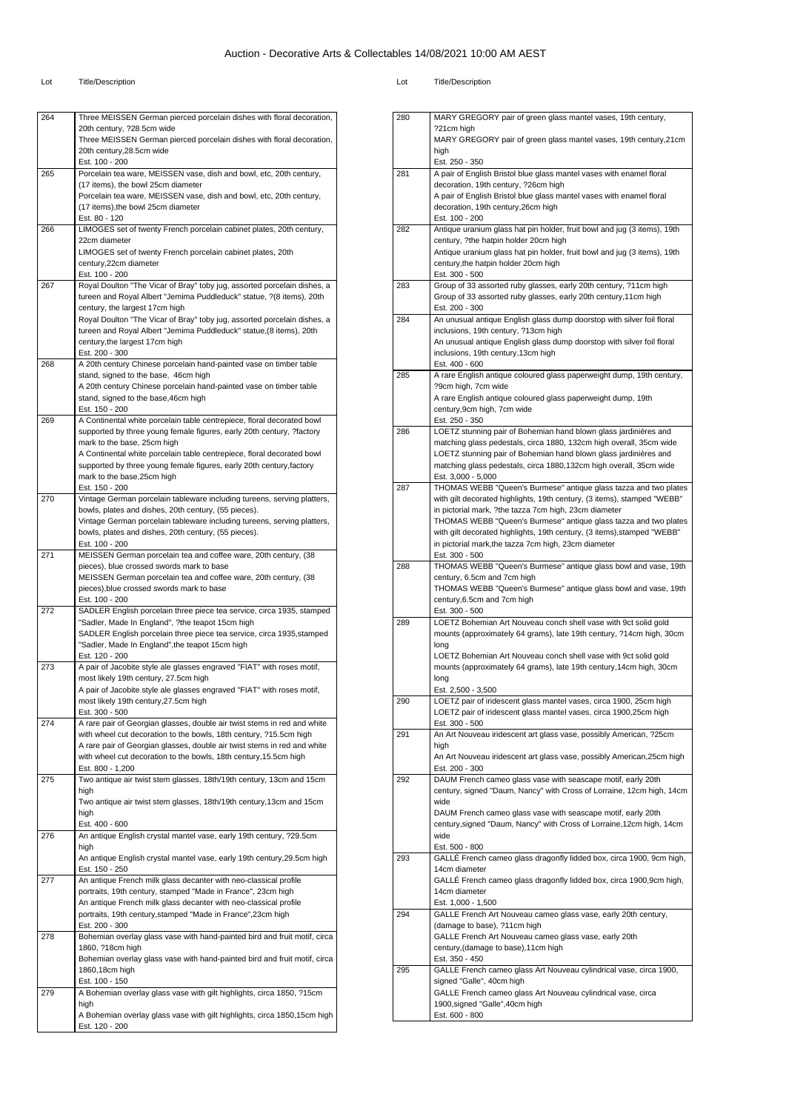| 264 | Three MEISSEN German pierced porcelain dishes with floral decoration,                                                                           |
|-----|-------------------------------------------------------------------------------------------------------------------------------------------------|
|     | 20th century, ?28.5cm wide                                                                                                                      |
|     | Three MEISSEN German pierced porcelain dishes with floral decoration,<br>20th century, 28.5cm wide                                              |
|     | Est. 100 - 200                                                                                                                                  |
| 265 | Porcelain tea ware, MEISSEN vase, dish and bowl, etc, 20th century,                                                                             |
|     | (17 items), the bowl 25cm diameter                                                                                                              |
|     | Porcelain tea ware, MEISSEN vase, dish and bowl, etc, 20th century,                                                                             |
|     | (17 items), the bowl 25cm diameter<br>Est. 80 - 120                                                                                             |
| 266 | LIMOGES set of twenty French porcelain cabinet plates, 20th century,                                                                            |
|     | 22cm diameter                                                                                                                                   |
|     | LIMOGES set of twenty French porcelain cabinet plates, 20th<br>century, 22cm diameter                                                           |
|     | Est. 100 - 200                                                                                                                                  |
| 267 | Royal Doulton "The Vicar of Bray" toby jug, assorted porcelain dishes, a                                                                        |
|     | tureen and Royal Albert "Jemima Puddleduck" statue, ?(8 items), 20th                                                                            |
|     | century, the largest 17cm high                                                                                                                  |
|     | Royal Doulton "The Vicar of Bray" toby jug, assorted porcelain dishes, a<br>tureen and Royal Albert "Jemima Puddleduck" statue, (8 items), 20th |
|     | century, the largest 17cm high                                                                                                                  |
|     | Est. 200 - 300                                                                                                                                  |
| 268 | A 20th century Chinese porcelain hand-painted vase on timber table                                                                              |
|     | stand, signed to the base, 46cm high<br>A 20th century Chinese porcelain hand-painted vase on timber table                                      |
|     | stand, signed to the base, 46cm high                                                                                                            |
|     | Est. 150 - 200                                                                                                                                  |
| 269 | A Continental white porcelain table centrepiece, floral decorated bowl                                                                          |
|     | supported by three young female figures, early 20th century, ?factory<br>mark to the base, 25cm high                                            |
|     | A Continental white porcelain table centrepiece, floral decorated bowl                                                                          |
|     | supported by three young female figures, early 20th century, factory                                                                            |
|     | mark to the base, 25cm high                                                                                                                     |
| 270 | Est. 150 - 200<br>Vintage German porcelain tableware including tureens, serving platters,                                                       |
|     | bowls, plates and dishes, 20th century, (55 pieces).                                                                                            |
|     | Vintage German porcelain tableware including tureens, serving platters,                                                                         |
|     | bowls, plates and dishes, 20th century, (55 pieces).                                                                                            |
| 271 | Est. 100 - 200<br>MEISSEN German porcelain tea and coffee ware, 20th century, (38                                                               |
|     | pieces), blue crossed swords mark to base                                                                                                       |
|     | MEISSEN German porcelain tea and coffee ware, 20th century, (38                                                                                 |
|     | pieces), blue crossed swords mark to base                                                                                                       |
| 272 | Est. 100 - 200<br>SADLER English porcelain three piece tea service, circa 1935, stamped                                                         |
|     | "Sadler, Made In England", ?the teapot 15cm high                                                                                                |
|     | SADLER English porcelain three piece tea service, circa 1935, stamped                                                                           |
|     | "Sadler, Made In England", the teapot 15cm high                                                                                                 |
| 273 | Est. 120 - 200<br>A pair of Jacobite style ale glasses engraved "FIAT" with roses motif,                                                        |
|     | most likely 19th century, 27.5cm high                                                                                                           |
|     | A pair of Jacobite style ale glasses engraved "FIAT" with roses motif,                                                                          |
|     | most likely 19th century, 27.5cm high                                                                                                           |
| 274 | Est. 300 - 500<br>A rare pair of Georgian glasses, double air twist stems in red and white                                                      |
|     | with wheel cut decoration to the bowls, 18th century, ?15.5cm high                                                                              |
|     | A rare pair of Georgian glasses, double air twist stems in red and white                                                                        |
|     | with wheel cut decoration to the bowls, 18th century, 15.5cm high                                                                               |
| 275 | Est. 800 - 1,200<br>Two antique air twist stem glasses, 18th/19th century, 13cm and 15cm                                                        |
|     | high                                                                                                                                            |
|     | Two antique air twist stem glasses, 18th/19th century, 13cm and 15cm                                                                            |
|     | high                                                                                                                                            |
| 276 | Est. 400 - 600<br>An antique English crystal mantel vase, early 19th century, ?29.5cm                                                           |
|     | high                                                                                                                                            |
|     | An antique English crystal mantel vase, early 19th century, 29.5cm high                                                                         |
|     | Est. 150 - 250                                                                                                                                  |
| 277 | An antique French milk glass decanter with neo-classical profile<br>portraits, 19th century, stamped "Made in France", 23cm high                |
|     | An antique French milk glass decanter with neo-classical profile                                                                                |
|     | portraits, 19th century, stamped "Made in France", 23cm high                                                                                    |
|     | Est. 200 - 300                                                                                                                                  |
| 278 | Bohemian overlay glass vase with hand-painted bird and fruit motif, circa                                                                       |
|     | 1860, ?18cm high<br>Bohemian overlay glass vase with hand-painted bird and fruit motif, circa                                                   |
|     | 1860,18cm high                                                                                                                                  |
|     | Est. 100 - 150                                                                                                                                  |
| 279 | A Bohemian overlay glass vase with gilt highlights, circa 1850, ?15cm                                                                           |
|     | high<br>A Bohemian overlay glass vase with gilt highlights, circa 1850,15cm high                                                                |
|     | Est. 120 - 200                                                                                                                                  |

| οt | <b>Title/Description</b> |
|----|--------------------------|
|----|--------------------------|

| 280 | MARY GREGORY pair of green glass mantel vases, 19th century,                                                                          |
|-----|---------------------------------------------------------------------------------------------------------------------------------------|
|     | ?21cm high                                                                                                                            |
|     | MARY GREGORY pair of green glass mantel vases, 19th century, 21cm<br>high                                                             |
|     | Est. 250 - 350                                                                                                                        |
| 281 | A pair of English Bristol blue glass mantel vases with enamel floral                                                                  |
|     | decoration, 19th century, ?26cm high                                                                                                  |
|     | A pair of English Bristol blue glass mantel vases with enamel floral                                                                  |
|     | decoration, 19th century, 26cm high<br>Est. 100 - 200                                                                                 |
| 282 | Antique uranium glass hat pin holder, fruit bowl and jug (3 items), 19th                                                              |
|     | century, ?the hatpin holder 20cm high                                                                                                 |
|     | Antique uranium glass hat pin holder, fruit bowl and jug (3 items), 19th                                                              |
|     | century, the hatpin holder 20cm high                                                                                                  |
| 283 | Est. 300 - 500<br>Group of 33 assorted ruby glasses, early 20th century, ?11cm high                                                   |
|     | Group of 33 assorted ruby glasses, early 20th century, 11cm high                                                                      |
|     | Est. 200 - 300                                                                                                                        |
| 284 | An unusual antique English glass dump doorstop with silver foil floral                                                                |
|     | inclusions, 19th century, ?13cm high                                                                                                  |
|     | An unusual antique English glass dump doorstop with silver foil floral<br>inclusions, 19th century, 13cm high                         |
|     | Est. 400 - 600                                                                                                                        |
| 285 | A rare English antique coloured glass paperweight dump, 19th century,                                                                 |
|     | ?9cm high, 7cm wide                                                                                                                   |
|     | A rare English antique coloured glass paperweight dump, 19th                                                                          |
|     | century, 9cm high, 7cm wide<br>Est. 250 - 350                                                                                         |
| 286 | LOETZ stunning pair of Bohemian hand blown glass jardinières and                                                                      |
|     | matching glass pedestals, circa 1880, 132cm high overall, 35cm wide                                                                   |
|     | LOETZ stunning pair of Bohemian hand blown glass jardinières and                                                                      |
|     | matching glass pedestals, circa 1880,132cm high overall, 35cm wide                                                                    |
| 287 | Est. 3,000 - 5,000<br>THOMAS WEBB "Queen's Burmese" antique glass tazza and two plates                                                |
|     | with gilt decorated highlights, 19th century, (3 items), stamped "WEBB"                                                               |
|     | in pictorial mark, ?the tazza 7cm high, 23cm diameter                                                                                 |
|     | THOMAS WEBB "Queen's Burmese" antique glass tazza and two plates                                                                      |
|     | with gilt decorated highlights, 19th century, (3 items), stamped "WEBB"                                                               |
|     | in pictorial mark, the tazza 7cm high, 23cm diameter                                                                                  |
| 288 | Est. 300 - 500<br>THOMAS WEBB "Queen's Burmese" antique glass bowl and vase, 19th                                                     |
|     | century, 6.5cm and 7cm high                                                                                                           |
|     | THOMAS WEBB "Queen's Burmese" antique glass bowl and vase, 19th                                                                       |
|     | century, 6.5cm and 7cm high                                                                                                           |
| 289 | Est. 300 - 500<br>LOETZ Bohemian Art Nouveau conch shell vase with 9ct solid gold                                                     |
|     | mounts (approximately 64 grams), late 19th century, ?14cm high, 30cm                                                                  |
|     | long                                                                                                                                  |
|     | LOETZ Bohemian Art Nouveau conch shell vase with 9ct solid gold                                                                       |
|     | mounts (approximately 64 grams), late 19th century, 14cm high, 30cm                                                                   |
|     | long<br>Est. 2,500 - 3,500                                                                                                            |
| 290 | LOETZ pair of iridescent glass mantel vases, circa 1900, 25cm high                                                                    |
|     | LOETZ pair of iridescent glass mantel vases, circa 1900,25cm high                                                                     |
|     | Est. 300 - 500                                                                                                                        |
| 291 | An Art Nouveau iridescent art glass vase, possibly American, ?25cm                                                                    |
|     | high<br>An Art Nouveau iridescent art glass vase, possibly American, 25cm high                                                        |
|     | Est. 200 - 300                                                                                                                        |
| 292 | DAUM French cameo glass vase with seascape motif, early 20th                                                                          |
|     | century, signed "Daum, Nancy" with Cross of Lorraine, 12cm high, 14cm                                                                 |
|     | wide                                                                                                                                  |
|     | DAUM French cameo glass vase with seascape motif, early 20th<br>century, signed "Daum, Nancy" with Cross of Lorraine, 12cm high, 14cm |
|     | wide                                                                                                                                  |
|     | Est. 500 - 800                                                                                                                        |
| 293 | GALLÉ French cameo glass dragonfly lidded box, circa 1900, 9cm high,                                                                  |
|     | 14cm diameter                                                                                                                         |
|     | GALLE French cameo glass dragonfly lidded box, circa 1900,9cm high,<br>14cm diameter                                                  |
|     | Est. 1,000 - 1,500                                                                                                                    |
| 294 | GALLE French Art Nouveau cameo glass vase, early 20th century,                                                                        |
|     | (damage to base), ?11cm high                                                                                                          |
|     | GALLE French Art Nouveau cameo glass vase, early 20th                                                                                 |
|     | century, (damage to base), 11cm high                                                                                                  |
| 295 | Est. 350 - 450<br>GALLE French cameo glass Art Nouveau cylindrical vase, circa 1900,                                                  |
|     | signed "Galle", 40cm high                                                                                                             |
|     | GALLE French cameo glass Art Nouveau cylindrical vase, circa                                                                          |
|     | 1900, signed "Galle", 40cm high                                                                                                       |
|     | Est. 600 - 800                                                                                                                        |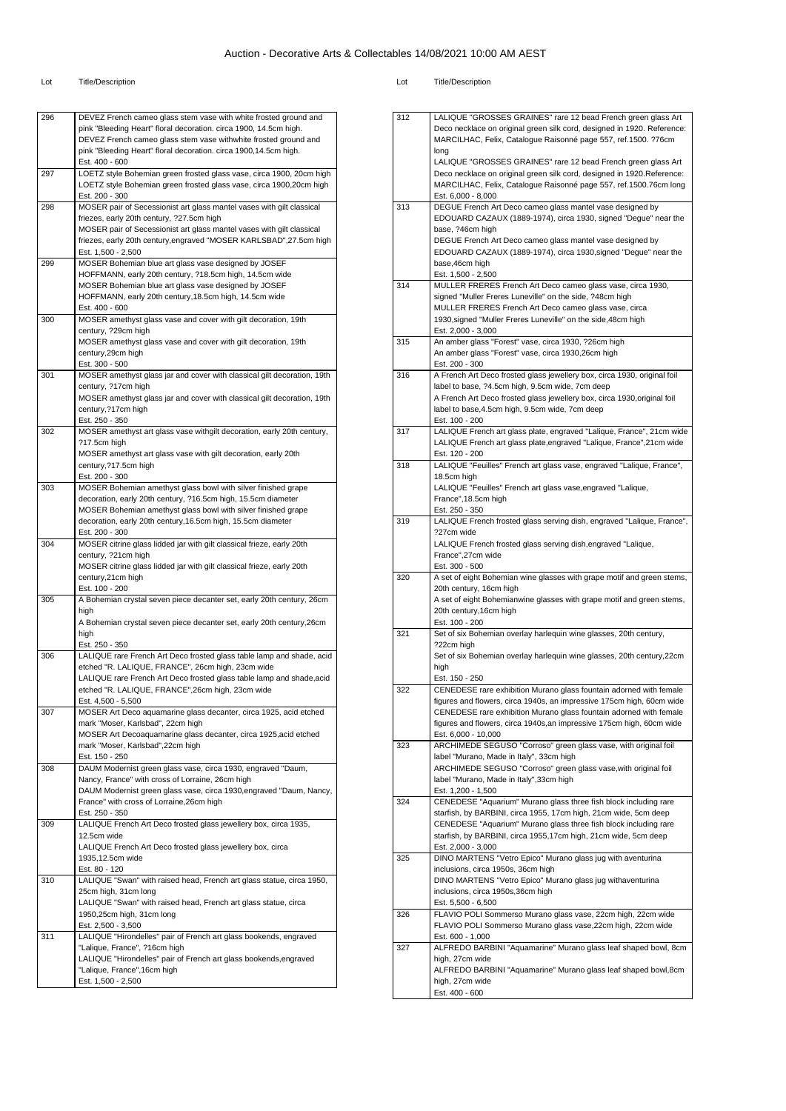| 296 |                                                                         |
|-----|-------------------------------------------------------------------------|
|     | DEVEZ French cameo glass stem vase with white frosted ground and        |
|     | pink "Bleeding Heart" floral decoration. circa 1900, 14.5cm high.       |
|     |                                                                         |
|     | DEVEZ French cameo glass stem vase withwhite frosted ground and         |
|     | pink "Bleeding Heart" floral decoration. circa 1900,14.5cm high.        |
|     | Est. 400 - 600                                                          |
| 297 | LOETZ style Bohemian green frosted glass vase, circa 1900, 20cm high    |
|     |                                                                         |
|     | LOETZ style Bohemian green frosted glass vase, circa 1900,20cm high     |
|     | Est. 200 - 300                                                          |
| 298 | MOSER pair of Secessionist art glass mantel vases with gilt classical   |
|     | friezes, early 20th century, ?27.5cm high                               |
|     |                                                                         |
|     | MOSER pair of Secessionist art glass mantel vases with gilt classical   |
|     | friezes, early 20th century, engraved "MOSER KARLSBAD", 27.5cm high     |
|     | Est. 1,500 - 2,500                                                      |
| 299 | MOSER Bohemian blue art glass vase designed by JOSEF                    |
|     |                                                                         |
|     | HOFFMANN, early 20th century, ?18.5cm high, 14.5cm wide                 |
|     | MOSER Bohemian blue art glass vase designed by JOSEF                    |
|     | HOFFMANN, early 20th century, 18.5cm high, 14.5cm wide                  |
|     | Est. 400 - 600                                                          |
|     |                                                                         |
| 300 | MOSER amethyst glass vase and cover with gilt decoration, 19th          |
|     | century, ?29cm high                                                     |
|     | MOSER amethyst glass vase and cover with gilt decoration, 19th          |
|     | century,29cm high                                                       |
|     |                                                                         |
|     | Est. 300 - 500                                                          |
| 301 | MOSER amethyst glass jar and cover with classical gilt decoration, 19th |
|     | century, ?17cm high                                                     |
|     | MOSER amethyst glass jar and cover with classical gilt decoration, 19th |
|     |                                                                         |
|     | century, ?17cm high                                                     |
|     | Est. 250 - 350                                                          |
| 302 | MOSER amethyst art glass vase withgilt decoration, early 20th century,  |
|     |                                                                         |
|     | ?17.5cm high                                                            |
|     | MOSER amethyst art glass vase with gilt decoration, early 20th          |
|     | century, ?17.5cm high                                                   |
|     | Est. 200 - 300                                                          |
|     |                                                                         |
| 303 | MOSER Bohemian amethyst glass bowl with silver finished grape           |
|     | decoration, early 20th century, ?16.5cm high, 15.5cm diameter           |
|     | MOSER Bohemian amethyst glass bowl with silver finished grape           |
|     | decoration, early 20th century, 16.5cm high, 15.5cm diameter            |
|     |                                                                         |
|     | Est. 200 - 300                                                          |
| 304 | MOSER citrine glass lidded jar with gilt classical frieze, early 20th   |
|     | century, ?21cm high                                                     |
|     | MOSER citrine glass lidded jar with gilt classical frieze, early 20th   |
|     |                                                                         |
|     | century, 21cm high                                                      |
|     | Est. 100 - 200                                                          |
| 305 | A Bohemian crystal seven piece decanter set, early 20th century, 26cm   |
|     | high                                                                    |
|     |                                                                         |
|     | A Bohemian crystal seven piece decanter set, early 20th century, 26cm   |
|     | high                                                                    |
|     | Est. 250 - 350                                                          |
| 306 | LALIQUE rare French Art Deco frosted glass table lamp and shade, acid   |
|     |                                                                         |
|     | etched "R. LALIQUE, FRANCE", 26cm high, 23cm wide                       |
|     | LALIQUE rare French Art Deco frosted glass table lamp and shade, acid   |
|     | etched "R. LALIQUE, FRANCE",26cm high, 23cm wide                        |
|     | Est. 4,500 - 5,500                                                      |
|     |                                                                         |
| 307 | MOSER Art Deco aquamarine glass decanter, circa 1925, acid etched       |
|     | mark "Moser, Karlsbad", 22cm high                                       |
|     | MOSER Art Decoaquamarine glass decanter, circa 1925, acid etched        |
|     | mark "Moser, Karlsbad",22cm high                                        |
|     |                                                                         |
|     |                                                                         |
|     | Est. 150 - 250                                                          |
| 308 | DAUM Modernist green glass vase, circa 1930, engraved "Daum,            |
|     | Nancy, France" with cross of Lorraine, 26cm high                        |
|     |                                                                         |
|     | DAUM Modernist green glass vase, circa 1930, engraved "Daum, Nancy,     |
|     | France" with cross of Lorraine, 26cm high                               |
|     | Est. 250 - 350                                                          |
| 309 | LALIQUE French Art Deco frosted glass jewellery box, circa 1935,        |
|     | 12.5cm wide                                                             |
|     |                                                                         |
|     | LALIQUE French Art Deco frosted glass jewellery box, circa              |
|     | 1935,12.5cm wide                                                        |
|     | Est. 80 - 120                                                           |
| 310 |                                                                         |
|     | LALIQUE "Swan" with raised head, French art glass statue, circa 1950,   |
|     | 25cm high, 31cm long                                                    |
|     | LALIQUE "Swan" with raised head, French art glass statue, circa         |
|     | 1950,25cm high, 31cm long                                               |
|     |                                                                         |
|     | Est. 2,500 - 3,500                                                      |
| 311 | LALIQUE "Hirondelles" pair of French art glass bookends, engraved       |
|     | "Lalique, France", ?16cm high                                           |
|     |                                                                         |
|     | LALIQUE "Hirondelles" pair of French art glass bookends, engraved       |
|     | "Lalique, France", 16cm high<br>Est. 1,500 - 2,500                      |

| 312 | LALIQUE "GROSSES GRAINES" rare 12 bead French green glass Art            |
|-----|--------------------------------------------------------------------------|
|     | Deco necklace on original green silk cord, designed in 1920. Reference:  |
|     | MARCILHAC, Felix, Catalogue Raisonné page 557, ref.1500. ?76cm           |
|     |                                                                          |
|     | long                                                                     |
|     | LALIQUE "GROSSES GRAINES" rare 12 bead French green glass Art            |
|     | Deco necklace on original green silk cord, designed in 1920. Reference:  |
|     |                                                                          |
|     | MARCILHAC, Felix, Catalogue Raisonné page 557, ref.1500.76cm long        |
|     | Est. 6,000 - 8,000                                                       |
| 313 | DEGUE French Art Deco cameo glass mantel vase designed by                |
|     | EDOUARD CAZAUX (1889-1974), circa 1930, signed "Degue" near the          |
|     |                                                                          |
|     | base, ?46cm high                                                         |
|     | DEGUE French Art Deco cameo glass mantel vase designed by                |
|     | EDOUARD CAZAUX (1889-1974), circa 1930, signed "Degue" near the          |
|     | base, 46cm high                                                          |
|     |                                                                          |
|     | Est. 1,500 - 2,500                                                       |
| 314 | MULLER FRERES French Art Deco cameo glass vase, circa 1930,              |
|     | signed "Muller Freres Luneville" on the side, ?48cm high                 |
|     | MULLER FRERES French Art Deco cameo glass vase, circa                    |
|     |                                                                          |
|     | 1930, signed "Muller Freres Luneville" on the side, 48cm high            |
|     | Est. 2,000 - 3,000                                                       |
| 315 | An amber glass "Forest" vase, circa 1930, ?26cm high                     |
|     |                                                                          |
|     | An amber glass "Forest" vase, circa 1930,26cm high                       |
|     | Est. 200 - 300                                                           |
| 316 | A French Art Deco frosted glass jewellery box, circa 1930, original foil |
|     | label to base, ?4.5cm high, 9.5cm wide, 7cm deep                         |
|     |                                                                          |
|     | A French Art Deco frosted glass jewellery box, circa 1930, original foil |
|     | label to base, 4.5cm high, 9.5cm wide, 7cm deep                          |
|     | Est. 100 - 200                                                           |
| 317 | LALIQUE French art glass plate, engraved "Lalique, France", 21cm wide    |
|     |                                                                          |
|     | LALIQUE French art glass plate, engraved "Lalique, France", 21cm wide    |
|     | Est. 120 - 200                                                           |
| 318 | LALIQUE "Feuilles" French art glass vase, engraved "Lalique, France",    |
|     |                                                                          |
|     | 18.5cm high                                                              |
|     | LALIQUE "Feuilles" French art glass vase, engraved "Lalique,             |
|     | France", 18.5cm high                                                     |
|     |                                                                          |
|     | Est. 250 - 350                                                           |
| 319 | LALIQUE French frosted glass serving dish, engraved "Lalique, France",   |
|     | ?27cm wide                                                               |
|     | LALIQUE French frosted glass serving dish, engraved "Lalique,            |
|     |                                                                          |
|     | France",27cm wide                                                        |
|     | Est. 300 - 500                                                           |
| 320 | A set of eight Bohemian wine glasses with grape motif and green stems,   |
|     |                                                                          |
|     | 20th century, 16cm high                                                  |
|     | A set of eight Bohemianwine glasses with grape motif and green stems,    |
|     | 20th century, 16cm high                                                  |
|     | Est. 100 - 200                                                           |
|     |                                                                          |
| 321 | Set of six Bohemian overlay harlequin wine glasses, 20th century,        |
|     | ?22cm high                                                               |
|     | Set of six Bohemian overlay harlequin wine glasses, 20th century, 22cm   |
|     | high                                                                     |
|     |                                                                          |
|     | Est. 150 - 250                                                           |
| 322 | CENEDESE rare exhibition Murano glass fountain adorned with female       |
|     | figures and flowers, circa 1940s, an impressive 175cm high, 60cm wide    |
|     | CENEDESE rare exhibition Murano glass fountain adorned with female       |
|     |                                                                          |
|     | figures and flowers, circa 1940s, an impressive 175cm high, 60cm wide    |
|     | Est. 6,000 - 10,000                                                      |
| 323 | ARCHIMEDE SEGUSO "Corroso" green glass vase, with original foil          |
|     |                                                                          |
|     | label "Murano, Made in Italy", 33cm high                                 |
|     | ARCHIMEDE SEGUSO "Corroso" green glass vase, with original foil          |
|     | label "Murano, Made in Italy", 33cm high                                 |
|     | Est. 1,200 - 1,500                                                       |
|     |                                                                          |
| 324 | CENEDESE "Aquarium" Murano glass three fish block including rare         |
|     | starfish, by BARBINI, circa 1955, 17cm high, 21cm wide, 5cm deep         |
|     | CENEDESE "Aquarium" Murano glass three fish block including rare         |
|     |                                                                          |
|     | starfish, by BARBINI, circa 1955,17cm high, 21cm wide, 5cm deep          |
|     | Est. 2,000 - 3,000                                                       |
| 325 | DINO MARTENS "Vetro Epico" Murano glass jug with aventurina              |
|     | inclusions, circa 1950s, 36cm high                                       |
|     |                                                                          |
|     | DINO MARTENS "Vetro Epico" Murano glass jug withaventurina               |
|     | inclusions, circa 1950s,36cm high                                        |
|     | Est. 5,500 - 6,500                                                       |
| 326 | FLAVIO POLI Sommerso Murano glass vase, 22cm high, 22cm wide             |
|     |                                                                          |
|     | FLAVIO POLI Sommerso Murano glass vase, 22cm high, 22cm wide             |
|     | Est. 600 - 1,000                                                         |
| 327 | ALFREDO BARBINI "Aquamarine" Murano glass leaf shaped bowl, 8cm          |
|     |                                                                          |
|     | high, 27cm wide                                                          |
|     | ALFREDO BARBINI "Aquamarine" Murano glass leaf shaped bowl,8cm           |
|     |                                                                          |
|     |                                                                          |
|     | high, 27cm wide<br>Est. 400 - 600                                        |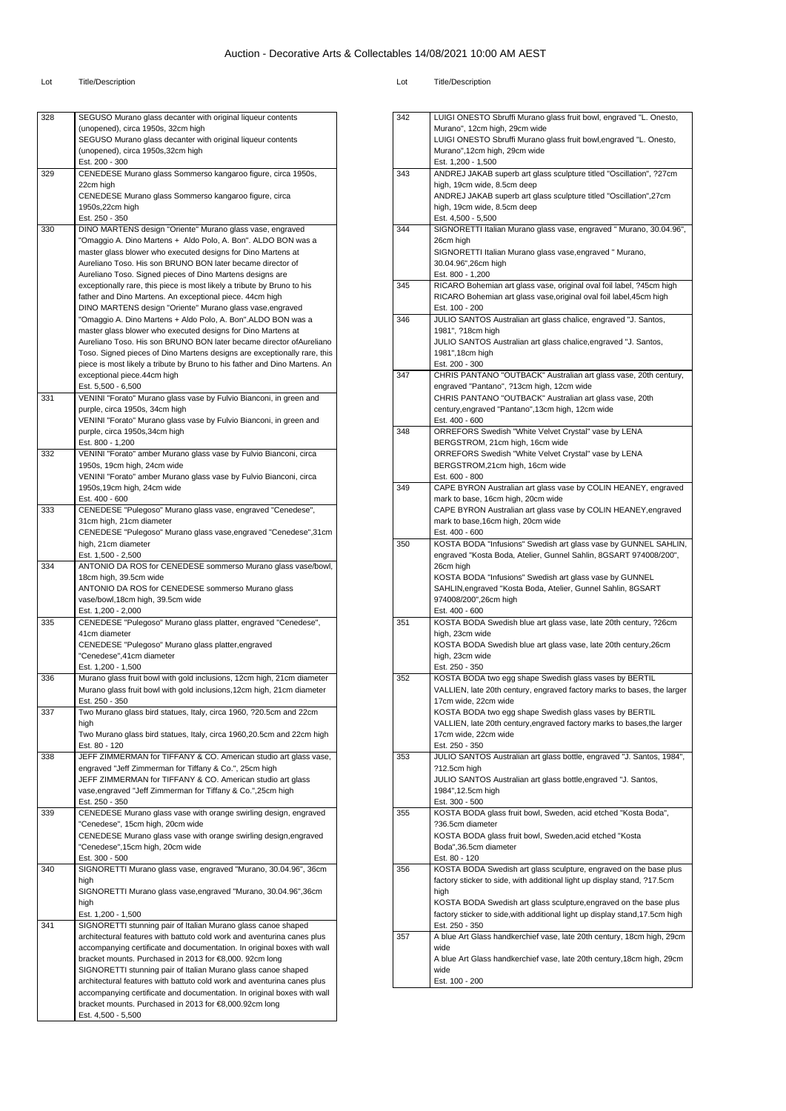| 328 | SEGUSO Murano glass decanter with original liqueur contents                |
|-----|----------------------------------------------------------------------------|
|     | (unopened), circa 1950s, 32cm high                                         |
|     | SEGUSO Murano glass decanter with original liqueur contents                |
|     | (unopened), circa 1950s,32cm high                                          |
|     | Est. 200 - 300                                                             |
| 329 | CENEDESE Murano glass Sommerso kangaroo figure, circa 1950s,               |
|     | 22cm high                                                                  |
|     | CENEDESE Murano glass Sommerso kangaroo figure, circa                      |
|     | 1950s, 22cm high                                                           |
|     | Est. 250 - 350                                                             |
| 330 | DINO MARTENS design "Oriente" Murano glass vase, engraved                  |
|     | "Omaggio A. Dino Martens + Aldo Polo, A. Bon". ALDO BON was a              |
|     |                                                                            |
|     | master glass blower who executed designs for Dino Martens at               |
|     | Aureliano Toso. His son BRUNO BON later became director of                 |
|     | Aureliano Toso. Signed pieces of Dino Martens designs are                  |
|     | exceptionally rare, this piece is most likely a tribute by Bruno to his    |
|     | father and Dino Martens. An exceptional piece. 44cm high                   |
|     | DINO MARTENS design "Oriente" Murano glass vase, engraved                  |
|     | "Omaggio A. Dino Martens + Aldo Polo, A. Bon".ALDO BON was a               |
|     | master glass blower who executed designs for Dino Martens at               |
|     | Aureliano Toso. His son BRUNO BON later became director of Aureliano       |
|     | Toso. Signed pieces of Dino Martens designs are exceptionally rare, this   |
|     | piece is most likely a tribute by Bruno to his father and Dino Martens. An |
|     |                                                                            |
|     | exceptional piece.44cm high                                                |
|     | Est. 5,500 - 6,500                                                         |
| 331 | VENINI "Forato" Murano glass vase by Fulvio Bianconi, in green and         |
|     | purple, circa 1950s, 34cm high                                             |
|     | VENINI "Forato" Murano glass vase by Fulvio Bianconi, in green and         |
|     | purple, circa 1950s,34cm high                                              |
|     | Est. 800 - 1,200                                                           |
| 332 | VENINI "Forato" amber Murano glass vase by Fulvio Bianconi, circa          |
|     | 1950s, 19cm high, 24cm wide                                                |
|     | VENINI "Forato" amber Murano glass vase by Fulvio Bianconi, circa          |
|     | 1950s, 19cm high, 24cm wide                                                |
|     | Est. 400 - 600                                                             |
| 333 | CENEDESE "Pulegoso" Murano glass vase, engraved "Cenedese",                |
|     |                                                                            |
|     | 31cm high, 21cm diameter                                                   |
|     | CENEDESE "Pulegoso" Murano glass vase, engraved "Cenedese", 31cm           |
|     | high, 21cm diameter                                                        |
|     | Est. 1,500 - 2,500                                                         |
| 334 | ANTONIO DA ROS for CENEDESE sommerso Murano glass vase/bowl,               |
|     | 18cm high, 39.5cm wide                                                     |
|     | ANTONIO DA ROS for CENEDESE sommerso Murano glass                          |
|     | vase/bowl,18cm high, 39.5cm wide                                           |
|     | Est. 1,200 - 2,000                                                         |
| 335 | CENEDESE "Pulegoso" Murano glass platter, engraved "Cenedese",             |
|     | 41cm diameter                                                              |
|     | CENEDESE "Pulegoso" Murano glass platter, engraved                         |
|     | "Cenedese", 41cm diameter                                                  |
|     |                                                                            |
|     | Est. 1,200 - 1,500                                                         |
| 336 | Murano glass fruit bowl with gold inclusions, 12cm high, 21cm diameter     |
|     | Murano glass fruit bowl with gold inclusions, 12cm high, 21cm diameter     |
|     | Est. 250 - 350                                                             |
| 337 | Two Murano glass bird statues, Italy, circa 1960, ?20.5cm and 22cm         |
|     | high                                                                       |
|     | Two Murano glass bird statues, Italy, circa 1960,20.5cm and 22cm high      |
|     | Est. 80 - 120                                                              |
| 338 | JEFF ZIMMERMAN for TIFFANY & CO. American studio art glass vase,           |
|     | engraved "Jeff Zimmerman for Tiffany & Co.", 25cm high                     |
|     | JEFF ZIMMERMAN for TIFFANY & CO. American studio art glass                 |
|     | vase, engraved "Jeff Zimmerman for Tiffany & Co.", 25cm high               |
|     | Est. 250 - 350                                                             |
| 339 | CENEDESE Murano glass vase with orange swirling design, engraved           |
|     | "Cenedese", 15cm high, 20cm wide                                           |
|     |                                                                            |
|     | CENEDESE Murano glass vase with orange swirling design, engraved           |
|     | "Cenedese",15cm high, 20cm wide                                            |
|     | Est. 300 - 500                                                             |
| 340 | SIGNORETTI Murano glass vase, engraved "Murano, 30.04.96", 36cm            |
|     | high                                                                       |
|     | SIGNORETTI Murano glass vase, engraved "Murano, 30.04.96", 36cm            |
|     | high                                                                       |
|     | Est. 1,200 - 1,500                                                         |
| 341 | SIGNORETTI stunning pair of Italian Murano glass canoe shaped              |
|     | architectural features with battuto cold work and aventurina canes plus    |
|     | accompanying certificate and documentation. In original boxes with wall    |
|     | bracket mounts. Purchased in 2013 for €8,000. 92cm long                    |
|     | SIGNORETTI stunning pair of Italian Murano glass canoe shaped              |
|     |                                                                            |
|     | architectural features with battuto cold work and aventurina canes plus    |
|     | accompanying certificate and documentation. In original boxes with wall    |
|     | bracket mounts. Purchased in 2013 for €8,000.92cm long                     |
|     | Est. 4,500 - 5,500                                                         |

| ot | <b>Title/Description</b> |
|----|--------------------------|
|----|--------------------------|

| 342 | LUIGI ONESTO Sbruffi Murano glass fruit bowl, engraved "L. Onesto,                                                                          |
|-----|---------------------------------------------------------------------------------------------------------------------------------------------|
|     | Murano", 12cm high, 29cm wide                                                                                                               |
|     | LUIGI ONESTO Sbruffi Murano glass fruit bowl, engraved "L. Onesto,                                                                          |
|     | Murano",12cm high, 29cm wide                                                                                                                |
| 343 | Est. 1.200 - 1.500<br>ANDREJ JAKAB superb art glass sculpture titled "Oscillation", ?27cm                                                   |
|     | high, 19cm wide, 8.5cm deep                                                                                                                 |
|     | ANDREJ JAKAB superb art glass sculpture titled "Oscillation", 27cm                                                                          |
|     | high, 19cm wide, 8.5cm deep                                                                                                                 |
|     | Est. 4,500 - 5,500                                                                                                                          |
| 344 | SIGNORETTI Italian Murano glass vase, engraved " Murano, 30.04.96",                                                                         |
|     | 26cm high                                                                                                                                   |
|     | SIGNORETTI Italian Murano glass vase, engraved " Murano,                                                                                    |
|     | 30.04.96",26cm high                                                                                                                         |
|     | Est. 800 - 1,200                                                                                                                            |
| 345 | RICARO Bohemian art glass vase, original oval foil label, ?45cm high<br>RICARO Bohemian art glass vase, original oval foil label, 45cm high |
|     | Est. 100 - 200                                                                                                                              |
| 346 | JULIO SANTOS Australian art glass chalice, engraved "J. Santos,                                                                             |
|     | 1981", ?18cm high                                                                                                                           |
|     | JULIO SANTOS Australian art glass chalice, engraved "J. Santos,                                                                             |
|     | 1981", 18cm high                                                                                                                            |
|     | Est. 200 - 300                                                                                                                              |
| 347 | CHRIS PANTANO "OUTBACK" Australian art glass vase, 20th century,                                                                            |
|     | engraved "Pantano", ?13cm high, 12cm wide                                                                                                   |
|     | CHRIS PANTANO "OUTBACK" Australian art glass vase, 20th                                                                                     |
|     | century, engraved "Pantano", 13cm high, 12cm wide                                                                                           |
| 348 | Est. 400 - 600<br>ORREFORS Swedish "White Velvet Crystal" vase by LENA                                                                      |
|     | BERGSTROM, 21cm high, 16cm wide                                                                                                             |
|     | ORREFORS Swedish "White Velvet Crystal" vase by LENA                                                                                        |
|     | BERGSTROM,21cm high, 16cm wide                                                                                                              |
|     | Est. 600 - 800                                                                                                                              |
| 349 | CAPE BYRON Australian art glass vase by COLIN HEANEY, engraved                                                                              |
|     | mark to base, 16cm high, 20cm wide                                                                                                          |
|     | CAPE BYRON Australian art glass vase by COLIN HEANEY, engraved                                                                              |
|     | mark to base, 16cm high, 20cm wide                                                                                                          |
| 350 | Est. 400 - 600<br>KOSTA BODA "Infusions" Swedish art glass vase by GUNNEL SAHLIN,                                                           |
|     | engraved "Kosta Boda, Atelier, Gunnel Sahlin, 8GSART 974008/200",                                                                           |
|     | 26cm high                                                                                                                                   |
|     | KOSTA BODA "Infusions" Swedish art glass vase by GUNNEL                                                                                     |
|     | SAHLIN, engraved "Kosta Boda, Atelier, Gunnel Sahlin, 8GSART                                                                                |
|     | 974008/200",26cm high                                                                                                                       |
|     | Est. 400 - 600                                                                                                                              |
| 351 | KOSTA BODA Swedish blue art glass vase, late 20th century, ?26cm                                                                            |
|     | high, 23cm wide                                                                                                                             |
|     | KOSTA BODA Swedish blue art glass vase, late 20th century, 26cm<br>high, 23cm wide                                                          |
|     | Est. 250 - 350                                                                                                                              |
| 352 | KOSTA BODA two egg shape Swedish glass vases by BERTIL                                                                                      |
|     | VALLIEN, late 20th century, engraved factory marks to bases, the larger                                                                     |
|     | 17cm wide, 22cm wide                                                                                                                        |
|     | KOSTA BODA two egg shape Swedish glass vases by BERTIL                                                                                      |
|     | VALLIEN, late 20th century, engraved factory marks to bases, the larger                                                                     |
|     | 17cm wide, 22cm wide                                                                                                                        |
|     | Est. 250 - 350                                                                                                                              |
| 353 | JULIO SANTOS Australian art glass bottle, engraved "J. Santos, 1984",                                                                       |
|     | ?12.5cm high<br>JULIO SANTOS Australian art glass bottle, engraved "J. Santos,                                                              |
|     | 1984", 12.5cm high                                                                                                                          |
|     | Est. 300 - 500                                                                                                                              |
| 355 | KOSTA BODA glass fruit bowl, Sweden, acid etched "Kosta Boda",                                                                              |
|     | ?36.5cm diameter                                                                                                                            |
|     | KOSTA BODA glass fruit bowl, Sweden, acid etched "Kosta                                                                                     |
|     | Boda",36.5cm diameter                                                                                                                       |
|     | Est. 80 - 120                                                                                                                               |
| 356 | KOSTA BODA Swedish art glass sculpture, engraved on the base plus                                                                           |
|     | factory sticker to side, with additional light up display stand, ?17.5cm<br>high                                                            |
|     | KOSTA BODA Swedish art glass sculpture, engraved on the base plus                                                                           |
|     | factory sticker to side, with additional light up display stand, 17.5cm high                                                                |
|     |                                                                                                                                             |
|     | Est. 250 - 350                                                                                                                              |
| 357 | A blue Art Glass handkerchief vase, late 20th century, 18cm high, 29cm                                                                      |
|     | wide                                                                                                                                        |
|     | A blue Art Glass handkerchief vase, late 20th century, 18cm high, 29cm                                                                      |
|     | wide<br>Est. 100 - 200                                                                                                                      |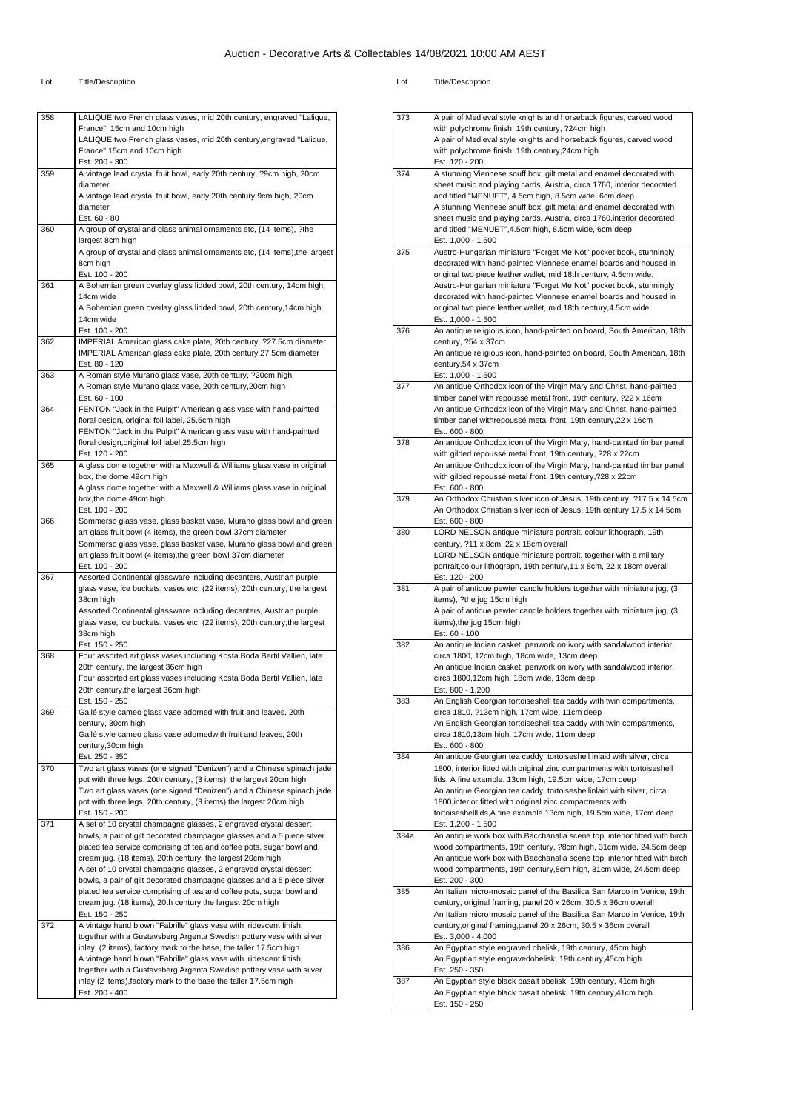Est. 120 - 200

Est. 100 - 200

38cm high

38cm high Est. 150 - 250

Est. 150 - 250

century, 30cm high

century,30cm high Est. 250 - 350

Est. 150 - 200

Est. 150 - 250

 $Est. 200 - 400$ 

box, the dome 49cm high

box,the dome 49cm high Est. 100 - 200

365 A glass dome together with a Maxwell & Williams glass vase in original

366 Sommerso glass vase, glass basket vase, Murano glass bowl and green art glass fruit bowl (4 items), the green bowl 37cm diameter Sommerso glass vase, glass basket vase, Murano glass bowl and green

art glass fruit bowl (4 items),the green bowl 37cm diameter

367 Assorted Continental glassware including decanters, Austrian purple glass vase, ice buckets, vases etc. (22 items), 20th century, the largest

368 Four assorted art glass vases including Kosta Boda Bertil Vallien, late

369 Gallé style cameo glass vase adorned with fruit and leaves, 20th

20th century, the largest 36cm high

20th century,the largest 36cm high

Assorted Continental glassware including decanters, Austrian purple glass vase, ice buckets, vases etc. (22 items), 20th century,the largest

Four assorted art glass vases including Kosta Boda Bertil Vallien, late

Gallé style cameo glass vase adornedwith fruit and leaves, 20th

370 Two art glass vases (one signed "Denizen") and a Chinese spinach jade pot with three legs, 20th century, (3 items), the largest 20cm high Two art glass vases (one signed "Denizen") and a Chinese spinach jade pot with three legs, 20th century, (3 items),the largest 20cm high

371 A set of 10 crystal champagne glasses, 2 engraved crystal dessert

372 A vintage hand blown "Fabrille" glass vase with iridescent finish,

bowls, a pair of gilt decorated champagne glasses and a 5 piece silver plated tea service comprising of tea and coffee pots, sugar bowl and cream jug. (18 items), 20th century, the largest 20cm high A set of 10 crystal champagne glasses, 2 engraved crystal dessert bowls, a pair of gilt decorated champagne glasses and a 5 piece silver plated tea service comprising of tea and coffee pots, sugar bowl and cream jug. (18 items), 20th century,the largest 20cm high

together with a Gustavsberg Argenta Swedish pottery vase with silver inlay, (2 items), factory mark to the base, the taller 17.5cm high A vintage hand blown "Fabrille" glass vase with iridescent finish, together with a Gustavsberg Argenta Swedish pottery vase with silver inlay,(2 items),factory mark to the base,the taller 17.5cm high

A glass dome together with a Maxwell & Williams glass vase in original

| 358 | LALIQUE two French glass vases, mid 20th century, engraved "Lalique,       |
|-----|----------------------------------------------------------------------------|
|     | France", 15cm and 10cm high                                                |
|     | LALIQUE two French glass vases, mid 20th century, engraved "Lalique,       |
|     | France", 15cm and 10cm high                                                |
|     | Est. 200 - 300                                                             |
| 359 | A vintage lead crystal fruit bowl, early 20th century, ?9cm high, 20cm     |
|     | diameter                                                                   |
|     | A vintage lead crystal fruit bowl, early 20th century, 9cm high, 20cm      |
|     | diameter                                                                   |
|     | $Est. 60 - 80$                                                             |
| 360 | A group of crystal and glass animal ornaments etc, (14 items), ?the        |
|     | largest 8cm high                                                           |
|     | A group of crystal and glass animal ornaments etc, (14 items), the largest |
|     | 8cm high                                                                   |
|     | Est. 100 - 200                                                             |
| 361 | A Bohemian green overlay glass lidded bowl, 20th century, 14cm high,       |
|     | 14cm wide                                                                  |
|     | A Bohemian green overlay glass lidded bowl, 20th century, 14cm high,       |
|     | 14cm wide                                                                  |
|     | Est. 100 - 200                                                             |
| 362 | IMPERIAL American glass cake plate, 20th century, ?27.5cm diameter         |
|     | IMPERIAL American glass cake plate, 20th century, 27.5cm diameter          |
|     | Est. 80 - 120                                                              |
| 363 | A Roman style Murano glass vase, 20th century, ?20cm high                  |
|     | A Roman style Murano glass vase, 20th century, 20cm high                   |
|     | Est. 60 - 100                                                              |
| 364 | FENTON "Jack in the Pulpit" American glass vase with hand-painted          |
|     | floral design, original foil label, 25.5cm high                            |
|     | FENTON "Jack in the Pulpit" American glass vase with hand-painted          |
|     | floral design, original foil label, 25.5cm high                            |
|     | Fst 120 - 200                                                              |

| 373  | A pair of Medieval style knights and horseback figures, carved wood                                                                              |
|------|--------------------------------------------------------------------------------------------------------------------------------------------------|
|      | with polychrome finish, 19th century, ?24cm high                                                                                                 |
|      | A pair of Medieval style knights and horseback figures, carved wood                                                                              |
|      | with polychrome finish, 19th century, 24cm high                                                                                                  |
|      | Est. 120 - 200                                                                                                                                   |
| 374  | A stunning Viennese snuff box, gilt metal and enamel decorated with                                                                              |
|      | sheet music and playing cards, Austria, circa 1760, interior decorated<br>and titled "MENUET", 4.5cm high, 8.5cm wide, 6cm deep                  |
|      | A stunning Viennese snuff box, gilt metal and enamel decorated with                                                                              |
|      | sheet music and playing cards, Austria, circa 1760, interior decorated                                                                           |
|      | and titled "MENUET", 4.5cm high, 8.5cm wide, 6cm deep                                                                                            |
|      | Est. 1,000 - 1,500                                                                                                                               |
| 375  | Austro-Hungarian miniature "Forget Me Not" pocket book, stunningly                                                                               |
|      | decorated with hand-painted Viennese enamel boards and housed in                                                                                 |
|      | original two piece leather wallet, mid 18th century, 4.5cm wide.<br>Austro-Hungarian miniature "Forget Me Not" pocket book, stunningly           |
|      | decorated with hand-painted Viennese enamel boards and housed in                                                                                 |
|      | original two piece leather wallet, mid 18th century, 4.5cm wide.                                                                                 |
|      | Est. 1,000 - 1,500                                                                                                                               |
| 376  | An antique religious icon, hand-painted on board, South American, 18th                                                                           |
|      | century, ?54 x 37cm                                                                                                                              |
|      | An antique religious icon, hand-painted on board, South American, 18th                                                                           |
|      | century, 54 x 37cm                                                                                                                               |
|      | Est. 1,000 - 1,500                                                                                                                               |
| 377  | An antique Orthodox icon of the Virgin Mary and Christ, hand-painted<br>timber panel with repoussé metal front, 19th century, ?22 x 16cm         |
|      | An antique Orthodox icon of the Virgin Mary and Christ, hand-painted                                                                             |
|      | timber panel withrepoussé metal front, 19th century, 22 x 16cm                                                                                   |
|      | Est. 600 - 800                                                                                                                                   |
| 378  | An antique Orthodox icon of the Virgin Mary, hand-painted timber panel                                                                           |
|      | with gilded repoussé metal front, 19th century, ?28 x 22cm                                                                                       |
|      | An antique Orthodox icon of the Virgin Mary, hand-painted timber panel                                                                           |
|      | with gilded repoussé metal front, 19th century, ?28 x 22cm<br>Est. 600 - 800                                                                     |
| 379  | An Orthodox Christian silver icon of Jesus, 19th century, ?17.5 x 14.5cm                                                                         |
|      | An Orthodox Christian silver icon of Jesus, 19th century, 17.5 x 14.5cm                                                                          |
|      | Est. 600 - 800                                                                                                                                   |
| 380  | LORD NELSON antique miniature portrait, colour lithograph, 19th                                                                                  |
|      | century, ?11 x 8cm, 22 x 18cm overall                                                                                                            |
|      | LORD NELSON antique miniature portrait, together with a military                                                                                 |
|      | portrait, colour lithograph, 19th century, 11 x 8cm, 22 x 18cm overall<br>Est. 120 - 200                                                         |
| 381  | A pair of antique pewter candle holders together with miniature jug, (3                                                                          |
|      | items), ?the jug 15cm high                                                                                                                       |
|      | A pair of antique pewter candle holders together with miniature jug, (3                                                                          |
|      | items), the jug 15cm high                                                                                                                        |
|      | Est. 60 - 100                                                                                                                                    |
| 382  | An antique Indian casket, penwork on ivory with sandalwood interior,                                                                             |
|      | circa 1800, 12cm high, 18cm wide, 13cm deep<br>An antique Indian casket, penwork on ivory with sandalwood interior,                              |
|      | circa 1800,12cm high, 18cm wide, 13cm deep                                                                                                       |
|      | Est. 800 - 1,200                                                                                                                                 |
| 383  | An English Georgian tortoiseshell tea caddy with twin compartments,                                                                              |
|      | circa 1810, ?13cm high, 17cm wide, 11cm deep                                                                                                     |
|      | An English Georgian tortoiseshell tea caddy with twin compartments,                                                                              |
|      | circa 1810,13cm high, 17cm wide, 11cm deep                                                                                                       |
| 384  | Est. 600 - 800<br>An antique Georgian tea caddy, tortoiseshell inlaid with silver, circa                                                         |
|      | 1800, interior fitted with original zinc compartments with tortoiseshell                                                                         |
|      | lids, A fine example. 13cm high, 19.5cm wide, 17cm deep                                                                                          |
|      | An antique Georgian tea caddy, tortoiseshellinlaid with silver, circa                                                                            |
|      | 1800, interior fitted with original zinc compartments with                                                                                       |
|      | tortoiseshelllids, A fine example. 13cm high, 19.5cm wide, 17cm deep                                                                             |
|      | Est. 1,200 - 1,500                                                                                                                               |
| 384a | An antique work box with Bacchanalia scene top, interior fitted with birch<br>wood compartments, 19th century, ?8cm high, 31cm wide, 24.5cm deep |
|      | An antique work box with Bacchanalia scene top, interior fitted with birch                                                                       |
|      | wood compartments, 19th century, 8cm high, 31cm wide, 24.5cm deep                                                                                |
|      | Est. 200 - 300                                                                                                                                   |
| 385  | An Italian micro-mosaic panel of the Basilica San Marco in Venice, 19th                                                                          |
|      | century, original framing, panel 20 x 26cm, 30.5 x 36cm overall                                                                                  |
|      | An Italian micro-mosaic panel of the Basilica San Marco in Venice, 19th                                                                          |
|      | century, original framing, panel 20 x 26cm, 30.5 x 36cm overall                                                                                  |
| 386  | Est. 3,000 - 4,000<br>An Egyptian style engraved obelisk, 19th century, 45cm high                                                                |
|      | An Egyptian style engravedobelisk, 19th century, 45cm high                                                                                       |
|      | Est. 250 - 350                                                                                                                                   |
| 387  | An Egyptian style black basalt obelisk, 19th century, 41cm high                                                                                  |
|      | An Egyptian style black basalt obelisk, 19th century, 41cm high                                                                                  |
|      | Est. 150 - 250                                                                                                                                   |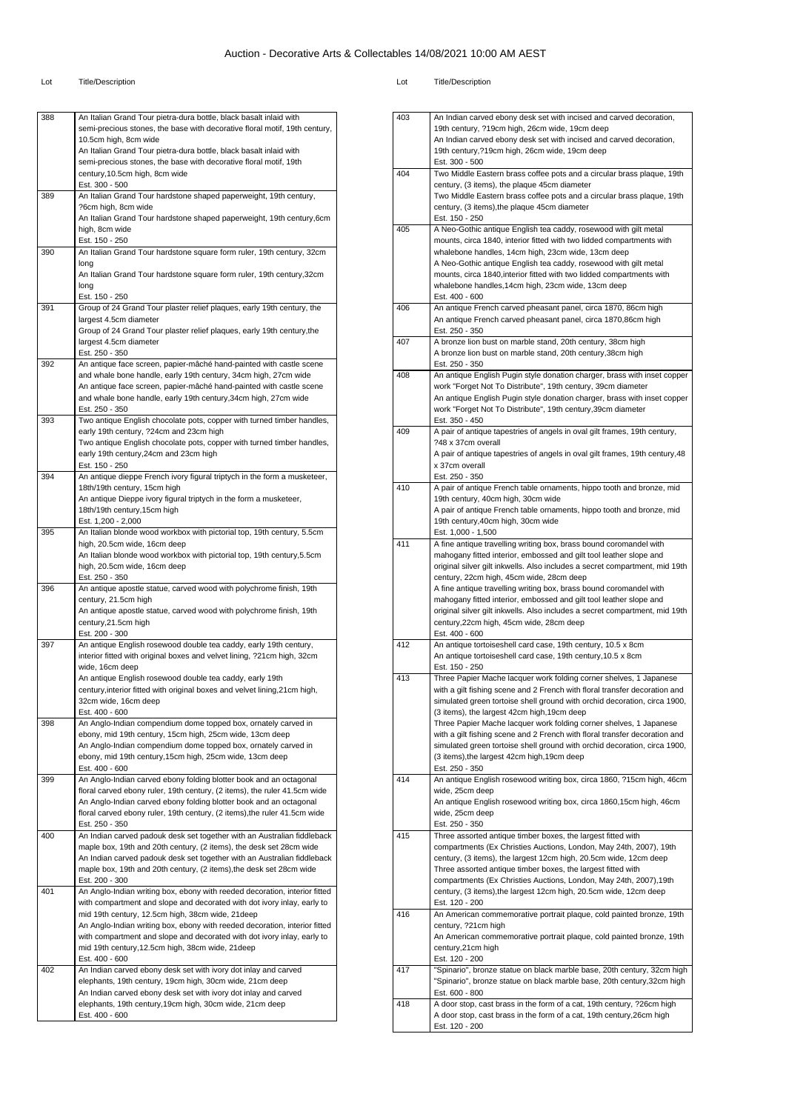#### Lot Title/Description Lot Title/Description

An Indian carved ebony desk set with incised and carved decoration,

| 388 | An Italian Grand Tour pietra-dura bottle, black basalt inlaid with                                                                             |
|-----|------------------------------------------------------------------------------------------------------------------------------------------------|
|     | semi-precious stones, the base with decorative floral motif, 19th century,                                                                     |
|     | 10.5cm high, 8cm wide<br>An Italian Grand Tour pietra-dura bottle, black basalt inlaid with                                                    |
|     | semi-precious stones, the base with decorative floral motif, 19th                                                                              |
|     | century, 10.5cm high, 8cm wide                                                                                                                 |
| 389 | Est. 300 - 500<br>An Italian Grand Tour hardstone shaped paperweight, 19th century,                                                            |
|     | ?6cm high, 8cm wide                                                                                                                            |
|     | An Italian Grand Tour hardstone shaped paperweight, 19th century, 6cm                                                                          |
|     | high, 8cm wide<br>Est. 150 - 250                                                                                                               |
| 390 | An Italian Grand Tour hardstone square form ruler, 19th century, 32cm                                                                          |
|     | long                                                                                                                                           |
|     | An Italian Grand Tour hardstone square form ruler, 19th century, 32cm<br>long                                                                  |
|     | Est. 150 - 250                                                                                                                                 |
| 391 | Group of 24 Grand Tour plaster relief plaques, early 19th century, the                                                                         |
|     | largest 4.5cm diameter                                                                                                                         |
|     | Group of 24 Grand Tour plaster relief plaques, early 19th century, the<br>largest 4.5cm diameter                                               |
|     | Est. 250 - 350                                                                                                                                 |
| 392 | An antique face screen, papier-mâché hand-painted with castle scene                                                                            |
|     | and whale bone handle, early 19th century, 34cm high, 27cm wide<br>An antique face screen, papier-mâché hand-painted with castle scene         |
|     | and whale bone handle, early 19th century, 34cm high, 27cm wide                                                                                |
|     | Est. 250 - 350                                                                                                                                 |
| 393 | Two antique English chocolate pots, copper with turned timber handles,<br>early 19th century, ?24cm and 23cm high                              |
|     | Two antique English chocolate pots, copper with turned timber handles,                                                                         |
|     | early 19th century, 24cm and 23cm high                                                                                                         |
|     | Est. 150 - 250                                                                                                                                 |
| 394 | An antique dieppe French ivory figural triptych in the form a musketeer,<br>18th/19th century, 15cm high                                       |
|     | An antique Dieppe ivory figural triptych in the form a musketeer,                                                                              |
|     | 18th/19th century, 15cm high                                                                                                                   |
| 395 | Est. 1,200 - 2,000<br>An Italian blonde wood workbox with pictorial top, 19th century, 5.5cm                                                   |
|     | high, 20.5cm wide, 16cm deep                                                                                                                   |
|     | An Italian blonde wood workbox with pictorial top, 19th century, 5.5cm                                                                         |
|     | high, 20.5cm wide, 16cm deep<br>Est. 250 - 350                                                                                                 |
| 396 | An antique apostle statue, carved wood with polychrome finish, 19th                                                                            |
|     | century, 21.5cm high                                                                                                                           |
|     | An antique apostle statue, carved wood with polychrome finish, 19th<br>century, 21.5cm high                                                    |
|     | Est. 200 - 300                                                                                                                                 |
| 397 | An antique English rosewood double tea caddy, early 19th century,                                                                              |
|     | interior fitted with original boxes and velvet lining, ?21cm high, 32cm                                                                        |
|     | wide, 16cm deep<br>An antique English rosewood double tea caddy, early 19th                                                                    |
|     | century, interior fitted with original boxes and velvet lining, 21cm high,                                                                     |
|     | 32cm wide, 16cm deep                                                                                                                           |
| 398 | Est. 400 - 600<br>An Anglo-Indian compendium dome topped box, ornately carved in                                                               |
|     | ebony, mid 19th century, 15cm high, 25cm wide, 13cm deep                                                                                       |
|     | An Anglo-Indian compendium dome topped box, ornately carved in                                                                                 |
|     | ebony, mid 19th century, 15cm high, 25cm wide, 13cm deep                                                                                       |
| 399 | Est. 400 - 600<br>An Anglo-Indian carved ebony folding blotter book and an octagonal                                                           |
|     | floral carved ebony ruler, 19th century, (2 items), the ruler 41.5cm wide                                                                      |
|     | An Anglo-Indian carved ebony folding blotter book and an octagonal                                                                             |
|     | floral carved ebony ruler, 19th century, (2 items), the ruler 41.5cm wide<br>Est. 250 - 350                                                    |
| 400 | An Indian carved padouk desk set together with an Australian fiddleback                                                                        |
|     | maple box, 19th and 20th century, (2 items), the desk set 28cm wide                                                                            |
|     | An Indian carved padouk desk set together with an Australian fiddleback<br>maple box, 19th and 20th century, (2 items), the desk set 28cm wide |
|     | Est. 200 - 300                                                                                                                                 |
| 401 | An Anglo-Indian writing box, ebony with reeded decoration, interior fitted                                                                     |
|     | with compartment and slope and decorated with dot ivory inlay, early to                                                                        |
|     | mid 19th century, 12.5cm high, 38cm wide, 21deep<br>An Anglo-Indian writing box, ebony with reeded decoration, interior fitted                 |
|     | with compartment and slope and decorated with dot ivory inlay, early to                                                                        |
|     | mid 19th century, 12.5cm high, 38cm wide, 21deep                                                                                               |
|     |                                                                                                                                                |
|     | Est. 400 - 600                                                                                                                                 |
| 402 | An Indian carved ebony desk set with ivory dot inlay and carved                                                                                |
|     | elephants, 19th century, 19cm high, 30cm wide, 21cm deep<br>An Indian carved ebony desk set with ivory dot inlay and carved                    |
|     | elephants, 19th century, 19cm high, 30cm wide, 21cm deep<br>Est. 400 - 600                                                                     |

|     | 19th century, ?19cm high, 26cm wide, 19cm deep                                                                                                          |
|-----|---------------------------------------------------------------------------------------------------------------------------------------------------------|
|     | An Indian carved ebony desk set with incised and carved decoration,                                                                                     |
|     | 19th century, ?19cm high, 26cm wide, 19cm deep<br>Est. 300 - 500                                                                                        |
| 404 | Two Middle Eastern brass coffee pots and a circular brass plaque, 19th                                                                                  |
|     | century, (3 items), the plaque 45cm diameter                                                                                                            |
|     | Two Middle Eastern brass coffee pots and a circular brass plaque, 19th                                                                                  |
|     | century, (3 items), the plaque 45cm diameter                                                                                                            |
|     | Est. 150 - 250                                                                                                                                          |
| 405 | A Neo-Gothic antique English tea caddy, rosewood with gilt metal                                                                                        |
|     | mounts, circa 1840, interior fitted with two lidded compartments with                                                                                   |
|     | whalebone handles, 14cm high, 23cm wide, 13cm deep<br>A Neo-Gothic antique English tea caddy, rosewood with gilt metal                                  |
|     | mounts, circa 1840, interior fitted with two lidded compartments with                                                                                   |
|     | whalebone handles, 14cm high, 23cm wide, 13cm deep                                                                                                      |
|     | Est. 400 - 600                                                                                                                                          |
| 406 | An antique French carved pheasant panel, circa 1870, 86cm high                                                                                          |
|     | An antique French carved pheasant panel, circa 1870,86cm high                                                                                           |
| 407 | Est. 250 - 350<br>A bronze lion bust on marble stand, 20th century, 38cm high                                                                           |
|     | A bronze lion bust on marble stand, 20th century, 38cm high                                                                                             |
|     | Est. 250 - 350                                                                                                                                          |
| 408 | An antique English Pugin style donation charger, brass with inset copper                                                                                |
|     | work "Forget Not To Distribute", 19th century, 39cm diameter                                                                                            |
|     | An antique English Pugin style donation charger, brass with inset copper                                                                                |
|     | work "Forget Not To Distribute", 19th century, 39cm diameter                                                                                            |
| 409 | Est. 350 - 450<br>A pair of antique tapestries of angels in oval gilt frames, 19th century,                                                             |
|     | ?48 x 37cm overall                                                                                                                                      |
|     | A pair of antique tapestries of angels in oval gilt frames, 19th century, 48                                                                            |
|     | x 37cm overall                                                                                                                                          |
|     | Est. 250 - 350                                                                                                                                          |
| 410 | A pair of antique French table ornaments, hippo tooth and bronze, mid                                                                                   |
|     | 19th century, 40cm high, 30cm wide                                                                                                                      |
|     | A pair of antique French table ornaments, hippo tooth and bronze, mid<br>19th century, 40cm high, 30cm wide                                             |
|     | Est. 1,000 - 1,500                                                                                                                                      |
| 411 | A fine antique travelling writing box, brass bound coromandel with                                                                                      |
|     | mahogany fitted interior, embossed and gilt tool leather slope and                                                                                      |
|     | original silver gilt inkwells. Also includes a secret compartment, mid 19th                                                                             |
|     | century, 22cm high, 45cm wide, 28cm deep                                                                                                                |
|     | A fine antique travelling writing box, brass bound coromandel with<br>mahogany fitted interior, embossed and gilt tool leather slope and                |
|     |                                                                                                                                                         |
|     |                                                                                                                                                         |
|     | original silver gilt inkwells. Also includes a secret compartment, mid 19th<br>century, 22cm high, 45cm wide, 28cm deep                                 |
|     | Est. 400 - 600                                                                                                                                          |
| 412 | An antique tortoiseshell card case, 19th century, 10.5 x 8cm                                                                                            |
|     | An antique tortoiseshell card case, 19th century, 10.5 x 8cm                                                                                            |
|     | Est. 150 - 250                                                                                                                                          |
| 413 | Three Papier Mache lacquer work folding corner shelves, 1 Japanese                                                                                      |
|     | with a gilt fishing scene and 2 French with floral transfer decoration and<br>simulated green tortoise shell ground with orchid decoration, circa 1900, |
|     | (3 items), the largest 42cm high, 19cm deep                                                                                                             |
|     | Three Papier Mache lacquer work folding corner shelves, 1 Japanese                                                                                      |
|     | with a gilt fishing scene and 2 French with floral transfer decoration and                                                                              |
|     | simulated green tortoise shell ground with orchid decoration, circa 1900,                                                                               |
|     | (3 items), the largest 42cm high, 19cm deep                                                                                                             |
|     | Est. 250 - 350<br>An antique English rosewood writing box, circa 1860, ?15cm high, 46cm                                                                 |
|     | wide, 25cm deep                                                                                                                                         |
|     | An antique English rosewood writing box, circa 1860,15cm high, 46cm                                                                                     |
|     | wide, 25cm deep                                                                                                                                         |
|     | Est. 250 - 350                                                                                                                                          |
| 415 | Three assorted antique timber boxes, the largest fitted with                                                                                            |
|     | compartments (Ex Christies Auctions, London, May 24th, 2007), 19th<br>century, (3 items), the largest 12cm high, 20.5cm wide, 12cm deep                 |
|     | Three assorted antique timber boxes, the largest fitted with                                                                                            |
| 414 | compartments (Ex Christies Auctions, London, May 24th, 2007), 19th                                                                                      |
|     | century, (3 items), the largest 12cm high, 20.5cm wide, 12cm deep                                                                                       |
|     | Est. 120 - 200                                                                                                                                          |
| 416 | An American commemorative portrait plaque, cold painted bronze, 19th                                                                                    |
|     | century, ?21cm high<br>An American commemorative portrait plaque, cold painted bronze, 19th                                                             |
|     | century, 21cm high                                                                                                                                      |
|     | Est. 120 - 200                                                                                                                                          |
| 417 | "Spinario", bronze statue on black marble base, 20th century, 32cm high                                                                                 |
|     | "Spinario", bronze statue on black marble base, 20th century,32cm high                                                                                  |
|     | Est. 600 - 800                                                                                                                                          |
| 418 | A door stop, cast brass in the form of a cat, 19th century, ?26cm high<br>A door stop, cast brass in the form of a cat, 19th century, 26cm high         |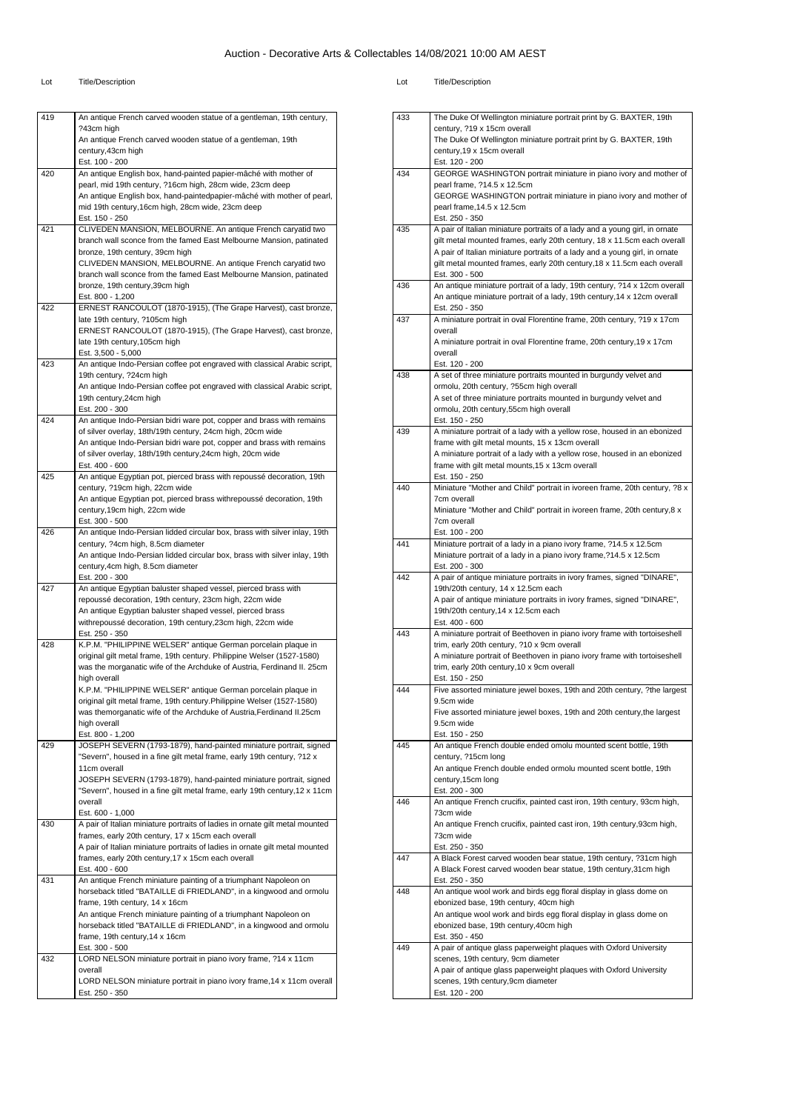| 419 | An antique French carved wooden statue of a gentleman, 19th century,                                                                   |
|-----|----------------------------------------------------------------------------------------------------------------------------------------|
|     | ?43cm high<br>An antique French carved wooden statue of a gentleman, 19th                                                              |
|     | century, 43cm high                                                                                                                     |
|     | Est. 100 - 200                                                                                                                         |
| 420 | An antique English box, hand-painted papier-mâché with mother of<br>pearl, mid 19th century, ?16cm high, 28cm wide, 23cm deep          |
|     | An antique English box, hand-paintedpapier-mâché with mother of pearl,                                                                 |
|     | mid 19th century, 16cm high, 28cm wide, 23cm deep                                                                                      |
|     | Est. 150 - 250                                                                                                                         |
| 421 | CLIVEDEN MANSION, MELBOURNE. An antique French caryatid two<br>branch wall sconce from the famed East Melbourne Mansion, patinated     |
|     | bronze, 19th century, 39cm high                                                                                                        |
|     | CLIVEDEN MANSION, MELBOURNE. An antique French caryatid two                                                                            |
|     | branch wall sconce from the famed East Melbourne Mansion, patinated<br>bronze, 19th century, 39cm high                                 |
|     | Est. 800 - 1,200                                                                                                                       |
| 422 | ERNEST RANCOULOT (1870-1915), (The Grape Harvest), cast bronze,                                                                        |
|     | late 19th century, ?105cm high                                                                                                         |
|     | ERNEST RANCOULOT (1870-1915), (The Grape Harvest), cast bronze,<br>late 19th century, 105cm high                                       |
|     | Est. 3,500 - 5,000                                                                                                                     |
| 423 | An antique Indo-Persian coffee pot engraved with classical Arabic script,                                                              |
|     | 19th century, ?24cm high<br>An antique Indo-Persian coffee pot engraved with classical Arabic script,                                  |
|     | 19th century, 24cm high                                                                                                                |
|     | Est. 200 - 300                                                                                                                         |
| 424 | An antique Indo-Persian bidri ware pot, copper and brass with remains                                                                  |
|     | of silver overlay, 18th/19th century, 24cm high, 20cm wide<br>An antique Indo-Persian bidri ware pot, copper and brass with remains    |
|     | of silver overlay, 18th/19th century, 24cm high, 20cm wide                                                                             |
|     | Est. 400 - 600                                                                                                                         |
| 425 | An antique Egyptian pot, pierced brass with repoussé decoration, 19th<br>century, ?19cm high, 22cm wide                                |
|     | An antique Egyptian pot, pierced brass withrepoussé decoration, 19th                                                                   |
|     | century, 19cm high, 22cm wide                                                                                                          |
| 426 | Est. 300 - 500<br>An antique Indo-Persian lidded circular box, brass with silver inlay, 19th                                           |
|     | century, ?4cm high, 8.5cm diameter                                                                                                     |
|     | An antique Indo-Persian lidded circular box, brass with silver inlay, 19th                                                             |
|     | century, 4cm high, 8.5cm diameter                                                                                                      |
| 427 | Est. 200 - 300<br>An antique Egyptian baluster shaped vessel, pierced brass with                                                       |
|     | repoussé decoration, 19th century, 23cm high, 22cm wide                                                                                |
|     | An antique Egyptian baluster shaped vessel, pierced brass                                                                              |
|     | withrepoussé decoration, 19th century, 23cm high, 22cm wide<br>Est. 250 - 350                                                          |
| 428 | K.P.M. "PHILIPPINE WELSER" antique German porcelain plaque in                                                                          |
|     | original gilt metal frame, 19th century. Philippine Welser (1527-1580)                                                                 |
|     | was the morganatic wife of the Archduke of Austria, Ferdinand II. 25cm<br>high overall                                                 |
|     | K.P.M. "PHILIPPINE WELSER" antique German porcelain plaque in                                                                          |
|     | original gilt metal frame, 19th century.Philippine Welser (1527-1580)                                                                  |
|     | was themorganatic wife of the Archduke of Austria, Ferdinand II.25cm<br>high overall                                                   |
|     | Est. 800 - 1,200                                                                                                                       |
| 429 | JOSEPH SEVERN (1793-1879), hand-painted miniature portrait, signed                                                                     |
|     | "Severn", housed in a fine gilt metal frame, early 19th century, ?12 x<br>11cm overall                                                 |
|     | JOSEPH SEVERN (1793-1879), hand-painted miniature portrait, signed                                                                     |
|     | "Severn", housed in a fine gilt metal frame, early 19th century, 12 x 11cm                                                             |
|     | overall                                                                                                                                |
| 430 | Est. 600 - 1,000<br>A pair of Italian miniature portraits of ladies in ornate gilt metal mounted                                       |
|     | frames, early 20th century, 17 x 15cm each overall                                                                                     |
|     | A pair of Italian miniature portraits of ladies in ornate gilt metal mounted                                                           |
|     | frames, early 20th century, 17 x 15cm each overall<br>Est. 400 - 600                                                                   |
| 431 | An antique French miniature painting of a triumphant Napoleon on                                                                       |
|     | horseback titled "BATAILLE di FRIEDLAND", in a kingwood and ormolu                                                                     |
|     | frame, 19th century, 14 x 16cm                                                                                                         |
|     | An antique French miniature painting of a triumphant Napoleon on<br>horseback titled "BATAILLE di FRIEDLAND", in a kingwood and ormolu |
|     | frame, 19th century, 14 x 16cm                                                                                                         |
|     | Est. 300 - 500                                                                                                                         |
| 432 | LORD NELSON miniature portrait in piano ivory frame, ?14 x 11cm<br>overall                                                             |
|     | LORD NELSON miniature portrait in piano ivory frame, 14 x 11cm overall                                                                 |
|     | Est. 250 - 350                                                                                                                         |
|     |                                                                                                                                        |

| 433 | The Duke Of Wellington miniature portrait print by G. BAXTER, 19th                                                                                     |
|-----|--------------------------------------------------------------------------------------------------------------------------------------------------------|
|     | century, ?19 x 15cm overall<br>The Duke Of Wellington miniature portrait print by G. BAXTER, 19th                                                      |
|     | century, 19 x 15cm overall                                                                                                                             |
|     | Est. 120 - 200                                                                                                                                         |
| 434 | GEORGE WASHINGTON portrait miniature in piano ivory and mother of                                                                                      |
|     | pearl frame, ?14.5 x 12.5cm<br>GEORGE WASHINGTON portrait miniature in piano ivory and mother of                                                       |
|     | pearl frame, 14.5 x 12.5cm                                                                                                                             |
|     | Est. 250 - 350                                                                                                                                         |
| 435 | A pair of Italian miniature portraits of a lady and a young girl, in ornate                                                                            |
|     | gilt metal mounted frames, early 20th century, 18 x 11.5cm each overall<br>A pair of Italian miniature portraits of a lady and a young girl, in ornate |
|     | gilt metal mounted frames, early 20th century, 18 x 11.5cm each overall                                                                                |
|     | Est. 300 - 500                                                                                                                                         |
| 436 | An antique miniature portrait of a lady, 19th century, ?14 x 12cm overall<br>An antique miniature portrait of a lady, 19th century, 14 x 12cm overall  |
|     | Est. 250 - 350                                                                                                                                         |
| 437 | A miniature portrait in oval Florentine frame, 20th century, ?19 x 17cm                                                                                |
|     | overall                                                                                                                                                |
|     | A miniature portrait in oval Florentine frame, 20th century, 19 x 17cm<br>overall                                                                      |
|     | Est. 120 - 200                                                                                                                                         |
| 438 | A set of three miniature portraits mounted in burgundy velvet and                                                                                      |
|     | ormolu, 20th century, ?55cm high overall<br>A set of three miniature portraits mounted in burgundy velvet and                                          |
|     | ormolu, 20th century, 55cm high overall                                                                                                                |
|     | Est. 150 - 250                                                                                                                                         |
| 439 | A miniature portrait of a lady with a yellow rose, housed in an ebonized                                                                               |
|     | frame with gilt metal mounts, 15 x 13cm overall<br>A miniature portrait of a lady with a yellow rose, housed in an ebonized                            |
|     | frame with gilt metal mounts, 15 x 13cm overall                                                                                                        |
|     | Est. 150 - 250                                                                                                                                         |
| 440 | Miniature "Mother and Child" portrait in ivoreen frame, 20th century, ?8 x                                                                             |
|     | 7cm overall<br>Miniature "Mother and Child" portrait in ivoreen frame, 20th century, 8 x                                                               |
|     | 7cm overall                                                                                                                                            |
|     | Est. 100 - 200                                                                                                                                         |
| 441 | Miniature portrait of a lady in a piano ivory frame, ?14.5 x 12.5cm<br>Miniature portrait of a lady in a piano ivory frame, ?14.5 x 12.5cm             |
|     | Est. 200 - 300                                                                                                                                         |
| 442 | A pair of antique miniature portraits in ivory frames, signed "DINARE",                                                                                |
|     | 19th/20th century, 14 x 12.5cm each<br>A pair of antique miniature portraits in ivory frames, signed "DINARE",                                         |
|     | 19th/20th century, 14 x 12.5cm each                                                                                                                    |
|     | Est. 400 - 600                                                                                                                                         |
| 443 | A miniature portrait of Beethoven in piano ivory frame with tortoiseshell                                                                              |
|     | trim, early 20th century, ?10 x 9cm overall<br>A miniature portrait of Beethoven in piano ivory frame with tortoiseshell                               |
|     | trim, early 20th century, 10 x 9cm overall                                                                                                             |
|     | Est. 150 - 250                                                                                                                                         |
| 444 | Five assorted miniature jewel boxes, 19th and 20th century, ?the largest<br>9.5cm wide                                                                 |
|     | Five assorted miniature jewel boxes, 19th and 20th century, the largest                                                                                |
|     | 9.5cm wide                                                                                                                                             |
| 445 | Est. 150 - 250<br>An antique French double ended omolu mounted scent bottle, 19th                                                                      |
|     | century, ?15cm long                                                                                                                                    |
|     | An antique French double ended ormolu mounted scent bottle, 19th                                                                                       |
|     | century, 15cm long                                                                                                                                     |
| 446 | Est. 200 - 300<br>An antique French crucifix, painted cast iron, 19th century, 93cm high,                                                              |
|     | 73cm wide                                                                                                                                              |
|     | An antique French crucifix, painted cast iron, 19th century, 93cm high,                                                                                |
|     | 73cm wide<br>Est. 250 - 350                                                                                                                            |
| 447 | A Black Forest carved wooden bear statue, 19th century, ?31cm high                                                                                     |
|     | A Black Forest carved wooden bear statue, 19th century, 31cm high                                                                                      |
| 448 | Est. 250 - 350<br>An antique wool work and birds egg floral display in glass dome on                                                                   |
|     | ebonized base, 19th century, 40cm high                                                                                                                 |
|     | An antique wool work and birds egg floral display in glass dome on                                                                                     |
|     | ebonized base, 19th century, 40cm high                                                                                                                 |
| 449 | Est. 350 - 450<br>A pair of antique glass paperweight plaques with Oxford University                                                                   |
|     | scenes, 19th century, 9cm diameter                                                                                                                     |
|     | A pair of antique glass paperweight plaques with Oxford University                                                                                     |
|     | scenes, 19th century, 9cm diameter                                                                                                                     |
|     | Est. 120 - 200                                                                                                                                         |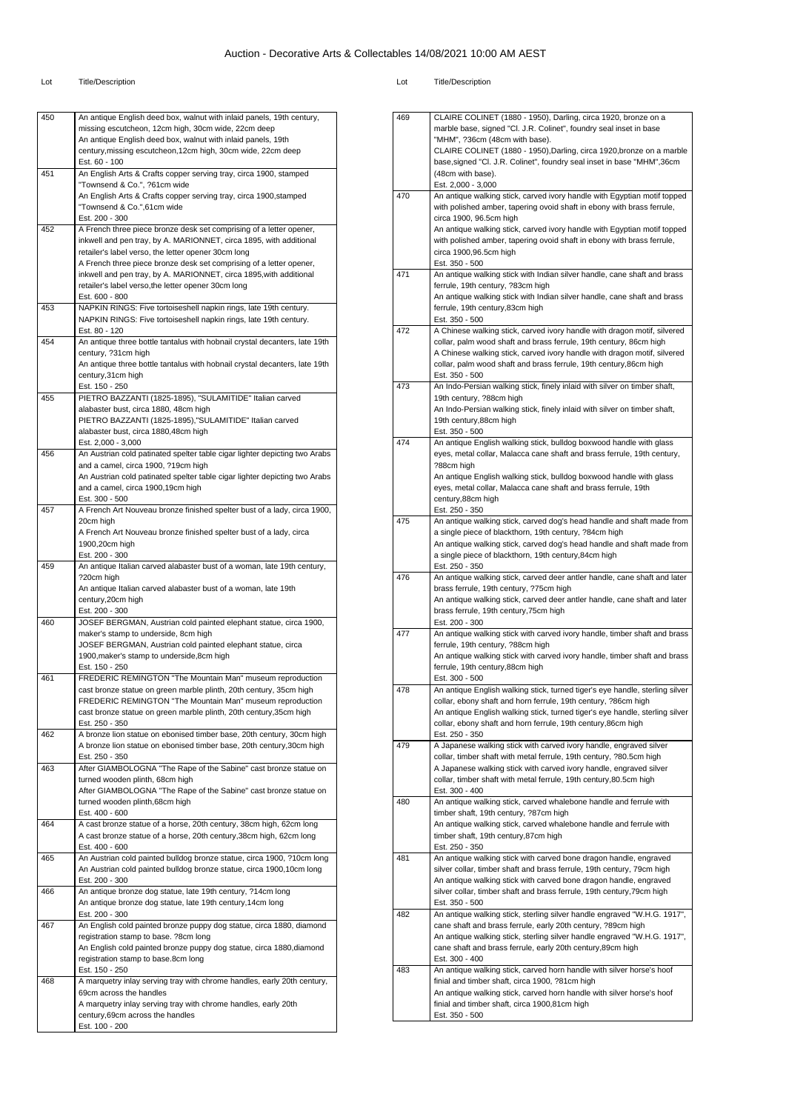#### Lot Title/Description Lot Title/Description

| 450 | An antique English deed box, walnut with inlaid panels, 19th century,                                                                  |
|-----|----------------------------------------------------------------------------------------------------------------------------------------|
|     | missing escutcheon, 12cm high, 30cm wide, 22cm deep                                                                                    |
|     | An antique English deed box, walnut with inlaid panels, 19th                                                                           |
|     | century, missing escutcheon, 12cm high, 30cm wide, 22cm deep                                                                           |
| 451 | Est. 60 - 100<br>An English Arts & Crafts copper serving tray, circa 1900, stamped                                                     |
|     | "Townsend & Co.", ?61cm wide                                                                                                           |
|     | An English Arts & Crafts copper serving tray, circa 1900, stamped                                                                      |
|     | "Townsend & Co.",61cm wide                                                                                                             |
|     | Est. 200 - 300                                                                                                                         |
| 452 | A French three piece bronze desk set comprising of a letter opener,                                                                    |
|     | inkwell and pen tray, by A. MARIONNET, circa 1895, with additional                                                                     |
|     | retailer's label verso, the letter opener 30cm long                                                                                    |
|     | A French three piece bronze desk set comprising of a letter opener,                                                                    |
|     | inkwell and pen tray, by A. MARIONNET, circa 1895, with additional                                                                     |
|     | retailer's label verso, the letter opener 30cm long                                                                                    |
|     | Est. 600 - 800                                                                                                                         |
| 453 | NAPKIN RINGS: Five tortoiseshell napkin rings, late 19th century.<br>NAPKIN RINGS: Five tortoiseshell napkin rings, late 19th century. |
|     | Est. 80 - 120                                                                                                                          |
| 454 | An antique three bottle tantalus with hobnail crystal decanters, late 19th                                                             |
|     | century, ?31cm high                                                                                                                    |
|     | An antique three bottle tantalus with hobnail crystal decanters, late 19th                                                             |
|     | century, 31cm high                                                                                                                     |
|     | Est. 150 - 250                                                                                                                         |
| 455 | PIETRO BAZZANTI (1825-1895), "SULAMITIDE" Italian carved                                                                               |
|     | alabaster bust, circa 1880, 48cm high                                                                                                  |
|     | PIETRO BAZZANTI (1825-1895), "SULAMITIDE" Italian carved                                                                               |
|     | alabaster bust, circa 1880,48cm high                                                                                                   |
|     | Est. 2,000 - 3,000                                                                                                                     |
| 456 | An Austrian cold patinated spelter table cigar lighter depicting two Arabs<br>and a camel, circa 1900, ?19cm high                      |
|     | An Austrian cold patinated spelter table cigar lighter depicting two Arabs                                                             |
|     | and a camel, circa 1900,19cm high                                                                                                      |
|     | Est. 300 - 500                                                                                                                         |
| 457 | A French Art Nouveau bronze finished spelter bust of a lady, circa 1900,                                                               |
|     | 20cm high                                                                                                                              |
|     | A French Art Nouveau bronze finished spelter bust of a lady, circa                                                                     |
|     | 1900,20cm high                                                                                                                         |
|     | Est. 200 - 300                                                                                                                         |
| 459 | An antique Italian carved alabaster bust of a woman, late 19th century,                                                                |
|     | ?20cm high                                                                                                                             |
|     | An antique Italian carved alabaster bust of a woman, late 19th                                                                         |
|     | century, 20cm high<br>Est. 200 - 300                                                                                                   |
| 460 | JOSEF BERGMAN, Austrian cold painted elephant statue, circa 1900,                                                                      |
|     | maker's stamp to underside, 8cm high                                                                                                   |
|     | JOSEF BERGMAN, Austrian cold painted elephant statue, circa                                                                            |
|     | 1900, maker's stamp to underside, 8cm high                                                                                             |
|     | Est. 150 - 250                                                                                                                         |
| 461 | FREDERIC REMINGTON "The Mountain Man" museum reproduction                                                                              |
|     | cast bronze statue on green marble plinth, 20th century, 35cm high                                                                     |
|     | FREDERIC REMINGTON "The Mountain Man" museum reproduction                                                                              |
|     | cast bronze statue on green marble plinth, 20th century, 35cm high                                                                     |
|     | Est. 250 - 350                                                                                                                         |
| 462 | A bronze lion statue on ebonised timber base, 20th century, 30cm high                                                                  |
|     | A bronze lion statue on ebonised timber base, 20th century, 30cm high<br>Est. 250 - 350                                                |
| 463 | After GIAMBOLOGNA "The Rape of the Sabine" cast bronze statue on                                                                       |
|     | turned wooden plinth, 68cm high                                                                                                        |
|     | After GIAMBOLOGNA "The Rape of the Sabine" cast bronze statue on                                                                       |
|     | turned wooden plinth, 68cm high                                                                                                        |
|     | Est. 400 - 600                                                                                                                         |
| 464 | A cast bronze statue of a horse, 20th century, 38cm high, 62cm long                                                                    |
|     | A cast bronze statue of a horse, 20th century, 38cm high, 62cm long                                                                    |
|     | Est. 400 - 600                                                                                                                         |
| 465 | An Austrian cold painted bulldog bronze statue, circa 1900, ?10cm long                                                                 |
|     | An Austrian cold painted bulldog bronze statue, circa 1900,10cm long                                                                   |
|     | Est. 200 - 300                                                                                                                         |
| 466 | An antique bronze dog statue, late 19th century, ?14cm long                                                                            |
|     | An antique bronze dog statue, late 19th century, 14cm long<br>Est. 200 - 300                                                           |
| 467 | An English cold painted bronze puppy dog statue, circa 1880, diamond                                                                   |
|     | registration stamp to base. ?8cm long                                                                                                  |
|     | An English cold painted bronze puppy dog statue, circa 1880, diamond                                                                   |
|     | registration stamp to base.8cm long                                                                                                    |
|     | Est. 150 - 250                                                                                                                         |
| 468 | A marquetry inlay serving tray with chrome handles, early 20th century,                                                                |
|     | 69cm across the handles                                                                                                                |
|     | A marquetry inlay serving tray with chrome handles, early 20th                                                                         |
|     | century, 69cm across the handles                                                                                                       |
|     | Est. 100 - 200                                                                                                                         |
|     |                                                                                                                                        |

| 469 | CLAIRE COLINET (1880 - 1950), Darling, circa 1920, bronze on a                                                                            |
|-----|-------------------------------------------------------------------------------------------------------------------------------------------|
|     | marble base, signed "CI. J.R. Colinet", foundry seal inset in base<br>"MHM", ?36cm (48cm with base).                                      |
|     | CLAIRE COLINET (1880 - 1950), Darling, circa 1920, bronze on a marble                                                                     |
|     | base, signed "Cl. J.R. Colinet", foundry seal inset in base "MHM", 36cm                                                                   |
|     | (48cm with base).                                                                                                                         |
|     | Est. 2,000 - 3,000                                                                                                                        |
| 470 | An antique walking stick, carved ivory handle with Egyptian motif topped                                                                  |
|     | with polished amber, tapering ovoid shaft in ebony with brass ferrule,                                                                    |
|     | circa 1900, 96.5cm high<br>An antique walking stick, carved ivory handle with Egyptian motif topped                                       |
|     | with polished amber, tapering ovoid shaft in ebony with brass ferrule,                                                                    |
|     | circa 1900,96.5cm high                                                                                                                    |
|     | Est. 350 - 500                                                                                                                            |
| 471 | An antique walking stick with Indian silver handle, cane shaft and brass                                                                  |
|     | ferrule, 19th century, ?83cm high                                                                                                         |
|     | An antique walking stick with Indian silver handle, cane shaft and brass                                                                  |
|     | ferrule, 19th century,83cm high<br>Est. 350 - 500                                                                                         |
| 472 | A Chinese walking stick, carved ivory handle with dragon motif, silvered                                                                  |
|     | collar, palm wood shaft and brass ferrule, 19th century, 86cm high                                                                        |
|     | A Chinese walking stick, carved ivory handle with dragon motif, silvered                                                                  |
|     | collar, palm wood shaft and brass ferrule, 19th century, 86cm high                                                                        |
| 473 | Est. 350 - 500<br>An Indo-Persian walking stick, finely inlaid with silver on timber shaft,                                               |
|     | 19th century, ?88cm high                                                                                                                  |
|     | An Indo-Persian walking stick, finely inlaid with silver on timber shaft,                                                                 |
|     | 19th century, 88cm high                                                                                                                   |
|     | Est. 350 - 500                                                                                                                            |
| 474 | An antique English walking stick, bulldog boxwood handle with glass                                                                       |
|     | eyes, metal collar, Malacca cane shaft and brass ferrule, 19th century,<br>?88cm high                                                     |
|     | An antique English walking stick, bulldog boxwood handle with glass                                                                       |
|     | eyes, metal collar, Malacca cane shaft and brass ferrule, 19th                                                                            |
|     | century,88cm high                                                                                                                         |
|     | Est. 250 - 350                                                                                                                            |
| 475 | An antique walking stick, carved dog's head handle and shaft made from                                                                    |
|     | a single piece of blackthorn, 19th century, ?84cm high<br>An antique walking stick, carved dog's head handle and shaft made from          |
|     | a single piece of blackthorn, 19th century,84cm high                                                                                      |
|     | Est. 250 - 350                                                                                                                            |
| 476 | An antique walking stick, carved deer antler handle, cane shaft and later                                                                 |
|     | brass ferrule, 19th century, ?75cm high                                                                                                   |
|     | An antique walking stick, carved deer antler handle, cane shaft and later<br>brass ferrule, 19th century, 75cm high                       |
|     | Est. 200 - 300                                                                                                                            |
| 477 | An antique walking stick with carved ivory handle, timber shaft and brass                                                                 |
|     | ferrule, 19th century, ?88cm high                                                                                                         |
|     | An antique walking stick with carved ivory handle, timber shaft and brass                                                                 |
|     | ferrule, 19th century, 88cm high                                                                                                          |
| 478 | Est. 300 - 500<br>An antique English walking stick, turned tiger's eye handle, sterling silver                                            |
|     | collar, ebony shaft and horn ferrule, 19th century, ?86cm high                                                                            |
|     | An antique English walking stick, turned tiger's eye handle, sterling silver                                                              |
|     | collar, ebony shaft and horn ferrule, 19th century, 86cm high                                                                             |
|     | Est. 250 - 350                                                                                                                            |
| 479 | A Japanese walking stick with carved ivory handle, engraved silver<br>collar, timber shaft with metal ferrule, 19th century, ?80.5cm high |
|     | A Japanese walking stick with carved ivory handle, engraved silver                                                                        |
|     |                                                                                                                                           |
|     | collar, timber shaft with metal ferrule, 19th century, 80.5cm high                                                                        |
|     | Est. 300 - 400                                                                                                                            |
| 480 | An antique walking stick, carved whalebone handle and ferrule with                                                                        |
|     | timber shaft, 19th century, ?87cm high                                                                                                    |
|     | An antique walking stick, carved whalebone handle and ferrule with                                                                        |
|     | timber shaft, 19th century,87cm high<br>Est. 250 - 350                                                                                    |
| 481 | An antique walking stick with carved bone dragon handle, engraved                                                                         |
|     | silver collar, timber shaft and brass ferrule, 19th century, 79cm high                                                                    |
|     | An antique walking stick with carved bone dragon handle, engraved                                                                         |
|     | silver collar, timber shaft and brass ferrule, 19th century, 79cm high                                                                    |
| 482 | Est. 350 - 500<br>An antique walking stick, sterling silver handle engraved "W.H.G. 1917",                                                |
|     | cane shaft and brass ferrule, early 20th century, ?89cm high                                                                              |
|     | An antique walking stick, sterling silver handle engraved "W.H.G. 1917",                                                                  |
|     | cane shaft and brass ferrule, early 20th century, 89cm high                                                                               |
|     | Est. 300 - 400                                                                                                                            |
| 483 | An antique walking stick, carved horn handle with silver horse's hoof                                                                     |
|     | finial and timber shaft, circa 1900, ?81cm high<br>An antique walking stick, carved horn handle with silver horse's hoof                  |
|     | finial and timber shaft, circa 1900,81cm high                                                                                             |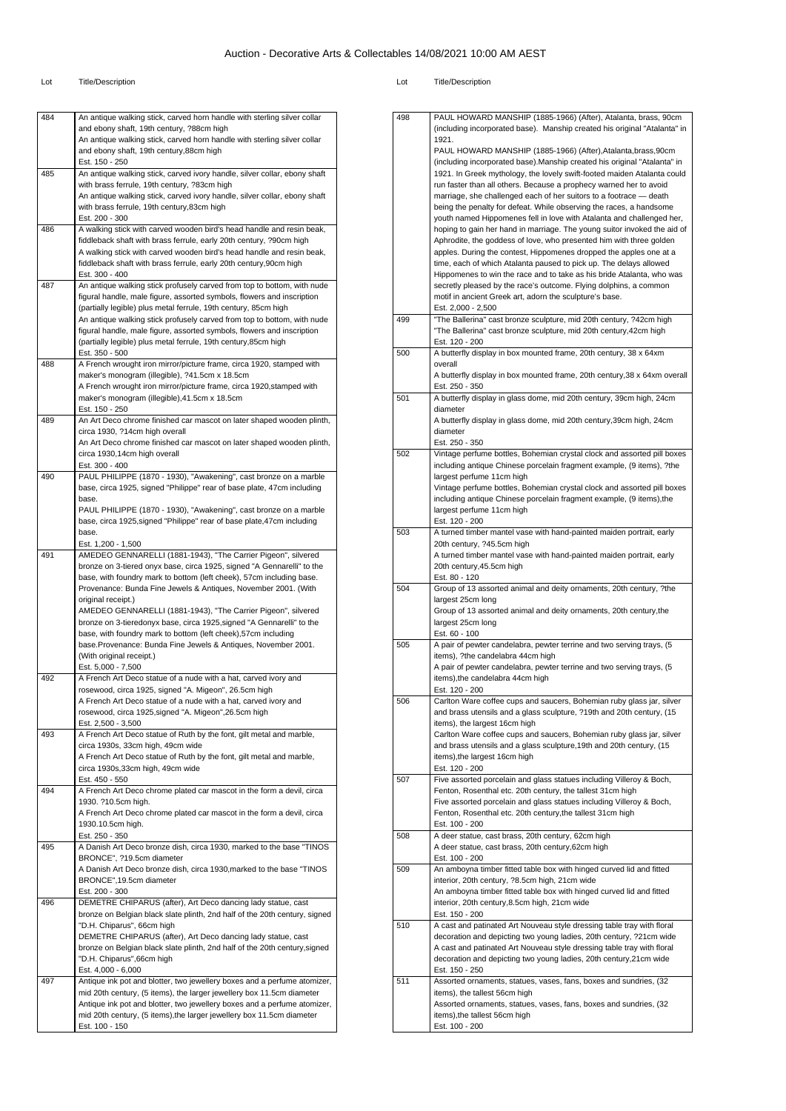| 484 | An antique walking stick, carved horn handle with sterling silver collar                                                                          |
|-----|---------------------------------------------------------------------------------------------------------------------------------------------------|
|     | and ebony shaft, 19th century, ?88cm high                                                                                                         |
|     | An antique walking stick, carved horn handle with sterling silver collar                                                                          |
|     | and ebony shaft, 19th century, 88cm high                                                                                                          |
|     | Est. 150 - 250                                                                                                                                    |
| 485 | An antique walking stick, carved ivory handle, silver collar, ebony shaft                                                                         |
|     | with brass ferrule, 19th century, ?83cm high<br>An antique walking stick, carved ivory handle, silver collar, ebony shaft                         |
|     | with brass ferrule, 19th century, 83cm high                                                                                                       |
|     | Est. 200 - 300                                                                                                                                    |
| 486 | A walking stick with carved wooden bird's head handle and resin beak,                                                                             |
|     | fiddleback shaft with brass ferrule, early 20th century, ?90cm high                                                                               |
|     | A walking stick with carved wooden bird's head handle and resin beak,                                                                             |
|     | fiddleback shaft with brass ferrule, early 20th century, 90cm high                                                                                |
|     | Est. 300 - 400                                                                                                                                    |
| 487 | An antique walking stick profusely carved from top to bottom, with nude                                                                           |
|     | figural handle, male figure, assorted symbols, flowers and inscription                                                                            |
|     | (partially legible) plus metal ferrule, 19th century, 85cm high                                                                                   |
|     | An antique walking stick profusely carved from top to bottom, with nude                                                                           |
|     | figural handle, male figure, assorted symbols, flowers and inscription<br>(partially legible) plus metal ferrule, 19th century,85cm high          |
|     | Est. 350 - 500                                                                                                                                    |
| 488 | A French wrought iron mirror/picture frame, circa 1920, stamped with                                                                              |
|     | maker's monogram (illegible), ?41.5cm x 18.5cm                                                                                                    |
|     | A French wrought iron mirror/picture frame, circa 1920, stamped with                                                                              |
|     | maker's monogram (illegible), 41.5cm x 18.5cm                                                                                                     |
|     | Est. 150 - 250                                                                                                                                    |
| 489 | An Art Deco chrome finished car mascot on later shaped wooden plinth,                                                                             |
|     | circa 1930, ?14cm high overall                                                                                                                    |
|     | An Art Deco chrome finished car mascot on later shaped wooden plinth,                                                                             |
|     | circa 1930,14cm high overall                                                                                                                      |
| 490 | Est. 300 - 400                                                                                                                                    |
|     | PAUL PHILIPPE (1870 - 1930), "Awakening", cast bronze on a marble<br>base, circa 1925, signed "Philippe" rear of base plate, 47cm including       |
|     | base.                                                                                                                                             |
|     | PAUL PHILIPPE (1870 - 1930), "Awakening", cast bronze on a marble                                                                                 |
|     | base, circa 1925, signed "Philippe" rear of base plate, 47cm including                                                                            |
|     | base.                                                                                                                                             |
|     | Est. 1,200 - 1,500                                                                                                                                |
| 491 | AMEDEO GENNARELLI (1881-1943), "The Carrier Pigeon", silvered                                                                                     |
|     | bronze on 3-tiered onyx base, circa 1925, signed "A Gennarelli" to the                                                                            |
|     | base, with foundry mark to bottom (left cheek), 57cm including base.                                                                              |
|     | Provenance: Bunda Fine Jewels & Antiques, November 2001. (With                                                                                    |
|     | original receipt.)                                                                                                                                |
|     | AMEDEO GENNARELLI (1881-1943), "The Carrier Pigeon", silvered<br>bronze on 3-tieredonyx base, circa 1925, signed "A Gennarelli" to the            |
|     | base, with foundry mark to bottom (left cheek), 57cm including                                                                                    |
|     | base.Provenance: Bunda Fine Jewels & Antiques, November 2001.                                                                                     |
|     | (With original receipt.)                                                                                                                          |
|     | Est. 5,000 - 7,500                                                                                                                                |
| 492 | A French Art Deco statue of a nude with a hat, carved ivory and                                                                                   |
|     | rosewood, circa 1925, signed "A. Migeon", 26.5cm high                                                                                             |
|     | A French Art Deco statue of a nude with a hat, carved ivory and                                                                                   |
|     | rosewood, circa 1925, signed "A. Migeon", 26.5cm high                                                                                             |
|     | Est. 2,500 - 3,500                                                                                                                                |
| 493 | A French Art Deco statue of Ruth by the font, gilt metal and marble,                                                                              |
|     | circa 1930s, 33cm high, 49cm wide                                                                                                                 |
|     | A French Art Deco statue of Ruth by the font, gilt metal and marble,                                                                              |
|     | circa 1930s, 33cm high, 49cm wide<br>Est. 450 - 550                                                                                               |
| 494 | A French Art Deco chrome plated car mascot in the form a devil, circa                                                                             |
|     |                                                                                                                                                   |
|     |                                                                                                                                                   |
|     | 1930. ?10.5cm high.                                                                                                                               |
|     | A French Art Deco chrome plated car mascot in the form a devil, circa<br>1930.10.5cm high.                                                        |
|     | Est. 250 - 350                                                                                                                                    |
| 495 | A Danish Art Deco bronze dish, circa 1930, marked to the base "TINOS                                                                              |
|     | BRONCE", ?19.5cm diameter                                                                                                                         |
|     | A Danish Art Deco bronze dish, circa 1930, marked to the base "TINOS                                                                              |
|     | BRONCE", 19.5cm diameter                                                                                                                          |
|     | Est. 200 - 300                                                                                                                                    |
| 496 | DEMETRE CHIPARUS (after), Art Deco dancing lady statue, cast                                                                                      |
|     | bronze on Belgian black slate plinth, 2nd half of the 20th century, signed                                                                        |
|     | "D.H. Chiparus", 66cm high                                                                                                                        |
|     | DEMETRE CHIPARUS (after), Art Deco dancing lady statue, cast                                                                                      |
|     | bronze on Belgian black slate plinth, 2nd half of the 20th century, signed                                                                        |
|     | "D.H. Chiparus",66cm high                                                                                                                         |
|     | Est. 4,000 - 6,000                                                                                                                                |
| 497 | Antique ink pot and blotter, two jewellery boxes and a perfume atomizer,                                                                          |
|     | mid 20th century, (5 items), the larger jewellery box 11.5cm diameter<br>Antique ink pot and blotter, two jewellery boxes and a perfume atomizer, |
|     | mid 20th century, (5 items), the larger jewellery box 11.5cm diameter                                                                             |

| 498 |                                                                                                                                             |
|-----|---------------------------------------------------------------------------------------------------------------------------------------------|
|     | PAUL HOWARD MANSHIP (1885-1966) (After), Atalanta, brass, 90cm<br>(including incorporated base). Manship created his original "Atalanta" in |
|     | 1921.                                                                                                                                       |
|     | PAUL HOWARD MANSHIP (1885-1966) (After), Atalanta, brass, 90cm                                                                              |
|     | (including incorporated base). Manship created his original "Atalanta" in                                                                   |
|     | 1921. In Greek mythology, the lovely swift-footed maiden Atalanta could                                                                     |
|     | run faster than all others. Because a prophecy warned her to avoid                                                                          |
|     | marriage, she challenged each of her suitors to a footrace - death                                                                          |
|     | being the penalty for defeat. While observing the races, a handsome                                                                         |
|     | youth named Hippomenes fell in love with Atalanta and challenged her,                                                                       |
|     | hoping to gain her hand in marriage. The young suitor invoked the aid of                                                                    |
|     | Aphrodite, the goddess of love, who presented him with three golden                                                                         |
|     | apples. During the contest, Hippomenes dropped the apples one at a<br>time, each of which Atalanta paused to pick up. The delays allowed    |
|     | Hippomenes to win the race and to take as his bride Atalanta, who was                                                                       |
|     | secretly pleased by the race's outcome. Flying dolphins, a common                                                                           |
|     | motif in ancient Greek art, adorn the sculpture's base.                                                                                     |
|     | Est. 2,000 - 2,500                                                                                                                          |
| 499 | "The Ballerina" cast bronze sculpture, mid 20th century, ?42cm high                                                                         |
|     | "The Ballerina" cast bronze sculpture, mid 20th century, 42cm high                                                                          |
|     | Est. 120 - 200                                                                                                                              |
| 500 | A butterfly display in box mounted frame, 20th century, 38 x 64xm                                                                           |
|     | overall                                                                                                                                     |
|     | A butterfly display in box mounted frame, 20th century, 38 x 64xm overall                                                                   |
|     | Est. 250 - 350                                                                                                                              |
| 501 | A butterfly display in glass dome, mid 20th century, 39cm high, 24cm<br>diameter                                                            |
|     | A butterfly display in glass dome, mid 20th century, 39cm high, 24cm                                                                        |
|     | diameter                                                                                                                                    |
|     | Est. 250 - 350                                                                                                                              |
| 502 | Vintage perfume bottles, Bohemian crystal clock and assorted pill boxes                                                                     |
|     | including antique Chinese porcelain fragment example, (9 items), ?the                                                                       |
|     | largest perfume 11cm high                                                                                                                   |
|     | Vintage perfume bottles, Bohemian crystal clock and assorted pill boxes                                                                     |
|     | including antique Chinese porcelain fragment example, (9 items), the                                                                        |
|     | largest perfume 11cm high                                                                                                                   |
|     | Est. 120 - 200                                                                                                                              |
| 503 | A turned timber mantel vase with hand-painted maiden portrait, early                                                                        |
|     | 20th century, ?45.5cm high                                                                                                                  |
|     | A turned timber mantel vase with hand-painted maiden portrait, early                                                                        |
|     | 20th century, 45.5cm high<br>Est. 80 - 120                                                                                                  |
| 504 | Group of 13 assorted animal and deity ornaments, 20th century, ?the                                                                         |
|     | largest 25cm long                                                                                                                           |
|     | Group of 13 assorted animal and deity ornaments, 20th century, the                                                                          |
|     | largest 25cm long                                                                                                                           |
|     | Est. 60 - 100                                                                                                                               |
| 505 | A pair of pewter candelabra, pewter terrine and two serving trays, (5                                                                       |
|     | items), ?the candelabra 44cm high                                                                                                           |
|     | A pair of pewter candelabra, pewter terrine and two serving trays, (5                                                                       |
|     | items), the candelabra 44cm high                                                                                                            |
|     | Est. 120 - 200                                                                                                                              |
| 506 | Cariton ware coffee cups and saucers, Bohemian ruby glass jar, silver                                                                       |
|     | and brass utensils and a glass sculpture, ?19th and 20th century, (15<br>items), the largest 16cm high                                      |
|     | Carlton Ware coffee cups and saucers, Bohemian ruby glass jar, silver                                                                       |
|     | and brass utensils and a glass sculpture, 19th and 20th century, (15                                                                        |
|     | items), the largest 16cm high                                                                                                               |
|     | Est. 120 - 200                                                                                                                              |
| 507 |                                                                                                                                             |
|     | Five assorted porcelain and glass statues including Villeroy & Boch,                                                                        |
|     | Fenton, Rosenthal etc. 20th century, the tallest 31cm high                                                                                  |
|     | Five assorted porcelain and glass statues including Villeroy & Boch,                                                                        |
|     | Fenton, Rosenthal etc. 20th century, the tallest 31cm high                                                                                  |
|     | Est. 100 - 200                                                                                                                              |
| 508 | A deer statue, cast brass, 20th century, 62cm high                                                                                          |
|     | A deer statue, cast brass, 20th century, 62cm high                                                                                          |
|     | Est. 100 - 200                                                                                                                              |
| 509 | An amboyna timber fitted table box with hinged curved lid and fitted                                                                        |
|     | interior, 20th century, ?8.5cm high, 21cm wide                                                                                              |
|     | An amboyna timber fitted table box with hinged curved lid and fitted<br>interior, 20th century, 8.5cm high, 21cm wide                       |
|     | Est. 150 - 200                                                                                                                              |
| 510 | A cast and patinated Art Nouveau style dressing table tray with floral                                                                      |
|     | decoration and depicting two young ladies, 20th century, ?21cm wide                                                                         |
|     | A cast and patinated Art Nouveau style dressing table tray with floral                                                                      |
|     | decoration and depicting two young ladies, 20th century, 21cm wide                                                                          |
|     | Est. 150 - 250                                                                                                                              |
| 511 | Assorted ornaments, statues, vases, fans, boxes and sundries, (32                                                                           |
|     | items), the tallest 56cm high                                                                                                               |
|     | Assorted ornaments, statues, vases, fans, boxes and sundries, (32                                                                           |
|     | items), the tallest 56cm high<br>Est. 100 - 200                                                                                             |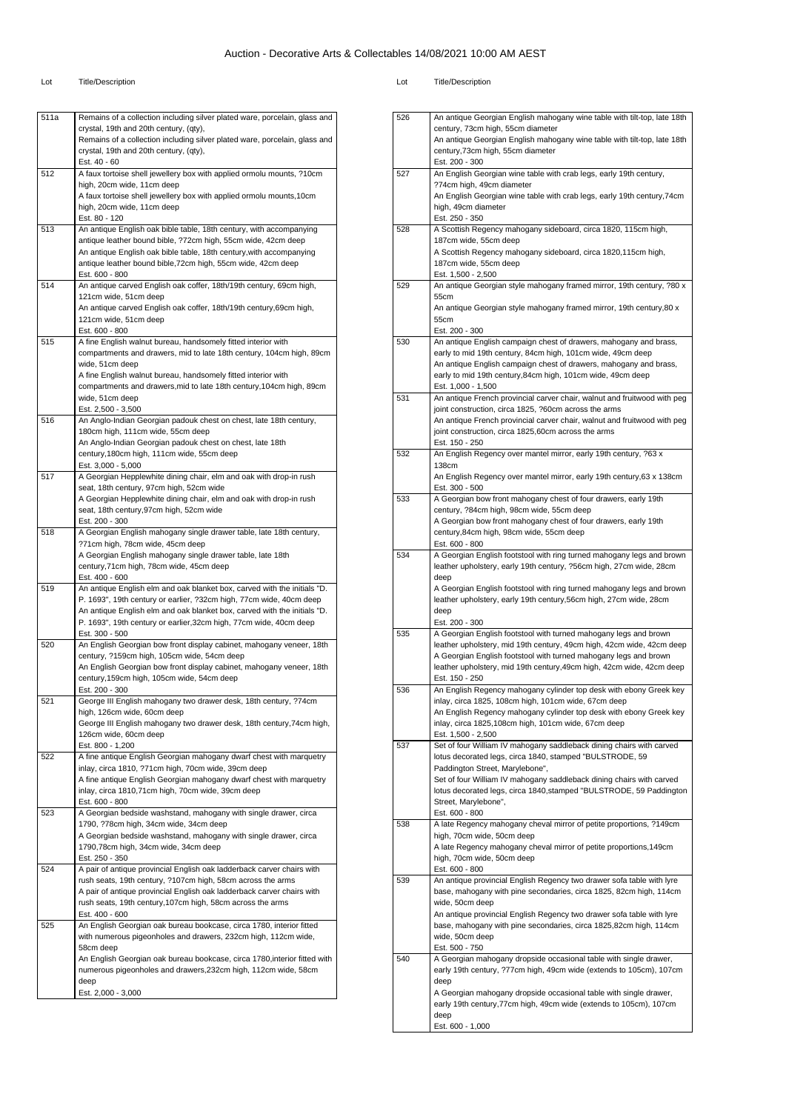#### Lot Title/Description Lot Title/Description

deep Est. 2,000 - 3,000

| 511a | Remains of a collection including silver plated ware, porcelain, glass and<br>crystal, 19th and 20th century, (qty),       |
|------|----------------------------------------------------------------------------------------------------------------------------|
|      | Remains of a collection including silver plated ware, porcelain, glass and<br>crystal, 19th and 20th century, (qty),       |
| 512  | Est. 40 - 60                                                                                                               |
|      | A faux tortoise shell jewellery box with applied ormolu mounts, ?10cm<br>high, 20cm wide, 11cm deep                        |
|      | A faux tortoise shell jewellery box with applied ormolu mounts, 10cm                                                       |
|      | high, 20cm wide, 11cm deep                                                                                                 |
|      | Est. 80 - 120                                                                                                              |
| 513  | An antique English oak bible table, 18th century, with accompanying                                                        |
|      | antique leather bound bible, ?72cm high, 55cm wide, 42cm deep                                                              |
|      | An antique English oak bible table, 18th century,with accompanying                                                         |
|      | antique leather bound bible, 72cm high, 55cm wide, 42cm deep                                                               |
| 514  | Est. 600 - 800<br>An antique carved English oak coffer, 18th/19th century, 69cm high,                                      |
|      | 121cm wide, 51cm deep                                                                                                      |
|      | An antique carved English oak coffer, 18th/19th century, 69cm high,                                                        |
|      | 121cm wide, 51cm deep                                                                                                      |
|      | Est. 600 - 800                                                                                                             |
| 515  | A fine English walnut bureau, handsomely fitted interior with                                                              |
|      | compartments and drawers, mid to late 18th century, 104cm high, 89cm                                                       |
|      | wide, 51cm deep                                                                                                            |
|      | A fine English walnut bureau, handsomely fitted interior with                                                              |
|      | compartments and drawers, mid to late 18th century, 104cm high, 89cm                                                       |
|      | wide, 51cm deep                                                                                                            |
| 516  | Est. 2,500 - 3,500<br>An Anglo-Indian Georgian padouk chest on chest, late 18th century,                                   |
|      | 180cm high, 111cm wide, 55cm deep                                                                                          |
|      | An Anglo-Indian Georgian padouk chest on chest, late 18th                                                                  |
|      | century, 180cm high, 111cm wide, 55cm deep                                                                                 |
|      | Est. 3,000 - 5,000                                                                                                         |
| 517  | A Georgian Hepplewhite dining chair, elm and oak with drop-in rush                                                         |
|      | seat, 18th century, 97cm high, 52cm wide                                                                                   |
|      | A Georgian Hepplewhite dining chair, elm and oak with drop-in rush                                                         |
|      | seat, 18th century, 97cm high, 52cm wide                                                                                   |
| 518  | Est. 200 - 300<br>A Georgian English mahogany single drawer table, late 18th century,                                      |
|      | ?71cm high, 78cm wide, 45cm deep                                                                                           |
|      | A Georgian English mahogany single drawer table, late 18th                                                                 |
|      | century, 71cm high, 78cm wide, 45cm deep                                                                                   |
|      | Est. 400 - 600                                                                                                             |
| 519  | An antique English elm and oak blanket box, carved with the initials "D.                                                   |
|      | P. 1693", 19th century or earlier, ?32cm high, 77cm wide, 40cm deep                                                        |
|      | An antique English elm and oak blanket box, carved with the initials "D.                                                   |
|      | P. 1693", 19th century or earlier, 32cm high, 77cm wide, 40cm deep                                                         |
| 520  | Est. 300 - 500                                                                                                             |
|      | An English Georgian bow front display cabinet, mahogany veneer, 18th<br>century, ?159cm high, 105cm wide, 54cm deep        |
|      | An English Georgian bow front display cabinet, mahogany veneer, 18th                                                       |
|      | century, 159cm high, 105cm wide, 54cm deep                                                                                 |
|      | Est. 200 - 300                                                                                                             |
| 521  | George III English mahogany two drawer desk, 18th century, ?74cm                                                           |
|      | high, 126cm wide, 60cm deep                                                                                                |
|      | George III English mahogany two drawer desk, 18th century, 74cm high,                                                      |
|      | 126cm wide, 60cm deep                                                                                                      |
|      | Est. 800 - 1,200                                                                                                           |
| 522  | A fine antique English Georgian mahogany dwarf chest with marquetry                                                        |
|      | inlay, circa 1810, ?71cm high, 70cm wide, 39cm deep<br>A fine antique English Georgian mahogany dwarf chest with marquetry |
|      | inlay, circa 1810,71cm high, 70cm wide, 39cm deep                                                                          |
|      | Est. 600 - 800                                                                                                             |
| 523  | A Georgian bedside washstand, mahogany with single drawer, circa                                                           |
|      | 1790, ?78cm high, 34cm wide, 34cm deep                                                                                     |
|      | A Georgian bedside washstand, mahogany with single drawer, circa                                                           |
|      | 1790,78cm high, 34cm wide, 34cm deep                                                                                       |
|      | Est. 250 - 350                                                                                                             |
| 524  | A pair of antique provincial English oak ladderback carver chairs with                                                     |
|      | rush seats, 19th century, ?107cm high, 58cm across the arms                                                                |
|      | A pair of antique provincial English oak ladderback carver chairs with                                                     |
|      | rush seats, 19th century, 107cm high, 58cm across the arms                                                                 |
| 525  | Est. 400 - 600<br>An English Georgian oak bureau bookcase, circa 1780, interior fitted                                     |
|      | with numerous pigeonholes and drawers, 232cm high, 112cm wide,                                                             |
|      | 58cm deep                                                                                                                  |
|      | An English Georgian oak bureau bookcase, circa 1780, interior fitted with                                                  |
|      | numerous pigeonholes and drawers, 232cm high, 112cm wide, 58cm                                                             |
|      |                                                                                                                            |

| -ot | <b>Title/Description</b> |
|-----|--------------------------|
|     |                          |

| 526 | An antique Georgian English mahogany wine table with tilt-top, late 18th                       |
|-----|------------------------------------------------------------------------------------------------|
|     | century, 73cm high, 55cm diameter                                                              |
|     | An antique Georgian English mahogany wine table with tilt-top, late 18th                       |
|     | century, 73cm high, 55cm diameter                                                              |
|     | Est. 200 - 300                                                                                 |
| 527 | An English Georgian wine table with crab legs, early 19th century,                             |
|     | ?74cm high, 49cm diameter                                                                      |
|     | An English Georgian wine table with crab legs, early 19th century, 74cm                        |
|     | high, 49cm diameter                                                                            |
|     | Est. 250 - 350                                                                                 |
| 528 | A Scottish Regency mahogany sideboard, circa 1820, 115cm high,                                 |
|     | 187cm wide, 55cm deep                                                                          |
|     | A Scottish Regency mahogany sideboard, circa 1820,115cm high,                                  |
|     | 187cm wide, 55cm deep                                                                          |
| 529 | Est. 1,500 - 2,500                                                                             |
|     | An antique Georgian style mahogany framed mirror, 19th century, ?80 x<br>55cm                  |
|     |                                                                                                |
|     | An antique Georgian style mahogany framed mirror, 19th century, 80 x<br>55cm                   |
|     | Est. 200 - 300                                                                                 |
| 530 | An antique English campaign chest of drawers, mahogany and brass,                              |
|     | early to mid 19th century, 84cm high, 101cm wide, 49cm deep                                    |
|     | An antique English campaign chest of drawers, mahogany and brass,                              |
|     | early to mid 19th century, 84cm high, 101cm wide, 49cm deep                                    |
|     |                                                                                                |
| 531 | Est. 1,000 - 1,500<br>An antique French provincial carver chair, walnut and fruitwood with peg |
|     | joint construction, circa 1825, ?60cm across the arms                                          |
|     | An antique French provincial carver chair, walnut and fruitwood with peg                       |
|     | joint construction, circa 1825,60cm across the arms                                            |
|     | Est. 150 - 250                                                                                 |
| 532 | An English Regency over mantel mirror, early 19th century, ?63 x                               |
|     | 138cm                                                                                          |
|     | An English Regency over mantel mirror, early 19th century, 63 x 138cm                          |
|     | Est. 300 - 500                                                                                 |
| 533 | A Georgian bow front mahogany chest of four drawers, early 19th                                |
|     | century, ?84cm high, 98cm wide, 55cm deep                                                      |
|     | A Georgian bow front mahogany chest of four drawers, early 19th                                |
|     | century, 84cm high, 98cm wide, 55cm deep                                                       |
|     | Est. 600 - 800                                                                                 |
| 534 | A Georgian English footstool with ring turned mahogany legs and brown                          |
|     | leather upholstery, early 19th century, ?56cm high, 27cm wide, 28cm                            |
|     | deep                                                                                           |
|     | A Georgian English footstool with ring turned mahogany legs and brown                          |
|     | leather upholstery, early 19th century, 56cm high, 27cm wide, 28cm                             |
|     | deep                                                                                           |
|     | Est. 200 - 300                                                                                 |
| 535 | A Georgian English footstool with turned mahogany legs and brown                               |
|     | leather upholstery, mid 19th century, 49cm high, 42cm wide, 42cm deep                          |
|     | A Georgian English footstool with turned mahogany legs and brown                               |
|     | leather upholstery, mid 19th century, 49cm high, 42cm wide, 42cm deep                          |
|     | Est. 150 - 250                                                                                 |
| 536 | An English Regency mahogany cylinder top desk with ebony Greek key                             |
|     | inlay, circa 1825, 108cm high, 101cm wide, 67cm deep                                           |
|     | An English Regency mahogany cylinder top desk with ebony Greek key                             |
|     | inlay, circa 1825,108cm high, 101cm wide, 67cm deep                                            |
|     | Est. 1,500 - 2,500                                                                             |
| 537 | Set of four William IV mahogany saddleback dining chairs with carved                           |
|     | lotus decorated legs, circa 1840, stamped "BULSTRODE, 59                                       |
|     | Paddington Street, Marylebone",                                                                |
|     | Set of four William IV mahogany saddleback dining chairs with carved                           |
|     | lotus decorated legs, circa 1840, stamped "BULSTRODE, 59 Paddington                            |
|     | Street, Marylebone",                                                                           |
|     | Est. 600 - 800                                                                                 |
| 538 | A late Regency mahogany cheval mirror of petite proportions, ?149cm                            |
|     | high, 70cm wide, 50cm deep                                                                     |
|     | A late Regency mahogany cheval mirror of petite proportions, 149cm                             |
|     | high, 70cm wide, 50cm deep                                                                     |
|     | Est. 600 - 800                                                                                 |
| 539 | An antique provincial English Regency two drawer sofa table with lyre                          |
|     | base, mahogany with pine secondaries, circa 1825, 82cm high, 114cm                             |
|     | wide, 50cm deep                                                                                |
|     | An antique provincial English Regency two drawer sofa table with lyre                          |
|     | base, mahogany with pine secondaries, circa 1825,82cm high, 114cm                              |
|     | wide, 50cm deep                                                                                |
|     | Est. 500 - 750                                                                                 |
| 540 | A Georgian mahogany dropside occasional table with single drawer,                              |
|     | early 19th century, ?77cm high, 49cm wide (extends to 105cm), 107cm                            |
|     | deep                                                                                           |
|     | A Georgian mahogany dropside occasional table with single drawer,                              |
|     | early 19th century, 77cm high, 49cm wide (extends to 105cm), 107cm                             |
|     | deep<br>Est. 600 - 1,000                                                                       |
|     |                                                                                                |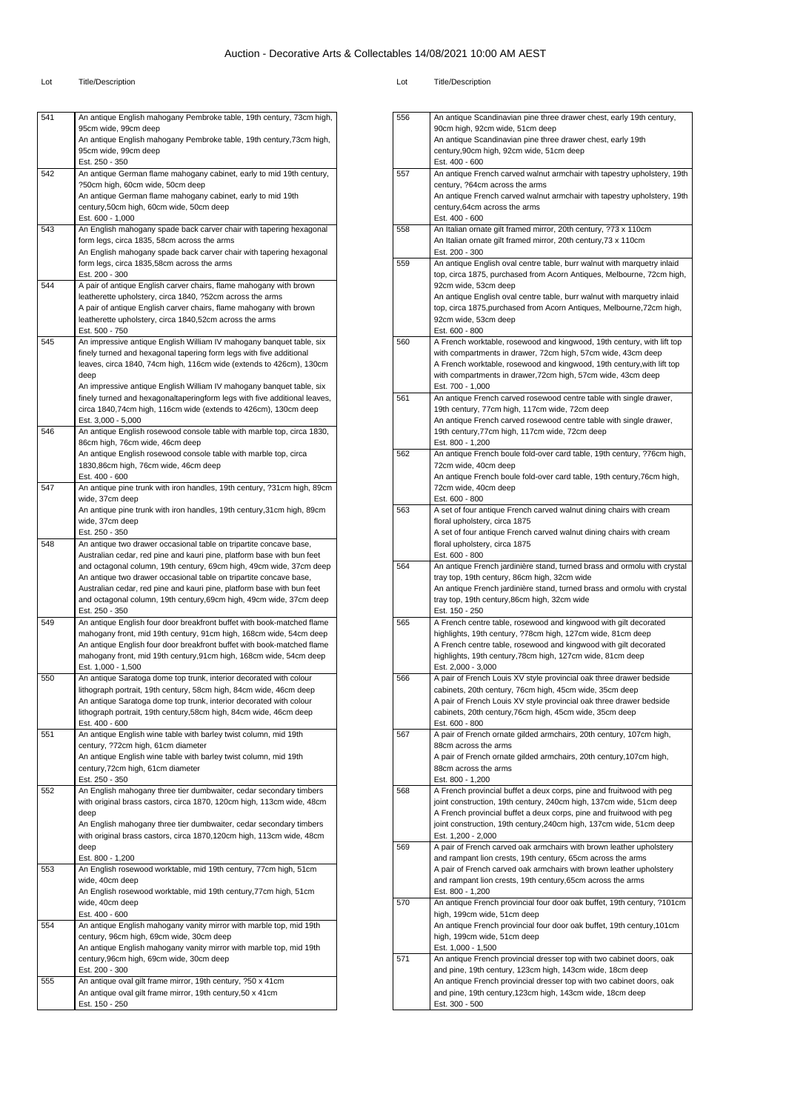| 541 | An antique English mahogany Pembroke table, 19th century, 73cm high,                                                                         |
|-----|----------------------------------------------------------------------------------------------------------------------------------------------|
|     | 95cm wide, 99cm deep                                                                                                                         |
|     | An antique English mahogany Pembroke table, 19th century, 73cm high,<br>95cm wide, 99cm deep                                                 |
|     | Est. 250 - 350                                                                                                                               |
| 542 | An antique German flame mahogany cabinet, early to mid 19th century,                                                                         |
|     | ?50cm high, 60cm wide, 50cm deep                                                                                                             |
|     | An antique German flame mahogany cabinet, early to mid 19th                                                                                  |
|     | century,50cm high, 60cm wide, 50cm deep                                                                                                      |
| 543 | Est. 600 - 1,000<br>An English mahogany spade back carver chair with tapering hexagonal                                                      |
|     | form legs, circa 1835, 58cm across the arms                                                                                                  |
|     | An English mahogany spade back carver chair with tapering hexagonal                                                                          |
|     | form legs, circa 1835,58cm across the arms                                                                                                   |
|     | Est. 200 - 300                                                                                                                               |
| 544 | A pair of antique English carver chairs, flame mahogany with brown                                                                           |
|     | leatherette upholstery, circa 1840, ?52cm across the arms                                                                                    |
|     | A pair of antique English carver chairs, flame mahogany with brown<br>leatherette upholstery, circa 1840,52cm across the arms                |
|     | Est. 500 - 750                                                                                                                               |
| 545 | An impressive antique English William IV mahogany banquet table, six                                                                         |
|     | finely turned and hexagonal tapering form legs with five additional                                                                          |
|     | leaves, circa 1840, 74cm high, 116cm wide (extends to 426cm), 130cm                                                                          |
|     | deep                                                                                                                                         |
|     | An impressive antique English William IV mahogany banquet table, six                                                                         |
|     | finely turned and hexagonaltaperingform legs with five additional leaves,<br>circa 1840,74cm high, 116cm wide (extends to 426cm), 130cm deep |
|     | Est. 3,000 - 5,000                                                                                                                           |
| 546 | An antique English rosewood console table with marble top, circa 1830,                                                                       |
|     | 86cm high, 76cm wide, 46cm deep                                                                                                              |
|     | An antique English rosewood console table with marble top, circa                                                                             |
|     | 1830,86cm high, 76cm wide, 46cm deep                                                                                                         |
| 547 | Est. 400 - 600<br>An antique pine trunk with iron handles, 19th century, ?31cm high, 89cm                                                    |
|     | wide, 37cm deep                                                                                                                              |
|     | An antique pine trunk with iron handles, 19th century, 31cm high, 89cm                                                                       |
|     | wide, 37cm deep                                                                                                                              |
|     | Est. 250 - 350                                                                                                                               |
| 548 | An antique two drawer occasional table on tripartite concave base,                                                                           |
|     | Australian cedar, red pine and kauri pine, platform base with bun feet                                                                       |
|     | and octagonal column, 19th century, 69cm high, 49cm wide, 37cm deep<br>An antique two drawer occasional table on tripartite concave base,    |
|     | Australian cedar, red pine and kauri pine, platform base with bun feet                                                                       |
|     | and octagonal column, 19th century, 69cm high, 49cm wide, 37cm deep                                                                          |
|     | Est. 250 - 350                                                                                                                               |
| 549 | An antique English four door breakfront buffet with book-matched flame                                                                       |
|     | mahogany front, mid 19th century, 91cm high, 168cm wide, 54cm deep                                                                           |
|     | An antique English four door breakfront buffet with book-matched flame<br>mahogany front, mid 19th century, 91cm high, 168cm wide, 54cm deep |
|     | Est. 1,000 - 1,500                                                                                                                           |
| 550 | An antique Saratoga dome top trunk, interior decorated with colour                                                                           |
|     | lithograph portrait, 19th century, 58cm high, 84cm wide, 46cm deep                                                                           |
|     | An antique Saratoga dome top trunk, interior decorated with colour                                                                           |
|     | lithograph portrait, 19th century, 58cm high, 84cm wide, 46cm deep                                                                           |
| 551 | Est. 400 - 600<br>An antique English wine table with barley twist column, mid 19th                                                           |
|     | century, ?72cm high, 61cm diameter                                                                                                           |
|     | An antique English wine table with barley twist column, mid 19th                                                                             |
|     | century, 72cm high, 61cm diameter                                                                                                            |
|     | Est. 250 - 350                                                                                                                               |
| 552 | An English mahogany three tier dumbwaiter, cedar secondary timbers                                                                           |
|     | with original brass castors, circa 1870, 120cm high, 113cm wide, 48cm                                                                        |
|     | deep<br>An English mahogany three tier dumbwaiter, cedar secondary timbers                                                                   |
|     | with original brass castors, circa 1870,120cm high, 113cm wide, 48cm                                                                         |
|     | deep                                                                                                                                         |
|     | Est. 800 - 1,200                                                                                                                             |
| 553 | An English rosewood worktable, mid 19th century, 77cm high, 51cm                                                                             |
|     | wide, 40cm deep                                                                                                                              |
|     | An English rosewood worktable, mid 19th century, 77cm high, 51cm<br>wide, 40cm deep                                                          |
|     | Est. 400 - 600                                                                                                                               |
| 554 | An antique English mahogany vanity mirror with marble top, mid 19th                                                                          |
|     | century, 96cm high, 69cm wide, 30cm deep                                                                                                     |
|     | An antique English mahogany vanity mirror with marble top, mid 19th                                                                          |
|     | century, 96cm high, 69cm wide, 30cm deep                                                                                                     |
|     | Est. 200 - 300                                                                                                                               |
| 555 | An antique oval gilt frame mirror, 19th century, ?50 x 41cm                                                                                  |
|     | An antique oval gilt frame mirror, 19th century, 50 x 41cm<br>Est. 150 - 250                                                                 |
|     |                                                                                                                                              |

| 556 | An antique Scandinavian pine three drawer chest, early 19th century,                                                                        |
|-----|---------------------------------------------------------------------------------------------------------------------------------------------|
|     | 90cm high, 92cm wide, 51cm deep<br>An antique Scandinavian pine three drawer chest, early 19th                                              |
|     | century, 90cm high, 92cm wide, 51cm deep                                                                                                    |
|     | Est. 400 - 600                                                                                                                              |
| 557 | An antique French carved walnut armchair with tapestry upholstery, 19th                                                                     |
|     | century, ?64cm across the arms                                                                                                              |
|     | An antique French carved walnut armchair with tapestry upholstery, 19th                                                                     |
|     | century, 64cm across the arms                                                                                                               |
|     | Est. 400 - 600                                                                                                                              |
| 558 | An Italian ornate gilt framed mirror, 20th century, ?73 x 110cm                                                                             |
|     | An Italian ornate gilt framed mirror, 20th century, 73 x 110cm<br>Est. 200 - 300                                                            |
| 559 | An antique English oval centre table, burr walnut with marquetry inlaid                                                                     |
|     | top, circa 1875, purchased from Acorn Antiques, Melbourne, 72cm high,                                                                       |
|     | 92cm wide, 53cm deep                                                                                                                        |
|     | An antique English oval centre table, burr walnut with marquetry inlaid                                                                     |
|     | top, circa 1875, purchased from Acorn Antiques, Melbourne, 72cm high,                                                                       |
|     | 92cm wide, 53cm deep                                                                                                                        |
| 560 | Est. 600 - 800<br>A French worktable, rosewood and kingwood, 19th century, with lift top                                                    |
|     | with compartments in drawer, 72cm high, 57cm wide, 43cm deep                                                                                |
|     | A French worktable, rosewood and kingwood, 19th century, with lift top                                                                      |
|     | with compartments in drawer, 72cm high, 57cm wide, 43cm deep                                                                                |
|     | Est. 700 - 1,000                                                                                                                            |
| 561 | An antique French carved rosewood centre table with single drawer,                                                                          |
|     | 19th century, 77cm high, 117cm wide, 72cm deep                                                                                              |
|     | An antique French carved rosewood centre table with single drawer,                                                                          |
|     | 19th century, 77cm high, 117cm wide, 72cm deep<br>Est. 800 - 1,200                                                                          |
| 562 | An antique French boule fold-over card table, 19th century, ?76cm high,                                                                     |
|     | 72cm wide, 40cm deep                                                                                                                        |
|     | An antique French boule fold-over card table, 19th century, 76cm high,                                                                      |
|     | 72cm wide, 40cm deep                                                                                                                        |
|     | Est. 600 - 800                                                                                                                              |
| 563 | A set of four antique French carved walnut dining chairs with cream                                                                         |
|     | floral upholstery, circa 1875<br>A set of four antique French carved walnut dining chairs with cream                                        |
|     | floral upholstery, circa 1875                                                                                                               |
|     | Est. 600 - 800                                                                                                                              |
| 564 | An antique French jardinière stand, turned brass and ormolu with crystal                                                                    |
|     | tray top, 19th century, 86cm high, 32cm wide                                                                                                |
|     | An antique French jardinière stand, turned brass and ormolu with crystal                                                                    |
|     | tray top, 19th century, 86cm high, 32cm wide                                                                                                |
| 565 | Est. 150 - 250<br>A French centre table, rosewood and kingwood with gilt decorated                                                          |
|     | highlights, 19th century, ?78cm high, 127cm wide, 81cm deep                                                                                 |
|     | A French centre table, rosewood and kingwood with gilt decorated                                                                            |
|     | highlights, 19th century, 78cm high, 127cm wide, 81cm deep                                                                                  |
|     | Est. 2,000 - 3,000                                                                                                                          |
| 566 | A pair of French Louis XV style provincial oak three drawer bedside                                                                         |
|     | cabinets, 20th century, 76cm high, 45cm wide, 35cm deep                                                                                     |
|     | A pair of French Louis XV style provincial oak three drawer bedside<br>cabinets, 20th century, 76cm high, 45cm wide, 35cm deep              |
|     | Est. 600 - 800                                                                                                                              |
| 567 | A pair of French ornate gilded armchairs, 20th century, 107cm high,                                                                         |
|     | 88cm across the arms                                                                                                                        |
|     | A pair of French ornate gilded armchairs, 20th century, 107cm high,                                                                         |
|     | 88cm across the arms                                                                                                                        |
|     | Est. 800 - 1,200                                                                                                                            |
| 568 | A French provincial buffet a deux corps, pine and fruitwood with peg<br>joint construction, 19th century, 240cm high, 137cm wide, 51cm deep |
|     | A French provincial buffet a deux corps, pine and fruitwood with peg                                                                        |
|     | joint construction, 19th century,240cm high, 137cm wide, 51cm deep                                                                          |
|     | Est. 1,200 - 2,000                                                                                                                          |
| 569 | A pair of French carved oak armchairs with brown leather upholstery                                                                         |
|     | and rampant lion crests, 19th century, 65cm across the arms                                                                                 |
|     | A pair of French carved oak armchairs with brown leather upholstery                                                                         |
|     | and rampant lion crests, 19th century, 65cm across the arms<br>Est. 800 - 1,200                                                             |
| 570 | An antique French provincial four door oak buffet, 19th century, ?101cm                                                                     |
|     | high, 199cm wide, 51cm deep                                                                                                                 |
|     | An antique French provincial four door oak buffet, 19th century, 101cm                                                                      |
|     | high, 199cm wide, 51cm deep                                                                                                                 |
|     | Est. 1,000 - 1,500                                                                                                                          |
| 571 | An antique French provincial dresser top with two cabinet doors, oak                                                                        |
|     |                                                                                                                                             |
|     | and pine, 19th century, 123cm high, 143cm wide, 18cm deep                                                                                   |
|     | An antique French provincial dresser top with two cabinet doors, oak                                                                        |
|     | and pine, 19th century, 123cm high, 143cm wide, 18cm deep<br>Est. 300 - 500                                                                 |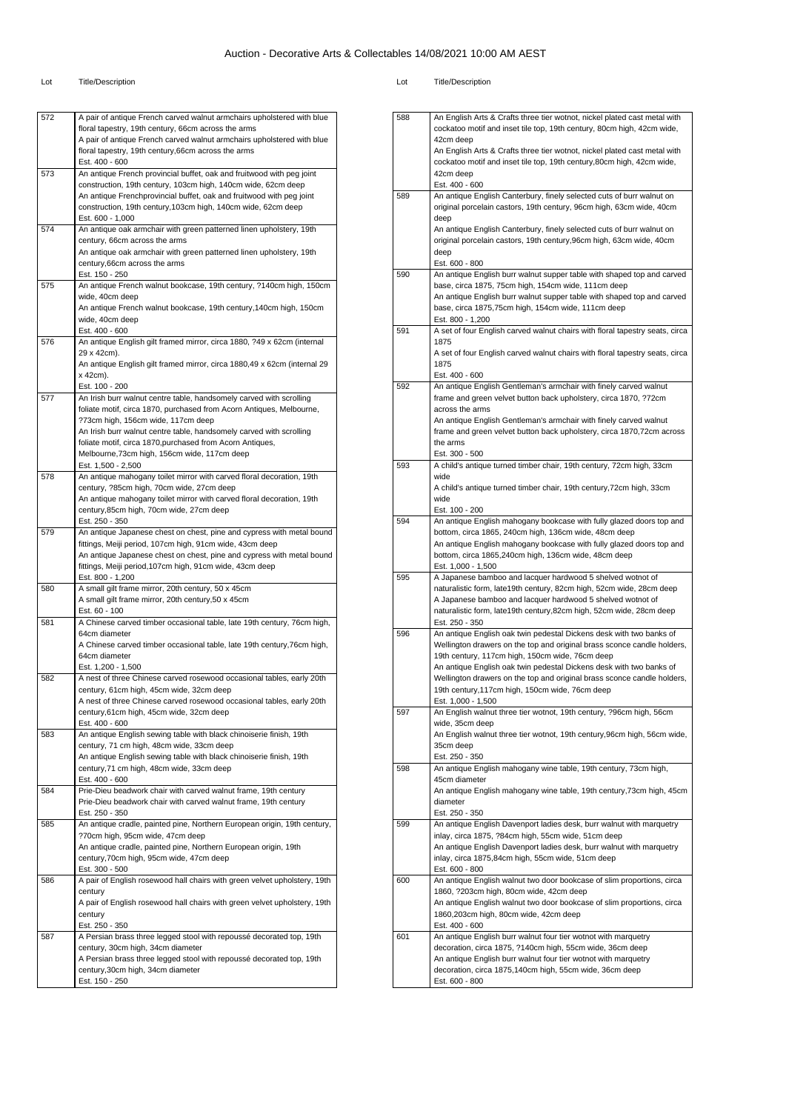#### Lot Title/Description Lot Title/Description

| 572 | A pair of antique French carved walnut armchairs upholstered with blue                                                                      |
|-----|---------------------------------------------------------------------------------------------------------------------------------------------|
|     | floral tapestry, 19th century, 66cm across the arms                                                                                         |
|     | A pair of antique French carved walnut armchairs upholstered with blue<br>floral tapestry, 19th century, 66cm across the arms               |
|     | Est. 400 - 600                                                                                                                              |
| 573 | An antique French provincial buffet, oak and fruitwood with peg joint                                                                       |
|     | construction, 19th century, 103cm high, 140cm wide, 62cm deep                                                                               |
|     | An antique Frenchprovincial buffet, oak and fruitwood with peg joint                                                                        |
|     | construction, 19th century, 103cm high, 140cm wide, 62cm deep                                                                               |
| 574 | Est. 600 - 1,000<br>An antique oak armchair with green patterned linen upholstery, 19th                                                     |
|     | century, 66cm across the arms                                                                                                               |
|     | An antique oak armchair with green patterned linen upholstery, 19th                                                                         |
|     | century, 66cm across the arms                                                                                                               |
|     | Est. 150 - 250                                                                                                                              |
| 575 | An antique French walnut bookcase, 19th century, ?140cm high, 150cm                                                                         |
|     | wide, 40cm deep                                                                                                                             |
|     | An antique French walnut bookcase, 19th century, 140cm high, 150cm<br>wide, 40cm deep                                                       |
|     | Est. 400 - 600                                                                                                                              |
| 576 | An antique English gilt framed mirror, circa 1880, ?49 x 62cm (internal                                                                     |
|     | 29 x 42cm).                                                                                                                                 |
|     | An antique English gilt framed mirror, circa 1880,49 x 62cm (internal 29                                                                    |
|     | x 42cm).                                                                                                                                    |
|     | Est. 100 - 200                                                                                                                              |
| 577 | An Irish burr walnut centre table, handsomely carved with scrolling<br>foliate motif, circa 1870, purchased from Acorn Antiques, Melbourne, |
|     | ?73cm high, 156cm wide, 117cm deep                                                                                                          |
|     | An Irish burr walnut centre table, handsomely carved with scrolling                                                                         |
|     | foliate motif, circa 1870, purchased from Acorn Antiques,                                                                                   |
|     | Melbourne, 73cm high, 156cm wide, 117cm deep                                                                                                |
|     | Est. 1,500 - 2,500                                                                                                                          |
| 578 | An antique mahogany toilet mirror with carved floral decoration, 19th                                                                       |
|     | century, ?85cm high, 70cm wide, 27cm deep<br>An antique mahogany toilet mirror with carved floral decoration, 19th                          |
|     | century, 85cm high, 70cm wide, 27cm deep                                                                                                    |
|     | Est. 250 - 350                                                                                                                              |
| 579 | An antique Japanese chest on chest, pine and cypress with metal bound                                                                       |
|     | fittings, Meiji period, 107cm high, 91cm wide, 43cm deep                                                                                    |
|     | An antique Japanese chest on chest, pine and cypress with metal bound                                                                       |
|     | fittings, Meiji period, 107cm high, 91cm wide, 43cm deep                                                                                    |
| 580 | Est. 800 - 1,200<br>A small gilt frame mirror, 20th century, 50 x 45cm                                                                      |
|     | A small gilt frame mirror, 20th century, 50 x 45cm                                                                                          |
|     | Est. 60 - 100                                                                                                                               |
| 581 | A Chinese carved timber occasional table, late 19th century, 76cm high,                                                                     |
|     | 64cm diameter                                                                                                                               |
|     | A Chinese carved timber occasional table, late 19th century,76cm high,                                                                      |
|     | 64cm diameter                                                                                                                               |
| 582 | Est. 1,200 - 1,500<br>A nest of three Chinese carved rosewood occasional tables, early 20th                                                 |
|     | century, 61cm high, 45cm wide, 32cm deep                                                                                                    |
|     | A nest of three Chinese carved rosewood occasional tables, early 20th                                                                       |
|     | century,61cm high, 45cm wide, 32cm deep                                                                                                     |
|     | Est. 400 - 600                                                                                                                              |
| 583 | An antique English sewing table with black chinoiserie finish, 19th                                                                         |
|     | century, 71 cm high, 48cm wide, 33cm deep                                                                                                   |
|     | An antique English sewing table with black chinoiserie finish, 19th<br>century, 71 cm high, 48cm wide, 33cm deep                            |
|     | Est. 400 - 600                                                                                                                              |
| 584 | Prie-Dieu beadwork chair with carved walnut frame, 19th century                                                                             |
|     | Prie-Dieu beadwork chair with carved walnut frame, 19th century                                                                             |
|     | Est. 250 - 350                                                                                                                              |
| 585 | An antique cradle, painted pine, Northern European origin, 19th century,                                                                    |
|     | ?70cm high, 95cm wide, 47cm deep                                                                                                            |
|     | An antique cradle, painted pine, Northern European origin, 19th<br>century, 70cm high, 95cm wide, 47cm deep                                 |
|     | Est. 300 - 500                                                                                                                              |
| 586 | A pair of English rosewood hall chairs with green velvet upholstery, 19th                                                                   |
|     | century                                                                                                                                     |
|     | A pair of English rosewood hall chairs with green velvet upholstery, 19th                                                                   |
|     | century                                                                                                                                     |
|     | Est. 250 - 350                                                                                                                              |
|     |                                                                                                                                             |
| 587 | A Persian brass three legged stool with repoussé decorated top, 19th                                                                        |
|     | century, 30cm high, 34cm diameter                                                                                                           |
|     | A Persian brass three legged stool with repoussé decorated top, 19th                                                                        |
|     | century, 30cm high, 34cm diameter<br>Est. 150 - 250                                                                                         |

|     | cockatoo motif and inset tile top, 19th century, 80cm high, 42cm wide,                                                                         |
|-----|------------------------------------------------------------------------------------------------------------------------------------------------|
|     | 42cm deep<br>An English Arts & Crafts three tier wotnot, nickel plated cast metal with                                                         |
|     | cockatoo motif and inset tile top, 19th century,80cm high, 42cm wide,                                                                          |
|     | 42cm deep                                                                                                                                      |
|     | Est. 400 - 600                                                                                                                                 |
| 589 | An antique English Canterbury, finely selected cuts of burr walnut on                                                                          |
|     | original porcelain castors, 19th century, 96cm high, 63cm wide, 40cm                                                                           |
|     | deep<br>An antique English Canterbury, finely selected cuts of burr walnut on                                                                  |
|     | original porcelain castors, 19th century, 96cm high, 63cm wide, 40cm                                                                           |
|     | deep                                                                                                                                           |
|     | Est. 600 - 800                                                                                                                                 |
| 590 | An antique English burr walnut supper table with shaped top and carved                                                                         |
|     | base, circa 1875, 75cm high, 154cm wide, 111cm deep<br>An antique English burr walnut supper table with shaped top and carved                  |
|     | base, circa 1875,75cm high, 154cm wide, 111cm deep                                                                                             |
|     | Est. 800 - 1,200                                                                                                                               |
| 591 | A set of four English carved walnut chairs with floral tapestry seats, circa                                                                   |
|     | 1875<br>A set of four English carved walnut chairs with floral tapestry seats, circa                                                           |
|     | 1875                                                                                                                                           |
|     | Est. 400 - 600                                                                                                                                 |
| 592 | An antique English Gentleman's armchair with finely carved walnut                                                                              |
|     | frame and green velvet button back upholstery, circa 1870, ?72cm                                                                               |
|     | across the arms<br>An antique English Gentleman's armchair with finely carved walnut                                                           |
|     | frame and green velvet button back upholstery, circa 1870,72cm across                                                                          |
|     | the arms                                                                                                                                       |
|     | Est. 300 - 500                                                                                                                                 |
| 593 | A child's antique turned timber chair, 19th century, 72cm high, 33cm<br>wide                                                                   |
|     | A child's antique turned timber chair, 19th century, 72cm high, 33cm                                                                           |
|     | wide                                                                                                                                           |
|     | Est. 100 - 200                                                                                                                                 |
| 594 | An antique English mahogany bookcase with fully glazed doors top and<br>bottom, circa 1865, 240cm high, 136cm wide, 48cm deep                  |
|     | An antique English mahogany bookcase with fully glazed doors top and                                                                           |
|     | bottom, circa 1865,240cm high, 136cm wide, 48cm deep                                                                                           |
|     | Est. 1,000 - 1,500                                                                                                                             |
| 595 | A Japanese bamboo and lacquer hardwood 5 shelved wotnot of                                                                                     |
|     | naturalistic form, late19th century, 82cm high, 52cm wide, 28cm deep<br>A Japanese bamboo and lacquer hardwood 5 shelved wotnot of             |
|     | naturalistic form, late19th century,82cm high, 52cm wide, 28cm deep                                                                            |
|     | Est. 250 - 350                                                                                                                                 |
| 596 | An antique English oak twin pedestal Dickens desk with two banks of<br>Wellington drawers on the top and original brass sconce candle holders, |
|     | 19th century, 117cm high, 150cm wide, 76cm deep                                                                                                |
|     | An antique English oak twin pedestal Dickens desk with two banks of                                                                            |
|     | Wellington drawers on the top and original brass sconce candle holders,                                                                        |
|     | 19th century, 117cm high, 150cm wide, 76cm deep                                                                                                |
| 597 | Est. 1,000 - 1,500<br>An English walnut three tier wotnot, 19th century, ?96cm high, 56cm                                                      |
|     | wide, 35cm deep                                                                                                                                |
|     | An English walnut three tier wotnot, 19th century, 96cm high, 56cm wide,                                                                       |
|     | 35cm deep                                                                                                                                      |
| 598 | Est. 250 - 350<br>An antique English mahogany wine table, 19th century, 73cm high,                                                             |
|     | 45cm diameter                                                                                                                                  |
|     | An antique English mahogany wine table, 19th century, 73cm high, 45cm                                                                          |
|     | diameter                                                                                                                                       |
| 599 | Est. 250 - 350<br>An antique English Davenport ladies desk, burr walnut with marquetry                                                         |
|     | inlay, circa 1875, ?84cm high, 55cm wide, 51cm deep                                                                                            |
|     | An antique English Davenport ladies desk, burr walnut with marquetry                                                                           |
|     | inlay, circa 1875,84cm high, 55cm wide, 51cm deep                                                                                              |
| 600 | Est. 600 - 800<br>An antique English walnut two door bookcase of slim proportions, circa                                                       |
|     | 1860, ?203cm high, 80cm wide, 42cm deep                                                                                                        |
|     | An antique English walnut two door bookcase of slim proportions, circa                                                                         |
|     | 1860,203cm high, 80cm wide, 42cm deep                                                                                                          |
| 601 | Est. 400 - 600<br>An antique English burr walnut four tier wotnot with marquetry                                                               |
|     | decoration, circa 1875, ?140cm high, 55cm wide, 36cm deep                                                                                      |
|     | An antique English burr walnut four tier wotnot with marquetry                                                                                 |
|     | decoration, circa 1875,140cm high, 55cm wide, 36cm deep                                                                                        |
|     | Est. 600 - 800                                                                                                                                 |

588 | An English Arts & Crafts three tier wotnot, nickel plated cast metal with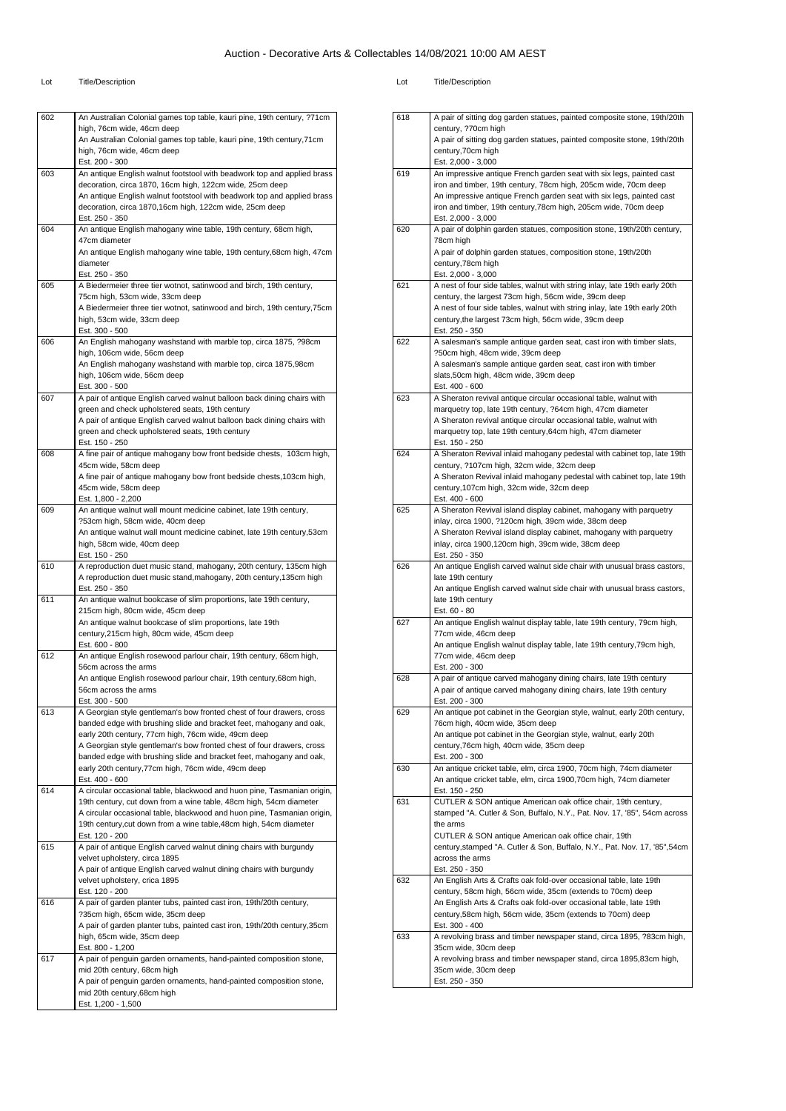| 602 | An Australian Colonial games top table, kauri pine, 19th century, ?71cm                                                    |
|-----|----------------------------------------------------------------------------------------------------------------------------|
|     | high, 76cm wide, 46cm deep                                                                                                 |
|     | An Australian Colonial games top table, kauri pine, 19th century, 71cm                                                     |
|     | high, 76cm wide, 46cm deep                                                                                                 |
|     | Est. 200 - 300                                                                                                             |
| 603 | An antique English walnut footstool with beadwork top and applied brass                                                    |
|     | decoration, circa 1870, 16cm high, 122cm wide, 25cm deep                                                                   |
|     | An antique English walnut footstool with beadwork top and applied brass                                                    |
|     | decoration, circa 1870,16cm high, 122cm wide, 25cm deep                                                                    |
|     | Est. 250 - 350                                                                                                             |
| 604 | An antique English mahogany wine table, 19th century, 68cm high,                                                           |
|     | 47cm diameter                                                                                                              |
|     | An antique English mahogany wine table, 19th century, 68cm high, 47cm<br>diameter                                          |
|     | Est. 250 - 350                                                                                                             |
| 605 | A Biedermeier three tier wotnot, satinwood and birch, 19th century,                                                        |
|     | 75cm high, 53cm wide, 33cm deep                                                                                            |
|     | A Biedermeier three tier wotnot, satinwood and birch, 19th century, 75cm                                                   |
|     | high, 53cm wide, 33cm deep                                                                                                 |
|     | Est. 300 - 500                                                                                                             |
| 606 | An English mahogany washstand with marble top, circa 1875, ?98cm                                                           |
|     | high, 106cm wide, 56cm deep                                                                                                |
|     | An English mahogany washstand with marble top, circa 1875,98cm                                                             |
|     | high, 106cm wide, 56cm deep                                                                                                |
|     | Est. 300 - 500                                                                                                             |
| 607 | A pair of antique English carved walnut balloon back dining chairs with<br>green and check upholstered seats, 19th century |
|     | A pair of antique English carved walnut balloon back dining chairs with                                                    |
|     | green and check upholstered seats, 19th century                                                                            |
|     | Est. 150 - 250                                                                                                             |
| 608 | A fine pair of antique mahogany bow front bedside chests, 103cm high,                                                      |
|     | 45cm wide, 58cm deep                                                                                                       |
|     | A fine pair of antique mahogany bow front bedside chests, 103cm high,                                                      |
|     | 45cm wide, 58cm deep                                                                                                       |
|     | Est. 1,800 - 2,200                                                                                                         |
| 609 | An antique walnut wall mount medicine cabinet, late 19th century,                                                          |
|     | ?53cm high, 58cm wide, 40cm deep                                                                                           |
|     | An antique walnut wall mount medicine cabinet, late 19th century,53cm                                                      |
|     | high, 58cm wide, 40cm deep                                                                                                 |
| 610 | Est. 150 - 250<br>A reproduction duet music stand, mahogany, 20th century, 135cm high                                      |
|     | A reproduction duet music stand, mahogany, 20th century, 135cm high                                                        |
|     | Est. 250 - 350                                                                                                             |
| 611 | An antique walnut bookcase of slim proportions, late 19th century,                                                         |
|     | 215cm high, 80cm wide, 45cm deep                                                                                           |
|     | An antique walnut bookcase of slim proportions, late 19th                                                                  |
|     | century, 215cm high, 80cm wide, 45cm deep                                                                                  |
|     | Est. 600 - 800                                                                                                             |
| 612 | An antique English rosewood parlour chair, 19th century, 68cm high,                                                        |
|     | 56cm across the arms                                                                                                       |
|     | An antique English rosewood parlour chair, 19th century, 68cm high,                                                        |
|     | 56cm across the arms<br>Est. 300 - 500                                                                                     |
| 613 | A Georgian style gentleman's bow fronted chest of four drawers, cross                                                      |
|     | banded edge with brushing slide and bracket feet, mahogany and oak,                                                        |
|     | early 20th century, 77cm high, 76cm wide, 49cm deep                                                                        |
|     | A Georgian style gentleman's bow fronted chest of four drawers, cross                                                      |
|     | banded edge with brushing slide and bracket feet, mahogany and oak,                                                        |
|     | early 20th century, 77cm high, 76cm wide, 49cm deep                                                                        |
|     | Est. 400 - 600                                                                                                             |
| 614 | A circular occasional table, blackwood and huon pine, Tasmanian origin,                                                    |
|     | 19th century, cut down from a wine table, 48cm high, 54cm diameter                                                         |
|     | A circular occasional table, blackwood and huon pine, Tasmanian origin,                                                    |
|     | 19th century, cut down from a wine table, 48cm high, 54cm diameter                                                         |
|     | Est. 120 - 200                                                                                                             |
| 615 | A pair of antique English carved walnut dining chairs with burgundy<br>velvet upholstery, circa 1895                       |
|     | A pair of antique English carved walnut dining chairs with burgundy                                                        |
|     | velvet upholstery, crica 1895                                                                                              |
|     | Est. 120 - 200                                                                                                             |
| 616 | A pair of garden planter tubs, painted cast iron, 19th/20th century,                                                       |
|     | ?35cm high, 65cm wide, 35cm deep                                                                                           |
|     | A pair of garden planter tubs, painted cast iron, 19th/20th century, 35cm                                                  |
|     | high, 65cm wide, 35cm deep                                                                                                 |
|     |                                                                                                                            |
|     | Est. 800 - 1,200                                                                                                           |
| 617 | A pair of penguin garden ornaments, hand-painted composition stone,                                                        |
|     | mid 20th century, 68cm high                                                                                                |
|     | A pair of penguin garden ornaments, hand-painted composition stone,                                                        |
|     | mid 20th century, 68cm high                                                                                                |

| 618 | A pair of sitting dog garden statues, painted composite stone, 19th/20th                                                           |
|-----|------------------------------------------------------------------------------------------------------------------------------------|
|     | century, ?70cm high                                                                                                                |
|     | A pair of sitting dog garden statues, painted composite stone, 19th/20th                                                           |
|     | century, 70cm high<br>Est. 2,000 - 3,000                                                                                           |
| 619 | An impressive antique French garden seat with six legs, painted cast                                                               |
|     | iron and timber, 19th century, 78cm high, 205cm wide, 70cm deep                                                                    |
|     | An impressive antique French garden seat with six legs, painted cast                                                               |
|     | iron and timber, 19th century, 78cm high, 205cm wide, 70cm deep                                                                    |
| 620 | Est. 2,000 - 3,000<br>A pair of dolphin garden statues, composition stone, 19th/20th century,                                      |
|     | 78cm high                                                                                                                          |
|     | A pair of dolphin garden statues, composition stone, 19th/20th                                                                     |
|     | century, 78cm high                                                                                                                 |
|     | Est. 2,000 - 3,000                                                                                                                 |
| 621 | A nest of four side tables, walnut with string inlay, late 19th early 20th<br>century, the largest 73cm high, 56cm wide, 39cm deep |
|     | A nest of four side tables, walnut with string inlay, late 19th early 20th                                                         |
|     | century, the largest 73cm high, 56cm wide, 39cm deep                                                                               |
|     | Est. 250 - 350                                                                                                                     |
| 622 | A salesman's sample antique garden seat, cast iron with timber slats,                                                              |
|     | ?50cm high, 48cm wide, 39cm deep                                                                                                   |
|     | A salesman's sample antique garden seat, cast iron with timber<br>slats,50cm high, 48cm wide, 39cm deep                            |
|     | Est. 400 - 600                                                                                                                     |
| 623 | A Sheraton revival antique circular occasional table, walnut with                                                                  |
|     | marquetry top, late 19th century, ?64cm high, 47cm diameter                                                                        |
|     | A Sheraton revival antique circular occasional table, walnut with                                                                  |
|     | marquetry top, late 19th century, 64cm high, 47cm diameter<br>Est. 150 - 250                                                       |
| 624 | A Sheraton Revival inlaid mahogany pedestal with cabinet top, late 19th                                                            |
|     | century, ?107cm high, 32cm wide, 32cm deep                                                                                         |
|     | A Sheraton Revival inlaid mahogany pedestal with cabinet top, late 19th                                                            |
|     | century, 107cm high, 32cm wide, 32cm deep                                                                                          |
| 625 | Est. 400 - 600<br>A Sheraton Revival island display cabinet, mahogany with parquetry                                               |
|     | inlay, circa 1900, ?120cm high, 39cm wide, 38cm deep                                                                               |
|     | A Sheraton Revival island display cabinet, mahogany with parquetry                                                                 |
|     | inlay, circa 1900,120cm high, 39cm wide, 38cm deep                                                                                 |
|     | Est. 250 - 350                                                                                                                     |
| 626 | An antique English carved walnut side chair with unusual brass castors,<br>late 19th century                                       |
|     | An antique English carved walnut side chair with unusual brass castors,                                                            |
|     | late 19th century                                                                                                                  |
|     | Est. 60 - 80                                                                                                                       |
| 627 | An antique English walnut display table, late 19th century, 79cm high,<br>77cm wide, 46cm deep                                     |
|     | An antique English walnut display table, late 19th century, 79cm high,                                                             |
|     | 77cm wide, 46cm deep                                                                                                               |
|     | Est. 200 - 300                                                                                                                     |
| 628 | A pair of antique carved mahogany dining chairs, late 19th century                                                                 |
|     | A pair of antique carved mahogany dining chairs, late 19th century                                                                 |
| 629 | Est. 200 - 300<br>An antique pot cabinet in the Georgian style, walnut, early 20th century,                                        |
|     | 76cm high, 40cm wide, 35cm deep                                                                                                    |
|     | An antique pot cabinet in the Georgian style, walnut, early 20th                                                                   |
|     | century, 76cm high, 40cm wide, 35cm deep                                                                                           |
| 630 | Est. 200 - 300<br>An antique cricket table, elm, circa 1900, 70cm high, 74cm diameter                                              |
|     | An antique cricket table, elm, circa 1900,70cm high, 74cm diameter                                                                 |
|     | Est. 150 - 250                                                                                                                     |
| 631 | CUTLER & SON antique American oak office chair, 19th century,                                                                      |
|     | stamped "A. Cutler & Son, Buffalo, N.Y., Pat. Nov. 17, '85", 54cm across                                                           |
|     | the arms<br>CUTLER & SON antique American oak office chair, 19th                                                                   |
|     | century, stamped "A. Cutler & Son, Buffalo, N.Y., Pat. Nov. 17, '85", 54cm                                                         |
|     | across the arms                                                                                                                    |
|     | Est. 250 - 350                                                                                                                     |
| 632 | An English Arts & Crafts oak fold-over occasional table, late 19th                                                                 |
|     | century, 58cm high, 56cm wide, 35cm (extends to 70cm) deep<br>An English Arts & Crafts oak fold-over occasional table, late 19th   |
|     | century, 58cm high, 56cm wide, 35cm (extends to 70cm) deep                                                                         |
|     | Est. 300 - 400                                                                                                                     |
| 633 | A revolving brass and timber newspaper stand, circa 1895, ?83cm high,                                                              |
|     | 35cm wide, 30cm deep                                                                                                               |
|     | A revolving brass and timber newspaper stand, circa 1895,83cm high,                                                                |
|     | 35cm wide, 30cm deep<br>Est. 250 - 350                                                                                             |
|     |                                                                                                                                    |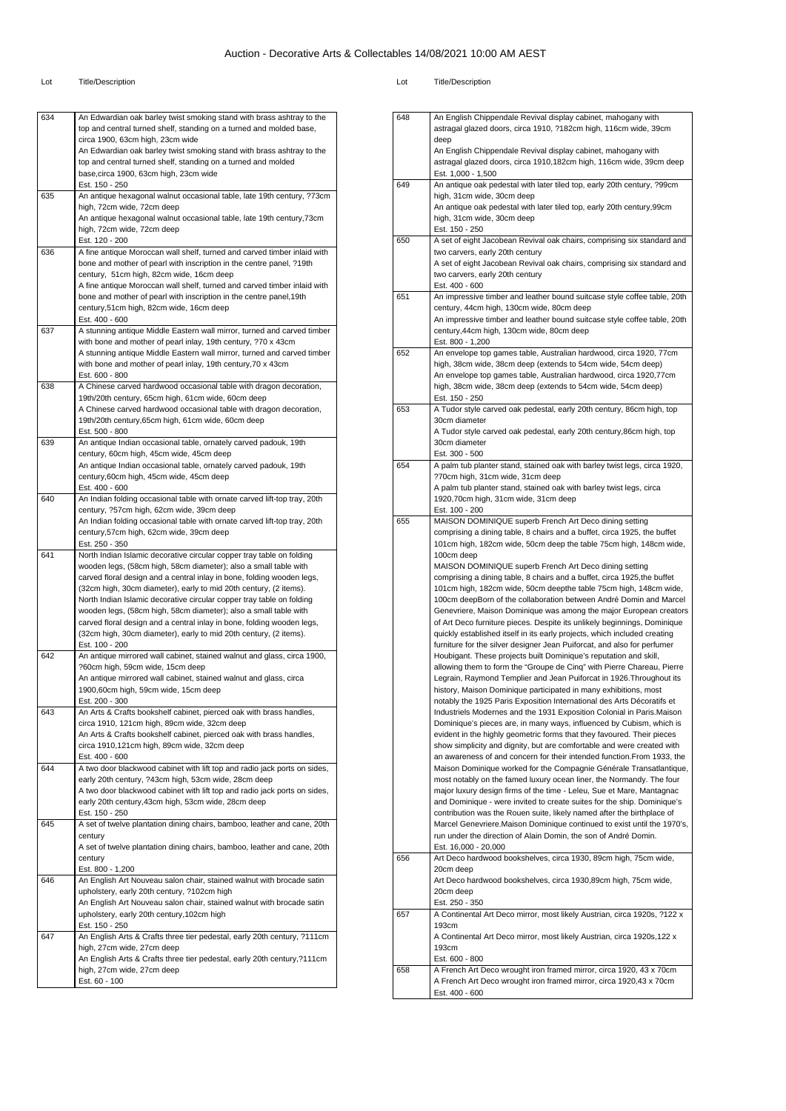#### Lot Title/Description Lot Title/Description

648 | An English Chippendale Revival display cabinet, mahogany with

astragal glazed doors, circa 1910, ?182cm high, 116cm wide, 39cm

| 634 | An Edwardian oak barley twist smoking stand with brass ashtray to the<br>top and central turned shelf, standing on a turned and molded base, |
|-----|----------------------------------------------------------------------------------------------------------------------------------------------|
|     | circa 1900, 63cm high, 23cm wide                                                                                                             |
|     | An Edwardian oak barley twist smoking stand with brass ashtray to the<br>top and central turned shelf, standing on a turned and molded       |
|     | base, circa 1900, 63cm high, 23cm wide                                                                                                       |
| 635 | Est. 150 - 250<br>An antique hexagonal walnut occasional table, late 19th century, ?73cm                                                     |
|     | high, 72cm wide, 72cm deep                                                                                                                   |
|     | An antique hexagonal walnut occasional table, late 19th century, 73cm                                                                        |
|     | high, 72cm wide, 72cm deep<br>Est. 120 - 200                                                                                                 |
| 636 | A fine antique Moroccan wall shelf, turned and carved timber inlaid with                                                                     |
|     | bone and mother of pearl with inscription in the centre panel, ?19th<br>century, 51cm high, 82cm wide, 16cm deep                             |
|     | A fine antique Moroccan wall shelf, turned and carved timber inlaid with                                                                     |
|     | bone and mother of pearl with inscription in the centre panel, 19th                                                                          |
|     | century,51cm high, 82cm wide, 16cm deep<br>Est. 400 - 600                                                                                    |
| 637 | A stunning antique Middle Eastern wall mirror, turned and carved timber                                                                      |
|     | with bone and mother of pearl inlay, 19th century, ?70 x 43cm                                                                                |
|     | A stunning antique Middle Eastern wall mirror, turned and carved timber<br>with bone and mother of pearl inlay, 19th century, 70 x 43cm      |
|     | Est. 600 - 800                                                                                                                               |
| 638 | A Chinese carved hardwood occasional table with dragon decoration,<br>19th/20th century, 65cm high, 61cm wide, 60cm deep                     |
|     | A Chinese carved hardwood occasional table with dragon decoration,                                                                           |
|     | 19th/20th century, 65cm high, 61cm wide, 60cm deep                                                                                           |
| 639 | Est. 500 - 800<br>An antique Indian occasional table, ornately carved padouk, 19th                                                           |
|     | century, 60cm high, 45cm wide, 45cm deep                                                                                                     |
|     | An antique Indian occasional table, ornately carved padouk, 19th                                                                             |
|     | century, 60cm high, 45cm wide, 45cm deep<br>Est. 400 - 600                                                                                   |
| 640 | An Indian folding occasional table with ornate carved lift-top tray, 20th                                                                    |
|     | century, ?57cm high, 62cm wide, 39cm deep<br>An Indian folding occasional table with ornate carved lift-top tray, 20th                       |
|     | century,57cm high, 62cm wide, 39cm deep                                                                                                      |
|     | Est. 250 - 350                                                                                                                               |
| 641 | North Indian Islamic decorative circular copper tray table on folding<br>wooden legs, (58cm high, 58cm diameter); also a small table with    |
|     | carved floral design and a central inlay in bone, folding wooden legs,                                                                       |
|     | (32cm high, 30cm diameter), early to mid 20th century, (2 items).                                                                            |
|     | North Indian Islamic decorative circular copper tray table on folding<br>wooden legs, (58cm high, 58cm diameter); also a small table with    |
|     | carved floral design and a central inlay in bone, folding wooden legs,                                                                       |
|     | (32cm high, 30cm diameter), early to mid 20th century, (2 items).<br>Est. 100 - 200                                                          |
| 642 | An antique mirrored wall cabinet, stained walnut and glass, circa 1900,                                                                      |
|     | ?60cm high, 59cm wide, 15cm deep                                                                                                             |
|     | An antique mirrored wall cabinet, stained walnut and glass, circa<br>1900,60cm high, 59cm wide, 15cm deep                                    |
|     | Est. 200 - 300                                                                                                                               |
| 643 | An Arts & Crafts bookshelf cabinet, pierced oak with brass handles,                                                                          |
|     | circa 1910, 121cm high, 89cm wide, 32cm deep<br>An Arts & Crafts bookshelf cabinet, pierced oak with brass handles,                          |
|     | circa 1910,121cm high, 89cm wide, 32cm deep                                                                                                  |
|     | Est. 400 - 600                                                                                                                               |
| 644 | A two door blackwood cabinet with lift top and radio jack ports on sides,<br>early 20th century, ?43cm high, 53cm wide, 28cm deep            |
|     | A two door blackwood cabinet with lift top and radio jack ports on sides,                                                                    |
|     | early 20th century, 43cm high, 53cm wide, 28cm deep<br>Est. 150 - 250                                                                        |
| 645 | A set of twelve plantation dining chairs, bamboo, leather and cane, 20th                                                                     |
|     | century                                                                                                                                      |
|     | A set of twelve plantation dining chairs, bamboo, leather and cane, 20th<br>century                                                          |
|     | Est. 800 - 1,200                                                                                                                             |
| 646 | An English Art Nouveau salon chair, stained walnut with brocade satin                                                                        |
|     | upholstery, early 20th century, ?102cm high<br>An English Art Nouveau salon chair, stained walnut with brocade satin                         |
|     | upholstery, early 20th century, 102cm high                                                                                                   |
|     | Est. 150 - 250                                                                                                                               |
| 647 | An English Arts & Crafts three tier pedestal, early 20th century, ?111cm<br>high, 27cm wide, 27cm deep                                       |
|     | An English Arts & Crafts three tier pedestal, early 20th century, ?111cm                                                                     |
|     | high, 27cm wide, 27cm deep<br>Est. 60 - 100                                                                                                  |
|     |                                                                                                                                              |

|     | deep<br>An English Chippendale Revival display cabinet, mahogany with<br>astragal glazed doors, circa 1910,182cm high, 116cm wide, 39cm deep<br>Est. 1,000 - 1,500                                                                                                                                                                                                                                                                                                                                                                                                                                                                                                                                                                                                                                                                                                                                                                                                                                                                                                                                                                                                                                                                                                                                                                                                                                                                                                                                                                                                                                                                                                                                                                                                                                                                                                                                                                                                                                                                                                                                                          |
|-----|-----------------------------------------------------------------------------------------------------------------------------------------------------------------------------------------------------------------------------------------------------------------------------------------------------------------------------------------------------------------------------------------------------------------------------------------------------------------------------------------------------------------------------------------------------------------------------------------------------------------------------------------------------------------------------------------------------------------------------------------------------------------------------------------------------------------------------------------------------------------------------------------------------------------------------------------------------------------------------------------------------------------------------------------------------------------------------------------------------------------------------------------------------------------------------------------------------------------------------------------------------------------------------------------------------------------------------------------------------------------------------------------------------------------------------------------------------------------------------------------------------------------------------------------------------------------------------------------------------------------------------------------------------------------------------------------------------------------------------------------------------------------------------------------------------------------------------------------------------------------------------------------------------------------------------------------------------------------------------------------------------------------------------------------------------------------------------------------------------------------------------|
| 649 | An antique oak pedestal with later tiled top, early 20th century, ?99cm<br>high, 31cm wide, 30cm deep<br>An antique oak pedestal with later tiled top, early 20th century, 99cm<br>high, 31cm wide, 30cm deep<br>Est. 150 - 250                                                                                                                                                                                                                                                                                                                                                                                                                                                                                                                                                                                                                                                                                                                                                                                                                                                                                                                                                                                                                                                                                                                                                                                                                                                                                                                                                                                                                                                                                                                                                                                                                                                                                                                                                                                                                                                                                             |
| 650 | A set of eight Jacobean Revival oak chairs, comprising six standard and<br>two carvers, early 20th century<br>A set of eight Jacobean Revival oak chairs, comprising six standard and<br>two carvers, early 20th century<br>Est. 400 - 600                                                                                                                                                                                                                                                                                                                                                                                                                                                                                                                                                                                                                                                                                                                                                                                                                                                                                                                                                                                                                                                                                                                                                                                                                                                                                                                                                                                                                                                                                                                                                                                                                                                                                                                                                                                                                                                                                  |
| 651 | An impressive timber and leather bound suitcase style coffee table, 20th<br>century, 44cm high, 130cm wide, 80cm deep<br>An impressive timber and leather bound suitcase style coffee table, 20th<br>century,44cm high, 130cm wide, 80cm deep<br>Est. 800 - 1,200                                                                                                                                                                                                                                                                                                                                                                                                                                                                                                                                                                                                                                                                                                                                                                                                                                                                                                                                                                                                                                                                                                                                                                                                                                                                                                                                                                                                                                                                                                                                                                                                                                                                                                                                                                                                                                                           |
| 652 | An envelope top games table, Australian hardwood, circa 1920, 77cm<br>high, 38cm wide, 38cm deep (extends to 54cm wide, 54cm deep)<br>An envelope top games table, Australian hardwood, circa 1920,77cm<br>high, 38cm wide, 38cm deep (extends to 54cm wide, 54cm deep)<br>Est. 150 - 250                                                                                                                                                                                                                                                                                                                                                                                                                                                                                                                                                                                                                                                                                                                                                                                                                                                                                                                                                                                                                                                                                                                                                                                                                                                                                                                                                                                                                                                                                                                                                                                                                                                                                                                                                                                                                                   |
| 653 | A Tudor style carved oak pedestal, early 20th century, 86cm high, top<br>30cm diameter<br>A Tudor style carved oak pedestal, early 20th century, 86cm high, top<br>30cm diameter<br>Est. 300 - 500                                                                                                                                                                                                                                                                                                                                                                                                                                                                                                                                                                                                                                                                                                                                                                                                                                                                                                                                                                                                                                                                                                                                                                                                                                                                                                                                                                                                                                                                                                                                                                                                                                                                                                                                                                                                                                                                                                                          |
| 654 | A palm tub planter stand, stained oak with barley twist legs, circa 1920,<br>?70cm high, 31cm wide, 31cm deep<br>A palm tub planter stand, stained oak with barley twist legs, circa<br>1920,70cm high, 31cm wide, 31cm deep<br>Est. 100 - 200                                                                                                                                                                                                                                                                                                                                                                                                                                                                                                                                                                                                                                                                                                                                                                                                                                                                                                                                                                                                                                                                                                                                                                                                                                                                                                                                                                                                                                                                                                                                                                                                                                                                                                                                                                                                                                                                              |
| 655 | MAISON DOMINIQUE superb French Art Deco dining setting<br>comprising a dining table, 8 chairs and a buffet, circa 1925, the buffet<br>101cm high, 182cm wide, 50cm deep the table 75cm high, 148cm wide,<br>100cm deep<br>MAISON DOMINIQUE superb French Art Deco dining setting<br>comprising a dining table, 8 chairs and a buffet, circa 1925, the buffet<br>101cm high, 182cm wide, 50cm deepthe table 75cm high, 148cm wide,<br>100cm deepBorn of the collaboration between André Domin and Marcel<br>Genevriere, Maison Dominique was among the major European creators<br>of Art Deco furniture pieces. Despite its unlikely beginnings, Dominique<br>quickly established itself in its early projects, which included creating<br>furniture for the silver designer Jean Puiforcat, and also for perfumer<br>Houbigant. These projects built Dominique's reputation and skill,<br>allowing them to form the "Groupe de Cinq" with Pierre Chareau, Pierre<br>Legrain, Raymond Templier and Jean Puiforcat in 1926. Throughout its<br>history, Maison Dominique participated in many exhibitions, most<br>notably the 1925 Paris Exposition International des Arts Décoratifs et<br>Industriels Modernes and the 1931 Exposition Colonial in Paris. Maison<br>Dominique's pieces are, in many ways, influenced by Cubism, which is<br>evident in the highly geometric forms that they favoured. Their pieces<br>show simplicity and dignity, but are comfortable and were created with<br>an awareness of and concern for their intended function. From 1933, the<br>Maison Dominique worked for the Compagnie Générale Transatlantique,<br>most notably on the famed luxury ocean liner, the Normandy. The four<br>major luxury design firms of the time - Leleu, Sue et Mare, Mantagnac<br>and Dominique - were invited to create suites for the ship. Dominique's<br>contribution was the Rouen suite, likely named after the birthplace of<br>Marcel Genevriere. Maison Dominique continued to exist until the 1970's,<br>run under the direction of Alain Domin, the son of André Domin.<br>Est. 16,000 - 20,000 |
| 656 | Art Deco hardwood bookshelves, circa 1930, 89cm high, 75cm wide,<br>20cm deep<br>Art Deco hardwood bookshelves, circa 1930,89cm high, 75cm wide,<br>20cm deep                                                                                                                                                                                                                                                                                                                                                                                                                                                                                                                                                                                                                                                                                                                                                                                                                                                                                                                                                                                                                                                                                                                                                                                                                                                                                                                                                                                                                                                                                                                                                                                                                                                                                                                                                                                                                                                                                                                                                               |
| 657 | Est. 250 - 350<br>A Continental Art Deco mirror, most likely Austrian, circa 1920s, ?122 x<br>193cm<br>A Continental Art Deco mirror, most likely Austrian, circa 1920s, 122 x<br>193cm<br>Est. 600 - 800                                                                                                                                                                                                                                                                                                                                                                                                                                                                                                                                                                                                                                                                                                                                                                                                                                                                                                                                                                                                                                                                                                                                                                                                                                                                                                                                                                                                                                                                                                                                                                                                                                                                                                                                                                                                                                                                                                                   |
| 658 | A French Art Deco wrought iron framed mirror, circa 1920, 43 x 70cm<br>A French Art Deco wrought iron framed mirror, circa 1920,43 x 70cm<br>Est. 400 - 600                                                                                                                                                                                                                                                                                                                                                                                                                                                                                                                                                                                                                                                                                                                                                                                                                                                                                                                                                                                                                                                                                                                                                                                                                                                                                                                                                                                                                                                                                                                                                                                                                                                                                                                                                                                                                                                                                                                                                                 |
|     |                                                                                                                                                                                                                                                                                                                                                                                                                                                                                                                                                                                                                                                                                                                                                                                                                                                                                                                                                                                                                                                                                                                                                                                                                                                                                                                                                                                                                                                                                                                                                                                                                                                                                                                                                                                                                                                                                                                                                                                                                                                                                                                             |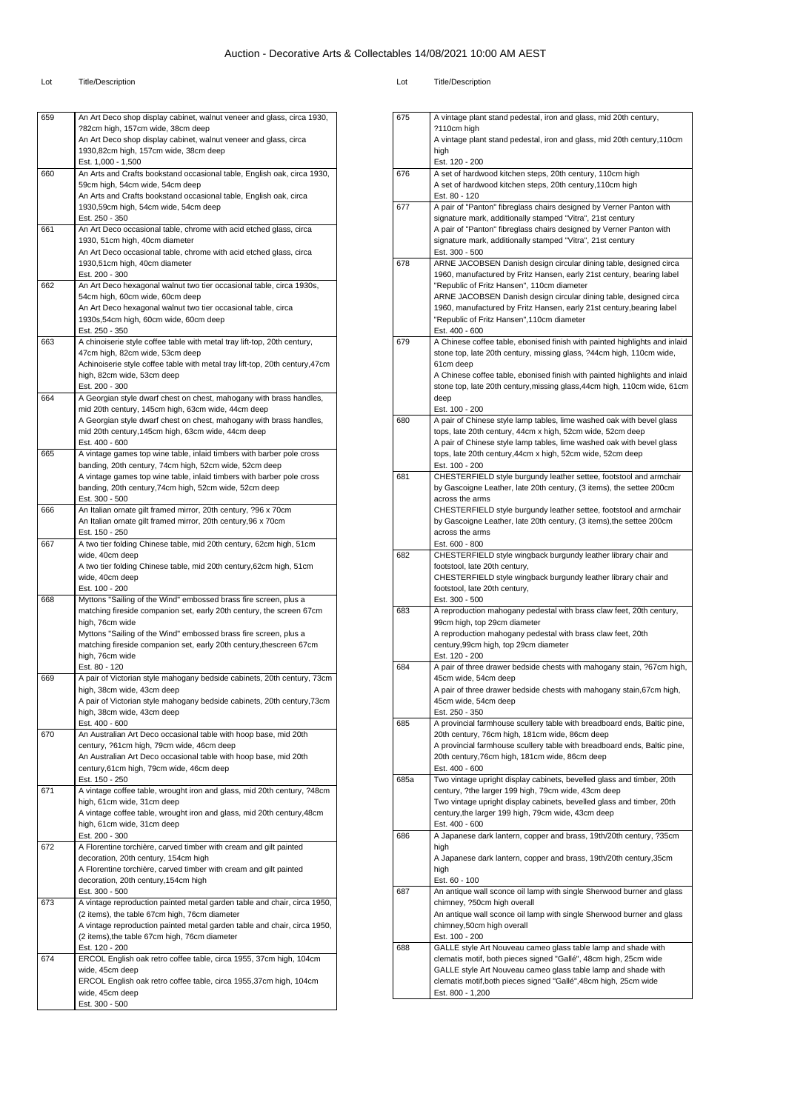#### Lot Title/Description Lot Title/Description

| nt | <b>Title/Description</b> |
|----|--------------------------|
|    |                          |

675 A vintage plant stand pedestal, iron and glass, mid 20th century,

| 659 | An Art Deco shop display cabinet, walnut veneer and glass, circa 1930,                                                          |
|-----|---------------------------------------------------------------------------------------------------------------------------------|
|     | ?82cm high, 157cm wide, 38cm deep                                                                                               |
|     | An Art Deco shop display cabinet, walnut veneer and glass, circa                                                                |
|     | 1930,82cm high, 157cm wide, 38cm deep                                                                                           |
|     | Est. 1,000 - 1,500                                                                                                              |
| 660 | An Arts and Crafts bookstand occasional table, English oak, circa 1930,                                                         |
|     | 59cm high, 54cm wide, 54cm deep                                                                                                 |
|     | An Arts and Crafts bookstand occasional table, English oak, circa                                                               |
|     | 1930,59cm high, 54cm wide, 54cm deep<br>Est. 250 - 350                                                                          |
| 661 | An Art Deco occasional table, chrome with acid etched glass, circa                                                              |
|     | 1930, 51cm high, 40cm diameter                                                                                                  |
|     | An Art Deco occasional table, chrome with acid etched glass, circa                                                              |
|     | 1930,51cm high, 40cm diameter                                                                                                   |
|     | Est. 200 - 300                                                                                                                  |
| 662 | An Art Deco hexagonal walnut two tier occasional table, circa 1930s,                                                            |
|     | 54cm high, 60cm wide, 60cm deep                                                                                                 |
|     | An Art Deco hexagonal walnut two tier occasional table, circa                                                                   |
|     | 1930s,54cm high, 60cm wide, 60cm deep                                                                                           |
|     | Est. 250 - 350                                                                                                                  |
| 663 | A chinoiserie style coffee table with metal tray lift-top, 20th century,                                                        |
|     | 47cm high, 82cm wide, 53cm deep                                                                                                 |
|     | Achinoiserie style coffee table with metal tray lift-top, 20th century, 47cm                                                    |
|     | high, 82cm wide, 53cm deep                                                                                                      |
|     | Est. 200 - 300                                                                                                                  |
| 664 | A Georgian style dwarf chest on chest, mahogany with brass handles,                                                             |
|     | mid 20th century, 145cm high, 63cm wide, 44cm deep                                                                              |
|     | A Georgian style dwarf chest on chest, mahogany with brass handles,                                                             |
|     | mid 20th century, 145cm high, 63cm wide, 44cm deep                                                                              |
| 665 | Est. 400 - 600                                                                                                                  |
|     | A vintage games top wine table, inlaid timbers with barber pole cross<br>banding, 20th century, 74cm high, 52cm wide, 52cm deep |
|     | A vintage games top wine table, inlaid timbers with barber pole cross                                                           |
|     | banding, 20th century, 74cm high, 52cm wide, 52cm deep                                                                          |
|     | Est. 300 - 500                                                                                                                  |
| 666 | An Italian ornate gilt framed mirror, 20th century, ?96 x 70cm                                                                  |
|     | An Italian ornate gilt framed mirror, 20th century, 96 x 70cm                                                                   |
|     | Est. 150 - 250                                                                                                                  |
| 667 | A two tier folding Chinese table, mid 20th century, 62cm high, 51cm                                                             |
|     | wide, 40cm deep                                                                                                                 |
|     | A two tier folding Chinese table, mid 20th century, 62cm high, 51cm                                                             |
|     | wide, 40cm deep                                                                                                                 |
|     | Est. 100 - 200                                                                                                                  |
| 668 | Myttons "Sailing of the Wind" embossed brass fire screen, plus a                                                                |
|     | matching fireside companion set, early 20th century, the screen 67cm                                                            |
|     | high, 76cm wide                                                                                                                 |
|     | Myttons "Sailing of the Wind" embossed brass fire screen, plus a                                                                |
|     | matching fireside companion set, early 20th century, thescreen 67cm                                                             |
|     | high, 76cm wide                                                                                                                 |
|     | Est. 80 - 120                                                                                                                   |
| 669 | A pair of Victorian style mahogany bedside cabinets, 20th century, 73cm                                                         |
|     | high, 38cm wide, 43cm deep                                                                                                      |
|     | A pair of Victorian style mahogany bedside cabinets, 20th century, 73cm<br>high, 38cm wide, 43cm deep                           |
|     | Est. 400 - 600                                                                                                                  |
| 670 | An Australian Art Deco occasional table with hoop base, mid 20th                                                                |
|     | century, ?61cm high, 79cm wide, 46cm deep                                                                                       |
|     | An Australian Art Deco occasional table with hoop base, mid 20th                                                                |
|     | century, 61cm high, 79cm wide, 46cm deep                                                                                        |
|     | Est. 150 - 250                                                                                                                  |
| 671 | A vintage coffee table, wrought iron and glass, mid 20th century, ?48cm                                                         |
|     | high, 61cm wide, 31cm deep                                                                                                      |
|     | A vintage coffee table, wrought iron and glass, mid 20th century, 48cm                                                          |
|     | high, 61cm wide, 31cm deep                                                                                                      |
|     | Est. 200 - 300                                                                                                                  |
| 672 | A Florentine torchière, carved timber with cream and gilt painted                                                               |
|     | decoration, 20th century, 154cm high                                                                                            |
|     | A Florentine torchière, carved timber with cream and gilt painted                                                               |
|     | decoration, 20th century, 154cm high                                                                                            |
|     | Est. 300 - 500                                                                                                                  |
| 673 | A vintage reproduction painted metal garden table and chair, circa 1950,                                                        |
|     | (2 items), the table 67cm high, 76cm diameter                                                                                   |
|     | A vintage reproduction painted metal garden table and chair, circa 1950,                                                        |
|     | (2 items), the table 67cm high, 76cm diameter                                                                                   |
|     | Est. 120 - 200                                                                                                                  |
| 674 | ERCOL English oak retro coffee table, circa 1955, 37cm high, 104cm                                                              |
|     | wide, 45cm deep                                                                                                                 |
|     | ERCOL English oak retro coffee table, circa 1955,37cm high, 104cm                                                               |
|     | wide, 45cm deep<br>Est. 300 - 500                                                                                               |
|     |                                                                                                                                 |

|      | ?110cm high                                                                                                                                        |
|------|----------------------------------------------------------------------------------------------------------------------------------------------------|
|      | A vintage plant stand pedestal, iron and glass, mid 20th century, 110cm<br>high                                                                    |
|      | Est. 120 - 200                                                                                                                                     |
| 676  | A set of hardwood kitchen steps, 20th century, 110cm high                                                                                          |
|      | A set of hardwood kitchen steps, 20th century, 110cm high                                                                                          |
|      | Est. 80 - 120                                                                                                                                      |
| 677  | A pair of "Panton" fibreglass chairs designed by Verner Panton with<br>signature mark, additionally stamped "Vitra", 21st century                  |
|      | A pair of "Panton" fibreglass chairs designed by Verner Panton with                                                                                |
|      | signature mark, additionally stamped "Vitra", 21st century                                                                                         |
|      | Est. 300 - 500                                                                                                                                     |
| 678  | ARNE JACOBSEN Danish design circular dining table, designed circa                                                                                  |
|      | 1960, manufactured by Fritz Hansen, early 21st century, bearing label<br>"Republic of Fritz Hansen", 110cm diameter                                |
|      | ARNE JACOBSEN Danish design circular dining table, designed circa                                                                                  |
|      | 1960, manufactured by Fritz Hansen, early 21st century, bearing label                                                                              |
|      | "Republic of Fritz Hansen", 110cm diameter                                                                                                         |
|      | Est. 400 - 600                                                                                                                                     |
| 679  | A Chinese coffee table, ebonised finish with painted highlights and inlaid<br>stone top, late 20th century, missing glass, ?44cm high, 110cm wide, |
|      | 61cm deep                                                                                                                                          |
|      | A Chinese coffee table, ebonised finish with painted highlights and inlaid                                                                         |
|      | stone top, late 20th century, missing glass, 44cm high, 110cm wide, 61cm                                                                           |
|      | deep                                                                                                                                               |
| 680  | Est. 100 - 200<br>A pair of Chinese style lamp tables, lime washed oak with bevel glass                                                            |
|      | tops, late 20th century, 44cm x high, 52cm wide, 52cm deep                                                                                         |
|      | A pair of Chinese style lamp tables, lime washed oak with bevel glass                                                                              |
|      | tops, late 20th century, 44cm x high, 52cm wide, 52cm deep                                                                                         |
|      | Est. 100 - 200<br>CHESTERFIELD style burgundy leather settee, footstool and armchair                                                               |
| 681  | by Gascoigne Leather, late 20th century, (3 items), the settee 200cm                                                                               |
|      | across the arms                                                                                                                                    |
|      | CHESTERFIELD style burgundy leather settee, footstool and armchair                                                                                 |
|      | by Gascoigne Leather, late 20th century, (3 items), the settee 200cm                                                                               |
|      | across the arms<br>Est. 600 - 800                                                                                                                  |
| 682  | CHESTERFIELD style wingback burgundy leather library chair and                                                                                     |
|      | footstool, late 20th century,                                                                                                                      |
|      | CHESTERFIELD style wingback burgundy leather library chair and                                                                                     |
|      | footstool, late 20th century,<br>Est. 300 - 500                                                                                                    |
| 683  | A reproduction mahogany pedestal with brass claw feet, 20th century,                                                                               |
|      | 99cm high, top 29cm diameter                                                                                                                       |
|      | A reproduction mahogany pedestal with brass claw feet, 20th                                                                                        |
|      | century, 99cm high, top 29cm diameter<br>Est. 120 - 200                                                                                            |
| 684  | A pair of three drawer bedside chests with mahogany stain, ?67cm high,                                                                             |
|      | 45cm wide, 54cm deep                                                                                                                               |
|      | A pair of three drawer bedside chests with mahogany stain, 67cm high,                                                                              |
|      | 45cm wide, 54cm deep                                                                                                                               |
| 685  | Est. 250 - 350<br>A provincial farmhouse scullery table with breadboard ends, Baltic pine,                                                         |
|      | 20th century, 76cm high, 181cm wide, 86cm deep                                                                                                     |
|      | A provincial farmhouse scullery table with breadboard ends, Baltic pine,                                                                           |
|      | 20th century, 76cm high, 181cm wide, 86cm deep                                                                                                     |
| 685a | Est. 400 - 600<br>Two vintage upright display cabinets, bevelled glass and timber, 20th                                                            |
|      | century, ?the larger 199 high, 79cm wide, 43cm deep                                                                                                |
|      | Two vintage upright display cabinets, bevelled glass and timber, 20th                                                                              |
|      | century, the larger 199 high, 79cm wide, 43cm deep                                                                                                 |
| 686  | Est. 400 - 600<br>A Japanese dark lantern, copper and brass, 19th/20th century, ?35cm                                                              |
|      | high                                                                                                                                               |
|      | A Japanese dark lantern, copper and brass, 19th/20th century,35cm                                                                                  |
|      | high                                                                                                                                               |
|      | Est. 60 - 100                                                                                                                                      |
| 687  | An antique wall sconce oil lamp with single Sherwood burner and glass<br>chimney, ?50cm high overall                                               |
|      | An antique wall sconce oil lamp with single Sherwood burner and glass                                                                              |
|      | chimney,50cm high overall                                                                                                                          |
|      | Est. 100 - 200                                                                                                                                     |
| 688  | GALLE style Art Nouveau cameo glass table lamp and shade with<br>clematis motif, both pieces signed "Gallé", 48cm high, 25cm wide                  |
|      | GALLE style Art Nouveau cameo glass table lamp and shade with                                                                                      |
|      | clematis motif, both pieces signed "Gallé", 48cm high, 25cm wide                                                                                   |
|      | Est. 800 - 1,200                                                                                                                                   |
|      |                                                                                                                                                    |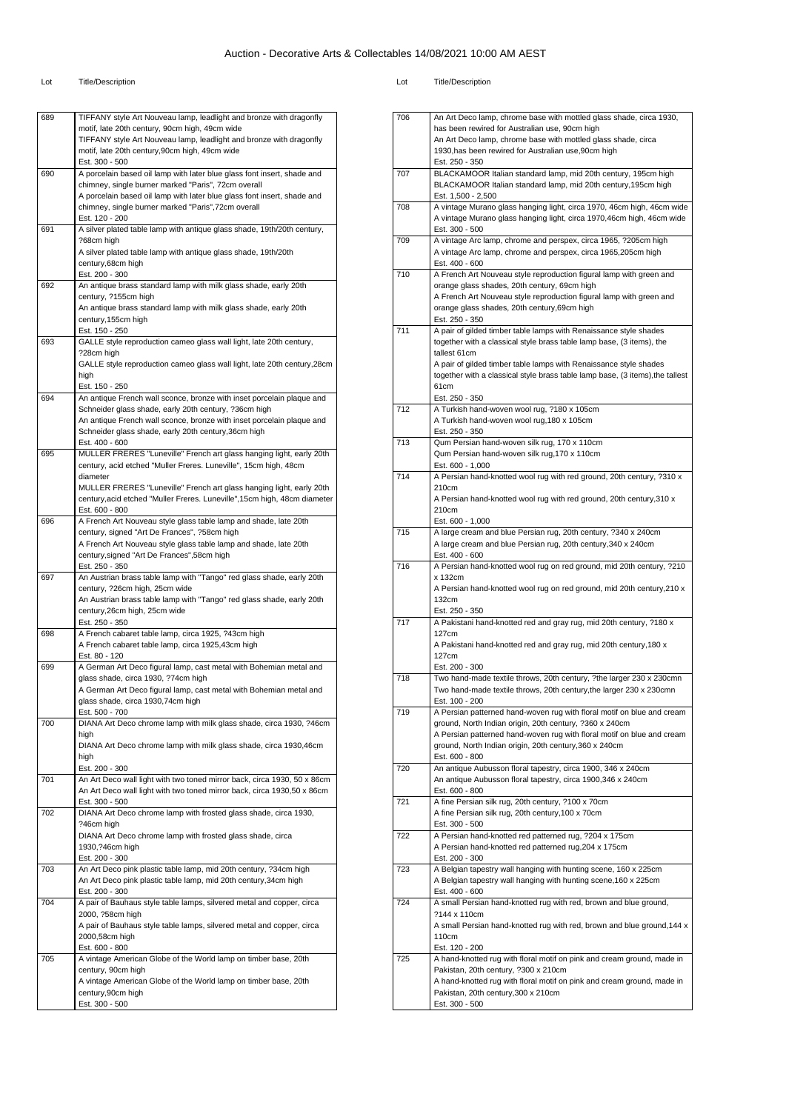| 689 | TIFFANY style Art Nouveau lamp, leadlight and bronze with dragonfly                     |
|-----|-----------------------------------------------------------------------------------------|
|     | motif, late 20th century, 90cm high, 49cm wide                                          |
|     | TIFFANY style Art Nouveau lamp, leadlight and bronze with dragonfly                     |
|     | motif, late 20th century, 90cm high, 49cm wide                                          |
|     | Est. 300 - 500                                                                          |
| 690 | A porcelain based oil lamp with later blue glass font insert, shade and                 |
|     | chimney, single burner marked "Paris", 72cm overall                                     |
|     | A porcelain based oil lamp with later blue glass font insert, shade and                 |
|     | chimney, single burner marked "Paris", 72cm overall                                     |
|     | Est. 120 - 200                                                                          |
| 691 | A silver plated table lamp with antique glass shade, 19th/20th century,                 |
|     | ?68cm high                                                                              |
|     | A silver plated table lamp with antique glass shade, 19th/20th                          |
|     | century,68cm high                                                                       |
|     | Est. 200 - 300                                                                          |
| 692 | An antique brass standard lamp with milk glass shade, early 20th                        |
|     | century, ?155cm high                                                                    |
|     | An antique brass standard lamp with milk glass shade, early 20th<br>century, 155cm high |
|     | Est. 150 - 250                                                                          |
| 693 | GALLE style reproduction cameo glass wall light, late 20th century,                     |
|     | ?28cm high                                                                              |
|     | GALLE style reproduction cameo glass wall light, late 20th century, 28cm                |
|     | high                                                                                    |
|     | Est. 150 - 250                                                                          |
| 694 | An antique French wall sconce, bronze with inset porcelain plaque and                   |
|     | Schneider glass shade, early 20th century, ?36cm high                                   |
|     | An antique French wall sconce, bronze with inset porcelain plaque and                   |
|     | Schneider glass shade, early 20th century, 36cm high                                    |
|     | Est. 400 - 600                                                                          |
| 695 | MULLER FRERES "Luneville" French art glass hanging light, early 20th                    |
|     | century, acid etched "Muller Freres. Luneville", 15cm high, 48cm                        |
|     | diameter                                                                                |
|     | MULLER FRERES "Luneville" French art glass hanging light, early 20th                    |
|     | century, acid etched "Muller Freres. Luneville", 15cm high, 48cm diameter               |
|     | Est. 600 - 800                                                                          |
| 696 | A French Art Nouveau style glass table lamp and shade, late 20th                        |
|     | century, signed "Art De Frances", ?58cm high                                            |
|     | A French Art Nouveau style glass table lamp and shade, late 20th                        |
|     | century, signed "Art De Frances", 58cm high                                             |
|     | Est. 250 - 350                                                                          |
| 697 | An Austrian brass table lamp with "Tango" red glass shade, early 20th                   |
|     | century, ?26cm high, 25cm wide                                                          |
|     | An Austrian brass table lamp with "Tango" red glass shade, early 20th                   |
|     | century, 26cm high, 25cm wide                                                           |
|     | Est. 250 - 350                                                                          |
| 698 | A French cabaret table lamp, circa 1925, ?43cm high                                     |
|     | A French cabaret table lamp, circa 1925,43cm high                                       |
|     | Est. 80 - 120                                                                           |
| 699 | A German Art Deco figural lamp, cast metal with Bohemian metal and                      |
|     | glass shade, circa 1930, ?74cm high                                                     |
|     | A German Art Deco figural lamp, cast metal with Bohemian metal and                      |
|     | glass shade, circa 1930,74cm high                                                       |
|     | Est. 500 - 700                                                                          |
| 700 | DIANA Art Deco chrome lamp with milk glass shade, circa 1930, ?46cm                     |
|     | high                                                                                    |
|     | DIANA Art Deco chrome lamp with milk glass shade, circa 1930,46cm                       |
|     | high                                                                                    |
|     | Est. 200 - 300                                                                          |
| 701 | An Art Deco wall light with two toned mirror back, circa 1930, 50 x 86cm                |
|     | An Art Deco wall light with two toned mirror back, circa 1930,50 x 86cm                 |
|     | Est. 300 - 500                                                                          |
| 702 | DIANA Art Deco chrome lamp with frosted glass shade, circa 1930,                        |
|     | ?46cm high                                                                              |
|     | DIANA Art Deco chrome lamp with frosted glass shade, circa                              |
|     | 1930,?46cm high<br>Est. 200 - 300                                                       |
| 703 | An Art Deco pink plastic table lamp, mid 20th century, ?34cm high                       |
|     | An Art Deco pink plastic table lamp, mid 20th century, 34cm high                        |
|     | Est. 200 - 300                                                                          |
| 704 | A pair of Bauhaus style table lamps, silvered metal and copper, circa                   |
|     | 2000, ?58cm high                                                                        |
|     | A pair of Bauhaus style table lamps, silvered metal and copper, circa                   |
|     | 2000,58cm high                                                                          |
|     | Est. 600 - 800                                                                          |
| 705 | A vintage American Globe of the World lamp on timber base, 20th                         |
|     | century, 90cm high                                                                      |
|     | A vintage American Globe of the World lamp on timber base, 20th                         |
|     | century, 90cm high                                                                      |
|     | Est. 300 - 500                                                                          |
|     |                                                                                         |

| has been rewired for Australian use, 90cm high<br>An Art Deco lamp, chrome base with mottled glass shade, circa<br>1930, has been rewired for Australian use, 90cm high<br>Est. 250 - 350<br>707<br>BLACKAMOOR Italian standard lamp, mid 20th century, 195cm high<br>BLACKAMOOR Italian standard lamp, mid 20th century, 195cm high<br>Est. 1,500 - 2,500<br>A vintage Murano glass hanging light, circa 1970, 46cm high, 46cm wide<br>708<br>A vintage Murano glass hanging light, circa 1970,46cm high, 46cm wide<br>Est. 300 - 500<br>A vintage Arc lamp, chrome and perspex, circa 1965, ?205cm high<br>709<br>A vintage Arc lamp, chrome and perspex, circa 1965,205cm high<br>Est. 400 - 600<br>710<br>A French Art Nouveau style reproduction figural lamp with green and<br>orange glass shades, 20th century, 69cm high |  |
|-----------------------------------------------------------------------------------------------------------------------------------------------------------------------------------------------------------------------------------------------------------------------------------------------------------------------------------------------------------------------------------------------------------------------------------------------------------------------------------------------------------------------------------------------------------------------------------------------------------------------------------------------------------------------------------------------------------------------------------------------------------------------------------------------------------------------------------|--|
|                                                                                                                                                                                                                                                                                                                                                                                                                                                                                                                                                                                                                                                                                                                                                                                                                                   |  |
|                                                                                                                                                                                                                                                                                                                                                                                                                                                                                                                                                                                                                                                                                                                                                                                                                                   |  |
|                                                                                                                                                                                                                                                                                                                                                                                                                                                                                                                                                                                                                                                                                                                                                                                                                                   |  |
|                                                                                                                                                                                                                                                                                                                                                                                                                                                                                                                                                                                                                                                                                                                                                                                                                                   |  |
|                                                                                                                                                                                                                                                                                                                                                                                                                                                                                                                                                                                                                                                                                                                                                                                                                                   |  |
|                                                                                                                                                                                                                                                                                                                                                                                                                                                                                                                                                                                                                                                                                                                                                                                                                                   |  |
|                                                                                                                                                                                                                                                                                                                                                                                                                                                                                                                                                                                                                                                                                                                                                                                                                                   |  |
|                                                                                                                                                                                                                                                                                                                                                                                                                                                                                                                                                                                                                                                                                                                                                                                                                                   |  |
|                                                                                                                                                                                                                                                                                                                                                                                                                                                                                                                                                                                                                                                                                                                                                                                                                                   |  |
|                                                                                                                                                                                                                                                                                                                                                                                                                                                                                                                                                                                                                                                                                                                                                                                                                                   |  |
|                                                                                                                                                                                                                                                                                                                                                                                                                                                                                                                                                                                                                                                                                                                                                                                                                                   |  |
|                                                                                                                                                                                                                                                                                                                                                                                                                                                                                                                                                                                                                                                                                                                                                                                                                                   |  |
|                                                                                                                                                                                                                                                                                                                                                                                                                                                                                                                                                                                                                                                                                                                                                                                                                                   |  |
| A French Art Nouveau style reproduction figural lamp with green and                                                                                                                                                                                                                                                                                                                                                                                                                                                                                                                                                                                                                                                                                                                                                               |  |
| orange glass shades, 20th century, 69cm high                                                                                                                                                                                                                                                                                                                                                                                                                                                                                                                                                                                                                                                                                                                                                                                      |  |
| Est. 250 - 350                                                                                                                                                                                                                                                                                                                                                                                                                                                                                                                                                                                                                                                                                                                                                                                                                    |  |
| 711<br>A pair of gilded timber table lamps with Renaissance style shades                                                                                                                                                                                                                                                                                                                                                                                                                                                                                                                                                                                                                                                                                                                                                          |  |
| together with a classical style brass table lamp base, (3 items), the                                                                                                                                                                                                                                                                                                                                                                                                                                                                                                                                                                                                                                                                                                                                                             |  |
| tallest 61cm                                                                                                                                                                                                                                                                                                                                                                                                                                                                                                                                                                                                                                                                                                                                                                                                                      |  |
| A pair of gilded timber table lamps with Renaissance style shades                                                                                                                                                                                                                                                                                                                                                                                                                                                                                                                                                                                                                                                                                                                                                                 |  |
| together with a classical style brass table lamp base, (3 items), the tallest                                                                                                                                                                                                                                                                                                                                                                                                                                                                                                                                                                                                                                                                                                                                                     |  |
| 61cm                                                                                                                                                                                                                                                                                                                                                                                                                                                                                                                                                                                                                                                                                                                                                                                                                              |  |
| Est. 250 - 350                                                                                                                                                                                                                                                                                                                                                                                                                                                                                                                                                                                                                                                                                                                                                                                                                    |  |
| 712<br>A Turkish hand-woven wool rug, ?180 x 105cm                                                                                                                                                                                                                                                                                                                                                                                                                                                                                                                                                                                                                                                                                                                                                                                |  |
| A Turkish hand-woven wool rug, 180 x 105cm                                                                                                                                                                                                                                                                                                                                                                                                                                                                                                                                                                                                                                                                                                                                                                                        |  |
| Est. 250 - 350<br>713                                                                                                                                                                                                                                                                                                                                                                                                                                                                                                                                                                                                                                                                                                                                                                                                             |  |
| Qum Persian hand-woven silk rug, 170 x 110cm<br>Qum Persian hand-woven silk rug, 170 x 110cm                                                                                                                                                                                                                                                                                                                                                                                                                                                                                                                                                                                                                                                                                                                                      |  |
| Est. 600 - 1,000                                                                                                                                                                                                                                                                                                                                                                                                                                                                                                                                                                                                                                                                                                                                                                                                                  |  |
| 714<br>A Persian hand-knotted wool rug with red ground, 20th century, ?310 x                                                                                                                                                                                                                                                                                                                                                                                                                                                                                                                                                                                                                                                                                                                                                      |  |
| 210cm                                                                                                                                                                                                                                                                                                                                                                                                                                                                                                                                                                                                                                                                                                                                                                                                                             |  |
| A Persian hand-knotted wool rug with red ground, 20th century, 310 x                                                                                                                                                                                                                                                                                                                                                                                                                                                                                                                                                                                                                                                                                                                                                              |  |
| 210cm                                                                                                                                                                                                                                                                                                                                                                                                                                                                                                                                                                                                                                                                                                                                                                                                                             |  |
| Est. 600 - 1,000                                                                                                                                                                                                                                                                                                                                                                                                                                                                                                                                                                                                                                                                                                                                                                                                                  |  |
| 715<br>A large cream and blue Persian rug, 20th century, ?340 x 240cm                                                                                                                                                                                                                                                                                                                                                                                                                                                                                                                                                                                                                                                                                                                                                             |  |
| A large cream and blue Persian rug, 20th century, 340 x 240cm                                                                                                                                                                                                                                                                                                                                                                                                                                                                                                                                                                                                                                                                                                                                                                     |  |
| Est. 400 - 600                                                                                                                                                                                                                                                                                                                                                                                                                                                                                                                                                                                                                                                                                                                                                                                                                    |  |
| 716<br>A Persian hand-knotted wool rug on red ground, mid 20th century, ?210                                                                                                                                                                                                                                                                                                                                                                                                                                                                                                                                                                                                                                                                                                                                                      |  |
| x 132cm<br>A Persian hand-knotted wool rug on red ground, mid 20th century, 210 x                                                                                                                                                                                                                                                                                                                                                                                                                                                                                                                                                                                                                                                                                                                                                 |  |
|                                                                                                                                                                                                                                                                                                                                                                                                                                                                                                                                                                                                                                                                                                                                                                                                                                   |  |
|                                                                                                                                                                                                                                                                                                                                                                                                                                                                                                                                                                                                                                                                                                                                                                                                                                   |  |
| 132cm                                                                                                                                                                                                                                                                                                                                                                                                                                                                                                                                                                                                                                                                                                                                                                                                                             |  |
| Est. 250 - 350<br>717                                                                                                                                                                                                                                                                                                                                                                                                                                                                                                                                                                                                                                                                                                                                                                                                             |  |
| A Pakistani hand-knotted red and gray rug, mid 20th century, ?180 x<br>127cm                                                                                                                                                                                                                                                                                                                                                                                                                                                                                                                                                                                                                                                                                                                                                      |  |
| A Pakistani hand-knotted red and gray rug, mid 20th century, 180 x                                                                                                                                                                                                                                                                                                                                                                                                                                                                                                                                                                                                                                                                                                                                                                |  |
| 127cm                                                                                                                                                                                                                                                                                                                                                                                                                                                                                                                                                                                                                                                                                                                                                                                                                             |  |
| Est. 200 - 300                                                                                                                                                                                                                                                                                                                                                                                                                                                                                                                                                                                                                                                                                                                                                                                                                    |  |
| 718<br>Two hand-made textile throws, 20th century, ?the larger 230 x 230cmn                                                                                                                                                                                                                                                                                                                                                                                                                                                                                                                                                                                                                                                                                                                                                       |  |
| Two hand-made textile throws, 20th century, the larger 230 x 230cmn                                                                                                                                                                                                                                                                                                                                                                                                                                                                                                                                                                                                                                                                                                                                                               |  |
| Est. 100 - 200                                                                                                                                                                                                                                                                                                                                                                                                                                                                                                                                                                                                                                                                                                                                                                                                                    |  |
| 719<br>A Persian patterned hand-woven rug with floral motif on blue and cream                                                                                                                                                                                                                                                                                                                                                                                                                                                                                                                                                                                                                                                                                                                                                     |  |
| ground, North Indian origin, 20th century, ?360 x 240cm                                                                                                                                                                                                                                                                                                                                                                                                                                                                                                                                                                                                                                                                                                                                                                           |  |
| A Persian patterned hand-woven rug with floral motif on blue and cream                                                                                                                                                                                                                                                                                                                                                                                                                                                                                                                                                                                                                                                                                                                                                            |  |
| ground, North Indian origin, 20th century, 360 x 240cm                                                                                                                                                                                                                                                                                                                                                                                                                                                                                                                                                                                                                                                                                                                                                                            |  |
| Est. 600 - 800                                                                                                                                                                                                                                                                                                                                                                                                                                                                                                                                                                                                                                                                                                                                                                                                                    |  |
| 720<br>An antique Aubusson floral tapestry, circa 1900, 346 x 240cm                                                                                                                                                                                                                                                                                                                                                                                                                                                                                                                                                                                                                                                                                                                                                               |  |
| An antique Aubusson floral tapestry, circa 1900,346 x 240cm<br>Est. 600 - 800                                                                                                                                                                                                                                                                                                                                                                                                                                                                                                                                                                                                                                                                                                                                                     |  |
| 721<br>A fine Persian silk rug, 20th century, ?100 x 70cm                                                                                                                                                                                                                                                                                                                                                                                                                                                                                                                                                                                                                                                                                                                                                                         |  |
| A fine Persian silk rug, 20th century, 100 x 70cm                                                                                                                                                                                                                                                                                                                                                                                                                                                                                                                                                                                                                                                                                                                                                                                 |  |
| Est. 300 - 500                                                                                                                                                                                                                                                                                                                                                                                                                                                                                                                                                                                                                                                                                                                                                                                                                    |  |
| A Persian hand-knotted red patterned rug, ?204 x 175cm<br>722                                                                                                                                                                                                                                                                                                                                                                                                                                                                                                                                                                                                                                                                                                                                                                     |  |
| A Persian hand-knotted red patterned rug, 204 x 175cm                                                                                                                                                                                                                                                                                                                                                                                                                                                                                                                                                                                                                                                                                                                                                                             |  |
| Est. 200 - 300                                                                                                                                                                                                                                                                                                                                                                                                                                                                                                                                                                                                                                                                                                                                                                                                                    |  |
| 723<br>A Belgian tapestry wall hanging with hunting scene, 160 x 225cm                                                                                                                                                                                                                                                                                                                                                                                                                                                                                                                                                                                                                                                                                                                                                            |  |
| A Belgian tapestry wall hanging with hunting scene, 160 x 225cm                                                                                                                                                                                                                                                                                                                                                                                                                                                                                                                                                                                                                                                                                                                                                                   |  |
| Est. 400 - 600                                                                                                                                                                                                                                                                                                                                                                                                                                                                                                                                                                                                                                                                                                                                                                                                                    |  |
| A small Persian hand-knotted rug with red, brown and blue ground,<br>724                                                                                                                                                                                                                                                                                                                                                                                                                                                                                                                                                                                                                                                                                                                                                          |  |
| ?144 x 110cm                                                                                                                                                                                                                                                                                                                                                                                                                                                                                                                                                                                                                                                                                                                                                                                                                      |  |
| A small Persian hand-knotted rug with red, brown and blue ground, 144 x<br>110cm                                                                                                                                                                                                                                                                                                                                                                                                                                                                                                                                                                                                                                                                                                                                                  |  |
| Est. 120 - 200                                                                                                                                                                                                                                                                                                                                                                                                                                                                                                                                                                                                                                                                                                                                                                                                                    |  |
| A hand-knotted rug with floral motif on pink and cream ground, made in<br>725                                                                                                                                                                                                                                                                                                                                                                                                                                                                                                                                                                                                                                                                                                                                                     |  |
| Pakistan, 20th century, ?300 x 210cm                                                                                                                                                                                                                                                                                                                                                                                                                                                                                                                                                                                                                                                                                                                                                                                              |  |
| A hand-knotted rug with floral motif on pink and cream ground, made in                                                                                                                                                                                                                                                                                                                                                                                                                                                                                                                                                                                                                                                                                                                                                            |  |
| Pakistan, 20th century, 300 x 210cm<br>Est. 300 - 500                                                                                                                                                                                                                                                                                                                                                                                                                                                                                                                                                                                                                                                                                                                                                                             |  |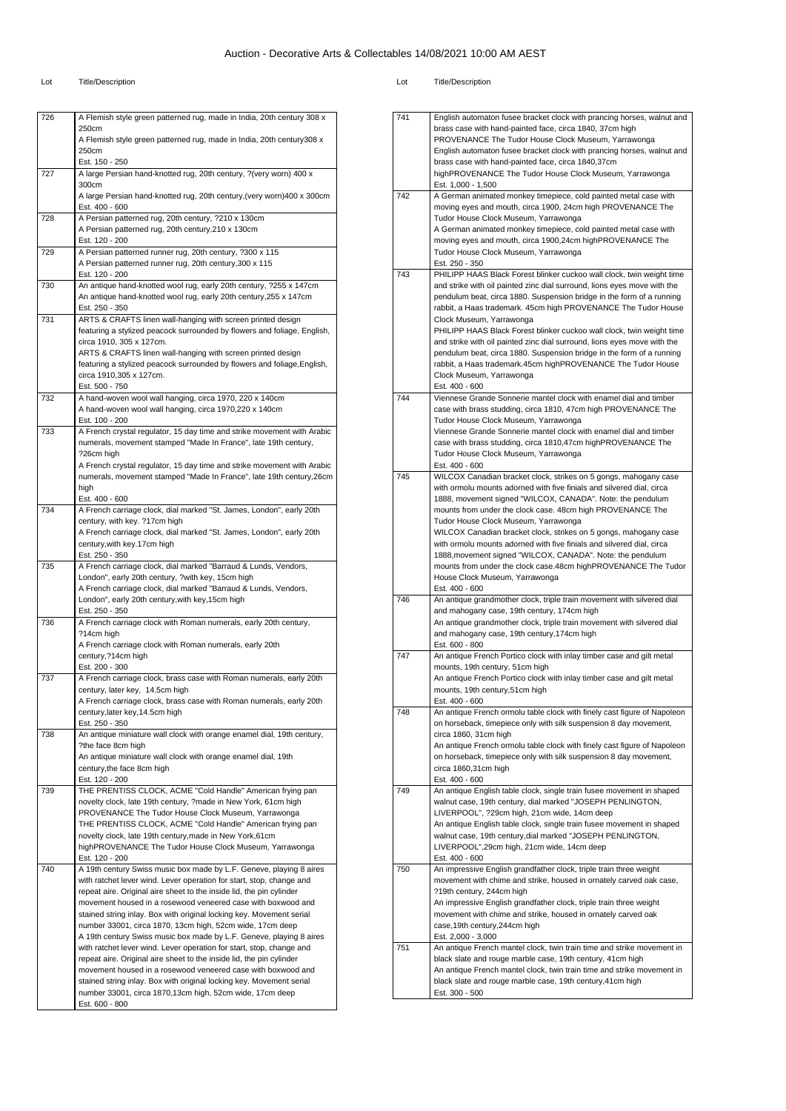| 726 | A Flemish style green patterned rug, made in India, 20th century 308 x                                                                       |
|-----|----------------------------------------------------------------------------------------------------------------------------------------------|
|     | 250cm<br>A Flemish style green patterned rug, made in India, 20th century308 x                                                               |
|     | 250cm                                                                                                                                        |
|     | Est. 150 - 250                                                                                                                               |
| 727 | A large Persian hand-knotted rug, 20th century, ?(very worn) 400 x                                                                           |
|     | 300cm<br>A large Persian hand-knotted rug, 20th century, (very worn) 400 x 300cm                                                             |
|     | Est. 400 - 600                                                                                                                               |
| 728 | A Persian patterned rug, 20th century, ?210 x 130cm                                                                                          |
|     | A Persian patterned rug, 20th century, 210 x 130cm                                                                                           |
| 729 | Est. 120 - 200<br>A Persian patterned runner rug, 20th century, ?300 x 115                                                                   |
|     | A Persian patterned runner rug, 20th century, 300 x 115                                                                                      |
|     | Est. 120 - 200                                                                                                                               |
| 730 | An antique hand-knotted wool rug, early 20th century, ?255 x 147cm                                                                           |
|     | An antique hand-knotted wool rug, early 20th century, 255 x 147cm<br>Est. 250 - 350                                                          |
| 731 | ARTS & CRAFTS linen wall-hanging with screen printed design                                                                                  |
|     | featuring a stylized peacock surrounded by flowers and foliage, English,                                                                     |
|     | circa 1910, 305 x 127cm.                                                                                                                     |
|     | ARTS & CRAFTS linen wall-hanging with screen printed design                                                                                  |
|     | featuring a stylized peacock surrounded by flowers and foliage, English,<br>circa 1910,305 x 127cm.                                          |
|     | Est. 500 - 750                                                                                                                               |
| 732 | A hand-woven wool wall hanging, circa 1970, 220 x 140cm                                                                                      |
|     | A hand-woven wool wall hanging, circa 1970,220 x 140cm                                                                                       |
| 733 | Est. 100 - 200<br>A French crystal regulator, 15 day time and strike movement with Arabic                                                    |
|     | numerals, movement stamped "Made In France", late 19th century,                                                                              |
|     | ?26cm high                                                                                                                                   |
|     | A French crystal regulator, 15 day time and strike movement with Arabic                                                                      |
|     | numerals, movement stamped "Made In France", late 19th century, 26cm                                                                         |
|     | high<br>Est. 400 - 600                                                                                                                       |
| 734 | A French carriage clock, dial marked "St. James, London", early 20th                                                                         |
|     | century, with key. ?17cm high                                                                                                                |
|     | A French carriage clock, dial marked "St. James, London", early 20th                                                                         |
|     | century, with key. 17cm high<br>Est. 250 - 350                                                                                               |
| 735 | A French carriage clock, dial marked "Barraud & Lunds, Vendors,                                                                              |
|     | London", early 20th century, ?with key, 15cm high                                                                                            |
|     | A French carriage clock, dial marked "Barraud & Lunds, Vendors,                                                                              |
|     | London", early 20th century, with key, 15cm high<br>Est. 250 - 350                                                                           |
| 736 | A French carriage clock with Roman numerals, early 20th century,                                                                             |
|     | ?14cm high                                                                                                                                   |
|     | A French carriage clock with Roman numerals, early 20th<br>century, ?14cm high                                                               |
|     | Est. 200 - 300                                                                                                                               |
| 737 | A French carriage clock, brass case with Roman numerals, early 20th                                                                          |
|     | century, later key, 14.5cm high                                                                                                              |
|     | A French carriage clock, brass case with Roman numerals, early 20th                                                                          |
|     | century, later key, 14.5cm high<br>Est. 250 - 350                                                                                            |
| 738 | An antique miniature wall clock with orange enamel dial, 19th century,                                                                       |
|     | ?the face 8cm high                                                                                                                           |
|     | An antique miniature wall clock with orange enamel dial, 19th                                                                                |
|     | century, the face 8cm high<br>Est. 120 - 200                                                                                                 |
| 739 | THE PRENTISS CLOCK, ACME "Cold Handle" American frying pan                                                                                   |
|     | novelty clock, late 19th century, ?made in New York, 61cm high                                                                               |
|     | PROVENANCE The Tudor House Clock Museum, Yarrawonga                                                                                          |
|     | THE PRENTISS CLOCK, ACME "Cold Handle" American frying pan<br>novelty clock, late 19th century, made in New York, 61cm                       |
|     | highPROVENANCE The Tudor House Clock Museum, Yarrawonga                                                                                      |
|     | Est. 120 - 200                                                                                                                               |
| 740 | A 19th century Swiss music box made by L.F. Geneve, playing 8 aires                                                                          |
|     | with ratchet lever wind. Lever operation for start, stop, change and                                                                         |
|     | repeat aire. Original aire sheet to the inside lid, the pin cylinder<br>movement housed in a rosewood veneered case with boxwood and         |
|     | stained string inlay. Box with original locking key. Movement serial                                                                         |
|     | number 33001, circa 1870, 13cm high, 52cm wide, 17cm deep                                                                                    |
|     | A 19th century Swiss music box made by L.F. Geneve, playing 8 aires                                                                          |
|     | with ratchet lever wind. Lever operation for start, stop, change and<br>repeat aire. Original aire sheet to the inside lid, the pin cylinder |
|     | movement housed in a rosewood veneered case with boxwood and                                                                                 |
|     |                                                                                                                                              |
|     | stained string inlay. Box with original locking key. Movement serial                                                                         |
|     | number 33001, circa 1870,13cm high, 52cm wide, 17cm deep<br>Est. 600 - 800                                                                   |

| 741 | English automaton fusee bracket clock with prancing horses, walnut and                                                                            |
|-----|---------------------------------------------------------------------------------------------------------------------------------------------------|
|     | brass case with hand-painted face, circa 1840, 37cm high                                                                                          |
|     | PROVENANCE The Tudor House Clock Museum, Yarrawonga                                                                                               |
|     | English automaton fusee bracket clock with prancing horses, walnut and<br>brass case with hand-painted face, circa 1840,37cm                      |
|     | highPROVENANCE The Tudor House Clock Museum, Yarrawonga                                                                                           |
|     | Est. 1.000 - 1.500                                                                                                                                |
| 742 | A German animated monkey timepiece, cold painted metal case with                                                                                  |
|     | moving eyes and mouth, circa 1900, 24cm high PROVENANCE The                                                                                       |
|     | Tudor House Clock Museum, Yarrawonga<br>A German animated monkey timepiece, cold painted metal case with                                          |
|     | moving eyes and mouth, circa 1900,24cm highPROVENANCE The                                                                                         |
|     | Tudor House Clock Museum, Yarrawonga                                                                                                              |
|     | Est. 250 - 350                                                                                                                                    |
| 743 | PHILIPP HAAS Black Forest blinker cuckoo wall clock, twin weight time                                                                             |
|     | and strike with oil painted zinc dial surround, lions eyes move with the<br>pendulum beat, circa 1880. Suspension bridge in the form of a running |
|     | rabbit, a Haas trademark. 45cm high PROVENANCE The Tudor House                                                                                    |
|     | Clock Museum, Yarrawonga                                                                                                                          |
|     | PHILIPP HAAS Black Forest blinker cuckoo wall clock, twin weight time                                                                             |
|     | and strike with oil painted zinc dial surround, lions eyes move with the                                                                          |
|     | pendulum beat, circa 1880. Suspension bridge in the form of a running                                                                             |
|     | rabbit, a Haas trademark.45cm highPROVENANCE The Tudor House<br>Clock Museum, Yarrawonga                                                          |
|     | Est. 400 - 600                                                                                                                                    |
| 744 | Viennese Grande Sonnerie mantel clock with enamel dial and timber                                                                                 |
|     | case with brass studding, circa 1810, 47cm high PROVENANCE The                                                                                    |
|     | Tudor House Clock Museum, Yarrawonga                                                                                                              |
|     | Viennese Grande Sonnerie mantel clock with enamel dial and timber<br>case with brass studding, circa 1810,47cm highPROVENANCE The                 |
|     | Tudor House Clock Museum, Yarrawonga                                                                                                              |
|     | Est. 400 - 600                                                                                                                                    |
| 745 | WILCOX Canadian bracket clock, strikes on 5 gongs, mahogany case                                                                                  |
|     | with ormolu mounts adorned with five finials and silvered dial, circa                                                                             |
|     | 1888, movement signed "WILCOX, CANADA". Note: the pendulum                                                                                        |
|     | mounts from under the clock case. 48cm high PROVENANCE The<br>Tudor House Clock Museum, Yarrawonga                                                |
|     | WILCOX Canadian bracket clock, strikes on 5 gongs, mahogany case                                                                                  |
|     | with ormolu mounts adorned with five finials and silvered dial, circa                                                                             |
|     | 1888, movement signed "WILCOX, CANADA". Note: the pendulum                                                                                        |
|     | mounts from under the clock case.48cm highPROVENANCE The Tudor                                                                                    |
|     | House Clock Museum, Yarrawonga                                                                                                                    |
| 746 | Est. 400 - 600<br>An antique grandmother clock, triple train movement with silvered dial                                                          |
|     | and mahogany case, 19th century, 174cm high                                                                                                       |
|     | An antique grandmother clock, triple train movement with silvered dial                                                                            |
|     | and mahogany case, 19th century, 174cm high                                                                                                       |
| 747 | Est. 600 - 800<br>An antique French Portico clock with inlay timber case and gilt metal                                                           |
|     | mounts, 19th century, 51cm high                                                                                                                   |
|     | An antique French Portico clock with inlay timber case and gilt metal                                                                             |
|     | mounts, 19th century, 51cm high                                                                                                                   |
|     | Est. 400 - 600                                                                                                                                    |
| 748 | An antique French ormolu table clock with finely cast figure of Napoleon                                                                          |
|     | on horseback, timepiece only with silk suspension 8 day movement,<br>circa 1860, 31cm high                                                        |
|     | An antique French ormolu table clock with finely cast figure of Napoleon                                                                          |
|     | on horseback, timepiece only with silk suspension 8 day movement,                                                                                 |
|     | circa 1860,31cm high                                                                                                                              |
|     | Est. 400 - 600                                                                                                                                    |
| 749 | An antique English table clock, single train fusee movement in shaped<br>walnut case, 19th century, dial marked "JOSEPH PENLINGTON,               |
|     | LIVERPOOL", ?29cm high, 21cm wide, 14cm deep                                                                                                      |
|     | An antique English table clock, single train fusee movement in shaped                                                                             |
|     | walnut case, 19th century, dial marked "JOSEPH PENLINGTON,                                                                                        |
|     | LIVERPOOL",29cm high, 21cm wide, 14cm deep                                                                                                        |
| 750 | Est. 400 - 600<br>An impressive English grandfather clock, triple train three weight                                                              |
|     | movement with chime and strike, housed in ornately carved oak case,                                                                               |
|     | ?19th century, 244cm high                                                                                                                         |
|     | An impressive English grandfather clock, triple train three weight                                                                                |
|     | movement with chime and strike, housed in ornately carved oak                                                                                     |
|     | case, 19th century, 244cm high                                                                                                                    |
| 751 | Est. 2,000 - 3,000<br>An antique French mantel clock, twin train time and strike movement in                                                      |
|     | black slate and rouge marble case, 19th century, 41cm high                                                                                        |
|     | An antique French mantel clock, twin train time and strike movement in                                                                            |
|     | black slate and rouge marble case, 19th century, 41cm high                                                                                        |
|     | Est. 300 - 500                                                                                                                                    |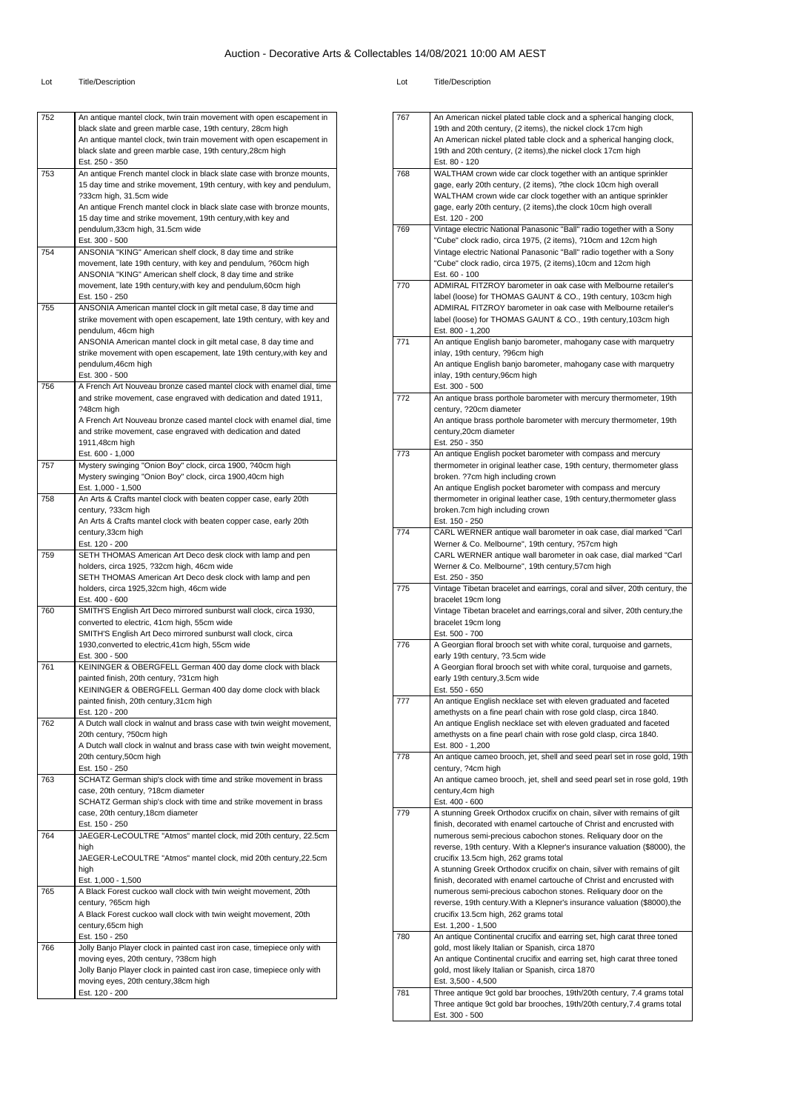| 752 | An antique mantel clock, twin train movement with open escapement in                                                                        |
|-----|---------------------------------------------------------------------------------------------------------------------------------------------|
|     | black slate and green marble case, 19th century, 28cm high                                                                                  |
|     | An antique mantel clock, twin train movement with open escapement in                                                                        |
|     | black slate and green marble case, 19th century, 28cm high                                                                                  |
|     | Est. 250 - 350                                                                                                                              |
| 753 | An antique French mantel clock in black slate case with bronze mounts,                                                                      |
|     | 15 day time and strike movement, 19th century, with key and pendulum,<br>?33cm high, 31.5cm wide                                            |
|     | An antique French mantel clock in black slate case with bronze mounts,                                                                      |
|     | 15 day time and strike movement, 19th century, with key and                                                                                 |
|     | pendulum, 33cm high, 31.5cm wide                                                                                                            |
|     | Est. 300 - 500                                                                                                                              |
| 754 | ANSONIA "KING" American shelf clock, 8 day time and strike                                                                                  |
|     | movement, late 19th century, with key and pendulum, ?60cm high                                                                              |
|     | ANSONIA "KING" American shelf clock, 8 day time and strike<br>movement, late 19th century, with key and pendulum, 60cm high                 |
|     | Est. 150 - 250                                                                                                                              |
| 755 | ANSONIA American mantel clock in gilt metal case, 8 day time and                                                                            |
|     | strike movement with open escapement, late 19th century, with key and                                                                       |
|     | pendulum, 46cm high                                                                                                                         |
|     | ANSONIA American mantel clock in gilt metal case, 8 day time and                                                                            |
|     | strike movement with open escapement, late 19th century, with key and                                                                       |
|     | pendulum, 46cm high                                                                                                                         |
| 756 | Est. 300 - 500                                                                                                                              |
|     | A French Art Nouveau bronze cased mantel clock with enamel dial, time<br>and strike movement, case engraved with dedication and dated 1911, |
|     | ?48cm high                                                                                                                                  |
|     | A French Art Nouveau bronze cased mantel clock with enamel dial, time                                                                       |
|     | and strike movement, case engraved with dedication and dated                                                                                |
|     | 1911,48cm high                                                                                                                              |
|     | Est. 600 - 1,000                                                                                                                            |
| 757 | Mystery swinging "Onion Boy" clock, circa 1900, ?40cm high                                                                                  |
|     | Mystery swinging "Onion Boy" clock, circa 1900,40cm high                                                                                    |
| 758 | Est. 1,000 - 1,500<br>An Arts & Crafts mantel clock with beaten copper case, early 20th                                                     |
|     | century, ?33cm high                                                                                                                         |
|     | An Arts & Crafts mantel clock with beaten copper case, early 20th                                                                           |
|     | century, 33cm high                                                                                                                          |
|     | Est. 120 - 200                                                                                                                              |
| 759 | SETH THOMAS American Art Deco desk clock with lamp and pen                                                                                  |
|     | holders, circa 1925, ?32cm high, 46cm wide                                                                                                  |
|     | SETH THOMAS American Art Deco desk clock with lamp and pen                                                                                  |
|     | holders, circa 1925,32cm high, 46cm wide<br>Est. 400 - 600                                                                                  |
| 760 | SMITH'S English Art Deco mirrored sunburst wall clock, circa 1930,                                                                          |
|     | converted to electric, 41cm high, 55cm wide                                                                                                 |
|     | SMITH'S English Art Deco mirrored sunburst wall clock, circa                                                                                |
|     | 1930, converted to electric, 41cm high, 55cm wide                                                                                           |
|     | Est. 300 - 500                                                                                                                              |
| 761 | KEININGER & OBERGFELL German 400 day dome clock with black                                                                                  |
|     | painted finish, 20th century, ?31cm high                                                                                                    |
|     | KEININGER & OBERGFELL German 400 day dome clock with black                                                                                  |
|     | painted finish, 20th century,31cm high<br>Est. 120 - 200                                                                                    |
| 762 | A Dutch wall clock in walnut and brass case with twin weight movement,                                                                      |
|     | 20th century, ?50cm high                                                                                                                    |
|     | A Dutch wall clock in walnut and brass case with twin weight movement,                                                                      |
|     | 20th century, 50cm high                                                                                                                     |
|     | Est. 150 - 250                                                                                                                              |
| 763 | SCHATZ German ship's clock with time and strike movement in brass                                                                           |
|     | case, 20th century, ?18cm diameter                                                                                                          |
|     | SCHATZ German ship's clock with time and strike movement in brass<br>case, 20th century, 18cm diameter                                      |
|     | Est. 150 - 250                                                                                                                              |
| 764 | JAEGER-LeCOULTRE "Atmos" mantel clock, mid 20th century, 22.5cm                                                                             |
|     | high                                                                                                                                        |
|     | JAEGER-LeCOULTRE "Atmos" mantel clock, mid 20th century,22.5cm                                                                              |
|     | high                                                                                                                                        |
|     | Est. 1,000 - 1,500                                                                                                                          |
| 765 | A Black Forest cuckoo wall clock with twin weight movement, 20th                                                                            |
|     | century, ?65cm high                                                                                                                         |
|     | A Black Forest cuckoo wall clock with twin weight movement, 20th                                                                            |
|     | century, 65cm high<br>Est. 150 - 250                                                                                                        |
|     | Jolly Banjo Player clock in painted cast iron case, timepiece only with                                                                     |
|     |                                                                                                                                             |
|     |                                                                                                                                             |
|     | moving eyes, 20th century, ?38cm high<br>Jolly Banjo Player clock in painted cast iron case, timepiece only with                            |
| 766 | moving eyes, 20th century, 38cm high                                                                                                        |

| 767 | An American nickel plated table clock and a spherical hanging clock,                                                                   |
|-----|----------------------------------------------------------------------------------------------------------------------------------------|
|     | 19th and 20th century, (2 items), the nickel clock 17cm high                                                                           |
|     | An American nickel plated table clock and a spherical hanging clock,<br>19th and 20th century, (2 items), the nickel clock 17cm high   |
|     | Est. 80 - 120                                                                                                                          |
| 768 | WALTHAM crown wide car clock together with an antique sprinkler                                                                        |
|     | gage, early 20th century, (2 items), ?the clock 10cm high overall                                                                      |
|     | WALTHAM crown wide car clock together with an antique sprinkler                                                                        |
|     | gage, early 20th century, (2 items), the clock 10cm high overall<br>Est. 120 - 200                                                     |
| 769 | Vintage electric National Panasonic "Ball" radio together with a Sony                                                                  |
|     | "Cube" clock radio, circa 1975, (2 items), ?10cm and 12cm high                                                                         |
|     | Vintage electric National Panasonic "Ball" radio together with a Sony                                                                  |
|     | "Cube" clock radio, circa 1975, (2 items), 10cm and 12cm high<br>Est. 60 - 100                                                         |
| 770 | ADMIRAL FITZROY barometer in oak case with Melbourne retailer's                                                                        |
|     | label (loose) for THOMAS GAUNT & CO., 19th century, 103cm high                                                                         |
|     | ADMIRAL FITZROY barometer in oak case with Melbourne retailer's                                                                        |
|     | label (loose) for THOMAS GAUNT & CO., 19th century, 103cm high                                                                         |
| 771 | Est. 800 - 1,200                                                                                                                       |
|     | An antique English banjo barometer, mahogany case with marquetry<br>inlay, 19th century, ?96cm high                                    |
|     | An antique English banjo barometer, mahogany case with marquetry                                                                       |
|     | inlay, 19th century, 96cm high                                                                                                         |
|     | Est. 300 - 500                                                                                                                         |
| 772 | An antique brass porthole barometer with mercury thermometer, 19th                                                                     |
|     | century, ?20cm diameter<br>An antique brass porthole barometer with mercury thermometer, 19th                                          |
|     | century, 20cm diameter                                                                                                                 |
|     | Est. 250 - 350                                                                                                                         |
| 773 | An antique English pocket barometer with compass and mercury                                                                           |
|     | thermometer in original leather case, 19th century, thermometer glass<br>broken. ?7cm high including crown                             |
|     | An antique English pocket barometer with compass and mercury                                                                           |
|     | thermometer in original leather case, 19th century, thermometer glass                                                                  |
|     | broken.7cm high including crown                                                                                                        |
|     | Est. 150 - 250                                                                                                                         |
| 774 | CARL WERNER antique wall barometer in oak case, dial marked "Carl<br>Werner & Co. Melbourne", 19th century, ?57cm high                 |
|     | CARL WERNER antique wall barometer in oak case, dial marked "Carl                                                                      |
|     | Werner & Co. Melbourne", 19th century,57cm high                                                                                        |
|     | Est. 250 - 350                                                                                                                         |
| 775 | Vintage Tibetan bracelet and earrings, coral and silver, 20th century, the                                                             |
|     | bracelet 19cm long<br>Vintage Tibetan bracelet and earrings, coral and silver, 20th century, the                                       |
|     | bracelet 19cm long                                                                                                                     |
|     | Est. 500 - 700                                                                                                                         |
| 776 | A Georgian floral brooch set with white coral, turquoise and garnets,                                                                  |
|     | early 19th century, ?3.5cm wide<br>A Georgian floral brooch set with white coral, turquoise and garnets,                               |
|     | early 19th century, 3.5cm wide                                                                                                         |
|     | Est. 550 - 650                                                                                                                         |
| 777 | An antique English necklace set with eleven graduated and faceted                                                                      |
|     | amethysts on a fine pearl chain with rose gold clasp, circa 1840.                                                                      |
|     | An antique English necklace set with eleven graduated and faceted<br>amethysts on a fine pearl chain with rose gold clasp, circa 1840. |
|     | Est. 800 - 1,200                                                                                                                       |
| 778 | An antique cameo brooch, jet, shell and seed pearl set in rose gold, 19th                                                              |
|     | century, ?4cm high                                                                                                                     |
|     | An antique cameo brooch, jet, shell and seed pearl set in rose gold, 19th                                                              |
|     | century, 4cm high<br>Est. 400 - 600                                                                                                    |
| 779 | A stunning Greek Orthodox crucifix on chain, silver with remains of gilt                                                               |
|     | finish, decorated with enamel cartouche of Christ and encrusted with                                                                   |
|     | numerous semi-precious cabochon stones. Reliquary door on the                                                                          |
|     | reverse, 19th century. With a Klepner's insurance valuation (\$8000), the<br>crucifix 13.5cm high, 262 grams total                     |
|     | A stunning Greek Orthodox crucifix on chain, silver with remains of gilt                                                               |
|     | finish, decorated with enamel cartouche of Christ and encrusted with                                                                   |
|     | numerous semi-precious cabochon stones. Reliquary door on the                                                                          |
|     | reverse, 19th century. With a Klepner's insurance valuation (\$8000), the                                                              |
|     | crucifix 13.5cm high, 262 grams total<br>Est. 1,200 - 1,500                                                                            |
| 780 | An antique Continental crucifix and earring set, high carat three toned                                                                |
|     | gold, most likely Italian or Spanish, circa 1870                                                                                       |
|     | An antique Continental crucifix and earring set, high carat three toned                                                                |
|     | gold, most likely Italian or Spanish, circa 1870                                                                                       |
| 781 | Est. 3,500 - 4,500<br>Three antique 9ct gold bar brooches, 19th/20th century, 7.4 grams total                                          |
|     | Three antique 9ct gold bar brooches, 19th/20th century, 7.4 grams total                                                                |
|     |                                                                                                                                        |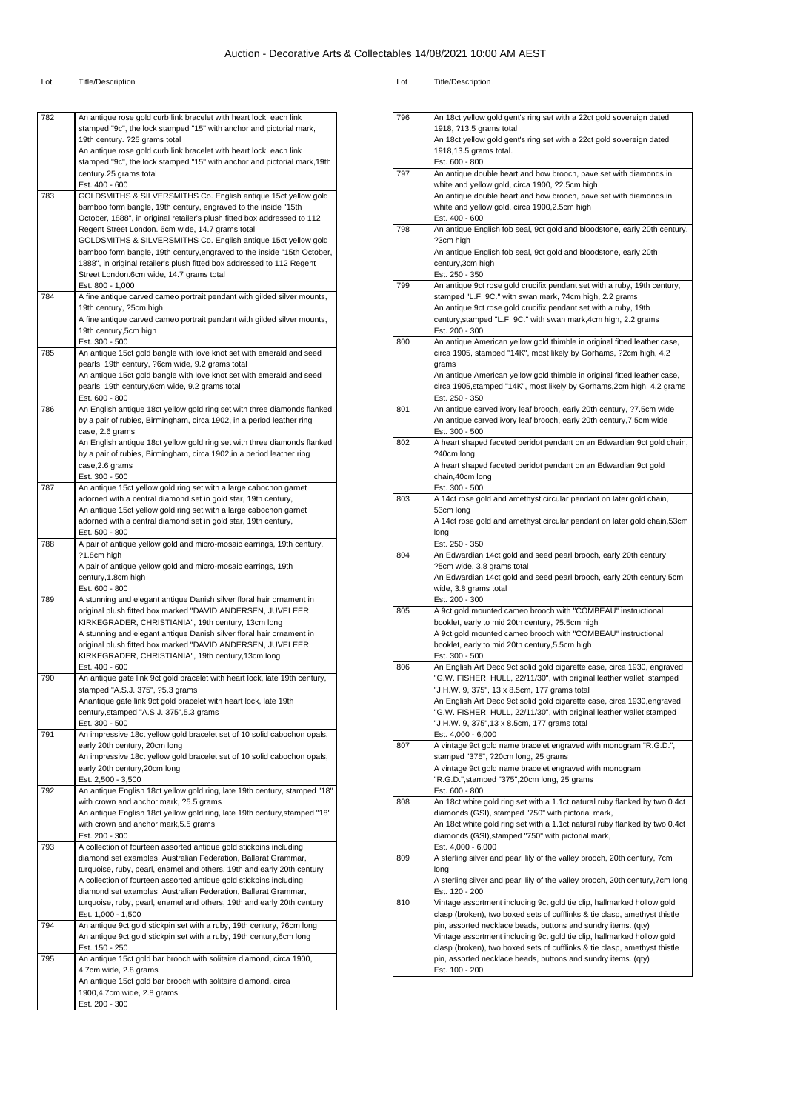| 782 | An antique rose gold curb link bracelet with heart lock, each link<br>stamped "9c", the lock stamped "15" with anchor and pictorial mark,<br>19th century. ?25 grams total                                     |
|-----|----------------------------------------------------------------------------------------------------------------------------------------------------------------------------------------------------------------|
|     | An antique rose gold curb link bracelet with heart lock, each link<br>stamped "9c", the lock stamped "15" with anchor and pictorial mark, 19th                                                                 |
|     | century.25 grams total<br>Est. 400 - 600                                                                                                                                                                       |
| 783 | GOLDSMITHS & SILVERSMITHS Co. English antique 15ct yellow gold<br>bamboo form bangle, 19th century, engraved to the inside "15th<br>October, 1888", in original retailer's plush fitted box addressed to 112   |
|     | Regent Street London. 6cm wide, 14.7 grams total<br>GOLDSMITHS & SILVERSMITHS Co. English antique 15ct yellow gold                                                                                             |
|     | bamboo form bangle, 19th century, engraved to the inside "15th October,<br>1888", in original retailer's plush fitted box addressed to 112 Regent<br>Street London.6cm wide, 14.7 grams total                  |
| 784 | Est. 800 - 1,000<br>A fine antique carved cameo portrait pendant with gilded silver mounts,                                                                                                                    |
|     | 19th century, ?5cm high                                                                                                                                                                                        |
|     | A fine antique carved cameo portrait pendant with gilded silver mounts,<br>19th century,5cm high<br>Est. 300 - 500                                                                                             |
| 785 | An antique 15ct gold bangle with love knot set with emerald and seed                                                                                                                                           |
|     | pearls, 19th century, ?6cm wide, 9.2 grams total<br>An antique 15ct gold bangle with love knot set with emerald and seed<br>pearls, 19th century, 6cm wide, 9.2 grams total                                    |
|     | Est. 600 - 800                                                                                                                                                                                                 |
| 786 | An English antique 18ct yellow gold ring set with three diamonds flanked<br>by a pair of rubies, Birmingham, circa 1902, in a period leather ring<br>case, 2.6 grams                                           |
|     | An English antique 18ct yellow gold ring set with three diamonds flanked                                                                                                                                       |
|     | by a pair of rubies, Birmingham, circa 1902, in a period leather ring<br>case, 2.6 grams<br>Est. 300 - 500                                                                                                     |
| 787 | An antique 15ct yellow gold ring set with a large cabochon garnet                                                                                                                                              |
|     | adorned with a central diamond set in gold star, 19th century,                                                                                                                                                 |
|     | An antique 15ct yellow gold ring set with a large cabochon garnet<br>adorned with a central diamond set in gold star, 19th century,<br>Est. 500 - 800                                                          |
| 788 | A pair of antique yellow gold and micro-mosaic earrings, 19th century,                                                                                                                                         |
|     | ?1.8cm high<br>A pair of antique yellow gold and micro-mosaic earrings, 19th                                                                                                                                   |
|     | century, 1.8cm high<br>Est. 600 - 800                                                                                                                                                                          |
| 789 | A stunning and elegant antique Danish silver floral hair ornament in<br>original plush fitted box marked "DAVID ANDERSEN, JUVELEER<br>KIRKEGRADER, CHRISTIANIA", 19th century, 13cm long                       |
|     | A stunning and elegant antique Danish silver floral hair ornament in                                                                                                                                           |
|     | original plush fitted box marked "DAVID ANDERSEN, JUVELEER<br>KIRKEGRADER, CHRISTIANIA", 19th century, 13cm long<br>Est. 400 - 600                                                                             |
| 790 | An antique gate link 9ct gold bracelet with heart lock, late 19th century,<br>stamped "A.S.J. 375", ?5.3 grams                                                                                                 |
|     | Anantique gate link 9ct gold bracelet with heart lock, late 19th                                                                                                                                               |
|     | century, stamped "A.S.J. 375", 5.3 grams                                                                                                                                                                       |
| 791 | Est. 300 - 500<br>An impressive 18ct yellow gold bracelet set of 10 solid cabochon opals,                                                                                                                      |
|     | early 20th century, 20cm long                                                                                                                                                                                  |
|     | An impressive 18ct yellow gold bracelet set of 10 solid cabochon opals,<br>early 20th century, 20cm long                                                                                                       |
|     | Est. 2,500 - 3,500                                                                                                                                                                                             |
| 792 | An antique English 18ct yellow gold ring, late 19th century, stamped "18"                                                                                                                                      |
|     | with crown and anchor mark, ?5.5 grams<br>An antique English 18ct yellow gold ring, late 19th century, stamped "18"                                                                                            |
|     | with crown and anchor mark, 5.5 grams                                                                                                                                                                          |
| 793 | Est. 200 - 300<br>A collection of fourteen assorted antique gold stickpins including                                                                                                                           |
|     | diamond set examples, Australian Federation, Ballarat Grammar,                                                                                                                                                 |
|     | turquoise, ruby, pearl, enamel and others, 19th and early 20th century<br>A collection of fourteen assorted antique gold stickpins including<br>diamond set examples, Australian Federation, Ballarat Grammar, |
|     | turquoise, ruby, pearl, enamel and others, 19th and early 20th century                                                                                                                                         |
| 794 | Est. 1,000 - 1,500                                                                                                                                                                                             |
|     | An antique 9ct gold stickpin set with a ruby, 19th century, ?6cm long<br>An antique 9ct gold stickpin set with a ruby, 19th century, 6cm long<br>Est. 150 - 250                                                |
| 795 | An antique 15ct gold bar brooch with solitaire diamond, circa 1900,<br>4.7cm wide, 2.8 grams                                                                                                                   |
|     | An antique 15ct gold bar brooch with solitaire diamond, circa<br>1900,4.7cm wide, 2.8 grams                                                                                                                    |
|     | Est. 200 - 300                                                                                                                                                                                                 |
|     |                                                                                                                                                                                                                |

|     | An 18ct yellow gold gent's ring set with a 22ct gold sovereign dated                                                                            |
|-----|-------------------------------------------------------------------------------------------------------------------------------------------------|
|     | 1918, ?13.5 grams total                                                                                                                         |
|     | An 18ct yellow gold gent's ring set with a 22ct gold sovereign dated<br>1918, 13.5 grams total.                                                 |
|     | Est. 600 - 800                                                                                                                                  |
| 797 | An antique double heart and bow brooch, pave set with diamonds in                                                                               |
|     | white and yellow gold, circa 1900, ?2.5cm high                                                                                                  |
|     | An antique double heart and bow brooch, pave set with diamonds in                                                                               |
|     | white and yellow gold, circa 1900,2.5cm high<br>Est. 400 - 600                                                                                  |
| 798 | An antique English fob seal, 9ct gold and bloodstone, early 20th century,                                                                       |
|     | ?3cm high                                                                                                                                       |
|     | An antique English fob seal, 9ct gold and bloodstone, early 20th                                                                                |
|     | century, 3cm high<br>Est. 250 - 350                                                                                                             |
| 799 | An antique 9ct rose gold crucifix pendant set with a ruby, 19th century,                                                                        |
|     | stamped "L.F. 9C." with swan mark, ?4cm high, 2.2 grams                                                                                         |
|     | An antique 9ct rose gold crucifix pendant set with a ruby, 19th                                                                                 |
|     | century, stamped "L.F. 9C." with swan mark, 4cm high, 2.2 grams                                                                                 |
| 800 | Est. 200 - 300<br>An antique American yellow gold thimble in original fitted leather case,                                                      |
|     | circa 1905, stamped "14K", most likely by Gorhams, ?2cm high, 4.2                                                                               |
|     | grams                                                                                                                                           |
|     | An antique American yellow gold thimble in original fitted leather case,                                                                        |
|     | circa 1905, stamped "14K", most likely by Gorhams, 2cm high, 4.2 grams<br>Est. 250 - 350                                                        |
| 801 | An antique carved ivory leaf brooch, early 20th century, ?7.5cm wide                                                                            |
|     | An antique carved ivory leaf brooch, early 20th century, 7.5cm wide                                                                             |
|     | Est. 300 - 500                                                                                                                                  |
| 802 | A heart shaped faceted peridot pendant on an Edwardian 9ct gold chain,<br>?40cm long                                                            |
|     | A heart shaped faceted peridot pendant on an Edwardian 9ct gold                                                                                 |
|     | chain, 40cm long                                                                                                                                |
|     | Est. 300 - 500                                                                                                                                  |
| 803 | A 14ct rose gold and amethyst circular pendant on later gold chain,<br>53cm long                                                                |
|     | A 14ct rose gold and amethyst circular pendant on later gold chain, 53cm                                                                        |
|     | long                                                                                                                                            |
|     | Est. 250 - 350                                                                                                                                  |
| 804 | An Edwardian 14ct gold and seed pearl brooch, early 20th century,<br>?5cm wide, 3.8 grams total                                                 |
|     | An Edwardian 14ct gold and seed pearl brooch, early 20th century, 5cm                                                                           |
|     | wide, 3.8 grams total                                                                                                                           |
|     | Est. 200 - 300                                                                                                                                  |
| 805 | A 9ct gold mounted cameo brooch with "COMBEAU" instructional<br>booklet, early to mid 20th century, ?5.5cm high                                 |
|     | A 9ct gold mounted cameo brooch with "COMBEAU" instructional                                                                                    |
|     | booklet, early to mid 20th century, 5.5cm high                                                                                                  |
|     | Est. 300 - 500                                                                                                                                  |
| 806 | An English Art Deco 9ct solid gold cigarette case, circa 1930, engraved<br>"G.W. FISHER, HULL, 22/11/30", with original leather wallet, stamped |
|     | "J.H.W. 9, 375", 13 x 8.5cm, 177 grams total                                                                                                    |
|     |                                                                                                                                                 |
|     | An English Art Deco 9ct solid gold cigarette case, circa 1930, engraved                                                                         |
|     | "G.W. FISHER, HULL, 22/11/30", with original leather wallet, stamped                                                                            |
|     | "J.H.W. 9, 375", 13 x 8.5cm, 177 grams total                                                                                                    |
| 807 | Est. 4,000 - 6,000                                                                                                                              |
|     | A vintage 9ct gold name bracelet engraved with monogram "R.G.D.",<br>stamped "375", ?20cm long, 25 grams                                        |
|     | A vintage 9ct gold name bracelet engraved with monogram                                                                                         |
|     | "R.G.D.", stamped "375", 20cm long, 25 grams                                                                                                    |
|     | Est. 600 - 800                                                                                                                                  |
| 808 | An 18ct white gold ring set with a 1.1ct natural ruby flanked by two 0.4ct<br>diamonds (GSI), stamped "750" with pictorial mark,                |
|     | An 18ct white gold ring set with a 1.1ct natural ruby flanked by two 0.4ct                                                                      |
|     | diamonds (GSI), stamped "750" with pictorial mark,                                                                                              |
| 809 | Est. 4,000 - 6,000<br>A sterling silver and pearl lily of the valley brooch, 20th century, 7cm                                                  |
|     | long                                                                                                                                            |
|     | A sterling silver and pearl lily of the valley brooch, 20th century, 7cm long                                                                   |
|     | Est. 120 - 200                                                                                                                                  |
| 810 | Vintage assortment including 9ct gold tie clip, hallmarked hollow gold                                                                          |
|     | clasp (broken), two boxed sets of cufflinks & tie clasp, amethyst thistle<br>pin, assorted necklace beads, buttons and sundry items. (qty)      |
|     | Vintage assortment including 9ct gold tie clip, hallmarked hollow gold                                                                          |
|     | clasp (broken), two boxed sets of cufflinks & tie clasp, amethyst thistle                                                                       |
|     | pin, assorted necklace beads, buttons and sundry items. (qty)<br>Est. 100 - 200                                                                 |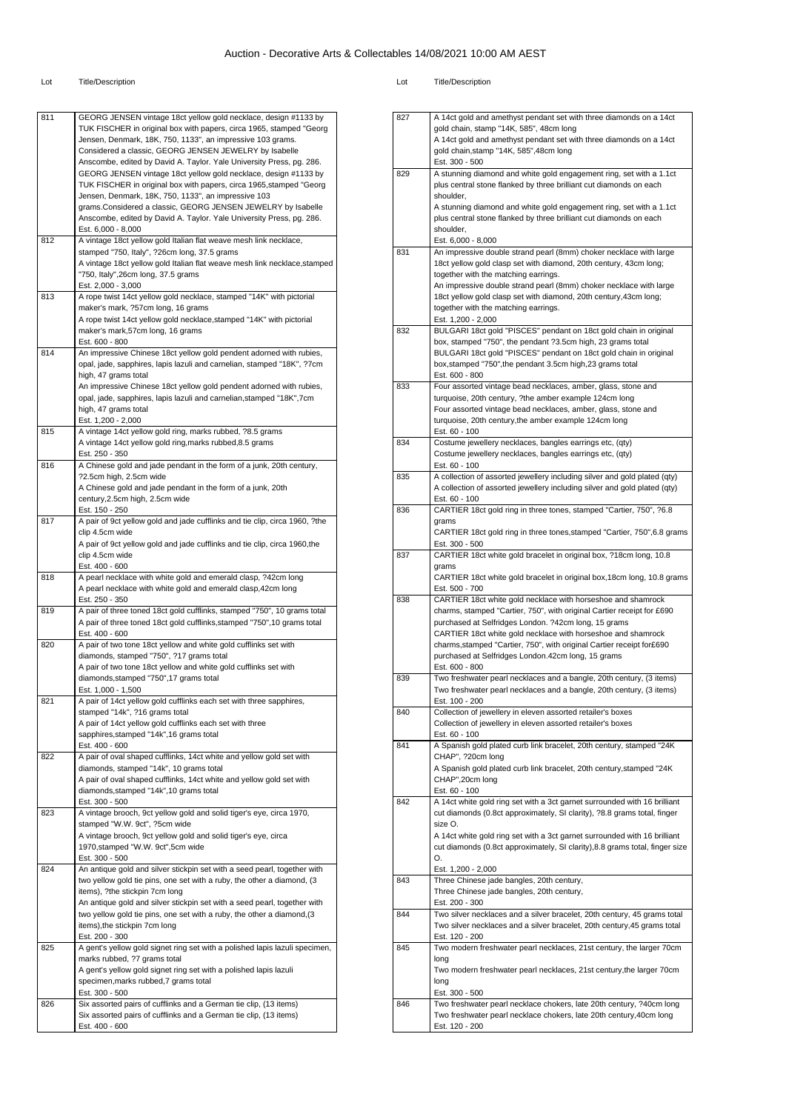| 811 | GEORG JENSEN vintage 18ct yellow gold necklace, design #1133 by<br>TUK FISCHER in original box with papers, circa 1965, stamped "Georg               |
|-----|------------------------------------------------------------------------------------------------------------------------------------------------------|
|     | Jensen, Denmark, 18K, 750, 1133", an impressive 103 grams.                                                                                           |
|     | Considered a classic, GEORG JENSEN JEWELRY by Isabelle<br>Anscombe, edited by David A. Taylor. Yale University Press, pg. 286.                       |
|     | GEORG JENSEN vintage 18ct yellow gold necklace, design #1133 by                                                                                      |
|     | TUK FISCHER in original box with papers, circa 1965, stamped "Georg                                                                                  |
|     | Jensen, Denmark, 18K, 750, 1133", an impressive 103<br>grams.Considered a classic, GEORG JENSEN JEWELRY by Isabelle                                  |
|     | Anscombe, edited by David A. Taylor. Yale University Press, pg. 286.                                                                                 |
|     | Est. 6,000 - 8,000                                                                                                                                   |
| 812 | A vintage 18ct yellow gold Italian flat weave mesh link necklace,<br>stamped "750, Italy", ?26cm long, 37.5 grams                                    |
|     | A vintage 18ct yellow gold Italian flat weave mesh link necklace, stamped                                                                            |
|     | "750, Italy",26cm long, 37.5 grams                                                                                                                   |
| 813 | Est. 2,000 - 3,000<br>A rope twist 14ct yellow gold necklace, stamped "14K" with pictorial                                                           |
|     | maker's mark, ?57cm long, 16 grams                                                                                                                   |
|     | A rope twist 14ct yellow gold necklace, stamped "14K" with pictorial                                                                                 |
|     | maker's mark,57cm long, 16 grams<br>Est. 600 - 800                                                                                                   |
| 814 | An impressive Chinese 18ct yellow gold pendent adorned with rubies,                                                                                  |
|     | opal, jade, sapphires, lapis lazuli and carnelian, stamped "18K", ?7cm                                                                               |
|     | high, 47 grams total<br>An impressive Chinese 18ct yellow gold pendent adorned with rubies,                                                          |
|     | opal, jade, sapphires, lapis lazuli and carnelian, stamped "18K", 7cm                                                                                |
|     | high, 47 grams total                                                                                                                                 |
| 815 | Est. 1,200 - 2,000<br>A vintage 14ct yellow gold ring, marks rubbed, ?8.5 grams                                                                      |
|     | A vintage 14ct yellow gold ring, marks rubbed, 8.5 grams                                                                                             |
|     | Est. 250 - 350                                                                                                                                       |
| 816 | A Chinese gold and jade pendant in the form of a junk, 20th century,<br>?2.5cm high, 2.5cm wide                                                      |
|     | A Chinese gold and jade pendant in the form of a junk, 20th                                                                                          |
|     | century, 2.5cm high, 2.5cm wide                                                                                                                      |
|     | Est. 150 - 250                                                                                                                                       |
| 817 | A pair of 9ct yellow gold and jade cufflinks and tie clip, circa 1960, ?the<br>clip 4.5cm wide                                                       |
|     | A pair of 9ct yellow gold and jade cufflinks and tie clip, circa 1960, the                                                                           |
|     | clip 4.5cm wide                                                                                                                                      |
| 818 | Est. 400 - 600<br>A pearl necklace with white gold and emerald clasp, ?42cm long                                                                     |
|     | A pearl necklace with white gold and emerald clasp, 42cm long                                                                                        |
|     | Est. 250 - 350                                                                                                                                       |
| 819 | A pair of three toned 18ct gold cufflinks, stamped "750", 10 grams total<br>A pair of three toned 18ct gold cufflinks, stamped "750", 10 grams total |
|     | Est. 400 - 600                                                                                                                                       |
| 820 | A pair of two tone 18ct yellow and white gold cufflinks set with                                                                                     |
|     | diamonds, stamped "750", ?17 grams total<br>A pair of two tone 18ct yellow and white gold cufflinks set with                                         |
|     | diamonds, stamped "750", 17 grams total                                                                                                              |
|     | Est. 1,000 - 1,500                                                                                                                                   |
| 821 | A pair of 14ct yellow gold cufflinks each set with three sapphires,<br>stamped "14k", ?16 grams total                                                |
|     | A pair of 14ct yellow gold cufflinks each set with three                                                                                             |
|     | sapphires, stamped "14k", 16 grams total                                                                                                             |
| 822 | Est. 400 - 600<br>A pair of oval shaped cufflinks, 14ct white and yellow gold set with                                                               |
|     | diamonds, stamped "14k", 10 grams total                                                                                                              |
|     | A pair of oval shaped cufflinks, 14ct white and yellow gold set with                                                                                 |
|     | diamonds, stamped "14k", 10 grams total<br>Est. 300 - 500                                                                                            |
| 823 | A vintage brooch, 9ct yellow gold and solid tiger's eye, circa 1970,                                                                                 |
|     | stamped "W.W. 9ct", ?5cm wide                                                                                                                        |
|     | A vintage brooch, 9ct yellow gold and solid tiger's eye, circa<br>1970, stamped "W.W. 9ct", 5cm wide                                                 |
|     | Est. 300 - 500                                                                                                                                       |
| 824 | An antique gold and silver stickpin set with a seed pearl, together with                                                                             |
|     | two yellow gold tie pins, one set with a ruby, the other a diamond, (3<br>items), ?the stickpin 7cm long                                             |
|     | An antique gold and silver stickpin set with a seed pearl, together with                                                                             |
|     | two yellow gold tie pins, one set with a ruby, the other a diamond, (3                                                                               |
|     | items), the stickpin 7cm long<br>Est. 200 - 300                                                                                                      |
| 825 | A gent's yellow gold signet ring set with a polished lapis lazuli specimen,                                                                          |
|     | marks rubbed, ?7 grams total                                                                                                                         |
|     | A gent's yellow gold signet ring set with a polished lapis lazuli                                                                                    |
|     | specimen, marks rubbed, 7 grams total<br>Est. 300 - 500                                                                                              |
| 826 | Six assorted pairs of cufflinks and a German tie clip, (13 items)                                                                                    |
|     | Six assorted pairs of cufflinks and a German tie clip, (13 items)                                                                                    |
|     | Est. 400 - 600                                                                                                                                       |

| <b>Title/Description</b><br>-ot |
|---------------------------------|
|---------------------------------|

| 827 | A 14ct gold and amethyst pendant set with three diamonds on a 14ct                                                                     |
|-----|----------------------------------------------------------------------------------------------------------------------------------------|
|     | gold chain, stamp "14K, 585", 48cm long                                                                                                |
|     | A 14ct gold and amethyst pendant set with three diamonds on a 14ct                                                                     |
|     | gold chain, stamp "14K, 585", 48cm long                                                                                                |
|     | Est. 300 - 500                                                                                                                         |
| 829 | A stunning diamond and white gold engagement ring, set with a 1.1ct                                                                    |
|     | plus central stone flanked by three brilliant cut diamonds on each                                                                     |
|     | shoulder.                                                                                                                              |
|     | A stunning diamond and white gold engagement ring, set with a 1.1ct                                                                    |
|     | plus central stone flanked by three brilliant cut diamonds on each                                                                     |
|     | shoulder,                                                                                                                              |
| 831 | Est. 6,000 - 8,000<br>An impressive double strand pearl (8mm) choker necklace with large                                               |
|     | 18ct yellow gold clasp set with diamond, 20th century, 43cm long;                                                                      |
|     | together with the matching earrings.                                                                                                   |
|     | An impressive double strand pearl (8mm) choker necklace with large                                                                     |
|     | 18ct yellow gold clasp set with diamond, 20th century, 43cm long;                                                                      |
|     | together with the matching earrings.                                                                                                   |
|     | Est. 1,200 - 2,000                                                                                                                     |
| 832 | BULGARI 18ct gold "PISCES" pendant on 18ct gold chain in original                                                                      |
|     | box, stamped "750", the pendant ?3.5cm high, 23 grams total                                                                            |
|     | BULGARI 18ct gold "PISCES" pendant on 18ct gold chain in original                                                                      |
|     | box, stamped "750", the pendant 3.5cm high, 23 grams total                                                                             |
|     | Est. 600 - 800                                                                                                                         |
| 833 | Four assorted vintage bead necklaces, amber, glass, stone and                                                                          |
|     | turquoise, 20th century, ?the amber example 124cm long                                                                                 |
|     | Four assorted vintage bead necklaces, amber, glass, stone and                                                                          |
|     | turquoise, 20th century, the amber example 124cm long                                                                                  |
|     | Est. 60 - 100                                                                                                                          |
| 834 | Costume jewellery necklaces, bangles earrings etc, (qty)                                                                               |
|     | Costume jewellery necklaces, bangles earrings etc, (qty)                                                                               |
|     | Est. 60 - 100                                                                                                                          |
| 835 | A collection of assorted jewellery including silver and gold plated (qty)                                                              |
|     | A collection of assorted jewellery including silver and gold plated (qty)                                                              |
|     | Est. 60 - 100                                                                                                                          |
| 836 | CARTIER 18ct gold ring in three tones, stamped "Cartier, 750", ?6.8                                                                    |
|     | grams                                                                                                                                  |
|     | CARTIER 18ct gold ring in three tones, stamped "Cartier, 750", 6.8 grams                                                               |
|     | Est. 300 - 500                                                                                                                         |
| 837 | CARTIER 18ct white gold bracelet in original box, ?18cm long, 10.8                                                                     |
|     | grams                                                                                                                                  |
|     | CARTIER 18ct white gold bracelet in original box, 18cm long, 10.8 grams                                                                |
|     | Est. 500 - 700                                                                                                                         |
| 838 | CARTIER 18ct white gold necklace with horseshoe and shamrock<br>charms, stamped "Cartier, 750", with original Cartier receipt for £690 |
|     | purchased at Selfridges London. ?42cm long, 15 grams                                                                                   |
|     | CARTIER 18ct white gold necklace with horseshoe and shamrock                                                                           |
|     | charms, stamped "Cartier, 750", with original Cartier receipt for£690                                                                  |
|     | purchased at Selfridges London.42cm long, 15 grams                                                                                     |
|     | Est. 600 - 800                                                                                                                         |
| 839 | Two freshwater pearl necklaces and a bangle, 20th century, (3 items)                                                                   |
|     | Two freshwater pearl necklaces and a bangle, 20th century, (3 items)                                                                   |
|     | Est. 100 - 200                                                                                                                         |
| 840 | Collection of jewellery in eleven assorted retailer's boxes                                                                            |
|     | Collection of jewellery in eleven assorted retailer's boxes                                                                            |
|     | Est. 60 - 100                                                                                                                          |
| 841 | A Spanish gold plated curb link bracelet, 20th century, stamped "24K                                                                   |
|     | CHAP", ?20cm long                                                                                                                      |
|     | A Spanish gold plated curb link bracelet, 20th century, stamped "24K                                                                   |
|     | CHAP".20cm long                                                                                                                        |
|     | Est. 60 - 100                                                                                                                          |
| 842 | A 14ct white gold ring set with a 3ct garnet surrounded with 16 brilliant                                                              |
|     | cut diamonds (0.8ct approximately, SI clarity), ?8.8 grams total, finger                                                               |
|     | size O.                                                                                                                                |
|     | A 14ct white gold ring set with a 3ct garnet surrounded with 16 brilliant                                                              |
|     | cut diamonds (0.8ct approximately, SI clarity), 8.8 grams total, finger size                                                           |
|     | O.                                                                                                                                     |
|     | Est. 1,200 - 2,000                                                                                                                     |
| 843 |                                                                                                                                        |
|     | Three Chinese jade bangles, 20th century,                                                                                              |
|     | Three Chinese jade bangles, 20th century,                                                                                              |
|     | Est. 200 - 300                                                                                                                         |
| 844 | Two silver necklaces and a silver bracelet, 20th century, 45 grams total                                                               |
|     | Two silver necklaces and a silver bracelet, 20th century, 45 grams total                                                               |
|     | Est. 120 - 200                                                                                                                         |
| 845 | Two modern freshwater pearl necklaces, 21st century, the larger 70cm                                                                   |
|     | long                                                                                                                                   |
|     | Two modern freshwater pearl necklaces, 21st century, the larger 70cm                                                                   |
|     | long                                                                                                                                   |
| 846 | Est. 300 - 500<br>Two freshwater pearl necklace chokers, late 20th century, ?40cm long                                                 |
|     | Two freshwater pearl necklace chokers, late 20th century, 40cm long                                                                    |
|     | Est. 120 - 200                                                                                                                         |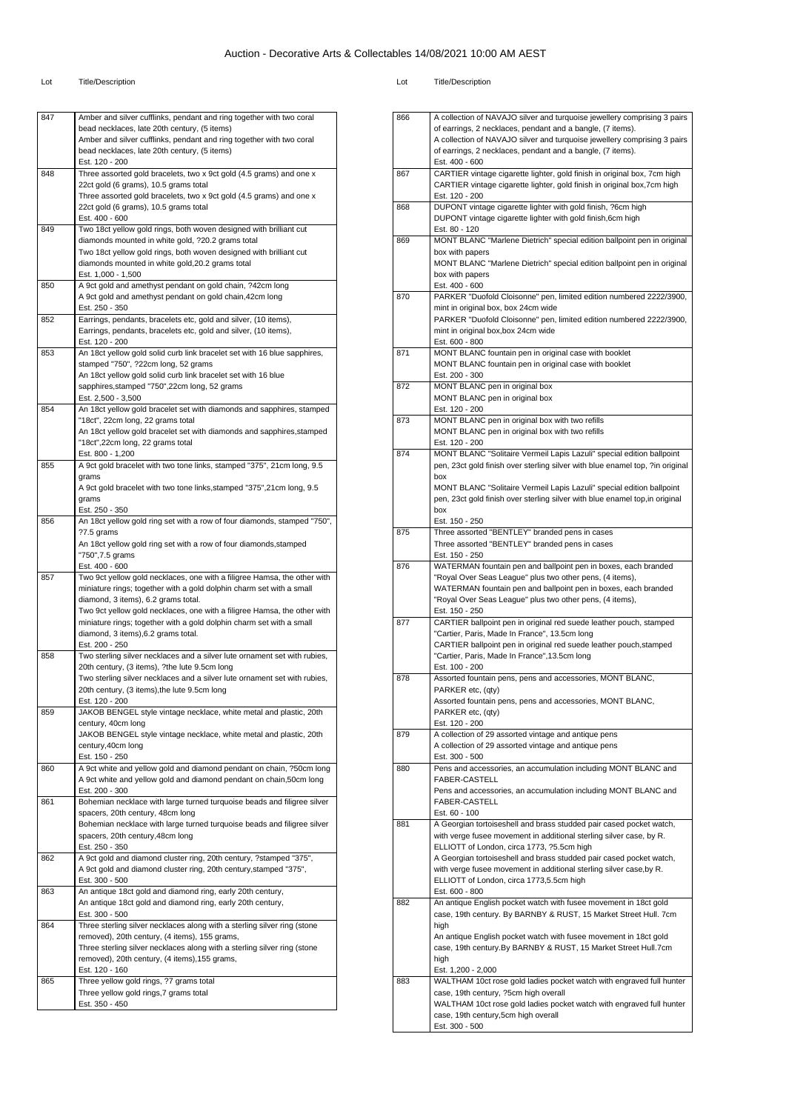| 847 | Amber and silver cufflinks, pendant and ring together with two coral                                        |
|-----|-------------------------------------------------------------------------------------------------------------|
|     | bead necklaces, late 20th century, (5 items)                                                                |
|     | Amber and silver cufflinks, pendant and ring together with two coral                                        |
|     | bead necklaces, late 20th century, (5 items)                                                                |
|     | Est. 120 - 200                                                                                              |
| 848 | Three assorted gold bracelets, two x 9ct gold (4.5 grams) and one x                                         |
|     | 22ct gold (6 grams), 10.5 grams total                                                                       |
|     | Three assorted gold bracelets, two x 9ct gold (4.5 grams) and one x                                         |
|     | 22ct gold (6 grams), 10.5 grams total                                                                       |
|     | Est. 400 - 600                                                                                              |
| 849 | Two 18ct yellow gold rings, both woven designed with brilliant cut                                          |
|     | diamonds mounted in white gold, ?20.2 grams total                                                           |
|     | Two 18ct yellow gold rings, both woven designed with brilliant cut                                          |
|     | diamonds mounted in white gold, 20.2 grams total                                                            |
|     | Est. 1,000 - 1,500                                                                                          |
| 850 | A 9ct gold and amethyst pendant on gold chain, ?42cm long                                                   |
|     | A 9ct gold and amethyst pendant on gold chain, 42cm long                                                    |
|     | Est. 250 - 350                                                                                              |
| 852 | Earrings, pendants, bracelets etc, gold and silver, (10 items),                                             |
|     | Earrings, pendants, bracelets etc, gold and silver, (10 items),                                             |
|     | Est. 120 - 200                                                                                              |
| 853 | An 18ct yellow gold solid curb link bracelet set with 16 blue sapphires,                                    |
|     | stamped "750", ?22cm long, 52 grams                                                                         |
|     | An 18ct yellow gold solid curb link bracelet set with 16 blue                                               |
|     | sapphires, stamped "750", 22cm long, 52 grams                                                               |
|     | Est. 2,500 - 3,500                                                                                          |
| 854 | An 18ct yellow gold bracelet set with diamonds and sapphires, stamped                                       |
|     | "18ct", 22cm long, 22 grams total                                                                           |
|     | An 18ct yellow gold bracelet set with diamonds and sapphires, stamped                                       |
|     | "18ct",22cm long, 22 grams total                                                                            |
|     | Est. 800 - 1,200                                                                                            |
| 855 | A 9ct gold bracelet with two tone links, stamped "375", 21cm long, 9.5                                      |
|     | grams                                                                                                       |
|     | A 9ct gold bracelet with two tone links, stamped "375", 21cm long, 9.5                                      |
|     | grams                                                                                                       |
|     | Est. 250 - 350                                                                                              |
| 856 | An 18ct yellow gold ring set with a row of four diamonds, stamped "750",                                    |
|     | ?7.5 grams                                                                                                  |
|     | An 18ct yellow gold ring set with a row of four diamonds, stamped                                           |
|     | "750", 7.5 grams                                                                                            |
|     | Est. 400 - 600                                                                                              |
| 857 | Two 9ct yellow gold necklaces, one with a filigree Hamsa, the other with                                    |
|     | miniature rings; together with a gold dolphin charm set with a small                                        |
|     | diamond, 3 items), 6.2 grams total.                                                                         |
|     | Two 9ct yellow gold necklaces, one with a filigree Hamsa, the other with                                    |
|     | miniature rings; together with a gold dolphin charm set with a small                                        |
|     | diamond, 3 items), 6.2 grams total.                                                                         |
|     | Est. 200 - 250                                                                                              |
| 858 | Two sterling silver necklaces and a silver lute ornament set with rubies,                                   |
|     | 20th century, (3 items), ?the lute 9.5cm long                                                               |
|     | Two sterling silver necklaces and a silver lute ornament set with rubies,                                   |
|     | 20th century, (3 items), the lute 9.5cm long                                                                |
|     | Est. 120 - 200                                                                                              |
| 859 | JAKOB BENGEL style vintage necklace, white metal and plastic, 20th                                          |
|     | century, 40cm long                                                                                          |
|     | JAKOB BENGEL style vintage necklace, white metal and plastic, 20th                                          |
|     | century, 40cm long                                                                                          |
|     | Est. 150 - 250<br>A 9ct white and yellow gold and diamond pendant on chain, ?50cm long                      |
| 860 |                                                                                                             |
|     | A 9ct white and yellow gold and diamond pendant on chain,50cm long<br>Est. 200 - 300                        |
|     |                                                                                                             |
| 861 | Bohemian necklace with large turned turquoise beads and filigree silver                                     |
|     | spacers, 20th century, 48cm long                                                                            |
|     | Bohemian necklace with large turned turquoise beads and filigree silver<br>spacers, 20th century, 48cm long |
|     | Est. 250 - 350                                                                                              |
| 862 | A 9ct gold and diamond cluster ring, 20th century, ?stamped "375",                                          |
|     |                                                                                                             |
|     | A 9ct gold and diamond cluster ring, 20th century, stamped "375",<br>Est. 300 - 500                         |
| 863 | An antique 18ct gold and diamond ring, early 20th century,                                                  |
|     |                                                                                                             |
|     | An antique 18ct gold and diamond ring, early 20th century,                                                  |
|     | Est. 300 - 500                                                                                              |
|     | Three sterling silver necklaces along with a sterling silver ring (stone                                    |
| 864 |                                                                                                             |
|     | removed), 20th century, (4 items), 155 grams,                                                               |
|     | Three sterling silver necklaces along with a sterling silver ring (stone                                    |
|     | removed), 20th century, (4 items), 155 grams,                                                               |
|     | Est. 120 - 160                                                                                              |
| 865 | Three yellow gold rings, ?7 grams total                                                                     |
|     | Three yellow gold rings, 7 grams total<br>Est. 350 - 450                                                    |

| 866 | A collection of NAVAJO silver and turquoise jewellery comprising 3 pairs                                            |
|-----|---------------------------------------------------------------------------------------------------------------------|
|     | of earrings, 2 necklaces, pendant and a bangle, (7 items).                                                          |
|     | A collection of NAVAJO silver and turquoise jewellery comprising 3 pairs                                            |
|     | of earrings, 2 necklaces, pendant and a bangle, (7 items).                                                          |
|     | Est. 400 - 600                                                                                                      |
| 867 | CARTIER vintage cigarette lighter, gold finish in original box, 7cm high                                            |
|     | CARTIER vintage cigarette lighter, gold finish in original box, 7cm high                                            |
|     | Est. 120 - 200                                                                                                      |
| 868 | DUPONT vintage cigarette lighter with gold finish, ?6cm high                                                        |
|     | DUPONT vintage cigarette lighter with gold finish, 6cm high<br>Est. 80 - 120                                        |
| 869 | MONT BLANC "Marlene Dietrich" special edition ballpoint pen in original                                             |
|     | box with papers                                                                                                     |
|     | MONT BLANC "Marlene Dietrich" special edition ballpoint pen in original                                             |
|     | box with papers                                                                                                     |
|     | Est. 400 - 600                                                                                                      |
| 870 | PARKER "Duofold Cloisonne" pen, limited edition numbered 2222/3900,                                                 |
|     | mint in original box, box 24cm wide                                                                                 |
|     | PARKER "Duofold Cloisonne" pen, limited edition numbered 2222/3900,                                                 |
|     | mint in original box, box 24cm wide                                                                                 |
|     | Est. 600 - 800                                                                                                      |
| 871 | MONT BLANC fountain pen in original case with booklet                                                               |
|     | MONT BLANC fountain pen in original case with booklet                                                               |
| 872 | Est. 200 - 300<br>MONT BLANC pen in original box                                                                    |
|     | MONT BLANC pen in original box                                                                                      |
|     | Est. 120 - 200                                                                                                      |
| 873 | MONT BLANC pen in original box with two refills                                                                     |
|     | MONT BLANC pen in original box with two refills                                                                     |
|     | Est. 120 - 200                                                                                                      |
| 874 | MONT BLANC "Solitaire Vermeil Lapis Lazuli" special edition ballpoint                                               |
|     | pen, 23ct gold finish over sterling silver with blue enamel top, ?in original                                       |
|     | box                                                                                                                 |
|     | MONT BLANC "Solitaire Vermeil Lapis Lazuli" special edition ballpoint                                               |
|     | pen, 23ct gold finish over sterling silver with blue enamel top, in original                                        |
|     | box<br>Est. 150 - 250                                                                                               |
| 875 | Three assorted "BENTLEY" branded pens in cases                                                                      |
|     | Three assorted "BENTLEY" branded pens in cases                                                                      |
|     | Est. 150 - 250                                                                                                      |
| 876 | WATERMAN fountain pen and ballpoint pen in boxes, each branded                                                      |
|     | "Royal Over Seas League" plus two other pens, (4 items),                                                            |
|     | WATERMAN fountain pen and ballpoint pen in boxes, each branded                                                      |
|     | "Royal Over Seas League" plus two other pens, (4 items),                                                            |
|     | Est. 150 - 250                                                                                                      |
| 877 | CARTIER ballpoint pen in original red suede leather pouch, stamped                                                  |
|     | "Cartier, Paris, Made In France", 13.5cm long<br>CARTIER ballpoint pen in original red suede leather pouch, stamped |
|     | "Cartier, Paris, Made In France", 13.5cm long                                                                       |
|     | Est. 100 - 200                                                                                                      |
| 878 | Assorted fountain pens, pens and accessories, MONT BLANC,                                                           |
|     | PARKER etc, (qty)                                                                                                   |
|     | Assorted fountain pens, pens and accessories, MONT BLANC                                                            |
|     | PARKER etc, (qty)                                                                                                   |
|     | Est. 120 - 200                                                                                                      |
| 879 | A collection of 29 assorted vintage and antique pens                                                                |
|     | A collection of 29 assorted vintage and antique pens                                                                |
| 880 | Est. 300 - 500<br>Pens and accessories, an accumulation including MONT BLANC and                                    |
|     | <b>FABER-CASTELL</b>                                                                                                |
|     | Pens and accessories, an accumulation including MONT BLANC and                                                      |
|     | FABER-CASTELL                                                                                                       |
|     | Est. 60 - 100                                                                                                       |
| 881 | A Georgian tortoiseshell and brass studded pair cased pocket watch,                                                 |
|     | with verge fusee movement in additional sterling silver case, by R.                                                 |
|     | ELLIOTT of London, circa 1773, ?5.5cm high                                                                          |
|     | A Georgian tortoiseshell and brass studded pair cased pocket watch,                                                 |
|     | with verge fusee movement in additional sterling silver case, by R.                                                 |
|     | ELLIOTT of London, circa 1773,5.5cm high                                                                            |
| 882 | Est. 600 - 800<br>An antique English pocket watch with fusee movement in 18ct gold                                  |
|     | case, 19th century. By BARNBY & RUST, 15 Market Street Hull. 7cm                                                    |
|     | high                                                                                                                |
|     | An antique English pocket watch with fusee movement in 18ct gold                                                    |
|     | case, 19th century.By BARNBY & RUST, 15 Market Street Hull.7cm                                                      |
|     | high                                                                                                                |
|     | Est. 1,200 - 2,000                                                                                                  |
| 883 | WALTHAM 10ct rose gold ladies pocket watch with engraved full hunter                                                |
|     | case, 19th century, ?5cm high overall                                                                               |
|     | WALTHAM 10ct rose gold ladies pocket watch with engraved full hunter                                                |
|     | case, 19th century, 5cm high overall<br>Est. 300 - 500                                                              |
|     |                                                                                                                     |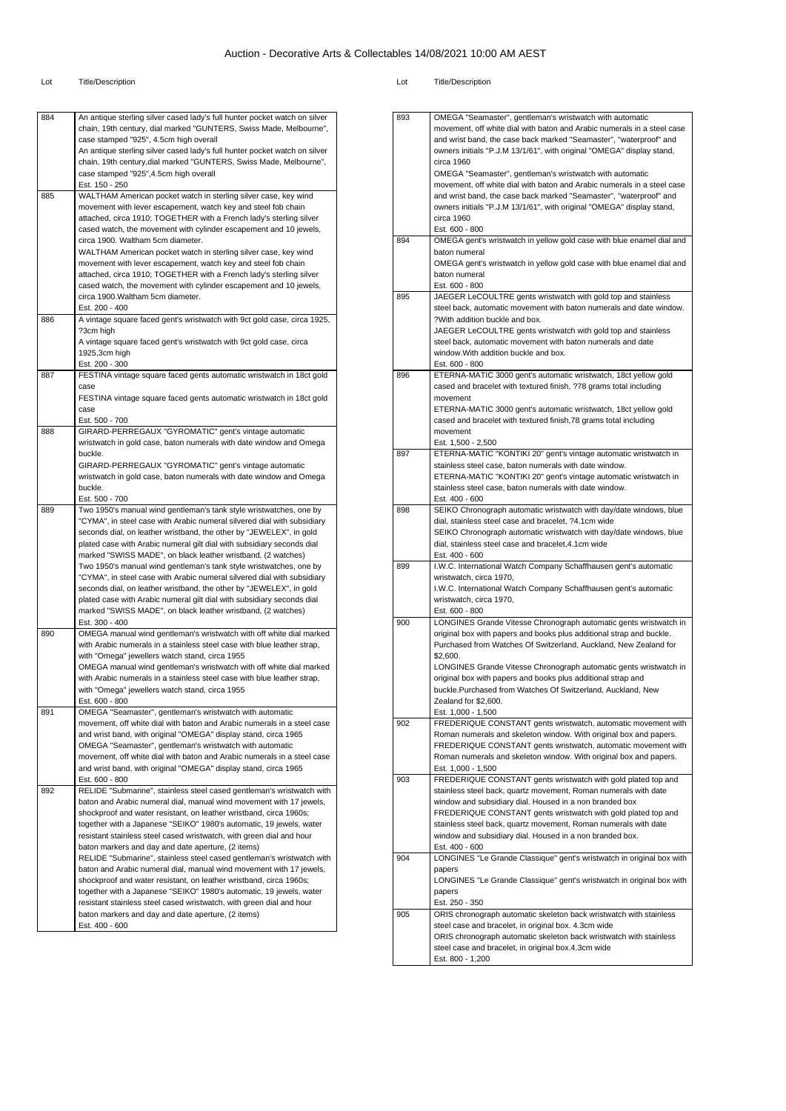| 884 | An antique sterling silver cased lady's full hunter pocket watch on silver<br>chain, 19th century, dial marked "GUNTERS, Swiss Made, Melbourne",<br>case stamped "925", 4.5cm high overall |
|-----|--------------------------------------------------------------------------------------------------------------------------------------------------------------------------------------------|
|     | An antique sterling silver cased lady's full hunter pocket watch on silver<br>chain, 19th century, dial marked "GUNTERS, Swiss Made, Melbourne",<br>case stamped "925", 4.5cm high overall |
|     | Est. 150 - 250                                                                                                                                                                             |
| 885 | WALTHAM American pocket watch in sterling silver case, key wind                                                                                                                            |
|     | movement with lever escapement, watch key and steel fob chain                                                                                                                              |
|     | attached, circa 1910; TOGETHER with a French lady's sterling silver                                                                                                                        |
|     | cased watch, the movement with cylinder escapement and 10 jewels,                                                                                                                          |
|     | circa 1900. Waltham 5cm diameter.                                                                                                                                                          |
|     | WALTHAM American pocket watch in sterling silver case, key wind                                                                                                                            |
|     | movement with lever escapement, watch key and steel fob chain                                                                                                                              |
|     | attached, circa 1910; TOGETHER with a French lady's sterling silver                                                                                                                        |
|     | cased watch, the movement with cylinder escapement and 10 jewels,                                                                                                                          |
|     | circa 1900. Waltham 5cm diameter.                                                                                                                                                          |
|     | Est. 200 - 400                                                                                                                                                                             |
| 886 | A vintage square faced gent's wristwatch with 9ct gold case, circa 1925,                                                                                                                   |
|     | ?3cm high                                                                                                                                                                                  |
|     | A vintage square faced gent's wristwatch with 9ct gold case, circa                                                                                                                         |
|     | 1925,3cm high                                                                                                                                                                              |
|     | Est. 200 - 300                                                                                                                                                                             |
| 887 | FESTINA vintage square faced gents automatic wristwatch in 18ct gold                                                                                                                       |
|     | case                                                                                                                                                                                       |
|     | FESTINA vintage square faced gents automatic wristwatch in 18ct gold                                                                                                                       |
|     | case                                                                                                                                                                                       |
| 888 | Est. 500 - 700<br>GIRARD-PERREGAUX "GYROMATIC" gent's vintage automatic                                                                                                                    |
|     | wristwatch in gold case, baton numerals with date window and Omega                                                                                                                         |
|     | buckle.                                                                                                                                                                                    |
|     | GIRARD-PERREGAUX "GYROMATIC" gent's vintage automatic                                                                                                                                      |
|     | wristwatch in gold case, baton numerals with date window and Omega                                                                                                                         |
|     | buckle.                                                                                                                                                                                    |
|     | Est. 500 - 700                                                                                                                                                                             |
| 889 | Two 1950's manual wind gentleman's tank style wristwatches, one by                                                                                                                         |
|     | "CYMA", in steel case with Arabic numeral silvered dial with subsidiary                                                                                                                    |
|     | seconds dial, on leather wristband, the other by "JEWELEX", in gold                                                                                                                        |
|     | plated case with Arabic numeral gilt dial with subsidiary seconds dial                                                                                                                     |
|     | marked "SWISS MADE", on black leather wristband, (2 watches)                                                                                                                               |
|     | Two 1950's manual wind gentleman's tank style wristwatches, one by                                                                                                                         |
|     | "CYMA", in steel case with Arabic numeral silvered dial with subsidiary                                                                                                                    |
|     | seconds dial, on leather wristband, the other by "JEWELEX", in gold                                                                                                                        |
|     | plated case with Arabic numeral gilt dial with subsidiary seconds dial                                                                                                                     |
|     | marked "SWISS MADE", on black leather wristband, (2 watches)                                                                                                                               |
| 890 | Est. 300 - 400<br>OMEGA manual wind gentleman's wristwatch with off white dial marked                                                                                                      |
|     | with Arabic numerals in a stainless steel case with blue leather strap,                                                                                                                    |
|     | with "Omega" jewellers watch stand, circa 1955                                                                                                                                             |
|     | OMEGA manual wind gentleman's wristwatch with off white dial marked                                                                                                                        |
|     | with Arabic numerals in a stainless steel case with blue leather strap,                                                                                                                    |
|     | with "Omega" jewellers watch stand, circa 1955                                                                                                                                             |
|     | Est. 600 - 800                                                                                                                                                                             |
| 891 | OMEGA "Seamaster", gentleman's wristwatch with automatic                                                                                                                                   |
|     | movement, off white dial with baton and Arabic numerals in a steel case                                                                                                                    |
|     | and wrist band, with original "OMEGA" display stand, circa 1965                                                                                                                            |
|     | OMEGA "Seamaster", gentleman's wristwatch with automatic                                                                                                                                   |
|     | movement, off white dial with baton and Arabic numerals in a steel case                                                                                                                    |
|     | and wrist band, with original "OMEGA" display stand, circa 1965                                                                                                                            |
|     | Est. 600 - 800                                                                                                                                                                             |
| 892 | RELIDE "Submarine", stainless steel cased gentleman's wristwatch with                                                                                                                      |
|     | baton and Arabic numeral dial, manual wind movement with 17 jewels,<br>shockproof and water resistant, on leather wristband, circa 1960s;                                                  |
|     |                                                                                                                                                                                            |
|     | together with a Japanese "SEIKO" 1980's automatic, 19 jewels, water<br>resistant stainless steel cased wristwatch, with green dial and hour                                                |
|     | baton markers and day and date aperture, (2 items)                                                                                                                                         |
|     | RELIDE "Submarine", stainless steel cased gentleman's wristwatch with                                                                                                                      |
|     | baton and Arabic numeral dial, manual wind movement with 17 jewels,                                                                                                                        |
|     | shockproof and water resistant, on leather wristband, circa 1960s;                                                                                                                         |
|     | together with a Japanese "SEIKO" 1980's automatic, 19 jewels, water                                                                                                                        |
|     | resistant stainless steel cased wristwatch, with green dial and hour                                                                                                                       |
|     | baton markers and day and date aperture, (2 items)                                                                                                                                         |
|     | Est. 400 - 600                                                                                                                                                                             |
|     |                                                                                                                                                                                            |

| 893 | OMEGA "Seamaster", gentleman's wristwatch with automatic                                                                   |
|-----|----------------------------------------------------------------------------------------------------------------------------|
|     | movement, off white dial with baton and Arabic numerals in a steel case                                                    |
|     | and wrist band, the case back marked "Seamaster", "waterproof" and                                                         |
|     | owners initials "P.J.M 13/1/61", with original "OMEGA" display stand,                                                      |
|     | circa 1960                                                                                                                 |
|     | OMEGA "Seamaster", gentleman's wristwatch with automatic                                                                   |
|     | movement, off white dial with baton and Arabic numerals in a steel case                                                    |
|     | and wrist band, the case back marked "Seamaster", "waterproof" and                                                         |
|     | owners initials "P.J.M 13/1/61", with original "OMEGA" display stand,                                                      |
|     | circa 1960                                                                                                                 |
|     | Est. 600 - 800                                                                                                             |
| 894 | OMEGA gent's wristwatch in yellow gold case with blue enamel dial and                                                      |
|     | baton numeral                                                                                                              |
|     | OMEGA gent's wristwatch in yellow gold case with blue enamel dial and                                                      |
|     | baton numeral<br>Est. 600 - 800                                                                                            |
| 895 | JAEGER LeCOULTRE gents wristwatch with gold top and stainless                                                              |
|     | steel back, automatic movement with baton numerals and date window.                                                        |
|     | ?With addition buckle and box.                                                                                             |
|     | JAEGER LeCOULTRE gents wristwatch with gold top and stainless                                                              |
|     | steel back, automatic movement with baton numerals and date                                                                |
|     | window. With addition buckle and box.                                                                                      |
|     | Est. 600 - 800                                                                                                             |
| 896 | ETERNA-MATIC 3000 gent's automatic wristwatch, 18ct yellow gold                                                            |
|     | cased and bracelet with textured finish, ?78 grams total including                                                         |
|     | movement                                                                                                                   |
|     | ETERNA-MATIC 3000 gent's automatic wristwatch, 18ct yellow gold                                                            |
|     | cased and bracelet with textured finish, 78 grams total including                                                          |
|     | movement                                                                                                                   |
| 897 | Est. 1,500 - 2,500                                                                                                         |
|     | ETERNA-MATIC "KONTIKI 20" gent's vintage automatic wristwatch in<br>stainless steel case, baton numerals with date window. |
|     | ETERNA-MATIC "KONTIKI 20" gent's vintage automatic wristwatch in                                                           |
|     | stainless steel case, baton numerals with date window.                                                                     |
|     | Est. 400 - 600                                                                                                             |
| 898 | SEIKO Chronograph automatic wristwatch with day/date windows, blue                                                         |
|     | dial, stainless steel case and bracelet, ?4.1cm wide                                                                       |
|     | SEIKO Chronograph automatic wristwatch with day/date windows, blue                                                         |
|     | dial, stainless steel case and bracelet, 4.1cm wide                                                                        |
|     | Est. 400 - 600                                                                                                             |
| 899 | I.W.C. International Watch Company Schaffhausen gent's automatic                                                           |
|     | wristwatch, circa 1970,                                                                                                    |
|     | I.W.C. International Watch Company Schaffhausen gent's automatic                                                           |
|     | wristwatch, circa 1970,                                                                                                    |
|     | Est. 600 - 800                                                                                                             |
| 900 | LONGINES Grande Vitesse Chronograph automatic gents wristwatch in                                                          |
|     | original box with papers and books plus additional strap and buckle.                                                       |
|     | Purchased from Watches Of Switzerland, Auckland, New Zealand for<br>\$2,600.                                               |
|     | LONGINES Grande Vitesse Chronograph automatic gents wristwatch in                                                          |
|     | original box with papers and books plus additional strap and                                                               |
|     | buckle.Purchased from Watches Of Switzerland, Auckland, New                                                                |
|     | Zealand for \$2.600.                                                                                                       |
|     | Est. 1,000 - 1,500                                                                                                         |
| 902 | FREDERIQUE CONSTANT gents wristwatch, automatic movement with                                                              |
|     | Roman numerals and skeleton window. With original box and papers.                                                          |
|     | FREDERIQUE CONSTANT gents wristwatch, automatic movement with                                                              |
|     | Roman numerals and skeleton window. With original box and papers.                                                          |
|     | Est. 1,000 - 1,500                                                                                                         |
| 903 | FREDERIQUE CONSTANT gents wristwatch with gold plated top and                                                              |
|     |                                                                                                                            |
|     | stainless steel back, quartz movement, Roman numerals with date                                                            |
|     | window and subsidiary dial. Housed in a non branded box                                                                    |
|     | FREDERIQUE CONSTANT gents wristwatch with gold plated top and                                                              |
|     | stainless steel back, quartz movement, Roman numerals with date                                                            |
|     | window and subsidiary dial. Housed in a non branded box.                                                                   |
| 904 | Est. 400 - 600                                                                                                             |
|     | LONGINES "Le Grande Classique" gent's wristwatch in original box with                                                      |
|     | papers<br>LONGINES "Le Grande Classique" gent's wristwatch in original box with                                            |
|     | papers                                                                                                                     |
|     | Est. 250 - 350                                                                                                             |
| 905 | ORIS chronograph automatic skeleton back wristwatch with stainless                                                         |
|     | steel case and bracelet, in original box. 4.3cm wide                                                                       |
|     | ORIS chronograph automatic skeleton back wristwatch with stainless                                                         |
|     | steel case and bracelet, in original box.4.3cm wide<br>Est. 800 - 1,200                                                    |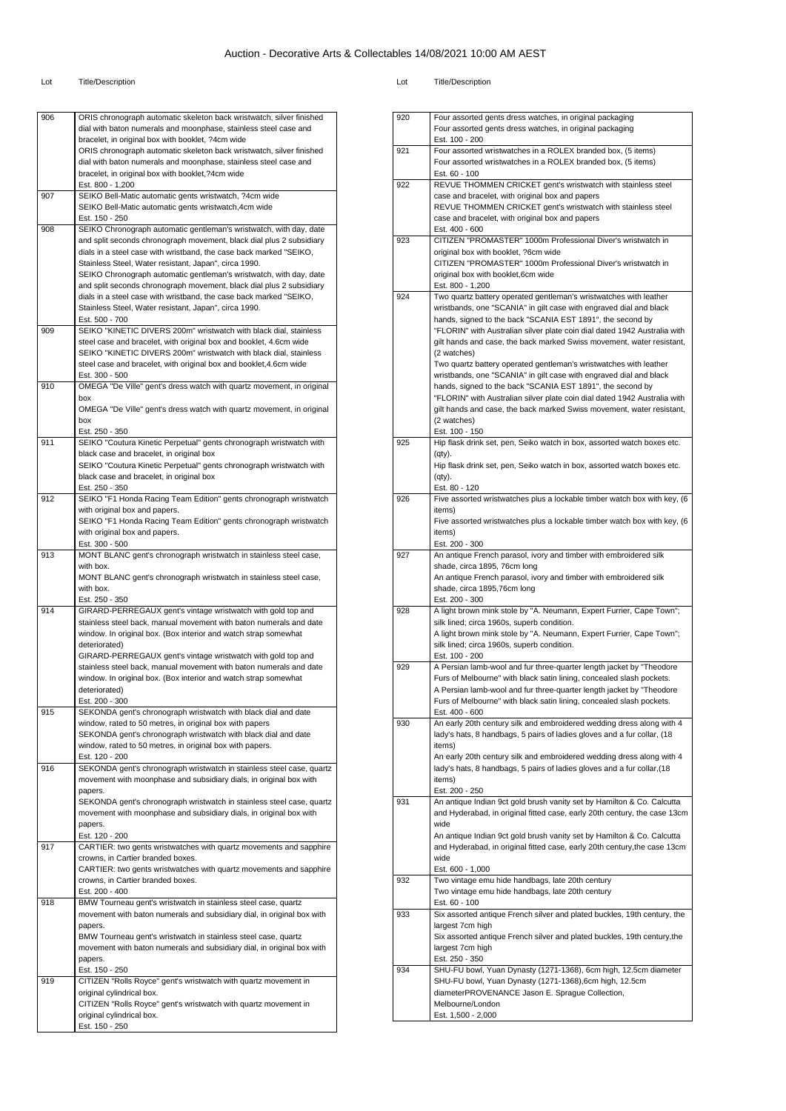| 906 | ORIS chronograph automatic skeleton back wristwatch, silver finished                                                                        |
|-----|---------------------------------------------------------------------------------------------------------------------------------------------|
|     | dial with baton numerals and moonphase, stainless steel case and<br>bracelet, in original box with booklet, ?4cm wide                       |
|     | ORIS chronograph automatic skeleton back wristwatch, silver finished                                                                        |
|     | dial with baton numerals and moonphase, stainless steel case and                                                                            |
|     | bracelet, in original box with booklet, ?4cm wide<br>Est. 800 - 1,200                                                                       |
| 907 | SEIKO Bell-Matic automatic gents wristwatch, ?4cm wide                                                                                      |
|     | SEIKO Bell-Matic automatic gents wristwatch, 4cm wide                                                                                       |
| 908 | Est. 150 - 250<br>SEIKO Chronograph automatic gentleman's wristwatch, with day, date                                                        |
|     | and split seconds chronograph movement, black dial plus 2 subsidiary                                                                        |
|     | dials in a steel case with wristband, the case back marked "SEIKO,                                                                          |
|     | Stainless Steel, Water resistant, Japan", circa 1990.                                                                                       |
|     | SEIKO Chronograph automatic gentleman's wristwatch, with day, date<br>and split seconds chronograph movement, black dial plus 2 subsidiary  |
|     | dials in a steel case with wristband, the case back marked "SEIKO,                                                                          |
|     | Stainless Steel, Water resistant, Japan", circa 1990.                                                                                       |
| 909 | Est. 500 - 700<br>SEIKO "KINETIC DIVERS 200m" wristwatch with black dial, stainless                                                         |
|     | steel case and bracelet, with original box and booklet, 4.6cm wide                                                                          |
|     | SEIKO "KINETIC DIVERS 200m" wristwatch with black dial, stainless                                                                           |
|     | steel case and bracelet, with original box and booklet, 4.6cm wide                                                                          |
| 910 | Est. 300 - 500<br>OMEGA "De Ville" gent's dress watch with quartz movement, in original                                                     |
|     | box                                                                                                                                         |
|     | OMEGA "De Ville" gent's dress watch with quartz movement, in original                                                                       |
|     | box<br>Est. 250 - 350                                                                                                                       |
| 911 | SEIKO "Coutura Kinetic Perpetual" gents chronograph wristwatch with                                                                         |
|     | black case and bracelet, in original box                                                                                                    |
|     | SEIKO "Coutura Kinetic Perpetual" gents chronograph wristwatch with<br>black case and bracelet, in original box                             |
|     | Est. 250 - 350                                                                                                                              |
| 912 | SEIKO "F1 Honda Racing Team Edition" gents chronograph wristwatch                                                                           |
|     | with original box and papers.                                                                                                               |
|     | SEIKO "F1 Honda Racing Team Edition" gents chronograph wristwatch<br>with original box and papers.                                          |
|     | Est. 300 - 500                                                                                                                              |
| 913 | MONT BLANC gent's chronograph wristwatch in stainless steel case,                                                                           |
|     | with box.<br>MONT BLANC gent's chronograph wristwatch in stainless steel case,                                                              |
|     | with box.                                                                                                                                   |
|     | Est. 250 - 350                                                                                                                              |
| 914 | GIRARD-PERREGAUX gent's vintage wristwatch with gold top and<br>stainless steel back, manual movement with baton numerals and date          |
|     | window. In original box. (Box interior and watch strap somewhat                                                                             |
|     | deteriorated)                                                                                                                               |
|     | GIRARD-PERREGAUX gent's vintage wristwatch with gold top and                                                                                |
|     | stainless steel back, manual movement with baton numerals and date<br>window. In original box. (Box interior and watch strap somewhat       |
|     | deteriorated)                                                                                                                               |
|     | Est. 200 - 300                                                                                                                              |
| 915 | SEKONDA gent's chronograph wristwatch with black dial and date<br>window, rated to 50 metres, in original box with papers                   |
|     | SEKONDA gent's chronograph wristwatch with black dial and date                                                                              |
|     | window, rated to 50 metres, in original box with papers.                                                                                    |
|     | Est. 120 - 200                                                                                                                              |
| 916 | SEKONDA gent's chronograph wristwatch in stainless steel case, quartz<br>movement with moonphase and subsidiary dials, in original box with |
|     | papers.                                                                                                                                     |
|     | SEKONDA gent's chronograph wristwatch in stainless steel case, quartz                                                                       |
|     | movement with moonphase and subsidiary dials, in original box with<br>papers.                                                               |
|     | Est. 120 - 200                                                                                                                              |
| 917 | CARTIER: two gents wristwatches with quartz movements and sapphire                                                                          |
|     | crowns, in Cartier branded boxes.                                                                                                           |
|     | CARTIER: two gents wristwatches with quartz movements and sapphire<br>crowns, in Cartier branded boxes.                                     |
|     | Est. 200 - 400                                                                                                                              |
| 918 | BMW Tourneau gent's wristwatch in stainless steel case, quartz                                                                              |
|     | movement with baton numerals and subsidiary dial, in original box with<br>papers.                                                           |
|     | BMW Tourneau gent's wristwatch in stainless steel case, quartz                                                                              |
|     | movement with baton numerals and subsidiary dial, in original box with                                                                      |
|     | papers.                                                                                                                                     |
|     | Est. 150 - 250<br>CITIZEN "Rolls Royce" gent's wristwatch with quartz movement in                                                           |
| 919 |                                                                                                                                             |
|     | original cylindrical box.                                                                                                                   |
|     | CITIZEN "Rolls Royce" gent's wristwatch with quartz movement in                                                                             |
|     | original cylindrical box.<br>Est. 150 - 250                                                                                                 |

| 920 |                                                                                                                                              |
|-----|----------------------------------------------------------------------------------------------------------------------------------------------|
|     | Four assorted gents dress watches, in original packaging<br>Four assorted gents dress watches, in original packaging                         |
|     | Est. 100 - 200                                                                                                                               |
| 921 | Four assorted wristwatches in a ROLEX branded box, (5 items)                                                                                 |
|     | Four assorted wristwatches in a ROLEX branded box, (5 items)                                                                                 |
|     | Est. 60 - 100                                                                                                                                |
| 922 | REVUE THOMMEN CRICKET gent's wristwatch with stainless steel<br>case and bracelet, with original box and papers                              |
|     | REVUE THOMMEN CRICKET gent's wristwatch with stainless steel                                                                                 |
|     | case and bracelet, with original box and papers                                                                                              |
|     | Est. 400 - 600                                                                                                                               |
| 923 | CITIZEN "PROMASTER" 1000m Professional Diver's wristwatch in                                                                                 |
|     | original box with booklet, ?6cm wide                                                                                                         |
|     | CITIZEN "PROMASTER" 1000m Professional Diver's wristwatch in<br>original box with booklet,6cm wide                                           |
|     | Est. 800 - 1,200                                                                                                                             |
| 924 | Two quartz battery operated gentleman's wristwatches with leather                                                                            |
|     | wristbands, one "SCANIA" in gilt case with engraved dial and black                                                                           |
|     | hands, signed to the back "SCANIA EST 1891", the second by                                                                                   |
|     | "FLORIN" with Australian silver plate coin dial dated 1942 Australia with                                                                    |
|     | gilt hands and case, the back marked Swiss movement, water resistant,<br>(2 watches)                                                         |
|     | Two quartz battery operated gentleman's wristwatches with leather                                                                            |
|     | wristbands, one "SCANIA" in gilt case with engraved dial and black                                                                           |
|     | hands, signed to the back "SCANIA EST 1891", the second by                                                                                   |
|     | "FLORIN" with Australian silver plate coin dial dated 1942 Australia with                                                                    |
|     | gilt hands and case, the back marked Swiss movement, water resistant,                                                                        |
|     | (2 watches)<br>Est. 100 - 150                                                                                                                |
| 925 | Hip flask drink set, pen, Seiko watch in box, assorted watch boxes etc.                                                                      |
|     | $(qty)$ .                                                                                                                                    |
|     | Hip flask drink set, pen, Seiko watch in box, assorted watch boxes etc.                                                                      |
|     | (qty).                                                                                                                                       |
| 926 | Est. 80 - 120<br>Five assorted wristwatches plus a lockable timber watch box with key, (6                                                    |
|     | items)                                                                                                                                       |
|     | Five assorted wristwatches plus a lockable timber watch box with key, (6                                                                     |
|     | items)                                                                                                                                       |
| 927 | Est. 200 - 300<br>An antique French parasol, ivory and timber with embroidered silk                                                          |
|     | shade, circa 1895, 76cm long                                                                                                                 |
|     | An antique French parasol, ivory and timber with embroidered silk                                                                            |
|     | shade, circa 1895,76cm long                                                                                                                  |
| 928 | Est. 200 - 300<br>A light brown mink stole by "A. Neumann, Expert Furrier, Cape Town";                                                       |
|     | silk lined; circa 1960s, superb condition.                                                                                                   |
|     |                                                                                                                                              |
|     | A light brown mink stole by "A. Neumann, Expert Furrier, Cape Town";                                                                         |
|     | silk lined; circa 1960s, superb condition.                                                                                                   |
|     | Est. 100 - 200                                                                                                                               |
| 929 | A Persian lamb-wool and fur three-quarter length jacket by "Theodore                                                                         |
|     | Furs of Melbourne" with black satin lining, concealed slash pockets.<br>A Persian lamb-wool and fur three-quarter length jacket by "Theodore |
|     | Furs of Melbourne" with black satin lining, concealed slash pockets.                                                                         |
|     | Est. 400 - 600                                                                                                                               |
| 930 | An early 20th century silk and embroidered wedding dress along with 4                                                                        |
|     | lady's hats, 8 handbags, 5 pairs of ladies gloves and a fur collar, (18                                                                      |
|     | items)<br>An early 20th century silk and embroidered wedding dress along with 4                                                              |
|     | lady's hats, 8 handbags, 5 pairs of ladies gloves and a fur collar, (18                                                                      |
|     | items)                                                                                                                                       |
|     | Est. 200 - 250                                                                                                                               |
| 931 | An antique Indian 9ct gold brush vanity set by Hamilton & Co. Calcutta                                                                       |
|     | and Hyderabad, in original fitted case, early 20th century, the case 13cm<br>wide                                                            |
|     | An antique Indian 9ct gold brush vanity set by Hamilton & Co. Calcutta                                                                       |
|     | and Hyderabad, in original fitted case, early 20th century, the case 13cm                                                                    |
|     | wide                                                                                                                                         |
|     | Est. 600 - 1,000                                                                                                                             |
| 932 | Two vintage emu hide handbags, late 20th century<br>Two vintage emu hide handbags, late 20th century                                         |
|     | Est. 60 - 100                                                                                                                                |
| 933 | Six assorted antique French silver and plated buckles, 19th century, the                                                                     |
|     | largest 7cm high                                                                                                                             |
|     | Six assorted antique French silver and plated buckles, 19th century, the                                                                     |
|     | largest 7cm high                                                                                                                             |
| 934 | Est. 250 - 350<br>SHU-FU bowl, Yuan Dynasty (1271-1368), 6cm high, 12.5cm diameter                                                           |
|     | SHU-FU bowl, Yuan Dynasty (1271-1368), 6cm high, 12.5cm                                                                                      |
|     | diameterPROVENANCE Jason E. Sprague Collection,                                                                                              |
|     | Melbourne/London<br>Est. 1,500 - 2,000                                                                                                       |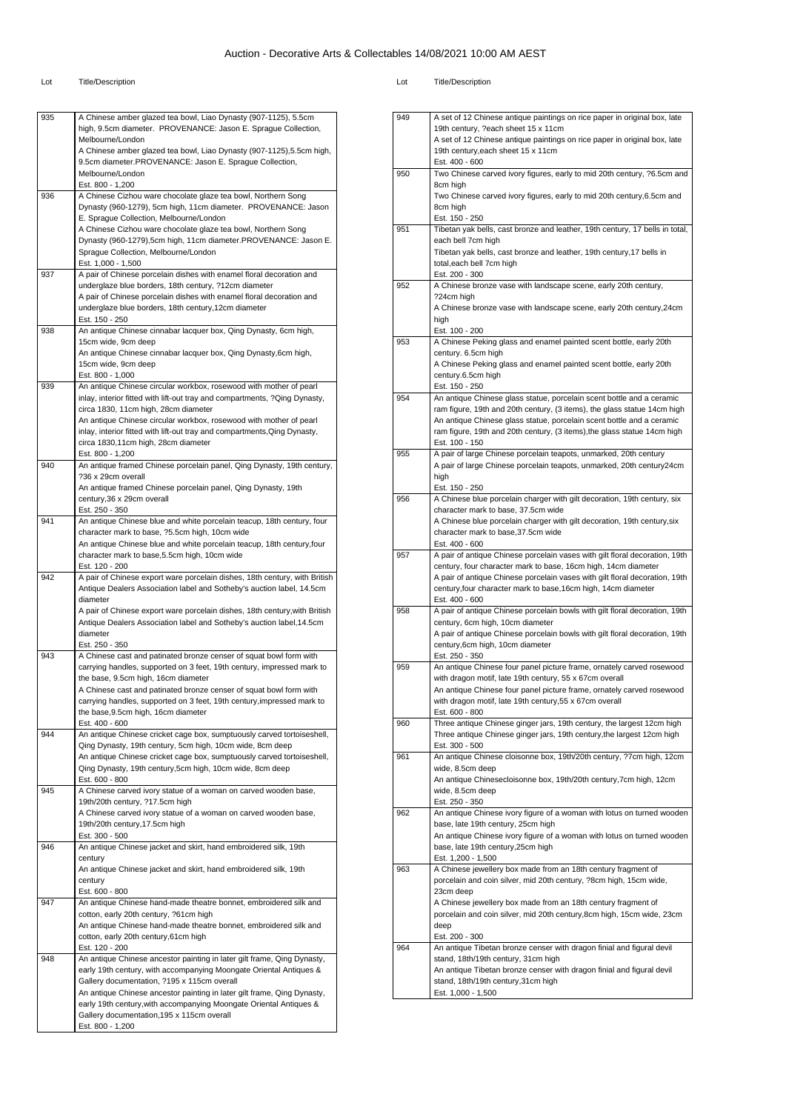| 935 | A Chinese amber glazed tea bowl, Liao Dynasty (907-1125), 5.5cm<br>high, 9.5cm diameter. PROVENANCE: Jason E. Sprague Collection,<br>Melbourne/London |
|-----|-------------------------------------------------------------------------------------------------------------------------------------------------------|
|     | A Chinese amber glazed tea bowl, Liao Dynasty (907-1125), 5.5cm high,<br>9.5cm diameter.PROVENANCE: Jason E. Sprague Collection,                      |
|     | Melbourne/London<br>Est. 800 - 1,200                                                                                                                  |
| 936 | A Chinese Cizhou ware chocolate glaze tea bowl, Northern Song<br>Dynasty (960-1279), 5cm high, 11cm diameter. PROVENANCE: Jason                       |
|     | E. Sprague Collection, Melbourne/London                                                                                                               |
|     | A Chinese Cizhou ware chocolate glaze tea bowl, Northern Song<br>Dynasty (960-1279),5cm high, 11cm diameter.PROVENANCE: Jason E.                      |
|     | Sprague Collection, Melbourne/London<br>Est. 1,000 - 1,500                                                                                            |
| 937 | A pair of Chinese porcelain dishes with enamel floral decoration and                                                                                  |
|     | underglaze blue borders, 18th century, ?12cm diameter<br>A pair of Chinese porcelain dishes with enamel floral decoration and                         |
|     | underglaze blue borders, 18th century, 12cm diameter<br>Est. 150 - 250                                                                                |
| 938 | An antique Chinese cinnabar lacquer box, Qing Dynasty, 6cm high,                                                                                      |
|     | 15cm wide, 9cm deep<br>An antique Chinese cinnabar lacquer box, Qing Dynasty, 6cm high,                                                               |
|     | 15cm wide, 9cm deep<br>Est. 800 - 1,000                                                                                                               |
| 939 | An antique Chinese circular workbox, rosewood with mother of pearl                                                                                    |
|     | inlay, interior fitted with lift-out tray and compartments, ?Qing Dynasty,<br>circa 1830, 11cm high, 28cm diameter                                    |
|     | An antique Chinese circular workbox, rosewood with mother of pearl<br>inlay, interior fitted with lift-out tray and compartments, Qing Dynasty,       |
|     | circa 1830,11cm high, 28cm diameter                                                                                                                   |
| 940 | Est. 800 - 1,200<br>An antique framed Chinese porcelain panel, Qing Dynasty, 19th century,                                                            |
|     | ?36 x 29cm overall<br>An antique framed Chinese porcelain panel, Qing Dynasty, 19th                                                                   |
|     | century, 36 x 29cm overall                                                                                                                            |
| 941 | Est. 250 - 350<br>An antique Chinese blue and white porcelain teacup, 18th century, four                                                              |
|     | character mark to base, ?5.5cm high, 10cm wide<br>An antique Chinese blue and white porcelain teacup, 18th century, four                              |
|     | character mark to base, 5.5cm high, 10cm wide                                                                                                         |
| 942 | Est. 120 - 200<br>A pair of Chinese export ware porcelain dishes, 18th century, with British                                                          |
|     | Antique Dealers Association label and Sotheby's auction label, 14.5cm                                                                                 |
|     | diameter<br>A pair of Chinese export ware porcelain dishes, 18th century, with British                                                                |
|     | Antique Dealers Association label and Sotheby's auction label, 14.5cm<br>diameter                                                                     |
| 943 | Est. 250 - 350<br>A Chinese cast and patinated bronze censer of squat bowl form with                                                                  |
|     | carrying handles, supported on 3 feet, 19th century, impressed mark to                                                                                |
|     | the base, 9.5cm high, 16cm diameter<br>A Chinese cast and patinated bronze censer of squat bowl form with                                             |
|     | carrying handles, supported on 3 feet, 19th century, impressed mark to<br>the base, 9.5cm high, 16cm diameter                                         |
|     | Est. 400 - 600                                                                                                                                        |
| 944 | An antique Chinese cricket cage box, sumptuously carved tortoiseshell,<br>Qing Dynasty, 19th century, 5cm high, 10cm wide, 8cm deep                   |
|     | An antique Chinese cricket cage box, sumptuously carved tortoiseshell,<br>Qing Dynasty, 19th century, 5cm high, 10cm wide, 8cm deep                   |
|     | Est. 600 - 800                                                                                                                                        |
| 945 | A Chinese carved ivory statue of a woman on carved wooden base,<br>19th/20th century, ?17.5cm high                                                    |
|     | A Chinese carved ivory statue of a woman on carved wooden base,<br>19th/20th century, 17.5cm high                                                     |
|     | Est. 300 - 500                                                                                                                                        |
| 946 | An antique Chinese jacket and skirt, hand embroidered silk, 19th<br>century                                                                           |
|     | An antique Chinese jacket and skirt, hand embroidered silk, 19th<br>century                                                                           |
|     | Est. 600 - 800                                                                                                                                        |
| 947 | An antique Chinese hand-made theatre bonnet, embroidered silk and<br>cotton, early 20th century, ?61cm high                                           |
|     |                                                                                                                                                       |
|     | An antique Chinese hand-made theatre bonnet, embroidered silk and                                                                                     |
|     | cotton, early 20th century, 61cm high<br>Est. 120 - 200                                                                                               |
| 948 | An antique Chinese ancestor painting in later gilt frame, Qing Dynasty,                                                                               |
|     | early 19th century, with accompanying Moongate Oriental Antiques &<br>Gallery documentation, ?195 x 115cm overall                                     |
|     | An antique Chinese ancestor painting in later gilt frame, Qing Dynasty,<br>early 19th century, with accompanying Moongate Oriental Antiques &         |
|     | Gallery documentation, 195 x 115cm overall<br>Est. 800 - 1,200                                                                                        |

| 949 | A set of 12 Chinese antique paintings on rice paper in original box, late                                                                        |
|-----|--------------------------------------------------------------------------------------------------------------------------------------------------|
|     | 19th century, ?each sheet 15 x 11cm                                                                                                              |
|     | A set of 12 Chinese antique paintings on rice paper in original box, late                                                                        |
|     | 19th century, each sheet 15 x 11cm<br>Est. 400 - 600                                                                                             |
| 950 | Two Chinese carved ivory figures, early to mid 20th century, ?6.5cm and                                                                          |
|     | 8cm high                                                                                                                                         |
|     | Two Chinese carved ivory figures, early to mid 20th century, 6.5cm and                                                                           |
|     | 8cm high                                                                                                                                         |
|     | Est. 150 - 250                                                                                                                                   |
| 951 | Tibetan yak bells, cast bronze and leather, 19th century, 17 bells in total,                                                                     |
|     | each bell 7cm high                                                                                                                               |
|     | Tibetan yak bells, cast bronze and leather, 19th century, 17 bells in                                                                            |
|     | total, each bell 7cm high                                                                                                                        |
|     | Est. 200 - 300                                                                                                                                   |
| 952 | A Chinese bronze vase with landscape scene, early 20th century,                                                                                  |
|     | ?24cm high                                                                                                                                       |
|     | A Chinese bronze vase with landscape scene, early 20th century, 24cm<br>high                                                                     |
|     | Est. 100 - 200                                                                                                                                   |
| 953 | A Chinese Peking glass and enamel painted scent bottle, early 20th                                                                               |
|     | century. 6.5cm high                                                                                                                              |
|     | A Chinese Peking glass and enamel painted scent bottle, early 20th                                                                               |
|     | century.6.5cm high                                                                                                                               |
|     | Est. 150 - 250                                                                                                                                   |
| 954 | An antique Chinese glass statue, porcelain scent bottle and a ceramic                                                                            |
|     | ram figure, 19th and 20th century, (3 items), the glass statue 14cm high                                                                         |
|     | An antique Chinese glass statue, porcelain scent bottle and a ceramic                                                                            |
|     | ram figure, 19th and 20th century, (3 items), the glass statue 14cm high                                                                         |
|     | Est. 100 - 150                                                                                                                                   |
| 955 | A pair of large Chinese porcelain teapots, unmarked, 20th century                                                                                |
|     | A pair of large Chinese porcelain teapots, unmarked, 20th century24cm<br>high                                                                    |
|     | Est. 150 - 250                                                                                                                                   |
| 956 | A Chinese blue porcelain charger with gilt decoration, 19th century, six                                                                         |
|     | character mark to base, 37.5cm wide                                                                                                              |
|     | A Chinese blue porcelain charger with gilt decoration, 19th century, six                                                                         |
|     | character mark to base, 37.5cm wide                                                                                                              |
|     | Est. 400 - 600                                                                                                                                   |
| 957 | A pair of antique Chinese porcelain vases with gilt floral decoration, 19th                                                                      |
|     | century, four character mark to base, 16cm high, 14cm diameter                                                                                   |
|     | A pair of antique Chinese porcelain vases with gilt floral decoration, 19th                                                                      |
|     | century, four character mark to base, 16cm high, 14cm diameter<br>Est. 400 - 600                                                                 |
| 958 | A pair of antique Chinese porcelain bowls with gilt floral decoration, 19th                                                                      |
|     | century, 6cm high, 10cm diameter                                                                                                                 |
|     | A pair of antique Chinese porcelain bowls with gilt floral decoration, 19th                                                                      |
|     | century,6cm high, 10cm diameter                                                                                                                  |
|     | Est. 250 - 350                                                                                                                                   |
| 959 | An antique Chinese four panel picture frame, ornately carved rosewood                                                                            |
|     | with dragon motif, late 19th century, 55 x 67cm overall                                                                                          |
|     | An antique Chinese four panel picture frame, ornately carved rosewood                                                                            |
|     | with dragon motif, late 19th century, 55 x 67cm overall                                                                                          |
|     | Est. 600 - 800                                                                                                                                   |
| 960 | Three antique Chinese ginger jars, 19th century, the largest 12cm high<br>Three antique Chinese ginger jars, 19th century, the largest 12cm high |
|     | Est. 300 - 500                                                                                                                                   |
| 961 | An antique Chinese cloisonne box, 19th/20th century, ?7cm high, 12cm                                                                             |
|     | wide, 8.5cm deep                                                                                                                                 |
|     | An antique Chinesecloisonne box, 19th/20th century,7cm high, 12cm                                                                                |
|     | wide, 8.5cm deep                                                                                                                                 |
|     | Est. 250 - 350                                                                                                                                   |
| 962 | An antique Chinese ivory figure of a woman with lotus on turned wooden                                                                           |
|     | base, late 19th century, 25cm high                                                                                                               |
|     | An antique Chinese ivory figure of a woman with lotus on turned wooden                                                                           |
|     | base, late 19th century, 25cm high                                                                                                               |
| 963 | Est. 1,200 - 1,500                                                                                                                               |
|     | A Chinese jewellery box made from an 18th century fragment of<br>porcelain and coin silver, mid 20th century, ?8cm high, 15cm wide,              |
|     | 23cm deep                                                                                                                                        |
|     | A Chinese jewellery box made from an 18th century fragment of                                                                                    |
|     | porcelain and coin silver, mid 20th century, 8cm high, 15cm wide, 23cm                                                                           |
|     | deep                                                                                                                                             |
|     | Est. 200 - 300                                                                                                                                   |
| 964 | An antique Tibetan bronze censer with dragon finial and figural devil                                                                            |
|     | stand, 18th/19th century, 31cm high                                                                                                              |
|     | An antique Tibetan bronze censer with dragon finial and figural devil                                                                            |
|     | stand, 18th/19th century, 31cm high                                                                                                              |
|     | Est. 1,000 - 1,500                                                                                                                               |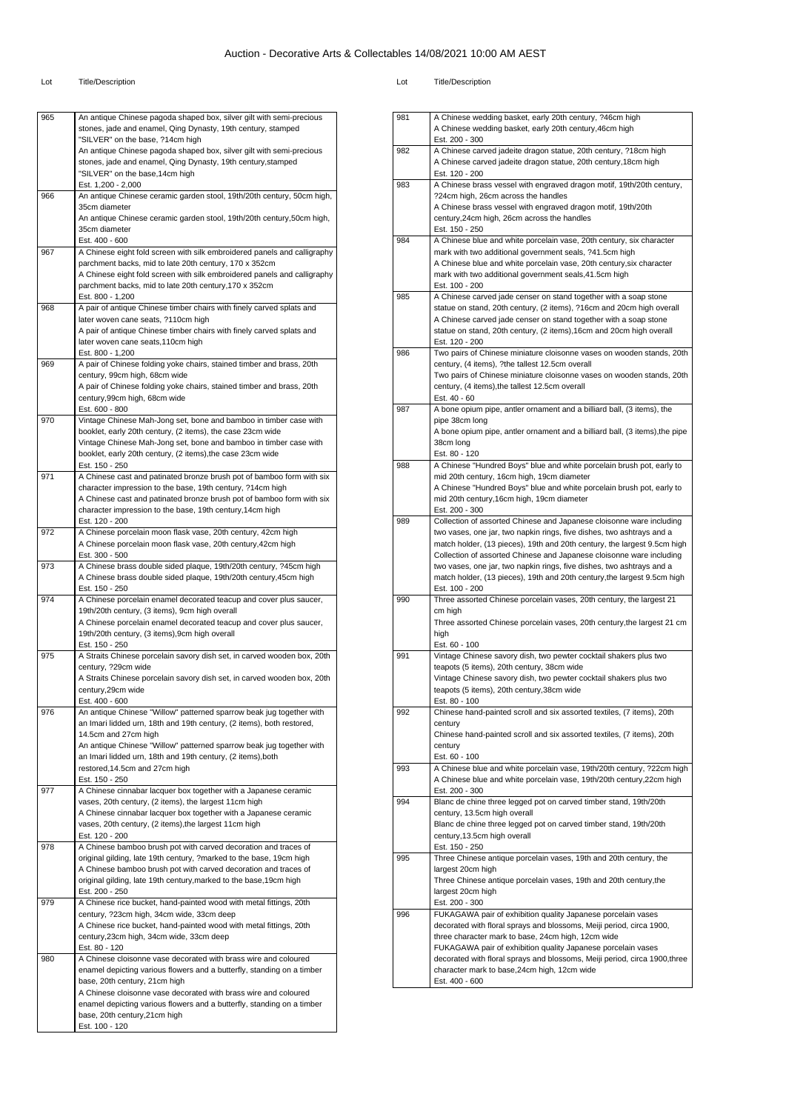#### Lot Title/Description Lot Title/Description

| 965 | An antique Chinese pagoda shaped box, silver gilt with semi-precious<br>stones, jade and enamel, Qing Dynasty, 19th century, stamped |
|-----|--------------------------------------------------------------------------------------------------------------------------------------|
|     | "SILVER" on the base, ?14cm high                                                                                                     |
|     | An antique Chinese pagoda shaped box, silver gilt with semi-precious                                                                 |
|     | stones, jade and enamel, Qing Dynasty, 19th century, stamped<br>"SILVER" on the base, 14cm high                                      |
|     | Est. 1,200 - 2,000                                                                                                                   |
| 966 | An antique Chinese ceramic garden stool, 19th/20th century, 50cm high,                                                               |
|     | 35cm diameter                                                                                                                        |
|     | An antique Chinese ceramic garden stool, 19th/20th century,50cm high,                                                                |
|     | 35cm diameter<br>Est. 400 - 600                                                                                                      |
| 967 | A Chinese eight fold screen with silk embroidered panels and calligraphy                                                             |
|     | parchment backs, mid to late 20th century, 170 x 352cm                                                                               |
|     | A Chinese eight fold screen with silk embroidered panels and calligraphy                                                             |
|     | parchment backs, mid to late 20th century, 170 x 352cm                                                                               |
| 968 | Est. 800 - 1,200<br>A pair of antique Chinese timber chairs with finely carved splats and                                            |
|     | later woven cane seats, ?110cm high                                                                                                  |
|     | A pair of antique Chinese timber chairs with finely carved splats and                                                                |
|     | later woven cane seats, 110cm high                                                                                                   |
|     | Est. 800 - 1,200                                                                                                                     |
| 969 | A pair of Chinese folding yoke chairs, stained timber and brass, 20th<br>century, 99cm high, 68cm wide                               |
|     | A pair of Chinese folding yoke chairs, stained timber and brass, 20th                                                                |
|     | century,99cm high, 68cm wide                                                                                                         |
|     | Est. 600 - 800                                                                                                                       |
| 970 | Vintage Chinese Mah-Jong set, bone and bamboo in timber case with                                                                    |
|     | booklet, early 20th century, (2 items), the case 23cm wide                                                                           |
|     | Vintage Chinese Mah-Jong set, bone and bamboo in timber case with<br>booklet, early 20th century, (2 items), the case 23cm wide      |
|     | Est. 150 - 250                                                                                                                       |
| 971 | A Chinese cast and patinated bronze brush pot of bamboo form with six                                                                |
|     | character impression to the base, 19th century, ?14cm high                                                                           |
|     | A Chinese cast and patinated bronze brush pot of bamboo form with six                                                                |
|     | character impression to the base, 19th century, 14cm high                                                                            |
| 972 | Est. 120 - 200<br>A Chinese porcelain moon flask vase, 20th century, 42cm high                                                       |
|     | A Chinese porcelain moon flask vase, 20th century, 42cm high                                                                         |
|     | Est. 300 - 500                                                                                                                       |
| 973 | A Chinese brass double sided plaque, 19th/20th century, ?45cm high                                                                   |
|     | A Chinese brass double sided plaque, 19th/20th century,45cm high                                                                     |
| 974 | Est. 150 - 250<br>A Chinese porcelain enamel decorated teacup and cover plus saucer,                                                 |
|     | 19th/20th century, (3 items), 9cm high overall                                                                                       |
|     | A Chinese porcelain enamel decorated teacup and cover plus saucer,                                                                   |
|     | 19th/20th century, (3 items), 9cm high overall                                                                                       |
| 975 | Est. 150 - 250                                                                                                                       |
|     | A Straits Chinese porcelain savory dish set, in carved wooden box, 20th<br>century, ?29cm wide                                       |
|     | A Straits Chinese porcelain savory dish set, in carved wooden box, 20th                                                              |
|     | century, 29cm wide                                                                                                                   |
|     | Est. 400 - 600                                                                                                                       |
| 976 | An antique Chinese "Willow" patterned sparrow beak jug together with                                                                 |
|     | an Imari lidded urn, 18th and 19th century, (2 items), both restored,<br>14.5cm and 27cm high                                        |
|     | An antique Chinese "Willow" patterned sparrow beak jug together with                                                                 |
|     | an Imari lidded urn, 18th and 19th century, (2 items), both                                                                          |
|     | restored, 14.5cm and 27cm high                                                                                                       |
|     | Est. 150 - 250                                                                                                                       |
| 977 | A Chinese cinnabar lacquer box together with a Japanese ceramic                                                                      |
|     | vases, 20th century, (2 items), the largest 11cm high<br>A Chinese cinnabar lacquer box together with a Japanese ceramic             |
|     | vases, 20th century, (2 items), the largest 11cm high                                                                                |
|     | Est. 120 - 200                                                                                                                       |
| 978 | A Chinese bamboo brush pot with carved decoration and traces of                                                                      |
|     | original gilding, late 19th century, ?marked to the base, 19cm high                                                                  |
|     | A Chinese bamboo brush pot with carved decoration and traces of                                                                      |
|     | original gilding, late 19th century, marked to the base, 19cm high                                                                   |
|     |                                                                                                                                      |
| 979 | Est. 200 - 250                                                                                                                       |
|     | A Chinese rice bucket, hand-painted wood with metal fittings, 20th<br>century, ?23cm high, 34cm wide, 33cm deep                      |
|     | A Chinese rice bucket, hand-painted wood with metal fittings, 20th                                                                   |
|     | century, 23cm high, 34cm wide, 33cm deep                                                                                             |
|     | Est. 80 - 120                                                                                                                        |
| 980 | A Chinese cloisonne vase decorated with brass wire and coloured                                                                      |
|     | enamel depicting various flowers and a butterfly, standing on a timber                                                               |
|     | base, 20th century, 21cm high<br>A Chinese cloisonne vase decorated with brass wire and coloured                                     |
|     | enamel depicting various flowers and a butterfly, standing on a timber                                                               |
|     | base, 20th century, 21cm high<br>Est. 100 - 120                                                                                      |

| 981 | A Chinese wedding basket, early 20th century, ?46cm high<br>A Chinese wedding basket, early 20th century, 46cm high                           |
|-----|-----------------------------------------------------------------------------------------------------------------------------------------------|
| 982 | Est. 200 - 300<br>A Chinese carved jadeite dragon statue, 20th century, ?18cm high                                                            |
|     | A Chinese carved jadeite dragon statue, 20th century, 18cm high<br>Est. 120 - 200                                                             |
| 983 | A Chinese brass vessel with engraved dragon motif, 19th/20th century,                                                                         |
|     | ?24cm high, 26cm across the handles<br>A Chinese brass vessel with engraved dragon motif, 19th/20th                                           |
|     | century, 24cm high, 26cm across the handles                                                                                                   |
|     | Est. 150 - 250                                                                                                                                |
| 984 | A Chinese blue and white porcelain vase, 20th century, six character                                                                          |
|     | mark with two additional government seals, ?41.5cm high<br>A Chinese blue and white porcelain vase, 20th century, six character               |
|     | mark with two additional government seals, 41.5cm high                                                                                        |
|     | Est. 100 - 200                                                                                                                                |
| 985 | A Chinese carved jade censer on stand together with a soap stone                                                                              |
|     | statue on stand, 20th century, (2 items), ?16cm and 20cm high overall<br>A Chinese carved jade censer on stand together with a soap stone     |
|     | statue on stand, 20th century, (2 items), 16cm and 20cm high overall                                                                          |
|     | Est. 120 - 200                                                                                                                                |
| 986 | Two pairs of Chinese miniature cloisonne vases on wooden stands, 20th<br>century, (4 items), ?the tallest 12.5cm overall                      |
|     | Two pairs of Chinese miniature cloisonne vases on wooden stands, 20th                                                                         |
|     | century, (4 items), the tallest 12.5cm overall                                                                                                |
|     | Est. 40 - 60                                                                                                                                  |
| 987 | A bone opium pipe, antler ornament and a billiard ball, (3 items), the<br>pipe 38cm long                                                      |
|     | A bone opium pipe, antler ornament and a billiard ball, (3 items),the pipe                                                                    |
|     | 38cm long                                                                                                                                     |
| 988 | Est. 80 - 120<br>A Chinese "Hundred Boys" blue and white porcelain brush pot, early to                                                        |
|     | mid 20th century, 16cm high, 19cm diameter                                                                                                    |
|     | A Chinese "Hundred Boys" blue and white porcelain brush pot, early to                                                                         |
|     | mid 20th century, 16cm high, 19cm diameter<br>Est. 200 - 300                                                                                  |
| 989 | Collection of assorted Chinese and Japanese cloisonne ware including                                                                          |
|     | two vases, one jar, two napkin rings, five dishes, two ashtrays and a                                                                         |
|     | match holder, (13 pieces), 19th and 20th century, the largest 9.5cm high                                                                      |
|     | Collection of assorted Chinese and Japanese cloisonne ware including<br>two vases, one jar, two napkin rings, five dishes, two ashtrays and a |
|     | match holder, (13 pieces), 19th and 20th century, the largest 9.5cm high                                                                      |
|     | Est. 100 - 200                                                                                                                                |
| 990 | Three assorted Chinese porcelain vases, 20th century, the largest 21<br>cm high                                                               |
|     | Three assorted Chinese porcelain vases, 20th century, the largest 21 cm                                                                       |
|     | high                                                                                                                                          |
| 991 | Est. 60 - 100<br>Vintage Chinese savory dish, two pewter cocktail shakers plus two                                                            |
|     | teapots (5 items), 20th century, 38cm wide                                                                                                    |
|     | Vintage Chinese savory dish, two pewter cocktail shakers plus two                                                                             |
|     | teapots (5 items), 20th century, 38cm wide<br>Est. 80 - 100                                                                                   |
| 992 | Chinese hand-painted scroll and six assorted textiles, (7 items), 20th                                                                        |
|     | century                                                                                                                                       |
|     | Chinese hand-painted scroll and six assorted textiles, (7 items), 20th                                                                        |
|     | century<br>Est. 60 - 100                                                                                                                      |
| 993 | A Chinese blue and white porcelain vase, 19th/20th century, ?22cm high                                                                        |
|     | A Chinese blue and white porcelain vase, 19th/20th century,22cm high<br>Est. 200 - 300                                                        |
| 994 | Blanc de chine three legged pot on carved timber stand, 19th/20th                                                                             |
|     | century, 13.5cm high overall                                                                                                                  |
|     | Blanc de chine three legged pot on carved timber stand, 19th/20th                                                                             |
|     | century, 13.5cm high overall<br>Est. 150 - 250                                                                                                |
| 995 | Three Chinese antique porcelain vases, 19th and 20th century, the                                                                             |
|     | largest 20cm high                                                                                                                             |
|     | Three Chinese antique porcelain vases, 19th and 20th century, the<br>largest 20cm high                                                        |
|     | Est. 200 - 300                                                                                                                                |
| 996 | FUKAGAWA pair of exhibition quality Japanese porcelain vases                                                                                  |
|     | decorated with floral sprays and blossoms, Meiji period, circa 1900,<br>three character mark to base, 24cm high, 12cm wide                    |
|     | FUKAGAWA pair of exhibition quality Japanese porcelain vases                                                                                  |
|     | decorated with floral sprays and blossoms, Meiji period, circa 1900, three                                                                    |
|     | character mark to base, 24cm high, 12cm wide                                                                                                  |
|     | Est. 400 - 600                                                                                                                                |

 $\overline{\phantom{0}}$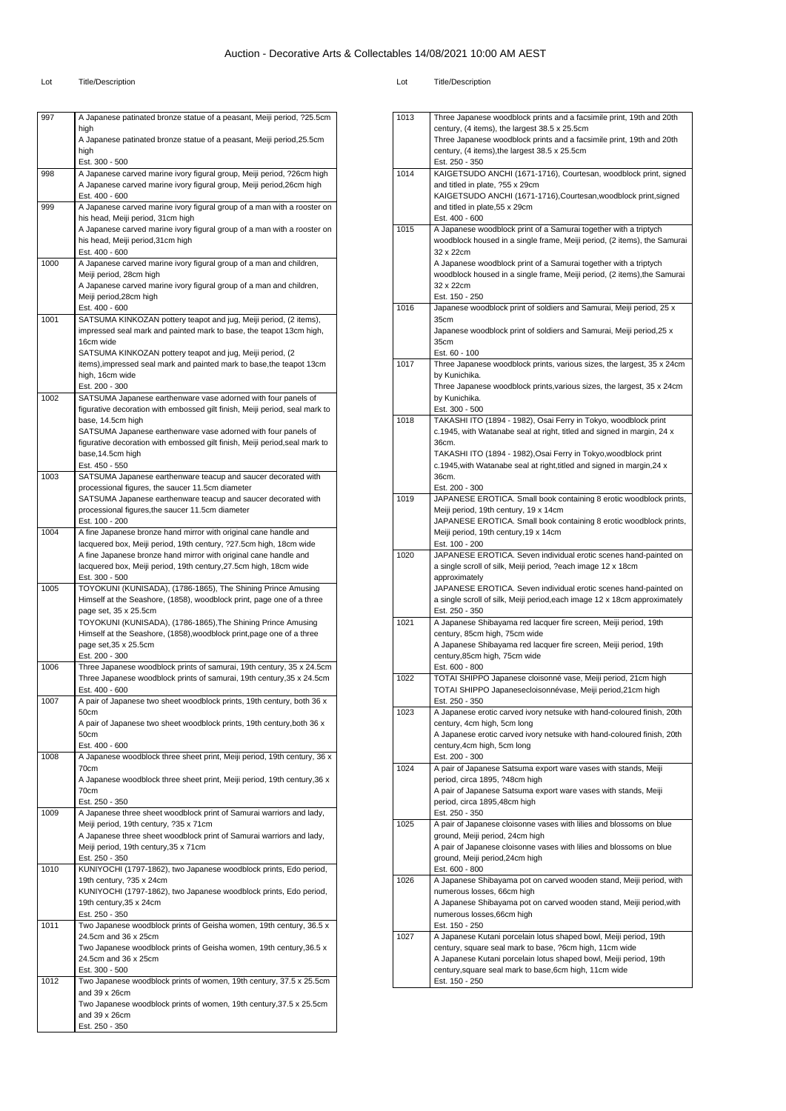| 997  | A Japanese patinated bronze statue of a peasant, Meiji period, ?25.5cm                                                                         |
|------|------------------------------------------------------------------------------------------------------------------------------------------------|
|      | high<br>A Japanese patinated bronze statue of a peasant, Meiji period, 25.5cm                                                                  |
|      | high                                                                                                                                           |
|      | Est. 300 - 500                                                                                                                                 |
| 998  | A Japanese carved marine ivory figural group, Meiji period, ?26cm high                                                                         |
|      | A Japanese carved marine ivory figural group, Meiji period, 26cm high<br>Est. 400 - 600                                                        |
| 999  | A Japanese carved marine ivory figural group of a man with a rooster on                                                                        |
|      | his head, Meiji period, 31cm high                                                                                                              |
|      | A Japanese carved marine ivory figural group of a man with a rooster on                                                                        |
|      | his head, Meiji period, 31cm high<br>Est. 400 - 600                                                                                            |
| 1000 | A Japanese carved marine ivory figural group of a man and children,                                                                            |
|      | Meiji period, 28cm high                                                                                                                        |
|      | A Japanese carved marine ivory figural group of a man and children,                                                                            |
|      | Meiji period, 28cm high<br>Est. 400 - 600                                                                                                      |
| 1001 | SATSUMA KINKOZAN pottery teapot and jug, Meiji period, (2 items),                                                                              |
|      | impressed seal mark and painted mark to base, the teapot 13cm high,                                                                            |
|      | 16cm wide                                                                                                                                      |
|      | SATSUMA KINKOZAN pottery teapot and jug, Meiji period, (2)                                                                                     |
|      | items), impressed seal mark and painted mark to base, the teapot 13cm<br>high, 16cm wide                                                       |
|      | Est. 200 - 300                                                                                                                                 |
| 1002 | SATSUMA Japanese earthenware vase adorned with four panels of                                                                                  |
|      | figurative decoration with embossed gilt finish, Meiji period, seal mark to                                                                    |
|      | base, 14.5cm high<br>SATSUMA Japanese earthenware vase adorned with four panels of                                                             |
|      | figurative decoration with embossed gilt finish, Meiji period, seal mark to                                                                    |
|      | base, 14.5cm high                                                                                                                              |
|      | Est. 450 - 550                                                                                                                                 |
| 1003 | SATSUMA Japanese earthenware teacup and saucer decorated with                                                                                  |
|      | processional figures, the saucer 11.5cm diameter<br>SATSUMA Japanese earthenware teacup and saucer decorated with                              |
|      | processional figures, the saucer 11.5cm diameter                                                                                               |
|      | Est. 100 - 200                                                                                                                                 |
| 1004 | A fine Japanese bronze hand mirror with original cane handle and                                                                               |
|      | lacquered box, Meiji period, 19th century, ?27.5cm high, 18cm wide<br>A fine Japanese bronze hand mirror with original cane handle and         |
|      | lacquered box, Meiji period, 19th century, 27.5cm high, 18cm wide                                                                              |
|      | Est. 300 - 500                                                                                                                                 |
| 1005 | TOYOKUNI (KUNISADA), (1786-1865), The Shining Prince Amusing                                                                                   |
|      | Himself at the Seashore, (1858), woodblock print, page one of a three                                                                          |
|      | page set, 35 x 25.5cm<br>TOYOKUNI (KUNISADA), (1786-1865), The Shining Prince Amusing                                                          |
|      | Himself at the Seashore, (1858), woodblock print, page one of a three                                                                          |
|      | page set, 35 x 25.5cm                                                                                                                          |
|      | Est. 200 - 300                                                                                                                                 |
| 1006 | Three Japanese woodblock prints of samurai, 19th century, 35 x 24.5cm<br>Three Japanese woodblock prints of samurai, 19th century, 35 x 24.5cm |
|      | Est. 400 - 600                                                                                                                                 |
| 1007 | A pair of Japanese two sheet woodblock prints, 19th century, both 36 x                                                                         |
|      | 50cm                                                                                                                                           |
|      | A pair of Japanese two sheet woodblock prints, 19th century, both 36 x<br>50cm                                                                 |
|      | Est. 400 - 600                                                                                                                                 |
| 1008 | A Japanese woodblock three sheet print, Meiji period, 19th century, 36 x                                                                       |
|      | 70cm                                                                                                                                           |
|      | A Japanese woodblock three sheet print, Meiji period, 19th century, 36 x<br>70cm                                                               |
|      | Est. 250 - 350                                                                                                                                 |
| 1009 | A Japanese three sheet woodblock print of Samurai warriors and lady,                                                                           |
|      | Meiji period, 19th century, ?35 x 71cm                                                                                                         |
|      | A Japanese three sheet woodblock print of Samurai warriors and lady,                                                                           |
|      | Meiji period, 19th century, 35 x 71cm<br>Est. 250 - 350                                                                                        |
| 1010 | KUNIYOCHI (1797-1862), two Japanese woodblock prints, Edo period,                                                                              |
|      | 19th century, ?35 x 24cm                                                                                                                       |
|      | KUNIYOCHI (1797-1862), two Japanese woodblock prints, Edo period,                                                                              |
|      | 19th century, 35 x 24cm<br>Est. 250 - 350                                                                                                      |
|      |                                                                                                                                                |
|      |                                                                                                                                                |
| 1011 | Two Japanese woodblock prints of Geisha women, 19th century, 36.5 x<br>24.5cm and 36 x 25cm                                                    |
|      | Two Japanese woodblock prints of Geisha women, 19th century, 36.5 x                                                                            |
|      | 24.5cm and 36 x 25cm                                                                                                                           |
|      | Est. 300 - 500                                                                                                                                 |
| 1012 | Two Japanese woodblock prints of women, 19th century, 37.5 x 25.5cm                                                                            |
|      | and $39 \times 26$ cm<br>Two Japanese woodblock prints of women, 19th century, 37.5 x 25.5cm                                                   |
|      | and 39 x 26cm<br>Est. 250 - 350                                                                                                                |

| 1013 | Three Japanese woodblock prints and a facsimile print, 19th and 20th                                                  |  |
|------|-----------------------------------------------------------------------------------------------------------------------|--|
|      | century, (4 items), the largest 38.5 x 25.5cm                                                                         |  |
|      | Three Japanese woodblock prints and a facsimile print, 19th and 20th<br>century, (4 items), the largest 38.5 x 25.5cm |  |
|      | Est. 250 - 350                                                                                                        |  |
| 1014 | KAIGETSUDO ANCHI (1671-1716), Courtesan, woodblock print, signed                                                      |  |
|      | and titled in plate, ?55 x 29cm                                                                                       |  |
|      | KAIGETSUDO ANCHI (1671-1716), Courtesan, woodblock print, signed                                                      |  |
|      | and titled in plate, 55 x 29cm                                                                                        |  |
| 1015 | Est. 400 - 600<br>A Japanese woodblock print of a Samurai together with a triptych                                    |  |
|      | woodblock housed in a single frame, Meiji period, (2 items), the Samurai                                              |  |
|      | 32 x 22cm                                                                                                             |  |
|      | A Japanese woodblock print of a Samurai together with a triptych                                                      |  |
|      | woodblock housed in a single frame, Meiji period, (2 items), the Samurai                                              |  |
|      | 32 x 22cm<br>Est. 150 - 250                                                                                           |  |
| 1016 | Japanese woodblock print of soldiers and Samurai, Meiji period, 25 x                                                  |  |
|      | 35cm                                                                                                                  |  |
|      | Japanese woodblock print of soldiers and Samurai, Meiji period, 25 x                                                  |  |
|      | 35cm                                                                                                                  |  |
| 1017 | Est. 60 - 100                                                                                                         |  |
|      | Three Japanese woodblock prints, various sizes, the largest, 35 x 24cm                                                |  |
|      | by Kunichika.<br>Three Japanese woodblock prints, various sizes, the largest, 35 x 24cm                               |  |
|      | by Kunichika.                                                                                                         |  |
|      | Est. 300 - 500                                                                                                        |  |
| 1018 | TAKASHI ITO (1894 - 1982), Osai Ferry in Tokyo, woodblock print                                                       |  |
|      | c.1945, with Watanabe seal at right, titled and signed in margin, 24 x<br>36cm.                                       |  |
|      | TAKASHI ITO (1894 - 1982), Osai Ferry in Tokyo, woodblock print                                                       |  |
|      | c.1945, with Watanabe seal at right, titled and signed in margin, 24 x                                                |  |
|      | 36cm.                                                                                                                 |  |
|      | Est. 200 - 300                                                                                                        |  |
| 1019 | JAPANESE EROTICA. Small book containing 8 erotic woodblock prints,<br>Meiji period, 19th century, 19 x 14cm           |  |
|      | JAPANESE EROTICA. Small book containing 8 erotic woodblock prints,                                                    |  |
|      | Meiji period, 19th century, 19 x 14cm                                                                                 |  |
|      | Est. 100 - 200                                                                                                        |  |
| 1020 | JAPANESE EROTICA. Seven individual erotic scenes hand-painted on                                                      |  |
|      | a single scroll of silk, Meiji period, ?each image 12 x 18cm<br>approximately                                         |  |
|      | JAPANESE EROTICA. Seven individual erotic scenes hand-painted on                                                      |  |
|      | a single scroll of silk, Meiji period, each image 12 x 18cm approximately                                             |  |
|      | Est. 250 - 350                                                                                                        |  |
| 1021 | A Japanese Shibayama red lacquer fire screen, Meiji period, 19th<br>century, 85cm high, 75cm wide                     |  |
|      | A Japanese Shibayama red lacquer fire screen, Meiji period, 19th                                                      |  |
|      | century,85cm high, 75cm wide                                                                                          |  |
|      | Est. 600 - 800                                                                                                        |  |
| 1022 | TOTAI SHIPPO Japanese cloisonné vase, Meiji period, 21cm high                                                         |  |
|      | TOTAI SHIPPO Japanesecloisonnévase, Meiji period, 21cm high                                                           |  |
| 1023 | Est. 250 - 350<br>A Japanese erotic carved ivory netsuke with hand-coloured finish, 20th                              |  |
|      | century, 4cm high, 5cm long                                                                                           |  |
|      | A Japanese erotic carved ivory netsuke with hand-coloured finish, 20th                                                |  |
|      | century, 4cm high, 5cm long                                                                                           |  |
|      | Est. 200 - 300                                                                                                        |  |
| 1024 | A pair of Japanese Satsuma export ware vases with stands, Meiji<br>period, circa 1895, ?48cm high                     |  |
|      | A pair of Japanese Satsuma export ware vases with stands, Meiji                                                       |  |
|      | period, circa 1895,48cm high                                                                                          |  |
|      | Est. 250 - 350                                                                                                        |  |
| 1025 | A pair of Japanese cloisonne vases with lilies and blossoms on blue<br>ground, Meiji period, 24cm high                |  |
|      | A pair of Japanese cloisonne vases with lilies and blossoms on blue                                                   |  |
|      | ground, Meiji period, 24cm high                                                                                       |  |
|      | Est. 600 - 800                                                                                                        |  |
| 1026 | A Japanese Shibayama pot on carved wooden stand, Meiji period, with                                                   |  |
|      | numerous losses, 66cm high                                                                                            |  |
|      | A Japanese Shibayama pot on carved wooden stand, Meiji period, with<br>numerous losses, 66cm high                     |  |
|      | Est. 150 - 250                                                                                                        |  |
| 1027 | A Japanese Kutani porcelain lotus shaped bowl, Meiji period, 19th                                                     |  |
|      | century, square seal mark to base, ?6cm high, 11cm wide                                                               |  |
|      | A Japanese Kutani porcelain lotus shaped bowl, Meiji period, 19th                                                     |  |
|      | century, square seal mark to base, 6cm high, 11cm wide<br>Est. 150 - 250                                              |  |
|      |                                                                                                                       |  |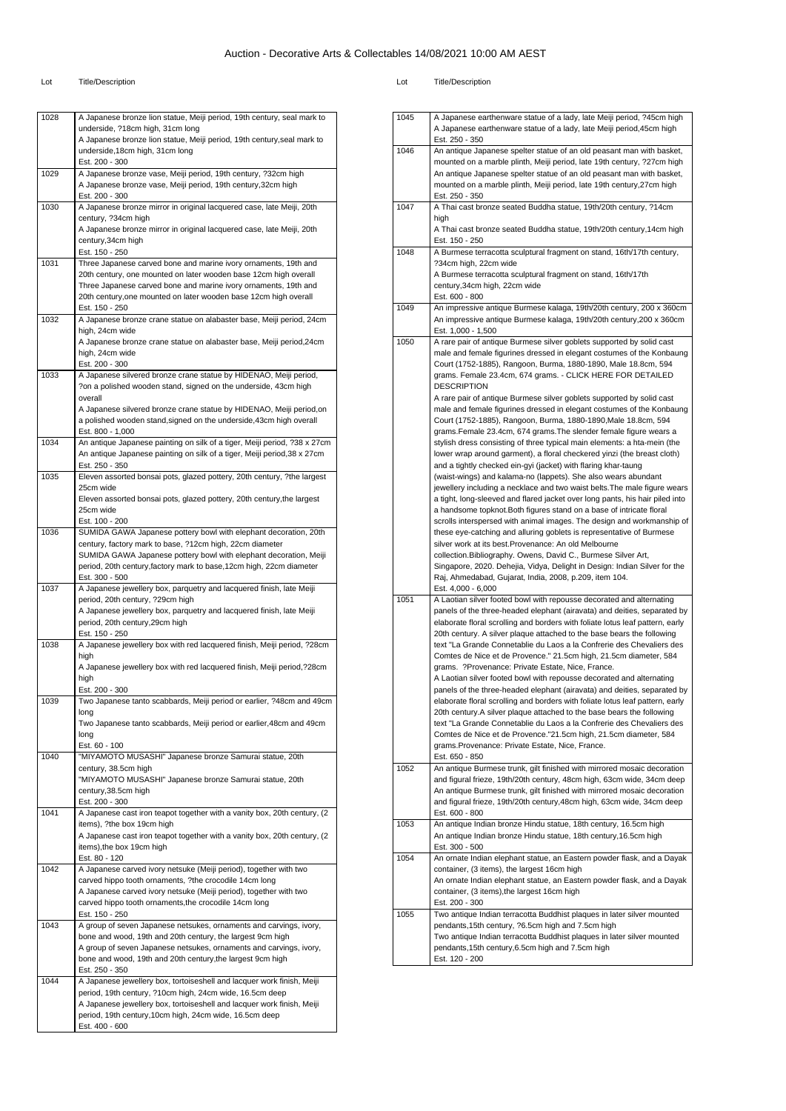| 1028 | A Japanese bronze lion statue, Meiji period, 19th century, seal mark to   |
|------|---------------------------------------------------------------------------|
|      |                                                                           |
|      | underside, ?18cm high, 31cm long                                          |
|      | A Japanese bronze lion statue, Meiji period, 19th century, seal mark to   |
|      |                                                                           |
|      | underside, 18cm high, 31cm long                                           |
|      | Est. 200 - 300                                                            |
| 1029 | A Japanese bronze vase, Meiji period, 19th century, ?32cm high            |
|      | A Japanese bronze vase, Meiji period, 19th century, 32cm high             |
|      | Est. 200 - 300                                                            |
| 1030 | A Japanese bronze mirror in original lacquered case, late Meiji, 20th     |
|      | century, ?34cm high                                                       |
|      | A Japanese bronze mirror in original lacquered case, late Meiji, 20th     |
|      | century, 34cm high                                                        |
|      |                                                                           |
|      | Est. 150 - 250                                                            |
| 1031 | Three Japanese carved bone and marine ivory ornaments, 19th and           |
|      | 20th century, one mounted on later wooden base 12cm high overall          |
|      | Three Japanese carved bone and marine ivory ornaments, 19th and           |
|      | 20th century, one mounted on later wooden base 12cm high overall          |
|      | Est. 150 - 250                                                            |
| 1032 | A Japanese bronze crane statue on alabaster base, Meiji period, 24cm      |
|      | high, 24cm wide                                                           |
|      | A Japanese bronze crane statue on alabaster base, Meiji period,24cm       |
|      | high, 24cm wide                                                           |
|      | Est. 200 - 300                                                            |
|      |                                                                           |
| 1033 | A Japanese silvered bronze crane statue by HIDENAO, Meiji period,         |
|      | ?on a polished wooden stand, signed on the underside, 43cm high           |
|      | overall                                                                   |
|      | A Japanese silvered bronze crane statue by HIDENAO, Meiji period,on       |
|      | a polished wooden stand, signed on the underside, 43cm high overall       |
|      | Est. 800 - 1,000                                                          |
| 1034 | An antique Japanese painting on silk of a tiger, Meiji period, ?38 x 27cm |
|      | An antique Japanese painting on silk of a tiger, Meiji period, 38 x 27cm  |
|      |                                                                           |
|      | Est. 250 - 350                                                            |
| 1035 | Eleven assorted bonsai pots, glazed pottery, 20th century, ?the largest   |
|      | 25cm wide                                                                 |
|      | Eleven assorted bonsai pots, glazed pottery, 20th century, the largest    |
|      | 25cm wide                                                                 |
|      | Est. 100 - 200                                                            |
| 1036 | SUMIDA GAWA Japanese pottery bowl with elephant decoration, 20th          |
|      | century, factory mark to base, ?12cm high, 22cm diameter                  |
|      |                                                                           |
|      | SUMIDA GAWA Japanese pottery bowl with elephant decoration, Meiji         |
|      | period, 20th century, factory mark to base, 12cm high, 22cm diameter      |
|      | Est. 300 - 500                                                            |
| 1037 | A Japanese jewellery box, parquetry and lacquered finish, late Meiji      |
|      |                                                                           |
|      | period, 20th century, ?29cm high                                          |
|      | A Japanese jewellery box, parquetry and lacquered finish, late Meiji      |
|      | period, 20th century, 29cm high                                           |
|      |                                                                           |
|      | Est. 150 - 250                                                            |
| 1038 | A Japanese jewellery box with red lacquered finish, Meiji period, ?28cm   |
|      | high                                                                      |
|      | A Japanese jewellery box with red lacquered finish, Meiji period, ?28cm   |
|      | high                                                                      |
|      | Est. 200 - 300                                                            |
| 1039 | Two Japanese tanto scabbards, Meiji period or earlier, ?48cm and 49cm     |
|      | long                                                                      |
|      | Two Japanese tanto scabbards, Meiji period or earlier, 48cm and 49cm      |
|      | long                                                                      |
|      |                                                                           |
|      | Est. 60 - 100                                                             |
| 1040 | "MIYAMOTO MUSASHI" Japanese bronze Samurai statue, 20th                   |
|      | century, 38.5cm high                                                      |
|      | "MIYAMOTO MUSASHI" Japanese bronze Samurai statue, 20th                   |
|      | century, 38.5cm high                                                      |
|      | Est. 200 - 300                                                            |
| 1041 | A Japanese cast iron teapot together with a vanity box, 20th century, (2) |
|      | items), ?the box 19cm high                                                |
|      | A Japanese cast iron teapot together with a vanity box, 20th century, (2  |
|      |                                                                           |
|      | items), the box 19cm high                                                 |
|      | Est. 80 - 120                                                             |
| 1042 | A Japanese carved ivory netsuke (Meiji period), together with two         |
|      | carved hippo tooth ornaments, ?the crocodile 14cm long                    |
|      | A Japanese carved ivory netsuke (Meiji period), together with two         |
|      | carved hippo tooth ornaments, the crocodile 14cm long                     |
|      | Est. 150 - 250                                                            |
| 1043 | A group of seven Japanese netsukes, ornaments and carvings, ivory,        |
|      | bone and wood, 19th and 20th century, the largest 9cm high                |
|      |                                                                           |
|      | A group of seven Japanese netsukes, ornaments and carvings, ivory,        |
|      | bone and wood, 19th and 20th century, the largest 9cm high                |
|      | Est. 250 - 350                                                            |
| 1044 | A Japanese jewellery box, tortoiseshell and lacquer work finish, Meiji    |
|      | period, 19th century, ?10cm high, 24cm wide, 16.5cm deep                  |
|      | A Japanese jewellery box, tortoiseshell and lacquer work finish, Meiji    |
|      | period, 19th century, 10cm high, 24cm wide, 16.5cm deep                   |

| 1045 | A Japanese earthenware statue of a lady, late Meiji period, ?45cm high<br>A Japanese earthenware statue of a lady, late Meiji period, 45cm high  |
|------|--------------------------------------------------------------------------------------------------------------------------------------------------|
|      | Est. 250 - 350                                                                                                                                   |
| 1046 | An antique Japanese spelter statue of an old peasant man with basket,                                                                            |
|      | mounted on a marble plinth, Meiji period, late 19th century, ?27cm high<br>An antique Japanese spelter statue of an old peasant man with basket, |
|      | mounted on a marble plinth, Meiji period, late 19th century, 27cm high                                                                           |
|      | Est. 250 - 350                                                                                                                                   |
| 1047 | A Thai cast bronze seated Buddha statue, 19th/20th century, ?14cm                                                                                |
|      | high                                                                                                                                             |
|      | A Thai cast bronze seated Buddha statue, 19th/20th century,14cm high                                                                             |
|      | Est. 150 - 250                                                                                                                                   |
| 1048 | A Burmese terracotta sculptural fragment on stand, 16th/17th century,                                                                            |
|      | ?34cm high, 22cm wide                                                                                                                            |
|      | A Burmese terracotta sculptural fragment on stand, 16th/17th                                                                                     |
|      | century,34cm high, 22cm wide                                                                                                                     |
|      | Est. 600 - 800                                                                                                                                   |
| 1049 | An impressive antique Burmese kalaga, 19th/20th century, 200 x 360cm                                                                             |
|      | An impressive antique Burmese kalaga, 19th/20th century, 200 x 360cm                                                                             |
| 1050 | Est. 1,000 - 1,500                                                                                                                               |
|      | A rare pair of antique Burmese silver goblets supported by solid cast<br>male and female figurines dressed in elegant costumes of the Konbaung   |
|      | Court (1752-1885), Rangoon, Burma, 1880-1890, Male 18.8cm, 594                                                                                   |
|      | grams. Female 23.4cm, 674 grams. - CLICK HERE FOR DETAILED                                                                                       |
|      | <b>DESCRIPTION</b>                                                                                                                               |
|      | A rare pair of antique Burmese silver goblets supported by solid cast                                                                            |
|      | male and female figurines dressed in elegant costumes of the Konbaung                                                                            |
|      | Court (1752-1885), Rangoon, Burma, 1880-1890, Male 18.8cm, 594                                                                                   |
|      | grams. Female 23.4cm, 674 grams. The slender female figure wears a                                                                               |
|      | stylish dress consisting of three typical main elements: a hta-mein (the                                                                         |
|      | lower wrap around garment), a floral checkered yinzi (the breast cloth)                                                                          |
|      | and a tightly checked ein-gyi (jacket) with flaring khar-taung                                                                                   |
|      | (waist-wings) and kalama-no (lappets). She also wears abundant                                                                                   |
|      | jewellery including a necklace and two waist belts. The male figure wears                                                                        |
|      | a tight, long-sleeved and flared jacket over long pants, his hair piled into                                                                     |
|      | a handsome topknot. Both figures stand on a base of intricate floral                                                                             |
|      | scrolls interspersed with animal images. The design and workmanship of                                                                           |
|      | these eye-catching and alluring goblets is representative of Burmese                                                                             |
|      | silver work at its best.Provenance: An old Melbourne                                                                                             |
|      | collection. Bibliography. Owens, David C., Burmese Silver Art,<br>Singapore, 2020. Dehejia, Vidya, Delight in Design: Indian Silver for the      |
|      | Raj, Ahmedabad, Gujarat, India, 2008, p.209, item 104.                                                                                           |
|      | Est. 4,000 - 6,000                                                                                                                               |
| 1051 | A Laotian silver footed bowl with repousse decorated and alternating                                                                             |
|      | panels of the three-headed elephant (airavata) and deities, separated by                                                                         |
|      | elaborate floral scrolling and borders with foliate lotus leaf pattern, early                                                                    |
|      | 20th century. A silver plaque attached to the base bears the following                                                                           |
|      | text "La Grande Connetablie du Laos a la Confrerie des Chevaliers des                                                                            |
|      | Comtes de Nice et de Provence." 21.5cm high, 21.5cm diameter, 584                                                                                |
|      | grams. ?Provenance: Private Estate, Nice, France.                                                                                                |
|      | A Laotian silver footed bowl with repousse decorated and alternating                                                                             |
|      | panels of the three-headed elephant (airavata) and deities, separated by                                                                         |
|      | elaborate floral scrolling and borders with foliate lotus leaf pattern, early                                                                    |
|      | 20th century. A silver plaque attached to the base bears the following                                                                           |
|      | text "La Grande Connetablie du Laos a la Confrerie des Chevaliers des                                                                            |
|      | Comtes de Nice et de Provence."21.5cm high, 21.5cm diameter, 584                                                                                 |
|      | grams.Provenance: Private Estate, Nice, France.<br>Est. 650 - 850                                                                                |
| 1052 | An antique Burmese trunk, gilt finished with mirrored mosaic decoration                                                                          |
|      | and figural frieze, 19th/20th century, 48cm high, 63cm wide, 34cm deep                                                                           |
|      | An antique Burmese trunk, gilt finished with mirrored mosaic decoration                                                                          |
|      | and figural frieze, 19th/20th century,48cm high, 63cm wide, 34cm deep                                                                            |
|      | Est. 600 - 800                                                                                                                                   |
| 1053 | An antique Indian bronze Hindu statue, 18th century, 16.5cm high                                                                                 |
|      | An antique Indian bronze Hindu statue, 18th century, 16.5cm high                                                                                 |
|      | Est. 300 - 500                                                                                                                                   |
| 1054 | An ornate Indian elephant statue, an Eastern powder flask, and a Dayak                                                                           |
|      | container, (3 items), the largest 16cm high                                                                                                      |
|      | An ornate Indian elephant statue, an Eastern powder flask, and a Dayak                                                                           |
|      | container, (3 items), the largest 16cm high                                                                                                      |
|      | Est. 200 - 300                                                                                                                                   |
| 1055 | Two antique Indian terracotta Buddhist plaques in later silver mounted<br>pendants, 15th century, ?6.5cm high and 7.5cm high                     |
|      | Two antique Indian terracotta Buddhist plaques in later silver mounted                                                                           |
|      | pendants, 15th century, 6.5cm high and 7.5cm high                                                                                                |
|      | Est. 120 - 200                                                                                                                                   |
|      |                                                                                                                                                  |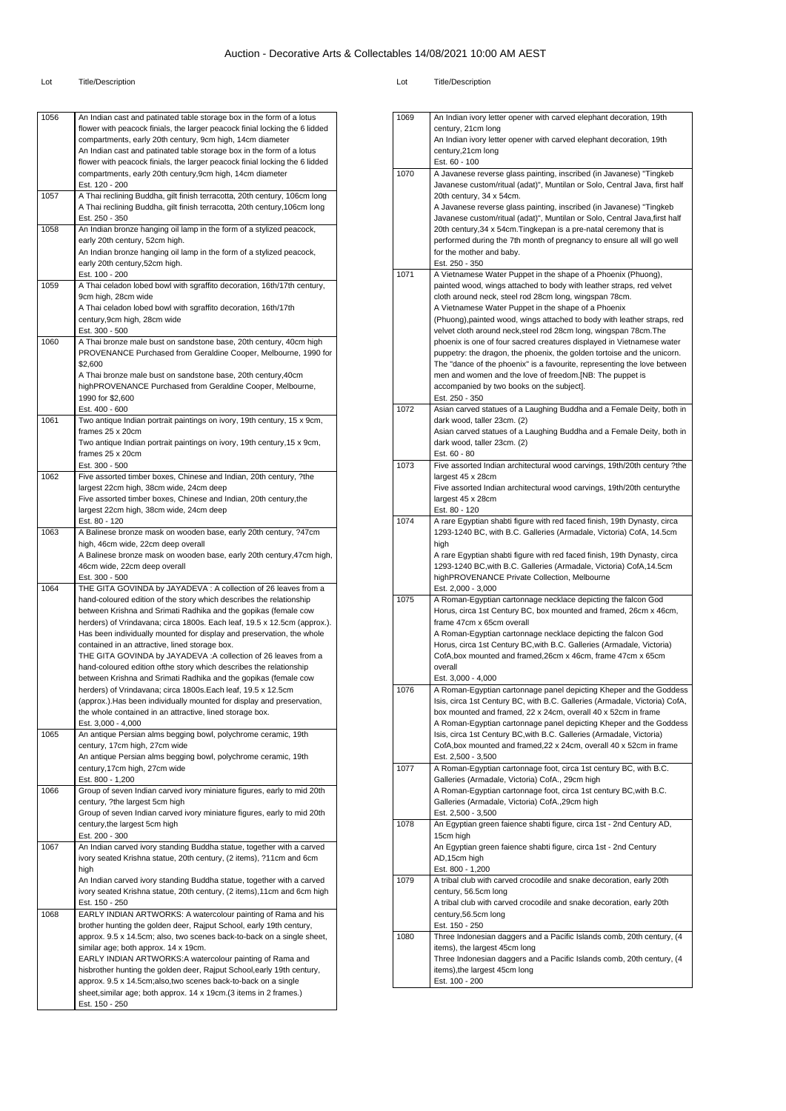| 1056 | An Indian cast and patinated table storage box in the form of a lotus<br>flower with peacock finials, the larger peacock finial locking the 6 lidded<br>compartments, early 20th century, 9cm high, 14cm diameter<br>An Indian cast and patinated table storage box in the form of a lotus<br>flower with peacock finials, the larger peacock finial locking the 6 lidded<br>compartments, early 20th century, 9cm high, 14cm diameter |
|------|----------------------------------------------------------------------------------------------------------------------------------------------------------------------------------------------------------------------------------------------------------------------------------------------------------------------------------------------------------------------------------------------------------------------------------------|
| 1057 | Est. 120 - 200<br>A Thai reclining Buddha, gilt finish terracotta, 20th century, 106cm long<br>A Thai reclining Buddha, gilt finish terracotta, 20th century, 106cm long                                                                                                                                                                                                                                                               |
|      | Est. 250 - 350                                                                                                                                                                                                                                                                                                                                                                                                                         |
| 1058 | An Indian bronze hanging oil lamp in the form of a stylized peacock,                                                                                                                                                                                                                                                                                                                                                                   |
|      | early 20th century, 52cm high.<br>An Indian bronze hanging oil lamp in the form of a stylized peacock,                                                                                                                                                                                                                                                                                                                                 |
|      | early 20th century,52cm high.                                                                                                                                                                                                                                                                                                                                                                                                          |
|      | Est. 100 - 200                                                                                                                                                                                                                                                                                                                                                                                                                         |
| 1059 | A Thai celadon lobed bowl with sgraffito decoration, 16th/17th century,<br>9cm high, 28cm wide                                                                                                                                                                                                                                                                                                                                         |
|      | A Thai celadon lobed bowl with sgraffito decoration, 16th/17th                                                                                                                                                                                                                                                                                                                                                                         |
|      | century, 9cm high, 28cm wide                                                                                                                                                                                                                                                                                                                                                                                                           |
| 1060 | Est. 300 - 500<br>A Thai bronze male bust on sandstone base, 20th century, 40cm high                                                                                                                                                                                                                                                                                                                                                   |
|      | PROVENANCE Purchased from Geraldine Cooper, Melbourne, 1990 for                                                                                                                                                                                                                                                                                                                                                                        |
|      | \$2,600                                                                                                                                                                                                                                                                                                                                                                                                                                |
|      | A Thai bronze male bust on sandstone base, 20th century, 40cm<br>highPROVENANCE Purchased from Geraldine Cooper, Melbourne,                                                                                                                                                                                                                                                                                                            |
|      | 1990 for \$2,600                                                                                                                                                                                                                                                                                                                                                                                                                       |
|      | Est. 400 - 600                                                                                                                                                                                                                                                                                                                                                                                                                         |
| 1061 | Two antique Indian portrait paintings on ivory, 19th century, 15 x 9cm,<br>frames 25 x 20cm                                                                                                                                                                                                                                                                                                                                            |
|      | Two antique Indian portrait paintings on ivory, 19th century, 15 x 9cm,                                                                                                                                                                                                                                                                                                                                                                |
|      | frames 25 x 20cm                                                                                                                                                                                                                                                                                                                                                                                                                       |
| 1062 | Est. 300 - 500<br>Five assorted timber boxes, Chinese and Indian, 20th century, ?the                                                                                                                                                                                                                                                                                                                                                   |
|      | largest 22cm high, 38cm wide, 24cm deep                                                                                                                                                                                                                                                                                                                                                                                                |
|      | Five assorted timber boxes, Chinese and Indian, 20th century, the                                                                                                                                                                                                                                                                                                                                                                      |
|      | largest 22cm high, 38cm wide, 24cm deep<br>Est. 80 - 120                                                                                                                                                                                                                                                                                                                                                                               |
| 1063 | A Balinese bronze mask on wooden base, early 20th century, ?47cm                                                                                                                                                                                                                                                                                                                                                                       |
|      | high, 46cm wide, 22cm deep overall                                                                                                                                                                                                                                                                                                                                                                                                     |
|      | A Balinese bronze mask on wooden base, early 20th century, 47cm high,                                                                                                                                                                                                                                                                                                                                                                  |
|      | 46cm wide, 22cm deep overall<br>Est. 300 - 500                                                                                                                                                                                                                                                                                                                                                                                         |
| 1064 | THE GITA GOVINDA by JAYADEVA : A collection of 26 leaves from a                                                                                                                                                                                                                                                                                                                                                                        |
|      | hand-coloured edition of the story which describes the relationship                                                                                                                                                                                                                                                                                                                                                                    |
|      | between Krishna and Srimati Radhika and the gopikas (female cow<br>herders) of Vrindavana; circa 1800s. Each leaf, 19.5 x 12.5cm (approx.).                                                                                                                                                                                                                                                                                            |
|      | Has been individually mounted for display and preservation, the whole                                                                                                                                                                                                                                                                                                                                                                  |
|      | contained in an attractive, lined storage box.                                                                                                                                                                                                                                                                                                                                                                                         |
|      | THE GITA GOVINDA by JAYADEVA : A collection of 26 leaves from a<br>hand-coloured edition of the story which describes the relationship                                                                                                                                                                                                                                                                                                 |
|      | between Krishna and Srimati Radhika and the gopikas (female cow                                                                                                                                                                                                                                                                                                                                                                        |
|      | herders) of Vrindavana; circa 1800s.Each leaf, 19.5 x 12.5cm                                                                                                                                                                                                                                                                                                                                                                           |
|      | (approx.). Has been individually mounted for display and preservation,<br>the whole contained in an attractive, lined storage box.                                                                                                                                                                                                                                                                                                     |
|      | Est. 3,000 - 4,000                                                                                                                                                                                                                                                                                                                                                                                                                     |
| 1065 | An antique Persian alms begging bowl, polychrome ceramic, 19th                                                                                                                                                                                                                                                                                                                                                                         |
|      | century, 17cm high, 27cm wide                                                                                                                                                                                                                                                                                                                                                                                                          |
|      | An antique Persian alms begging bowl, polychrome ceramic, 19th<br>century, 17cm high, 27cm wide                                                                                                                                                                                                                                                                                                                                        |
|      | Est. 800 - 1,200                                                                                                                                                                                                                                                                                                                                                                                                                       |
| 1066 | Group of seven Indian carved ivory miniature figures, early to mid 20th                                                                                                                                                                                                                                                                                                                                                                |
|      | century, ?the largest 5cm high<br>Group of seven Indian carved ivory miniature figures, early to mid 20th                                                                                                                                                                                                                                                                                                                              |
|      | century, the largest 5cm high                                                                                                                                                                                                                                                                                                                                                                                                          |
|      | Est. 200 - 300                                                                                                                                                                                                                                                                                                                                                                                                                         |
| 1067 | An Indian carved ivory standing Buddha statue, together with a carved<br>ivory seated Krishna statue, 20th century, (2 items), ?11cm and 6cm                                                                                                                                                                                                                                                                                           |
|      | high                                                                                                                                                                                                                                                                                                                                                                                                                                   |
|      | An Indian carved ivory standing Buddha statue, together with a carved                                                                                                                                                                                                                                                                                                                                                                  |
|      | ivory seated Krishna statue, 20th century, (2 items), 11cm and 6cm high                                                                                                                                                                                                                                                                                                                                                                |
| 1068 | Est. 150 - 250<br>EARLY INDIAN ARTWORKS: A watercolour painting of Rama and his                                                                                                                                                                                                                                                                                                                                                        |
|      | brother hunting the golden deer, Rajput School, early 19th century,                                                                                                                                                                                                                                                                                                                                                                    |
|      | approx. 9.5 x 14.5cm; also, two scenes back-to-back on a single sheet,                                                                                                                                                                                                                                                                                                                                                                 |
|      | similar age; both approx. 14 x 19cm.                                                                                                                                                                                                                                                                                                                                                                                                   |
|      | EARLY INDIAN ARTWORKS: A watercolour painting of Rama and<br>hisbrother hunting the golden deer, Rajput School, early 19th century,                                                                                                                                                                                                                                                                                                    |
|      | approx. 9.5 x 14.5cm;also,two scenes back-to-back on a single                                                                                                                                                                                                                                                                                                                                                                          |
|      | sheet, similar age; both approx. 14 x 19cm. (3 items in 2 frames.)                                                                                                                                                                                                                                                                                                                                                                     |
|      | Est. 150 - 250                                                                                                                                                                                                                                                                                                                                                                                                                         |

| 1069 | An Indian ivory letter opener with carved elephant decoration, 19th                                                                          |  |  |  |
|------|----------------------------------------------------------------------------------------------------------------------------------------------|--|--|--|
|      | century, 21cm long                                                                                                                           |  |  |  |
|      | An Indian ivory letter opener with carved elephant decoration, 19th                                                                          |  |  |  |
|      | century, 21cm long<br>Est. 60 - 100                                                                                                          |  |  |  |
| 1070 | A Javanese reverse glass painting, inscribed (in Javanese) "Tingkeb                                                                          |  |  |  |
|      | Javanese custom/ritual (adat)", Muntilan or Solo, Central Java, first half                                                                   |  |  |  |
|      | 20th century, 34 x 54cm.                                                                                                                     |  |  |  |
|      | A Javanese reverse glass painting, inscribed (in Javanese) "Tingkeb                                                                          |  |  |  |
|      | Javanese custom/ritual (adat)", Muntilan or Solo, Central Java, first half                                                                   |  |  |  |
|      | 20th century, 34 x 54cm. Tingkepan is a pre-natal ceremony that is<br>performed during the 7th month of pregnancy to ensure all will go well |  |  |  |
|      | for the mother and baby.                                                                                                                     |  |  |  |
|      | Est. 250 - 350                                                                                                                               |  |  |  |
| 1071 | A Vietnamese Water Puppet in the shape of a Phoenix (Phuong),                                                                                |  |  |  |
|      | painted wood, wings attached to body with leather straps, red velvet                                                                         |  |  |  |
|      | cloth around neck, steel rod 28cm long, wingspan 78cm.<br>A Vietnamese Water Puppet in the shape of a Phoenix                                |  |  |  |
|      | (Phuong), painted wood, wings attached to body with leather straps, red                                                                      |  |  |  |
|      | velvet cloth around neck, steel rod 28cm long, wingspan 78cm. The                                                                            |  |  |  |
|      | phoenix is one of four sacred creatures displayed in Vietnamese water                                                                        |  |  |  |
|      | puppetry: the dragon, the phoenix, the golden tortoise and the unicorn.                                                                      |  |  |  |
|      | The "dance of the phoenix" is a favourite, representing the love between                                                                     |  |  |  |
|      | men and women and the love of freedom.[NB: The puppet is                                                                                     |  |  |  |
|      | accompanied by two books on the subject].<br>Est. 250 - 350                                                                                  |  |  |  |
| 1072 | Asian carved statues of a Laughing Buddha and a Female Deity, both in                                                                        |  |  |  |
|      | dark wood, taller 23cm. (2)                                                                                                                  |  |  |  |
|      | Asian carved statues of a Laughing Buddha and a Female Deity, both in                                                                        |  |  |  |
|      | dark wood, taller 23cm. (2)                                                                                                                  |  |  |  |
| 1073 | Est. 60 - 80<br>Five assorted Indian architectural wood carvings, 19th/20th century ?the                                                     |  |  |  |
|      | largest 45 x 28cm                                                                                                                            |  |  |  |
|      | Five assorted Indian architectural wood carvings, 19th/20th centurythe                                                                       |  |  |  |
|      | largest 45 x 28cm                                                                                                                            |  |  |  |
|      | Est. 80 - 120                                                                                                                                |  |  |  |
| 1074 | A rare Egyptian shabti figure with red faced finish, 19th Dynasty, circa                                                                     |  |  |  |
|      | 1293-1240 BC, with B.C. Galleries (Armadale, Victoria) CofA, 14.5cm<br>high                                                                  |  |  |  |
|      | A rare Egyptian shabti figure with red faced finish, 19th Dynasty, circa                                                                     |  |  |  |
|      | 1293-1240 BC, with B.C. Galleries (Armadale, Victoria) CofA, 14.5cm                                                                          |  |  |  |
|      | highPROVENANCE Private Collection, Melbourne                                                                                                 |  |  |  |
|      | Est. 2,000 - 3,000                                                                                                                           |  |  |  |
| 1075 | A Roman-Egyptian cartonnage necklace depicting the falcon God<br>Horus, circa 1st Century BC, box mounted and framed, 26cm x 46cm,           |  |  |  |
|      | frame 47cm x 65cm overall                                                                                                                    |  |  |  |
|      | A Roman-Egyptian cartonnage necklace depicting the falcon God                                                                                |  |  |  |
|      | Horus, circa 1st Century BC, with B.C. Galleries (Armadale, Victoria)                                                                        |  |  |  |
|      | CofA, box mounted and framed, 26cm x 46cm, frame 47cm x 65cm                                                                                 |  |  |  |
|      | overall                                                                                                                                      |  |  |  |
| 1076 | Est. 3,000 - 4,000<br>A Roman-Egyptian cartonnage panel depicting Kheper and the Goddess                                                     |  |  |  |
|      | Isis, circa 1st Century BC, with B.C. Galleries (Armadale, Victoria) CofA,                                                                   |  |  |  |
|      | box mounted and framed, 22 x 24cm, overall 40 x 52cm in frame                                                                                |  |  |  |
|      | A Roman-Egyptian cartonnage panel depicting Kheper and the Goddess                                                                           |  |  |  |
|      | Isis, circa 1st Century BC, with B.C. Galleries (Armadale, Victoria)                                                                         |  |  |  |
|      | CofA, box mounted and framed, 22 x 24cm, overall 40 x 52cm in frame<br>Est. 2,500 - 3,500                                                    |  |  |  |
| 1077 | A Roman-Egyptian cartonnage foot, circa 1st century BC, with B.C.                                                                            |  |  |  |
|      | Galleries (Armadale, Victoria) CofA., 29cm high                                                                                              |  |  |  |
|      | A Roman-Egyptian cartonnage foot, circa 1st century BC, with B.C.                                                                            |  |  |  |
|      | Galleries (Armadale, Victoria) CofA., 29cm high                                                                                              |  |  |  |
| 1078 | Est. 2,500 - 3,500<br>An Egyptian green faience shabti figure, circa 1st - 2nd Century AD,                                                   |  |  |  |
|      | 15cm high                                                                                                                                    |  |  |  |
|      | An Egyptian green faience shabti figure, circa 1st - 2nd Century                                                                             |  |  |  |
|      | AD,15cm high                                                                                                                                 |  |  |  |
|      | Est. 800 - 1,200                                                                                                                             |  |  |  |
| 1079 | A tribal club with carved crocodile and snake decoration, early 20th                                                                         |  |  |  |
|      | century, 56.5cm long<br>A tribal club with carved crocodile and snake decoration, early 20th                                                 |  |  |  |
|      | century,56.5cm long                                                                                                                          |  |  |  |
|      | Est. 150 - 250                                                                                                                               |  |  |  |
| 1080 | Three Indonesian daggers and a Pacific Islands comb, 20th century, (4                                                                        |  |  |  |
|      | items), the largest 45cm long                                                                                                                |  |  |  |
|      | Three Indonesian daggers and a Pacific Islands comb, 20th century, (4                                                                        |  |  |  |
|      | items), the largest 45cm long<br>Est. 100 - 200                                                                                              |  |  |  |
|      |                                                                                                                                              |  |  |  |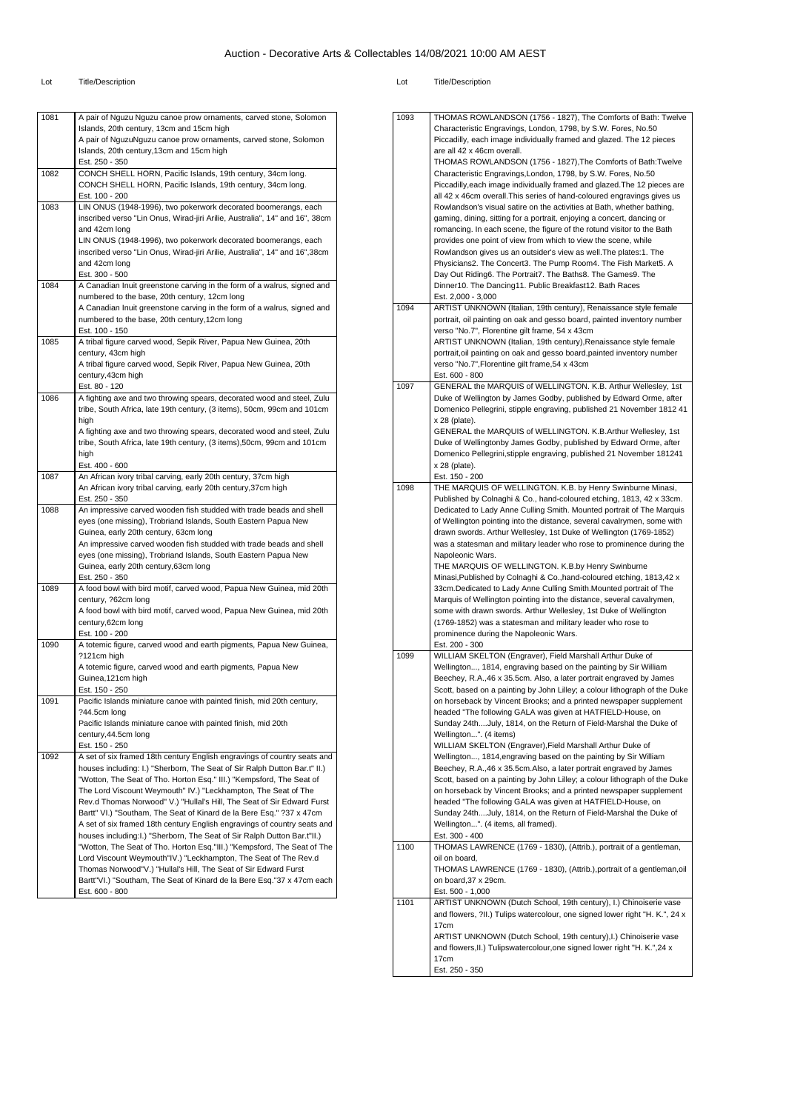| 1081 | A pair of Nguzu Nguzu canoe prow ornaments, carved stone, Solomon                                                          |
|------|----------------------------------------------------------------------------------------------------------------------------|
|      | Islands, 20th century, 13cm and 15cm high                                                                                  |
|      | A pair of NguzuNguzu canoe prow ornaments, carved stone, Solomon                                                           |
|      | Islands, 20th century, 13cm and 15cm high                                                                                  |
|      | Est. 250 - 350                                                                                                             |
| 1082 | CONCH SHELL HORN, Pacific Islands, 19th century, 34cm long.<br>CONCH SHELL HORN, Pacific Islands, 19th century, 34cm long. |
|      | Est. 100 - 200                                                                                                             |
| 1083 | LIN ONUS (1948-1996), two pokerwork decorated boomerangs, each                                                             |
|      | inscribed verso "Lin Onus, Wirad-jiri Arilie, Australia", 14" and 16", 38cm                                                |
|      | and 42cm long                                                                                                              |
|      | LIN ONUS (1948-1996), two pokerwork decorated boomerangs, each                                                             |
|      | inscribed verso "Lin Onus, Wirad-jiri Arilie, Australia", 14" and 16",38cm                                                 |
|      | and 42cm long                                                                                                              |
|      | Est. 300 - 500                                                                                                             |
| 1084 | A Canadian Inuit greenstone carving in the form of a walrus, signed and                                                    |
|      | numbered to the base, 20th century, 12cm long                                                                              |
|      | A Canadian Inuit greenstone carving in the form of a walrus, signed and                                                    |
|      | numbered to the base, 20th century, 12cm long<br>Est. 100 - 150                                                            |
| 1085 | A tribal figure carved wood, Sepik River, Papua New Guinea, 20th                                                           |
|      | century, 43cm high                                                                                                         |
|      | A tribal figure carved wood, Sepik River, Papua New Guinea, 20th                                                           |
|      | century, 43cm high                                                                                                         |
|      | Est. 80 - 120                                                                                                              |
| 1086 | A fighting axe and two throwing spears, decorated wood and steel, Zulu                                                     |
|      | tribe, South Africa, late 19th century, (3 items), 50cm, 99cm and 101cm                                                    |
|      | high                                                                                                                       |
|      | A fighting axe and two throwing spears, decorated wood and steel, Zulu                                                     |
|      | tribe, South Africa, late 19th century, (3 items), 50cm, 99cm and 101cm                                                    |
|      | high                                                                                                                       |
| 1087 | Est. 400 - 600<br>An African ivory tribal carving, early 20th century, 37cm high                                           |
|      | An African ivory tribal carving, early 20th century, 37cm high                                                             |
|      | Est. 250 - 350                                                                                                             |
| 1088 | An impressive carved wooden fish studded with trade beads and shell                                                        |
|      | eyes (one missing), Trobriand Islands, South Eastern Papua New                                                             |
|      | Guinea, early 20th century, 63cm long                                                                                      |
|      | An impressive carved wooden fish studded with trade beads and shell                                                        |
|      | eyes (one missing), Trobriand Islands, South Eastern Papua New                                                             |
|      | Guinea, early 20th century, 63cm long                                                                                      |
| 1089 | Est. 250 - 350<br>A food bowl with bird motif, carved wood, Papua New Guinea, mid 20th                                     |
|      | century, ?62cm long                                                                                                        |
|      | A food bowl with bird motif, carved wood, Papua New Guinea, mid 20th                                                       |
|      | century,62cm long                                                                                                          |
|      | Est. 100 - 200                                                                                                             |
| 1090 | A totemic figure, carved wood and earth pigments, Papua New Guinea,                                                        |
|      | ?121cm high                                                                                                                |
|      | A totemic figure, carved wood and earth pigments, Papua New                                                                |
|      | Guinea,121cm high                                                                                                          |
|      | Est. 150 - 250                                                                                                             |
| 1091 | Pacific Islands miniature canoe with painted finish, mid 20th century,                                                     |
|      | ?44.5cm long                                                                                                               |
|      | Pacific Islands miniature canoe with painted finish, mid 20th<br>century, 44.5cm long                                      |
|      | Est. 150 - 250                                                                                                             |
| 1092 | A set of six framed 18th century English engravings of country seats and                                                   |
|      |                                                                                                                            |
|      | houses including: I.) "Sherborn, The Seat of Sir Ralph Dutton Bar.t" II.)                                                  |
|      | "Wotton, The Seat of Tho. Horton Esq." III.) "Kempsford, The Seat of                                                       |
|      | The Lord Viscount Weymouth" IV.) "Leckhampton, The Seat of The                                                             |
|      | Rev.d Thomas Norwood" V.) "Hullal's Hill, The Seat of Sir Edward Furst                                                     |
|      | Bartt" VI.) "Southam, The Seat of Kinard de la Bere Esq." ?37 x 47cm                                                       |
|      | A set of six framed 18th century English engravings of country seats and                                                   |
|      | houses including: I.) "Sherborn, The Seat of Sir Ralph Dutton Bar.t"II.)                                                   |
|      | "Wotton, The Seat of Tho. Horton Esq."III.) "Kempsford, The Seat of The                                                    |
|      | Lord Viscount Weymouth"IV.) "Leckhampton, The Seat of The Rev.d                                                            |
|      | Thomas Norwood"V.) "Hullal's Hill, The Seat of Sir Edward Furst                                                            |
|      | Bartt"VI.) "Southam, The Seat of Kinard de la Bere Esq."37 x 47cm each<br>Est. 600 - 800                                   |

| 1093 | THOMAS ROWLANDSON (1756 - 1827), The Comforts of Bath: Twelve                                                                                       |
|------|-----------------------------------------------------------------------------------------------------------------------------------------------------|
|      | Characteristic Engravings, London, 1798, by S.W. Fores, No.50                                                                                       |
|      | Piccadilly, each image individually framed and glazed. The 12 pieces                                                                                |
|      | are all 42 x 46cm overall.                                                                                                                          |
|      | THOMAS ROWLANDSON (1756 - 1827), The Comforts of Bath: Twelve                                                                                       |
|      | Characteristic Engravings, London, 1798, by S.W. Fores, No.50                                                                                       |
|      | Piccadilly, each image individually framed and glazed. The 12 pieces are                                                                            |
|      | all 42 x 46cm overall. This series of hand-coloured engravings gives us<br>Rowlandson's visual satire on the activities at Bath, whether bathing,   |
|      | gaming, dining, sitting for a portrait, enjoying a concert, dancing or                                                                              |
|      | romancing. In each scene, the figure of the rotund visitor to the Bath                                                                              |
|      | provides one point of view from which to view the scene, while                                                                                      |
|      | Rowlandson gives us an outsider's view as well. The plates:1. The                                                                                   |
|      | Physicians2. The Concert3. The Pump Room4. The Fish Market5. A                                                                                      |
|      | Day Out Riding6. The Portrait7. The Baths8. The Games9. The                                                                                         |
|      | Dinner10. The Dancing11. Public Breakfast12. Bath Races                                                                                             |
|      | Est. 2,000 - 3,000                                                                                                                                  |
| 1094 | ARTIST UNKNOWN (Italian, 19th century), Renaissance style female                                                                                    |
|      | portrait, oil painting on oak and gesso board, painted inventory number<br>verso "No.7", Florentine gilt frame, 54 x 43cm                           |
|      | ARTIST UNKNOWN (Italian, 19th century), Renaissance style female                                                                                    |
|      | portrait, oil painting on oak and gesso board, painted inventory number                                                                             |
|      | verso "No.7", Florentine gilt frame, 54 x 43cm                                                                                                      |
|      | Est. 600 - 800                                                                                                                                      |
| 1097 | GENERAL the MARQUIS of WELLINGTON. K.B. Arthur Wellesley, 1st                                                                                       |
|      | Duke of Wellington by James Godby, published by Edward Orme, after                                                                                  |
|      | Domenico Pellegrini, stipple engraving, published 21 November 1812 41                                                                               |
|      | x 28 (plate).                                                                                                                                       |
|      | GENERAL the MARQUIS of WELLINGTON. K.B.Arthur Wellesley, 1st                                                                                        |
|      | Duke of Wellingtonby James Godby, published by Edward Orme, after                                                                                   |
|      | Domenico Pellegrini, stipple engraving, published 21 November 181241                                                                                |
|      | x 28 (plate).<br>Est. 150 - 200                                                                                                                     |
| 1098 | THE MARQUIS OF WELLINGTON. K.B. by Henry Swinburne Minasi,                                                                                          |
|      | Published by Colnaghi & Co., hand-coloured etching, 1813, 42 x 33cm.                                                                                |
|      | Dedicated to Lady Anne Culling Smith. Mounted portrait of The Marquis                                                                               |
|      | of Wellington pointing into the distance, several cavalrymen, some with                                                                             |
|      | drawn swords. Arthur Wellesley, 1st Duke of Wellington (1769-1852)                                                                                  |
|      | was a statesman and military leader who rose to prominence during the                                                                               |
|      | Napoleonic Wars.                                                                                                                                    |
|      | THE MARQUIS OF WELLINGTON. K.B.by Henry Swinburne                                                                                                   |
|      | Minasi, Published by Colnaghi & Co., hand-coloured etching, 1813, 42 x                                                                              |
|      | 33cm. Dedicated to Lady Anne Culling Smith. Mounted portrait of The<br>Marquis of Wellington pointing into the distance, several cavalrymen,        |
|      | some with drawn swords. Arthur Wellesley, 1st Duke of Wellington                                                                                    |
|      | (1769-1852) was a statesman and military leader who rose to                                                                                         |
|      | prominence during the Napoleonic Wars.                                                                                                              |
|      | Est. 200 - 300                                                                                                                                      |
| 1099 | WILLIAM SKELTON (Engraver), Field Marshall Arthur Duke of                                                                                           |
|      | Wellington, 1814, engraving based on the painting by Sir William                                                                                    |
|      | Beechey, R.A.,46 x 35.5cm. Also, a later portrait engraved by James                                                                                 |
|      | Scott, based on a painting by John Lilley; a colour lithograph of the Duke                                                                          |
|      | on horseback by Vincent Brooks; and a printed newspaper supplement                                                                                  |
|      | headed "The following GALA was given at HATFIELD-House, on                                                                                          |
|      | Sunday 24thJuly, 1814, on the Return of Field-Marshal the Duke of<br>Wellington". (4 items)                                                         |
|      | WILLIAM SKELTON (Engraver), Field Marshall Arthur Duke of                                                                                           |
|      | Wellington, 1814, engraving based on the painting by Sir William                                                                                    |
|      | Beechey, R.A., 46 x 35.5cm. Also, a later portrait engraved by James                                                                                |
|      | Scott, based on a painting by John Lilley; a colour lithograph of the Duke                                                                          |
|      | on horseback by Vincent Brooks; and a printed newspaper supplement                                                                                  |
|      | headed "The following GALA was given at HATFIELD-House, on                                                                                          |
|      |                                                                                                                                                     |
|      | Sunday 24thJuly, 1814, on the Return of Field-Marshal the Duke of                                                                                   |
|      | Wellington". (4 items, all framed).                                                                                                                 |
|      | Est. 300 - 400                                                                                                                                      |
| 1100 | THOMAS LAWRENCE (1769 - 1830), (Attrib.), portrait of a gentleman,                                                                                  |
|      | oil on board,                                                                                                                                       |
|      |                                                                                                                                                     |
|      | on board, 37 x 29cm.                                                                                                                                |
|      | Est. 500 - 1,000                                                                                                                                    |
| 1101 | ARTIST UNKNOWN (Dutch School, 19th century), I.) Chinoiserie vase<br>and flowers, ?II.) Tulips watercolour, one signed lower right "H. K.", 24 x    |
|      | 17cm                                                                                                                                                |
|      | ARTIST UNKNOWN (Dutch School, 19th century), I.) Chinoiserie vase                                                                                   |
|      | THOMAS LAWRENCE (1769 - 1830), (Attrib.), portrait of a gentleman, oil<br>and flowers, II.) Tulipswatercolour, one signed lower right "H. K.", 24 x |
|      | 17cm<br>Est. 250 - 350                                                                                                                              |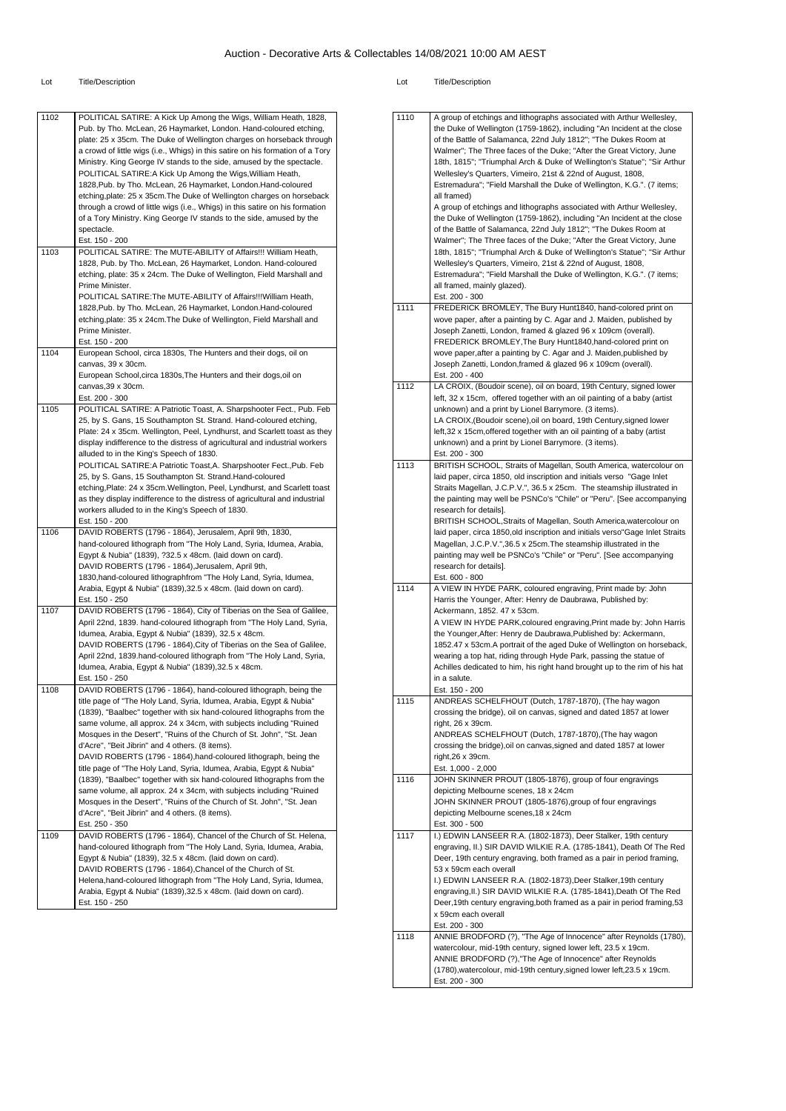| 1102 | POLITICAL SATIRE: A Kick Up Among the Wigs, William Heath, 1828,               | 1110 | A group of etchings and lithographs associated with Arthur Wellesley,          |
|------|--------------------------------------------------------------------------------|------|--------------------------------------------------------------------------------|
|      | Pub. by Tho. McLean, 26 Haymarket, London. Hand-coloured etching,              |      | the Duke of Wellington (1759-1862), including "An Incident at the close        |
|      | plate: 25 x 35cm. The Duke of Wellington charges on horseback through          |      | of the Battle of Salamanca, 22nd July 1812"; "The Dukes Room at                |
|      |                                                                                |      | Walmer"; The Three faces of the Duke; "After the Great Victory, June           |
|      | a crowd of little wigs (i.e., Whigs) in this satire on his formation of a Tory |      |                                                                                |
|      | Ministry. King George IV stands to the side, amused by the spectacle.          |      | 18th, 1815"; "Triumphal Arch & Duke of Wellington's Statue"; "Sir Arthur       |
|      | POLITICAL SATIRE: A Kick Up Among the Wigs, William Heath,                     |      | Wellesley's Quarters, Vimeiro, 21st & 22nd of August, 1808,                    |
|      | 1828, Pub. by Tho. McLean, 26 Haymarket, London. Hand-coloured                 |      | Estremadura"; "Field Marshall the Duke of Wellington, K.G.". (7 items;         |
|      | etching, plate: 25 x 35cm. The Duke of Wellington charges on horseback         |      | all framed)                                                                    |
|      | through a crowd of little wigs (i.e., Whigs) in this satire on his formation   |      | A group of etchings and lithographs associated with Arthur Wellesley,          |
|      | of a Tory Ministry. King George IV stands to the side, amused by the           |      | the Duke of Wellington (1759-1862), including "An Incident at the close        |
|      | spectacle.                                                                     |      | of the Battle of Salamanca, 22nd July 1812"; "The Dukes Room at                |
|      | Est. 150 - 200                                                                 |      | Walmer"; The Three faces of the Duke; "After the Great Victory, June           |
| 1103 | POLITICAL SATIRE: The MUTE-ABILITY of Affairs!!! William Heath,                |      | 18th, 1815"; "Triumphal Arch & Duke of Wellington's Statue"; "Sir Arthur       |
|      | 1828, Pub. by Tho. McLean, 26 Haymarket, London. Hand-coloured                 |      | Wellesley's Quarters, Vimeiro, 21st & 22nd of August, 1808,                    |
|      | etching, plate: 35 x 24cm. The Duke of Wellington, Field Marshall and          |      | Estremadura"; "Field Marshall the Duke of Wellington, K.G.". (7 items;         |
|      | Prime Minister.                                                                |      | all framed, mainly glazed).                                                    |
|      | POLITICAL SATIRE: The MUTE-ABILITY of Affairs!!! William Heath,                |      | Est. 200 - 300                                                                 |
|      | 1828, Pub. by Tho. McLean, 26 Haymarket, London. Hand-coloured                 | 1111 | FREDERICK BROMLEY, The Bury Hunt1840, hand-colored print on                    |
|      | etching, plate: 35 x 24cm. The Duke of Wellington, Field Marshall and          |      | wove paper, after a painting by C. Agar and J. Maiden, published by            |
|      | Prime Minister.                                                                |      | Joseph Zanetti, London, framed & glazed 96 x 109cm (overall).                  |
|      |                                                                                |      |                                                                                |
|      | Est. 150 - 200                                                                 |      | FREDERICK BROMLEY, The Bury Hunt1840, hand-colored print on                    |
| 1104 | European School, circa 1830s, The Hunters and their dogs, oil on               |      | wove paper, after a painting by C. Agar and J. Maiden, published by            |
|      | canvas, 39 x 30cm.                                                             |      | Joseph Zanetti, London, framed & glazed 96 x 109cm (overall).                  |
|      | European School, circa 1830s, The Hunters and their dogs, oil on               |      | Est. 200 - 400                                                                 |
|      | canvas, 39 x 30cm.                                                             | 1112 | LA CROIX, (Boudoir scene), oil on board, 19th Century, signed lower            |
|      | Est. 200 - 300                                                                 |      | left, 32 x 15cm, offered together with an oil painting of a baby (artist       |
| 1105 | POLITICAL SATIRE: A Patriotic Toast, A. Sharpshooter Fect., Pub. Feb           |      | unknown) and a print by Lionel Barrymore. (3 items).                           |
|      | 25, by S. Gans, 15 Southampton St. Strand. Hand-coloured etching,              |      | LA CROIX, (Boudoir scene), oil on board, 19th Century, signed lower            |
|      | Plate: 24 x 35cm. Wellington, Peel, Lyndhurst, and Scarlett toast as they      |      | left, 32 x 15cm, offered together with an oil painting of a baby (artist       |
|      | display indifference to the distress of agricultural and industrial workers    |      | unknown) and a print by Lionel Barrymore. (3 items).                           |
|      | alluded to in the King's Speech of 1830.                                       |      | Est. 200 - 300                                                                 |
|      | POLITICAL SATIRE: A Patriotic Toast, A. Sharpshooter Fect., Pub. Feb           | 1113 | BRITISH SCHOOL, Straits of Magellan, South America, watercolour on             |
|      | 25, by S. Gans, 15 Southampton St. Strand.Hand-coloured                        |      | laid paper, circa 1850, old inscription and initials verso "Gage Inlet         |
|      | etching, Plate: 24 x 35cm. Wellington, Peel, Lyndhurst, and Scarlett toast     |      | Straits Magellan, J.C.P.V.", 36.5 x 25cm. The steamship illustrated in         |
|      | as they display indifference to the distress of agricultural and industrial    |      | the painting may well be PSNCo's "Chile" or "Peru". [See accompanying          |
|      | workers alluded to in the King's Speech of 1830.                               |      | research for details].                                                         |
|      |                                                                                |      |                                                                                |
|      | Est. 150 - 200                                                                 |      | BRITISH SCHOOL, Straits of Magellan, South America, watercolour on             |
| 1106 | DAVID ROBERTS (1796 - 1864), Jerusalem, April 9th, 1830,                       |      | laid paper, circa 1850, old inscription and initials verso" Gage Inlet Straits |
|      | hand-coloured lithograph from "The Holy Land, Syria, Idumea, Arabia,           |      | Magellan, J.C.P.V.",36.5 x 25cm. The steamship illustrated in the              |
|      | Egypt & Nubia" (1839), ?32.5 x 48cm. (laid down on card).                      |      | painting may well be PSNCo's "Chile" or "Peru". [See accompanying              |
|      | DAVID ROBERTS (1796 - 1864), Jerusalem, April 9th,                             |      | research for details].                                                         |
|      | 1830, hand-coloured lithographfrom "The Holy Land, Syria, Idumea,              |      | Est. 600 - 800                                                                 |
|      | Arabia, Egypt & Nubia" (1839), 32.5 x 48cm. (laid down on card).               | 1114 | A VIEW IN HYDE PARK, coloured engraving, Print made by: John                   |
|      | Est. 150 - 250                                                                 |      | Harris the Younger, After: Henry de Daubrawa, Published by:                    |
| 1107 | DAVID ROBERTS (1796 - 1864), City of Tiberias on the Sea of Galilee,           |      | Ackermann, 1852. 47 x 53cm.                                                    |
|      | April 22nd, 1839. hand-coloured lithograph from "The Holy Land, Syria,         |      | A VIEW IN HYDE PARK, coloured engraving, Print made by: John Harris            |
|      | Idumea, Arabia, Egypt & Nubia" (1839), 32.5 x 48cm.                            |      | the Younger, After: Henry de Daubrawa, Published by: Ackermann,                |
|      | DAVID ROBERTS (1796 - 1864), City of Tiberias on the Sea of Galilee,           |      | 1852.47 x 53cm.A portrait of the aged Duke of Wellington on horseback,         |
|      | April 22nd, 1839.hand-coloured lithograph from "The Holy Land, Syria,          |      | wearing a top hat, riding through Hyde Park, passing the statue of             |
|      | Idumea, Arabia, Egypt & Nubia" (1839), 32.5 x 48cm.                            |      | Achilles dedicated to him, his right hand brought up to the rim of his hat     |
|      | Est. 150 - 250                                                                 |      | in a salute.                                                                   |
| 1108 | DAVID ROBERTS (1796 - 1864), hand-coloured lithograph, being the               |      | Est. 150 - 200                                                                 |
|      |                                                                                | 1115 | ANDREAS SCHELFHOUT (Dutch, 1787-1870), (The hay wagon                          |
|      | title page of "The Holy Land, Syria, Idumea, Arabia, Egypt & Nubia"            |      |                                                                                |
|      | (1839), "Baalbec" together with six hand-coloured lithographs from the         |      | crossing the bridge), oil on canvas, signed and dated 1857 at lower            |
|      | same volume, all approx. 24 x 34cm, with subjects including "Ruined            |      | right, 26 x 39cm.                                                              |
|      | Mosques in the Desert", "Ruins of the Church of St. John", "St. Jean           |      | ANDREAS SCHELFHOUT (Dutch, 1787-1870), (The hay wagon                          |
|      | d'Acre", "Beit Jibrin" and 4 others. (8 items).                                |      | crossing the bridge), oil on canvas, signed and dated 1857 at lower            |
|      | DAVID ROBERTS (1796 - 1864), hand-coloured lithograph, being the               |      | right, 26 x 39cm.                                                              |
|      | title page of "The Holy Land, Syria, Idumea, Arabia, Egypt & Nubia"            |      | Est. 1,000 - 2,000                                                             |
|      | (1839), "Baalbec" together with six hand-coloured lithographs from the         | 1116 | JOHN SKINNER PROUT (1805-1876), group of four engravings                       |
|      | same volume, all approx. 24 x 34cm, with subjects including "Ruined            |      | depicting Melbourne scenes, 18 x 24cm                                          |
|      | Mosques in the Desert", "Ruins of the Church of St. John", "St. Jean           |      | JOHN SKINNER PROUT (1805-1876), group of four engravings                       |
|      | d'Acre", "Beit Jibrin" and 4 others. (8 items).                                |      | depicting Melbourne scenes, 18 x 24cm                                          |
|      | Est. 250 - 350                                                                 |      | Est. 300 - 500                                                                 |
| 1109 | DAVID ROBERTS (1796 - 1864), Chancel of the Church of St. Helena,              | 1117 | I.) EDWIN LANSEER R.A. (1802-1873), Deer Stalker, 19th century                 |
|      | hand-coloured lithograph from "The Holy Land, Syria, Idumea, Arabia,           |      | engraving, II.) SIR DAVID WILKIE R.A. (1785-1841), Death Of The Red            |
|      | Egypt & Nubia" (1839), 32.5 x 48cm. (laid down on card).                       |      | Deer, 19th century engraving, both framed as a pair in period framing,         |
|      | DAVID ROBERTS (1796 - 1864), Chancel of the Church of St.                      |      | 53 x 59cm each overall                                                         |
|      | Helena, hand-coloured lithograph from "The Holy Land, Syria, Idumea,           |      | I.) EDWIN LANSEER R.A. (1802-1873), Deer Stalker, 19th century                 |
|      |                                                                                |      |                                                                                |
|      | Arabia, Egypt & Nubia" (1839), 32.5 x 48cm. (laid down on card).               |      | engraving, II.) SIR DAVID WILKIE R.A. (1785-1841), Death Of The Red            |
|      | Est. 150 - 250                                                                 |      | Deer, 19th century engraving, both framed as a pair in period framing, 53      |
|      |                                                                                |      | x 59cm each overall                                                            |
|      |                                                                                |      | Est. 200 - 300                                                                 |
|      |                                                                                | 1118 | ANNIE BRODFORD (?), "The Age of Innocence" after Reynolds (1780),              |
|      |                                                                                |      | watercolour, mid-19th century, signed lower left, 23.5 x 19cm.                 |
|      |                                                                                |      | ANNIE BRODFORD (?), "The Age of Innocence" after Reynolds                      |
|      |                                                                                |      | (1780), watercolour, mid-19th century, signed lower left, 23.5 x 19cm.         |
|      |                                                                                |      | Est. 200 - 300                                                                 |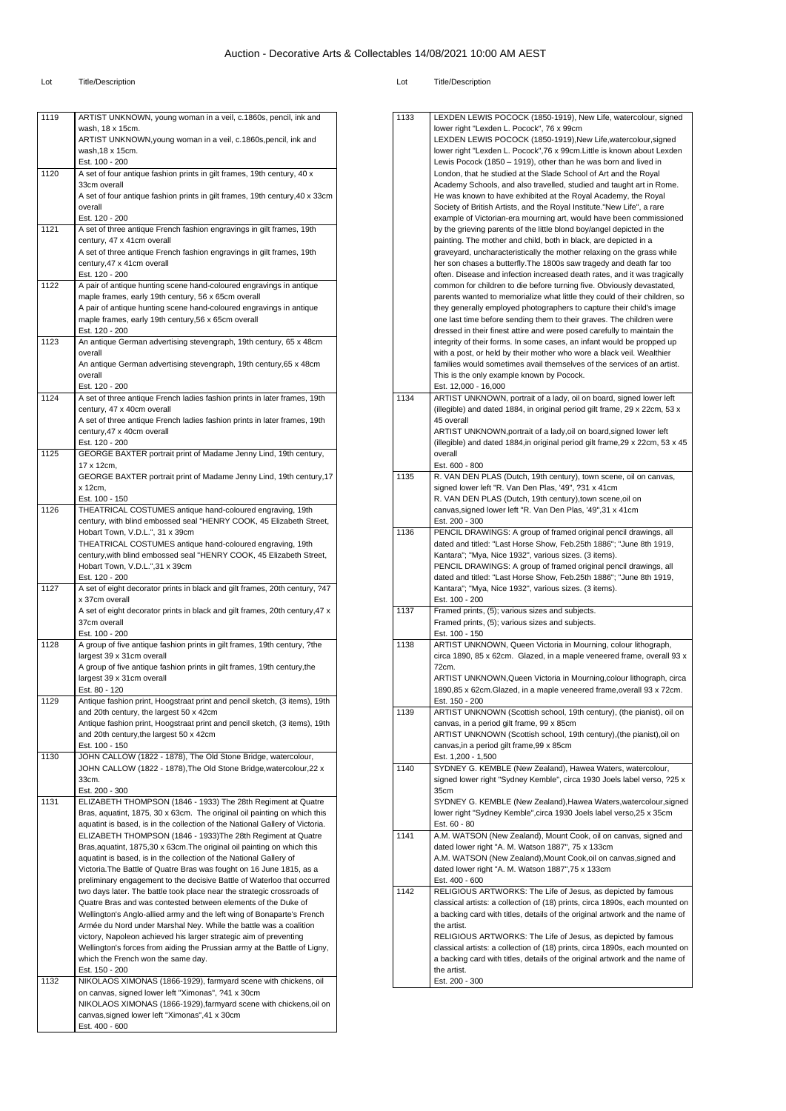| ARTIST UNKNOWN, young woman in a veil, c.1860s, pencil, ink and<br>ARTIST UNKNOWN, young woman in a veil, c.1860s, pencil, ink and |
|------------------------------------------------------------------------------------------------------------------------------------|
|                                                                                                                                    |
|                                                                                                                                    |
|                                                                                                                                    |
|                                                                                                                                    |
| A set of four antique fashion prints in gilt frames, 19th century, 40 x                                                            |
|                                                                                                                                    |
|                                                                                                                                    |
| A set of four antique fashion prints in gilt frames, 19th century, 40 x 33cm                                                       |
|                                                                                                                                    |
|                                                                                                                                    |
| A set of three antique French fashion engravings in gilt frames, 19th                                                              |
|                                                                                                                                    |
| A set of three antique French fashion engravings in gilt frames, 19th                                                              |
|                                                                                                                                    |
|                                                                                                                                    |
| A pair of antique hunting scene hand-coloured engravings in antique                                                                |
|                                                                                                                                    |
| A pair of antique hunting scene hand-coloured engravings in antique                                                                |
|                                                                                                                                    |
|                                                                                                                                    |
| An antique German advertising stevengraph, 19th century, 65 x 48cm                                                                 |
|                                                                                                                                    |
| An antique German advertising stevengraph, 19th century, 65 x 48cm                                                                 |
|                                                                                                                                    |
|                                                                                                                                    |
| A set of three antique French ladies fashion prints in later frames, 19th                                                          |
|                                                                                                                                    |
| A set of three antique French ladies fashion prints in later frames, 19th                                                          |
|                                                                                                                                    |
|                                                                                                                                    |
| GEORGE BAXTER portrait print of Madame Jenny Lind, 19th century,                                                                   |
|                                                                                                                                    |
| GEORGE BAXTER portrait print of Madame Jenny Lind, 19th century, 17                                                                |
|                                                                                                                                    |
|                                                                                                                                    |
| THEATRICAL COSTUMES antique hand-coloured engraving, 19th                                                                          |
| century, with blind embossed seal "HENRY COOK, 45 Elizabeth Street,                                                                |
|                                                                                                                                    |
|                                                                                                                                    |
| THEATRICAL COSTUMES antique hand-coloured engraving, 19th                                                                          |
| century, with blind embossed seal "HENRY COOK, 45 Elizabeth Street,                                                                |
|                                                                                                                                    |
|                                                                                                                                    |
| A set of eight decorator prints in black and gilt frames, 20th century, ?47                                                        |
|                                                                                                                                    |
| A set of eight decorator prints in black and gilt frames, 20th century, 47 x                                                       |
|                                                                                                                                    |
|                                                                                                                                    |
| A group of five antique fashion prints in gilt frames, 19th century, ?the                                                          |
|                                                                                                                                    |
| A group of five antique fashion prints in gilt frames, 19th century, the                                                           |
|                                                                                                                                    |
|                                                                                                                                    |
| Antique fashion print, Hoogstraat print and pencil sketch, (3 items), 19th                                                         |
|                                                                                                                                    |
|                                                                                                                                    |
| Antique fashion print, Hoogstraat print and pencil sketch, (3 items), 19th                                                         |
|                                                                                                                                    |
|                                                                                                                                    |
| JOHN CALLOW (1822 - 1878), The Old Stone Bridge, watercolour,                                                                      |
| JOHN CALLOW (1822 - 1878), The Old Stone Bridge, watercolour, 22 x                                                                 |
|                                                                                                                                    |
|                                                                                                                                    |
| ELIZABETH THOMPSON (1846 - 1933) The 28th Regiment at Quatre                                                                       |
| Bras, aquatint, 1875, 30 x 63cm. The original oil painting on which this                                                           |
| aquatint is based, is in the collection of the National Gallery of Victoria.                                                       |
| ELIZABETH THOMPSON (1846 - 1933) The 28th Regiment at Quatre                                                                       |
| Bras, aquatint, 1875, 30 x 63cm. The original oil painting on which this                                                           |
| aquatint is based, is in the collection of the National Gallery of                                                                 |
| Victoria. The Battle of Quatre Bras was fought on 16 June 1815, as a                                                               |
|                                                                                                                                    |
| preliminary engagement to the decisive Battle of Waterloo that occurred                                                            |
| two days later. The battle took place near the strategic crossroads of                                                             |
| Quatre Bras and was contested between elements of the Duke of                                                                      |
| Wellington's Anglo-allied army and the left wing of Bonaparte's French                                                             |
| Armée du Nord under Marshal Ney. While the battle was a coalition                                                                  |
| victory, Napoleon achieved his larger strategic aim of preventing                                                                  |
| Wellington's forces from aiding the Prussian army at the Battle of Ligny,                                                          |
|                                                                                                                                    |
|                                                                                                                                    |
| NIKOLAOS XIMONAS (1866-1929), farmyard scene with chickens, oil                                                                    |
|                                                                                                                                    |
| NIKOLAOS XIMONAS (1866-1929), farmyard scene with chickens, oil on                                                                 |
|                                                                                                                                    |
|                                                                                                                                    |

| 1133 | LEXDEN LEWIS POCOCK (1850-1919), New Life, watercolour, signed                                                                               |  |  |  |
|------|----------------------------------------------------------------------------------------------------------------------------------------------|--|--|--|
|      | lower right "Lexden L. Pocock", 76 x 99cm                                                                                                    |  |  |  |
|      | LEXDEN LEWIS POCOCK (1850-1919), New Life, watercolour, signed                                                                               |  |  |  |
|      | lower right "Lexden L. Pocock", 76 x 99cm. Little is known about Lexden<br>Lewis Pocock (1850 - 1919), other than he was born and lived in   |  |  |  |
|      | London, that he studied at the Slade School of Art and the Royal                                                                             |  |  |  |
|      | Academy Schools, and also travelled, studied and taught art in Rome.                                                                         |  |  |  |
|      | He was known to have exhibited at the Royal Academy, the Royal                                                                               |  |  |  |
|      | Society of British Artists, and the Royal Institute."New Life", a rare                                                                       |  |  |  |
|      | example of Victorian-era mourning art, would have been commissioned                                                                          |  |  |  |
|      | by the grieving parents of the little blond boy/angel depicted in the<br>painting. The mother and child, both in black, are depicted in a    |  |  |  |
|      | graveyard, uncharacteristically the mother relaxing on the grass while                                                                       |  |  |  |
|      | her son chases a butterfly. The 1800s saw tragedy and death far too                                                                          |  |  |  |
|      | often. Disease and infection increased death rates, and it was tragically                                                                    |  |  |  |
|      | common for children to die before turning five. Obviously devastated,                                                                        |  |  |  |
|      | parents wanted to memorialize what little they could of their children, so                                                                   |  |  |  |
|      | they generally employed photographers to capture their child's image<br>one last time before sending them to their graves. The children were |  |  |  |
|      | dressed in their finest attire and were posed carefully to maintain the                                                                      |  |  |  |
|      | integrity of their forms. In some cases, an infant would be propped up                                                                       |  |  |  |
|      | with a post, or held by their mother who wore a black veil. Wealthier                                                                        |  |  |  |
|      | families would sometimes avail themselves of the services of an artist.                                                                      |  |  |  |
|      | This is the only example known by Pocock.<br>Est. 12,000 - 16,000                                                                            |  |  |  |
| 1134 | ARTIST UNKNOWN, portrait of a lady, oil on board, signed lower left                                                                          |  |  |  |
|      | (illegible) and dated 1884, in original period gilt frame, 29 x 22cm, 53 x                                                                   |  |  |  |
|      | 45 overall                                                                                                                                   |  |  |  |
|      | ARTIST UNKNOWN, portrait of a lady, oil on board, signed lower left                                                                          |  |  |  |
|      | (illegible) and dated 1884, in original period gilt frame, 29 x 22cm, 53 x 45                                                                |  |  |  |
|      | overall<br>Est. 600 - 800                                                                                                                    |  |  |  |
| 1135 | R. VAN DEN PLAS (Dutch, 19th century), town scene, oil on canvas,                                                                            |  |  |  |
|      | signed lower left "R. Van Den Plas, '49", ?31 x 41cm                                                                                         |  |  |  |
|      | R. VAN DEN PLAS (Dutch, 19th century), town scene, oil on                                                                                    |  |  |  |
|      | canvas, signed lower left "R. Van Den Plas, '49", 31 x 41cm                                                                                  |  |  |  |
| 1136 | Est. 200 - 300                                                                                                                               |  |  |  |
|      | PENCIL DRAWINGS: A group of framed original pencil drawings, all<br>dated and titled: "Last Horse Show, Feb.25th 1886"; "June 8th 1919,      |  |  |  |
|      | Kantara"; "Mya, Nice 1932", various sizes. (3 items).                                                                                        |  |  |  |
|      | PENCIL DRAWINGS: A group of framed original pencil drawings, all                                                                             |  |  |  |
|      | dated and titled: "Last Horse Show, Feb.25th 1886"; "June 8th 1919,                                                                          |  |  |  |
|      | Kantara"; "Mya, Nice 1932", various sizes. (3 items).                                                                                        |  |  |  |
| 1137 | Est. 100 - 200<br>Framed prints, (5); various sizes and subjects.                                                                            |  |  |  |
|      | Framed prints, (5); various sizes and subjects.                                                                                              |  |  |  |
|      | Est. 100 - 150                                                                                                                               |  |  |  |
| 1138 | ARTIST UNKNOWN, Queen Victoria in Mourning, colour lithograph,                                                                               |  |  |  |
|      | circa 1890, 85 x 62cm. Glazed, in a maple veneered frame, overall 93 x                                                                       |  |  |  |
|      | 72cm.                                                                                                                                        |  |  |  |
|      | ARTIST UNKNOWN, Queen Victoria in Mourning, colour lithograph, circa<br>1890,85 x 62cm.Glazed, in a maple veneered frame, overall 93 x 72cm. |  |  |  |
|      | Est. 150 - 200                                                                                                                               |  |  |  |
| 1139 | ARTIST UNKNOWN (Scottish school, 19th century), (the pianist), oil on                                                                        |  |  |  |
|      | canvas, in a period gilt frame, 99 x 85cm                                                                                                    |  |  |  |
|      | ARTIST UNKNOWN (Scottish school, 19th century), (the pianist), oil on                                                                        |  |  |  |
|      | canvas, in a period gilt frame, 99 x 85cm<br>Est. 1,200 - 1,500                                                                              |  |  |  |
| 1140 | SYDNEY G. KEMBLE (New Zealand), Hawea Waters, watercolour,                                                                                   |  |  |  |
|      | signed lower right "Sydney Kemble", circa 1930 Joels label verso, ?25 x                                                                      |  |  |  |
|      | 35cm                                                                                                                                         |  |  |  |
|      | SYDNEY G. KEMBLE (New Zealand), Hawea Waters, watercolour, signed                                                                            |  |  |  |
|      | lower right "Sydney Kemble", circa 1930 Joels label verso, 25 x 35cm<br>Est. 60 - 80                                                         |  |  |  |
| 1141 | A.M. WATSON (New Zealand), Mount Cook, oil on canvas, signed and                                                                             |  |  |  |
|      | dated lower right "A. M. Watson 1887", 75 x 133cm                                                                                            |  |  |  |
|      | A.M. WATSON (New Zealand), Mount Cook, oil on canvas, signed and                                                                             |  |  |  |
|      | dated lower right "A. M. Watson 1887", 75 x 133cm                                                                                            |  |  |  |
| 1142 | Est. 400 - 600                                                                                                                               |  |  |  |
|      | RELIGIOUS ARTWORKS: The Life of Jesus, as depicted by famous<br>classical artists: a collection of (18) prints, circa 1890s, each mounted on |  |  |  |
|      | a backing card with titles, details of the original artwork and the name of                                                                  |  |  |  |
|      | the artist.                                                                                                                                  |  |  |  |
|      | RELIGIOUS ARTWORKS: The Life of Jesus, as depicted by famous                                                                                 |  |  |  |
|      | classical artists: a collection of (18) prints, circa 1890s, each mounted on                                                                 |  |  |  |
|      | a backing card with titles, details of the original artwork and the name of<br>the artist.                                                   |  |  |  |
|      | Est. 200 - 300                                                                                                                               |  |  |  |
|      |                                                                                                                                              |  |  |  |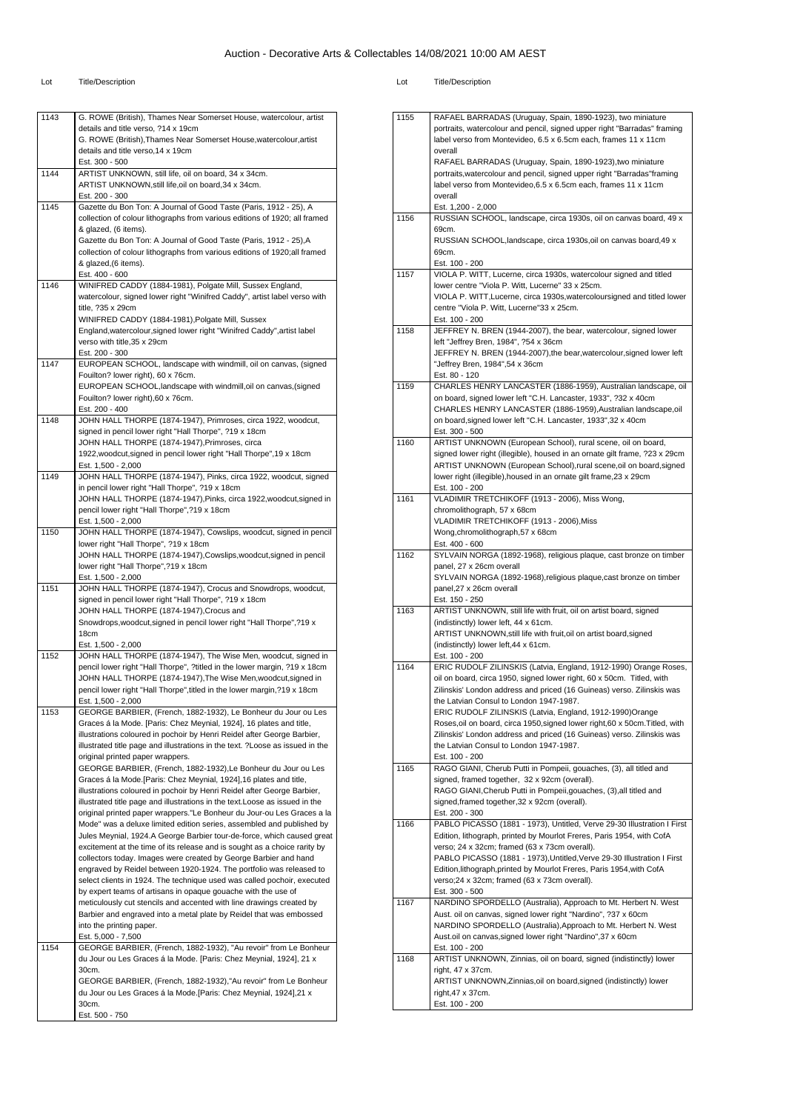| 1143 | G. ROWE (British), Thames Near Somerset House, watercolour, artist                                                                             |
|------|------------------------------------------------------------------------------------------------------------------------------------------------|
|      | details and title verso, ?14 x 19cm                                                                                                            |
|      | G. ROWE (British), Thames Near Somerset House, watercolour, artist                                                                             |
|      | details and title verso, 14 x 19cm                                                                                                             |
|      | Est. 300 - 500                                                                                                                                 |
| 1144 | ARTIST UNKNOWN, still life, oil on board, 34 x 34cm.                                                                                           |
|      | ARTIST UNKNOWN, still life, oil on board, 34 x 34cm.                                                                                           |
|      | Est. 200 - 300                                                                                                                                 |
| 1145 | Gazette du Bon Ton: A Journal of Good Taste (Paris, 1912 - 25), A                                                                              |
|      | collection of colour lithographs from various editions of 1920; all framed                                                                     |
|      | & glazed, (6 items).                                                                                                                           |
|      | Gazette du Bon Ton: A Journal of Good Taste (Paris, 1912 - 25), A<br>collection of colour lithographs from various editions of 1920;all framed |
|      | & glazed, (6 items).                                                                                                                           |
|      | Est. 400 - 600                                                                                                                                 |
| 1146 | WINIFRED CADDY (1884-1981), Polgate Mill, Sussex England,                                                                                      |
|      | watercolour, signed lower right "Winifred Caddy", artist label verso with                                                                      |
|      | title, ?35 x 29cm                                                                                                                              |
|      | WINIFRED CADDY (1884-1981), Polgate Mill, Sussex                                                                                               |
|      | England, watercolour, signed lower right "Winifred Caddy", artist label                                                                        |
|      | verso with title, 35 x 29cm                                                                                                                    |
|      | Est. 200 - 300                                                                                                                                 |
| 1147 | EUROPEAN SCHOOL, landscape with windmill, oil on canvas, (signed                                                                               |
|      | Fouilton? lower right), 60 x 76cm.                                                                                                             |
|      | EUROPEAN SCHOOL, landscape with windmill, oil on canvas, (signed                                                                               |
|      | Fouilton? lower right), 60 x 76cm.                                                                                                             |
|      | Est. 200 - 400                                                                                                                                 |
| 1148 | JOHN HALL THORPE (1874-1947), Primroses, circa 1922, woodcut,                                                                                  |
|      | signed in pencil lower right "Hall Thorpe", ?19 x 18cm                                                                                         |
|      | JOHN HALL THORPE (1874-1947), Primroses, circa                                                                                                 |
|      | 1922, woodcut, signed in pencil lower right "Hall Thorpe", 19 x 18cm<br>Est. 1,500 - 2,000                                                     |
| 1149 | JOHN HALL THORPE (1874-1947), Pinks, circa 1922, woodcut, signed                                                                               |
|      | in pencil lower right "Hall Thorpe", ?19 x 18cm                                                                                                |
|      | JOHN HALL THORPE (1874-1947), Pinks, circa 1922, woodcut, signed in                                                                            |
|      | pencil lower right "Hall Thorpe", ?19 x 18cm                                                                                                   |
|      | Est. 1,500 - 2,000                                                                                                                             |
| 1150 | JOHN HALL THORPE (1874-1947), Cowslips, woodcut, signed in pencil                                                                              |
|      | lower right "Hall Thorpe", ?19 x 18cm                                                                                                          |
|      | JOHN HALL THORPE (1874-1947), Cowslips, woodcut, signed in pencil                                                                              |
|      | lower right "Hall Thorpe", ?19 x 18cm                                                                                                          |
|      | Est. 1,500 - 2,000                                                                                                                             |
| 1151 | JOHN HALL THORPE (1874-1947), Crocus and Snowdrops, woodcut,                                                                                   |
|      | signed in pencil lower right "Hall Thorpe", ?19 x 18cm                                                                                         |
|      | JOHN HALL THORPE (1874-1947), Crocus and                                                                                                       |
|      | Snowdrops, woodcut, signed in pencil lower right "Hall Thorpe", ?19 x                                                                          |
|      | 18cm                                                                                                                                           |
|      | Est. 1,500 - 2,000                                                                                                                             |
| 1152 | JOHN HALL THORPE (1874-1947), The Wise Men, woodcut, signed in                                                                                 |
|      | pencil lower right "Hall Thorpe", ?titled in the lower margin, ?19 x 18cm<br>JOHN HALL THORPE (1874-1947), The Wise Men, woodcut, signed in    |
|      | pencil lower right "Hall Thorpe", titled in the lower margin, ?19 x 18cm                                                                       |
|      | Est. 1,500 - 2,000                                                                                                                             |
| 1153 | GEORGE BARBIER, (French, 1882-1932), Le Bonheur du Jour ou Les                                                                                 |
|      | Graces á la Mode. [Paris: Chez Meynial, 1924], 16 plates and title,                                                                            |
|      | illustrations coloured in pochoir by Henri Reidel after George Barbier,                                                                        |
|      | illustrated title page and illustrations in the text. ? Loose as issued in the                                                                 |
|      | original printed paper wrappers.                                                                                                               |
|      | GEORGE BARBIER, (French, 1882-1932), Le Bonheur du Jour ou Les                                                                                 |
|      | Graces á la Mode.[Paris: Chez Meynial, 1924], 16 plates and title,                                                                             |
|      | illustrations coloured in pochoir by Henri Reidel after George Barbier,                                                                        |
|      | illustrated title page and illustrations in the text. Loose as issued in the                                                                   |
|      | original printed paper wrappers."Le Bonheur du Jour-ou Les Graces a la                                                                         |
|      | Mode" was a deluxe limited edition series, assembled and published by                                                                          |
|      | Jules Meynial, 1924.A George Barbier tour-de-force, which caused great                                                                         |
|      | excitement at the time of its release and is sought as a choice rarity by                                                                      |
|      | collectors today. Images were created by George Barbier and hand                                                                               |
|      | engraved by Reidel between 1920-1924. The portfolio was released to                                                                            |
|      | select clients in 1924. The technique used was called pochoir, executed                                                                        |
|      | by expert teams of artisans in opaque gouache with the use of                                                                                  |
|      | meticulously cut stencils and accented with line drawings created by                                                                           |
|      | Barbier and engraved into a metal plate by Reidel that was embossed                                                                            |
|      | into the printing paper.                                                                                                                       |
|      | Est. 5,000 - 7,500                                                                                                                             |
| 1154 | GEORGE BARBIER, (French, 1882-1932), "Au revoir" from Le Bonheur                                                                               |
|      | du Jour ou Les Graces á la Mode. [Paris: Chez Meynial, 1924], 21 x                                                                             |
|      | 30cm.<br>GEORGE BARBIER, (French, 1882-1932),"Au revoir" from Le Bonheur                                                                       |
|      |                                                                                                                                                |
|      |                                                                                                                                                |
|      | du Jour ou Les Graces á la Mode.[Paris: Chez Meynial, 1924], 21 x                                                                              |
|      | 30cm.<br>Est. 500 - 750                                                                                                                        |

| 1155 | RAFAEL BARRADAS (Uruguay, Spain, 1890-1923), two miniature                                                                                       |
|------|--------------------------------------------------------------------------------------------------------------------------------------------------|
|      | portraits, watercolour and pencil, signed upper right "Barradas" framing                                                                         |
|      | label verso from Montevideo, 6.5 x 6.5cm each, frames 11 x 11cm                                                                                  |
|      | overall                                                                                                                                          |
|      | RAFAEL BARRADAS (Uruguay, Spain, 1890-1923), two miniature                                                                                       |
|      | portraits, watercolour and pencil, signed upper right "Barradas" framing                                                                         |
|      | label verso from Montevideo, 6.5 x 6.5cm each, frames 11 x 11cm                                                                                  |
|      | overall                                                                                                                                          |
| 1156 | Est. 1,200 - 2,000<br>RUSSIAN SCHOOL, landscape, circa 1930s, oil on canvas board, 49 x                                                          |
|      | 69cm.                                                                                                                                            |
|      | RUSSIAN SCHOOL, landscape, circa 1930s, oil on canvas board, 49 x                                                                                |
|      | 69cm.                                                                                                                                            |
|      | Est. 100 - 200                                                                                                                                   |
| 1157 | VIOLA P. WITT, Lucerne, circa 1930s, watercolour signed and titled                                                                               |
|      | lower centre "Viola P. Witt, Lucerne" 33 x 25cm.                                                                                                 |
|      | VIOLA P. WITT, Lucerne, circa 1930s, watercoloursigned and titled lower                                                                          |
|      | centre "Viola P. Witt, Lucerne"33 x 25cm.<br>Est. 100 - 200                                                                                      |
| 1158 | JEFFREY N. BREN (1944-2007), the bear, watercolour, signed lower                                                                                 |
|      | left "Jeffrey Bren, 1984", ?54 x 36cm                                                                                                            |
|      | JEFFREY N. BREN (1944-2007), the bear, watercolour, signed lower left                                                                            |
|      | "Jeffrey Bren, 1984",54 x 36cm                                                                                                                   |
|      | Est. 80 - 120                                                                                                                                    |
| 1159 | CHARLES HENRY LANCASTER (1886-1959), Australian landscape, oil                                                                                   |
|      | on board, signed lower left "C.H. Lancaster, 1933", ?32 x 40cm                                                                                   |
|      | CHARLES HENRY LANCASTER (1886-1959), Australian landscape, oil<br>on board, signed lower left "C.H. Lancaster, 1933", 32 x 40cm                  |
|      | Est. 300 - 500                                                                                                                                   |
| 1160 | ARTIST UNKNOWN (European School), rural scene, oil on board,                                                                                     |
|      | signed lower right (illegible), housed in an ornate gilt frame, ?23 x 29cm                                                                       |
|      | ARTIST UNKNOWN (European School), rural scene, oil on board, signed                                                                              |
|      | lower right (illegible), housed in an ornate gilt frame, 23 x 29cm                                                                               |
|      | Est. 100 - 200                                                                                                                                   |
| 1161 | VLADIMIR TRETCHIKOFF (1913 - 2006), Miss Wong,<br>chromolithograph, 57 x 68cm                                                                    |
|      | VLADIMIR TRETCHIKOFF (1913 - 2006), Miss                                                                                                         |
|      | Wong, chromolithograph, 57 x 68cm                                                                                                                |
|      | Est. 400 - 600                                                                                                                                   |
| 1162 | SYLVAIN NORGA (1892-1968), religious plaque, cast bronze on timber                                                                               |
|      | panel, 27 x 26cm overall                                                                                                                         |
|      | SYLVAIN NORGA (1892-1968), religious plaque, cast bronze on timber                                                                               |
|      | panel, 27 x 26cm overall<br>Est. 150 - 250                                                                                                       |
| 1163 | ARTIST UNKNOWN, still life with fruit, oil on artist board, signed                                                                               |
|      | (indistinctly) lower left, 44 x 61cm.                                                                                                            |
|      | ARTIST UNKNOWN, still life with fruit, oil on artist board, signed                                                                               |
|      | (indistinctly) lower left, 44 x 61cm.                                                                                                            |
|      | Est. 100 - 200                                                                                                                                   |
| 1164 | ERIC RUDOLF ZILINSKIS (Latvia, England, 1912-1990) Orange Roses,                                                                                 |
|      | oil on board, circa 1950, signed lower right, 60 x 50cm. Titled, with<br>Zilinskis' London address and priced (16 Guineas) verso. Zilinskis was  |
|      | the Latvian Consul to London 1947-1987.                                                                                                          |
|      | ERIC RUDOLF ZILINSKIS (Latvia, England, 1912-1990)Orange                                                                                         |
|      | Roses, oil on board, circa 1950, signed lower right, 60 x 50cm. Titled, with                                                                     |
|      | Zilinskis' London address and priced (16 Guineas) verso. Zilinskis was                                                                           |
|      | the Latvian Consul to London 1947-1987.                                                                                                          |
|      | Est. 100 - 200                                                                                                                                   |
| 1165 | RAGO GIANI, Cherub Putti in Pompeii, gouaches, (3), all titled and<br>signed, framed together, 32 x 92cm (overall).                              |
|      | RAGO GIANI, Cherub Putti in Pompeii, gouaches, (3), all titled and                                                                               |
|      | signed, framed together, 32 x 92cm (overall).                                                                                                    |
|      | Est. 200 - 300                                                                                                                                   |
| 1166 | PABLO PICASSO (1881 - 1973), Untitled, Verve 29-30 Illustration I First                                                                          |
|      | Edition, lithograph, printed by Mourlot Freres, Paris 1954, with CofA                                                                            |
|      | verso; 24 x 32cm; framed (63 x 73cm overall).                                                                                                    |
|      | PABLO PICASSO (1881 - 1973), Untitled, Verve 29-30 Illustration I First<br>Edition, lithograph, printed by Mourlot Freres, Paris 1954, with CofA |
|      | verso;24 x 32cm; framed (63 x 73cm overall).                                                                                                     |
|      | Est. 300 - 500                                                                                                                                   |
| 1167 | NARDINO SPORDELLO (Australia), Approach to Mt. Herbert N. West                                                                                   |
|      | Aust. oil on canvas, signed lower right "Nardino", ?37 x 60cm                                                                                    |
|      | NARDINO SPORDELLO (Australia), Approach to Mt. Herbert N. West                                                                                   |
|      | Aust.oil on canvas, signed lower right "Nardino", 37 x 60cm<br>Est. 100 - 200                                                                    |
| 1168 | ARTIST UNKNOWN, Zinnias, oil on board, signed (indistinctly) lower                                                                               |
|      | right, 47 x 37cm.                                                                                                                                |
|      | ARTIST UNKNOWN, Zinnias, oil on board, signed (indistinctly) lower                                                                               |
|      | right, 47 x 37cm.                                                                                                                                |
|      | Est. 100 - 200                                                                                                                                   |
|      |                                                                                                                                                  |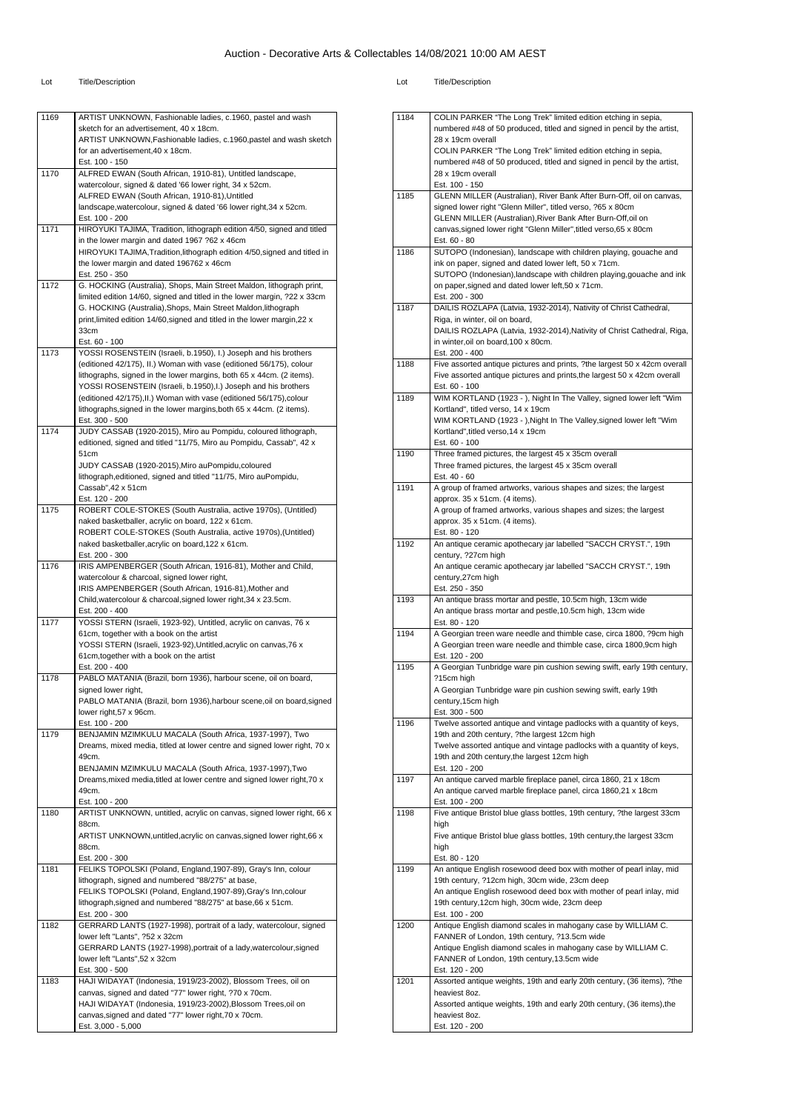| 1169 | ARTIST UNKNOWN, Fashionable ladies, c.1960, pastel and wash                                                                    |
|------|--------------------------------------------------------------------------------------------------------------------------------|
|      | sketch for an advertisement, 40 x 18cm.                                                                                        |
|      | ARTIST UNKNOWN, Fashionable ladies, c.1960, pastel and wash sketch                                                             |
|      | for an advertisement, 40 x 18cm.                                                                                               |
| 1170 | Est. 100 - 150<br>ALFRED EWAN (South African, 1910-81), Untitled landscape,                                                    |
|      | watercolour, signed & dated '66 lower right, 34 x 52cm.                                                                        |
|      | ALFRED EWAN (South African, 1910-81), Untitled                                                                                 |
|      | landscape, watercolour, signed & dated '66 lower right, 34 x 52cm.                                                             |
|      | Est. 100 - 200                                                                                                                 |
| 1171 | HIROYUKI TAJIMA, Tradition, lithograph edition 4/50, signed and titled                                                         |
|      | in the lower margin and dated 1967 ?62 x 46cm<br>HIROYUKI TAJIMA, Tradition, lithograph edition 4/50, signed and titled in     |
|      | the lower margin and dated 196762 x 46cm                                                                                       |
|      | Est. 250 - 350                                                                                                                 |
| 1172 | G. HOCKING (Australia), Shops, Main Street Maldon, lithograph print,                                                           |
|      | limited edition 14/60, signed and titled in the lower margin, ?22 x 33cm                                                       |
|      | G. HOCKING (Australia), Shops, Main Street Maldon, lithograph                                                                  |
|      | print, limited edition 14/60, signed and titled in the lower margin, 22 x<br>33cm                                              |
|      | Est. 60 - 100                                                                                                                  |
| 1173 | YOSSI ROSENSTEIN (Israeli, b.1950), I.) Joseph and his brothers                                                                |
|      | (editioned 42/175), II.) Woman with vase (editioned 56/175), colour                                                            |
|      | lithographs, signed in the lower margins, both 65 x 44cm. (2 items).                                                           |
|      | YOSSI ROSENSTEIN (Israeli, b.1950), I.) Joseph and his brothers                                                                |
|      | (editioned 42/175), II.) Woman with vase (editioned 56/175), colour                                                            |
|      | lithographs, signed in the lower margins, both 65 x 44cm. (2 items).<br>Est. 300 - 500                                         |
| 1174 | JUDY CASSAB (1920-2015), Miro au Pompidu, coloured lithograph,                                                                 |
|      | editioned, signed and titled "11/75, Miro au Pompidu, Cassab", 42 x                                                            |
|      | 51cm                                                                                                                           |
|      | JUDY CASSAB (1920-2015), Miro auPompidu, coloured                                                                              |
|      | lithograph, editioned, signed and titled "11/75, Miro auPompidu,<br>Cassab".42 x 51cm                                          |
|      | Est. 120 - 200                                                                                                                 |
| 1175 | ROBERT COLE-STOKES (South Australia, active 1970s), (Untitled)                                                                 |
|      | naked basketballer, acrylic on board, 122 x 61cm.                                                                              |
|      | ROBERT COLE-STOKES (South Australia, active 1970s),(Untitled)                                                                  |
|      | naked basketballer, acrylic on board, 122 x 61cm.                                                                              |
| 1176 | Est. 200 - 300<br>IRIS AMPENBERGER (South African, 1916-81), Mother and Child,                                                 |
|      | watercolour & charcoal, signed lower right,                                                                                    |
|      | IRIS AMPENBERGER (South African, 1916-81), Mother and                                                                          |
|      | Child, watercolour & charcoal, signed lower right, 34 x 23.5cm.                                                                |
|      | Est. 200 - 400                                                                                                                 |
| 1177 | YOSSI STERN (Israeli, 1923-92), Untitled, acrylic on canvas, 76 x                                                              |
|      | 61cm, together with a book on the artist<br>YOSSI STERN (Israeli, 1923-92), Untitled, acrylic on canvas, 76 x                  |
|      | 61cm, together with a book on the artist                                                                                       |
|      | Est. 200 - 400                                                                                                                 |
| 1178 | PABLO MATANIA (Brazil, born 1936), harbour scene, oil on board,                                                                |
|      | signed lower right,                                                                                                            |
|      | PABLO MA I ANIA (Brazil, born 1936),harbour scene,oil on board,signed                                                          |
|      | lower right, 57 x 96cm.                                                                                                        |
| 1179 | Est. 100 - 200<br>BENJAMIN MZIMKULU MACALA (South Africa, 1937-1997), Two                                                      |
|      | Dreams, mixed media, titled at lower centre and signed lower right, 70 x                                                       |
|      | 49cm.                                                                                                                          |
|      | BENJAMIN MZIMKULU MACALA (South Africa, 1937-1997), Two                                                                        |
|      | Dreams, mixed media, titled at lower centre and signed lower right, 70 x                                                       |
|      | 49cm.                                                                                                                          |
| 1180 | Est. 100 - 200<br>ARTIST UNKNOWN, untitled, acrylic on canvas, signed lower right, 66 x                                        |
|      | 88cm.                                                                                                                          |
|      | ARTIST UNKNOWN, untitled, acrylic on canvas, signed lower right, 66 x                                                          |
|      | 88cm.                                                                                                                          |
|      | Est. 200 - 300                                                                                                                 |
| 1181 | FELIKS TOPOLSKI (Poland, England, 1907-89), Gray's Inn, colour                                                                 |
|      | lithograph, signed and numbered "88/275" at base,                                                                              |
|      | FELIKS TOPOLSKI (Poland, England, 1907-89), Gray's Inn, colour<br>lithograph, signed and numbered "88/275" at base, 66 x 51cm. |
|      | Est. 200 - 300                                                                                                                 |
| 1182 | GERRARD LANTS (1927-1998), portrait of a lady, watercolour, signed                                                             |
|      | lower left "Lants", ?52 x 32cm                                                                                                 |
|      | GERRARD LANTS (1927-1998), portrait of a lady, watercolour, signed                                                             |
|      | lower left "Lants",52 x 32cm                                                                                                   |
|      | Est. 300 - 500                                                                                                                 |
|      |                                                                                                                                |
|      | HAJI WIDAYAT (Indonesia, 1919/23-2002), Blossom Trees, oil on                                                                  |
|      | canvas, signed and dated "77" lower right, ?70 x 70cm.<br>HAJI WIDAYAT (Indonesia, 1919/23-2002), Blossom Trees, oil on        |
| 1183 | canvas, signed and dated "77" lower right, 70 x 70cm.                                                                          |

|      | COLIN PARKER "The Long Trek" limited edition etching in sepia,                                      |
|------|-----------------------------------------------------------------------------------------------------|
| 1184 | numbered #48 of 50 produced, titled and signed in pencil by the artist,                             |
|      | 28 x 19cm overall                                                                                   |
|      | COLIN PARKER "The Long Trek" limited edition etching in sepia,                                      |
|      | numbered #48 of 50 produced, titled and signed in pencil by the artist,                             |
|      | 28 x 19cm overall                                                                                   |
|      | Est. 100 - 150                                                                                      |
| 1185 | GLENN MILLER (Australian), River Bank After Burn-Off, oil on canvas,                                |
|      | signed lower right "Glenn Miller", titled verso, ?65 x 80cm                                         |
|      | GLENN MILLER (Australian), River Bank After Burn-Off, oil on                                        |
|      | canvas, signed lower right "Glenn Miller", titled verso, 65 x 80cm                                  |
|      | Est. 60 - 80                                                                                        |
| 1186 | SUTOPO (Indonesian), landscape with children playing, gouache and                                   |
|      | ink on paper, signed and dated lower left, 50 x 71cm.                                               |
|      | SUTOPO (Indonesian), landscape with children playing, gouache and ink                               |
|      | on paper, signed and dated lower left, 50 x 71cm.                                                   |
|      | Est. 200 - 300                                                                                      |
| 1187 | DAILIS ROZLAPA (Latvia, 1932-2014), Nativity of Christ Cathedral,<br>Riga, in winter, oil on board, |
|      | DAILIS ROZLAPA (Latvia, 1932-2014), Nativity of Christ Cathedral, Riga,                             |
|      | in winter, oil on board, 100 x 80cm.                                                                |
|      | Est. 200 - 400                                                                                      |
| 1188 | Five assorted antique pictures and prints, ?the largest 50 x 42cm overall                           |
|      | Five assorted antique pictures and prints, the largest 50 x 42cm overall                            |
|      | Est. 60 - 100                                                                                       |
| 1189 | WIM KORTLAND (1923 - ), Night In The Valley, signed lower left "Wim                                 |
|      | Kortland", titled verso, 14 x 19cm                                                                  |
|      | WIM KORTLAND (1923 - ), Night In The Valley, signed lower left "Wim                                 |
|      | Kortland", titled verso, 14 x 19cm                                                                  |
|      | Est. 60 - 100                                                                                       |
| 1190 | Three framed pictures, the largest 45 x 35cm overall                                                |
|      | Three framed pictures, the largest 45 x 35cm overall                                                |
| 1191 | Est. 40 - 60                                                                                        |
|      | A group of framed artworks, various shapes and sizes; the largest<br>approx. 35 x 51cm. (4 items).  |
|      | A group of framed artworks, various shapes and sizes; the largest                                   |
|      | approx. 35 x 51cm. (4 items).                                                                       |
|      | Est. 80 - 120                                                                                       |
| 1192 | An antique ceramic apothecary jar labelled "SACCH CRYST.", 19th                                     |
|      | century, ?27cm high                                                                                 |
|      | An antique ceramic apothecary jar labelled "SACCH CRYST.", 19th                                     |
|      | century, 27cm high                                                                                  |
|      | Est. 250 - 350                                                                                      |
| 1193 | An antique brass mortar and pestle, 10.5cm high, 13cm wide                                          |
|      |                                                                                                     |
|      | An antique brass mortar and pestle, 10.5cm high, 13cm wide                                          |
|      | Est. 80 - 120                                                                                       |
| 1194 | A Georgian treen ware needle and thimble case, circa 1800, ?9cm high                                |
|      | A Georgian treen ware needle and thimble case, circa 1800,9cm high                                  |
|      | Est. 120 - 200                                                                                      |
| 1195 | A Georgian Tunbridge ware pin cushion sewing swift, early 19th century,<br>?15cm high               |
|      | A Georgian Tunbridge ware pin cushion sewing swift, early 19th                                      |
|      | century,15cm high                                                                                   |
|      | Est. 300 - 500                                                                                      |
| 1196 | Twelve assorted antique and vintage padlocks with a quantity of keys,                               |
|      | 19th and 20th century, ?the largest 12cm high                                                       |
|      | Twelve assorted antique and vintage padlocks with a quantity of keys,                               |
|      | 19th and 20th century, the largest 12cm high                                                        |
|      | Est. 120 - 200                                                                                      |
| 1197 | An antique carved marble fireplace panel, circa 1860, 21 x 18cm                                     |
|      | An antique carved marble fireplace panel, circa 1860,21 x 18cm                                      |
| 1198 | Est. 100 - 200                                                                                      |
|      | Five antique Bristol blue glass bottles, 19th century, ?the largest 33cm<br>high                    |
|      | Five antique Bristol blue glass bottles, 19th century, the largest 33cm                             |
|      | high                                                                                                |
|      | Est. 80 - 120                                                                                       |
| 1199 | An antique English rosewood deed box with mother of pearl inlay, mid                                |
|      | 19th century, ?12cm high, 30cm wide, 23cm deep                                                      |
|      | An antique English rosewood deed box with mother of pearl inlay, mid                                |
|      | 19th century, 12cm high, 30cm wide, 23cm deep                                                       |
|      | Est. 100 - 200                                                                                      |
| 1200 | Antique English diamond scales in mahogany case by WILLIAM C.                                       |
|      | FANNER of London, 19th century, ?13.5cm wide                                                        |
|      | Antique English diamond scales in mahogany case by WILLIAM C.                                       |
|      | FANNER of London, 19th century, 13.5cm wide<br>Est. 120 - 200                                       |
| 1201 | Assorted antique weights, 19th and early 20th century, (36 items), ?the                             |
|      | heaviest 8oz.                                                                                       |
|      | Assorted antique weights, 19th and early 20th century, (36 items), the                              |
|      | heaviest 8oz.<br>Est. 120 - 200                                                                     |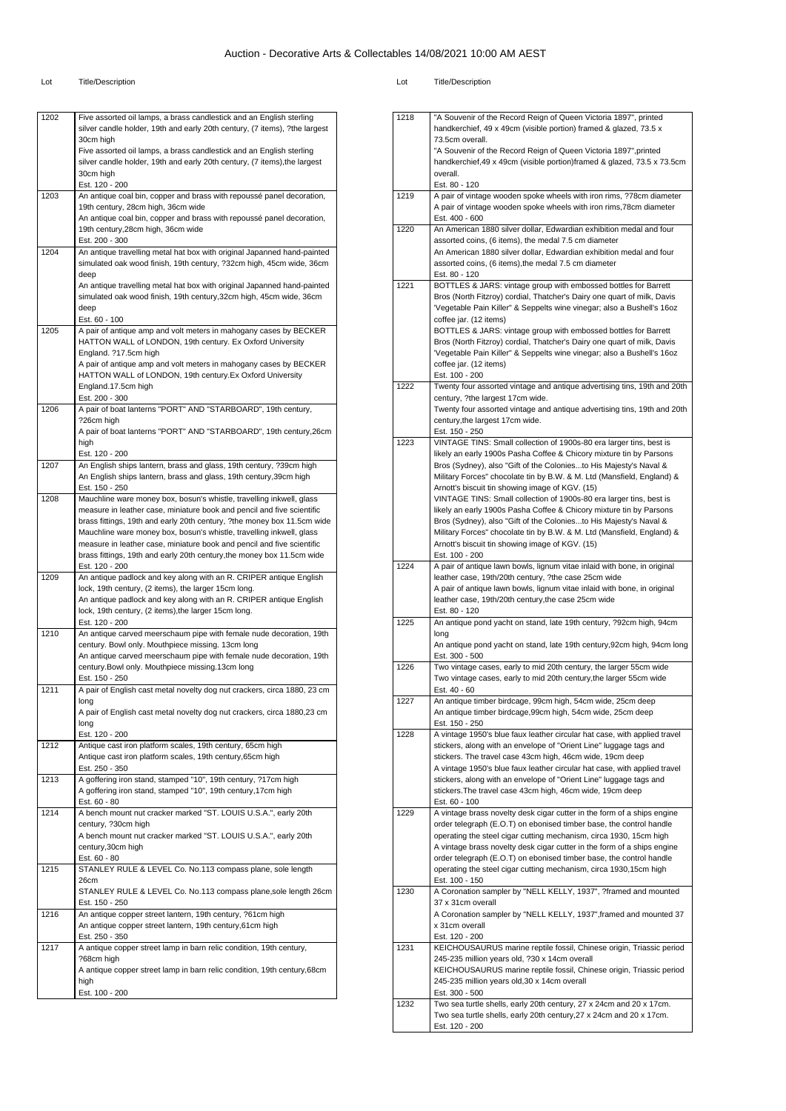| 1202                                         |                                                                                                                                                    |
|----------------------------------------------|----------------------------------------------------------------------------------------------------------------------------------------------------|
|                                              | Five assorted oil lamps, a brass candlestick and an English sterling<br>silver candle holder, 19th and early 20th century, (7 items), ?the largest |
|                                              | 30cm high                                                                                                                                          |
|                                              | Five assorted oil lamps, a brass candlestick and an English sterling<br>silver candle holder, 19th and early 20th century, (7 items), the largest  |
|                                              | 30cm high                                                                                                                                          |
|                                              | Est. 120 - 200                                                                                                                                     |
| 1203                                         | An antique coal bin, copper and brass with repoussé panel decoration,                                                                              |
|                                              | 19th century, 28cm high, 36cm wide                                                                                                                 |
|                                              | An antique coal bin, copper and brass with repoussé panel decoration,<br>19th century, 28cm high, 36cm wide                                        |
|                                              | Est. 200 - 300                                                                                                                                     |
| 1204                                         | An antique travelling metal hat box with original Japanned hand-painted                                                                            |
|                                              | simulated oak wood finish, 19th century, ?32cm high, 45cm wide, 36cm                                                                               |
|                                              | deep                                                                                                                                               |
|                                              | An antique travelling metal hat box with original Japanned hand-painted                                                                            |
|                                              | simulated oak wood finish, 19th century, 32cm high, 45cm wide, 36cm<br>deep                                                                        |
|                                              | Est. 60 - 100                                                                                                                                      |
| 1205                                         | A pair of antique amp and volt meters in mahogany cases by BECKER                                                                                  |
|                                              | HATTON WALL of LONDON, 19th century. Ex Oxford University                                                                                          |
|                                              | England. ?17.5cm high                                                                                                                              |
|                                              | A pair of antique amp and volt meters in mahogany cases by BECKER                                                                                  |
|                                              | HATTON WALL of LONDON, 19th century.Ex Oxford University<br>England.17.5cm high                                                                    |
|                                              | Est. 200 - 300                                                                                                                                     |
| 1206                                         | A pair of boat lanterns "PORT" AND "STARBOARD", 19th century,                                                                                      |
|                                              | ?26cm high                                                                                                                                         |
|                                              | A pair of boat lanterns "PORT" AND "STARBOARD", 19th century, 26cm                                                                                 |
|                                              | high                                                                                                                                               |
| 1207                                         | Est. 120 - 200<br>An English ships lantern, brass and glass, 19th century, ?39cm high                                                              |
|                                              | An English ships lantern, brass and glass, 19th century, 39cm high                                                                                 |
|                                              | Est. 150 - 250                                                                                                                                     |
| 1208                                         | Mauchline ware money box, bosun's whistle, travelling inkwell, glass                                                                               |
|                                              | measure in leather case, miniature book and pencil and five scientific                                                                             |
|                                              | brass fittings, 19th and early 20th century, ?the money box 11.5cm wide                                                                            |
|                                              | Mauchline ware money box, bosun's whistle, travelling inkwell, glass<br>measure in leather case, miniature book and pencil and five scientific     |
|                                              | brass fittings, 19th and early 20th century, the money box 11.5cm wide                                                                             |
|                                              | Est. 120 - 200                                                                                                                                     |
| 1209                                         | An antique padlock and key along with an R. CRIPER antique English                                                                                 |
|                                              | lock, 19th century, (2 items), the larger 15cm long.                                                                                               |
|                                              | An antique padlock and key along with an R. CRIPER antique English                                                                                 |
|                                              | lock, 19th century, (2 items), the larger 15cm long.<br>Est. 120 - 200                                                                             |
| 1210                                         | An antique carved meerschaum pipe with female nude decoration, 19th                                                                                |
|                                              | century. Bowl only. Mouthpiece missing. 13cm long                                                                                                  |
|                                              | An antique carved meerschaum pipe with female nude decoration, 19th                                                                                |
|                                              |                                                                                                                                                    |
|                                              | century.Bowl only. Mouthpiece missing.13cm long                                                                                                    |
|                                              | Est. 150 - 250                                                                                                                                     |
|                                              | A pair of English cast metal novelty dog nut crackers, circa 1880, 23 cm                                                                           |
|                                              | long                                                                                                                                               |
|                                              | A pair of English cast metal novelty dog nut crackers, circa 1880,23 cm<br>long                                                                    |
|                                              | Est. 120 - 200                                                                                                                                     |
|                                              | Antique cast iron platform scales, 19th century, 65cm high                                                                                         |
|                                              | Antique cast iron platform scales, 19th century, 65cm high                                                                                         |
|                                              | Est. 250 - 350                                                                                                                                     |
|                                              | A goffering iron stand, stamped "10", 19th century, ?17cm high                                                                                     |
|                                              | A goffering iron stand, stamped "10", 19th century, 17cm high<br>Est. 60 - 80                                                                      |
|                                              | A bench mount nut cracker marked "ST. LOUIS U.S.A.", early 20th                                                                                    |
|                                              | century, ?30cm high                                                                                                                                |
|                                              | A bench mount nut cracker marked "ST. LOUIS U.S.A.", early 20th                                                                                    |
|                                              | century, 30cm high                                                                                                                                 |
|                                              | Est. 60 - 80                                                                                                                                       |
|                                              | STANLEY RULE & LEVEL Co. No.113 compass plane, sole length<br>26cm                                                                                 |
|                                              | STANLEY RULE & LEVEL Co. No.113 compass plane, sole length 26cm                                                                                    |
|                                              | Est. 150 - 250                                                                                                                                     |
| 1215                                         | An antique copper street lantern, 19th century, ?61cm high                                                                                         |
|                                              | An antique copper street lantern, 19th century, 61cm high                                                                                          |
|                                              | Est. 250 - 350                                                                                                                                     |
| 1211<br>1212<br>1213<br>1214<br>1216<br>1217 | A antique copper street lamp in barn relic condition, 19th century,                                                                                |
|                                              | ?68cm high                                                                                                                                         |
|                                              | A antique copper street lamp in barn relic condition, 19th century, 68cm<br>high                                                                   |

| 1218 | "A Souvenir of the Record Reign of Queen Victoria 1897", printed                                                                                  |
|------|---------------------------------------------------------------------------------------------------------------------------------------------------|
|      | handkerchief, 49 x 49cm (visible portion) framed & glazed, 73.5 x                                                                                 |
|      | 73.5cm overall.                                                                                                                                   |
|      | "A Souvenir of the Record Reign of Queen Victoria 1897", printed                                                                                  |
|      | handkerchief, 49 x 49cm (visible portion) framed & glazed, 73.5 x 73.5cm                                                                          |
|      | overall.                                                                                                                                          |
|      | Est. 80 - 120                                                                                                                                     |
| 1219 | A pair of vintage wooden spoke wheels with iron rims, ?78cm diameter                                                                              |
|      | A pair of vintage wooden spoke wheels with iron rims, 78cm diameter<br>Est. 400 - 600                                                             |
| 1220 | An American 1880 silver dollar, Edwardian exhibition medal and four                                                                               |
|      | assorted coins, (6 items), the medal 7.5 cm diameter                                                                                              |
|      | An American 1880 silver dollar, Edwardian exhibition medal and four                                                                               |
|      | assorted coins, (6 items), the medal 7.5 cm diameter                                                                                              |
|      | Est. 80 - 120                                                                                                                                     |
| 1221 | BOTTLES & JARS: vintage group with embossed bottles for Barrett                                                                                   |
|      | Bros (North Fitzroy) cordial, Thatcher's Dairy one quart of milk, Davis                                                                           |
|      | 'Vegetable Pain Killer" & Seppelts wine vinegar; also a Bushell's 16oz                                                                            |
|      | coffee jar. (12 items)                                                                                                                            |
|      | BOTTLES & JARS: vintage group with embossed bottles for Barrett                                                                                   |
|      | Bros (North Fitzroy) cordial, Thatcher's Dairy one quart of milk, Davis<br>'Vegetable Pain Killer" & Seppelts wine vinegar; also a Bushell's 16oz |
|      | coffee jar. (12 items)                                                                                                                            |
|      | Est. 100 - 200                                                                                                                                    |
| 1222 | Twenty four assorted vintage and antique advertising tins, 19th and 20th                                                                          |
|      | century, ?the largest 17cm wide.                                                                                                                  |
|      | Twenty four assorted vintage and antique advertising tins, 19th and 20th                                                                          |
|      | century, the largest 17cm wide.                                                                                                                   |
|      | Est. 150 - 250                                                                                                                                    |
| 1223 | VINTAGE TINS: Small collection of 1900s-80 era larger tins, best is                                                                               |
|      | likely an early 1900s Pasha Coffee & Chicory mixture tin by Parsons                                                                               |
|      | Bros (Sydney), also "Gift of the Coloniesto His Majesty's Naval &<br>Military Forces" chocolate tin by B.W. & M. Ltd (Mansfield, England) &       |
|      | Arnott's biscuit tin showing image of KGV. (15)                                                                                                   |
|      | VINTAGE TINS: Small collection of 1900s-80 era larger tins, best is                                                                               |
|      | likely an early 1900s Pasha Coffee & Chicory mixture tin by Parsons                                                                               |
|      | Bros (Sydney), also "Gift of the Coloniesto His Majesty's Naval &                                                                                 |
|      | Military Forces" chocolate tin by B.W. & M. Ltd (Mansfield, England) &                                                                            |
|      | Arnott's biscuit tin showing image of KGV. (15)                                                                                                   |
|      | Est. 100 - 200                                                                                                                                    |
| 1224 | A pair of antique lawn bowls, lignum vitae inlaid with bone, in original                                                                          |
|      | leather case, 19th/20th century, ?the case 25cm wide<br>A pair of antique lawn bowls, lignum vitae inlaid with bone, in original                  |
|      | leather case, 19th/20th century, the case 25cm wide                                                                                               |
|      | Est. 80 - 120                                                                                                                                     |
| 1225 | An antique pond yacht on stand, late 19th century, ?92cm high, 94cm                                                                               |
|      | long                                                                                                                                              |
|      | An antique pond yacht on stand, late 19th century, 92cm high, 94cm long                                                                           |
|      | Est. 300 - 500                                                                                                                                    |
| 1226 | Two vintage cases, early to mid 20th century, the larger 55cm wide                                                                                |
|      | Two vintage cases, early to mid 20th century, the larger 55cm wide<br>Est. 40 - 60                                                                |
| 1227 | An antique timber birdcage, 99cm high, 54cm wide, 25cm deep                                                                                       |
|      | An antique timber birdcage, 99cm high, 54cm wide, 25cm deep                                                                                       |
|      | Est. 150 - 250                                                                                                                                    |
| 1228 | A vintage 1950's blue faux leather circular hat case, with applied travel                                                                         |
|      | stickers, along with an envelope of "Orient Line" luggage tags and                                                                                |
|      | stickers. The travel case 43cm high, 46cm wide, 19cm deep                                                                                         |
|      | A vintage 1950's blue faux leather circular hat case, with applied travel                                                                         |
|      | stickers, along with an envelope of "Orient Line" luggage tags and                                                                                |
|      | stickers. The travel case 43cm high, 46cm wide, 19cm deep<br>Est. 60 - 100                                                                        |
| 1229 | A vintage brass novelty desk cigar cutter in the form of a ships engine                                                                           |
|      | order telegraph (E.O.T) on ebonised timber base, the control handle                                                                               |
|      | operating the steel cigar cutting mechanism, circa 1930, 15cm high                                                                                |
|      | A vintage brass novelty desk cigar cutter in the form of a ships engine                                                                           |
|      | order telegraph (E.O.T) on ebonised timber base, the control handle                                                                               |
|      | operating the steel cigar cutting mechanism, circa 1930,15cm high                                                                                 |
| 1230 | Est. 100 - 150<br>A Coronation sampler by "NELL KELLY, 1937", ?framed and mounted                                                                 |
|      | 37 x 31cm overall                                                                                                                                 |
|      | A Coronation sampler by "NELL KELLY, 1937", framed and mounted 37                                                                                 |
|      | x 31cm overall                                                                                                                                    |
|      | Est. 120 - 200                                                                                                                                    |
| 1231 | KEICHOUSAURUS marine reptile fossil, Chinese origin, Triassic period                                                                              |
|      | 245-235 million years old, ?30 x 14cm overall                                                                                                     |
|      | KEICHOUSAURUS marine reptile fossil, Chinese origin, Triassic period                                                                              |
|      | 245-235 million years old, 30 x 14cm overall                                                                                                      |
|      | Est. 300 - 500                                                                                                                                    |
| 1232 | Two sea turtle shells, early 20th century, 27 x 24cm and 20 x 17cm.<br>Two sea turtle shells, early 20th century, 27 x 24cm and 20 x 17cm.        |
|      | Est. 120 - 200                                                                                                                                    |
|      |                                                                                                                                                   |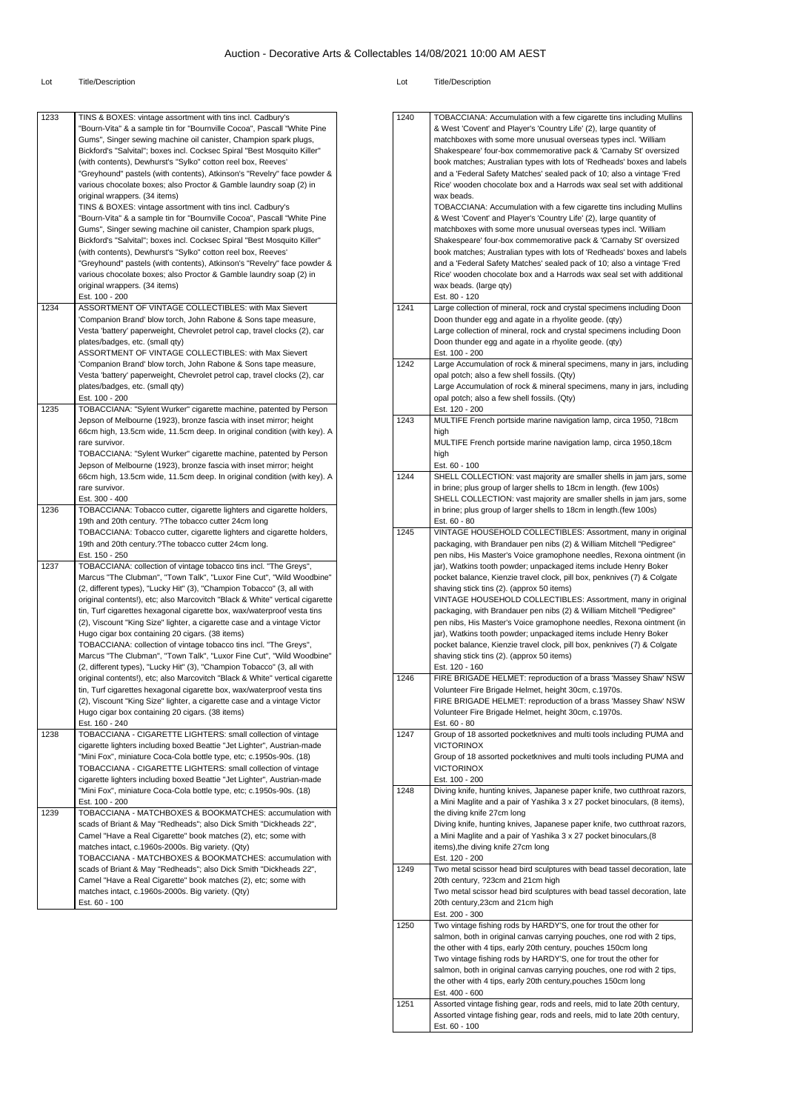| 1233 | TINS & BOXES: vintage assortment with tins incl. Cadbury's<br>"Bourn-Vita" & a sample tin for "Bournville Cocoa", Pascall "White Pine<br>Gums", Singer sewing machine oil canister, Champion spark plugs,                                                                                                 |
|------|-----------------------------------------------------------------------------------------------------------------------------------------------------------------------------------------------------------------------------------------------------------------------------------------------------------|
|      | Bickford's "Salvital"; boxes incl. Cocksec Spiral "Best Mosquito Killer"<br>(with contents), Dewhurst's "Sylko" cotton reel box, Reeves'                                                                                                                                                                  |
|      | "Greyhound" pastels (with contents), Atkinson's "Revelry" face powder &<br>various chocolate boxes; also Proctor & Gamble laundry soap (2) in                                                                                                                                                             |
|      | original wrappers. (34 items)<br>TINS & BOXES: vintage assortment with tins incl. Cadbury's                                                                                                                                                                                                               |
|      | "Bourn-Vita" & a sample tin for "Bournville Cocoa", Pascall "White Pine<br>Gums", Singer sewing machine oil canister, Champion spark plugs,<br>Bickford's "Salvital"; boxes incl. Cocksec Spiral "Best Mosquito Killer"<br>(with contents), Dewhurst's "Sylko" cotton reel box, Reeves'                   |
|      | "Greyhound" pastels (with contents), Atkinson's "Revelry" face powder &<br>various chocolate boxes; also Proctor & Gamble laundry soap (2) in<br>original wrappers. (34 items)                                                                                                                            |
| 1234 | Est. 100 - 200<br>ASSORTMENT OF VINTAGE COLLECTIBLES: with Max Sievert                                                                                                                                                                                                                                    |
|      | 'Companion Brand' blow torch, John Rabone & Sons tape measure,<br>Vesta 'battery' paperweight, Chevrolet petrol cap, travel clocks (2), car                                                                                                                                                               |
|      | plates/badges, etc. (small qty)                                                                                                                                                                                                                                                                           |
|      | ASSORTMENT OF VINTAGE COLLECTIBLES: with Max Sievert<br>'Companion Brand' blow torch, John Rabone & Sons tape measure,                                                                                                                                                                                    |
|      | Vesta 'battery' paperweight, Chevrolet petrol cap, travel clocks (2), car                                                                                                                                                                                                                                 |
|      | plates/badges, etc. (small qty)<br>Est. 100 - 200                                                                                                                                                                                                                                                         |
| 1235 | TOBACCIANA: "Sylent Wurker" cigarette machine, patented by Person                                                                                                                                                                                                                                         |
|      | Jepson of Melbourne (1923), bronze fascia with inset mirror; height<br>66cm high, 13.5cm wide, 11.5cm deep. In original condition (with key). A<br>rare survivor.                                                                                                                                         |
|      | TOBACCIANA: "Sylent Wurker" cigarette machine, patented by Person<br>Jepson of Melbourne (1923), bronze fascia with inset mirror; height                                                                                                                                                                  |
|      | 66cm high, 13.5cm wide, 11.5cm deep. In original condition (with key). A                                                                                                                                                                                                                                  |
|      | rare survivor.<br>Est. 300 - 400                                                                                                                                                                                                                                                                          |
| 1236 | TOBACCIANA: Tobacco cutter, cigarette lighters and cigarette holders,                                                                                                                                                                                                                                     |
|      | 19th and 20th century. ?The tobacco cutter 24cm long<br>TOBACCIANA: Tobacco cutter, cigarette lighters and cigarette holders,                                                                                                                                                                             |
|      | 19th and 20th century.?The tobacco cutter 24cm long.<br>Est. 150 - 250                                                                                                                                                                                                                                    |
| 1237 | TOBACCIANA: collection of vintage tobacco tins incl. "The Greys",                                                                                                                                                                                                                                         |
|      | Marcus "The Clubman", "Town Talk", "Luxor Fine Cut", "Wild Woodbine"<br>(2, different types), "Lucky Hit" (3), "Champion Tobacco" (3, all with<br>original contents!), etc; also Marcovitch "Black & White" vertical cigarette<br>tin, Turf cigarettes hexagonal cigarette box, wax/waterproof vesta tins |
|      | (2), Viscount "King Size" lighter, a cigarette case and a vintage Victor<br>Hugo cigar box containing 20 cigars. (38 items)                                                                                                                                                                               |
|      | TOBACCIANA: collection of vintage tobacco tins incl. "The Greys",<br>Marcus "The Clubman", "Town Talk", "Luxor Fine Cut", "Wild Woodbine"                                                                                                                                                                 |
|      | (2, different types), "Lucky Hit" (3), "Champion Tobacco" (3, all with                                                                                                                                                                                                                                    |
|      | original contents!), etc; also Marcovitch "Black & White" vertical cigarette<br>tin, Turf cigarettes hexagonal cigarette box, wax/waterproof vesta tins                                                                                                                                                   |
|      | (2), Viscount "King Size" lighter, a cigarette case and a vintage Victor<br>Hugo cigar box containing 20 cigars. (38 items)                                                                                                                                                                               |
|      | Est. 160 - 240                                                                                                                                                                                                                                                                                            |
| 1238 | TOBACCIANA - CIGARETTE LIGHTERS: small collection of vintage<br>cigarette lighters including boxed Beattie "Jet Lighter", Austrian-made<br>"Mini Fox", miniature Coca-Cola bottle type, etc; c.1950s-90s. (18)                                                                                            |
|      | TOBACCIANA - CIGARETTE LIGHTERS: small collection of vintage<br>cigarette lighters including boxed Beattie "Jet Lighter", Austrian-made<br>"Mini Fox", miniature Coca-Cola bottle type, etc; c.1950s-90s. (18)                                                                                            |
| 1239 | Est. 100 - 200<br>TOBACCIANA - MATCHBOXES & BOOKMATCHES: accumulation with                                                                                                                                                                                                                                |
|      | scads of Briant & May "Redheads"; also Dick Smith "Dickheads 22",                                                                                                                                                                                                                                         |
|      | Camel "Have a Real Cigarette" book matches (2), etc; some with<br>matches intact, c.1960s-2000s. Big variety. (Qty)                                                                                                                                                                                       |
|      | TOBACCIANA - MATCHBOXES & BOOKMATCHES: accumulation with                                                                                                                                                                                                                                                  |
|      |                                                                                                                                                                                                                                                                                                           |
|      | scads of Briant & May "Redheads"; also Dick Smith "Dickheads 22",                                                                                                                                                                                                                                         |
|      | Camel "Have a Real Cigarette" book matches (2), etc; some with<br>matches intact, c.1960s-2000s. Big variety. (Qty)                                                                                                                                                                                       |

| 1240 | TOBACCIANA: Accumulation with a few cigarette tins including Mullins                                                                              |
|------|---------------------------------------------------------------------------------------------------------------------------------------------------|
|      | & West 'Covent' and Player's 'Country Life' (2), large quantity of                                                                                |
|      | matchboxes with some more unusual overseas types incl. 'William<br>Shakespeare' four-box commemorative pack & 'Carnaby St' oversized              |
|      | book matches; Australian types with lots of 'Redheads' boxes and labels                                                                           |
|      | and a 'Federal Safety Matches' sealed pack of 10; also a vintage 'Fred                                                                            |
|      | Rice' wooden chocolate box and a Harrods wax seal set with additional                                                                             |
|      | wax beads.<br>TOBACCIANA: Accumulation with a few cigarette tins including Mullins                                                                |
|      | & West 'Covent' and Player's 'Country Life' (2), large quantity of                                                                                |
|      | matchboxes with some more unusual overseas types incl. 'William                                                                                   |
|      | Shakespeare' four-box commemorative pack & 'Carnaby St' oversized                                                                                 |
|      | book matches; Australian types with lots of 'Redheads' boxes and labels<br>and a 'Federal Safety Matches' sealed pack of 10; also a vintage 'Fred |
|      | Rice' wooden chocolate box and a Harrods wax seal set with additional                                                                             |
|      | wax beads. (large qty)                                                                                                                            |
| 1241 | Est. 80 - 120<br>Large collection of mineral, rock and crystal specimens including Doon                                                           |
|      | Doon thunder egg and agate in a rhyolite geode. (qty)                                                                                             |
|      | Large collection of mineral, rock and crystal specimens including Doon                                                                            |
|      | Doon thunder egg and agate in a rhyolite geode. (qty)<br>Est. 100 - 200                                                                           |
| 1242 | Large Accumulation of rock & mineral specimens, many in jars, including                                                                           |
|      | opal potch; also a few shell fossils. (Qty)                                                                                                       |
|      | Large Accumulation of rock & mineral specimens, many in jars, including                                                                           |
|      | opal potch; also a few shell fossils. (Qty)<br>Est. 120 - 200                                                                                     |
| 1243 | MULTIFE French portside marine navigation lamp, circa 1950, ?18cm                                                                                 |
|      | high                                                                                                                                              |
|      | MULTIFE French portside marine navigation lamp, circa 1950,18cm<br>high                                                                           |
|      | Est. 60 - 100                                                                                                                                     |
| 1244 | SHELL COLLECTION: vast majority are smaller shells in jam jars, some                                                                              |
|      | in brine; plus group of larger shells to 18cm in length. (few 100s)<br>SHELL COLLECTION: vast majority are smaller shells in jam jars, some       |
|      | in brine; plus group of larger shells to 18cm in length.(few 100s)                                                                                |
|      | Est. 60 - 80                                                                                                                                      |
| 1245 | VINTAGE HOUSEHOLD COLLECTIBLES: Assortment, many in original<br>packaging, with Brandauer pen nibs (2) & William Mitchell "Pedigree"              |
|      | pen nibs, His Master's Voice gramophone needles, Rexona ointment (in                                                                              |
|      | jar), Watkins tooth powder; unpackaged items include Henry Boker                                                                                  |
|      | pocket balance, Kienzie travel clock, pill box, penknives (7) & Colgate<br>shaving stick tins (2). (approx 50 items)                              |
|      | VINTAGE HOUSEHOLD COLLECTIBLES: Assortment, many in original                                                                                      |
|      | packaging, with Brandauer pen nibs (2) & William Mitchell "Pedigree"                                                                              |
|      | pen nibs, His Master's Voice gramophone needles, Rexona ointment (in<br>jar), Watkins tooth powder; unpackaged items include Henry Boker          |
|      | pocket balance, Kienzie travel clock, pill box, penknives (7) & Colgate                                                                           |
|      | shaving stick tins (2). (approx 50 items)                                                                                                         |
| 1246 | Est. 120 - 160<br>FIRE BRIGADE HELMET: reproduction of a brass 'Massey Shaw' NSW                                                                  |
|      | Volunteer Fire Brigade Helmet, height 30cm, c.1970s.                                                                                              |
|      | FIRE BRIGADE HELMET: reproduction of a brass 'Massey Shaw' NSW                                                                                    |
|      | Volunteer Fire Brigade Helmet, height 30cm, c.1970s.                                                                                              |
| 1247 | Est. 60 - 80<br>Group of 18 assorted pocketknives and multi tools including PUMA and                                                              |
|      | <b>VICTORINOX</b>                                                                                                                                 |
|      | Group of 18 assorted pocketknives and multi tools including PUMA and                                                                              |
|      | <b>VICTORINOX</b><br>Est. 100 - 200                                                                                                               |
| 1248 | Diving knife, hunting knives, Japanese paper knife, two cutthroat razors,                                                                         |
|      | a Mini Maglite and a pair of Yashika 3 x 27 pocket binoculars, (8 items),                                                                         |
|      | the diving knife 27cm long<br>Diving knife, hunting knives, Japanese paper knife, two cutthroat razors,                                           |
|      | a Mini Maglite and a pair of Yashika 3 x 27 pocket binoculars, (8                                                                                 |
|      | items), the diving knife 27cm long                                                                                                                |
| 1249 | Est. 120 - 200<br>Two metal scissor head bird sculptures with bead tassel decoration, late                                                        |
|      | 20th century, ?23cm and 21cm high                                                                                                                 |
|      | Two metal scissor head bird sculptures with bead tassel decoration, late                                                                          |
|      | 20th century, 23cm and 21cm high<br>Est. 200 - 300                                                                                                |
| 1250 | Two vintage fishing rods by HARDY'S, one for trout the other for                                                                                  |
|      | salmon, both in original canvas carrying pouches, one rod with 2 tips,                                                                            |
|      | the other with 4 tips, early 20th century, pouches 150cm long<br>Two vintage fishing rods by HARDY'S, one for trout the other for                 |
|      | salmon, both in original canvas carrying pouches, one rod with 2 tips,                                                                            |
|      | the other with 4 tips, early 20th century, pouches 150cm long                                                                                     |
| 1251 | Est. 400 - 600<br>Assorted vintage fishing gear, rods and reels, mid to late 20th century,                                                        |
|      | Assorted vintage fishing gear, rods and reels, mid to late 20th century,                                                                          |
|      | Est. 60 - 100                                                                                                                                     |
|      |                                                                                                                                                   |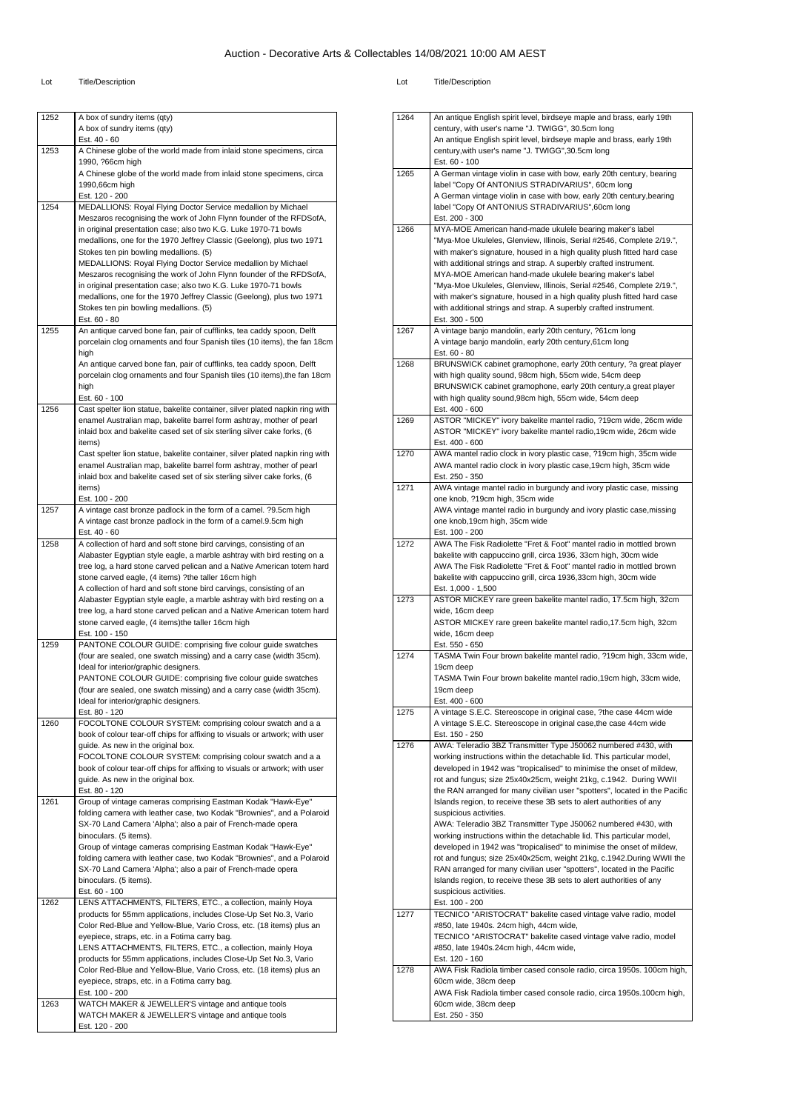| วt | <b>Title/Description</b> |
|----|--------------------------|

| 1252 | A box of sundry items (qty)<br>A box of sundry items (qty)                                                                                           |
|------|------------------------------------------------------------------------------------------------------------------------------------------------------|
|      | Est. 40 - 60                                                                                                                                         |
| 1253 | A Chinese globe of the world made from inlaid stone specimens, circa                                                                                 |
|      | 1990, ?66cm high<br>A Chinese globe of the world made from inlaid stone specimens, circa                                                             |
|      | 1990,66cm high                                                                                                                                       |
|      | Est. 120 - 200                                                                                                                                       |
| 1254 | MEDALLIONS: Royal Flying Doctor Service medallion by Michael<br>Meszaros recognising the work of John Flynn founder of the RFDSofA,                  |
|      | in original presentation case; also two K.G. Luke 1970-71 bowls                                                                                      |
|      | medallions, one for the 1970 Jeffrey Classic (Geelong), plus two 1971<br>Stokes ten pin bowling medallions. (5)                                      |
|      | MEDALLIONS: Royal Flying Doctor Service medallion by Michael                                                                                         |
|      | Meszaros recognising the work of John Flynn founder of the RFDSofA,                                                                                  |
|      | in original presentation case; also two K.G. Luke 1970-71 bowls<br>medallions, one for the 1970 Jeffrey Classic (Geelong), plus two 1971             |
|      | Stokes ten pin bowling medallions. (5)                                                                                                               |
|      | Est. 60 - 80                                                                                                                                         |
| 1255 | An antique carved bone fan, pair of cufflinks, tea caddy spoon, Delft<br>porcelain clog ornaments and four Spanish tiles (10 items), the fan 18cm    |
|      | high                                                                                                                                                 |
|      | An antique carved bone fan, pair of cufflinks, tea caddy spoon, Delft                                                                                |
|      | porcelain clog ornaments and four Spanish tiles (10 items), the fan 18cm<br>high                                                                     |
|      | Est. 60 - 100                                                                                                                                        |
| 1256 | Cast spelter lion statue, bakelite container, silver plated napkin ring with<br>enamel Australian map, bakelite barrel form ashtray, mother of pearl |
|      | inlaid box and bakelite cased set of six sterling silver cake forks, (6                                                                              |
|      | items)                                                                                                                                               |
|      | Cast spelter lion statue, bakelite container, silver plated napkin ring with<br>enamel Australian map, bakelite barrel form ashtray, mother of pearl |
|      | inlaid box and bakelite cased set of six sterling silver cake forks, (6                                                                              |
|      | items)                                                                                                                                               |
| 1257 | Est. 100 - 200<br>A vintage cast bronze padlock in the form of a camel. ?9.5cm high                                                                  |
|      | A vintage cast bronze padlock in the form of a camel.9.5cm high                                                                                      |
| 1258 | Est. 40 - 60<br>A collection of hard and soft stone bird carvings, consisting of an                                                                  |
|      | Alabaster Egyptian style eagle, a marble ashtray with bird resting on a                                                                              |
|      | tree log, a hard stone carved pelican and a Native American totem hard                                                                               |
|      | stone carved eagle, (4 items) ?the taller 16cm high<br>A collection of hard and soft stone bird carvings, consisting of an                           |
|      | Alabaster Egyptian style eagle, a marble ashtray with bird resting on a                                                                              |
|      | tree log, a hard stone carved pelican and a Native American totem hard<br>stone carved eagle, (4 items)the taller 16cm high                          |
|      | Est. 100 - 150                                                                                                                                       |
| 1259 | PANTONE COLOUR GUIDE: comprising five colour guide swatches                                                                                          |
|      | (four are sealed, one swatch missing) and a carry case (width 35cm).<br>Ideal for interior/graphic designers.                                        |
|      | PANTONE COLOUR GUIDE: comprising five colour guide swatches                                                                                          |
|      | (four are sealed, one swatch missing) and a carry case (width 35cm).                                                                                 |
|      | Ideal for interior/graphic designers.<br>Est. 80 - 120                                                                                               |
| 1260 | FOCOLTONE COLOUR SYSTEM: comprising colour swatch and a a                                                                                            |
|      | book of colour tear-off chips for affixing to visuals or artwork; with user<br>guide. As new in the original box.                                    |
|      | FOCOLTONE COLOUR SYSTEM: comprising colour swatch and a a                                                                                            |
|      | book of colour tear-off chips for affixing to visuals or artwork; with user                                                                          |
|      | guide. As new in the original box.<br>Est. 80 - 120                                                                                                  |
| 1261 | Group of vintage cameras comprising Eastman Kodak "Hawk-Eye"                                                                                         |
|      | folding camera with leather case, two Kodak "Brownies", and a Polaroid                                                                               |
|      | SX-70 Land Camera 'Alpha'; also a pair of French-made opera<br>binoculars. (5 items).                                                                |
|      | Group of vintage cameras comprising Eastman Kodak "Hawk-Eye"                                                                                         |
|      | folding camera with leather case, two Kodak "Brownies", and a Polaroid<br>SX-70 Land Camera 'Alpha'; also a pair of French-made opera                |
|      | binoculars. (5 items).                                                                                                                               |
|      | Est. 60 - 100                                                                                                                                        |
| 1262 | LENS ATTACHMENTS, FILTERS, ETC., a collection, mainly Hoya<br>products for 55mm applications, includes Close-Up Set No.3, Vario                      |
|      | Color Red-Blue and Yellow-Blue, Vario Cross, etc. (18 items) plus an                                                                                 |
|      | eyepiece, straps, etc. in a Fotima carry bag.                                                                                                        |
|      | LENS ATTACHMENTS, FILTERS, ETC., a collection, mainly Hoya                                                                                           |
|      | products for 55mm applications, includes Close-Up Set No.3, Vario<br>Color Red-Blue and Yellow-Blue, Vario Cross, etc. (18 items) plus an            |
|      | eyepiece, straps, etc. in a Fotima carry bag.                                                                                                        |
| 1263 | Est. 100 - 200<br>WATCH MAKER & JEWELLER'S vintage and antique tools                                                                                 |
|      | WATCH MAKER & JEWELLER'S vintage and antique tools                                                                                                   |
|      | Est. 120 - 200                                                                                                                                       |
|      |                                                                                                                                                      |

| 1264 | An antique English spirit level, birdseye maple and brass, early 19th                                                     |
|------|---------------------------------------------------------------------------------------------------------------------------|
|      | century, with user's name "J. TWIGG", 30.5cm long                                                                         |
|      | An antique English spirit level, birdseye maple and brass, early 19th                                                     |
|      | century, with user's name "J. TWIGG", 30.5cm long                                                                         |
|      |                                                                                                                           |
| 1265 | Est. 60 - 100                                                                                                             |
|      | A German vintage violin in case with bow, early 20th century, bearing<br>label "Copy Of ANTONIUS STRADIVARIUS", 60cm long |
|      |                                                                                                                           |
|      | A German vintage violin in case with bow, early 20th century, bearing                                                     |
|      | label "Copy Of ANTONIUS STRADIVARIUS", 60cm long                                                                          |
|      | Est. 200 - 300                                                                                                            |
| 1266 | MYA-MOE American hand-made ukulele bearing maker's label                                                                  |
|      | "Mya-Moe Ukuleles, Glenview, Illinois, Serial #2546, Complete 2/19.",                                                     |
|      | with maker's signature, housed in a high quality plush fitted hard case                                                   |
|      | with additional strings and strap. A superbly crafted instrument.                                                         |
|      | MYA-MOE American hand-made ukulele bearing maker's label                                                                  |
|      | "Mya-Moe Ukuleles, Glenview, Illinois, Serial #2546, Complete 2/19.",                                                     |
|      | with maker's signature, housed in a high quality plush fitted hard case                                                   |
|      | with additional strings and strap. A superbly crafted instrument.                                                         |
|      | Est. 300 - 500                                                                                                            |
| 1267 | A vintage banjo mandolin, early 20th century, ?61cm long                                                                  |
|      | A vintage banjo mandolin, early 20th century, 61cm long                                                                   |
|      | Est. 60 - 80                                                                                                              |
| 1268 | BRUNSWICK cabinet gramophone, early 20th century, ?a great player                                                         |
|      | with high quality sound, 98cm high, 55cm wide, 54cm deep                                                                  |
|      | BRUNSWICK cabinet gramophone, early 20th century, a great player                                                          |
|      | with high quality sound, 98cm high, 55cm wide, 54cm deep                                                                  |
|      | Est. 400 - 600                                                                                                            |
| 1269 | ASTOR "MICKEY" ivory bakelite mantel radio, ?19cm wide, 26cm wide                                                         |
|      | ASTOR "MICKEY" ivory bakelite mantel radio, 19cm wide, 26cm wide                                                          |
|      | Est. 400 - 600                                                                                                            |
| 1270 | AWA mantel radio clock in ivory plastic case, ?19cm high, 35cm wide                                                       |
|      | AWA mantel radio clock in ivory plastic case, 19cm high, 35cm wide                                                        |
|      |                                                                                                                           |
|      | Est. 250 - 350                                                                                                            |
| 1271 | AWA vintage mantel radio in burgundy and ivory plastic case, missing                                                      |
|      | one knob, ?19cm high, 35cm wide                                                                                           |
|      | AWA vintage mantel radio in burgundy and ivory plastic case, missing                                                      |
|      | one knob, 19cm high, 35cm wide                                                                                            |
|      | Est. 100 - 200                                                                                                            |
| 1272 | AWA The Fisk Radiolette "Fret & Foot" mantel radio in mottled brown                                                       |
|      | bakelite with cappuccino grill, circa 1936, 33cm high, 30cm wide                                                          |
|      | AWA The Fisk Radiolette "Fret & Foot" mantel radio in mottled brown                                                       |
|      | bakelite with cappuccino grill, circa 1936,33cm high, 30cm wide                                                           |
|      | Est. 1,000 - 1,500                                                                                                        |
| 1273 | ASTOR MICKEY rare green bakelite mantel radio, 17.5cm high, 32cm                                                          |
|      | wide, 16cm deep                                                                                                           |
|      | ASTOR MICKEY rare green bakelite mantel radio, 17.5cm high, 32cm                                                          |
|      | wide, 16cm deep                                                                                                           |
|      | Est. 550 - 650                                                                                                            |
| 1274 | TASMA Twin Four brown bakelite mantel radio, ?19cm high, 33cm wide,                                                       |
|      | 19cm deep                                                                                                                 |
|      | TASMA Twin Four brown bakelite mantel radio, 19cm high, 33cm wide,                                                        |
|      | 19cm deep                                                                                                                 |
|      | Est. 400 - 600                                                                                                            |
| 1275 | A vintage S.E.C. Stereoscope in original case, ?the case 44cm wide                                                        |
|      | A vintage S.E.C. Stereoscope in original case, the case 44cm wide                                                         |
|      |                                                                                                                           |
|      | Est. 150 - 250                                                                                                            |
| 1276 | AWA: Teleradio 3BZ Transmitter Type J50062 numbered #430, with                                                            |
|      | working instructions within the detachable lid. This particular model,                                                    |
|      | developed in 1942 was "tropicalised" to minimise the onset of mildew,                                                     |
|      | rot and fungus; size 25x40x25cm, weight 21kg, c.1942. During WWII                                                         |
|      | the RAN arranged for many civilian user "spotters", located in the Pacific                                                |
|      | Islands region, to receive these 3B sets to alert authorities of any                                                      |
|      | suspicious activities.                                                                                                    |
|      | AWA: Teleradio 3BZ Transmitter Type J50062 numbered #430, with                                                            |
|      | working instructions within the detachable lid. This particular model,                                                    |
|      | developed in 1942 was "tropicalised" to minimise the onset of mildew,                                                     |
|      | rot and fungus; size 25x40x25cm, weight 21kg, c.1942.During WWII the                                                      |
|      | RAN arranged for many civilian user "spotters", located in the Pacific                                                    |
|      | Islands region, to receive these 3B sets to alert authorities of any                                                      |
|      | suspicious activities.                                                                                                    |
|      | Est. 100 - 200                                                                                                            |
| 1277 | TECNICO "ARISTOCRAT" bakelite cased vintage valve radio, model                                                            |
|      | #850, late 1940s. 24cm high, 44cm wide,                                                                                   |
|      | TECNICO "ARISTOCRAT" bakelite cased vintage valve radio, model                                                            |
|      | #850, late 1940s.24cm high, 44cm wide,                                                                                    |
|      | Est. 120 - 160                                                                                                            |
| 1278 | AWA Fisk Radiola timber cased console radio, circa 1950s. 100cm high,                                                     |
|      | 60cm wide, 38cm deep                                                                                                      |
|      | AWA Fisk Radiola timber cased console radio, circa 1950s.100cm high,                                                      |
|      | 60cm wide, 38cm deep                                                                                                      |
|      |                                                                                                                           |
|      | Est. 250 - 350                                                                                                            |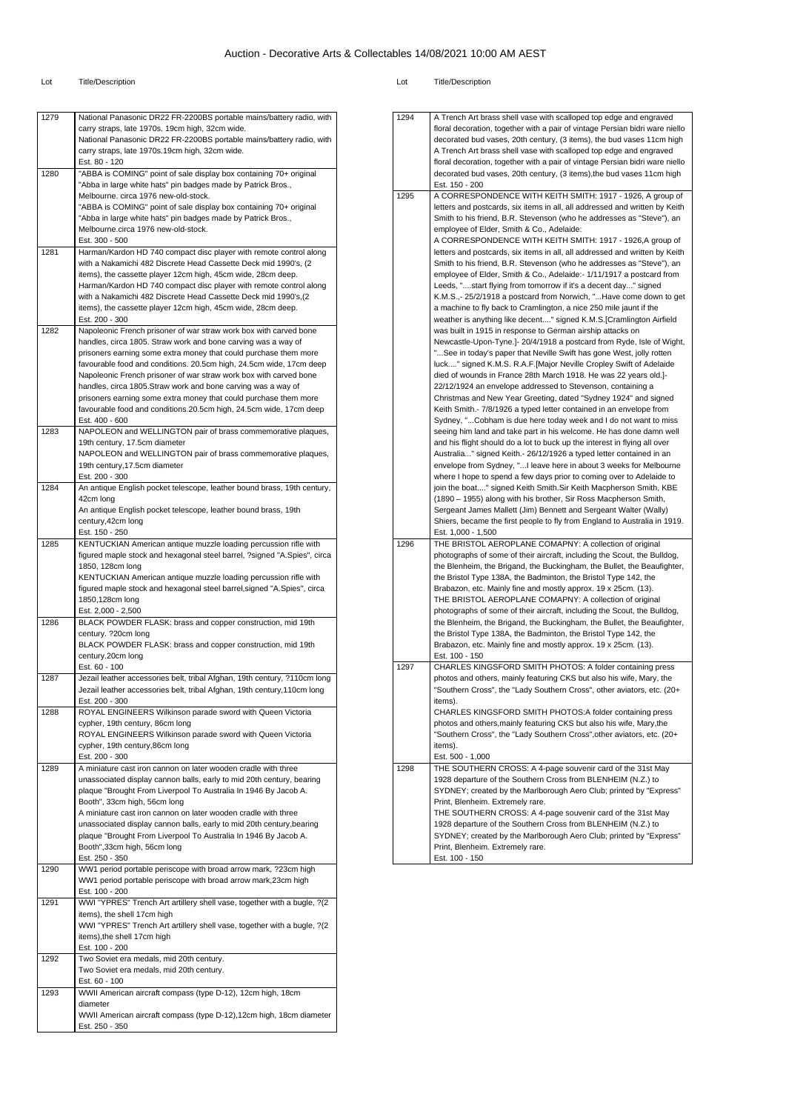| 1279 | National Panasonic DR22 FR-2200BS portable mains/battery radio, with      |
|------|---------------------------------------------------------------------------|
|      | carry straps, late 1970s. 19cm high, 32cm wide.                           |
|      | National Panasonic DR22 FR-2200BS portable mains/battery radio, with      |
|      | carry straps, late 1970s.19cm high, 32cm wide.                            |
|      | Est. 80 - 120                                                             |
| 1280 | "ABBA is COMING" point of sale display box containing 70+ original        |
|      | "Abba in large white hats" pin badges made by Patrick Bros.,              |
|      | Melbourne. circa 1976 new-old-stock.                                      |
|      | "ABBA is COMING" point of sale display box containing 70+ original        |
|      | "Abba in large white hats" pin badges made by Patrick Bros.,              |
|      | Melbourne.circa 1976 new-old-stock.                                       |
|      | Est. 300 - 500                                                            |
| 1281 | Harman/Kardon HD 740 compact disc player with remote control along        |
|      | with a Nakamichi 482 Discrete Head Cassette Deck mid 1990's, (2           |
|      | items), the cassette player 12cm high, 45cm wide, 28cm deep.              |
|      | Harman/Kardon HD 740 compact disc player with remote control along        |
|      | with a Nakamichi 482 Discrete Head Cassette Deck mid 1990's, (2           |
|      | items), the cassette player 12cm high, 45cm wide, 28cm deep.              |
|      | Est. 200 - 300                                                            |
| 1282 | Napoleonic French prisoner of war straw work box with carved bone         |
|      | handles, circa 1805. Straw work and bone carving was a way of             |
|      | prisoners earning some extra money that could purchase them more          |
|      | favourable food and conditions. 20.5cm high, 24.5cm wide, 17cm deep       |
|      | Napoleonic French prisoner of war straw work box with carved bone         |
|      | handles, circa 1805. Straw work and bone carving was a way of             |
|      | prisoners earning some extra money that could purchase them more          |
|      | favourable food and conditions.20.5cm high, 24.5cm wide, 17cm deep        |
|      | Est. 400 - 600                                                            |
| 1283 | NAPOLEON and WELLINGTON pair of brass commemorative plaques,              |
|      | 19th century, 17.5cm diameter                                             |
|      | NAPOLEON and WELLINGTON pair of brass commemorative plaques,              |
|      | 19th century, 17.5cm diameter                                             |
|      | Est. 200 - 300                                                            |
| 1284 | An antique English pocket telescope, leather bound brass, 19th century,   |
|      | 42cm long                                                                 |
|      | An antique English pocket telescope, leather bound brass, 19th            |
|      | century, 42cm long                                                        |
|      | Est. 150 - 250                                                            |
| 1285 | KENTUCKIAN American antique muzzle loading percussion rifle with          |
|      | figured maple stock and hexagonal steel barrel, ?signed "A.Spies", circa  |
|      | 1850, 128cm long                                                          |
|      | KENTUCKIAN American antique muzzle loading percussion rifle with          |
|      | figured maple stock and hexagonal steel barrel, signed "A.Spies", circa   |
|      | 1850,128cm long                                                           |
|      | Est. 2,000 - 2,500                                                        |
| 1286 | BLACK POWDER FLASK: brass and copper construction, mid 19th               |
|      | century. ?20cm long                                                       |
|      | BLACK POWDER FLASK: brass and copper construction, mid 19th               |
|      | century.20cm long                                                         |
|      | Est. 60 - 100                                                             |
| 1287 | Jezail leather accessories belt, tribal Afghan, 19th century, ?110cm long |
|      | Jezail leather accessories belt, tribal Afghan, 19th century, 110cm long  |
|      | Est. 200 - 300                                                            |
| 1288 | ROYAL ENGINEERS Wilkinson parade sword with Queen Victoria                |
|      | cypher, 19th century, 86cm long                                           |
|      | ROYAL ENGINEERS Wilkinson parade sword with Queen Victoria                |
|      | cypher, 19th century, 86cm long                                           |
|      | Est. 200 - 300                                                            |
| 1289 | A miniature cast iron cannon on later wooden cradle with three            |
|      | unassociated display cannon balls, early to mid 20th century, bearing     |
|      | plaque "Brought From Liverpool To Australia In 1946 By Jacob A.           |
|      | Booth", 33cm high, 56cm long                                              |
|      | A miniature cast iron cannon on later wooden cradle with three            |
|      | unassociated display cannon balls, early to mid 20th century, bearing     |
|      | plaque "Brought From Liverpool To Australia In 1946 By Jacob A.           |
|      | Booth",33cm high, 56cm long                                               |
|      | Est. 250 - 350                                                            |
| 1290 | WW1 period portable periscope with broad arrow mark, ?23cm high           |
|      | WW1 period portable periscope with broad arrow mark, 23cm high            |
|      | Est. 100 - 200                                                            |
| 1291 | WWI "YPRES" Trench Art artillery shell vase, together with a bugle, ?(2   |
|      | items), the shell 17cm high                                               |
|      | WWI "YPRES" Trench Art artillery shell vase, together with a bugle, ?(2   |
|      | items), the shell 17cm high                                               |
|      | Est. 100 - 200                                                            |
| 1292 | Two Soviet era medals, mid 20th century.                                  |
|      | Two Soviet era medals, mid 20th century.                                  |
|      | Est. 60 - 100                                                             |
| 1293 |                                                                           |
|      | WWII American aircraft compass (type D-12), 12cm high, 18cm               |
|      | diameter                                                                  |
|      | WWII American aircraft compass (type D-12), 12cm high, 18cm diameter      |
|      | Est. 250 - 350                                                            |

| 1294 | A Trench Art brass shell vase with scalloped top edge and engraved                                                                         |
|------|--------------------------------------------------------------------------------------------------------------------------------------------|
|      | floral decoration, together with a pair of vintage Persian bidri ware niello                                                               |
|      | decorated bud vases, 20th century, (3 items), the bud vases 11cm high                                                                      |
|      | A Trench Art brass shell vase with scalloped top edge and engraved                                                                         |
|      | floral decoration, together with a pair of vintage Persian bidri ware niello                                                               |
|      | decorated bud vases, 20th century, (3 items), the bud vases 11cm high                                                                      |
|      | Est. 150 - 200                                                                                                                             |
| 1295 | A CORRESPONDENCE WITH KEITH SMITH: 1917 - 1926, A group of                                                                                 |
|      | letters and postcards, six items in all, all addressed and written by Keith                                                                |
|      | Smith to his friend, B.R. Stevenson (who he addresses as "Steve"), an                                                                      |
|      | employee of Elder, Smith & Co., Adelaide:<br>A CORRESPONDENCE WITH KEITH SMITH: 1917 - 1926, A group of                                    |
|      | letters and postcards, six items in all, all addressed and written by Keith                                                                |
|      | Smith to his friend, B.R. Stevenson (who he addresses as "Steve"), an                                                                      |
|      | employee of Elder, Smith & Co., Adelaide:- 1/11/1917 a postcard from                                                                       |
|      | Leeds, "start flying from tomorrow if it's a decent day" signed                                                                            |
|      | K.M.S.,- 25/2/1918 a postcard from Norwich, " Have come down to get                                                                        |
|      | a machine to fly back to Cramlington, a nice 250 mile jaunt if the                                                                         |
|      | weather is anything like decent" signed K.M.S.[Cramlington Airfield                                                                        |
|      | was built in 1915 in response to German airship attacks on                                                                                 |
|      | Newcastle-Upon-Tyne.]- 20/4/1918 a postcard from Ryde, Isle of Wight,                                                                      |
|      | "See in today's paper that Neville Swift has gone West, jolly rotten                                                                       |
|      | luck" signed K.M.S. R.A.F.[Major Neville Cropley Swift of Adelaide                                                                         |
|      | died of wounds in France 28th March 1918. He was 22 years old.]-                                                                           |
|      | 22/12/1924 an envelope addressed to Stevenson, containing a                                                                                |
|      | Christmas and New Year Greeting, dated "Sydney 1924" and signed                                                                            |
|      | Keith Smith.- 7/8/1926 a typed letter contained in an envelope from                                                                        |
|      | Sydney, " Cobham is due here today week and I do not want to miss                                                                          |
|      | seeing him land and take part in his welcome. He has done damn well                                                                        |
|      | and his flight should do a lot to buck up the interest in flying all over                                                                  |
|      | Australia" signed Keith.- 26/12/1926 a typed letter contained in an<br>envelope from Sydney, " I leave here in about 3 weeks for Melbourne |
|      | where I hope to spend a few days prior to coming over to Adelaide to                                                                       |
|      | join the boat" signed Keith Smith.Sir Keith Macpherson Smith, KBE                                                                          |
|      | (1890 - 1955) along with his brother, Sir Ross Macpherson Smith,                                                                           |
|      | Sergeant James Mallett (Jim) Bennett and Sergeant Walter (Wally)                                                                           |
|      | Shiers, became the first people to fly from England to Australia in 1919.                                                                  |
|      | Est. 1,000 - 1,500                                                                                                                         |
| 1296 | THE BRISTOL AEROPLANE COMAPNY: A collection of original                                                                                    |
|      | photographs of some of their aircraft, including the Scout, the Bulldog,                                                                   |
|      | the Blenheim, the Brigand, the Buckingham, the Bullet, the Beaufighter,                                                                    |
|      | the Bristol Type 138A, the Badminton, the Bristol Type 142, the                                                                            |
|      | Brabazon, etc. Mainly fine and mostly approx. 19 x 25cm. (13).                                                                             |
|      | THE BRISTOL AEROPLANE COMAPNY: A collection of original                                                                                    |
|      | photographs of some of their aircraft, including the Scout, the Bulldog,                                                                   |
|      | the Blenheim, the Brigand, the Buckingham, the Bullet, the Beaufighter,                                                                    |
|      | the Bristol Type 138A, the Badminton, the Bristol Type 142, the<br>Brabazon, etc. Mainly fine and mostly approx. 19 x 25cm. (13).          |
|      | Est. 100 - 150                                                                                                                             |
| 1297 | CHARLES KINGSFORD SMITH PHOTOS: A folder containing press                                                                                  |
|      | photos and others, mainly featuring CKS but also his wife, Mary, the                                                                       |
|      | "Southern Cross", the "Lady Southern Cross", other aviators, etc. (20+                                                                     |
|      | items).                                                                                                                                    |
|      | CHARLES KINGSFORD SMITH PHOTOS:A folder containing press                                                                                   |
|      | photos and others, mainly featuring CKS but also his wife, Mary, the                                                                       |
|      | "Southern Cross", the "Lady Southern Cross", other aviators, etc. (20+                                                                     |
|      | items).                                                                                                                                    |
|      | Est. 500 - 1,000                                                                                                                           |
| 1298 | THE SOUTHERN CROSS: A 4-page souvenir card of the 31st May                                                                                 |
|      |                                                                                                                                            |
|      | 1928 departure of the Southern Cross from BLENHEIM (N.Z.) to                                                                               |
|      | SYDNEY; created by the Marlborough Aero Club; printed by "Express"                                                                         |
|      | Print, Blenheim. Extremely rare.                                                                                                           |
|      | THE SOUTHERN CROSS: A 4-page souvenir card of the 31st May                                                                                 |
|      | 1928 departure of the Southern Cross from BLENHEIM (N.Z.) to                                                                               |
|      | SYDNEY; created by the Marlborough Aero Club; printed by "Express"                                                                         |
|      | Print, Blenheim. Extremely rare.<br>Est. 100 - 150                                                                                         |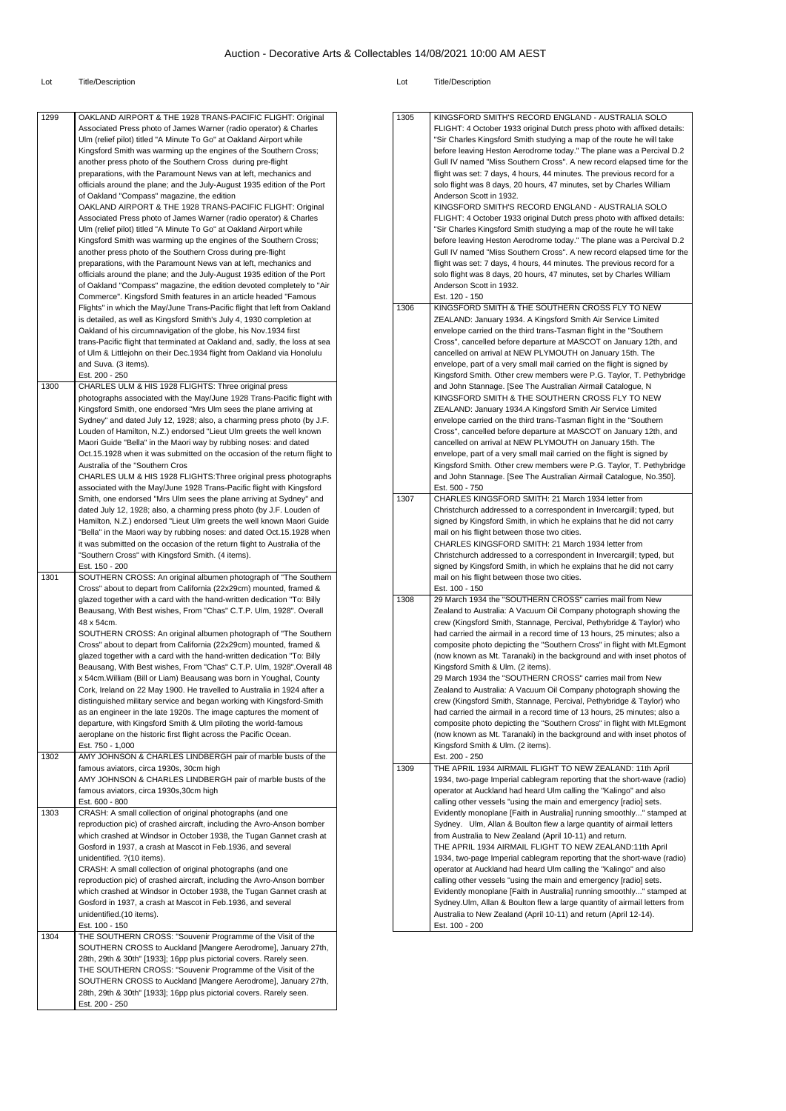| 1299 | OAKLAND AIRPORT & THE 1928 TRANS-PACIFIC FLIGHT: Original<br>Associated Press photo of James Warner (radio operator) & Charles<br>Ulm (relief pilot) titled "A Minute To Go" at Oakland Airport while<br>Kingsford Smith was warming up the engines of the Southern Cross;<br>another press photo of the Southern Cross during pre-flight<br>preparations, with the Paramount News van at left, mechanics and<br>officials around the plane; and the July-August 1935 edition of the Port<br>of Oakland "Compass" magazine, the edition<br>OAKLAND AIRPORT & THE 1928 TRANS-PACIFIC FLIGHT: Original<br>Associated Press photo of James Warner (radio operator) & Charles<br>Ulm (relief pilot) titled "A Minute To Go" at Oakland Airport while<br>Kingsford Smith was warming up the engines of the Southern Cross;<br>another press photo of the Southern Cross during pre-flight<br>preparations, with the Paramount News van at left, mechanics and<br>officials around the plane; and the July-August 1935 edition of the Port<br>of Oakland "Compass" magazine, the edition devoted completely to "Air<br>Commerce". Kingsford Smith features in an article headed "Famous<br>Flights" in which the May/June Trans-Pacific flight that left from Oakland<br>is detailed, as well as Kingsford Smith's July 4, 1930 completion at<br>Oakland of his circumnavigation of the globe, his Nov.1934 first<br>trans-Pacific flight that terminated at Oakland and, sadly, the loss at sea<br>of Ulm & Littlejohn on their Dec.1934 flight from Oakland via Honolulu<br>and Suva. (3 items). | 1305<br>1306 | KINGSFORD SMITH'S RECORD ENGLAND - AUSTRALIA SOLO<br>FLIGHT: 4 October 1933 original Dutch press photo with affixed details:<br>"Sir Charles Kingsford Smith studying a map of the route he will take<br>before leaving Heston Aerodrome today." The plane was a Percival D.2<br>Gull IV named "Miss Southern Cross". A new record elapsed time for the<br>flight was set: 7 days, 4 hours, 44 minutes. The previous record for a<br>solo flight was 8 days, 20 hours, 47 minutes, set by Charles William<br>Anderson Scott in 1932.<br>KINGSFORD SMITH'S RECORD ENGLAND - AUSTRALIA SOLO<br>FLIGHT: 4 October 1933 original Dutch press photo with affixed details:<br>"Sir Charles Kingsford Smith studying a map of the route he will take<br>before leaving Heston Aerodrome today." The plane was a Percival D.2<br>Gull IV named "Miss Southern Cross". A new record elapsed time for the<br>flight was set: 7 days, 4 hours, 44 minutes. The previous record for a<br>solo flight was 8 days, 20 hours, 47 minutes, set by Charles William<br>Anderson Scott in 1932.<br>Est. 120 - 150<br>KINGSFORD SMITH & THE SOUTHERN CROSS FLY TO NEW<br>ZEALAND: January 1934. A Kingsford Smith Air Service Limited<br>envelope carried on the third trans-Tasman flight in the "Southern<br>Cross", cancelled before departure at MASCOT on January 12th, and<br>cancelled on arrival at NEW PLYMOUTH on January 15th. The<br>envelope, part of a very small mail carried on the flight is signed by |
|------|----------------------------------------------------------------------------------------------------------------------------------------------------------------------------------------------------------------------------------------------------------------------------------------------------------------------------------------------------------------------------------------------------------------------------------------------------------------------------------------------------------------------------------------------------------------------------------------------------------------------------------------------------------------------------------------------------------------------------------------------------------------------------------------------------------------------------------------------------------------------------------------------------------------------------------------------------------------------------------------------------------------------------------------------------------------------------------------------------------------------------------------------------------------------------------------------------------------------------------------------------------------------------------------------------------------------------------------------------------------------------------------------------------------------------------------------------------------------------------------------------------------------------------------------------------------------------------------------|--------------|-----------------------------------------------------------------------------------------------------------------------------------------------------------------------------------------------------------------------------------------------------------------------------------------------------------------------------------------------------------------------------------------------------------------------------------------------------------------------------------------------------------------------------------------------------------------------------------------------------------------------------------------------------------------------------------------------------------------------------------------------------------------------------------------------------------------------------------------------------------------------------------------------------------------------------------------------------------------------------------------------------------------------------------------------------------------------------------------------------------------------------------------------------------------------------------------------------------------------------------------------------------------------------------------------------------------------------------------------------------------------------------------------------------------------------------------------------------------------------------------------------|
| 1300 | Est. 200 - 250<br>CHARLES ULM & HIS 1928 FLIGHTS: Three original press<br>photographs associated with the May/June 1928 Trans-Pacific flight with<br>Kingsford Smith, one endorsed "Mrs Ulm sees the plane arriving at<br>Sydney" and dated July 12, 1928; also, a charming press photo (by J.F.<br>Louden of Hamilton, N.Z.) endorsed "Lieut Ulm greets the well known<br>Maori Guide "Bella" in the Maori way by rubbing noses: and dated<br>Oct.15.1928 when it was submitted on the occasion of the return flight to<br>Australia of the "Southern Cros<br>CHARLES ULM & HIS 1928 FLIGHTS: Three original press photographs<br>associated with the May/June 1928 Trans-Pacific flight with Kingsford                                                                                                                                                                                                                                                                                                                                                                                                                                                                                                                                                                                                                                                                                                                                                                                                                                                                                     |              | Kingsford Smith. Other crew members were P.G. Taylor, T. Pethybridge<br>and John Stannage. [See The Australian Airmail Catalogue, N<br>KINGSFORD SMITH & THE SOUTHERN CROSS FLY TO NEW<br>ZEALAND: January 1934.A Kingsford Smith Air Service Limited<br>envelope carried on the third trans-Tasman flight in the "Southern<br>Cross", cancelled before departure at MASCOT on January 12th, and<br>cancelled on arrival at NEW PLYMOUTH on January 15th. The<br>envelope, part of a very small mail carried on the flight is signed by<br>Kingsford Smith. Other crew members were P.G. Taylor, T. Pethybridge<br>and John Stannage. [See The Australian Airmail Catalogue, No.350].<br>Est. 500 - 750                                                                                                                                                                                                                                                                                                                                                                                                                                                                                                                                                                                                                                                                                                                                                                                             |
| 1301 | Smith, one endorsed "Mrs Ulm sees the plane arriving at Sydney" and<br>dated July 12, 1928; also, a charming press photo (by J.F. Louden of<br>Hamilton, N.Z.) endorsed "Lieut Ulm greets the well known Maori Guide<br>"Bella" in the Maori way by rubbing noses: and dated Oct.15.1928 when<br>it was submitted on the occasion of the return flight to Australia of the<br>"Southern Cross" with Kingsford Smith. (4 items).<br>Est. 150 - 200<br>SOUTHERN CROSS: An original albumen photograph of "The Southern                                                                                                                                                                                                                                                                                                                                                                                                                                                                                                                                                                                                                                                                                                                                                                                                                                                                                                                                                                                                                                                                         | 1307         | CHARLES KINGSFORD SMITH: 21 March 1934 letter from<br>Christchurch addressed to a correspondent in Invercargill; typed, but<br>signed by Kingsford Smith, in which he explains that he did not carry<br>mail on his flight between those two cities.<br>CHARLES KINGSFORD SMITH: 21 March 1934 letter from<br>Christchurch addressed to a correspondent in Invercargill; typed, but<br>signed by Kingsford Smith, in which he explains that he did not carry<br>mail on his flight between those two cities.<br>Est. 100 - 150                                                                                                                                                                                                                                                                                                                                                                                                                                                                                                                                                                                                                                                                                                                                                                                                                                                                                                                                                                      |
| 1302 | Cross" about to depart from California (22x29cm) mounted, framed &<br>glazed together with a card with the hand-written dedication "To: Billy<br>Beausang, With Best wishes, From "Chas" C.T.P. Ulm, 1928". Overall<br>48 x 54cm.<br>SOUTHERN CROSS: An original albumen photograph of "The Southern<br>Cross" about to depart from California (22x29cm) mounted, framed &<br>glazed together with a card with the hand-written dedication "To: Billy<br>Beausang, With Best wishes, From "Chas" C.T.P. Ulm, 1928". Overall 48<br>x 54cm. William (Bill or Liam) Beausang was born in Youghal, County<br>Cork, Ireland on 22 May 1900. He travelled to Australia in 1924 after a<br>distinguished military service and began working with Kingsford-Smith<br>as an engineer in the late 1920s. The image captures the moment of<br>departure, with Kingsford Smith & Ulm piloting the world-famous<br>aeroplane on the historic first flight across the Pacific Ocean.<br>Est. 750 - 1,000<br>AMY JOHNSON & CHARLES LINDBERGH pair of marble busts of the                                                                                                                                                                                                                                                                                                                                                                                                                                                                                                                                    | 1308         | 29 March 1934 the "SOUTHERN CROSS" carries mail from New<br>Zealand to Australia: A Vacuum Oil Company photograph showing the<br>crew (Kingsford Smith, Stannage, Percival, Pethybridge & Taylor) who<br>had carried the airmail in a record time of 13 hours, 25 minutes; also a<br>composite photo depicting the "Southern Cross" in flight with Mt. Egmont<br>(now known as Mt. Taranaki) in the background and with inset photos of<br>Kingsford Smith & Ulm. (2 items).<br>29 March 1934 the "SOUTHERN CROSS" carries mail from New<br>Zealand to Australia: A Vacuum Oil Company photograph showing the<br>crew (Kingsford Smith, Stannage, Percival, Pethybridge & Taylor) who<br>had carried the airmail in a record time of 13 hours, 25 minutes; also a<br>composite photo depicting the "Southern Cross" in flight with Mt. Egmont<br>(now known as Mt. Taranaki) in the background and with inset photos of<br>Kingsford Smith & Ulm. (2 items).<br>Est. 200 - 250                                                                                                                                                                                                                                                                                                                                                                                                                                                                                                                      |
|      | famous aviators, circa 1930s, 30cm high<br>AMY JOHNSON & CHARLES LINDBERGH pair of marble busts of the<br>famous aviators, circa 1930s, 30cm high<br>Est. 600 - 800                                                                                                                                                                                                                                                                                                                                                                                                                                                                                                                                                                                                                                                                                                                                                                                                                                                                                                                                                                                                                                                                                                                                                                                                                                                                                                                                                                                                                          | 1309         | THE APRIL 1934 AIRMAIL FLIGHT TO NEW ZEALAND: 11th April<br>1934, two-page Imperial cablegram reporting that the short-wave (radio)<br>operator at Auckland had heard Ulm calling the "Kalingo" and also<br>calling other vessels "using the main and emergency [radio] sets.                                                                                                                                                                                                                                                                                                                                                                                                                                                                                                                                                                                                                                                                                                                                                                                                                                                                                                                                                                                                                                                                                                                                                                                                                       |
| 1303 | CRASH: A small collection of original photographs (and one<br>reproduction pic) of crashed aircraft, including the Avro-Anson bomber<br>which crashed at Windsor in October 1938, the Tugan Gannet crash at<br>Gosford in 1937, a crash at Mascot in Feb.1936, and several<br>unidentified. ? (10 items).<br>CRASH: A small collection of original photographs (and one<br>reproduction pic) of crashed aircraft, including the Avro-Anson bomber<br>which crashed at Windsor in October 1938, the Tugan Gannet crash at<br>Gosford in 1937, a crash at Mascot in Feb.1936, and several<br>unidentified.(10 items).<br>Est. 100 - 150                                                                                                                                                                                                                                                                                                                                                                                                                                                                                                                                                                                                                                                                                                                                                                                                                                                                                                                                                        |              | Evidently monoplane [Faith in Australia] running smoothly" stamped at<br>Sydney. Ulm, Allan & Boulton flew a large quantity of airmail letters<br>from Australia to New Zealand (April 10-11) and return.<br>THE APRIL 1934 AIRMAIL FLIGHT TO NEW ZEALAND:11th April<br>1934, two-page Imperial cablegram reporting that the short-wave (radio)<br>operator at Auckland had heard Ulm calling the "Kalingo" and also<br>calling other vessels "using the main and emergency [radio] sets.<br>Evidently monoplane [Faith in Australia] running smoothly" stamped at<br>Sydney. Ulm, Allan & Boulton flew a large quantity of airmail letters from<br>Australia to New Zealand (April 10-11) and return (April 12-14).<br>Est. 100 - 200                                                                                                                                                                                                                                                                                                                                                                                                                                                                                                                                                                                                                                                                                                                                                              |
| 1304 | THE SOUTHERN CROSS: "Souvenir Programme of the Visit of the<br>SOUTHERN CROSS to Auckland [Mangere Aerodrome], January 27th,<br>28th, 29th & 30th" [1933]; 16pp plus pictorial covers. Rarely seen.<br>THE SOUTHERN CROSS: "Souvenir Programme of the Visit of the<br>SOUTHERN CROSS to Auckland [Mangere Aerodrome], January 27th,<br>28th, 29th & 30th" [1933]; 16pp plus pictorial covers. Rarely seen.<br>Est. 200 - 250                                                                                                                                                                                                                                                                                                                                                                                                                                                                                                                                                                                                                                                                                                                                                                                                                                                                                                                                                                                                                                                                                                                                                                 |              |                                                                                                                                                                                                                                                                                                                                                                                                                                                                                                                                                                                                                                                                                                                                                                                                                                                                                                                                                                                                                                                                                                                                                                                                                                                                                                                                                                                                                                                                                                     |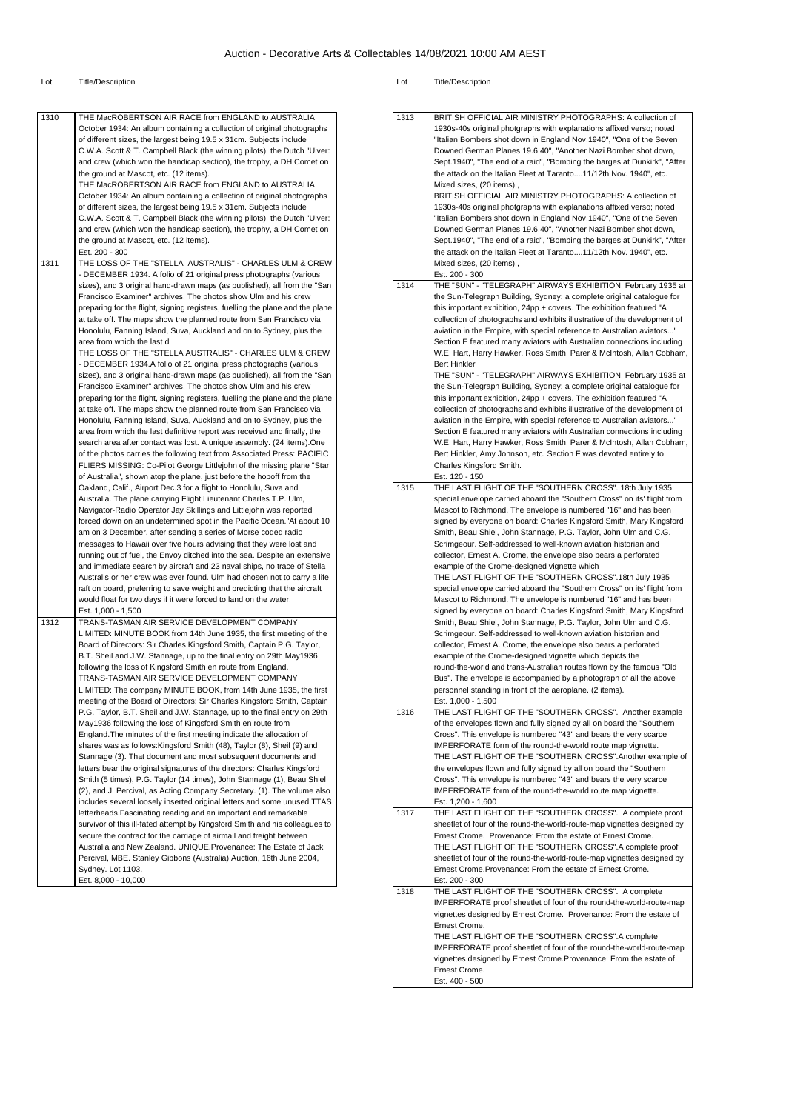| 1310 | THE MacROBERTSON AIR RACE from ENGLAND to AUSTRALIA,                          | 1313 | BRITISH OFFICIAL AIR MINISTRY PHOTOGRAPHS: A collection of                |
|------|-------------------------------------------------------------------------------|------|---------------------------------------------------------------------------|
|      | October 1934: An album containing a collection of original photographs        |      | 1930s-40s original photgraphs with explanations affixed verso; noted      |
|      | of different sizes, the largest being 19.5 x 31cm. Subjects include           |      | "Italian Bombers shot down in England Nov.1940", "One of the Seven        |
|      | C.W.A. Scott & T. Campbell Black (the winning pilots), the Dutch "Uiver:      |      | Downed German Planes 19.6.40", "Another Nazi Bomber shot down,            |
|      |                                                                               |      |                                                                           |
|      | and crew (which won the handicap section), the trophy, a DH Comet on          |      | Sept.1940", "The end of a raid", "Bombing the barges at Dunkirk", "After  |
|      | the ground at Mascot, etc. (12 items).                                        |      | the attack on the Italian Fleet at Taranto11/12th Nov. 1940", etc.        |
|      | THE MacROBERTSON AIR RACE from ENGLAND to AUSTRALIA,                          |      | Mixed sizes, (20 items).,                                                 |
|      | October 1934: An album containing a collection of original photographs        |      | BRITISH OFFICIAL AIR MINISTRY PHOTOGRAPHS: A collection of                |
|      | of different sizes, the largest being 19.5 x 31cm. Subjects include           |      | 1930s-40s original photgraphs with explanations affixed verso; noted      |
|      | C.W.A. Scott & T. Campbell Black (the winning pilots), the Dutch "Uiver:      |      | "Italian Bombers shot down in England Nov.1940", "One of the Seven        |
|      | and crew (which won the handicap section), the trophy, a DH Comet on          |      | Downed German Planes 19.6.40", "Another Nazi Bomber shot down,            |
|      | the ground at Mascot, etc. (12 items).                                        |      | Sept.1940", "The end of a raid", "Bombing the barges at Dunkirk", "After  |
|      | Est. 200 - 300                                                                |      | the attack on the Italian Fleet at Taranto11/12th Nov. 1940", etc.        |
| 1311 | THE LOSS OF THE "STELLA AUSTRALIS" - CHARLES ULM & CREW                       |      | Mixed sizes, (20 items).,                                                 |
|      | - DECEMBER 1934. A folio of 21 original press photographs (various            |      | Est. 200 - 300                                                            |
|      | sizes), and 3 original hand-drawn maps (as published), all from the "San      | 1314 | THE "SUN" - "TELEGRAPH" AIRWAYS EXHIBITION, February 1935 at              |
|      | Francisco Examiner" archives. The photos show Ulm and his crew                |      | the Sun-Telegraph Building, Sydney: a complete original catalogue for     |
|      | preparing for the flight, signing registers, fuelling the plane and the plane |      | this important exhibition, 24pp + covers. The exhibition featured "A      |
|      |                                                                               |      |                                                                           |
|      | at take off. The maps show the planned route from San Francisco via           |      | collection of photographs and exhibits illustrative of the development of |
|      | Honolulu, Fanning Island, Suva, Auckland and on to Sydney, plus the           |      | aviation in the Empire, with special reference to Australian aviators"    |
|      | area from which the last d                                                    |      | Section E featured many aviators with Australian connections including    |
|      | THE LOSS OF THE "STELLA AUSTRALIS" - CHARLES ULM & CREW                       |      | W.E. Hart, Harry Hawker, Ross Smith, Parer & McIntosh, Allan Cobham,      |
|      | - DECEMBER 1934.A folio of 21 original press photographs (various             |      | <b>Bert Hinkler</b>                                                       |
|      | sizes), and 3 original hand-drawn maps (as published), all from the "San      |      | THE "SUN" - "TELEGRAPH" AIRWAYS EXHIBITION, February 1935 at              |
|      | Francisco Examiner" archives. The photos show Ulm and his crew                |      | the Sun-Telegraph Building, Sydney: a complete original catalogue for     |
|      | preparing for the flight, signing registers, fuelling the plane and the plane |      | this important exhibition, 24pp + covers. The exhibition featured "A      |
|      | at take off. The maps show the planned route from San Francisco via           |      | collection of photographs and exhibits illustrative of the development of |
|      | Honolulu, Fanning Island, Suva, Auckland and on to Sydney, plus the           |      | aviation in the Empire, with special reference to Australian aviators"    |
|      | area from which the last definitive report was received and finally, the      |      | Section E featured many aviators with Australian connections including    |
|      |                                                                               |      |                                                                           |
|      | search area after contact was lost. A unique assembly. (24 items). One        |      | W.E. Hart, Harry Hawker, Ross Smith, Parer & McIntosh, Allan Cobham,      |
|      | of the photos carries the following text from Associated Press: PACIFIC       |      | Bert Hinkler, Amy Johnson, etc. Section F was devoted entirely to         |
|      | FLIERS MISSING: Co-Pilot George Littlejohn of the missing plane "Star         |      | Charles Kingsford Smith.                                                  |
|      | of Australia", shown atop the plane, just before the hopoff from the          |      | Est. 120 - 150                                                            |
|      | Oakland, Calif., Airport Dec.3 for a flight to Honolulu, Suva and             | 1315 | THE LAST FLIGHT OF THE "SOUTHERN CROSS". 18th July 1935                   |
|      | Australia. The plane carrying Flight Lieutenant Charles T.P. Ulm,             |      | special envelope carried aboard the "Southern Cross" on its' flight from  |
|      | Navigator-Radio Operator Jay Skillings and Littlejohn was reported            |      | Mascot to Richmond. The envelope is numbered "16" and has been            |
|      | forced down on an undetermined spot in the Pacific Ocean."At about 10         |      | signed by everyone on board: Charles Kingsford Smith, Mary Kingsford      |
|      | am on 3 December, after sending a series of Morse coded radio                 |      | Smith, Beau Shiel, John Stannage, P.G. Taylor, John Ulm and C.G.          |
|      | messages to Hawaii over five hours advising that they were lost and           |      | Scrimgeour. Self-addressed to well-known aviation historian and           |
|      | running out of fuel, the Envoy ditched into the sea. Despite an extensive     |      | collector, Ernest A. Crome, the envelope also bears a perforated          |
|      | and immediate search by aircraft and 23 naval ships, no trace of Stella       |      | example of the Crome-designed vignette which                              |
|      | Australis or her crew was ever found. Ulm had chosen not to carry a life      |      | THE LAST FLIGHT OF THE "SOUTHERN CROSS".18th July 1935                    |
|      |                                                                               |      |                                                                           |
|      | raft on board, preferring to save weight and predicting that the aircraft     |      | special envelope carried aboard the "Southern Cross" on its' flight from  |
|      | would float for two days if it were forced to land on the water.              |      | Mascot to Richmond. The envelope is numbered "16" and has been            |
|      | Est. 1,000 - 1,500                                                            |      | signed by everyone on board: Charles Kingsford Smith, Mary Kingsford      |
| 1312 | TRANS-TASMAN AIR SERVICE DEVELOPMENT COMPANY                                  |      | Smith, Beau Shiel, John Stannage, P.G. Taylor, John Ulm and C.G.          |
|      | LIMITED: MINUTE BOOK from 14th June 1935, the first meeting of the            |      | Scrimgeour. Self-addressed to well-known aviation historian and           |
|      | Board of Directors: Sir Charles Kingsford Smith, Captain P.G. Taylor,         |      | collector, Ernest A. Crome, the envelope also bears a perforated          |
|      | B.T. Sheil and J.W. Stannage, up to the final entry on 29th May1936           |      | example of the Crome-designed vignette which depicts the                  |
|      | following the loss of Kingsford Smith en route from England.                  |      | round-the-world and trans-Australian routes flown by the famous "Old      |
|      | TRANS-TASMAN AIR SERVICE DEVELOPMENT COMPANY                                  |      | Bus". The envelope is accompanied by a photograph of all the above        |
|      | LIMITED: The company MINUTE BOOK, from 14th June 1935, the first              |      | personnel standing in front of the aeroplane. (2 items).                  |
|      | meeting of the Board of Directors: Sir Charles Kingsford Smith, Captain       |      | Est. 1,000 - 1,500                                                        |
|      | P.G. Taylor, B.T. Sheil and J.W. Stannage, up to the final entry on 29th      | 1316 | THE LAST FLIGHT OF THE "SOUTHERN CROSS". Another example                  |
|      | May1936 following the loss of Kingsford Smith en route from                   |      | of the envelopes flown and fully signed by all on board the "Southern     |
|      |                                                                               |      |                                                                           |
|      | England. The minutes of the first meeting indicate the allocation of          |      | Cross". This envelope is numbered "43" and bears the very scarce          |
|      | shares was as follows: Kingsford Smith (48), Taylor (8), Sheil (9) and        |      | IMPERFORATE form of the round-the-world route map vignette.               |
|      | Stannage (3). That document and most subsequent documents and                 |      | THE LAST FLIGHT OF THE "SOUTHERN CROSS". Another example of               |
|      | letters bear the original signatures of the directors: Charles Kingsford      |      | the envelopes flown and fully signed by all on board the "Southern        |
|      | Smith (5 times), P.G. Taylor (14 times), John Stannage (1), Beau Shiel        |      | Cross". This envelope is numbered "43" and bears the very scarce          |
|      | (2), and J. Percival, as Acting Company Secretary. (1). The volume also       |      | IMPERFORATE form of the round-the-world route map vignette.               |
|      | includes several loosely inserted original letters and some unused TTAS       |      | Est. 1,200 - 1,600                                                        |
|      | letterheads. Fascinating reading and an important and remarkable              | 1317 | THE LAST FLIGHT OF THE "SOUTHERN CROSS". A complete proof                 |
|      | survivor of this ill-fated attempt by Kingsford Smith and his colleagues to   |      | sheetlet of four of the round-the-world-route-map vignettes designed by   |
|      | secure the contract for the carriage of airmail and freight between           |      | Ernest Crome. Provenance: From the estate of Ernest Crome.                |
|      | Australia and New Zealand. UNIQUE.Provenance: The Estate of Jack              |      | THE LAST FLIGHT OF THE "SOUTHERN CROSS".A complete proof                  |
|      | Percival, MBE. Stanley Gibbons (Australia) Auction, 16th June 2004,           |      | sheetlet of four of the round-the-world-route-map vignettes designed by   |
|      | Sydney. Lot 1103.                                                             |      | Ernest Crome. Provenance: From the estate of Ernest Crome.                |
|      |                                                                               |      |                                                                           |
|      | Est. 8,000 - 10,000                                                           | 1318 | Est. 200 - 300                                                            |
|      |                                                                               |      | THE LAST FLIGHT OF THE "SOUTHERN CROSS". A complete                       |
|      |                                                                               |      | IMPERFORATE proof sheetlet of four of the round-the-world-route-map       |
|      |                                                                               |      | vignettes designed by Ernest Crome. Provenance: From the estate of        |
|      |                                                                               |      | Ernest Crome.                                                             |
|      |                                                                               |      | THE LAST FLIGHT OF THE "SOUTHERN CROSS".A complete                        |
|      |                                                                               |      | IMPERFORATE proof sheetlet of four of the round-the-world-route-map       |
|      |                                                                               |      | vignettes designed by Ernest Crome.Provenance: From the estate of         |
|      |                                                                               |      | Ernest Crome.                                                             |
|      |                                                                               |      | Est. 400 - 500                                                            |
|      |                                                                               |      |                                                                           |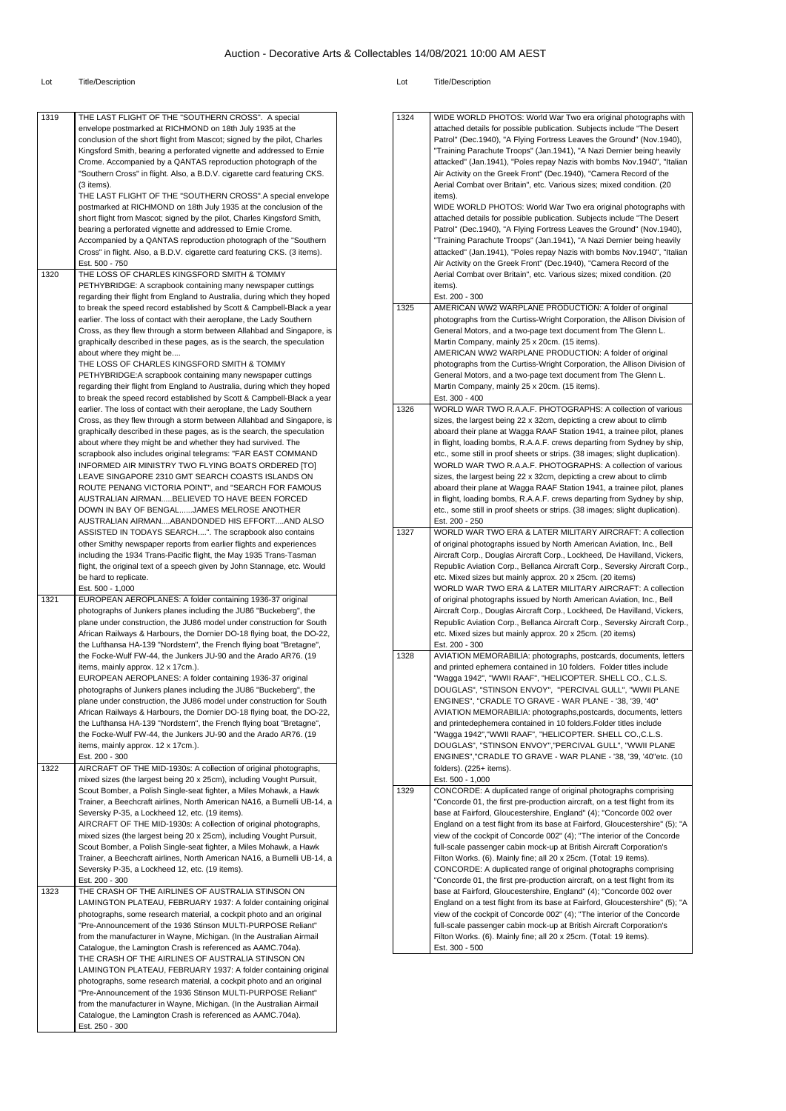#### Lot Title/Description Lot Title/Description

| 1319 | THE LAST FLIGHT OF THE "SOUTHERN CROSS". A special                            | 1324 | WIDE WORLD PHOTOS: World War Two era original photographs with               |
|------|-------------------------------------------------------------------------------|------|------------------------------------------------------------------------------|
|      | envelope postmarked at RICHMOND on 18th July 1935 at the                      |      | attached details for possible publication. Subjects include "The Desert      |
|      |                                                                               |      |                                                                              |
|      | conclusion of the short flight from Mascot; signed by the pilot, Charles      |      | Patrol" (Dec.1940), "A Flying Fortress Leaves the Ground" (Nov.1940),        |
|      | Kingsford Smith, bearing a perforated vignette and addressed to Ernie         |      | "Training Parachute Troops" (Jan.1941), "A Nazi Dernier being heavily        |
|      | Crome. Accompanied by a QANTAS reproduction photograph of the                 |      | attacked" (Jan. 1941), "Poles repay Nazis with bombs Nov. 1940", "Italian    |
|      | "Southern Cross" in flight. Also, a B.D.V. cigarette card featuring CKS.      |      | Air Activity on the Greek Front" (Dec.1940), "Camera Record of the           |
|      |                                                                               |      |                                                                              |
|      | (3 items).                                                                    |      | Aerial Combat over Britain", etc. Various sizes; mixed condition. (20        |
|      | THE LAST FLIGHT OF THE "SOUTHERN CROSS".A special envelope                    |      | items).                                                                      |
|      | postmarked at RICHMOND on 18th July 1935 at the conclusion of the             |      | WIDE WORLD PHOTOS: World War Two era original photographs with               |
|      | short flight from Mascot; signed by the pilot, Charles Kingsford Smith,       |      | attached details for possible publication. Subjects include "The Desert"     |
|      |                                                                               |      |                                                                              |
|      | bearing a perforated vignette and addressed to Ernie Crome.                   |      | Patrol" (Dec.1940), "A Flying Fortress Leaves the Ground" (Nov.1940),        |
|      | Accompanied by a QANTAS reproduction photograph of the "Southern              |      | "Training Parachute Troops" (Jan.1941), "A Nazi Dernier being heavily        |
|      | Cross" in flight. Also, a B.D.V. cigarette card featuring CKS. (3 items).     |      | attacked" (Jan. 1941), "Poles repay Nazis with bombs Nov. 1940", "Italian    |
|      | Est. 500 - 750                                                                |      | Air Activity on the Greek Front" (Dec.1940), "Camera Record of the           |
|      |                                                                               |      |                                                                              |
| 1320 | THE LOSS OF CHARLES KINGSFORD SMITH & TOMMY                                   |      | Aerial Combat over Britain", etc. Various sizes; mixed condition. (20        |
|      | PETHYBRIDGE: A scrapbook containing many newspaper cuttings                   |      | items).                                                                      |
|      | regarding their flight from England to Australia, during which they hoped     |      | Est. 200 - 300                                                               |
|      | to break the speed record established by Scott & Campbell-Black a year        | 1325 | AMERICAN WW2 WARPLANE PRODUCTION: A folder of original                       |
|      | earlier. The loss of contact with their aeroplane, the Lady Southern          |      | photographs from the Curtiss-Wright Corporation, the Allison Division of     |
|      | Cross, as they flew through a storm between Allahbad and Singapore, is        |      | General Motors, and a two-page text document from The Glenn L.               |
|      |                                                                               |      |                                                                              |
|      | graphically described in these pages, as is the search, the speculation       |      | Martin Company, mainly 25 x 20cm. (15 items).                                |
|      | about where they might be                                                     |      | AMERICAN WW2 WARPLANE PRODUCTION: A folder of original                       |
|      | THE LOSS OF CHARLES KINGSFORD SMITH & TOMMY                                   |      | photographs from the Curtiss-Wright Corporation, the Allison Division of     |
|      | PETHYBRIDGE:A scrapbook containing many newspaper cuttings                    |      | General Motors, and a two-page text document from The Glenn L.               |
|      |                                                                               |      |                                                                              |
|      | regarding their flight from England to Australia, during which they hoped     |      | Martin Company, mainly 25 x 20cm. (15 items).                                |
|      | to break the speed record established by Scott & Campbell-Black a year        |      | Est. 300 - 400                                                               |
|      | earlier. The loss of contact with their aeroplane, the Lady Southern          | 1326 | WORLD WAR TWO R.A.A.F. PHOTOGRAPHS: A collection of various                  |
|      | Cross, as they flew through a storm between Allahbad and Singapore, is        |      | sizes, the largest being 22 x 32cm, depicting a crew about to climb          |
|      | graphically described in these pages, as is the search, the speculation       |      | aboard their plane at Wagga RAAF Station 1941, a trainee pilot, planes       |
|      |                                                                               |      |                                                                              |
|      | about where they might be and whether they had survived. The                  |      | in flight, loading bombs, R.A.A.F. crews departing from Sydney by ship,      |
|      | scrapbook also includes original telegrams: "FAR EAST COMMAND                 |      | etc., some still in proof sheets or strips. (38 images; slight duplication). |
|      | INFORMED AIR MINISTRY TWO FLYING BOATS ORDERED [TO]                           |      | WORLD WAR TWO R.A.A.F. PHOTOGRAPHS: A collection of various                  |
|      | LEAVE SINGAPORE 2310 GMT SEARCH COASTS ISLANDS ON                             |      | sizes, the largest being 22 x 32cm, depicting a crew about to climb          |
|      | ROUTE PENANG VICTORIA POINT", and "SEARCH FOR FAMOUS                          |      | aboard their plane at Wagga RAAF Station 1941, a trainee pilot, planes       |
|      |                                                                               |      |                                                                              |
|      | AUSTRALIAN AIRMANBELIEVED TO HAVE BEEN FORCED                                 |      | in flight, loading bombs, R.A.A.F. crews departing from Sydney by ship,      |
|      | DOWN IN BAY OF BENGALJAMES MELROSE ANOTHER                                    |      | etc., some still in proof sheets or strips. (38 images; slight duplication). |
|      | AUSTRALIAN AIRMANABANDONDED HIS EFFORTAND ALSO                                |      | Est. 200 - 250                                                               |
|      | ASSISTED IN TODAYS SEARCH". The scrapbook also contains                       | 1327 | WORLD WAR TWO ERA & LATER MILITARY AIRCRAFT: A collection                    |
|      | other Smithy newspaper reports from earlier flights and experiences           |      | of original photographs issued by North American Aviation, Inc., Bell        |
|      |                                                                               |      |                                                                              |
|      | including the 1934 Trans-Pacific flight, the May 1935 Trans-Tasman            |      | Aircraft Corp., Douglas Aircraft Corp., Lockheed, De Havilland, Vickers,     |
|      | flight, the original text of a speech given by John Stannage, etc. Would      |      | Republic Aviation Corp., Bellanca Aircraft Corp., Seversky Aircraft Corp.,   |
|      |                                                                               |      | etc. Mixed sizes but mainly approx. 20 x 25cm. (20 items)                    |
|      | be hard to replicate.                                                         |      |                                                                              |
|      |                                                                               |      |                                                                              |
|      | Est. 500 - 1,000                                                              |      | WORLD WAR TWO ERA & LATER MILITARY AIRCRAFT: A collection                    |
| 1321 | EUROPEAN AEROPLANES: A folder containing 1936-37 original                     |      | of original photographs issued by North American Aviation, Inc., Bell        |
|      | photographs of Junkers planes including the JU86 "Buckeberg", the             |      | Aircraft Corp., Douglas Aircraft Corp., Lockheed, De Havilland, Vickers,     |
|      | plane under construction, the JU86 model under construction for South         |      | Republic Aviation Corp., Bellanca Aircraft Corp., Seversky Aircraft Corp.,   |
|      | African Railways & Harbours, the Dornier DO-18 flying boat, the DO-22,        |      |                                                                              |
|      |                                                                               |      | etc. Mixed sizes but mainly approx. 20 x 25cm. (20 items)                    |
|      | the Lufthansa HA-139 "Nordstern", the French flying boat "Bretagne",          |      | Est. 200 - 300                                                               |
|      | the Focke-Wulf FW-44, the Junkers JU-90 and the Arado AR76. (19               | 1328 | AVIATION MEMORABILIA: photographs, postcards, documents, letters             |
|      | items, mainly approx. 12 x 17cm.).                                            |      | and printed ephemera contained in 10 folders. Folder titles include          |
|      | EUROPEAN AEROPLANES: A folder containing 1936-37 original                     |      | "Wagga 1942", "WWII RAAF", "HELICOPTER. SHELL CO., C.L.S.                    |
|      | photographs of Junkers planes including the JU86 "Buckeberg", the             |      |                                                                              |
|      |                                                                               |      | DOUGLAS", "STINSON ENVOY", "PERCIVAL GULL", "WWII PLANE                      |
|      | plane under construction, the JU86 model under construction for South         |      | ENGINES", "CRADLE TO GRAVE - WAR PLANE - '38, '39, '40"                      |
|      | African Railways & Harbours, the Dornier DO-18 flying boat, the DO-22,        |      | AVIATION MEMORABILIA: photographs,postcards, documents, letters              |
|      | the Lufthansa HA-139 "Nordstern", the French flying boat "Bretagne",          |      | and printedephemera contained in 10 folders. Folder titles include           |
|      | the Focke-Wulf FW-44, the Junkers JU-90 and the Arado AR76. (19               |      | "Wagga 1942", "WWII RAAF", "HELICOPTER. SHELL CO., C.L.S.                    |
|      |                                                                               |      |                                                                              |
|      | items, mainly approx. 12 x 17cm.).                                            |      | DOUGLAS", "STINSON ENVOY", "PERCIVAL GULL", "WWII PLANE                      |
|      | Est. 200 - 300                                                                |      | ENGINES", "CRADLE TO GRAVE - WAR PLANE - '38, '39, '40"etc. (10)             |
| 1322 | AIRCRAFT OF THE MID-1930s: A collection of original photographs,              |      | folders). (225+ items).                                                      |
|      | mixed sizes (the largest being 20 x 25cm), including Vought Pursuit,          |      | Est. 500 - 1,000                                                             |
|      | Scout Bomber, a Polish Single-seat fighter, a Miles Mohawk, a Hawk            | 1329 | CONCORDE: A duplicated range of original photographs comprising              |
|      |                                                                               |      |                                                                              |
|      | Trainer, a Beechcraft airlines, North American NA16, a Burnelli UB-14, a      |      | "Concorde 01, the first pre-production aircraft, on a test flight from its   |
|      | Seversky P-35, a Lockheed 12, etc. (19 items).                                |      | base at Fairford, Gloucestershire, England" (4); "Concorde 002 over          |
|      | AIRCRAFT OF THE MID-1930s: A collection of original photographs,              |      | England on a test flight from its base at Fairford, Gloucestershire" (5); "A |
|      | mixed sizes (the largest being 20 x 25cm), including Vought Pursuit,          |      | view of the cockpit of Concorde 002" (4); "The interior of the Concorde      |
|      | Scout Bomber, a Polish Single-seat fighter, a Miles Mohawk, a Hawk            |      | full-scale passenger cabin mock-up at British Aircraft Corporation's         |
|      |                                                                               |      |                                                                              |
|      | Trainer, a Beechcraft airlines, North American NA16, a Burnelli UB-14, a      |      | Filton Works. (6). Mainly fine; all 20 x 25cm. (Total: 19 items).            |
|      | Seversky P-35, a Lockheed 12, etc. (19 items).                                |      | CONCORDE: A duplicated range of original photographs comprising              |
|      | Est. 200 - 300                                                                |      | "Concorde 01, the first pre-production aircraft, on a test flight from its   |
| 1323 | THE CRASH OF THE AIRLINES OF AUSTRALIA STINSON ON                             |      | base at Fairford, Gloucestershire, England" (4); "Concorde 002 over          |
|      | LAMINGTON PLATEAU, FEBRUARY 1937: A folder containing original                |      | England on a test flight from its base at Fairford, Gloucestershire" (5); "A |
|      |                                                                               |      |                                                                              |
|      | photographs, some research material, a cockpit photo and an original          |      | view of the cockpit of Concorde 002" (4); "The interior of the Concorde      |
|      | "Pre-Announcement of the 1936 Stinson MULTI-PURPOSE Reliant"                  |      | full-scale passenger cabin mock-up at British Aircraft Corporation's         |
|      | from the manufacturer in Wayne, Michigan. (In the Australian Airmail          |      | Filton Works. (6). Mainly fine; all 20 x 25cm. (Total: 19 items).            |
|      | Catalogue, the Lamington Crash is referenced as AAMC.704a).                   |      | Est. 300 - 500                                                               |
|      | THE CRASH OF THE AIRLINES OF AUSTRALIA STINSON ON                             |      |                                                                              |
|      |                                                                               |      |                                                                              |
|      | LAMINGTON PLATEAU, FEBRUARY 1937: A folder containing original                |      |                                                                              |
|      | photographs, some research material, a cockpit photo and an original          |      |                                                                              |
|      | "Pre-Announcement of the 1936 Stinson MULTI-PURPOSE Reliant"                  |      |                                                                              |
|      | from the manufacturer in Wayne, Michigan. (In the Australian Airmail          |      |                                                                              |
|      |                                                                               |      |                                                                              |
|      | Catalogue, the Lamington Crash is referenced as AAMC.704a).<br>Est. 250 - 300 |      |                                                                              |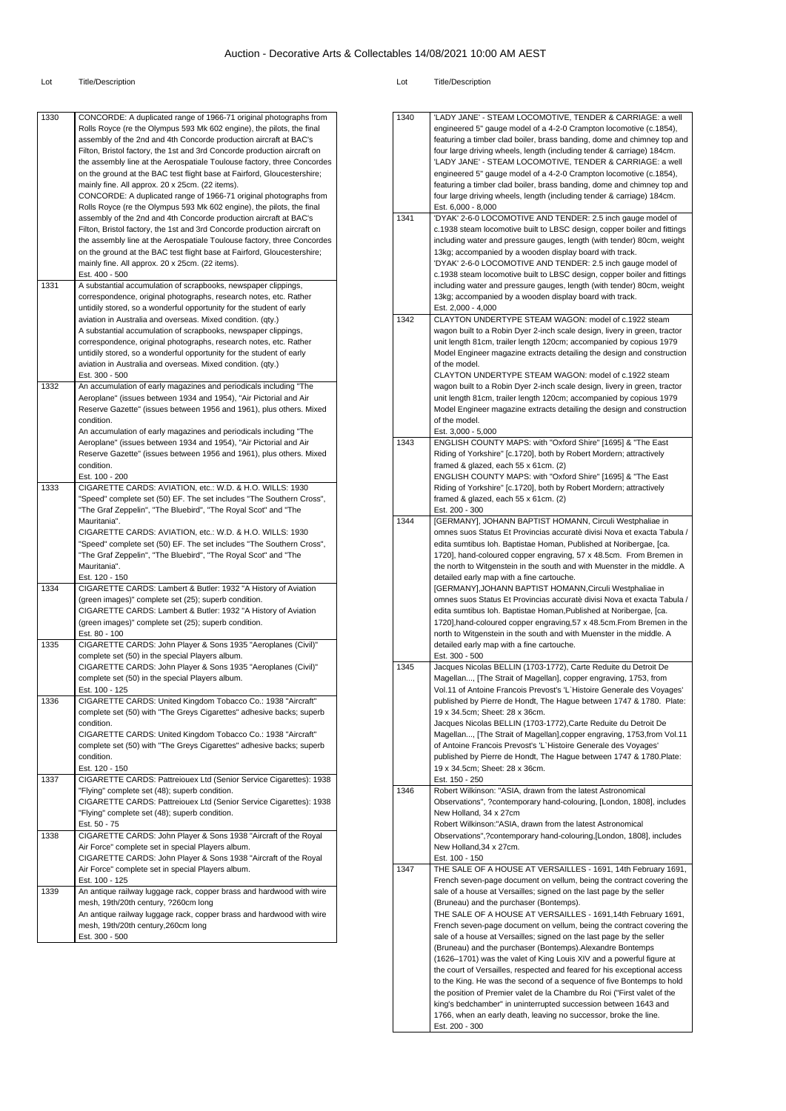#### Lot Title/Description Lot Title/Description

| 1330 | CONCORDE: A duplicated range of 1966-71 original photographs from<br>Rolls Royce (re the Olympus 593 Mk 602 engine), the pilots, the final<br>assembly of the 2nd and 4th Concorde production aircraft at BAC's<br>Filton, Bristol factory, the 1st and 3rd Concorde production aircraft on<br>the assembly line at the Aerospatiale Toulouse factory, three Concordes<br>on the ground at the BAC test flight base at Fairford, Gloucestershire; | 1340 | 'LADY JANE' - STEAM L<br>engineered 5" gauge mo<br>featuring a timber clad bo<br>four large driving wheels.<br>'LADY JANE' - STEAM L<br>engineered 5" gauge mo |
|------|---------------------------------------------------------------------------------------------------------------------------------------------------------------------------------------------------------------------------------------------------------------------------------------------------------------------------------------------------------------------------------------------------------------------------------------------------|------|----------------------------------------------------------------------------------------------------------------------------------------------------------------|
|      | mainly fine. All approx. 20 x 25cm. (22 items).<br>CONCORDE: A duplicated range of 1966-71 original photographs from<br>Rolls Royce (re the Olympus 593 Mk 602 engine), the pilots, the final                                                                                                                                                                                                                                                     |      | featuring a timber clad bo<br>four large driving wheels.<br>Est. 6,000 - 8,000                                                                                 |
|      | assembly of the 2nd and 4th Concorde production aircraft at BAC's<br>Filton, Bristol factory, the 1st and 3rd Concorde production aircraft on<br>the assembly line at the Aerospatiale Toulouse factory, three Concordes<br>on the ground at the BAC test flight base at Fairford, Gloucestershire;                                                                                                                                               | 1341 | 'DYAK' 2-6-0 LOCOMOT<br>c.1938 steam locomotive<br>including water and pres<br>13kg; accompanied by a                                                          |
|      | mainly fine. All approx. 20 x 25cm. (22 items).<br>Est. 400 - 500                                                                                                                                                                                                                                                                                                                                                                                 |      | 'DYAK' 2-6-0 LOCOMOT<br>c.1938 steam locomotive                                                                                                                |
| 1331 | A substantial accumulation of scrapbooks, newspaper clippings,<br>correspondence, original photographs, research notes, etc. Rather<br>untidily stored, so a wonderful opportunity for the student of early                                                                                                                                                                                                                                       |      | including water and press<br>13kg; accompanied by a<br>Est. 2,000 - 4,000                                                                                      |
|      | aviation in Australia and overseas. Mixed condition. (qty.)<br>A substantial accumulation of scrapbooks, newspaper clippings,                                                                                                                                                                                                                                                                                                                     | 1342 | <b>CLAYTON UNDERTYPE</b><br>wagon built to a Robin D                                                                                                           |
|      | correspondence, original photographs, research notes, etc. Rather<br>untidily stored, so a wonderful opportunity for the student of early<br>aviation in Australia and overseas. Mixed condition. (qty.)                                                                                                                                                                                                                                          |      | unit length 81cm, trailer I<br>Model Engineer magazin<br>of the model.                                                                                         |
| 1332 | Est. 300 - 500<br>An accumulation of early magazines and periodicals including "The                                                                                                                                                                                                                                                                                                                                                               |      | <b>CLAYTON UNDERTYPE</b><br>wagon built to a Robin D                                                                                                           |
|      | Aeroplane" (issues between 1934 and 1954), "Air Pictorial and Air<br>Reserve Gazette" (issues between 1956 and 1961), plus others. Mixed<br>condition.                                                                                                                                                                                                                                                                                            |      | unit length 81cm, trailer I<br>Model Engineer magazin<br>of the model.                                                                                         |
|      | An accumulation of early magazines and periodicals including "The<br>Aeroplane" (issues between 1934 and 1954), "Air Pictorial and Air<br>Reserve Gazette" (issues between 1956 and 1961), plus others. Mixed                                                                                                                                                                                                                                     | 1343 | Est. 3,000 - 5,000<br><b>ENGLISH COUNTY MAR</b><br>Riding of Yorkshire" [c.17                                                                                  |
|      | condition.<br>Est. 100 - 200                                                                                                                                                                                                                                                                                                                                                                                                                      |      | framed & glazed, each 5<br><b>ENGLISH COUNTY MAR</b>                                                                                                           |
| 1333 | CIGARETTE CARDS: AVIATION, etc.: W.D. & H.O. WILLS: 1930<br>"Speed" complete set (50) EF. The set includes "The Southern Cross",<br>"The Graf Zeppelin", "The Bluebird", "The Royal Scot" and "The                                                                                                                                                                                                                                                |      | Riding of Yorkshire" [c.17<br>framed & glazed, each 5<br>Est. 200 - 300                                                                                        |
|      | Mauritania".<br>CIGARETTE CARDS: AVIATION, etc.: W.D. & H.O. WILLS: 1930                                                                                                                                                                                                                                                                                                                                                                          | 1344 | [GERMANY], JOHANN E<br>omnes suos Status Et Pr                                                                                                                 |
|      | "Speed" complete set (50) EF. The set includes "The Southern Cross",<br>"The Graf Zeppelin", "The Bluebird", "The Royal Scot" and "The<br>Mauritania".                                                                                                                                                                                                                                                                                            |      | edita sumtibus Ioh. Bapti<br>1720], hand-coloured cop<br>the north to Witgenstein i                                                                            |
| 1334 | Est. 120 - 150<br>CIGARETTE CARDS: Lambert & Butler: 1932 "A History of Aviation                                                                                                                                                                                                                                                                                                                                                                  |      | detailed early map with a<br>[GERMANY],JOHANN B                                                                                                                |
|      | (green images)" complete set (25); superb condition.<br>CIGARETTE CARDS: Lambert & Butler: 1932 "A History of Aviation<br>(green images)" complete set (25); superb condition.                                                                                                                                                                                                                                                                    |      | omnes suos Status Et Pr<br>edita sumtibus Ioh. Bapti<br>1720], hand-coloured cop                                                                               |
| 1335 | Est. 80 - 100<br>CIGARETTE CARDS: John Player & Sons 1935 "Aeroplanes (Civil)"<br>complete set (50) in the special Players album.                                                                                                                                                                                                                                                                                                                 |      | north to Witgenstein in th<br>detailed early map with a<br>Est. 300 - 500                                                                                      |
|      | CIGARETTE CARDS: John Player & Sons 1935 "Aeroplanes (Civil)"<br>complete set (50) in the special Players album.                                                                                                                                                                                                                                                                                                                                  | 1345 | Jacques Nicolas BELLIN<br>Magellan, [The Strait of                                                                                                             |
| 1336 | Est. 100 - 125<br>CIGARETTE CARDS: United Kingdom Tobacco Co.: 1938 "Aircraft"<br>complete set (50) with "The Greys Cigarettes" adhesive backs; superb                                                                                                                                                                                                                                                                                            |      | Vol.11 of Antoine Franco<br>published by Pierre de H<br>19 x 34.5cm; Sheet: 28 x                                                                               |
|      | condition.<br>CIGARETTE CARDS: United Kingdom Tobacco Co.: 1938 "Aircraft"<br>complete set (50) with "The Greys Cigarettes" adhesive backs; superb<br>condition.                                                                                                                                                                                                                                                                                  |      | Jacques Nicolas BELLIN<br>Magellan, [The Strait of<br>of Antoine Francois Prev                                                                                 |
| 1337 | Est. 120 - 150<br>CIGARETTE CARDS: Pattreiouex Ltd (Senior Service Cigarettes): 1938                                                                                                                                                                                                                                                                                                                                                              |      | published by Pierre de H<br>19 x 34.5cm; Sheet: 28 x<br>Est. 150 - 250                                                                                         |
|      | "Flying" complete set (48); superb condition.<br>CIGARETTE CARDS: Pattreiouex Ltd (Senior Service Cigarettes): 1938<br>"Flying" complete set (48); superb condition.<br>Est. 50 - 75                                                                                                                                                                                                                                                              | 1346 | Robert Wilkinson: "ASIA,<br>Observations", ?contemp<br>New Holland, 34 x 27cm<br>Robert Wilkinson:"ASIA,                                                       |
| 1338 | CIGARETTE CARDS: John Player & Sons 1938 "Aircraft of the Royal<br>Air Force" complete set in special Players album.<br>CIGARETTE CARDS: John Player & Sons 1938 "Aircraft of the Royal<br>Air Force" complete set in special Players album.                                                                                                                                                                                                      | 1347 | Observations",?contemp<br>New Holland, 34 x 27cm.<br>Est. 100 - 150<br>THE SALE OF A HOUSE                                                                     |
| 1339 | Est. 100 - 125<br>An antique railway luggage rack, copper brass and hardwood with wire<br>mesh, 19th/20th century, ?260cm long                                                                                                                                                                                                                                                                                                                    |      | French seven-page docu<br>sale of a house at Versai<br>(Bruneau) and the purcha                                                                                |
|      | An antique railway luggage rack, copper brass and hardwood with wire<br>mesh, 19th/20th century,260cm long<br>Est. 300 - 500                                                                                                                                                                                                                                                                                                                      |      | THE SALE OF A HOUSE<br>French seven-page docu<br>sale of a house at Versai                                                                                     |
|      |                                                                                                                                                                                                                                                                                                                                                                                                                                                   |      | (Bruneau) and the purcha<br>(1626-1701) was the val                                                                                                            |
|      |                                                                                                                                                                                                                                                                                                                                                                                                                                                   |      | the court of Versailles, re<br>to the King. He was the s<br>the position of Premier va                                                                         |

| 1340<br>1341 | 'LADY JANE' - STEAM LOCOMOTIVE, TENDER & CARRIAGE: a well<br>engineered 5" gauge model of a 4-2-0 Crampton locomotive (c.1854),<br>featuring a timber clad boiler, brass banding, dome and chimney top and<br>four large driving wheels, length (including tender & carriage) 184cm.<br>'LADY JANE' - STEAM LOCOMOTIVE, TENDER & CARRIAGE: a well<br>engineered 5" gauge model of a 4-2-0 Crampton locomotive (c.1854),<br>featuring a timber clad boiler, brass banding, dome and chimney top and<br>four large driving wheels, length (including tender & carriage) 184cm.<br>Est. 6,000 - 8,000<br>'DYAK' 2-6-0 LOCOMOTIVE AND TENDER: 2.5 inch gauge model of<br>c.1938 steam locomotive built to LBSC design, copper boiler and fittings                                                                                                                                                                                                                                           |
|--------------|-----------------------------------------------------------------------------------------------------------------------------------------------------------------------------------------------------------------------------------------------------------------------------------------------------------------------------------------------------------------------------------------------------------------------------------------------------------------------------------------------------------------------------------------------------------------------------------------------------------------------------------------------------------------------------------------------------------------------------------------------------------------------------------------------------------------------------------------------------------------------------------------------------------------------------------------------------------------------------------------|
|              | including water and pressure gauges, length (with tender) 80cm, weight<br>13kg; accompanied by a wooden display board with track.<br>'DYAK' 2-6-0 LOCOMOTIVE AND TENDER: 2.5 inch gauge model of<br>c.1938 steam locomotive built to LBSC design, copper boiler and fittings<br>including water and pressure gauges, length (with tender) 80cm, weight<br>13kg; accompanied by a wooden display board with track.<br>Est. 2,000 - 4,000                                                                                                                                                                                                                                                                                                                                                                                                                                                                                                                                                 |
| 1342         | CLAYTON UNDERTYPE STEAM WAGON: model of c.1922 steam<br>wagon built to a Robin Dyer 2-inch scale design, livery in green, tractor<br>unit length 81cm, trailer length 120cm; accompanied by copious 1979<br>Model Engineer magazine extracts detailing the design and construction<br>of the model.<br>CLAYTON UNDERTYPE STEAM WAGON: model of c.1922 steam<br>wagon built to a Robin Dyer 2-inch scale design, livery in green, tractor<br>unit length 81cm, trailer length 120cm; accompanied by copious 1979<br>Model Engineer magazine extracts detailing the design and construction<br>of the model.<br>Est. 3,000 - 5,000                                                                                                                                                                                                                                                                                                                                                        |
| 1343         | ENGLISH COUNTY MAPS: with "Oxford Shire" [1695] & "The East<br>Riding of Yorkshire" [c.1720], both by Robert Mordern; attractively<br>framed & glazed, each 55 x 61cm. (2)<br>ENGLISH COUNTY MAPS: with "Oxford Shire" [1695] & "The East<br>Riding of Yorkshire" [c.1720], both by Robert Mordern; attractively<br>framed & glazed, each 55 x 61cm. (2)<br>Est. 200 - 300                                                                                                                                                                                                                                                                                                                                                                                                                                                                                                                                                                                                              |
| 1344         | [GERMANY], JOHANN BAPTIST HOMANN, Circuli Westphaliae in<br>omnes suos Status Et Provincias accuratè divisi Nova et exacta Tabula /<br>edita sumtibus Ioh. Baptistae Homan, Published at Noribergae, [ca.<br>1720], hand-coloured copper engraving, 57 x 48.5cm. From Bremen in<br>the north to Witgenstein in the south and with Muenster in the middle. A<br>detailed early map with a fine cartouche.<br>[GERMANY], JOHANN BAPTIST HOMANN, Circuli Westphaliae in<br>omnes suos Status Et Provincias accuratè divisi Nova et exacta Tabula /<br>edita sumtibus Ioh. Baptistae Homan, Published at Noribergae, [ca.<br>1720], hand-coloured copper engraving, 57 x 48.5cm. From Bremen in the<br>north to Witgenstein in the south and with Muenster in the middle. A<br>detailed early map with a fine cartouche.<br>Est. 300 - 500                                                                                                                                                  |
| 1345         | Jacques Nicolas BELLIN (1703-1772), Carte Reduite du Detroit De<br>Magellan, [The Strait of Magellan], copper engraving, 1753, from<br>Vol.11 of Antoine Francois Prevost's 'L'Histoire Generale des Voyages'<br>published by Pierre de Hondt, The Hague between 1747 & 1780. Plate:<br>19 x 34.5cm; Sheet: 28 x 36cm.<br>Jacques Nicolas BELLIN (1703-1772), Carte Reduite du Detroit De<br>Magellan, [The Strait of Magellan], copper engraving, 1753, from Vol.11<br>of Antoine Francois Prevost's 'L'Histoire Generale des Voyages'<br>published by Pierre de Hondt, The Hague between 1747 & 1780. Plate:<br>19 x 34.5cm; Sheet: 28 x 36cm.<br>Est. 150 - 250                                                                                                                                                                                                                                                                                                                      |
| 1346         | Robert Wilkinson: "ASIA, drawn from the latest Astronomical<br>Observations", ?contemporary hand-colouring, [London, 1808], includes<br>New Holland, 34 x 27cm<br>Robert Wilkinson:"ASIA, drawn from the latest Astronomical<br>Observations", ?contemporary hand-colouring, [London, 1808], includes<br>New Holland, 34 x 27cm.<br>Est. 100 - 150                                                                                                                                                                                                                                                                                                                                                                                                                                                                                                                                                                                                                                      |
| 1347         | THE SALE OF A HOUSE AT VERSAILLES - 1691, 14th February 1691,<br>French seven-page document on vellum, being the contract covering the<br>sale of a house at Versailles; signed on the last page by the seller<br>(Bruneau) and the purchaser (Bontemps).<br>THE SALE OF A HOUSE AT VERSAILLES - 1691,14th February 1691,<br>French seven-page document on vellum, being the contract covering the<br>sale of a house at Versailles; signed on the last page by the seller<br>(Bruneau) and the purchaser (Bontemps). Alexandre Bontemps<br>(1626-1701) was the valet of King Louis XIV and a powerful figure at<br>the court of Versailles, respected and feared for his exceptional access<br>to the King. He was the second of a sequence of five Bontemps to hold<br>the position of Premier valet de la Chambre du Roi ("First valet of the<br>king's bedchamber" in uninterrupted succession between 1643 and<br>1766, when an early death, leaving no successor, broke the line. |

Est. 200 - 300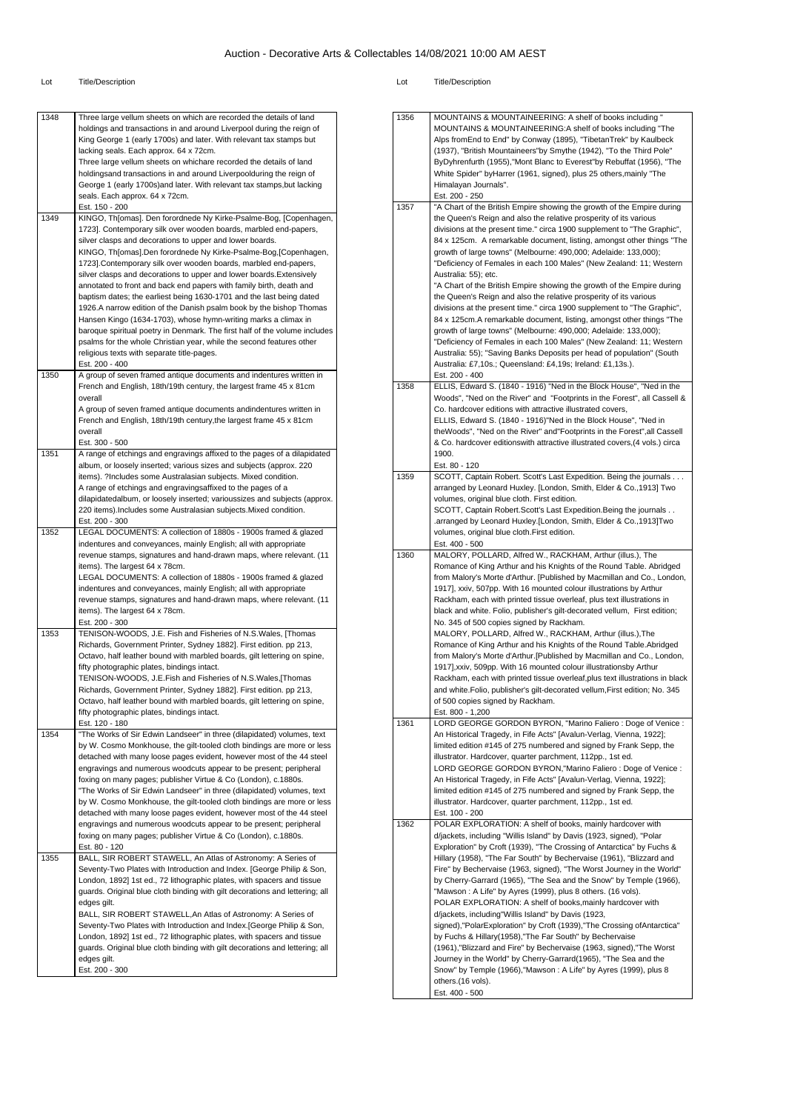| 1348 |                                                                                                                                              | 1356 | <b>MOUNT</b>                      |
|------|----------------------------------------------------------------------------------------------------------------------------------------------|------|-----------------------------------|
|      | Three large vellum sheets on which are recorded the details of land<br>holdings and transactions in and around Liverpool during the reign of |      | <b>MOUNT</b>                      |
|      | King George 1 (early 1700s) and later. With relevant tax stamps but                                                                          |      | Alps fror                         |
|      | lacking seals. Each approx. 64 x 72cm.                                                                                                       |      | (1937),                           |
|      | Three large vellum sheets on whichare recorded the details of land                                                                           |      | ByDyhre                           |
|      | holdingsand transactions in and around Liverpoolduring the reign of                                                                          |      | White S <sub>l</sub>              |
|      | George 1 (early 1700s) and later. With relevant tax stamps, but lacking                                                                      |      | Himalay                           |
|      | seals. Each approx. 64 x 72cm.<br>Est. 150 - 200                                                                                             | 1357 | Est. 200<br>"A Charl              |
| 1349 | KINGO, Th[omas]. Den forordnede Ny Kirke-Psalme-Bog, [Copenhagen,                                                                            |      | the Que                           |
|      | 1723]. Contemporary silk over wooden boards, marbled end-papers,                                                                             |      | divisions                         |
|      | silver clasps and decorations to upper and lower boards.                                                                                     |      | 84 x 125                          |
|      | KINGO, Th[omas].Den forordnede Ny Kirke-Psalme-Bog,[Copenhagen,                                                                              |      | growth c                          |
|      | 1723].Contemporary silk over wooden boards, marbled end-papers,                                                                              |      | "Deficier                         |
|      | silver clasps and decorations to upper and lower boards. Extensively                                                                         |      | Australia                         |
|      | annotated to front and back end papers with family birth, death and                                                                          |      | "A Chart<br>the Que               |
|      | baptism dates; the earliest being 1630-1701 and the last being dated<br>1926.A narrow edition of the Danish psalm book by the bishop Thomas  |      | divisions                         |
|      | Hansen Kingo (1634-1703), whose hymn-writing marks a climax in                                                                               |      | 84 x 125                          |
|      | baroque spiritual poetry in Denmark. The first half of the volume includes                                                                   |      | growth c                          |
|      | psalms for the whole Christian year, while the second features other                                                                         |      | "Deficier                         |
|      | religious texts with separate title-pages.                                                                                                   |      | Australia                         |
|      | Est. 200 - 400                                                                                                                               |      | Australia                         |
| 1350 | A group of seven framed antique documents and indentures written in<br>French and English, 18th/19th century, the largest frame 45 x 81cm    | 1358 | Est. 200<br>ELLIS, E              |
|      | overall                                                                                                                                      |      | Woods",                           |
|      | A group of seven framed antique documents andindentures written in                                                                           |      | Co. hard                          |
|      | French and English, 18th/19th century, the largest frame 45 x 81cm                                                                           |      | ELLIS, E                          |
|      | overall                                                                                                                                      |      | theWoo                            |
|      | Est. 300 - 500                                                                                                                               |      | & Co. ha                          |
| 1351 | A range of etchings and engravings affixed to the pages of a dilapidated                                                                     |      | 1900.                             |
|      | album, or loosely inserted; various sizes and subjects (approx. 220<br>items). ?Includes some Australasian subjects. Mixed condition.        | 1359 | Est. 80 -<br>SCOTT,               |
|      | A range of etchings and engravings affixed to the pages of a                                                                                 |      | arrange                           |
|      | dilapidatedalbum, or loosely inserted; varioussizes and subjects (approx.                                                                    |      | volumes                           |
|      | 220 items). Includes some Australasian subjects. Mixed condition.                                                                            |      | SCOTT,                            |
|      | Est. 200 - 300                                                                                                                               |      | .arrange                          |
| 1352 | LEGAL DOCUMENTS: A collection of 1880s - 1900s framed & glazed                                                                               |      | volumes                           |
|      | indentures and conveyances, mainly English; all with appropriate                                                                             | 1360 | Est. 400<br><b>MALOR</b>          |
|      | revenue stamps, signatures and hand-drawn maps, where relevant. (11<br>items). The largest 64 x 78cm.                                        |      | Romanc                            |
|      | LEGAL DOCUMENTS: A collection of 1880s - 1900s framed & glazed                                                                               |      | from Ma                           |
|      | indentures and conveyances, mainly English; all with appropriate                                                                             |      | 1917], x                          |
|      | revenue stamps, signatures and hand-drawn maps, where relevant. (11                                                                          |      | Rackhar                           |
|      | items). The largest 64 x 78cm.                                                                                                               |      | black an                          |
|      | Est. 200 - 300                                                                                                                               |      | No. 345                           |
| 1353 | TENISON-WOODS, J.E. Fish and Fisheries of N.S.Wales, [Thomas<br>Richards, Government Printer, Sydney 1882]. First edition. pp 213,           |      | <b>MALOR</b><br>Romanc            |
|      | Octavo, half leather bound with marbled boards, gilt lettering on spine,                                                                     |      | from Ma                           |
|      | fifty photographic plates, bindings intact.                                                                                                  |      | 1917],xx                          |
|      | TENISON-WOODS, J.E.Fish and Fisheries of N.S.Wales, [Thomas                                                                                  |      | Rackhar                           |
|      | Richards, Government Printer, Sydney 1882]. First edition. pp 213,                                                                           |      | and whit                          |
|      | Octavo, half leather bound with marbled boards, gilt lettering on spine,                                                                     |      | of 500 c                          |
|      | fifty photographic plates, bindings intact.                                                                                                  |      | Est. 800                          |
| 1354 | Est. 120 - 180<br>"The Works of Sir Edwin Landseer" in three (dilapidated) volumes, text                                                     | 1361 | LORD G<br>An Histc                |
|      | by W. Cosmo Monkhouse, the gilt-tooled cloth bindings are more or less                                                                       |      | limited e                         |
|      | detached with many loose pages evident, however most of the 44 steel                                                                         |      | illustrato                        |
|      | engravings and numerous woodcuts appear to be present; peripheral                                                                            |      | LORD G                            |
|      | foxing on many pages; publisher Virtue & Co (London), c.1880s.                                                                               |      | An Histo                          |
|      | "The Works of Sir Edwin Landseer" in three (dilapidated) volumes, text                                                                       |      | limited e                         |
|      | by W. Cosmo Monkhouse, the gilt-tooled cloth bindings are more or less                                                                       |      | illustrato                        |
|      | detached with many loose pages evident, however most of the 44 steel                                                                         | 1362 | Est. 100                          |
|      | engravings and numerous woodcuts appear to be present; peripheral<br>foxing on many pages; publisher Virtue & Co (London), c.1880s.          |      | POLAR                             |
|      | Est. 80 - 120                                                                                                                                |      | d/jackets<br>Explorat             |
| 1355 | BALL, SIR ROBERT STAWELL, An Atlas of Astronomy: A Series of                                                                                 |      | Hillary (*                        |
|      | Seventy-Two Plates with Introduction and Index. [George Philip & Son,                                                                        |      | Fire" by                          |
|      | London, 1892] 1st ed., 72 lithographic plates, with spacers and tissue                                                                       |      | by Cheri                          |
|      | guards. Original blue cloth binding with gilt decorations and lettering; all                                                                 |      | "Mawsor                           |
|      | edges gilt.                                                                                                                                  |      | POLAR                             |
|      | BALL, SIR ROBERT STAWELL, An Atlas of Astronomy: A Series of                                                                                 |      | d/jackets                         |
|      | Seventy-Two Plates with Introduction and Index. [George Philip & Son,                                                                        |      | signed),<br>by Fuch               |
|      |                                                                                                                                              |      |                                   |
|      | London, 1892] 1st ed., 72 lithographic plates, with spacers and tissue                                                                       |      |                                   |
|      | guards. Original blue cloth binding with gilt decorations and lettering; all<br>edges gilt.                                                  |      |                                   |
|      | Est. 200 - 300                                                                                                                               |      | $(1961),$ "<br>Journey<br>Snow" b |

| 1356 | MOUNTAINS & MOUNTAINEERING: A shelf of books including "<br>MOUNTAINS & MOUNTAINEERING:A shelf of books including "The<br>Alps fromEnd to End" by Conway (1895), "TibetanTrek" by Kaulbeck<br>(1937), "British Mountaineers"by Smythe (1942), "To the Third Pole"<br>ByDyhrenfurth (1955), "Mont Blanc to Everest"by Rebuffat (1956), "The<br>White Spider" byHarrer (1961, signed), plus 25 others, mainly "The<br>Himalayan Journals".<br>Est. 200 - 250                                                                                                                                                                                                                                                                                                                                                                                                                                                                                                                                                                                                              |
|------|-------------------------------------------------------------------------------------------------------------------------------------------------------------------------------------------------------------------------------------------------------------------------------------------------------------------------------------------------------------------------------------------------------------------------------------------------------------------------------------------------------------------------------------------------------------------------------------------------------------------------------------------------------------------------------------------------------------------------------------------------------------------------------------------------------------------------------------------------------------------------------------------------------------------------------------------------------------------------------------------------------------------------------------------------------------------------|
| 1357 | "A Chart of the British Empire showing the growth of the Empire during<br>the Queen's Reign and also the relative prosperity of its various<br>divisions at the present time." circa 1900 supplement to "The Graphic",<br>84 x 125cm. A remarkable document, listing, amongst other things "The<br>growth of large towns" (Melbourne: 490,000; Adelaide: 133,000);<br>"Deficiency of Females in each 100 Males" (New Zealand: 11; Western<br>Australia: 55); etc.<br>"A Chart of the British Empire showing the growth of the Empire during<br>the Queen's Reign and also the relative prosperity of its various<br>divisions at the present time." circa 1900 supplement to "The Graphic",<br>84 x 125cm. A remarkable document, listing, amongst other things "The<br>growth of large towns" (Melbourne: 490,000; Adelaide: 133,000);<br>"Deficiency of Females in each 100 Males" (New Zealand: 11; Western<br>Australia: 55); "Saving Banks Deposits per head of population" (South<br>Australia: £7,10s.; Queensland: £4,19s; Ireland: £1,13s.).<br>Est. 200 - 400 |
| 1358 | ELLIS, Edward S. (1840 - 1916) "Ned in the Block House", "Ned in the<br>Woods", "Ned on the River" and "Footprints in the Forest", all Cassell &<br>Co. hardcover editions with attractive illustrated covers,<br>ELLIS, Edward S. (1840 - 1916)"Ned in the Block House", "Ned in<br>theWoods", "Ned on the River" and"Footprints in the Forest", all Cassell<br>& Co. hardcover editionswith attractive illustrated covers, (4 vols.) circa<br>1900.<br>Est. 80 - 120                                                                                                                                                                                                                                                                                                                                                                                                                                                                                                                                                                                                  |
| 1359 | SCOTT, Captain Robert. Scott's Last Expedition. Being the journals<br>arranged by Leonard Huxley. [London, Smith, Elder & Co., 1913] Two<br>volumes, original blue cloth. First edition.<br>SCOTT, Captain Robert. Scott's Last Expedition. Being the journals<br>arranged by Leonard Huxley.[London, Smith, Elder & Co., 1913]Two.<br>volumes, original blue cloth.First edition.<br>Est. 400 - 500                                                                                                                                                                                                                                                                                                                                                                                                                                                                                                                                                                                                                                                                    |
| 1360 | MALORY, POLLARD, Alfred W., RACKHAM, Arthur (illus.), The<br>Romance of King Arthur and his Knights of the Round Table. Abridged<br>from Malory's Morte d'Arthur. [Published by Macmillan and Co., London,<br>1917], xxiv, 507pp. With 16 mounted colour illustrations by Arthur<br>Rackham, each with printed tissue overleaf, plus text illustrations in<br>black and white. Folio, publisher's gilt-decorated vellum, First edition;<br>No. 345 of 500 copies signed by Rackham.<br>MALORY, POLLARD, Alfred W., RACKHAM, Arthur (illus.), The<br>Romance of King Arthur and his Knights of the Round Table. Abridged<br>from Malory's Morte d'Arthur.[Published by Macmillan and Co., London,<br>1917], xxiv, 509pp. With 16 mounted colour illustrationsby Arthur<br>Rackham, each with printed tissue overleaf, plus text illustrations in black<br>and white. Folio, publisher's gilt-decorated vellum, First edition; No. 345<br>of 500 copies signed by Rackham.<br>Est. 800 - 1,200                                                                            |
| 1361 | LORD GEORGE GORDON BYRON, "Marino Faliero : Doge of Venice :<br>An Historical Tragedy, in Fife Acts" [Avalun-Verlag, Vienna, 1922];<br>limited edition #145 of 275 numbered and signed by Frank Sepp, the<br>illustrator. Hardcover, quarter parchment, 112pp., 1st ed.<br>LORD GEORGE GORDON BYRON,"Marino Faliero: Doge of Venice:<br>An Historical Tragedy, in Fife Acts" [Avalun-Verlag, Vienna, 1922];<br>limited edition #145 of 275 numbered and signed by Frank Sepp, the<br>illustrator. Hardcover, quarter parchment, 112pp., 1st ed.<br>Est. 100 - 200                                                                                                                                                                                                                                                                                                                                                                                                                                                                                                       |
| 1362 | POLAR EXPLORATION: A shelf of books, mainly hardcover with<br>d/jackets, including "Willis Island" by Davis (1923, signed), "Polar<br>Exploration" by Croft (1939), "The Crossing of Antarctica" by Fuchs &<br>Hillary (1958), "The Far South" by Bechervaise (1961), "Blizzard and<br>Fire" by Bechervaise (1963, signed), "The Worst Journey in the World"<br>by Cherry-Garrard (1965), "The Sea and the Snow" by Temple (1966),<br>"Mawson: A Life" by Ayres (1999), plus 8 others. (16 vols).<br>POLAR EXPLORATION: A shelf of books, mainly hardcover with<br>d/jackets, including"Willis Island" by Davis (1923,<br>signed),"PolarExploration" by Croft (1939),"The Crossing of Antarctica"<br>by Fuchs & Hillary(1958),"The Far South" by Bechervaise<br>(1961), "Blizzard and Fire" by Bechervaise (1963, signed), "The Worst<br>Journey in the World" by Cherry-Garrard(1965), "The Sea and the<br>Snow" by Temple (1966), "Mawson: A Life" by Ayres (1999), plus 8<br>others.(16 vols).<br>Est. 400 - 500                                                     |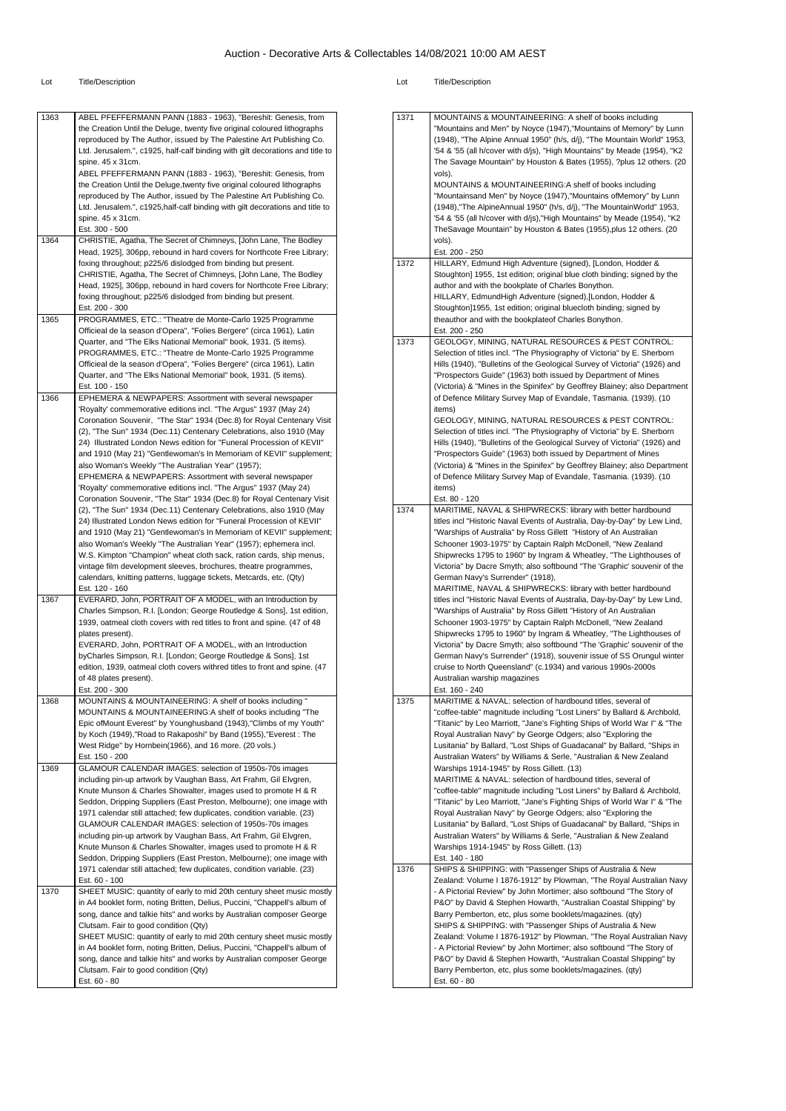| 1363 | ABEL PFEFFERMANN PANN (1883 - 1963), "Bereshit: Genesis, from                 | 1371 | MOUNTAINS & MOUNTAINEERING: A shelf of books including                    |
|------|-------------------------------------------------------------------------------|------|---------------------------------------------------------------------------|
|      | the Creation Until the Deluge, twenty five original coloured lithographs      |      | "Mountains and Men" by Noyce (1947),"Mountains of Memory" by Lunn         |
|      | reproduced by The Author, issued by The Palestine Art Publishing Co.          |      | (1948), "The Alpine Annual 1950" (h/s, d/j), "The Mountain World" 1953,   |
|      |                                                                               |      |                                                                           |
|      | Ltd. Jerusalem.", c1925, half-calf binding with gilt decorations and title to |      | '54 & '55 (all h/cover with d/js), "High Mountains" by Meade (1954), "K2  |
|      | spine. 45 x 31cm.                                                             |      | The Savage Mountain" by Houston & Bates (1955), ?plus 12 others. (20      |
|      | ABEL PFEFFERMANN PANN (1883 - 1963), "Bereshit: Genesis, from                 |      | vols).                                                                    |
|      |                                                                               |      |                                                                           |
|      | the Creation Until the Deluge, twenty five original coloured lithographs      |      | MOUNTAINS & MOUNTAINEERING:A shelf of books including                     |
|      | reproduced by The Author, issued by The Palestine Art Publishing Co.          |      | "Mountainsand Men" by Noyce (1947),"Mountains of Memory" by Lunn          |
|      | Ltd. Jerusalem.", c1925, half-calf binding with gilt decorations and title to |      | (1948),"The AlpineAnnual 1950" (h/s, d/j), "The MountainWorld" 1953,      |
|      | spine. 45 x 31cm.                                                             |      | '54 & '55 (all h/cover with d/js), "High Mountains" by Meade (1954), "K2  |
|      |                                                                               |      |                                                                           |
|      | Est. 300 - 500                                                                |      | TheSavage Mountain" by Houston & Bates (1955), plus 12 others. (20        |
| 1364 | CHRISTIE, Agatha, The Secret of Chimneys, [John Lane, The Bodley              |      | vols).                                                                    |
|      | Head, 1925], 306pp, rebound in hard covers for Northcote Free Library;        |      | Est. 200 - 250                                                            |
|      |                                                                               |      |                                                                           |
|      | foxing throughout; p225/6 dislodged from binding but present.                 | 1372 | HILLARY, Edmund High Adventure (signed), [London, Hodder &                |
|      | CHRISTIE, Agatha, The Secret of Chimneys, [John Lane, The Bodley              |      | Stoughton] 1955, 1st edition; original blue cloth binding; signed by the  |
|      | Head, 1925], 306pp, rebound in hard covers for Northcote Free Library;        |      | author and with the bookplate of Charles Bonython.                        |
|      | foxing throughout; p225/6 dislodged from binding but present.                 |      | HILLARY, EdmundHigh Adventure (signed), [London, Hodder &                 |
|      |                                                                               |      |                                                                           |
|      | Est. 200 - 300                                                                |      | Stoughton]1955, 1st edition; original bluecloth binding; signed by        |
| 1365 | PROGRAMMES, ETC.: "Theatre de Monte-Carlo 1925 Programme                      |      | theauthor and with the bookplateof Charles Bonython.                      |
|      | Officieal de la season d'Opera", "Folies Bergere" (circa 1961), Latin         |      | Est. 200 - 250                                                            |
|      |                                                                               |      |                                                                           |
|      | Quarter, and "The Elks National Memorial" book, 1931. (5 items).              | 1373 | GEOLOGY, MINING, NATURAL RESOURCES & PEST CONTROL:                        |
|      | PROGRAMMES, ETC.: "Theatre de Monte-Carlo 1925 Programme                      |      | Selection of titles incl. "The Physiography of Victoria" by E. Sherborn   |
|      | Officieal de la season d'Opera", "Folies Bergere" (circa 1961), Latin         |      | Hills (1940), "Bulletins of the Geological Survey of Victoria" (1926) and |
|      | Quarter, and "The Elks National Memorial" book, 1931. (5 items).              |      | "Prospectors Guide" (1963) both issued by Department of Mines             |
|      |                                                                               |      |                                                                           |
|      | Est. 100 - 150                                                                |      | (Victoria) & "Mines in the Spinifex" by Geoffrey Blainey; also Department |
| 1366 | EPHEMERA & NEWPAPERS: Assortment with several newspaper                       |      | of Defence Military Survey Map of Evandale, Tasmania. (1939). (10         |
|      | 'Royalty' commemorative editions incl. "The Argus" 1937 (May 24)              |      | items)                                                                    |
|      |                                                                               |      |                                                                           |
|      | Coronation Souvenir, "The Star" 1934 (Dec.8) for Royal Centenary Visit        |      | GEOLOGY, MINING, NATURAL RESOURCES & PEST CONTROL:                        |
|      | (2), "The Sun" 1934 (Dec.11) Centenary Celebrations, also 1910 (May           |      | Selection of titles incl. "The Physiography of Victoria" by E. Sherborn   |
|      | 24) Illustrated London News edition for "Funeral Procession of KEVII"         |      | Hills (1940), "Bulletins of the Geological Survey of Victoria" (1926) and |
|      |                                                                               |      |                                                                           |
|      | and 1910 (May 21) "Gentlewoman's In Memoriam of KEVII" supplement;            |      | "Prospectors Guide" (1963) both issued by Department of Mines             |
|      | also Woman's Weekly "The Australian Year" (1957);                             |      | (Victoria) & "Mines in the Spinifex" by Geoffrey Blainey; also Department |
|      | EPHEMERA & NEWPAPERS: Assortment with several newspaper                       |      | of Defence Military Survey Map of Evandale, Tasmania. (1939). (10         |
|      | 'Royalty' commemorative editions incl. "The Argus" 1937 (May 24)              |      | items)                                                                    |
|      |                                                                               |      |                                                                           |
|      | Coronation Souvenir, "The Star" 1934 (Dec.8) for Royal Centenary Visit        |      | Est. 80 - 120                                                             |
|      | (2), "The Sun" 1934 (Dec.11) Centenary Celebrations, also 1910 (May           | 1374 | MARITIME, NAVAL & SHIPWRECKS: library with better hardbound               |
|      | 24) Illustrated London News edition for "Funeral Procession of KEVII"         |      | titles incl "Historic Naval Events of Australia, Day-by-Day" by Lew Lind, |
|      | and 1910 (May 21) "Gentlewoman's In Memoriam of KEVII" supplement;            |      | "Warships of Australia" by Ross Gillett "History of An Australian         |
|      |                                                                               |      |                                                                           |
|      | also Woman's Weekly "The Australian Year" (1957); ephemera incl.              |      | Schooner 1903-1975" by Captain Ralph McDonell, "New Zealand               |
|      | W.S. Kimpton "Champion" wheat cloth sack, ration cards, ship menus,           |      | Shipwrecks 1795 to 1960" by Ingram & Wheatley, "The Lighthouses of        |
|      | vintage film development sleeves, brochures, theatre programmes,              |      | Victoria" by Dacre Smyth; also softbound "The 'Graphic' souvenir of the   |
|      |                                                                               |      |                                                                           |
|      | calendars, knitting patterns, luggage tickets, Metcards, etc. (Qty)           |      | German Navy's Surrender" (1918),                                          |
|      | Est. 120 - 160                                                                |      | MARITIME, NAVAL & SHIPWRECKS: library with better hardbound               |
| 1367 | EVERARD, John, PORTRAIT OF A MODEL, with an Introduction by                   |      | titles incl "Historic Naval Events of Australia, Day-by-Day" by Lew Lind, |
|      | Charles Simpson, R.I. [London; George Routledge & Sons], 1st edition,         |      | "Warships of Australia" by Ross Gillett "History of An Australian         |
|      |                                                                               |      |                                                                           |
|      | 1939, oatmeal cloth covers with red titles to front and spine. (47 of 48      |      | Schooner 1903-1975" by Captain Ralph McDonell, "New Zealand               |
|      | plates present).                                                              |      | Shipwrecks 1795 to 1960" by Ingram & Wheatley, "The Lighthouses of        |
|      | EVERARD, John, PORTRAIT OF A MODEL, with an Introduction                      |      | Victoria" by Dacre Smyth; also softbound "The 'Graphic' souvenir of the   |
|      |                                                                               |      | German Navy's Surrender" (1918), souvenir issue of SS Orungul winter      |
|      | byCharles Simpson, R.I. [London; George Routledge & Sons], 1st                |      |                                                                           |
|      | edition, 1939, oatmeal cloth covers withred titles to front and spine. (47    |      | cruise to North Queensland" (c.1934) and various 1990s-2000s              |
|      | of 48 plates present).                                                        |      | Australian warship magazines                                              |
|      | Est. 200 - 300                                                                |      | Est. 160 - 240                                                            |
|      |                                                                               |      |                                                                           |
| 1368 | MOUNTAINS & MOUNTAINEERING: A shelf of books including                        | 1375 | MARITIME & NAVAL: selection of hardbound titles, several of               |
|      | MOUNTAINS & MOUNTAINEERING:A shelf of books including "The                    |      | "coffee-table" magnitude including "Lost Liners" by Ballard & Archbold,   |
|      | Epic of Mount Everest" by Younghusband (1943), "Climbs of my Youth"           |      | "Titanic" by Leo Marriott, "Jane's Fighting Ships of World War I" & "The  |
|      |                                                                               |      | Royal Australian Navy" by George Odgers; also "Exploring the              |
|      | by Koch (1949),"Road to Rakaposhi" by Band (1955),"Everest: The               |      |                                                                           |
|      | West Ridge" by Hornbein(1966), and 16 more. (20 vols.)                        |      | Lusitania" by Ballard, "Lost Ships of Guadacanal" by Ballard, "Ships in   |
|      | Est. 150 - 200                                                                |      | Australian Waters" by Williams & Serle, "Australian & New Zealand         |
| 1369 | GLAMOUR CALENDAR IMAGES: selection of 1950s-70s images                        |      | Warships 1914-1945" by Ross Gillett. (13)                                 |
|      |                                                                               |      |                                                                           |
|      | including pin-up artwork by Vaughan Bass, Art Frahm, Gil Elvgren,             |      | MARITIME & NAVAL: selection of hardbound titles, several of               |
|      | Knute Munson & Charles Showalter, images used to promote H & R                |      | "coffee-table" magnitude including "Lost Liners" by Ballard & Archbold,   |
|      | Seddon, Dripping Suppliers (East Preston, Melbourne); one image with          |      | "Titanic" by Leo Marriott, "Jane's Fighting Ships of World War I" & "The  |
|      | 1971 calendar still attached; few duplicates, condition variable. (23)        |      | Royal Australian Navy" by George Odgers; also "Exploring the              |
|      |                                                                               |      |                                                                           |
|      | GLAMOUR CALENDAR IMAGES: selection of 1950s-70s images                        |      | Lusitania" by Ballard, "Lost Ships of Guadacanal" by Ballard, "Ships in   |
|      | including pin-up artwork by Vaughan Bass, Art Frahm, Gil Elvgren,             |      | Australian Waters" by Williams & Serle, "Australian & New Zealand         |
|      |                                                                               |      | Warships 1914-1945" by Ross Gillett. (13)                                 |
|      |                                                                               |      |                                                                           |
|      | Knute Munson & Charles Showalter, images used to promote H & R                |      | Est. 140 - 180                                                            |
|      | Seddon, Dripping Suppliers (East Preston, Melbourne); one image with          | 1376 | SHIPS & SHIPPING: with "Passenger Ships of Australia & New                |
|      | 1971 calendar still attached; few duplicates, condition variable. (23)        |      |                                                                           |
|      | Est. 60 - 100                                                                 |      |                                                                           |
|      |                                                                               |      | Zealand: Volume I 1876-1912" by Plowman, "The Royal Australian Navy       |
| 1370 | SHEET MUSIC: quantity of early to mid 20th century sheet music mostly         |      | - A Pictorial Review" by John Mortimer; also softbound "The Story of      |
|      | in A4 booklet form, noting Britten, Delius, Puccini, "Chappell's album of     |      | P&O" by David & Stephen Howarth, "Australian Coastal Shipping" by         |
|      | song, dance and talkie hits" and works by Australian composer George          |      | Barry Pemberton, etc, plus some booklets/magazines. (qty)                 |
|      |                                                                               |      |                                                                           |
|      | Clutsam. Fair to good condition (Qty)                                         |      | SHIPS & SHIPPING: with "Passenger Ships of Australia & New                |
|      | SHEET MUSIC: quantity of early to mid 20th century sheet music mostly         |      | Zealand: Volume I 1876-1912" by Plowman, "The Royal Australian Navy       |
|      | in A4 booklet form, noting Britten, Delius, Puccini, "Chappell's album of     |      | - A Pictorial Review" by John Mortimer; also softbound "The Story of      |
|      |                                                                               |      |                                                                           |
|      | song, dance and talkie hits" and works by Australian composer George          |      | P&O" by David & Stephen Howarth, "Australian Coastal Shipping" by         |
|      | Clutsam. Fair to good condition (Qty)                                         |      | Barry Pemberton, etc, plus some booklets/magazines. (qty)                 |
|      | Est. 60 - 80                                                                  |      | Est. 60 - 80                                                              |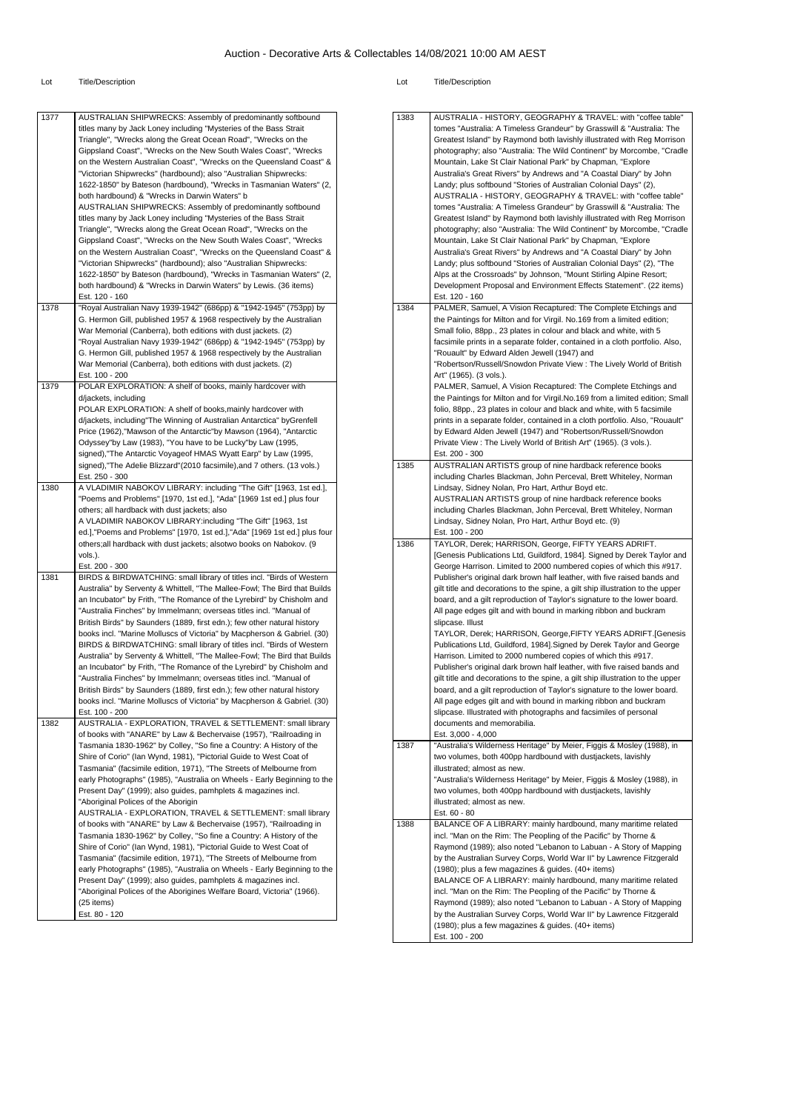| 1377 | AUSTRALIAN SHIPWRECKS: Assembly of predominantly softbound                | 1383 | <b>AUST</b>                                                                                                                                                                                                                                                                                                                                                               |
|------|---------------------------------------------------------------------------|------|---------------------------------------------------------------------------------------------------------------------------------------------------------------------------------------------------------------------------------------------------------------------------------------------------------------------------------------------------------------------------|
|      | titles many by Jack Loney including "Mysteries of the Bass Strait         |      | tomes                                                                                                                                                                                                                                                                                                                                                                     |
|      | Triangle", "Wrecks along the Great Ocean Road", "Wrecks on the            |      | Great                                                                                                                                                                                                                                                                                                                                                                     |
|      | Gippsland Coast", "Wrecks on the New South Wales Coast", "Wrecks          |      | photo                                                                                                                                                                                                                                                                                                                                                                     |
|      |                                                                           |      |                                                                                                                                                                                                                                                                                                                                                                           |
|      | on the Western Australian Coast", "Wrecks on the Queensland Coast" &      |      | Moun                                                                                                                                                                                                                                                                                                                                                                      |
|      | "Victorian Shipwrecks" (hardbound); also "Australian Shipwrecks:          |      | Austra                                                                                                                                                                                                                                                                                                                                                                    |
|      | 1622-1850" by Bateson (hardbound), "Wrecks in Tasmanian Waters" (2,       |      | Landy                                                                                                                                                                                                                                                                                                                                                                     |
|      | both hardbound) & "Wrecks in Darwin Waters" b                             |      | <b>AUST</b>                                                                                                                                                                                                                                                                                                                                                               |
|      | AUSTRALIAN SHIPWRECKS: Assembly of predominantly softbound                |      | tomes                                                                                                                                                                                                                                                                                                                                                                     |
|      | titles many by Jack Loney including "Mysteries of the Bass Strait         |      | Great                                                                                                                                                                                                                                                                                                                                                                     |
|      | Triangle", "Wrecks along the Great Ocean Road", "Wrecks on the            |      | photo                                                                                                                                                                                                                                                                                                                                                                     |
|      | Gippsland Coast", "Wrecks on the New South Wales Coast", "Wrecks          |      | Moun                                                                                                                                                                                                                                                                                                                                                                      |
|      | on the Western Australian Coast", "Wrecks on the Queensland Coast" &      |      | Austra                                                                                                                                                                                                                                                                                                                                                                    |
|      | "Victorian Shipwrecks" (hardbound); also "Australian Shipwrecks:          |      | Landy                                                                                                                                                                                                                                                                                                                                                                     |
|      | 1622-1850" by Bateson (hardbound), "Wrecks in Tasmanian Waters" (2,       |      | Alps a                                                                                                                                                                                                                                                                                                                                                                    |
|      |                                                                           |      |                                                                                                                                                                                                                                                                                                                                                                           |
|      | both hardbound) & "Wrecks in Darwin Waters" by Lewis. (36 items)          |      | Devel                                                                                                                                                                                                                                                                                                                                                                     |
|      | Est. 120 - 160                                                            |      | Est. 1                                                                                                                                                                                                                                                                                                                                                                    |
| 1378 | "Royal Australian Navy 1939-1942" (686pp) & "1942-1945" (753pp) by        | 1384 | PALM                                                                                                                                                                                                                                                                                                                                                                      |
|      | G. Hermon Gill, published 1957 & 1968 respectively by the Australian      |      | the Pa                                                                                                                                                                                                                                                                                                                                                                    |
|      | War Memorial (Canberra), both editions with dust jackets. (2)             |      | Small                                                                                                                                                                                                                                                                                                                                                                     |
|      | "Royal Australian Navy 1939-1942" (686pp) & "1942-1945" (753pp) by        |      | facsin                                                                                                                                                                                                                                                                                                                                                                    |
|      | G. Hermon Gill, published 1957 & 1968 respectively by the Australian      |      | "Roua                                                                                                                                                                                                                                                                                                                                                                     |
|      | War Memorial (Canberra), both editions with dust jackets. (2)             |      | "Robe                                                                                                                                                                                                                                                                                                                                                                     |
|      | Est. 100 - 200                                                            |      | Art" (                                                                                                                                                                                                                                                                                                                                                                    |
| 1379 | POLAR EXPLORATION: A shelf of books, mainly hardcover with                |      | PALM                                                                                                                                                                                                                                                                                                                                                                      |
|      |                                                                           |      |                                                                                                                                                                                                                                                                                                                                                                           |
|      | d/jackets, including                                                      |      | the Pa                                                                                                                                                                                                                                                                                                                                                                    |
|      | POLAR EXPLORATION: A shelf of books, mainly hardcover with                |      | folio,                                                                                                                                                                                                                                                                                                                                                                    |
|      | d/jackets, including"The Winning of Australian Antarctica" byGrenfell     |      | prints                                                                                                                                                                                                                                                                                                                                                                    |
|      | Price (1962), "Mawson of the Antarctic"by Mawson (1964), "Antarctic       |      | by Ed                                                                                                                                                                                                                                                                                                                                                                     |
|      | Odyssey"by Law (1983), "You have to be Lucky"by Law (1995,                |      | Privat                                                                                                                                                                                                                                                                                                                                                                    |
|      | signed), "The Antarctic Voyageof HMAS Wyatt Earp" by Law (1995,           |      | Est. 2                                                                                                                                                                                                                                                                                                                                                                    |
|      | signed), "The Adelie Blizzard" (2010 facsimile), and 7 others. (13 vols.) | 1385 | AUST                                                                                                                                                                                                                                                                                                                                                                      |
|      | Est. 250 - 300                                                            |      | includ                                                                                                                                                                                                                                                                                                                                                                    |
| 1380 | A VLADIMIR NABOKOV LIBRARY: including "The Gift" [1963, 1st ed.],         |      | Linds                                                                                                                                                                                                                                                                                                                                                                     |
|      |                                                                           |      |                                                                                                                                                                                                                                                                                                                                                                           |
|      | "Poems and Problems" [1970, 1st ed.], "Ada" [1969 1st ed.] plus four      |      | <b>AUST</b>                                                                                                                                                                                                                                                                                                                                                               |
|      | others; all hardback with dust jackets; also                              |      | includ                                                                                                                                                                                                                                                                                                                                                                    |
|      | A VLADIMIR NABOKOV LIBRARY: including "The Gift" [1963, 1st               |      | Linds                                                                                                                                                                                                                                                                                                                                                                     |
|      | ed.],"Poems and Problems" [1970, 1st ed.],"Ada" [1969 1st ed.] plus four  |      | Est. 1                                                                                                                                                                                                                                                                                                                                                                    |
|      |                                                                           |      |                                                                                                                                                                                                                                                                                                                                                                           |
|      | others; all hardback with dust jackets; alsotwo books on Nabokov. (9      | 1386 |                                                                                                                                                                                                                                                                                                                                                                           |
|      | vols.).                                                                   |      |                                                                                                                                                                                                                                                                                                                                                                           |
|      |                                                                           |      |                                                                                                                                                                                                                                                                                                                                                                           |
|      | Est. 200 - 300                                                            |      |                                                                                                                                                                                                                                                                                                                                                                           |
| 1381 | BIRDS & BIRDWATCHING: small library of titles incl. "Birds of Western     |      |                                                                                                                                                                                                                                                                                                                                                                           |
|      | Australia" by Serventy & Whittell, "The Mallee-Fowl; The Bird that Builds |      |                                                                                                                                                                                                                                                                                                                                                                           |
|      | an Incubator" by Frith, "The Romance of the Lyrebird" by Chisholm and     |      |                                                                                                                                                                                                                                                                                                                                                                           |
|      | "Australia Finches" by Immelmann; overseas titles incl. "Manual of        |      |                                                                                                                                                                                                                                                                                                                                                                           |
|      | British Birds" by Saunders (1889, first edn.); few other natural history  |      |                                                                                                                                                                                                                                                                                                                                                                           |
|      | books incl. "Marine Molluscs of Victoria" by Macpherson & Gabriel. (30)   |      |                                                                                                                                                                                                                                                                                                                                                                           |
|      | BIRDS & BIRDWATCHING: small library of titles incl. "Birds of Western     |      |                                                                                                                                                                                                                                                                                                                                                                           |
|      | Australia" by Serventy & Whittell, "The Mallee-Fowl; The Bird that Builds |      |                                                                                                                                                                                                                                                                                                                                                                           |
|      |                                                                           |      |                                                                                                                                                                                                                                                                                                                                                                           |
|      | an Incubator" by Frith, "The Romance of the Lyrebird" by Chisholm and     |      |                                                                                                                                                                                                                                                                                                                                                                           |
|      | "Australia Finches" by Immelmann; overseas titles incl. "Manual of        |      |                                                                                                                                                                                                                                                                                                                                                                           |
|      | British Birds" by Saunders (1889, first edn.); few other natural history  |      |                                                                                                                                                                                                                                                                                                                                                                           |
|      | books incl. "Marine Molluscs of Victoria" by Macpherson & Gabriel. (30)   |      |                                                                                                                                                                                                                                                                                                                                                                           |
|      | Est. 100 - 200                                                            |      |                                                                                                                                                                                                                                                                                                                                                                           |
| 1382 | AUSTRALIA - EXPLORATION, TRAVEL & SETTLEMENT: small library               |      |                                                                                                                                                                                                                                                                                                                                                                           |
|      | of books with "ANARE" by Law & Bechervaise (1957), "Railroading in        |      |                                                                                                                                                                                                                                                                                                                                                                           |
|      | Tasmania 1830-1962" by Colley, "So fine a Country: A History of the       | 1387 |                                                                                                                                                                                                                                                                                                                                                                           |
|      | Shire of Corio" (lan Wynd, 1981), "Pictorial Guide to West Coat of        |      |                                                                                                                                                                                                                                                                                                                                                                           |
|      | Tasmania" (facsimile edition, 1971), "The Streets of Melbourne from       |      |                                                                                                                                                                                                                                                                                                                                                                           |
|      | early Photographs" (1985), "Australia on Wheels - Early Beginning to the  |      |                                                                                                                                                                                                                                                                                                                                                                           |
|      | Present Day" (1999); also guides, pamhplets & magazines incl.             |      |                                                                                                                                                                                                                                                                                                                                                                           |
|      |                                                                           |      |                                                                                                                                                                                                                                                                                                                                                                           |
|      | "Aboriginal Polices of the Aborigin                                       |      |                                                                                                                                                                                                                                                                                                                                                                           |
|      | AUSTRALIA - EXPLORATION, TRAVEL & SETTLEMENT: small library               |      |                                                                                                                                                                                                                                                                                                                                                                           |
|      | of books with "ANARE" by Law & Bechervaise (1957), "Railroading in        | 1388 |                                                                                                                                                                                                                                                                                                                                                                           |
|      | Tasmania 1830-1962" by Colley, "So fine a Country: A History of the       |      |                                                                                                                                                                                                                                                                                                                                                                           |
|      | Shire of Corio" (Ian Wynd, 1981), "Pictorial Guide to West Coat of        |      |                                                                                                                                                                                                                                                                                                                                                                           |
|      | Tasmania" (facsimile edition, 1971), "The Streets of Melbourne from       |      |                                                                                                                                                                                                                                                                                                                                                                           |
|      | early Photographs" (1985), "Australia on Wheels - Early Beginning to the  |      |                                                                                                                                                                                                                                                                                                                                                                           |
|      | Present Day" (1999); also guides, pamhplets & magazines incl.             |      |                                                                                                                                                                                                                                                                                                                                                                           |
|      | "Aboriginal Polices of the Aborigines Welfare Board, Victoria" (1966).    |      |                                                                                                                                                                                                                                                                                                                                                                           |
|      | (25 items)                                                                |      |                                                                                                                                                                                                                                                                                                                                                                           |
|      |                                                                           |      |                                                                                                                                                                                                                                                                                                                                                                           |
|      | Est. 80 - 120                                                             |      |                                                                                                                                                                                                                                                                                                                                                                           |
|      |                                                                           |      | TAYL<br>[Gene<br>Georg<br>Publis<br>gilt titl<br>board<br>All pa<br>slipca<br>TAYL<br>Public<br>Harris<br>Publis<br>gilt titl<br>board<br>All pa<br>slipca<br>docur<br>Est. 3<br>"Austi<br>two v<br>illustra<br>"Austi<br>two v<br>illustra<br>Est. 6<br><b>BALA</b><br>incl. "<br>Raym<br>by the<br>(1980<br><b>BALA</b><br>incl. "<br>Raym<br>by the<br>(1980<br>Est. 1 |

| 1383 | AUSTRALIA - HISTORY, GEOGRAPHY & TRAVEL: with "coffee table"<br>tomes "Australia: A Timeless Grandeur" by Grasswill & "Australia: The<br>Greatest Island" by Raymond both lavishly illustrated with Reg Morrison<br>photography; also "Australia: The Wild Continent" by Morcombe, "Cradle<br>Mountain, Lake St Clair National Park" by Chapman, "Explore<br>Australia's Great Rivers" by Andrews and "A Coastal Diary" by John<br>Landy; plus softbound "Stories of Australian Colonial Days" (2),<br>AUSTRALIA - HISTORY, GEOGRAPHY & TRAVEL: with "coffee table"<br>tomes "Australia: A Timeless Grandeur" by Grasswill & "Australia: The<br>Greatest Island" by Raymond both lavishly illustrated with Reg Morrison<br>photography; also "Australia: The Wild Continent" by Morcombe, "Cradle<br>Mountain, Lake St Clair National Park" by Chapman, "Explore<br>Australia's Great Rivers" by Andrews and "A Coastal Diary" by John<br>Landy; plus softbound "Stories of Australian Colonial Days" (2), "The<br>Alps at the Crossroads" by Johnson, "Mount Stirling Alpine Resort;<br>Development Proposal and Environment Effects Statement". (22 items)<br>Est. 120 - 160              |
|------|---------------------------------------------------------------------------------------------------------------------------------------------------------------------------------------------------------------------------------------------------------------------------------------------------------------------------------------------------------------------------------------------------------------------------------------------------------------------------------------------------------------------------------------------------------------------------------------------------------------------------------------------------------------------------------------------------------------------------------------------------------------------------------------------------------------------------------------------------------------------------------------------------------------------------------------------------------------------------------------------------------------------------------------------------------------------------------------------------------------------------------------------------------------------------------------------|
| 1384 | PALMER, Samuel, A Vision Recaptured: The Complete Etchings and<br>the Paintings for Milton and for Virgil. No.169 from a limited edition;<br>Small folio, 88pp., 23 plates in colour and black and white, with 5<br>facsimile prints in a separate folder, contained in a cloth portfolio. Also,<br>"Rouault" by Edward Alden Jewell (1947) and<br>"Robertson/Russell/Snowdon Private View : The Lively World of British<br>Art" (1965). (3 vols.).<br>PALMER, Samuel, A Vision Recaptured: The Complete Etchings and<br>the Paintings for Milton and for Virgil.No.169 from a limited edition; Small<br>folio, 88pp., 23 plates in colour and black and white, with 5 facsimile<br>prints in a separate folder, contained in a cloth portfolio. Also, "Rouault"<br>by Edward Alden Jewell (1947) and "Robertson/Russell/Snowdon<br>Private View: The Lively World of British Art" (1965). (3 vols.).<br>Est. 200 - 300                                                                                                                                                                                                                                                                     |
| 1385 | AUSTRALIAN ARTISTS group of nine hardback reference books<br>including Charles Blackman, John Perceval, Brett Whiteley, Norman<br>Lindsay, Sidney Nolan, Pro Hart, Arthur Boyd etc.<br>AUSTRALIAN ARTISTS group of nine hardback reference books<br>including Charles Blackman, John Perceval, Brett Whiteley, Norman<br>Lindsay, Sidney Nolan, Pro Hart, Arthur Boyd etc. (9)<br>Est. 100 - 200                                                                                                                                                                                                                                                                                                                                                                                                                                                                                                                                                                                                                                                                                                                                                                                            |
| 1386 | TAYLOR, Derek; HARRISON, George, FIFTY YEARS ADRIFT.<br>[Genesis Publications Ltd, Guildford, 1984]. Signed by Derek Taylor and<br>George Harrison. Limited to 2000 numbered copies of which this #917.<br>Publisher's original dark brown half leather, with five raised bands and<br>gilt title and decorations to the spine, a gilt ship illustration to the upper<br>board, and a gilt reproduction of Taylor's signature to the lower board.<br>All page edges gilt and with bound in marking ribbon and buckram<br>slipcase. Illust<br>TAYLOR, Derek; HARRISON, George, FIFTY YEARS ADRIFT. [Genesis<br>Publications Ltd, Guildford, 1984]. Signed by Derek Taylor and George<br>Harrison. Limited to 2000 numbered copies of which this #917.<br>Publisher's original dark brown half leather, with five raised bands and<br>gilt title and decorations to the spine, a gilt ship illustration to the upper<br>board, and a gilt reproduction of Taylor's signature to the lower board.<br>All page edges gilt and with bound in marking ribbon and buckram<br>slipcase. Illustrated with photographs and facsimiles of personal<br>documents and memorabilia.<br>Est. 3,000 - 4,000 |
| 1387 | "Australia's Wilderness Heritage" by Meier, Figgis & Mosley (1988), in<br>two volumes, both 400pp hardbound with dustjackets, lavishly<br>illustrated; almost as new.<br>"Australia's Wilderness Heritage" by Meier, Figgis & Mosley (1988), in<br>two volumes, both 400pp hardbound with dustjackets, lavishly<br>illustrated; almost as new.<br>Est. 60 - 80                                                                                                                                                                                                                                                                                                                                                                                                                                                                                                                                                                                                                                                                                                                                                                                                                              |
| 1388 | BALANCE OF A LIBRARY: mainly hardbound, many maritime related<br>incl. "Man on the Rim: The Peopling of the Pacific" by Thorne &<br>Raymond (1989); also noted "Lebanon to Labuan - A Story of Mapping<br>by the Australian Survey Corps, World War II" by Lawrence Fitzgerald<br>(1980); plus a few magazines & guides. (40+ items)<br>BALANCE OF A LIBRARY: mainly hardbound, many maritime related<br>incl. "Man on the Rim: The Peopling of the Pacific" by Thorne &<br>Raymond (1989); also noted "Lebanon to Labuan - A Story of Mapping<br>by the Australian Survey Corps, World War II" by Lawrence Fitzgerald<br>(1980); plus a few magazines & guides. (40+ items)<br>Est. 100 - 200                                                                                                                                                                                                                                                                                                                                                                                                                                                                                              |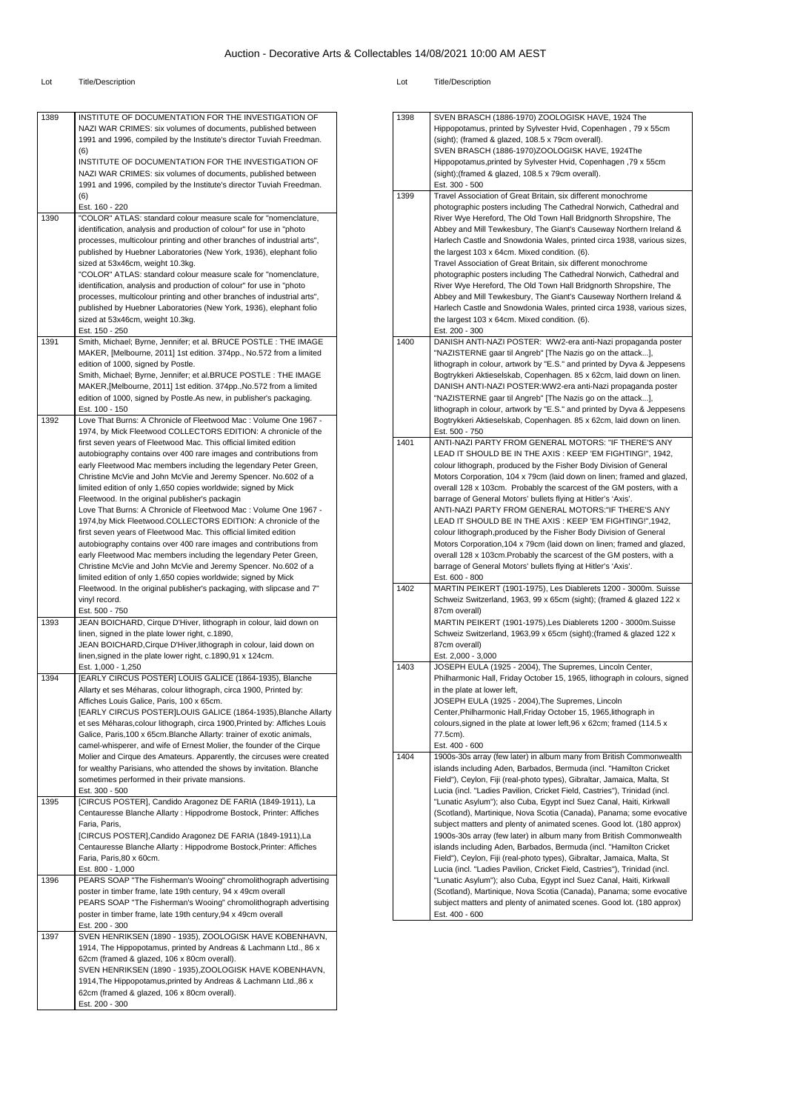| 1389 | INSTITUTE OF DOCUMENTATION FOR THE INVESTIGATION OF<br>NAZI WAR CRIMES: six volumes of documents, published between<br>1991 and 1996, compiled by the Institute's director Tuviah Freedman.<br>(6)<br>INSTITUTE OF DOCUMENTATION FOR THE INVESTIGATION OF<br>NAZI WAR CRIMES: six volumes of documents, published between                                                                                                                                                                                                                                                                                                                                                                                               |
|------|-------------------------------------------------------------------------------------------------------------------------------------------------------------------------------------------------------------------------------------------------------------------------------------------------------------------------------------------------------------------------------------------------------------------------------------------------------------------------------------------------------------------------------------------------------------------------------------------------------------------------------------------------------------------------------------------------------------------------|
|      | 1991 and 1996, compiled by the Institute's director Tuviah Freedman.<br>(6)                                                                                                                                                                                                                                                                                                                                                                                                                                                                                                                                                                                                                                             |
|      | Est. 160 - 220                                                                                                                                                                                                                                                                                                                                                                                                                                                                                                                                                                                                                                                                                                          |
| 1390 | "COLOR" ATLAS: standard colour measure scale for "nomenclature,<br>identification, analysis and production of colour" for use in "photo<br>processes, multicolour printing and other branches of industrial arts",<br>published by Huebner Laboratories (New York, 1936), elephant folio<br>sized at 53x46cm, weight 10.3kg.<br>"COLOR" ATLAS: standard colour measure scale for "nomenclature,<br>identification, analysis and production of colour" for use in "photo<br>processes, multicolour printing and other branches of industrial arts",<br>published by Huebner Laboratories (New York, 1936), elephant folio<br>sized at 53x46cm, weight 10.3kg.<br>Est. 150 - 250                                          |
| 1391 | Smith, Michael; Byrne, Jennifer; et al. BRUCE POSTLE : THE IMAGE                                                                                                                                                                                                                                                                                                                                                                                                                                                                                                                                                                                                                                                        |
|      | MAKER, [Melbourne, 2011] 1st edition. 374pp., No.572 from a limited<br>edition of 1000, signed by Postle.<br>Smith, Michael; Byrne, Jennifer; et al.BRUCE POSTLE: THE IMAGE<br>MAKER, [Melbourne, 2011] 1st edition. 374pp., No.572 from a limited<br>edition of 1000, signed by Postle.As new, in publisher's packaging.<br>Est. 100 - 150                                                                                                                                                                                                                                                                                                                                                                             |
| 1392 | Love That Burns: A Chronicle of Fleetwood Mac: Volume One 1967 -<br>1974, by Mick Fleetwood COLLECTORS EDITION: A chronicle of the<br>first seven years of Fleetwood Mac. This official limited edition<br>autobiography contains over 400 rare images and contributions from<br>early Fleetwood Mac members including the legendary Peter Green,<br>Christine McVie and John McVie and Jeremy Spencer. No.602 of a<br>limited edition of only 1,650 copies worldwide; signed by Mick<br>Fleetwood. In the original publisher's packagin                                                                                                                                                                                |
|      | Love That Burns: A Chronicle of Fleetwood Mac: Volume One 1967 -<br>1974,by Mick Fleetwood.COLLECTORS EDITION: A chronicle of the<br>first seven years of Fleetwood Mac. This official limited edition<br>autobiography contains over 400 rare images and contributions from<br>early Fleetwood Mac members including the legendary Peter Green,<br>Christine McVie and John McVie and Jeremy Spencer. No.602 of a<br>limited edition of only 1,650 copies worldwide; signed by Mick<br>Fleetwood. In the original publisher's packaging, with slipcase and 7"<br>vinyl record.<br>Est. 500 - 750                                                                                                                       |
| 1393 | JEAN BOICHARD, Cirque D'Hiver, lithograph in colour, laid down on<br>linen, signed in the plate lower right, c.1890,<br>JEAN BOICHARD, Cirque D'Hiver, lithograph in colour, laid down on<br>linen, signed in the plate lower right, c.1890, 91 x 124cm.                                                                                                                                                                                                                                                                                                                                                                                                                                                                |
| 1394 | Est. 1,000 - 1,250<br>[EARLY CIRCUS POSTER] LOUIS GALICE (1864-1935), Blanche<br>Allarty et ses Méharas, colour lithograph, circa 1900, Printed by:<br>Affiches Louis Galice, Paris, 100 x 65cm.<br>[EARLY CIRCUS POSTER]LOUIS GALICE (1864-1935), Blanche Allarty<br>et ses Méharas, colour lithograph, circa 1900, Printed by: Affiches Louis<br>Galice, Paris, 100 x 65cm. Blanche Allarty: trainer of exotic animals,<br>camel-whisperer, and wife of Ernest Molier, the founder of the Cirque<br>Molier and Cirque des Amateurs. Apparently, the circuses were created<br>for wealthy Parisians, who attended the shows by invitation. Blanche<br>sometimes performed in their private mansions.<br>Est. 300 - 500 |
| 1395 | [CIRCUS POSTER], Candido Aragonez DE FARIA (1849-1911), La<br>Centauresse Blanche Allarty : Hippodrome Bostock, Printer: Affiches<br>Faria, Paris,<br>[CIRCUS POSTER], Candido Aragonez DE FARIA (1849-1911), La<br>Centauresse Blanche Allarty : Hippodrome Bostock, Printer: Affiches<br>Faria, Paris, 80 x 60cm.<br>Est. 800 - 1,000                                                                                                                                                                                                                                                                                                                                                                                 |
| 1396 | PEARS SOAP "The Fisherman's Wooing" chromolithograph advertising<br>poster in timber frame, late 19th century, 94 x 49cm overall<br>PEARS SOAP "The Fisherman's Wooing" chromolithograph advertising<br>poster in timber frame, late 19th century, 94 x 49cm overall<br>Est. 200 - 300                                                                                                                                                                                                                                                                                                                                                                                                                                  |
| 1397 | SVEN HENRIKSEN (1890 - 1935), ZOOLOGISK HAVE KOBENHAVN,<br>1914, The Hippopotamus, printed by Andreas & Lachmann Ltd., 86 x<br>62cm (framed & glazed, 106 x 80cm overall).<br>SVEN HENRIKSEN (1890 - 1935), ZOOLOGISK HAVE KOBENHAVN,<br>1914, The Hippopotamus, printed by Andreas & Lachmann Ltd., 86 x<br>62cm (framed & glazed, 106 x 80cm overall).<br>Est. 200 - 300                                                                                                                                                                                                                                                                                                                                              |

| 1398 | SVEN BRASCH (1886-1970) ZOOLOGISK HAVE, 1924 The                                                                                               |
|------|------------------------------------------------------------------------------------------------------------------------------------------------|
|      | Hippopotamus, printed by Sylvester Hvid, Copenhagen, 79 x 55cm                                                                                 |
|      | (sight); (framed & glazed, 108.5 x 79cm overall).                                                                                              |
|      | SVEN BRASCH (1886-1970)ZOOLOGISK HAVE, 1924The                                                                                                 |
|      | Hippopotamus, printed by Sylvester Hvid, Copenhagen, 79 x 55cm<br>(sight); (framed & glazed, 108.5 x 79cm overall).                            |
|      | Est. 300 - 500                                                                                                                                 |
| 1399 | Travel Association of Great Britain, six different monochrome                                                                                  |
|      | photographic posters including The Cathedral Norwich, Cathedral and                                                                            |
|      | River Wye Hereford, The Old Town Hall Bridgnorth Shropshire, The                                                                               |
|      | Abbey and Mill Tewkesbury, The Giant's Causeway Northern Ireland &                                                                             |
|      | Harlech Castle and Snowdonia Wales, printed circa 1938, various sizes,                                                                         |
|      | the largest 103 x 64cm. Mixed condition. (6).                                                                                                  |
|      | Travel Association of Great Britain, six different monochrome                                                                                  |
|      | photographic posters including The Cathedral Norwich, Cathedral and                                                                            |
|      | River Wye Hereford, The Old Town Hall Bridgnorth Shropshire, The<br>Abbey and Mill Tewkesbury, The Giant's Causeway Northern Ireland &         |
|      | Harlech Castle and Snowdonia Wales, printed circa 1938, various sizes,                                                                         |
|      | the largest 103 x 64cm. Mixed condition. (6).                                                                                                  |
|      | Est. 200 - 300                                                                                                                                 |
| 1400 | DANISH ANTI-NAZI POSTER: WW2-era anti-Nazi propaganda poster                                                                                   |
|      | "NAZISTERNE gaar til Angreb" [The Nazis go on the attack],                                                                                     |
|      | lithograph in colour, artwork by "E.S." and printed by Dyva & Jeppesens                                                                        |
|      | Bogtrykkeri Aktieselskab, Copenhagen. 85 x 62cm, laid down on linen.                                                                           |
|      | DANISH ANTI-NAZI POSTER: WW2-era anti-Nazi propaganda poster                                                                                   |
|      | "NAZISTERNE gaar til Angreb" [The Nazis go on the attack],                                                                                     |
|      | lithograph in colour, artwork by "E.S." and printed by Dyva & Jeppesens                                                                        |
|      | Bogtrykkeri Aktieselskab, Copenhagen. 85 x 62cm, laid down on linen.<br>Est. 500 - 750                                                         |
| 1401 | ANTI-NAZI PARTY FROM GENERAL MOTORS: "IF THERE'S ANY                                                                                           |
|      | LEAD IT SHOULD BE IN THE AXIS: KEEP 'EM FIGHTING!", 1942,                                                                                      |
|      | colour lithograph, produced by the Fisher Body Division of General                                                                             |
|      | Motors Corporation, 104 x 79cm (laid down on linen; framed and glazed,                                                                         |
|      | overall 128 x 103cm. Probably the scarcest of the GM posters, with a                                                                           |
|      | barrage of General Motors' bullets flying at Hitler's 'Axis'.                                                                                  |
|      | ANTI-NAZI PARTY FROM GENERAL MOTORS:"IF THERE'S ANY                                                                                            |
|      | LEAD IT SHOULD BE IN THE AXIS: KEEP 'EM FIGHTING!", 1942,                                                                                      |
|      | colour lithograph, produced by the Fisher Body Division of General                                                                             |
|      | Motors Corporation, 104 x 79cm (laid down on linen; framed and glazed,<br>overall 128 x 103cm. Probably the scarcest of the GM posters, with a |
|      | barrage of General Motors' bullets flying at Hitler's 'Axis'.                                                                                  |
|      | Est. 600 - 800                                                                                                                                 |
| 1402 | MARTIN PEIKERT (1901-1975), Les Diablerets 1200 - 3000m. Suisse                                                                                |
|      | Schweiz Switzerland, 1963, 99 x 65cm (sight); (framed & glazed 122 x                                                                           |
|      | 87cm overall)                                                                                                                                  |
|      | MARTIN PEIKERT (1901-1975), Les Diablerets 1200 - 3000m. Suisse                                                                                |
|      | Schweiz Switzerland, 1963,99 x 65cm (sight); (framed & glazed 122 x                                                                            |
|      | 87cm overall)                                                                                                                                  |
| 1403 | Est. 2,000 - 3,000<br>JOSEPH EULA (1925 - 2004), The Supremes, Lincoln Center,                                                                 |
|      | Philharmonic Hall, Friday October 15, 1965, lithograph in colours, signed                                                                      |
|      | in the plate at lower left,                                                                                                                    |
|      | JOSEPH EULA (1925 - 2004), The Supremes, Lincoln                                                                                               |
|      | Center, Philharmonic Hall, Friday October 15, 1965, lithograph in                                                                              |
|      | colours, signed in the plate at lower left, 96 x 62cm; framed (114.5 x                                                                         |
|      | 77.5cm).                                                                                                                                       |
|      | Est. 400 - 600                                                                                                                                 |
| 1404 | 1900s-30s array (few later) in album many from British Commonwealth                                                                            |
|      | islands including Aden, Barbados, Bermuda (incl. "Hamilton Cricket<br>Field"), Ceylon, Fiji (real-photo types), Gibraltar, Jamaica, Malta, St  |
|      | Lucia (incl. "Ladies Pavilion, Cricket Field, Castries"), Trinidad (incl.                                                                      |
|      | "Lunatic Asylum"); also Cuba, Egypt incl Suez Canal, Haiti, Kirkwall                                                                           |
|      | (Scotland), Martinique, Nova Scotia (Canada), Panama; some evocative                                                                           |
|      | subject matters and plenty of animated scenes. Good lot. (180 approx)                                                                          |
|      | 1900s-30s array (few later) in album many from British Commonwealth                                                                            |
|      | islands including Aden, Barbados, Bermuda (incl. "Hamilton Cricket                                                                             |
|      | Field"), Ceylon, Fiji (real-photo types), Gibraltar, Jamaica, Malta, St                                                                        |
|      | Lucia (incl. "Ladies Pavilion, Cricket Field, Castries"), Trinidad (incl.                                                                      |
|      | "Lunatic Asylum"); also Cuba, Egypt incl Suez Canal, Haiti, Kirkwall                                                                           |
|      |                                                                                                                                                |
|      | (Scotland), Martinique, Nova Scotia (Canada), Panama; some evocative                                                                           |
|      | subject matters and plenty of animated scenes. Good lot. (180 approx)<br>Est. 400 - 600                                                        |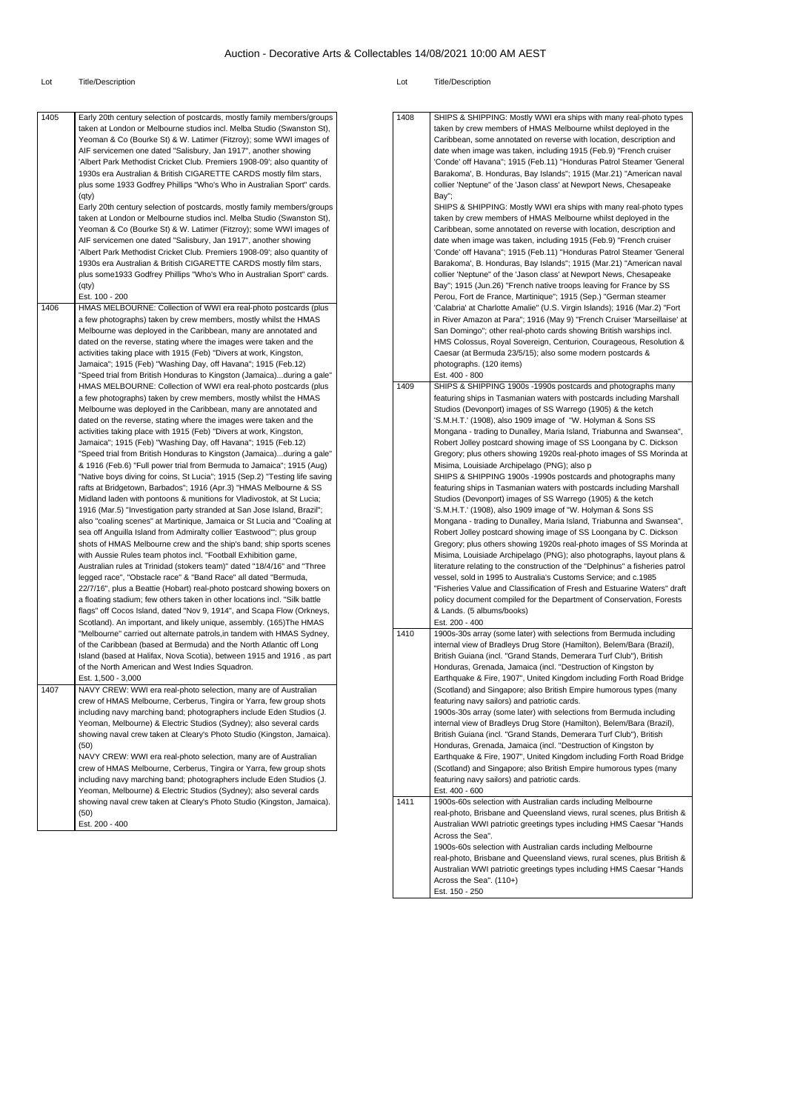| 1405 | Early 20th century selection of postcards, mostly family members/groups     | 1408 | SHIPS & SHIPPING: Mostly WWI era ships with many real-photo types             |
|------|-----------------------------------------------------------------------------|------|-------------------------------------------------------------------------------|
|      | taken at London or Melbourne studios incl. Melba Studio (Swanston St),      |      | taken by crew members of HMAS Melbourne whilst deployed in the                |
|      | Yeoman & Co (Bourke St) & W. Latimer (Fitzroy); some WWI images of          |      | Caribbean, some annotated on reverse with location, description and           |
|      | AIF servicemen one dated "Salisbury, Jan 1917", another showing             |      | date when image was taken, including 1915 (Feb.9) "French cruiser             |
|      | 'Albert Park Methodist Cricket Club. Premiers 1908-09'; also quantity of    |      | 'Conde' off Havana"; 1915 (Feb.11) "Honduras Patrol Steamer 'General          |
|      |                                                                             |      |                                                                               |
|      | 1930s era Australian & British CIGARETTE CARDS mostly film stars,           |      | Barakoma', B. Honduras, Bay Islands"; 1915 (Mar.21) "American naval           |
|      | plus some 1933 Godfrey Phillips "Who's Who in Australian Sport" cards.      |      | collier 'Neptune" of the 'Jason class' at Newport News, Chesapeake            |
|      | (qty)                                                                       |      | Bay";                                                                         |
|      | Early 20th century selection of postcards, mostly family members/groups     |      | SHIPS & SHIPPING: Mostly WWI era ships with many real-photo types             |
|      | taken at London or Melbourne studios incl. Melba Studio (Swanston St),      |      | taken by crew members of HMAS Melbourne whilst deployed in the                |
|      | Yeoman & Co (Bourke St) & W. Latimer (Fitzroy); some WWI images of          |      | Caribbean, some annotated on reverse with location, description and           |
|      | AIF servicemen one dated "Salisbury, Jan 1917", another showing             |      | date when image was taken, including 1915 (Feb.9) "French cruiser             |
|      | 'Albert Park Methodist Cricket Club. Premiers 1908-09'; also quantity of    |      | 'Conde' off Havana"; 1915 (Feb.11) "Honduras Patrol Steamer 'General          |
|      |                                                                             |      |                                                                               |
|      | 1930s era Australian & British CIGARETTE CARDS mostly film stars,           |      | Barakoma', B. Honduras, Bay Islands"; 1915 (Mar.21) "American naval           |
|      | plus some 1933 Godfrey Phillips "Who's Who in Australian Sport" cards.      |      | collier 'Neptune" of the 'Jason class' at Newport News, Chesapeake            |
|      | (qty)                                                                       |      | Bay"; 1915 (Jun.26) "French native troops leaving for France by SS            |
|      | Est. 100 - 200                                                              |      | Perou, Fort de France, Martinique"; 1915 (Sep.) "German steamer               |
| 1406 | HMAS MELBOURNE: Collection of WWI era real-photo postcards (plus            |      | 'Calabria' at Charlotte Amalie" (U.S. Virgin Islands); 1916 (Mar.2) "Fort     |
|      | a few photographs) taken by crew members, mostly whilst the HMAS            |      | in River Amazon at Para"; 1916 (May 9) "French Cruiser 'Marseillaise' at      |
|      | Melbourne was deployed in the Caribbean, many are annotated and             |      | San Domingo"; other real-photo cards showing British warships incl.           |
|      |                                                                             |      |                                                                               |
|      | dated on the reverse, stating where the images were taken and the           |      | HMS Colossus, Royal Sovereign, Centurion, Courageous, Resolution &            |
|      | activities taking place with 1915 (Feb) "Divers at work, Kingston,          |      | Caesar (at Bermuda 23/5/15); also some modern postcards &                     |
|      | Jamaica"; 1915 (Feb) "Washing Day, off Havana"; 1915 (Feb.12)               |      | photographs. (120 items)                                                      |
|      | "Speed trial from British Honduras to Kingston (Jamaica)during a gale"      |      | Est. 400 - 800                                                                |
|      | HMAS MELBOURNE: Collection of WWI era real-photo postcards (plus            | 1409 | SHIPS & SHIPPING 1900s -1990s postcards and photographs many                  |
|      | a few photographs) taken by crew members, mostly whilst the HMAS            |      | featuring ships in Tasmanian waters with postcards including Marshall         |
|      | Melbourne was deployed in the Caribbean, many are annotated and             |      | Studios (Devonport) images of SS Warrego (1905) & the ketch                   |
|      | dated on the reverse, stating where the images were taken and the           |      | 'S.M.H.T.' (1908), also 1909 image of "W. Holyman & Sons SS                   |
|      | activities taking place with 1915 (Feb) "Divers at work, Kingston,          |      | Mongana - trading to Dunalley, Maria Island, Triabunna and Swansea",          |
|      |                                                                             |      |                                                                               |
|      | Jamaica"; 1915 (Feb) "Washing Day, off Havana"; 1915 (Feb.12)               |      | Robert Jolley postcard showing image of SS Loongana by C. Dickson             |
|      | "Speed trial from British Honduras to Kingston (Jamaica)during a gale"      |      | Gregory; plus others showing 1920s real-photo images of SS Morinda at         |
|      | & 1916 (Feb.6) "Full power trial from Bermuda to Jamaica"; 1915 (Aug)       |      | Misima, Louisiade Archipelago (PNG); also p                                   |
|      | "Native boys diving for coins, St Lucia"; 1915 (Sep.2) "Testing life saving |      | SHIPS & SHIPPING 1900s -1990s postcards and photographs many                  |
|      | rafts at Bridgetown, Barbados"; 1916 (Apr.3) "HMAS Melbourne & SS           |      | featuring ships in Tasmanian waters with postcards including Marshall         |
|      | Midland laden with pontoons & munitions for Vladivostok, at St Lucia;       |      | Studios (Devonport) images of SS Warrego (1905) & the ketch                   |
|      | 1916 (Mar.5) "Investigation party stranded at San Jose Island, Brazil";     |      | 'S.M.H.T.' (1908), also 1909 image of "W. Holyman & Sons SS                   |
|      | also "coaling scenes" at Martinique, Jamaica or St Lucia and "Coaling at    |      | Mongana - trading to Dunalley, Maria Island, Triabunna and Swansea",          |
|      |                                                                             |      |                                                                               |
|      | sea off Anguilla Island from Admiralty collier 'Eastwood'"; plus group      |      | Robert Jolley postcard showing image of SS Loongana by C. Dickson             |
|      | shots of HMAS Melbourne crew and the ship's band; ship sports scenes        |      | Gregory; plus others showing 1920s real-photo images of SS Morinda at         |
|      | with Aussie Rules team photos incl. "Football Exhibition game,              |      | Misima, Louisiade Archipelago (PNG); also photographs, layout plans &         |
|      | Australian rules at Trinidad (stokers team)" dated "18/4/16" and "Three     |      | literature relating to the construction of the "Delphinus" a fisheries patrol |
|      | legged race", "Obstacle race" & "Band Race" all dated "Bermuda,             |      | vessel, sold in 1995 to Australia's Customs Service; and c.1985               |
|      | 22/7/16", plus a Beattie (Hobart) real-photo postcard showing boxers on     |      | "Fisheries Value and Classification of Fresh and Estuarine Waters" draft      |
|      | a floating stadium; few others taken in other locations incl. "Silk battle  |      | policy document compiled for the Department of Conservation, Forests          |
|      | flags" off Cocos Island, dated "Nov 9, 1914", and Scapa Flow (Orkneys,      |      | & Lands. (5 albums/books)                                                     |
|      |                                                                             |      | Est. 200 - 400                                                                |
|      | Scotland). An important, and likely unique, assembly. (165) The HMAS        |      |                                                                               |
|      | "Melbourne" carried out alternate patrols, in tandem with HMAS Sydney,      | 1410 | 1900s-30s array (some later) with selections from Bermuda including           |
|      | of the Caribbean (based at Bermuda) and the North Atlantic off Long         |      | internal view of Bradleys Drug Store (Hamilton), Belem/Bara (Brazil),         |
|      | Island (based at Halifax, Nova Scotia), between 1915 and 1916, as part      |      | British Guiana (incl. "Grand Stands, Demerara Turf Club"), British            |
|      | of the North American and West Indies Squadron.                             |      | Honduras, Grenada, Jamaica (incl. "Destruction of Kingston by                 |
|      | Est. 1,500 - 3,000                                                          |      | Earthquake & Fire, 1907", United Kingdom including Forth Road Bridge          |
| 1407 | NAVY CREW: WWI era real-photo selection, many are of Australian             |      | (Scotland) and Singapore; also British Empire humorous types (many            |
|      | crew of HMAS Melbourne, Cerberus, Tingira or Yarra, few group shots         |      | featuring navy sailors) and patriotic cards.                                  |
|      | including navy marching band; photographers include Eden Studios (J.        |      | 1900s-30s array (some later) with selections from Bermuda including           |
|      |                                                                             |      |                                                                               |
|      | Yeoman, Melbourne) & Electric Studios (Sydney); also several cards          |      | internal view of Bradleys Drug Store (Hamilton), Belem/Bara (Brazil),         |
|      | showing naval crew taken at Cleary's Photo Studio (Kingston, Jamaica).      |      | British Guiana (incl. "Grand Stands, Demerara Turf Club"), British            |
|      | (50)                                                                        |      | Honduras, Grenada, Jamaica (incl. "Destruction of Kingston by                 |
|      | NAVY CREW: WWI era real-photo selection, many are of Australian             |      | Earthquake & Fire, 1907", United Kingdom including Forth Road Bridge          |
|      | crew of HMAS Melbourne, Cerberus, Tingira or Yarra, few group shots         |      | (Scotland) and Singapore; also British Empire humorous types (many            |
|      | including navy marching band; photographers include Eden Studios (J.        |      | featuring navy sailors) and patriotic cards.                                  |
|      | Yeoman, Melbourne) & Electric Studios (Sydney); also several cards          |      | Est. 400 - 600                                                                |
|      | showing naval crew taken at Cleary's Photo Studio (Kingston, Jamaica).      | 1411 | 1900s-60s selection with Australian cards including Melbourne                 |
|      | (50)                                                                        |      | real-photo, Brisbane and Queensland views, rural scenes, plus British &       |
|      | Est. 200 - 400                                                              |      |                                                                               |
|      |                                                                             |      | Australian WWI patriotic greetings types including HMS Caesar "Hands          |
|      |                                                                             |      | Across the Sea".                                                              |
|      |                                                                             |      | 1900s-60s selection with Australian cards including Melbourne                 |
|      |                                                                             |      | real-photo, Brisbane and Queensland views, rural scenes, plus British &       |
|      |                                                                             |      | Australian WWI patriotic greetings types including HMS Caesar "Hands          |
|      |                                                                             |      | Across the Sea". (110+)                                                       |
|      |                                                                             |      | Est. 150 - 250                                                                |
|      |                                                                             |      |                                                                               |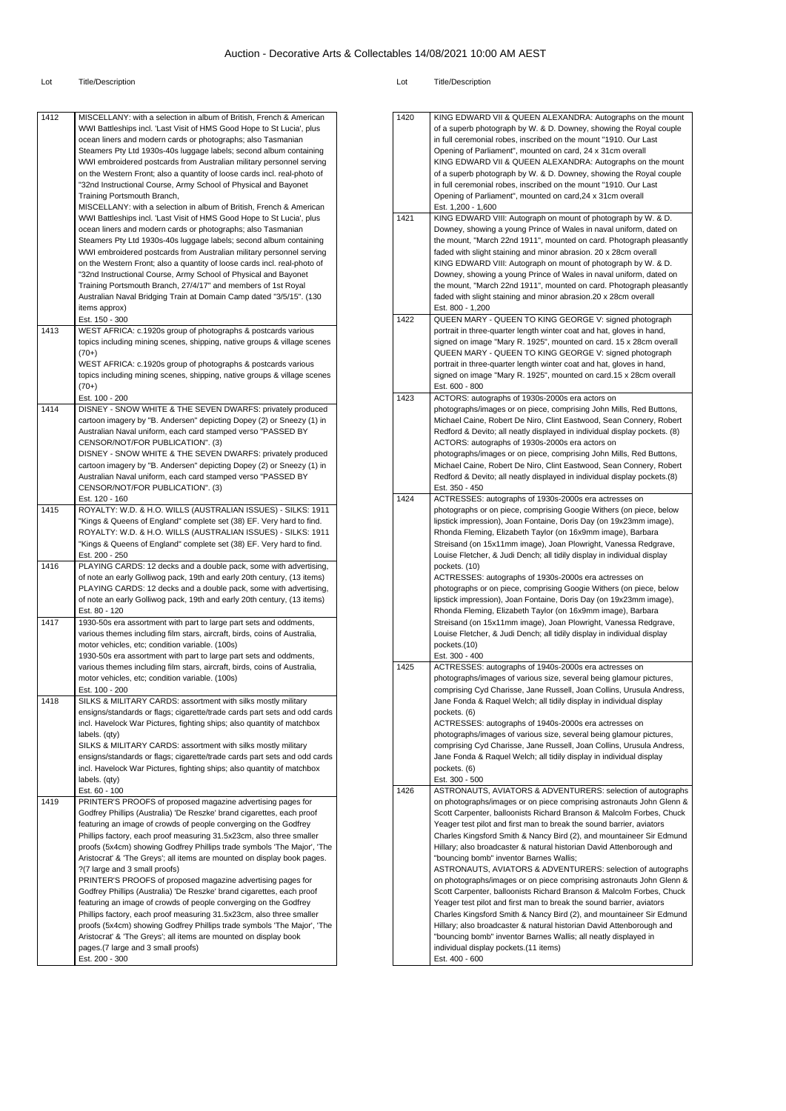| 1412 | MISCELLANY: with a selection in album of British, French & American                                                   | 1420 | <b>KING</b>     |
|------|-----------------------------------------------------------------------------------------------------------------------|------|-----------------|
|      | WWI Battleships incl. 'Last Visit of HMS Good Hope to St Lucia', plus                                                 |      | of a s          |
|      | ocean liners and modern cards or photographs; also Tasmanian                                                          |      | in full         |
|      | Steamers Pty Ltd 1930s-40s luggage labels; second album containing                                                    |      | Open            |
|      | WWI embroidered postcards from Australian military personnel serving                                                  |      | <b>KING</b>     |
|      | on the Western Front; also a quantity of loose cards incl. real-photo of                                              |      | of a s          |
|      |                                                                                                                       |      | in full         |
|      | "32nd Instructional Course, Army School of Physical and Bayonet                                                       |      |                 |
|      | Training Portsmouth Branch,                                                                                           |      | Open            |
|      | MISCELLANY: with a selection in album of British, French & American                                                   |      | Est. 1          |
|      | WWI Battleships incl. 'Last Visit of HMS Good Hope to St Lucia', plus                                                 | 1421 | <b>KING</b>     |
|      | ocean liners and modern cards or photographs; also Tasmanian                                                          |      | Down            |
|      | Steamers Pty Ltd 1930s-40s luggage labels; second album containing                                                    |      | the m           |
|      | WWI embroidered postcards from Australian military personnel serving                                                  |      | faded           |
|      | on the Western Front; also a quantity of loose cards incl. real-photo of                                              |      | <b>KING</b>     |
|      | "32nd Instructional Course, Army School of Physical and Bayonet                                                       |      | Down            |
|      | Training Portsmouth Branch, 27/4/17" and members of 1st Royal                                                         |      | the m           |
|      | Australian Naval Bridging Train at Domain Camp dated "3/5/15". (130                                                   |      | faded           |
|      | items approx)                                                                                                         |      | Est. 8          |
|      | Est. 150 - 300                                                                                                        | 1422 | QUEE            |
| 1413 | WEST AFRICA: c.1920s group of photographs & postcards various                                                         |      | portra          |
|      | topics including mining scenes, shipping, native groups & village scenes                                              |      | signe           |
|      | $(70+)$                                                                                                               |      | QUEE            |
|      | WEST AFRICA: c.1920s group of photographs & postcards various                                                         |      | portra          |
|      | topics including mining scenes, shipping, native groups & village scenes                                              |      | signe           |
|      | $(70+)$                                                                                                               |      | Est. 6          |
|      | Est. 100 - 200                                                                                                        | 1423 | ACTO            |
| 1414 | DISNEY - SNOW WHITE & THE SEVEN DWARFS: privately produced                                                            |      | photo           |
|      | cartoon imagery by "B. Andersen" depicting Dopey (2) or Sneezy (1) in                                                 |      |                 |
|      |                                                                                                                       |      | Micha           |
|      | Australian Naval uniform, each card stamped verso "PASSED BY                                                          |      | Redfo           |
|      | CENSOR/NOT/FOR PUBLICATION". (3)                                                                                      |      | ACTO            |
|      | DISNEY - SNOW WHITE & THE SEVEN DWARFS: privately produced                                                            |      | photo           |
|      | cartoon imagery by "B. Andersen" depicting Dopey (2) or Sneezy (1) in                                                 |      | Micha           |
|      | Australian Naval uniform, each card stamped verso "PASSED BY                                                          |      | Redfo           |
|      | CENSOR/NOT/FOR PUBLICATION". (3)                                                                                      |      | Est. 3          |
|      | Est. 120 - 160                                                                                                        | 1424 | ACTF            |
| 1415 | ROYALTY: W.D. & H.O. WILLS (AUSTRALIAN ISSUES) - SILKS: 1911                                                          |      | photo           |
|      | "Kings & Queens of England" complete set (38) EF. Very hard to find.                                                  |      | lipstic         |
|      | ROYALTY: W.D. & H.O. WILLS (AUSTRALIAN ISSUES) - SILKS: 1911                                                          |      | Rhon            |
|      | "Kings & Queens of England" complete set (38) EF. Very hard to find.                                                  |      | <b>Streis</b>   |
|      | Est. 200 - 250                                                                                                        |      | Louis           |
| 1416 | PLAYING CARDS: 12 decks and a double pack, some with advertising,                                                     |      | pocke           |
|      | of note an early Golliwog pack, 19th and early 20th century, (13 items)                                               |      | ACTF            |
|      | PLAYING CARDS: 12 decks and a double pack, some with advertising,                                                     |      | photo           |
|      | of note an early Golliwog pack, 19th and early 20th century, (13 items)                                               |      | lipstic         |
|      | Est. 80 - 120                                                                                                         |      | Rhon            |
| 1417 | 1930-50s era assortment with part to large part sets and oddments,                                                    |      | <b>Streis</b>   |
|      | various themes including film stars, aircraft, birds, coins of Australia,                                             |      | Louis           |
|      |                                                                                                                       |      |                 |
|      | motor vehicles, etc; condition variable. (100s)<br>1930-50s era assortment with part to large part sets and oddments, |      | pocke           |
|      |                                                                                                                       |      | Est. 3          |
|      | various themes including film stars, aircraft, birds, coins of Australia,                                             | 1425 | ACTF            |
|      | motor vehicles, etc; condition variable. (100s)                                                                       |      | photo           |
|      | Est. 100 - 200                                                                                                        |      | comp            |
| 1418 | SILKS & MILITARY CARDS: assortment with silks mostly military                                                         |      | Jane            |
|      | ensigns/standards or flags; cigarette/trade cards part sets and odd cards                                             |      | pocke           |
|      | incl. Havelock War Pictures, fighting ships; also quantity of matchbox                                                |      | ACTF            |
|      | labels. (qty)                                                                                                         |      | photo           |
|      | SILKS & MILITARY CARDS: assortment with silks mostly military                                                         |      | comp            |
|      | ensigns/standards or flags; cigarette/trade cards part sets and odd cards                                             |      | Jane            |
|      | incl. Havelock War Pictures, fighting ships; also quantity of matchbox                                                |      | pocke           |
|      | labels. (qty)                                                                                                         |      | Est. 3          |
|      | Est. 60 - 100                                                                                                         | 1426 | ASTR            |
| 1419 | PRINTER'S PROOFS of proposed magazine advertising pages for                                                           |      | on ph           |
|      | Godfrey Phillips (Australia) 'De Reszke' brand cigarettes, each proof                                                 |      | Scott           |
|      | featuring an image of crowds of people converging on the Godfrey                                                      |      | Yeag            |
|      | Phillips factory, each proof measuring 31.5x23cm, also three smaller                                                  |      |                 |
|      |                                                                                                                       |      | Charl           |
|      | proofs (5x4cm) showing Godfrey Phillips trade symbols 'The Major', 'The                                               |      | Hillary         |
|      | Aristocrat' & 'The Greys'; all items are mounted on display book pages.                                               |      | "boun           |
|      | ?(7 large and 3 small proofs)                                                                                         |      | ASTR            |
|      | PRINTER'S PROOFS of proposed magazine advertising pages for                                                           |      | on ph           |
|      | Godfrey Phillips (Australia) 'De Reszke' brand cigarettes, each proof                                                 |      | Scott           |
|      | featuring an image of crowds of people converging on the Godfrey                                                      |      | Yeag            |
|      | Phillips factory, each proof measuring 31.5x23cm, also three smaller                                                  |      | Charl           |
|      |                                                                                                                       |      | Hillary         |
|      | proofs (5x4cm) showing Godfrey Phillips trade symbols 'The Major', 'The                                               |      |                 |
|      |                                                                                                                       |      |                 |
|      | Aristocrat' & 'The Greys'; all items are mounted on display book                                                      |      | "boun<br>indivi |
|      | pages.(7 large and 3 small proofs)<br>Est. 200 - 300                                                                  |      | Est. 4          |

| 1420 | KING EDWARD VII & QUEEN ALEXANDRA: Autographs on the mount<br>of a superb photograph by W. & D. Downey, showing the Royal couple             |
|------|----------------------------------------------------------------------------------------------------------------------------------------------|
|      | in full ceremonial robes, inscribed on the mount "1910. Our Last                                                                             |
|      | Opening of Parliament", mounted on card, 24 x 31cm overall                                                                                   |
|      | KING EDWARD VII & QUEEN ALEXANDRA: Autographs on the mount<br>of a superb photograph by W. & D. Downey, showing the Royal couple             |
|      | in full ceremonial robes, inscribed on the mount "1910. Our Last                                                                             |
|      | Opening of Parliament", mounted on card, 24 x 31cm overall                                                                                   |
| 1421 | Est. 1,200 - 1,600<br>KING EDWARD VIII: Autograph on mount of photograph by W. & D.                                                          |
|      | Downey, showing a young Prince of Wales in naval uniform, dated on                                                                           |
|      | the mount, "March 22nd 1911", mounted on card. Photograph pleasantly<br>faded with slight staining and minor abrasion. 20 x 28cm overall     |
|      | KING EDWARD VIII: Autograph on mount of photograph by W. & D.                                                                                |
|      | Downey, showing a young Prince of Wales in naval uniform, dated on                                                                           |
|      | the mount, "March 22nd 1911", mounted on card. Photograph pleasantly<br>faded with slight staining and minor abrasion.20 x 28cm overall      |
|      | Est. 800 - 1,200                                                                                                                             |
| 1422 | QUEEN MARY - QUEEN TO KING GEORGE V: signed photograph<br>portrait in three-quarter length winter coat and hat, gloves in hand,              |
|      | signed on image "Mary R. 1925", mounted on card. 15 x 28cm overall                                                                           |
|      | QUEEN MARY - QUEEN TO KING GEORGE V: signed photograph                                                                                       |
|      | portrait in three-quarter length winter coat and hat, gloves in hand,<br>signed on image "Mary R. 1925", mounted on card.15 x 28cm overall   |
|      | Est. 600 - 800                                                                                                                               |
| 1423 | ACTORS: autographs of 1930s-2000s era actors on<br>photographs/images or on piece, comprising John Mills, Red Buttons,                       |
|      | Michael Caine, Robert De Niro, Clint Eastwood, Sean Connery, Robert                                                                          |
|      | Redford & Devito; all neatly displayed in individual display pockets. (8)                                                                    |
|      | ACTORS: autographs of 1930s-2000s era actors on<br>photographs/images or on piece, comprising John Mills, Red Buttons,                       |
|      | Michael Caine, Robert De Niro, Clint Eastwood, Sean Connery, Robert                                                                          |
|      | Redford & Devito; all neatly displayed in individual display pockets.(8)<br>Est. 350 - 450                                                   |
| 1424 | ACTRESSES: autographs of 1930s-2000s era actresses on                                                                                        |
|      | photographs or on piece, comprising Googie Withers (on piece, below                                                                          |
|      | lipstick impression), Joan Fontaine, Doris Day (on 19x23mm image),<br>Rhonda Fleming, Elizabeth Taylor (on 16x9mm image), Barbara            |
|      | Streisand (on 15x11mm image), Joan Plowright, Vanessa Redgrave,                                                                              |
|      | Louise Fletcher, & Judi Dench; all tidily display in individual display<br>pockets. (10)                                                     |
|      | ACTRESSES: autographs of 1930s-2000s era actresses on                                                                                        |
|      | photographs or on piece, comprising Googie Withers (on piece, below<br>lipstick impression), Joan Fontaine, Doris Day (on 19x23mm image),    |
|      | Rhonda Fleming, Elizabeth Taylor (on 16x9mm image), Barbara                                                                                  |
|      | Streisand (on 15x11mm image), Joan Plowright, Vanessa Redgrave,                                                                              |
|      | Louise Fletcher, & Judi Dench; all tidily display in individual display<br>pockets.(10)                                                      |
|      | Est. 300 - 400                                                                                                                               |
| 1425 | ACTRESSES: autographs of 1940s-2000s era actresses on                                                                                        |
|      | photographs/images of various size, several being glamour pictures,<br>comprising Cyd Charisse, Jane Russell, Joan Collins, Urusula Andress, |
|      | Jane Fonda & Raquel Welch; all tidily display in individual display                                                                          |
|      | pockets. (6)<br>ACTRESSES: autographs of 1940s-2000s era actresses on                                                                        |
|      | photographs/images of various size, several being glamour pictures,                                                                          |
|      | comprising Cyd Charisse, Jane Russell, Joan Collins, Urusula Andress,                                                                        |
|      | Jane Fonda & Raquel Welch; all tidily display in individual display<br>pockets. (6)                                                          |
|      | Est. 300 - 500                                                                                                                               |
| 1426 | ASTRONAUTS, AVIATORS & ADVENTURERS: selection of autographs<br>on photographs/images or on piece comprising astronauts John Glenn &          |
|      | Scott Carpenter, balloonists Richard Branson & Malcolm Forbes, Chuck                                                                         |
|      | Yeager test pilot and first man to break the sound barrier, aviators                                                                         |
|      | Charles Kingsford Smith & Nancy Bird (2), and mountaineer Sir Edmund<br>Hillary; also broadcaster & natural historian David Attenborough and |
|      | "bouncing bomb" inventor Barnes Wallis;                                                                                                      |
|      | ASTRONAUTS, AVIATORS & ADVENTURERS: selection of autographs<br>on photographs/images or on piece comprising astronauts John Glenn &          |
|      | Scott Carpenter, balloonists Richard Branson & Malcolm Forbes, Chuck                                                                         |
|      | Yeager test pilot and first man to break the sound barrier, aviators<br>Charles Kingsford Smith & Nancy Bird (2), and mountaineer Sir Edmund |
|      | Hillary; also broadcaster & natural historian David Attenborough and                                                                         |
|      | "bouncing bomb" inventor Barnes Wallis; all neatly displayed in                                                                              |
|      | Est. 400 - 600                                                                                                                               |
|      |                                                                                                                                              |
|      | individual display pockets.(11 items)                                                                                                        |
|      |                                                                                                                                              |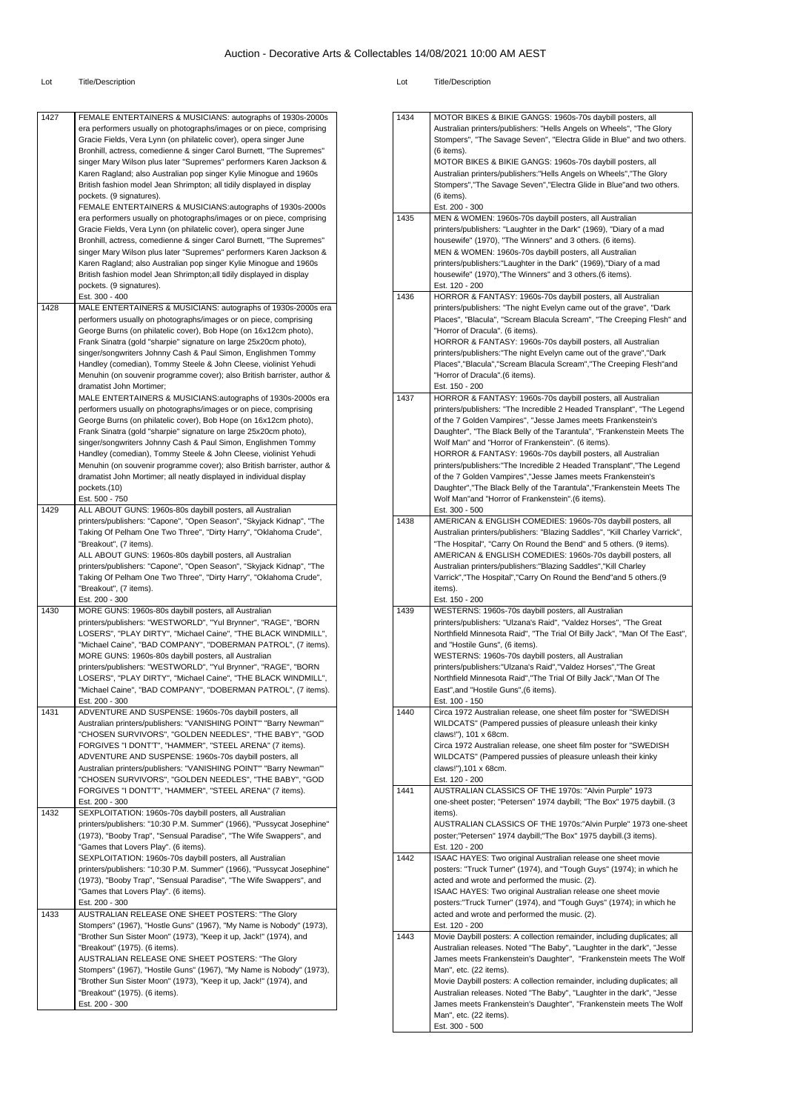| 1427 | FEMALE ENTERTAINERS & MUSICIANS: autographs of 1930s-2000s<br>era performers usually on photographs/images or on piece, comprising<br>Gracie Fields, Vera Lynn (on philatelic cover), opera singer June<br>Bronhill, actress, comedienne & singer Carol Burnett, "The Supremes"<br>singer Mary Wilson plus later "Supremes" performers Karen Jackson &<br>Karen Ragland; also Australian pop singer Kylie Minogue and 1960s<br>British fashion model Jean Shrimpton; all tidily displayed in display<br>pockets. (9 signatures).<br>FEMALE ENTERTAINERS & MUSICIANS:autographs of 1930s-2000s |
|------|-----------------------------------------------------------------------------------------------------------------------------------------------------------------------------------------------------------------------------------------------------------------------------------------------------------------------------------------------------------------------------------------------------------------------------------------------------------------------------------------------------------------------------------------------------------------------------------------------|
|      | era performers usually on photographs/images or on piece, comprising<br>Gracie Fields, Vera Lynn (on philatelic cover), opera singer June<br>Bronhill, actress, comedienne & singer Carol Burnett, "The Supremes"<br>singer Mary Wilson plus later "Supremes" performers Karen Jackson &<br>Karen Ragland; also Australian pop singer Kylie Minogue and 1960s<br>British fashion model Jean Shrimpton; all tidily displayed in display<br>pockets. (9 signatures).                                                                                                                            |
| 1428 | Est. 300 - 400<br>MALE ENTERTAINERS & MUSICIANS: autographs of 1930s-2000s era                                                                                                                                                                                                                                                                                                                                                                                                                                                                                                                |
|      | performers usually on photographs/images or on piece, comprising<br>George Burns (on philatelic cover), Bob Hope (on 16x12cm photo),<br>Frank Sinatra (gold "sharpie" signature on large 25x20cm photo),<br>singer/songwriters Johnny Cash & Paul Simon, Englishmen Tommy<br>Handley (comedian), Tommy Steele & John Cleese, violinist Yehudi<br>Menuhin (on souvenir programme cover); also British barrister, author &<br>dramatist John Mortimer;                                                                                                                                          |
|      | MALE ENTERTAINERS & MUSICIANS:autographs of 1930s-2000s era<br>performers usually on photographs/images or on piece, comprising<br>George Burns (on philatelic cover), Bob Hope (on 16x12cm photo),<br>Frank Sinatra (gold "sharpie" signature on large 25x20cm photo),<br>singer/songwriters Johnny Cash & Paul Simon, Englishmen Tommy<br>Handley (comedian), Tommy Steele & John Cleese, violinist Yehudi<br>Menuhin (on souvenir programme cover); also British barrister, author &<br>dramatist John Mortimer; all neatly displayed in individual display<br>pockets.(10)                |
| 1429 | Est. 500 - 750<br>ALL ABOUT GUNS: 1960s-80s daybill posters, all Australian                                                                                                                                                                                                                                                                                                                                                                                                                                                                                                                   |
|      | printers/publishers: "Capone", "Open Season", "Skyjack Kidnap", "The<br>Taking Of Pelham One Two Three", "Dirty Harry", "Oklahoma Crude",<br>"Breakout", (7 items).<br>ALL ABOUT GUNS: 1960s-80s daybill posters, all Australian<br>printers/publishers: "Capone", "Open Season", "Skyjack Kidnap", "The<br>Taking Of Pelham One Two Three", "Dirty Harry", "Oklahoma Crude",<br>"Breakout", (7 items).<br>Est. 200 - 300                                                                                                                                                                     |
| 1430 | MORE GUNS: 1960s-80s daybill posters, all Australian<br>printers/publishers: "WESTWORLD", "Yul Brynner", "RAGE", "BORN<br>LOSERS", "PLAY DIRTY", "Michael Caine", "THE BLACK WINDMILL",<br>"Michael Caine", "BAD COMPANY", "DOBERMAN PATROL", (7 items).<br>MORE GUNS: 1960s-80s daybill posters, all Australian<br>printers/publishers: "WESTWORLD", "Yul Brynner", "RAGE", "BORN<br>LOSERS", "PLAY DIRTY", "Michael Caine", "THE BLACK WINDMILL",<br>"Michael Caine", "BAD COMPANY", "DOBERMAN PATROL", (7 items).<br>Est. 200 - 300                                                        |
| 1431 | ADVENTURE AND SUSPENSE: 1960s-70s daybill posters, all<br>Australian printers/publishers: "VANISHING POINT" "Barry Newman"'<br>"CHOSEN SURVIVORS", "GOLDEN NEEDLES", "THE BABY", "GOD<br>FORGIVES "I DONT'T", "HAMMER", "STEEL ARENA" (7 items).<br>ADVENTURE AND SUSPENSE: 1960s-70s daybill posters, all<br>Australian printers/publishers: "VANISHING POINT" "Barry Newman"'<br>"CHOSEN SURVIVORS", "GOLDEN NEEDLES", "THE BABY", "GOD<br>FORGIVES "I DONT'T", "HAMMER", "STEEL ARENA" (7 items).<br>Est. 200 - 300                                                                        |
| 1432 | SEXPLOITATION: 1960s-70s daybill posters, all Australian<br>printers/publishers: "10:30 P.M. Summer" (1966), "Pussycat Josephine"<br>(1973), "Booby Trap", "Sensual Paradise", "The Wife Swappers", and<br>"Games that Lovers Play". (6 items).<br>SEXPLOITATION: 1960s-70s daybill posters, all Australian<br>printers/publishers: "10:30 P.M. Summer" (1966), "Pussycat Josephine"<br>(1973), "Booby Trap", "Sensual Paradise", "The Wife Swappers", and<br>"Games that Lovers Play". (6 items).<br>Est. 200 - 300                                                                          |
| 1433 | AUSTRALIAN RELEASE ONE SHEET POSTERS: "The Glory<br>Stompers" (1967), "Hostle Guns" (1967), "My Name is Nobody" (1973),<br>"Brother Sun Sister Moon" (1973), "Keep it up, Jack!" (1974), and<br>"Breakout" (1975). (6 items).<br>AUSTRALIAN RELEASE ONE SHEET POSTERS: "The Glory<br>Stompers" (1967), "Hostile Guns" (1967), "My Name is Nobody" (1973),<br>"Brother Sun Sister Moon" (1973), "Keep it up, Jack!" (1974), and<br>"Breakout" (1975). (6 items).<br>Est. 200 - 300                                                                                                             |

| 1434 | MOTOR BIKES & BIKIE GANGS: 1960s-70s daybill posters, all                                                                                         |
|------|---------------------------------------------------------------------------------------------------------------------------------------------------|
|      | Australian printers/publishers: "Hells Angels on Wheels", "The Glory                                                                              |
|      | Stompers", "The Savage Seven", "Electra Glide in Blue" and two others.                                                                            |
|      | (6 items).                                                                                                                                        |
|      | MOTOR BIKES & BIKIE GANGS: 1960s-70s daybill posters, all                                                                                         |
|      | Australian printers/publishers:"Hells Angels on Wheels","The Glory                                                                                |
|      | Stompers", "The Savage Seven", "Electra Glide in Blue"and two others.                                                                             |
|      | (6 items).<br>Est. 200 - 300                                                                                                                      |
| 1435 | MEN & WOMEN: 1960s-70s daybill posters, all Australian                                                                                            |
|      | printers/publishers: "Laughter in the Dark" (1969), "Diary of a mad                                                                               |
|      | housewife" (1970), "The Winners" and 3 others. (6 items).                                                                                         |
|      | MEN & WOMEN: 1960s-70s daybill posters, all Australian                                                                                            |
|      | printers/publishers: "Laughter in the Dark" (1969), "Diary of a mad                                                                               |
|      | housewife" (1970), "The Winners" and 3 others. (6 items).                                                                                         |
| 1436 | Est. 120 - 200                                                                                                                                    |
|      | HORROR & FANTASY: 1960s-70s daybill posters, all Australian<br>printers/publishers: "The night Evelyn came out of the grave", "Dark               |
|      | Places", "Blacula", "Scream Blacula Scream", "The Creeping Flesh" and                                                                             |
|      | "Horror of Dracula". (6 items).                                                                                                                   |
|      | HORROR & FANTASY: 1960s-70s daybill posters, all Australian                                                                                       |
|      | printers/publishers: "The night Evelyn came out of the grave", "Dark                                                                              |
|      | Places", "Blacula", "Scream Blacula Scream", "The Creeping Flesh"and                                                                              |
|      | "Horror of Dracula".(6 items).<br>Est. 150 - 200                                                                                                  |
| 1437 | HORROR & FANTASY: 1960s-70s daybill posters, all Australian                                                                                       |
|      | printers/publishers: "The Incredible 2 Headed Transplant", "The Legend                                                                            |
|      | of the 7 Golden Vampires", "Jesse James meets Frankenstein's                                                                                      |
|      | Daughter", "The Black Belly of the Tarantula", "Frankenstein Meets The                                                                            |
|      | Wolf Man" and "Horror of Frankenstein". (6 items).                                                                                                |
|      | HORROR & FANTASY: 1960s-70s daybill posters, all Australian<br>printers/publishers: "The Incredible 2 Headed Transplant", "The Legend             |
|      | of the 7 Golden Vampires", "Jesse James meets Frankenstein's                                                                                      |
|      | Daughter", "The Black Belly of the Tarantula", "Frankenstein Meets The                                                                            |
|      | Wolf Man"and "Horror of Frankenstein".(6 items).                                                                                                  |
|      | Est. 300 - 500                                                                                                                                    |
| 1438 | AMERICAN & ENGLISH COMEDIES: 1960s-70s daybill posters, all                                                                                       |
|      | Australian printers/publishers: "Blazing Saddles", "Kill Charley Varrick",                                                                        |
|      | "The Hospital", "Carry On Round the Bend" and 5 others. (9 items).<br>AMERICAN & ENGLISH COMEDIES: 1960s-70s daybill posters, all                 |
|      | Australian printers/publishers:"Blazing Saddles","Kill Charley                                                                                    |
|      | Varrick", "The Hospital", "Carry On Round the Bend"and 5 others.(9                                                                                |
|      | items).                                                                                                                                           |
|      | Est. 150 - 200                                                                                                                                    |
| 1439 | WESTERNS: 1960s-70s daybill posters, all Australian                                                                                               |
|      | printers/publishers: "Ulzana's Raid", "Valdez Horses", "The Great                                                                                 |
|      | Northfield Minnesota Raid", "The Trial Of Billy Jack", "Man Of The East",<br>and "Hostile Guns", (6 items).                                       |
|      | WESTERNS: 1960s-70s daybill posters, all Australian                                                                                               |
|      | printers/publishers:"Ulzana's Raid","Valdez Horses","The Great                                                                                    |
|      | Northfield Minnesota Raid", "The Trial Of Billy Jack", "Man Of The                                                                                |
|      | East", and "Hostile Guns", (6 items).                                                                                                             |
|      | Est. 100 - 150                                                                                                                                    |
| 1440 | Circa 1972 Australian release, one sheet film poster for "SWEDISH<br>WILDCATS" (Pampered pussies of pleasure unleash their kinky                  |
|      | claws!"), 101 x 68cm.                                                                                                                             |
|      | Circa 1972 Australian release, one sheet film poster for "SWEDISH                                                                                 |
|      | WILDCATS" (Pampered pussies of pleasure unleash their kinky                                                                                       |
|      | claws!"), 101 x 68cm.                                                                                                                             |
|      | Est. 120 - 200                                                                                                                                    |
| 1441 | AUSTRALIAN CLASSICS OF THE 1970s: "Alvin Purple" 1973<br>one-sheet poster; "Petersen" 1974 daybill; "The Box" 1975 daybill. (3                    |
|      | items).                                                                                                                                           |
|      | AUSTRALIAN CLASSICS OF THE 1970s:"Alvin Purple" 1973 one-sheet                                                                                    |
|      | poster;"Petersen" 1974 daybill;"The Box" 1975 daybill.(3 items).                                                                                  |
|      | Est. 120 - 200                                                                                                                                    |
| 1442 |                                                                                                                                                   |
|      | ISAAC HAYES: Two original Australian release one sheet movie                                                                                      |
|      | posters: "Truck Turner" (1974), and "Tough Guys" (1974); in which he                                                                              |
|      | acted and wrote and performed the music. (2).                                                                                                     |
|      | ISAAC HAYES: Two original Australian release one sheet movie                                                                                      |
|      | posters:"Truck Turner" (1974), and "Tough Guys" (1974); in which he<br>acted and wrote and performed the music. (2).                              |
|      | Est. 120 - 200                                                                                                                                    |
| 1443 | Movie Daybill posters: A collection remainder, including duplicates; all                                                                          |
|      | Australian releases. Noted "The Baby", "Laughter in the dark", "Jesse                                                                             |
|      | James meets Frankenstein's Daughter", "Frankenstein meets The Wolf                                                                                |
|      | Man", etc. (22 items).                                                                                                                            |
|      | Movie Daybill posters: A collection remainder, including duplicates; all<br>Australian releases. Noted "The Baby", "Laughter in the dark", "Jesse |
|      | James meets Frankenstein's Daughter", "Frankenstein meets The Wolf                                                                                |
|      | Man", etc. (22 items).<br>Est. 300 - 500                                                                                                          |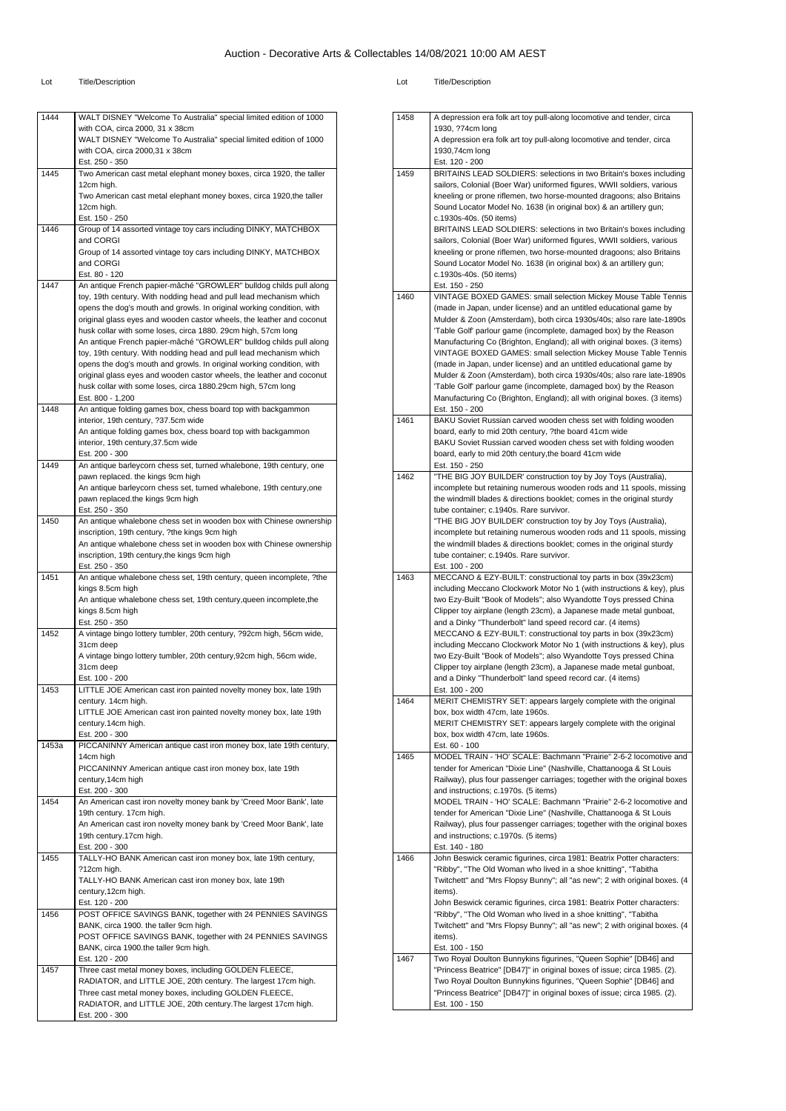#### Lot Title/Description Lot Title/Description

1458 A depression era folk art toy pull-along locomotive and tender, circa

| 1444  | WALT DISNEY "Welcome To Australia" special limited edition of 1000<br>with COA, circa 2000, 31 x 38cm                                       |
|-------|---------------------------------------------------------------------------------------------------------------------------------------------|
|       | WALT DISNEY "Welcome To Australia" special limited edition of 1000                                                                          |
|       | with COA, circa 2000,31 x 38cm                                                                                                              |
|       | Est. 250 - 350                                                                                                                              |
| 1445  | Two American cast metal elephant money boxes, circa 1920, the taller                                                                        |
|       | 12cm high.                                                                                                                                  |
|       | Two American cast metal elephant money boxes, circa 1920, the taller                                                                        |
|       | 12cm high.<br>Est. 150 - 250                                                                                                                |
| 1446  | Group of 14 assorted vintage toy cars including DINKY, MATCHBOX                                                                             |
|       | and CORGI                                                                                                                                   |
|       | Group of 14 assorted vintage toy cars including DINKY, MATCHBOX                                                                             |
|       | and CORGI                                                                                                                                   |
|       | Est. 80 - 120                                                                                                                               |
| 1447  | An antique French papier-mâché "GROWLER" bulldog childs pull along                                                                          |
|       | toy, 19th century. With nodding head and pull lead mechanism which<br>opens the dog's mouth and growls. In original working condition, with |
|       | original glass eyes and wooden castor wheels, the leather and coconut                                                                       |
|       | husk collar with some loses, circa 1880. 29cm high, 57cm long                                                                               |
|       | An antique French papier-mâché "GROWLER" bulldog childs pull along                                                                          |
|       | toy, 19th century. With nodding head and pull lead mechanism which                                                                          |
|       | opens the dog's mouth and growls. In original working condition, with                                                                       |
|       | original glass eyes and wooden castor wheels, the leather and coconut                                                                       |
|       | husk collar with some loses, circa 1880.29cm high, 57cm long<br>Est. 800 - 1,200                                                            |
| 1448  | An antique folding games box, chess board top with backgammon                                                                               |
|       | interior, 19th century, ?37.5cm wide                                                                                                        |
|       | An antique folding games box, chess board top with backgammon                                                                               |
|       | interior, 19th century, 37.5cm wide                                                                                                         |
|       | Est. 200 - 300                                                                                                                              |
| 1449  | An antique barleycorn chess set, turned whalebone, 19th century, one                                                                        |
|       | pawn replaced. the kings 9cm high                                                                                                           |
|       | An antique barleycorn chess set, turned whalebone, 19th century, one<br>pawn replaced the kings 9cm high                                    |
|       | Est. 250 - 350                                                                                                                              |
| 1450  | An antique whalebone chess set in wooden box with Chinese ownership                                                                         |
|       | inscription, 19th century, ?the kings 9cm high                                                                                              |
|       | An antique whalebone chess set in wooden box with Chinese ownership                                                                         |
|       | inscription, 19th century, the kings 9cm high                                                                                               |
| 1451  | Est. 250 - 350                                                                                                                              |
|       | An antique whalebone chess set, 19th century, queen incomplete, ?the<br>kings 8.5cm high                                                    |
|       | An antique whalebone chess set, 19th century, queen incomplete, the                                                                         |
|       | kings 8.5cm high                                                                                                                            |
|       | Est. 250 - 350                                                                                                                              |
| 1452  | A vintage bingo lottery tumbler, 20th century, ?92cm high, 56cm wide,                                                                       |
|       | 31cm deep                                                                                                                                   |
|       | A vintage bingo lottery tumbler, 20th century, 92cm high, 56cm wide,<br>31cm deep                                                           |
|       | Est. 100 - 200                                                                                                                              |
| 1453  | LITTLE JOE American cast iron painted novelty money box, late 19th                                                                          |
|       | century. 14cm high.                                                                                                                         |
|       | LITTLE JOE American cast iron painted novelty money box, late 19th                                                                          |
|       | century.14cm high.                                                                                                                          |
|       | Est. 200 - 300                                                                                                                              |
| 1453a | PICCANINNY American antique cast iron money box, late 19th century,<br>14cm high                                                            |
|       | PICCANINNY American antique cast iron money box, late 19th                                                                                  |
|       | century, 14cm high                                                                                                                          |
|       | Est. 200 - 300                                                                                                                              |
| 1454  | An American cast iron novelty money bank by 'Creed Moor Bank', late                                                                         |
|       | 19th century. 17cm high.                                                                                                                    |
|       | An American cast iron novelty money bank by 'Creed Moor Bank', late                                                                         |
|       | 19th century.17cm high.                                                                                                                     |
| 1455  | Est. 200 - 300<br>TALLY-HO BANK American cast iron money box, late 19th century,                                                            |
|       | ?12cm high.                                                                                                                                 |
|       | TALLY-HO BANK American cast iron money box, late 19th                                                                                       |
|       | century, 12cm high.                                                                                                                         |
|       | Est. 120 - 200                                                                                                                              |
| 1456  | POST OFFICE SAVINGS BANK, together with 24 PENNIES SAVINGS                                                                                  |
|       | BANK, circa 1900. the taller 9cm high.                                                                                                      |
|       |                                                                                                                                             |
|       | POST OFFICE SAVINGS BANK, together with 24 PENNIES SAVINGS                                                                                  |
|       | BANK, circa 1900.the taller 9cm high.                                                                                                       |
|       | Est. 120 - 200                                                                                                                              |
| 1457  | Three cast metal money boxes, including GOLDEN FLEECE,                                                                                      |
|       | RADIATOR, and LITTLE JOE, 20th century. The largest 17cm high.<br>Three cast metal money boxes, including GOLDEN FLEECE,                    |
|       | RADIATOR, and LITTLE JOE, 20th century. The largest 17cm high.                                                                              |

|      | 1930, ?74cm long                                                                                                                              |
|------|-----------------------------------------------------------------------------------------------------------------------------------------------|
|      | A depression era folk art toy pull-along locomotive and tender, circa<br>1930,74cm long                                                       |
|      | Est. 120 - 200                                                                                                                                |
| 1459 | BRITAINS LEAD SOLDIERS: selections in two Britain's boxes including                                                                           |
|      | sailors, Colonial (Boer War) uniformed figures, WWII soldiers, various                                                                        |
|      | kneeling or prone riflemen, two horse-mounted dragoons; also Britains                                                                         |
|      | Sound Locator Model No. 1638 (in original box) & an artillery gun;                                                                            |
|      | c.1930s-40s. (50 items)<br>BRITAINS LEAD SOLDIERS: selections in two Britain's boxes including                                                |
|      | sailors, Colonial (Boer War) uniformed figures, WWII soldiers, various                                                                        |
|      | kneeling or prone riflemen, two horse-mounted dragoons; also Britains                                                                         |
|      | Sound Locator Model No. 1638 (in original box) & an artillery gun;                                                                            |
|      | c.1930s-40s. (50 items)                                                                                                                       |
|      | Est. 150 - 250                                                                                                                                |
| 1460 | VINTAGE BOXED GAMES: small selection Mickey Mouse Table Tennis<br>(made in Japan, under license) and an untitled educational game by          |
|      | Mulder & Zoon (Amsterdam), both circa 1930s/40s; also rare late-1890s                                                                         |
|      | 'Table Golf' parlour game (incomplete, damaged box) by the Reason                                                                             |
|      | Manufacturing Co (Brighton, England); all with original boxes. (3 items)                                                                      |
|      | VINTAGE BOXED GAMES: small selection Mickey Mouse Table Tennis                                                                                |
|      | (made in Japan, under license) and an untitled educational game by                                                                            |
|      | Mulder & Zoon (Amsterdam), both circa 1930s/40s; also rare late-1890s                                                                         |
|      | 'Table Golf' parlour game (incomplete, damaged box) by the Reason<br>Manufacturing Co (Brighton, England); all with original boxes. (3 items) |
|      | Est. 150 - 200                                                                                                                                |
| 1461 | BAKU Soviet Russian carved wooden chess set with folding wooden                                                                               |
|      | board, early to mid 20th century, ?the board 41cm wide                                                                                        |
|      | BAKU Soviet Russian carved wooden chess set with folding wooden                                                                               |
|      | board, early to mid 20th century, the board 41cm wide<br>Est. 150 - 250                                                                       |
| 1462 | "THE BIG JOY BUILDER' construction toy by Joy Toys (Australia),                                                                               |
|      | incomplete but retaining numerous wooden rods and 11 spools, missing                                                                          |
|      | the windmill blades & directions booklet; comes in the original sturdy                                                                        |
|      | tube container; c.1940s. Rare survivor.                                                                                                       |
|      | "THE BIG JOY BUILDER' construction toy by Joy Toys (Australia),<br>incomplete but retaining numerous wooden rods and 11 spools, missing       |
|      | the windmill blades & directions booklet; comes in the original sturdy                                                                        |
|      | tube container; c.1940s. Rare survivor.                                                                                                       |
|      | Est. 100 - 200                                                                                                                                |
|      |                                                                                                                                               |
| 1463 | MECCANO & EZY-BUILT: constructional toy parts in box (39x23cm)                                                                                |
|      | including Meccano Clockwork Motor No 1 (with instructions & key), plus                                                                        |
|      | two Ezy-Built "Book of Models"; also Wyandotte Toys pressed China                                                                             |
|      | Clipper toy airplane (length 23cm), a Japanese made metal gunboat,<br>and a Dinky "Thunderbolt" land speed record car. (4 items)              |
|      | MECCANO & EZY-BUILT: constructional toy parts in box (39x23cm)                                                                                |
|      | including Meccano Clockwork Motor No 1 (with instructions & key), plus                                                                        |
|      | two Ezy-Built "Book of Models"; also Wyandotte Toys pressed China                                                                             |
|      | Clipper toy airplane (length 23cm), a Japanese made metal gunboat,                                                                            |
|      | and a Dinky "Thunderbolt" land speed record car. (4 items)<br>Est. 100 - 200                                                                  |
| 1464 | MERIT CHEMISTRY SET: appears largely complete with the original                                                                               |
|      | box, box width 47cm, late 1960s.                                                                                                              |
|      | MERIT CHEMISTRY SET: appears largely complete with the original                                                                               |
|      | box, box width 47cm, late 1960s.                                                                                                              |
| 1465 | Est. 60 - 100<br>MODEL TRAIN - 'HO' SCALE: Bachmann "Prairie" 2-6-2 locomotive and                                                            |
|      | tender for American "Dixie Line" (Nashville, Chattanooga & St Louis                                                                           |
|      | Railway), plus four passenger carriages; together with the original boxes                                                                     |
|      | and instructions; c.1970s. (5 items)                                                                                                          |
|      | MODEL TRAIN - 'HO' SCALE: Bachmann "Prairie" 2-6-2 locomotive and                                                                             |
|      | tender for American "Dixie Line" (Nashville, Chattanooga & St Louis                                                                           |
|      | Railway), plus four passenger carriages; together with the original boxes<br>and instructions; c.1970s. (5 items)                             |
|      | Est. 140 - 180                                                                                                                                |
| 1466 | John Beswick ceramic figurines, circa 1981: Beatrix Potter characters:                                                                        |
|      | "Ribby", "The Old Woman who lived in a shoe knitting", "Tabitha                                                                               |
|      | Twitchett" and "Mrs Flopsy Bunny"; all "as new"; 2 with original boxes. (4<br>items).                                                         |
|      | John Beswick ceramic figurines, circa 1981: Beatrix Potter characters:                                                                        |
|      | "Ribby", "The Old Woman who lived in a shoe knitting", "Tabitha                                                                               |
|      | Twitchett" and "Mrs Flopsy Bunny"; all "as new"; 2 with original boxes. (4                                                                    |
|      | items).                                                                                                                                       |
| 1467 | Est. 100 - 150                                                                                                                                |
|      | Two Royal Doulton Bunnykins figurines, "Queen Sophie" [DB46] and<br>"Princess Beatrice" [DB47]" in original boxes of issue; circa 1985. (2).  |
|      | Two Royal Doulton Bunnykins figurines, "Queen Sophie" [DB46] and                                                                              |
|      | "Princess Beatrice" [DB47]" in original boxes of issue; circa 1985. (2).<br>Est. 100 - 150                                                    |